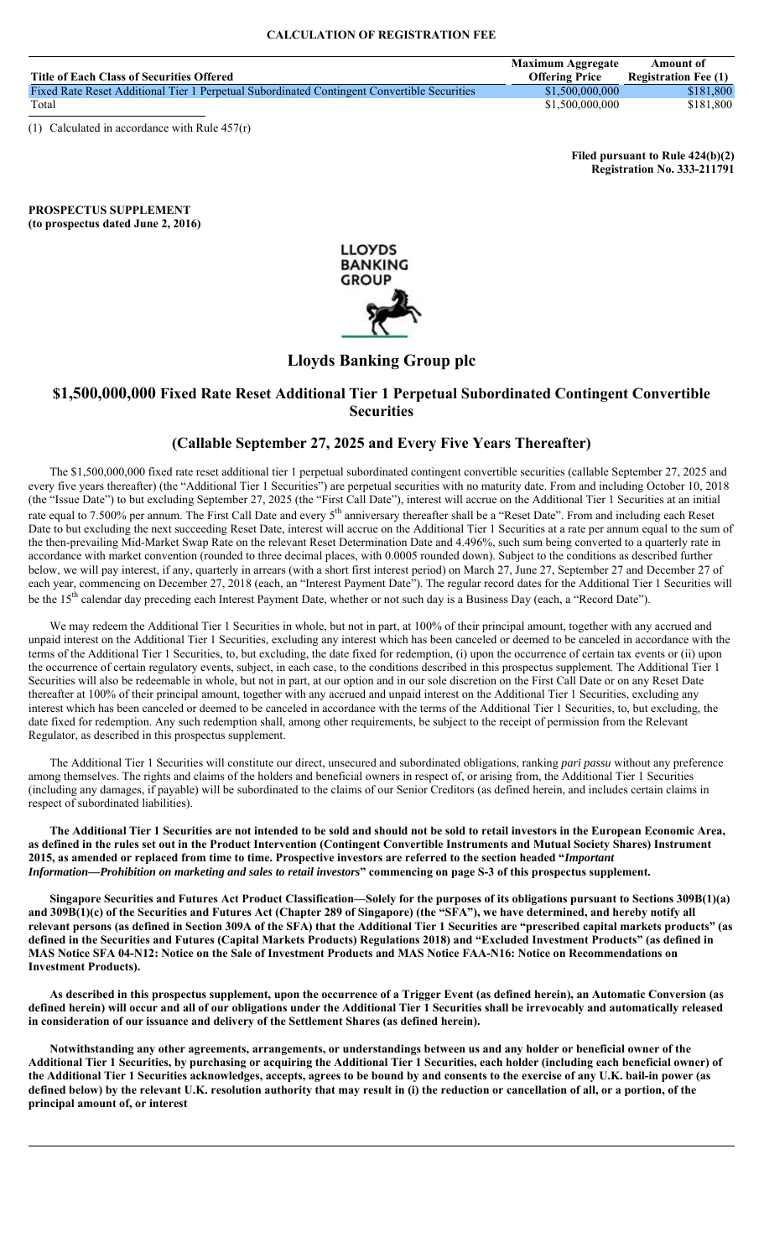|                                                                                             | <b>Maximum Aggregate</b> | Amount of                   |
|---------------------------------------------------------------------------------------------|--------------------------|-----------------------------|
| Title of Each Class of Securities Offered                                                   | <b>Offering Price</b>    | <b>Registration Fee (1)</b> |
| Fixed Rate Reset Additional Tier 1 Perpetual Subordinated Contingent Convertible Securities | \$1,500,000,000          | \$181,800                   |
| Total                                                                                       | \$1,500,000,000          | \$181,800                   |

(1) Calculated in accordance with Rule 457(r)

**Filed pursuant to Rule 424(b)(2) Registration No. 333-211791**

**PROSPECTUS SUPPLEMENT (to prospectus dated June 2, 2016)**



# **Lloyds Banking Group plc**

# **\$1,500,000,000 Fixed Rate Reset Additional Tier 1 Perpetual Subordinated Contingent Convertible Securities**

# **(Callable September 27, 2025 and Every Five Years Thereafter)**

The \$1,500,000,000 fixed rate reset additional tier 1 perpetual subordinated contingent convertible securities (callable September 27, 2025 and every five years thereafter) (the "Additional Tier 1 Securities") are perpetual securities with no maturity date. From and including October 10, 2018 (the "Issue Date") to but excluding September 27, 2025 (the "First Call Date"), interest will accrue on the Additional Tier 1 Securities at an initial rate equal to 7.500% per annum. The First Call Date and every 5<sup>th</sup> anniversary thereafter shall be a "Reset Date". From and including each Reset Date to but excluding the next succeeding Reset Date, interest will accrue on the Additional Tier 1 Securities at a rate per annum equal to the sum of the then-prevailing Mid-Market Swap Rate on the relevant Reset Determination Date and 4.496%, such sum being converted to a quarterly rate in accordance with market convention (rounded to three decimal places, with 0.0005 rounded down). Subject to the conditions as described further below, we will pay interest, if any, quarterly in arrears (with a short first interest period) on March 27, June 27, September 27 and December 27 of each year, commencing on December 27, 2018 (each, an "Interest Payment Date"). The regular record dates for the Additional Tier 1 Securities will be the 15<sup>th</sup> calendar day preceding each Interest Payment Date, whether or not such day is a Business Day (each, a "Record Date").

We may redeem the Additional Tier 1 Securities in whole, but not in part, at 100% of their principal amount, together with any accrued and unpaid interest on the Additional Tier 1 Securities, excluding any interest which has been canceled or deemed to be canceled in accordance with the terms of the Additional Tier 1 Securities, to, but excluding, the date fixed for redemption, (i) upon the occurrence of certain tax events or (ii) upon the occurrence of certain regulatory events, subject, in each case, to the conditions described in this prospectus supplement. The Additional Tier 1 Securities will also be redeemable in whole, but not in part, at our option and in our sole discretion on the First Call Date or on any Reset Date thereafter at 100% of their principal amount, together with any accrued and unpaid interest on the Additional Tier 1 Securities, excluding any interest which has been canceled or deemed to be canceled in accordance with the terms of the Additional Tier 1 Securities, to, but excluding, the date fixed for redemption. Any such redemption shall, among other requirements, be subject to the receipt of permission from the Relevant Regulator, as described in this prospectus supplement.

The Additional Tier 1 Securities will constitute our direct, unsecured and subordinated obligations, ranking *pari passu* without any preference among themselves. The rights and claims of the holders and beneficial owners in respect of, or arising from, the Additional Tier 1 Securities (including any damages, if payable) will be subordinated to the claims of our Senior Creditors (as defined herein, and includes certain claims in respect of subordinated liabilities).

**The Additional Tier 1 Securities are not intended to be sold and should not be sold to retail investors in the European Economic Area, as defined in the rules set out in the Product Intervention (Contingent Convertible Instruments and Mutual Society Shares) Instrument 2015, as amended or replaced from time to time. Prospective investors are referred to the section headed "***Important Information—Prohibition on marketing and sales to retail investors***" commencing on page S-3 of this prospectus supplement.**

**Singapore Securities and Futures Act Product Classification—Solely for the purposes of its obligations pursuant to Sections 309B(1)(a) and 309B(1)(c) of the Securities and Futures Act (Chapter 289 of Singapore) (the "SFA"), we have determined, and hereby notify all relevant persons (as defined in Section 309A of the SFA) that the Additional Tier 1 Securities are "prescribed capital markets products" (as defined in the Securities and Futures (Capital Markets Products) Regulations 2018) and "Excluded Investment Products" (as defined in MAS Notice SFA 04-N12: Notice on the Sale of Investment Products and MAS Notice FAA-N16: Notice on Recommendations on Investment Products).**

**As described in this prospectus supplement, upon the occurrence of a Trigger Event (as defined herein), an Automatic Conversion (as defined herein) will occur and all of our obligations under the Additional Tier 1 Securities shall be irrevocably and automatically released in consideration of our issuance and delivery of the Settlement Shares (as defined herein).**

**Notwithstanding any other agreements, arrangements, or understandings between us and any holder or beneficial owner of the Additional Tier 1 Securities, by purchasing or acquiring the Additional Tier 1 Securities, each holder (including each beneficial owner) of the Additional Tier 1 Securities acknowledges, accepts, agrees to be bound by and consents to the exercise of any U.K. bail-in power (as defined below) by the relevant U.K. resolution authority that may result in (i) the reduction or cancellation of all, or a portion, of the principal amount of, or interest**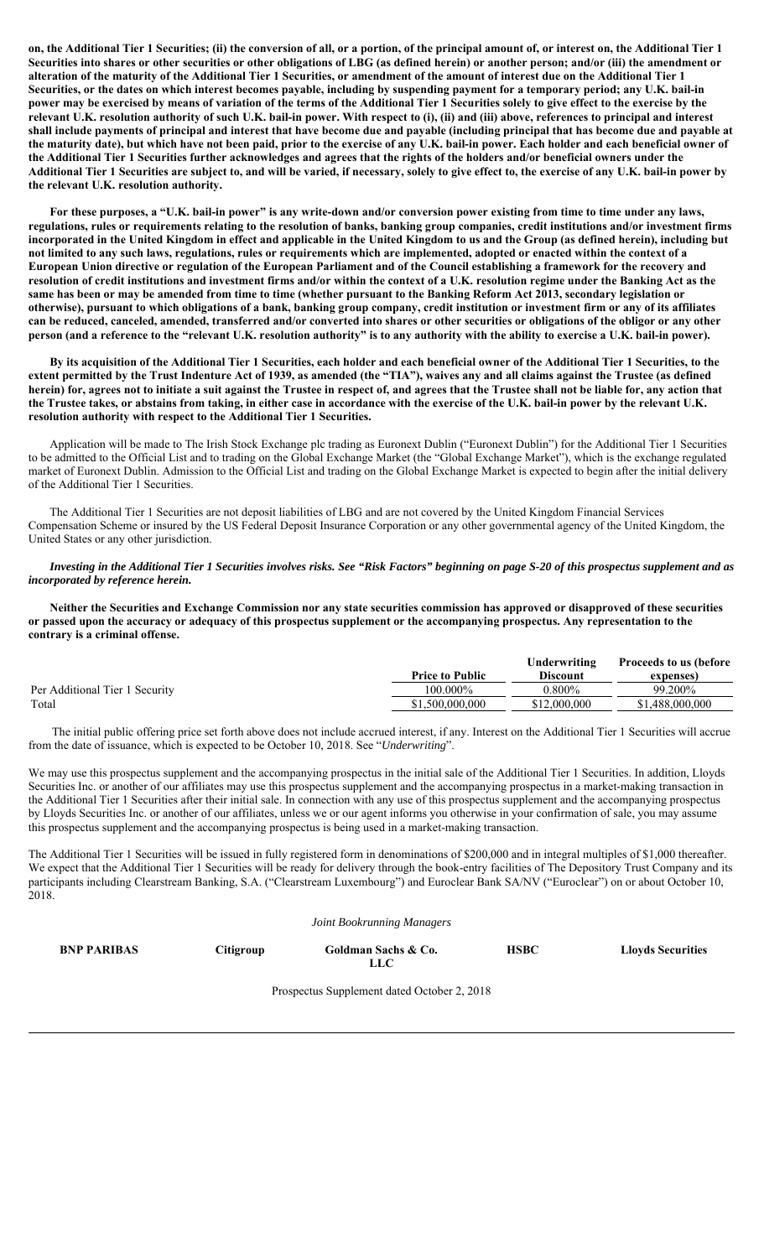**on, the Additional Tier 1 Securities; (ii) the conversion of all, or a portion, of the principal amount of, or interest on, the Additional Tier 1 Securities into shares or other securities or other obligations of LBG (as defined herein) or another person; and/or (iii) the amendment or alteration of the maturity of the Additional Tier 1 Securities, or amendment of the amount of interest due on the Additional Tier 1 Securities, or the dates on which interest becomes payable, including by suspending payment for a temporary period; any U.K. bail-in power may be exercised by means of variation of the terms of the Additional Tier 1 Securities solely to give effect to the exercise by the relevant U.K. resolution authority of such U.K. bail-in power. With respect to (i), (ii) and (iii) above, references to principal and interest shall include payments of principal and interest that have become due and payable (including principal that has become due and payable at the maturity date), but which have not been paid, prior to the exercise of any U.K. bail-in power. Each holder and each beneficial owner of the Additional Tier 1 Securities further acknowledges and agrees that the rights of the holders and/or beneficial owners under the Additional Tier 1 Securities are subject to, and will be varied, if necessary, solely to give effect to, the exercise of any U.K. bail-in power by the relevant U.K. resolution authority.**

**For these purposes, a "U.K. bail-in power" is any write-down and/or conversion power existing from time to time under any laws, regulations, rules or requirements relating to the resolution of banks, banking group companies, credit institutions and/or investment firms incorporated in the United Kingdom in effect and applicable in the United Kingdom to us and the Group (as defined herein), including but not limited to any such laws, regulations, rules or requirements which are implemented, adopted or enacted within the context of a European Union directive or regulation of the European Parliament and of the Council establishing a framework for the recovery and resolution of credit institutions and investment firms and/or within the context of a U.K. resolution regime under the Banking Act as the same has been or may be amended from time to time (whether pursuant to the Banking Reform Act 2013, secondary legislation or otherwise), pursuant to which obligations of a bank, banking group company, credit institution or investment firm or any of its affiliates can be reduced, canceled, amended, transferred and/or converted into shares or other securities or obligations of the obligor or any other person (and a reference to the "relevant U.K. resolution authority" is to any authority with the ability to exercise a U.K. bail-in power).**

**By its acquisition of the Additional Tier 1 Securities, each holder and each beneficial owner of the Additional Tier 1 Securities, to the extent permitted by the Trust Indenture Act of 1939, as amended (the "TIA"), waives any and all claims against the Trustee (as defined herein) for, agrees not to initiate a suit against the Trustee in respect of, and agrees that the Trustee shall not be liable for, any action that the Trustee takes, or abstains from taking, in either case in accordance with the exercise of the U.K. bail-in power by the relevant U.K. resolution authority with respect to the Additional Tier 1 Securities.** 

Application will be made to The Irish Stock Exchange plc trading as Euronext Dublin ("Euronext Dublin") for the Additional Tier 1 Securities to be admitted to the Official List and to trading on the Global Exchange Market (the "Global Exchange Market"), which is the exchange regulated market of Euronext Dublin. Admission to the Official List and trading on the Global Exchange Market is expected to begin after the initial delivery of the Additional Tier 1 Securities.

The Additional Tier 1 Securities are not deposit liabilities of LBG and are not covered by the United Kingdom Financial Services Compensation Scheme or insured by the US Federal Deposit Insurance Corporation or any other governmental agency of the United Kingdom, the United States or any other jurisdiction.

## *Investing in the Additional Tier 1 Securities involves risks. See "Risk Factors" beginning on page S-20 of this prospectus supplement and as incorporated by reference herein.*

**Neither the Securities and Exchange Commission nor any state securities commission has approved or disapproved of these securities or passed upon the accuracy or adequacy of this prospectus supplement or the accompanying prospectus. Any representation to the contrary is a criminal offense.**

|                                | <b>Price to Public</b> | Underwriting<br>Discount | <b>Proceeds to us (before</b><br>expenses) |
|--------------------------------|------------------------|--------------------------|--------------------------------------------|
| Per Additional Tier 1 Security | 100.000%               | 0.800%                   | 99.200%                                    |
| Total                          | \$1,500,000,000        | \$12,000,000             | \$1,488,000,000                            |

 The initial public offering price set forth above does not include accrued interest, if any. Interest on the Additional Tier 1 Securities will accrue from the date of issuance, which is expected to be October 10, 2018. See "*Underwriting*".

We may use this prospectus supplement and the accompanying prospectus in the initial sale of the Additional Tier 1 Securities. In addition, Lloyds Securities Inc. or another of our affiliates may use this prospectus supplement and the accompanying prospectus in a market-making transaction in the Additional Tier 1 Securities after their initial sale. In connection with any use of this prospectus supplement and the accompanying prospectus by Lloyds Securities Inc. or another of our affiliates, unless we or our agent informs you otherwise in your confirmation of sale, you may assume this prospectus supplement and the accompanying prospectus is being used in a market-making transaction.

The Additional Tier 1 Securities will be issued in fully registered form in denominations of \$200,000 and in integral multiples of \$1,000 thereafter. We expect that the Additional Tier 1 Securities will be ready for delivery through the book-entry facilities of The Depository Trust Company and its participants including Clearstream Banking, S.A. ("Clearstream Luxembourg") and Euroclear Bank SA/NV ("Euroclear") on or about October 10, 2018.

| Joint Bookrunning Managers |  |  |
|----------------------------|--|--|

**BNP PARIBAS** Citigroup Goldman Sachs & Co.

**LLC**

**HSBC Lloyds Securities**

Prospectus Supplement dated October 2, 2018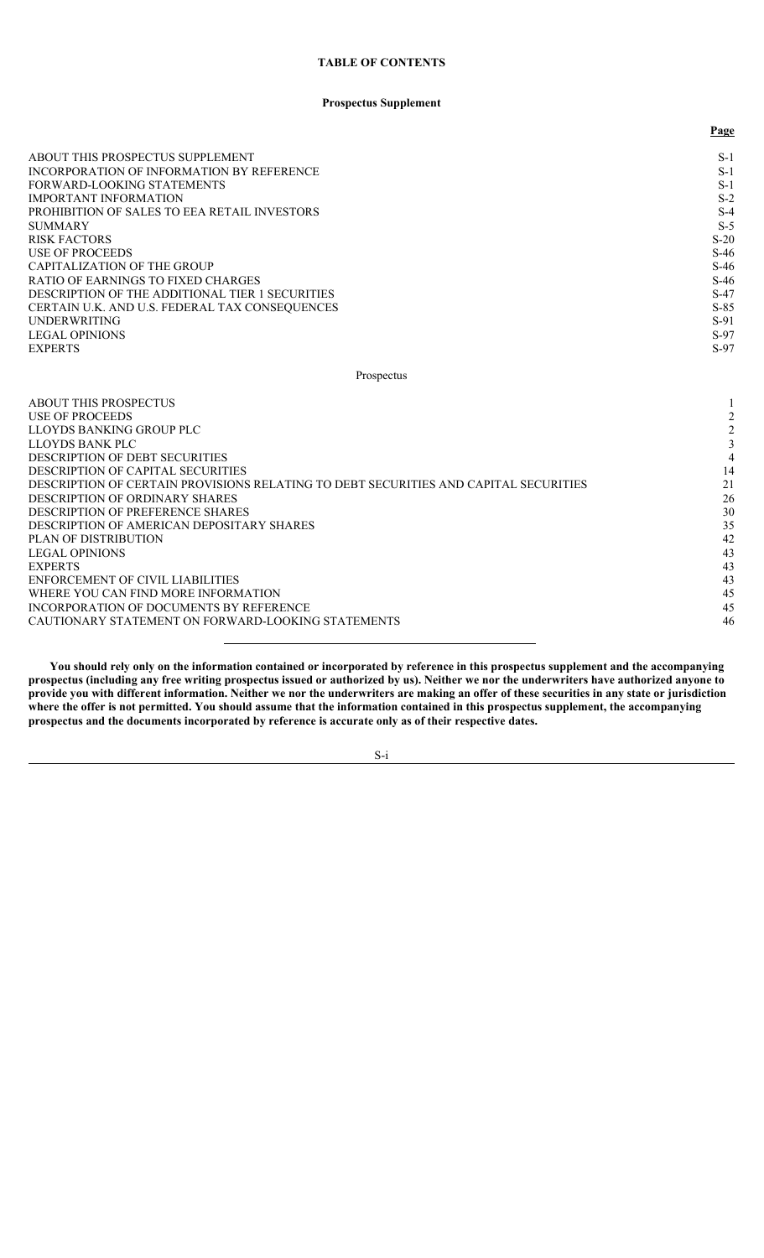# **TABLE OF CONTENTS**

# **Prospectus Supplement**

|                                                 | Page   |
|-------------------------------------------------|--------|
| ABOUT THIS PROSPECTUS SUPPLEMENT                | $S-1$  |
| INCORPORATION OF INFORMATION BY REFERENCE       | $S-1$  |
| FORWARD-LOOKING STATEMENTS                      | $S-1$  |
| <b>IMPORTANT INFORMATION</b>                    | $S-2$  |
| PROHIBITION OF SALES TO EEA RETAIL INVESTORS    | $S-4$  |
| <b>SUMMARY</b>                                  | $S-5$  |
| <b>RISK FACTORS</b>                             | $S-20$ |
| USE OF PROCEEDS                                 | $S-46$ |
| CAPITALIZATION OF THE GROUP                     | $S-46$ |
| RATIO OF EARNINGS TO FIXED CHARGES              | $S-46$ |
| DESCRIPTION OF THE ADDITIONAL TIER 1 SECURITIES | $S-47$ |
| CERTAIN U.K. AND U.S. FEDERAL TAX CONSEQUENCES  | $S-85$ |
| <b>UNDERWRITING</b>                             | $S-91$ |
| <b>LEGAL OPINIONS</b>                           | $S-97$ |
| <b>EXPERTS</b>                                  | $S-97$ |

Prospectus

| ABOUT THIS PROSPECTUS                                                                |    |
|--------------------------------------------------------------------------------------|----|
| USE OF PROCEEDS                                                                      |    |
| LLOYDS BANKING GROUP PLC                                                             |    |
| LLOYDS BANK PLC                                                                      |    |
| DESCRIPTION OF DEBT SECURITIES                                                       |    |
| DESCRIPTION OF CAPITAL SECURITIES                                                    | 14 |
| DESCRIPTION OF CERTAIN PROVISIONS RELATING TO DEBT SECURITIES AND CAPITAL SECURITIES | 21 |
| DESCRIPTION OF ORDINARY SHARES                                                       | 26 |
| DESCRIPTION OF PREFERENCE SHARES                                                     | 30 |
| DESCRIPTION OF AMERICAN DEPOSITARY SHARES                                            | 35 |
| PLAN OF DISTRIBUTION                                                                 | 42 |
| <b>LEGAL OPINIONS</b>                                                                | 43 |
| <b>EXPERTS</b>                                                                       | 43 |
| ENFORCEMENT OF CIVIL LIABILITIES                                                     | 43 |
| WHERE YOU CAN FIND MORE INFORMATION                                                  | 45 |
| INCORPORATION OF DOCUMENTS BY REFERENCE                                              | 45 |
| CAUTIONARY STATEMENT ON FORWARD-LOOKING STATEMENTS                                   | 46 |
|                                                                                      |    |

**You should rely only on the information contained or incorporated by reference in this prospectus supplement and the accompanying prospectus (including any free writing prospectus issued or authorized by us). Neither we nor the underwriters have authorized anyone to provide you with different information. Neither we nor the underwriters are making an offer of these securities in any state or jurisdiction where the offer is not permitted. You should assume that the information contained in this prospectus supplement, the accompanying prospectus and the documents incorporated by reference is accurate only as of their respective dates.**

S-i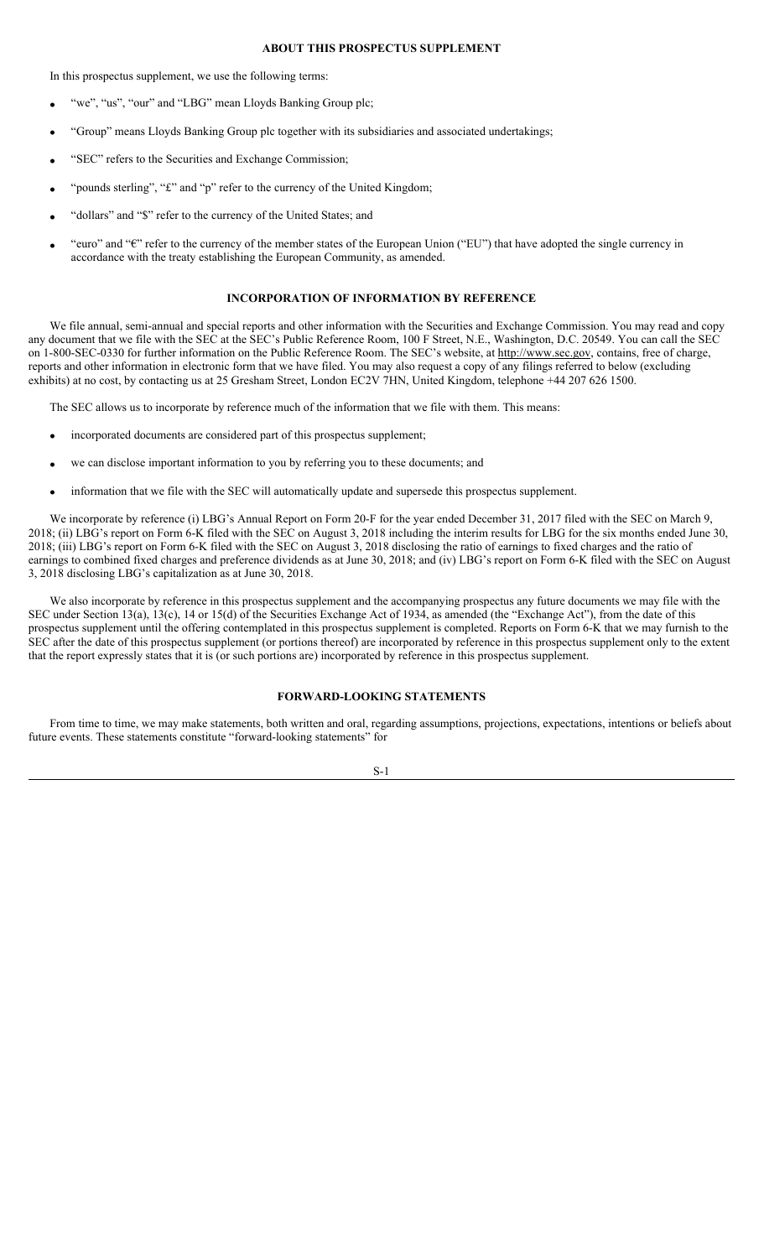# **ABOUT THIS PROSPECTUS SUPPLEMENT**

In this prospectus supplement, we use the following terms:

- "we", "us", "our" and "LBG" mean Lloyds Banking Group plc;
- "Group" means Lloyds Banking Group plc together with its subsidiaries and associated undertakings;
- "SEC" refers to the Securities and Exchange Commission;
- "pounds sterling", "£" and "p" refer to the currency of the United Kingdom;
- "dollars" and "\$" refer to the currency of the United States; and
- "euro" and "€" refer to the currency of the member states of the European Union ("EU") that have adopted the single currency in accordance with the treaty establishing the European Community, as amended.

# **INCORPORATION OF INFORMATION BY REFERENCE**

We file annual, semi-annual and special reports and other information with the Securities and Exchange Commission. You may read and copy any document that we file with the SEC at the SEC's Public Reference Room, 100 F Street, N.E., Washington, D.C. 20549. You can call the SEC on 1-800-SEC-0330 for further information on the Public Reference Room. The SEC's website, at http://www.sec.gov, contains, free of charge, reports and other information in electronic form that we have filed. You may also request a copy of any filings referred to below (excluding exhibits) at no cost, by contacting us at 25 Gresham Street, London EC2V 7HN, United Kingdom, telephone +44 207 626 1500.

The SEC allows us to incorporate by reference much of the information that we file with them. This means:

- incorporated documents are considered part of this prospectus supplement;
- we can disclose important information to you by referring you to these documents; and
- information that we file with the SEC will automatically update and supersede this prospectus supplement.

We incorporate by reference (i) LBG's Annual Report on Form 20-F for the year ended December 31, 2017 filed with the SEC on March 9, 2018; (ii) LBG's report on Form 6-K filed with the SEC on August 3, 2018 including the interim results for LBG for the six months ended June 30, 2018; (iii) LBG's report on Form 6-K filed with the SEC on August 3, 2018 disclosing the ratio of earnings to fixed charges and the ratio of earnings to combined fixed charges and preference dividends as at June 30, 2018; and (iv) LBG's report on Form 6-K filed with the SEC on August 3, 2018 disclosing LBG's capitalization as at June 30, 2018.

We also incorporate by reference in this prospectus supplement and the accompanying prospectus any future documents we may file with the SEC under Section 13(a), 13(c), 14 or 15(d) of the Securities Exchange Act of 1934, as amended (the "Exchange Act"), from the date of this prospectus supplement until the offering contemplated in this prospectus supplement is completed. Reports on Form 6-K that we may furnish to the SEC after the date of this prospectus supplement (or portions thereof) are incorporated by reference in this prospectus supplement only to the extent that the report expressly states that it is (or such portions are) incorporated by reference in this prospectus supplement.

# **FORWARD-LOOKING STATEMENTS**

From time to time, we may make statements, both written and oral, regarding assumptions, projections, expectations, intentions or beliefs about future events. These statements constitute "forward-looking statements" for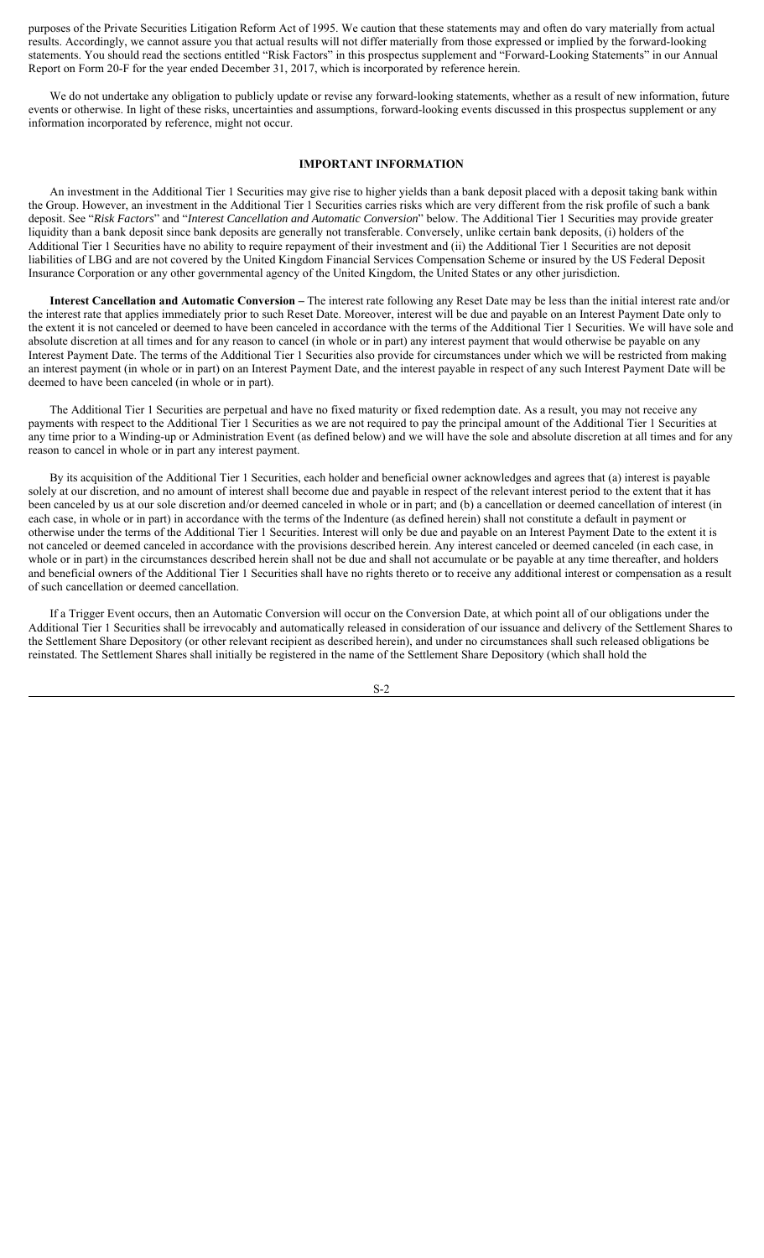purposes of the Private Securities Litigation Reform Act of 1995. We caution that these statements may and often do vary materially from actual results. Accordingly, we cannot assure you that actual results will not differ materially from those expressed or implied by the forward-looking statements. You should read the sections entitled "Risk Factors" in this prospectus supplement and "Forward-Looking Statements" in our Annual Report on Form 20-F for the year ended December 31, 2017, which is incorporated by reference herein.

We do not undertake any obligation to publicly update or revise any forward-looking statements, whether as a result of new information, future events or otherwise. In light of these risks, uncertainties and assumptions, forward-looking events discussed in this prospectus supplement or any information incorporated by reference, might not occur.

## **IMPORTANT INFORMATION**

An investment in the Additional Tier 1 Securities may give rise to higher yields than a bank deposit placed with a deposit taking bank within the Group. However, an investment in the Additional Tier 1 Securities carries risks which are very different from the risk profile of such a bank deposit. See "*Risk Factors*" and "*Interest Cancellation and Automatic Conversion*" below. The Additional Tier 1 Securities may provide greater liquidity than a bank deposit since bank deposits are generally not transferable. Conversely, unlike certain bank deposits, (i) holders of the Additional Tier 1 Securities have no ability to require repayment of their investment and (ii) the Additional Tier 1 Securities are not deposit liabilities of LBG and are not covered by the United Kingdom Financial Services Compensation Scheme or insured by the US Federal Deposit Insurance Corporation or any other governmental agency of the United Kingdom, the United States or any other jurisdiction.

**Interest Cancellation and Automatic Conversion –** The interest rate following any Reset Date may be less than the initial interest rate and/or the interest rate that applies immediately prior to such Reset Date. Moreover, interest will be due and payable on an Interest Payment Date only to the extent it is not canceled or deemed to have been canceled in accordance with the terms of the Additional Tier 1 Securities. We will have sole and absolute discretion at all times and for any reason to cancel (in whole or in part) any interest payment that would otherwise be payable on any Interest Payment Date. The terms of the Additional Tier 1 Securities also provide for circumstances under which we will be restricted from making an interest payment (in whole or in part) on an Interest Payment Date, and the interest payable in respect of any such Interest Payment Date will be deemed to have been canceled (in whole or in part).

The Additional Tier 1 Securities are perpetual and have no fixed maturity or fixed redemption date. As a result, you may not receive any payments with respect to the Additional Tier 1 Securities as we are not required to pay the principal amount of the Additional Tier 1 Securities at any time prior to a Winding-up or Administration Event (as defined below) and we will have the sole and absolute discretion at all times and for any reason to cancel in whole or in part any interest payment.

By its acquisition of the Additional Tier 1 Securities, each holder and beneficial owner acknowledges and agrees that (a) interest is payable solely at our discretion, and no amount of interest shall become due and payable in respect of the relevant interest period to the extent that it has been canceled by us at our sole discretion and/or deemed canceled in whole or in part; and (b) a cancellation or deemed cancellation of interest (in each case, in whole or in part) in accordance with the terms of the Indenture (as defined herein) shall not constitute a default in payment or otherwise under the terms of the Additional Tier 1 Securities. Interest will only be due and payable on an Interest Payment Date to the extent it is not canceled or deemed canceled in accordance with the provisions described herein. Any interest canceled or deemed canceled (in each case, in whole or in part) in the circumstances described herein shall not be due and shall not accumulate or be payable at any time thereafter, and holders and beneficial owners of the Additional Tier 1 Securities shall have no rights thereto or to receive any additional interest or compensation as a result of such cancellation or deemed cancellation.

If a Trigger Event occurs, then an Automatic Conversion will occur on the Conversion Date, at which point all of our obligations under the Additional Tier 1 Securities shall be irrevocably and automatically released in consideration of our issuance and delivery of the Settlement Shares to the Settlement Share Depository (or other relevant recipient as described herein), and under no circumstances shall such released obligations be reinstated. The Settlement Shares shall initially be registered in the name of the Settlement Share Depository (which shall hold the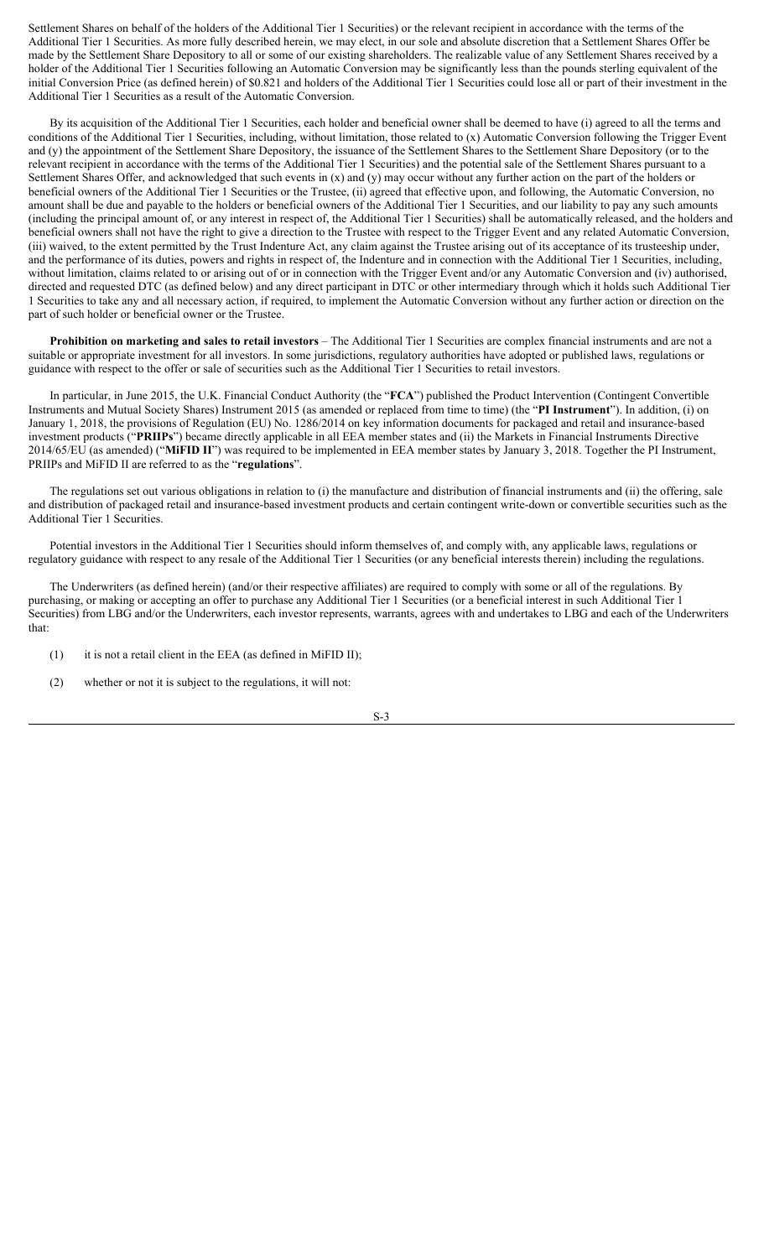Settlement Shares on behalf of the holders of the Additional Tier 1 Securities) or the relevant recipient in accordance with the terms of the Additional Tier 1 Securities. As more fully described herein, we may elect, in our sole and absolute discretion that a Settlement Shares Offer be made by the Settlement Share Depository to all or some of our existing shareholders. The realizable value of any Settlement Shares received by a holder of the Additional Tier 1 Securities following an Automatic Conversion may be significantly less than the pounds sterling equivalent of the initial Conversion Price (as defined herein) of \$0.821 and holders of the Additional Tier 1 Securities could lose all or part of their investment in the Additional Tier 1 Securities as a result of the Automatic Conversion.

By its acquisition of the Additional Tier 1 Securities, each holder and beneficial owner shall be deemed to have (i) agreed to all the terms and conditions of the Additional Tier 1 Securities, including, without limitation, those related to (x) Automatic Conversion following the Trigger Event and (y) the appointment of the Settlement Share Depository, the issuance of the Settlement Shares to the Settlement Share Depository (or to the relevant recipient in accordance with the terms of the Additional Tier 1 Securities) and the potential sale of the Settlement Shares pursuant to a Settlement Shares Offer, and acknowledged that such events in (x) and (y) may occur without any further action on the part of the holders or beneficial owners of the Additional Tier 1 Securities or the Trustee, (ii) agreed that effective upon, and following, the Automatic Conversion, no amount shall be due and payable to the holders or beneficial owners of the Additional Tier 1 Securities, and our liability to pay any such amounts (including the principal amount of, or any interest in respect of, the Additional Tier 1 Securities) shall be automatically released, and the holders and beneficial owners shall not have the right to give a direction to the Trustee with respect to the Trigger Event and any related Automatic Conversion, (iii) waived, to the extent permitted by the Trust Indenture Act, any claim against the Trustee arising out of its acceptance of its trusteeship under, and the performance of its duties, powers and rights in respect of, the Indenture and in connection with the Additional Tier 1 Securities, including, without limitation, claims related to or arising out of or in connection with the Trigger Event and/or any Automatic Conversion and (iv) authorised, directed and requested DTC (as defined below) and any direct participant in DTC or other intermediary through which it holds such Additional Tier 1 Securities to take any and all necessary action, if required, to implement the Automatic Conversion without any further action or direction on the part of such holder or beneficial owner or the Trustee.

**Prohibition on marketing and sales to retail investors** – The Additional Tier 1 Securities are complex financial instruments and are not a suitable or appropriate investment for all investors. In some jurisdictions, regulatory authorities have adopted or published laws, regulations or guidance with respect to the offer or sale of securities such as the Additional Tier 1 Securities to retail investors.

In particular, in June 2015, the U.K. Financial Conduct Authority (the "**FCA**") published the Product Intervention (Contingent Convertible Instruments and Mutual Society Shares) Instrument 2015 (as amended or replaced from time to time) (the "**PI Instrument**"). In addition, (i) on January 1, 2018, the provisions of Regulation (EU) No. 1286/2014 on key information documents for packaged and retail and insurance-based investment products ("**PRIIPs**") became directly applicable in all EEA member states and (ii) the Markets in Financial Instruments Directive 2014/65/EU (as amended) ("**MiFID II**") was required to be implemented in EEA member states by January 3, 2018. Together the PI Instrument, PRIIPs and MiFID II are referred to as the "**regulations**".

The regulations set out various obligations in relation to (i) the manufacture and distribution of financial instruments and (ii) the offering, sale and distribution of packaged retail and insurance-based investment products and certain contingent write-down or convertible securities such as the Additional Tier 1 Securities.

Potential investors in the Additional Tier 1 Securities should inform themselves of, and comply with, any applicable laws, regulations or regulatory guidance with respect to any resale of the Additional Tier 1 Securities (or any beneficial interests therein) including the regulations.

The Underwriters (as defined herein) (and/or their respective affiliates) are required to comply with some or all of the regulations. By purchasing, or making or accepting an offer to purchase any Additional Tier 1 Securities (or a beneficial interest in such Additional Tier 1 Securities) from LBG and/or the Underwriters, each investor represents, warrants, agrees with and undertakes to LBG and each of the Underwriters that:

(1) it is not a retail client in the EEA (as defined in MiFID II);

(2) whether or not it is subject to the regulations, it will not: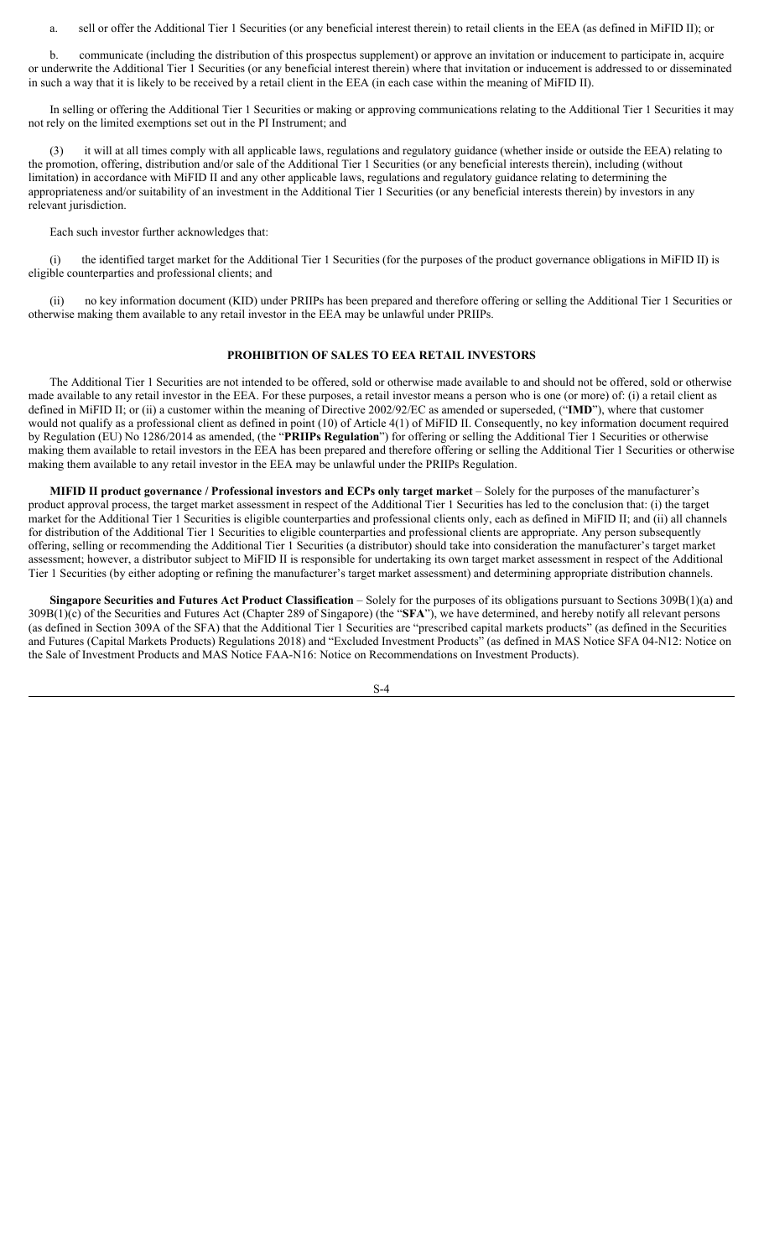a. sell or offer the Additional Tier 1 Securities (or any beneficial interest therein) to retail clients in the EEA (as defined in MiFID II); or

b. communicate (including the distribution of this prospectus supplement) or approve an invitation or inducement to participate in, acquire or underwrite the Additional Tier 1 Securities (or any beneficial interest therein) where that invitation or inducement is addressed to or disseminated in such a way that it is likely to be received by a retail client in the EEA (in each case within the meaning of MiFID II).

In selling or offering the Additional Tier 1 Securities or making or approving communications relating to the Additional Tier 1 Securities it may not rely on the limited exemptions set out in the PI Instrument; and

(3) it will at all times comply with all applicable laws, regulations and regulatory guidance (whether inside or outside the EEA) relating to the promotion, offering, distribution and/or sale of the Additional Tier 1 Securities (or any beneficial interests therein), including (without limitation) in accordance with MiFID II and any other applicable laws, regulations and regulatory guidance relating to determining the appropriateness and/or suitability of an investment in the Additional Tier 1 Securities (or any beneficial interests therein) by investors in any relevant jurisdiction.

Each such investor further acknowledges that:

(i) the identified target market for the Additional Tier 1 Securities (for the purposes of the product governance obligations in MiFID II) is eligible counterparties and professional clients; and

(ii) no key information document (KID) under PRIIPs has been prepared and therefore offering or selling the Additional Tier 1 Securities or otherwise making them available to any retail investor in the EEA may be unlawful under PRIIPs.

# **PROHIBITION OF SALES TO EEA RETAIL INVESTORS**

The Additional Tier 1 Securities are not intended to be offered, sold or otherwise made available to and should not be offered, sold or otherwise made available to any retail investor in the EEA. For these purposes, a retail investor means a person who is one (or more) of: (i) a retail client as defined in MiFID II; or (ii) a customer within the meaning of Directive 2002/92/EC as amended or superseded, ("**IMD**"), where that customer would not qualify as a professional client as defined in point (10) of Article 4(1) of MiFID II. Consequently, no key information document required by Regulation (EU) No 1286/2014 as amended, (the "**PRIIPs Regulation**") for offering or selling the Additional Tier 1 Securities or otherwise making them available to retail investors in the EEA has been prepared and therefore offering or selling the Additional Tier 1 Securities or otherwise making them available to any retail investor in the EEA may be unlawful under the PRIIPs Regulation.

**MIFID II product governance / Professional investors and ECPs only target market** – Solely for the purposes of the manufacturer's product approval process, the target market assessment in respect of the Additional Tier 1 Securities has led to the conclusion that: (i) the target market for the Additional Tier 1 Securities is eligible counterparties and professional clients only, each as defined in MiFID II; and (ii) all channels for distribution of the Additional Tier 1 Securities to eligible counterparties and professional clients are appropriate. Any person subsequently offering, selling or recommending the Additional Tier 1 Securities (a distributor) should take into consideration the manufacturer's target market assessment; however, a distributor subject to MiFID II is responsible for undertaking its own target market assessment in respect of the Additional Tier 1 Securities (by either adopting or refining the manufacturer's target market assessment) and determining appropriate distribution channels.

**Singapore Securities and Futures Act Product Classification** – Solely for the purposes of its obligations pursuant to Sections 309B(1)(a) and 309B(1)(c) of the Securities and Futures Act (Chapter 289 of Singapore) (the "**SFA**"), we have determined, and hereby notify all relevant persons (as defined in Section 309A of the SFA) that the Additional Tier 1 Securities are "prescribed capital markets products" (as defined in the Securities and Futures (Capital Markets Products) Regulations 2018) and "Excluded Investment Products" (as defined in MAS Notice SFA 04-N12: Notice on the Sale of Investment Products and MAS Notice FAA-N16: Notice on Recommendations on Investment Products).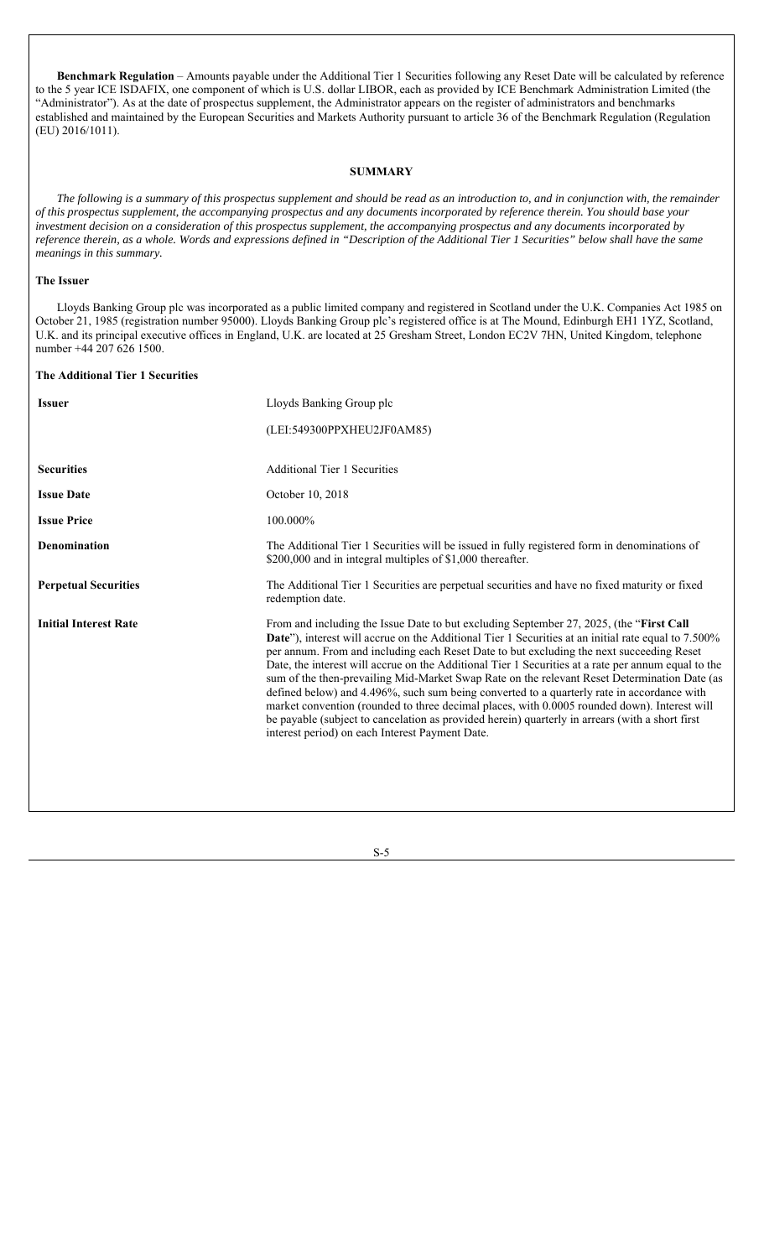**Benchmark Regulation** – Amounts payable under the Additional Tier 1 Securities following any Reset Date will be calculated by reference to the 5 year ICE ISDAFIX, one component of which is U.S. dollar LIBOR, each as provided by ICE Benchmark Administration Limited (the "Administrator"). As at the date of prospectus supplement, the Administrator appears on the register of administrators and benchmarks established and maintained by the European Securities and Markets Authority pursuant to article 36 of the Benchmark Regulation (Regulation (EU) 2016/1011).

# **SUMMARY**

*The following is a summary of this prospectus supplement and should be read as an introduction to, and in conjunction with, the remainder of this prospectus supplement, the accompanying prospectus and any documents incorporated by reference therein. You should base your investment decision on a consideration of this prospectus supplement, the accompanying prospectus and any documents incorporated by reference therein, as a whole. Words and expressions defined in "Description of the Additional Tier 1 Securities" below shall have the same meanings in this summary.*

# **The Issuer**

Lloyds Banking Group plc was incorporated as a public limited company and registered in Scotland under the U.K. Companies Act 1985 on October 21, 1985 (registration number 95000). Lloyds Banking Group plc's registered office is at The Mound, Edinburgh EH1 1YZ, Scotland, U.K. and its principal executive offices in England, U.K. are located at 25 Gresham Street, London EC2V 7HN, United Kingdom, telephone number +44 207 626 1500.

## **The Additional Tier 1 Securities**

| <b>Issuer</b>                | Lloyds Banking Group plc                                                                                                                                                                                                                                                                                                                                                                                                                                                                                                                                                                                                                                                                                                                                                                                                                              |
|------------------------------|-------------------------------------------------------------------------------------------------------------------------------------------------------------------------------------------------------------------------------------------------------------------------------------------------------------------------------------------------------------------------------------------------------------------------------------------------------------------------------------------------------------------------------------------------------------------------------------------------------------------------------------------------------------------------------------------------------------------------------------------------------------------------------------------------------------------------------------------------------|
|                              | (LEI:549300PPXHEU2JF0AM85)                                                                                                                                                                                                                                                                                                                                                                                                                                                                                                                                                                                                                                                                                                                                                                                                                            |
|                              |                                                                                                                                                                                                                                                                                                                                                                                                                                                                                                                                                                                                                                                                                                                                                                                                                                                       |
| <b>Securities</b>            | <b>Additional Tier 1 Securities</b>                                                                                                                                                                                                                                                                                                                                                                                                                                                                                                                                                                                                                                                                                                                                                                                                                   |
| <b>Issue Date</b>            | October 10, 2018                                                                                                                                                                                                                                                                                                                                                                                                                                                                                                                                                                                                                                                                                                                                                                                                                                      |
| <b>Issue Price</b>           | 100.000%                                                                                                                                                                                                                                                                                                                                                                                                                                                                                                                                                                                                                                                                                                                                                                                                                                              |
| <b>Denomination</b>          | The Additional Tier 1 Securities will be issued in fully registered form in denominations of<br>\$200,000 and in integral multiples of \$1,000 thereafter.                                                                                                                                                                                                                                                                                                                                                                                                                                                                                                                                                                                                                                                                                            |
| <b>Perpetual Securities</b>  | The Additional Tier 1 Securities are perpetual securities and have no fixed maturity or fixed<br>redemption date.                                                                                                                                                                                                                                                                                                                                                                                                                                                                                                                                                                                                                                                                                                                                     |
| <b>Initial Interest Rate</b> | From and including the Issue Date to but excluding September 27, 2025, (the "First Call<br>Date"), interest will accrue on the Additional Tier 1 Securities at an initial rate equal to 7.500%<br>per annum. From and including each Reset Date to but excluding the next succeeding Reset<br>Date, the interest will accrue on the Additional Tier 1 Securities at a rate per annum equal to the<br>sum of the then-prevailing Mid-Market Swap Rate on the relevant Reset Determination Date (as<br>defined below) and 4.496%, such sum being converted to a quarterly rate in accordance with<br>market convention (rounded to three decimal places, with 0.0005 rounded down). Interest will<br>be payable (subject to cancelation as provided herein) quarterly in arrears (with a short first<br>interest period) on each Interest Payment Date. |

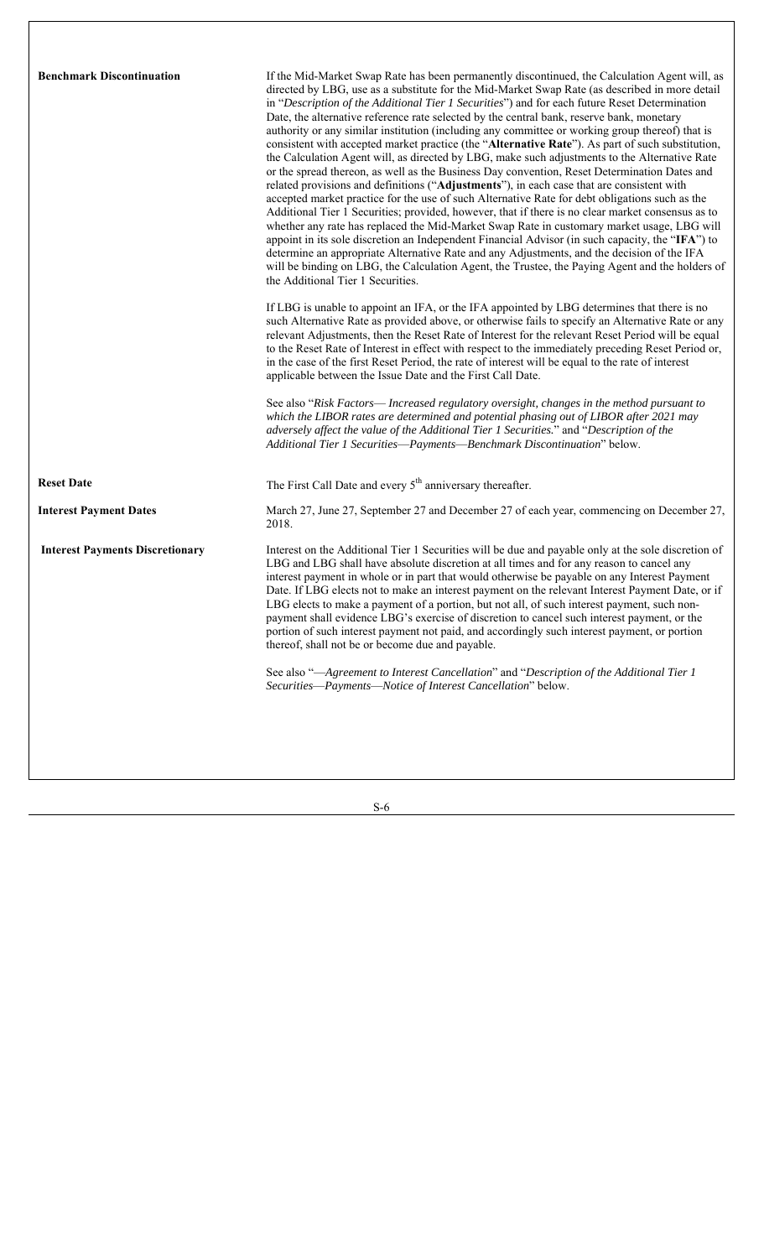| <b>Benchmark Discontinuation</b>       | If the Mid-Market Swap Rate has been permanently discontinued, the Calculation Agent will, as<br>directed by LBG, use as a substitute for the Mid-Market Swap Rate (as described in more detail<br>in "Description of the Additional Tier 1 Securities") and for each future Reset Determination<br>Date, the alternative reference rate selected by the central bank, reserve bank, monetary<br>authority or any similar institution (including any committee or working group thereof) that is<br>consistent with accepted market practice (the "Alternative Rate"). As part of such substitution,<br>the Calculation Agent will, as directed by LBG, make such adjustments to the Alternative Rate<br>or the spread thereon, as well as the Business Day convention, Reset Determination Dates and<br>related provisions and definitions ("Adjustments"), in each case that are consistent with<br>accepted market practice for the use of such Alternative Rate for debt obligations such as the<br>Additional Tier 1 Securities; provided, however, that if there is no clear market consensus as to<br>whether any rate has replaced the Mid-Market Swap Rate in customary market usage, LBG will<br>appoint in its sole discretion an Independent Financial Advisor (in such capacity, the "IFA") to<br>determine an appropriate Alternative Rate and any Adjustments, and the decision of the IFA<br>will be binding on LBG, the Calculation Agent, the Trustee, the Paying Agent and the holders of<br>the Additional Tier 1 Securities.<br>If LBG is unable to appoint an IFA, or the IFA appointed by LBG determines that there is no<br>such Alternative Rate as provided above, or otherwise fails to specify an Alternative Rate or any<br>relevant Adjustments, then the Reset Rate of Interest for the relevant Reset Period will be equal<br>to the Reset Rate of Interest in effect with respect to the immediately preceding Reset Period or,<br>in the case of the first Reset Period, the rate of interest will be equal to the rate of interest<br>applicable between the Issue Date and the First Call Date.<br>See also "Risk Factors— Increased regulatory oversight, changes in the method pursuant to<br>which the LIBOR rates are determined and potential phasing out of LIBOR after 2021 may<br>adversely affect the value of the Additional Tier 1 Securities." and "Description of the<br>Additional Tier 1 Securities-Payments-Benchmark Discontinuation" below. |
|----------------------------------------|---------------------------------------------------------------------------------------------------------------------------------------------------------------------------------------------------------------------------------------------------------------------------------------------------------------------------------------------------------------------------------------------------------------------------------------------------------------------------------------------------------------------------------------------------------------------------------------------------------------------------------------------------------------------------------------------------------------------------------------------------------------------------------------------------------------------------------------------------------------------------------------------------------------------------------------------------------------------------------------------------------------------------------------------------------------------------------------------------------------------------------------------------------------------------------------------------------------------------------------------------------------------------------------------------------------------------------------------------------------------------------------------------------------------------------------------------------------------------------------------------------------------------------------------------------------------------------------------------------------------------------------------------------------------------------------------------------------------------------------------------------------------------------------------------------------------------------------------------------------------------------------------------------------------------------------------------------------------------------------------------------------------------------------------------------------------------------------------------------------------------------------------------------------------------------------------------------------------------------------------------------------------------------------------------------------------------------------------------------------------------------------------------------------------------------------------------------------------------------------------------|
| <b>Reset Date</b>                      | The First Call Date and every 5 <sup>th</sup> anniversary thereafter.                                                                                                                                                                                                                                                                                                                                                                                                                                                                                                                                                                                                                                                                                                                                                                                                                                                                                                                                                                                                                                                                                                                                                                                                                                                                                                                                                                                                                                                                                                                                                                                                                                                                                                                                                                                                                                                                                                                                                                                                                                                                                                                                                                                                                                                                                                                                                                                                                             |
| <b>Interest Payment Dates</b>          | March 27, June 27, September 27 and December 27 of each year, commencing on December 27,<br>2018.                                                                                                                                                                                                                                                                                                                                                                                                                                                                                                                                                                                                                                                                                                                                                                                                                                                                                                                                                                                                                                                                                                                                                                                                                                                                                                                                                                                                                                                                                                                                                                                                                                                                                                                                                                                                                                                                                                                                                                                                                                                                                                                                                                                                                                                                                                                                                                                                 |
| <b>Interest Payments Discretionary</b> | Interest on the Additional Tier 1 Securities will be due and payable only at the sole discretion of<br>LBG and LBG shall have absolute discretion at all times and for any reason to cancel any<br>interest payment in whole or in part that would otherwise be payable on any Interest Payment<br>Date. If LBG elects not to make an interest payment on the relevant Interest Payment Date, or if<br>LBG elects to make a payment of a portion, but not all, of such interest payment, such non-<br>payment shall evidence LBG's exercise of discretion to cancel such interest payment, or the<br>portion of such interest payment not paid, and accordingly such interest payment, or portion<br>thereof, shall not be or become due and payable.                                                                                                                                                                                                                                                                                                                                                                                                                                                                                                                                                                                                                                                                                                                                                                                                                                                                                                                                                                                                                                                                                                                                                                                                                                                                                                                                                                                                                                                                                                                                                                                                                                                                                                                                             |
|                                        | See also "-Agreement to Interest Cancellation" and "Description of the Additional Tier 1<br>Securities-Payments-Notice of Interest Cancellation" below.                                                                                                                                                                                                                                                                                                                                                                                                                                                                                                                                                                                                                                                                                                                                                                                                                                                                                                                                                                                                                                                                                                                                                                                                                                                                                                                                                                                                                                                                                                                                                                                                                                                                                                                                                                                                                                                                                                                                                                                                                                                                                                                                                                                                                                                                                                                                           |
|                                        |                                                                                                                                                                                                                                                                                                                                                                                                                                                                                                                                                                                                                                                                                                                                                                                                                                                                                                                                                                                                                                                                                                                                                                                                                                                                                                                                                                                                                                                                                                                                                                                                                                                                                                                                                                                                                                                                                                                                                                                                                                                                                                                                                                                                                                                                                                                                                                                                                                                                                                   |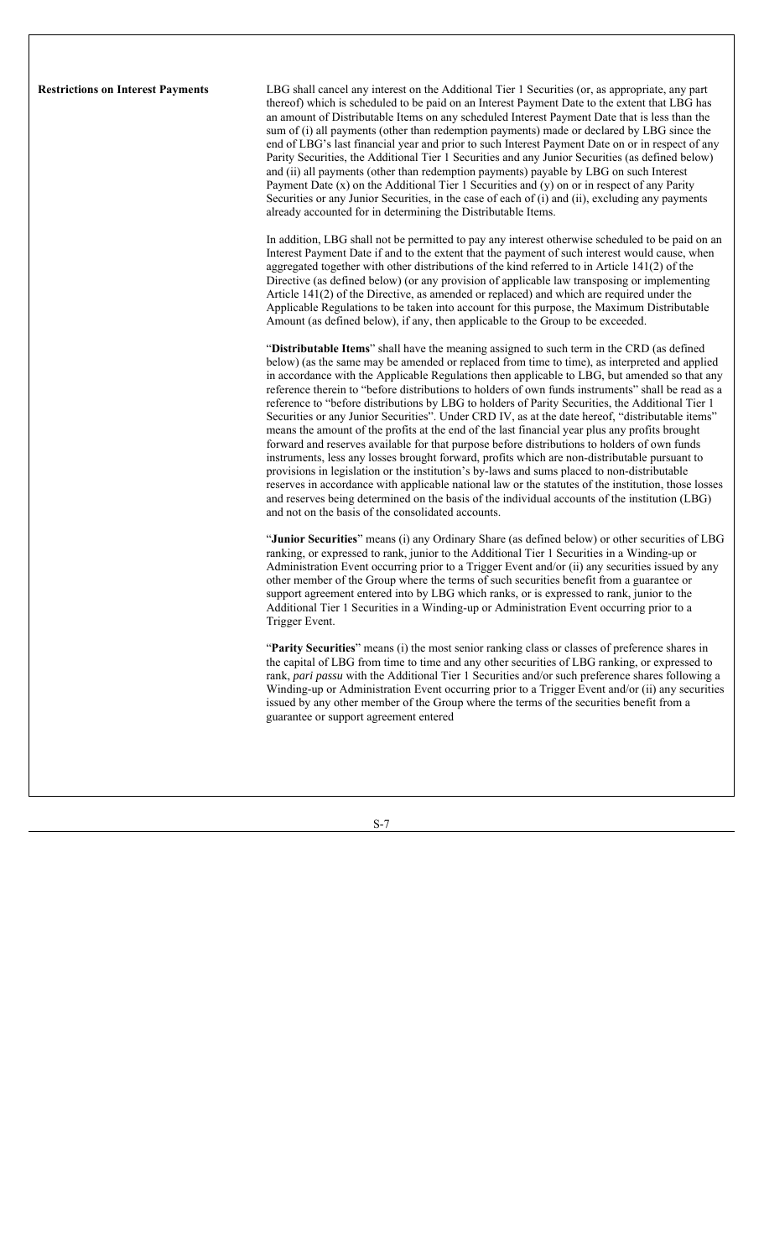**Restrictions on Interest Payments** LBG shall cancel any interest on the Additional Tier 1 Securities (or, as appropriate, any part thereof) which is scheduled to be paid on an Interest Payment Date to the extent that LBG has an amount of Distributable Items on any scheduled Interest Payment Date that is less than the sum of (i) all payments (other than redemption payments) made or declared by LBG since the end of LBG's last financial year and prior to such Interest Payment Date on or in respect of any Parity Securities, the Additional Tier 1 Securities and any Junior Securities (as defined below) and (ii) all payments (other than redemption payments) payable by LBG on such Interest Payment Date (x) on the Additional Tier 1 Securities and (y) on or in respect of any Parity Securities or any Junior Securities, in the case of each of (i) and (ii), excluding any payments already accounted for in determining the Distributable Items.

> In addition, LBG shall not be permitted to pay any interest otherwise scheduled to be paid on an Interest Payment Date if and to the extent that the payment of such interest would cause, when aggregated together with other distributions of the kind referred to in Article 141(2) of the Directive (as defined below) (or any provision of applicable law transposing or implementing Article 141(2) of the Directive, as amended or replaced) and which are required under the Applicable Regulations to be taken into account for this purpose, the Maximum Distributable Amount (as defined below), if any, then applicable to the Group to be exceeded.

> "**Distributable Items**" shall have the meaning assigned to such term in the CRD (as defined below) (as the same may be amended or replaced from time to time), as interpreted and applied in accordance with the Applicable Regulations then applicable to LBG, but amended so that any reference therein to "before distributions to holders of own funds instruments" shall be read as a reference to "before distributions by LBG to holders of Parity Securities, the Additional Tier 1 Securities or any Junior Securities". Under CRD IV, as at the date hereof, "distributable items" means the amount of the profits at the end of the last financial year plus any profits brought forward and reserves available for that purpose before distributions to holders of own funds instruments, less any losses brought forward, profits which are non-distributable pursuant to provisions in legislation or the institution's by-laws and sums placed to non-distributable reserves in accordance with applicable national law or the statutes of the institution, those losses and reserves being determined on the basis of the individual accounts of the institution (LBG) and not on the basis of the consolidated accounts.

> "**Junior Securities**" means (i) any Ordinary Share (as defined below) or other securities of LBG ranking, or expressed to rank, junior to the Additional Tier 1 Securities in a Winding-up or Administration Event occurring prior to a Trigger Event and/or (ii) any securities issued by any other member of the Group where the terms of such securities benefit from a guarantee or support agreement entered into by LBG which ranks, or is expressed to rank, junior to the Additional Tier 1 Securities in a Winding-up or Administration Event occurring prior to a Trigger Event.

> "**Parity Securities**" means (i) the most senior ranking class or classes of preference shares in the capital of LBG from time to time and any other securities of LBG ranking, or expressed to rank, *pari passu* with the Additional Tier 1 Securities and/or such preference shares following a Winding-up or Administration Event occurring prior to a Trigger Event and/or (ii) any securities issued by any other member of the Group where the terms of the securities benefit from a guarantee or support agreement entered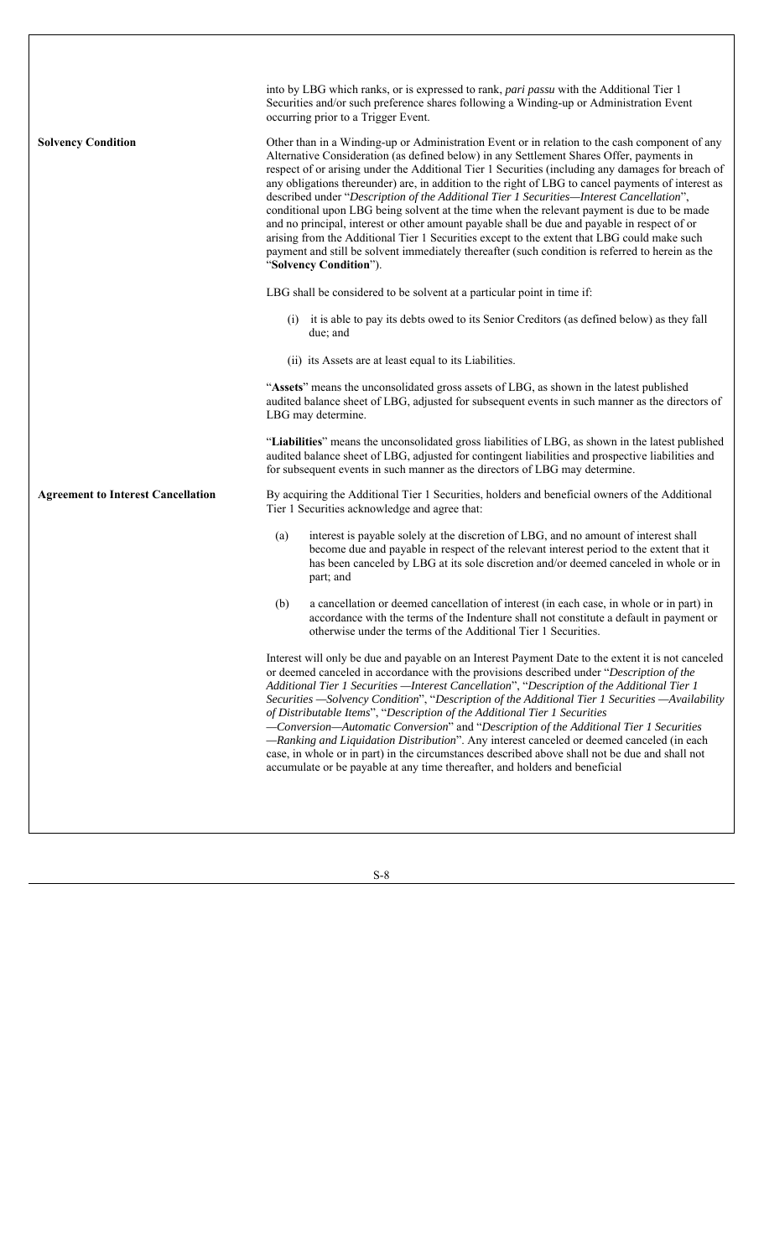| <b>Solvency Condition</b>                 | into by LBG which ranks, or is expressed to rank, pari passu with the Additional Tier 1<br>Securities and/or such preference shares following a Winding-up or Administration Event<br>occurring prior to a Trigger Event.<br>Other than in a Winding-up or Administration Event or in relation to the cash component of any<br>Alternative Consideration (as defined below) in any Settlement Shares Offer, payments in<br>respect of or arising under the Additional Tier 1 Securities (including any damages for breach of<br>any obligations thereunder) are, in addition to the right of LBG to cancel payments of interest as<br>described under "Description of the Additional Tier 1 Securities-Interest Cancellation",<br>conditional upon LBG being solvent at the time when the relevant payment is due to be made<br>and no principal, interest or other amount payable shall be due and payable in respect of or<br>arising from the Additional Tier 1 Securities except to the extent that LBG could make such<br>payment and still be solvent immediately thereafter (such condition is referred to herein as the<br>"Solvency Condition"). |
|-------------------------------------------|-----------------------------------------------------------------------------------------------------------------------------------------------------------------------------------------------------------------------------------------------------------------------------------------------------------------------------------------------------------------------------------------------------------------------------------------------------------------------------------------------------------------------------------------------------------------------------------------------------------------------------------------------------------------------------------------------------------------------------------------------------------------------------------------------------------------------------------------------------------------------------------------------------------------------------------------------------------------------------------------------------------------------------------------------------------------------------------------------------------------------------------------------------------|
|                                           | LBG shall be considered to be solvent at a particular point in time if:                                                                                                                                                                                                                                                                                                                                                                                                                                                                                                                                                                                                                                                                                                                                                                                                                                                                                                                                                                                                                                                                                   |
|                                           | it is able to pay its debts owed to its Senior Creditors (as defined below) as they fall<br>(i)<br>due; and                                                                                                                                                                                                                                                                                                                                                                                                                                                                                                                                                                                                                                                                                                                                                                                                                                                                                                                                                                                                                                               |
|                                           | (ii) its Assets are at least equal to its Liabilities.                                                                                                                                                                                                                                                                                                                                                                                                                                                                                                                                                                                                                                                                                                                                                                                                                                                                                                                                                                                                                                                                                                    |
|                                           | "Assets" means the unconsolidated gross assets of LBG, as shown in the latest published<br>audited balance sheet of LBG, adjusted for subsequent events in such manner as the directors of<br>LBG may determine.                                                                                                                                                                                                                                                                                                                                                                                                                                                                                                                                                                                                                                                                                                                                                                                                                                                                                                                                          |
|                                           | "Liabilities" means the unconsolidated gross liabilities of LBG, as shown in the latest published<br>audited balance sheet of LBG, adjusted for contingent liabilities and prospective liabilities and<br>for subsequent events in such manner as the directors of LBG may determine.                                                                                                                                                                                                                                                                                                                                                                                                                                                                                                                                                                                                                                                                                                                                                                                                                                                                     |
| <b>Agreement to Interest Cancellation</b> | By acquiring the Additional Tier 1 Securities, holders and beneficial owners of the Additional<br>Tier 1 Securities acknowledge and agree that:                                                                                                                                                                                                                                                                                                                                                                                                                                                                                                                                                                                                                                                                                                                                                                                                                                                                                                                                                                                                           |
|                                           | interest is payable solely at the discretion of LBG, and no amount of interest shall<br>(a)<br>become due and payable in respect of the relevant interest period to the extent that it<br>has been canceled by LBG at its sole discretion and/or deemed canceled in whole or in<br>part; and                                                                                                                                                                                                                                                                                                                                                                                                                                                                                                                                                                                                                                                                                                                                                                                                                                                              |
|                                           | (b)<br>a cancellation or deemed cancellation of interest (in each case, in whole or in part) in<br>accordance with the terms of the Indenture shall not constitute a default in payment or<br>otherwise under the terms of the Additional Tier 1 Securities.                                                                                                                                                                                                                                                                                                                                                                                                                                                                                                                                                                                                                                                                                                                                                                                                                                                                                              |
|                                           | Interest will only be due and payable on an Interest Payment Date to the extent it is not canceled<br>or deemed canceled in accordance with the provisions described under "Description of the<br>Additional Tier 1 Securities - Interest Cancellation", "Description of the Additional Tier 1<br>Securities -Solvency Condition", "Description of the Additional Tier 1 Securities -Availability<br>of Distributable Items", "Description of the Additional Tier 1 Securities<br>-Conversion-Automatic Conversion" and "Description of the Additional Tier 1 Securities<br>-Ranking and Liquidation Distribution". Any interest canceled or deemed canceled (in each<br>case, in whole or in part) in the circumstances described above shall not be due and shall not<br>accumulate or be payable at any time thereafter, and holders and beneficial                                                                                                                                                                                                                                                                                                    |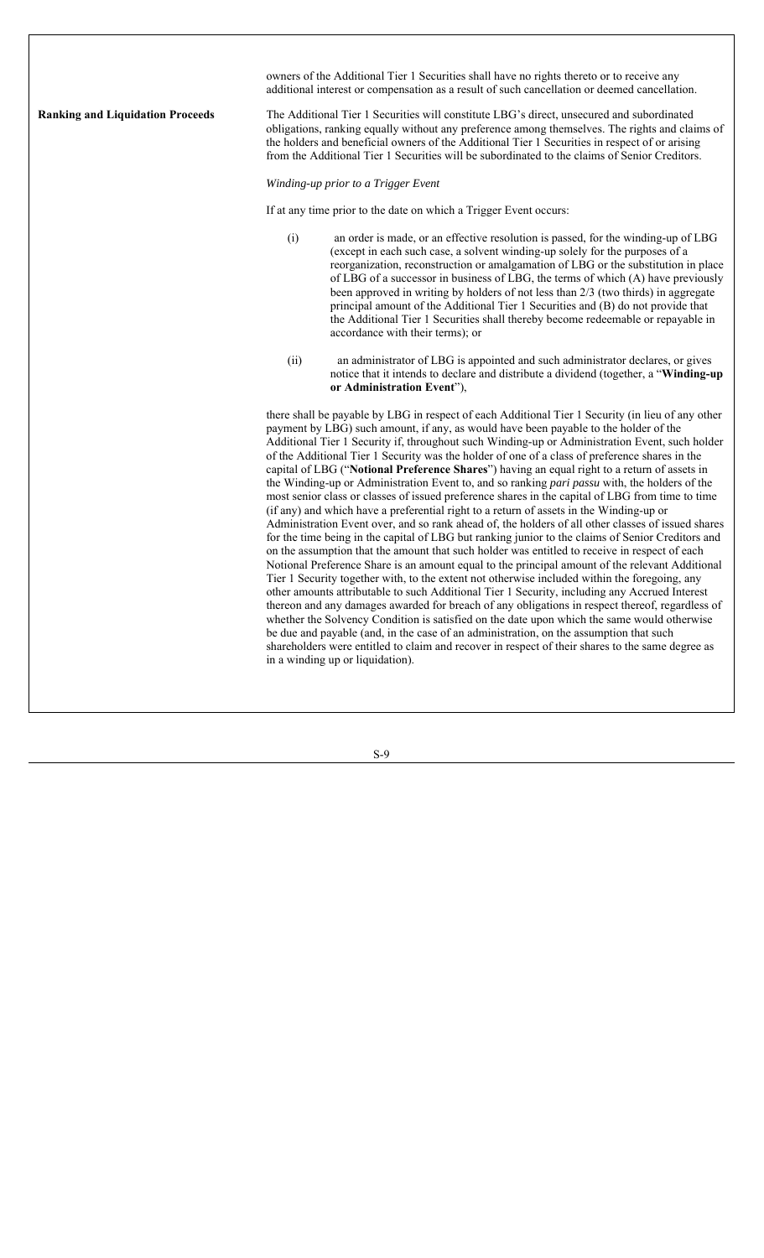owners of the Additional Tier 1 Securities shall have no rights thereto or to receive any additional interest or compensation as a result of such cancellation or deemed cancellation. **Ranking and Liquidation Proceeds** The Additional Tier 1 Securities will constitute LBG's direct, unsecured and subordinated obligations, ranking equally without any preference among themselves. The rights and claims of the holders and beneficial owners of the Additional Tier 1 Securities in respect of or arising from the Additional Tier 1 Securities will be subordinated to the claims of Senior Creditors. *Winding-up prior to a Trigger Event* If at any time prior to the date on which a Trigger Event occurs: (i) an order is made, or an effective resolution is passed, for the winding-up of LBG (except in each such case, a solvent winding-up solely for the purposes of a reorganization, reconstruction or amalgamation of LBG or the substitution in place of LBG of a successor in business of LBG, the terms of which (A) have previously been approved in writing by holders of not less than 2/3 (two thirds) in aggregate principal amount of the Additional Tier 1 Securities and (B) do not provide that the Additional Tier 1 Securities shall thereby become redeemable or repayable in accordance with their terms); or (ii) an administrator of LBG is appointed and such administrator declares, or gives notice that it intends to declare and distribute a dividend (together, a "**Winding-up or Administration Event**"), there shall be payable by LBG in respect of each Additional Tier 1 Security (in lieu of any other payment by LBG) such amount, if any, as would have been payable to the holder of the Additional Tier 1 Security if, throughout such Winding-up or Administration Event, such holder of the Additional Tier 1 Security was the holder of one of a class of preference shares in the capital of LBG ("**Notional Preference Shares**") having an equal right to a return of assets in the Winding-up or Administration Event to, and so ranking *pari passu* with, the holders of the most senior class or classes of issued preference shares in the capital of LBG from time to time (if any) and which have a preferential right to a return of assets in the Winding-up or Administration Event over, and so rank ahead of, the holders of all other classes of issued shares for the time being in the capital of LBG but ranking junior to the claims of Senior Creditors and on the assumption that the amount that such holder was entitled to receive in respect of each Notional Preference Share is an amount equal to the principal amount of the relevant Additional Tier 1 Security together with, to the extent not otherwise included within the foregoing, any other amounts attributable to such Additional Tier 1 Security, including any Accrued Interest thereon and any damages awarded for breach of any obligations in respect thereof, regardless of whether the Solvency Condition is satisfied on the date upon which the same would otherwise be due and payable (and, in the case of an administration, on the assumption that such shareholders were entitled to claim and recover in respect of their shares to the same degree as in a winding up or liquidation).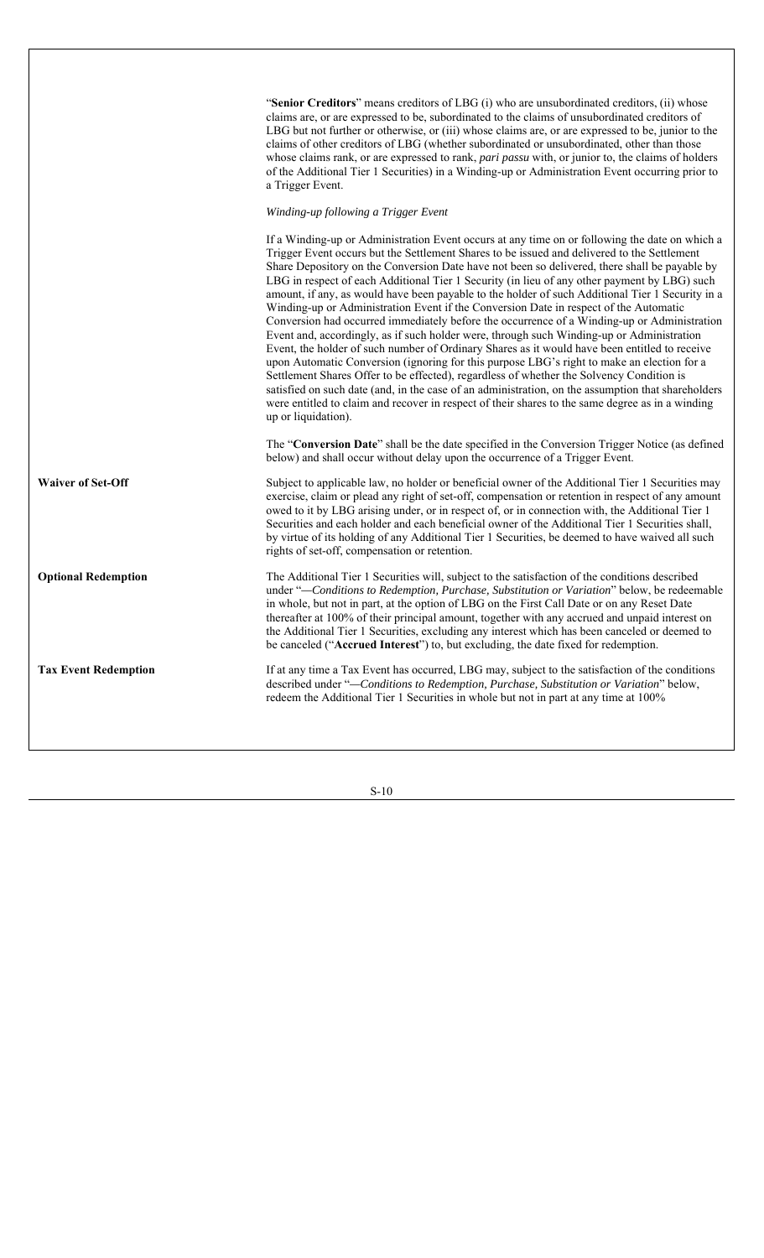| "Senior Creditors" means creditors of LBG (i) who are unsubordinated creditors, (ii) whose               |
|----------------------------------------------------------------------------------------------------------|
| claims are, or are expressed to be, subordinated to the claims of unsubordinated creditors of            |
| LBG but not further or otherwise, or (iii) whose claims are, or are expressed to be, junior to the       |
| claims of other creditors of LBG (whether subordinated or unsubordinated, other than those               |
| whose claims rank, or are expressed to rank, <i>pari passu</i> with, or junior to, the claims of holders |
| of the Additional Tier 1 Securities) in a Winding-up or Administration Event occurring prior to          |
| a Trigger Event.                                                                                         |

#### *Winding-up following a Trigger Event*

If a Winding-up or Administration Event occurs at any time on or following the date on which a Trigger Event occurs but the Settlement Shares to be issued and delivered to the Settlement Share Depository on the Conversion Date have not been so delivered, there shall be payable by LBG in respect of each Additional Tier 1 Security (in lieu of any other payment by LBG) such amount, if any, as would have been payable to the holder of such Additional Tier 1 Security in a Winding-up or Administration Event if the Conversion Date in respect of the Automatic Conversion had occurred immediately before the occurrence of a Winding-up or Administration Event and, accordingly, as if such holder were, through such Winding-up or Administration Event, the holder of such number of Ordinary Shares as it would have been entitled to receive upon Automatic Conversion (ignoring for this purpose LBG's right to make an election for a Settlement Shares Offer to be effected), regardless of whether the Solvency Condition is satisfied on such date (and, in the case of an administration, on the assumption that shareholders were entitled to claim and recover in respect of their shares to the same degree as in a winding up or liquidation).

The "**Conversion Date**" shall be the date specified in the Conversion Trigger Notice (as defined below) and shall occur without delay upon the occurrence of a Trigger Event.

**Waiver of Set-Off** Subject to applicable law, no holder or beneficial owner of the Additional Tier 1 Securities may exercise, claim or plead any right of set-off, compensation or retention in respect of any amount owed to it by LBG arising under, or in respect of, or in connection with, the Additional Tier 1 Securities and each holder and each beneficial owner of the Additional Tier 1 Securities shall, by virtue of its holding of any Additional Tier 1 Securities, be deemed to have waived all such rights of set-off, compensation or retention.

**Optional Redemption** The Additional Tier 1 Securities will, subject to the satisfaction of the conditions described under "*—Conditions to Redemption, Purchase, Substitution or Variation*" below, be redeemable in whole, but not in part, at the option of LBG on the First Call Date or on any Reset Date thereafter at 100% of their principal amount, together with any accrued and unpaid interest on the Additional Tier 1 Securities, excluding any interest which has been canceled or deemed to be canceled ("**Accrued Interest**") to, but excluding, the date fixed for redemption.

Tax Event Redemption If at any time a Tax Event has occurred, LBG may, subject to the satisfaction of the conditions described under "*—Conditions to Redemption, Purchase, Substitution or Variation*" below, redeem the Additional Tier 1 Securities in whole but not in part at any time at 100%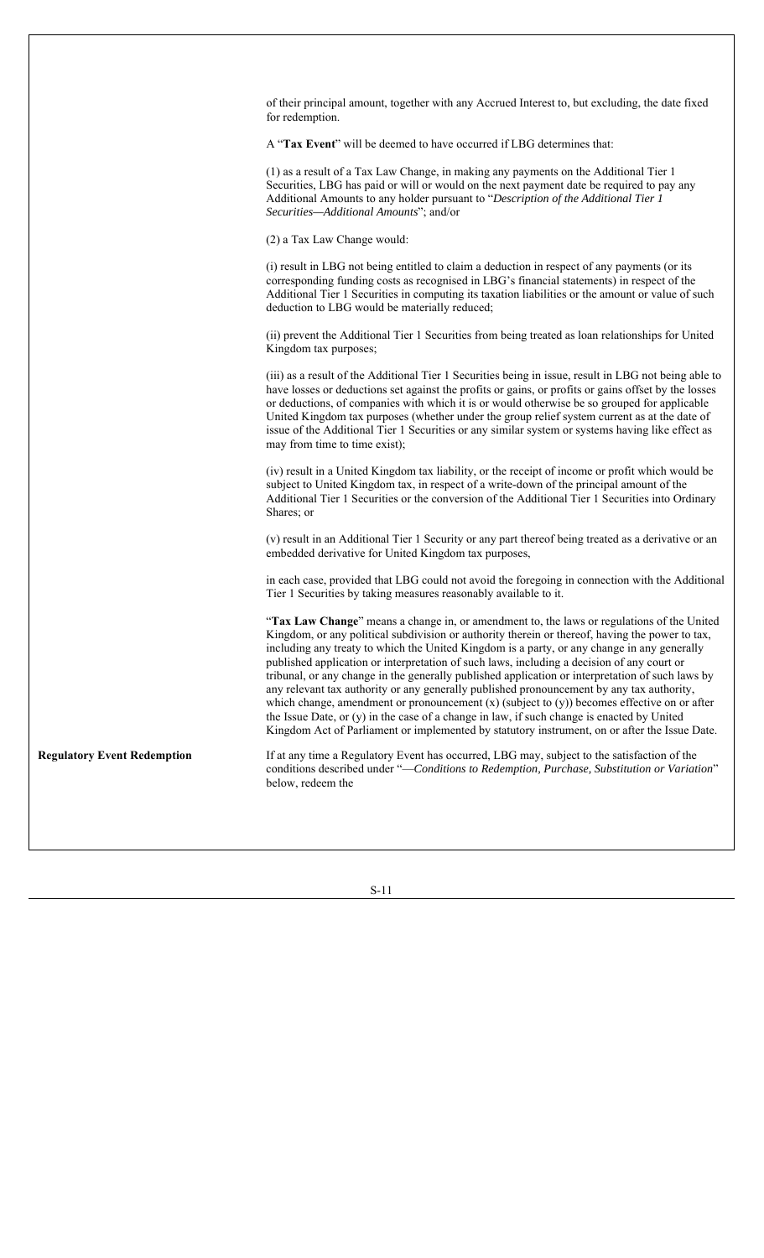of their principal amount, together with any Accrued Interest to, but excluding, the date fixed for redemption. A "**Tax Event**" will be deemed to have occurred if LBG determines that: (1) as a result of a Tax Law Change, in making any payments on the Additional Tier 1 Securities, LBG has paid or will or would on the next payment date be required to pay any Additional Amounts to any holder pursuant to "*Description of the Additional Tier 1 Securities—Additional Amounts*"; and/or (2) a Tax Law Change would: (i) result in LBG not being entitled to claim a deduction in respect of any payments (or its corresponding funding costs as recognised in LBG's financial statements) in respect of the Additional Tier 1 Securities in computing its taxation liabilities or the amount or value of such deduction to LBG would be materially reduced; (ii) prevent the Additional Tier 1 Securities from being treated as loan relationships for United Kingdom tax purposes; (iii) as a result of the Additional Tier 1 Securities being in issue, result in LBG not being able to have losses or deductions set against the profits or gains, or profits or gains offset by the losses or deductions, of companies with which it is or would otherwise be so grouped for applicable United Kingdom tax purposes (whether under the group relief system current as at the date of issue of the Additional Tier 1 Securities or any similar system or systems having like effect as may from time to time exist); (iv) result in a United Kingdom tax liability, or the receipt of income or profit which would be subject to United Kingdom tax, in respect of a write-down of the principal amount of the Additional Tier 1 Securities or the conversion of the Additional Tier 1 Securities into Ordinary Shares; or (v) result in an Additional Tier 1 Security or any part thereof being treated as a derivative or an embedded derivative for United Kingdom tax purposes, in each case, provided that LBG could not avoid the foregoing in connection with the Additional Tier 1 Securities by taking measures reasonably available to it. "**Tax Law Change**" means a change in, or amendment to, the laws or regulations of the United Kingdom, or any political subdivision or authority therein or thereof, having the power to tax, including any treaty to which the United Kingdom is a party, or any change in any generally published application or interpretation of such laws, including a decision of any court or tribunal, or any change in the generally published application or interpretation of such laws by any relevant tax authority or any generally published pronouncement by any tax authority, which change, amendment or pronouncement (x) (subject to (y)) becomes effective on or after the Issue Date, or (y) in the case of a change in law, if such change is enacted by United Kingdom Act of Parliament or implemented by statutory instrument, on or after the Issue Date. **Regulatory Event Redemption** If at any time a Regulatory Event has occurred, LBG may, subject to the satisfaction of the conditions described under "—*Conditions to Redemption, Purchase, Substitution or Variation*" below, redeem the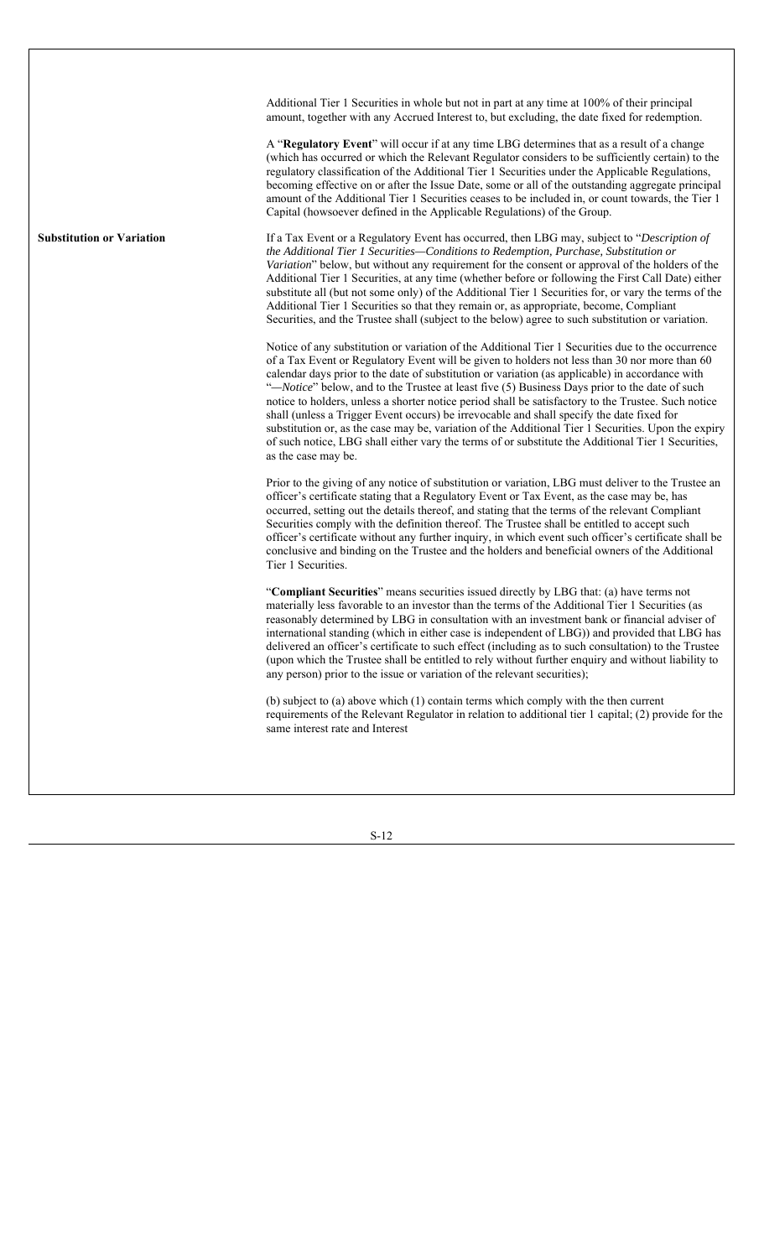|                                  | Additional Tier 1 Securities in whole but not in part at any time at 100% of their principal<br>amount, together with any Accrued Interest to, but excluding, the date fixed for redemption.                                                                                                                                                                                                                                                                                                                                                                                                                                                                                                                                                                                                                                                   |
|----------------------------------|------------------------------------------------------------------------------------------------------------------------------------------------------------------------------------------------------------------------------------------------------------------------------------------------------------------------------------------------------------------------------------------------------------------------------------------------------------------------------------------------------------------------------------------------------------------------------------------------------------------------------------------------------------------------------------------------------------------------------------------------------------------------------------------------------------------------------------------------|
|                                  | A "Regulatory Event" will occur if at any time LBG determines that as a result of a change<br>(which has occurred or which the Relevant Regulator considers to be sufficiently certain) to the<br>regulatory classification of the Additional Tier 1 Securities under the Applicable Regulations,<br>becoming effective on or after the Issue Date, some or all of the outstanding aggregate principal<br>amount of the Additional Tier 1 Securities ceases to be included in, or count towards, the Tier 1<br>Capital (howsoever defined in the Applicable Regulations) of the Group.                                                                                                                                                                                                                                                         |
| <b>Substitution or Variation</b> | If a Tax Event or a Regulatory Event has occurred, then LBG may, subject to "Description of<br>the Additional Tier 1 Securities-Conditions to Redemption, Purchase, Substitution or<br>Variation" below, but without any requirement for the consent or approval of the holders of the<br>Additional Tier 1 Securities, at any time (whether before or following the First Call Date) either<br>substitute all (but not some only) of the Additional Tier 1 Securities for, or vary the terms of the<br>Additional Tier 1 Securities so that they remain or, as appropriate, become, Compliant<br>Securities, and the Trustee shall (subject to the below) agree to such substitution or variation.                                                                                                                                            |
|                                  | Notice of any substitution or variation of the Additional Tier 1 Securities due to the occurrence<br>of a Tax Event or Regulatory Event will be given to holders not less than 30 nor more than 60<br>calendar days prior to the date of substitution or variation (as applicable) in accordance with<br>"-Notice" below, and to the Trustee at least five (5) Business Days prior to the date of such<br>notice to holders, unless a shorter notice period shall be satisfactory to the Trustee. Such notice<br>shall (unless a Trigger Event occurs) be irrevocable and shall specify the date fixed for<br>substitution or, as the case may be, variation of the Additional Tier 1 Securities. Upon the expiry<br>of such notice, LBG shall either vary the terms of or substitute the Additional Tier 1 Securities,<br>as the case may be. |
|                                  | Prior to the giving of any notice of substitution or variation, LBG must deliver to the Trustee an<br>officer's certificate stating that a Regulatory Event or Tax Event, as the case may be, has<br>occurred, setting out the details thereof, and stating that the terms of the relevant Compliant<br>Securities comply with the definition thereof. The Trustee shall be entitled to accept such<br>officer's certificate without any further inquiry, in which event such officer's certificate shall be<br>conclusive and binding on the Trustee and the holders and beneficial owners of the Additional<br>Tier 1 Securities.                                                                                                                                                                                                            |
|                                  | "Compliant Securities" means securities issued directly by LBG that: (a) have terms not<br>materially less favorable to an investor than the terms of the Additional Tier 1 Securities (as<br>reasonably determined by LBG in consultation with an investment bank or financial adviser of<br>international standing (which in either case is independent of LBG)) and provided that LBG has<br>delivered an officer's certificate to such effect (including as to such consultation) to the Trustee<br>(upon which the Trustee shall be entitled to rely without further enquiry and without liability to<br>any person) prior to the issue or variation of the relevant securities);                                                                                                                                                         |
|                                  | (b) subject to (a) above which (1) contain terms which comply with the then current<br>requirements of the Relevant Regulator in relation to additional tier 1 capital; (2) provide for the<br>same interest rate and Interest                                                                                                                                                                                                                                                                                                                                                                                                                                                                                                                                                                                                                 |
|                                  |                                                                                                                                                                                                                                                                                                                                                                                                                                                                                                                                                                                                                                                                                                                                                                                                                                                |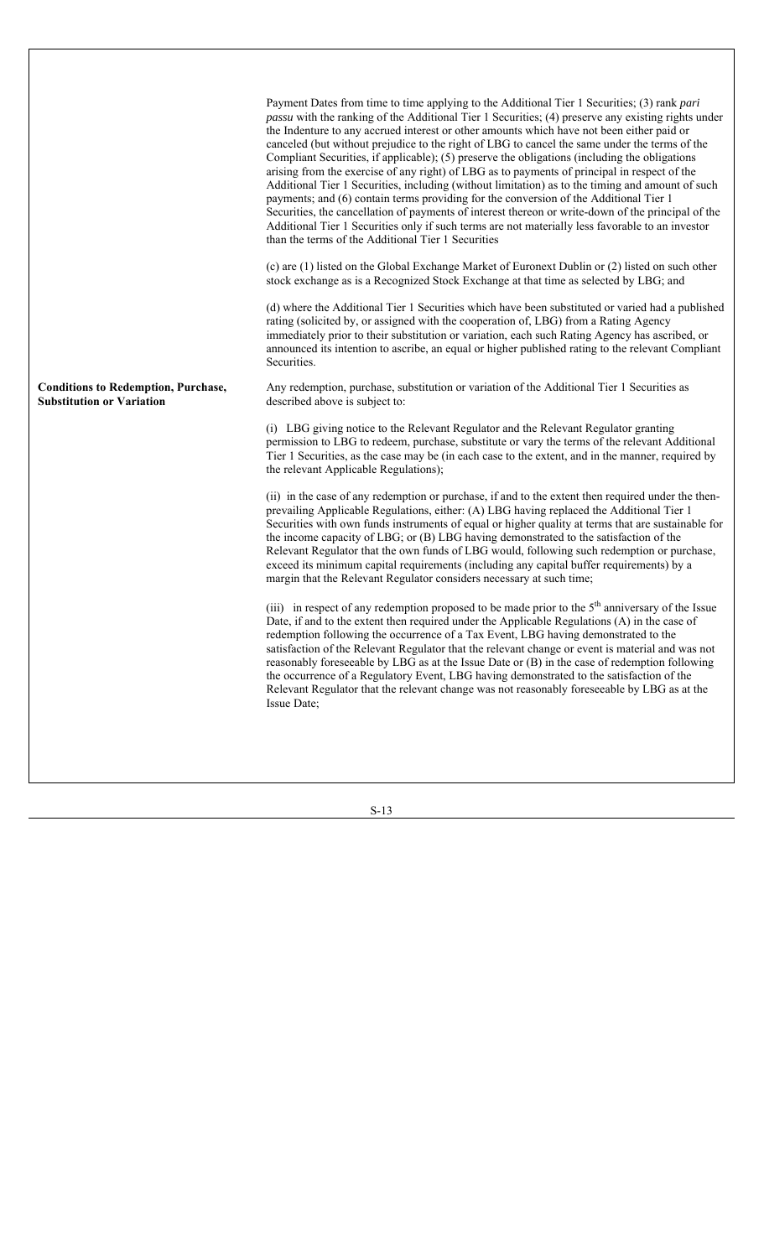|                                                                                | Payment Dates from time to time applying to the Additional Tier 1 Securities; (3) rank pari<br><i>passu</i> with the ranking of the Additional Tier 1 Securities; (4) preserve any existing rights under<br>the Indenture to any accrued interest or other amounts which have not been either paid or<br>canceled (but without prejudice to the right of LBG to cancel the same under the terms of the<br>Compliant Securities, if applicable); (5) preserve the obligations (including the obligations<br>arising from the exercise of any right) of LBG as to payments of principal in respect of the<br>Additional Tier 1 Securities, including (without limitation) as to the timing and amount of such<br>payments; and (6) contain terms providing for the conversion of the Additional Tier 1<br>Securities, the cancellation of payments of interest thereon or write-down of the principal of the<br>Additional Tier 1 Securities only if such terms are not materially less favorable to an investor<br>than the terms of the Additional Tier 1 Securities |
|--------------------------------------------------------------------------------|----------------------------------------------------------------------------------------------------------------------------------------------------------------------------------------------------------------------------------------------------------------------------------------------------------------------------------------------------------------------------------------------------------------------------------------------------------------------------------------------------------------------------------------------------------------------------------------------------------------------------------------------------------------------------------------------------------------------------------------------------------------------------------------------------------------------------------------------------------------------------------------------------------------------------------------------------------------------------------------------------------------------------------------------------------------------|
|                                                                                | (c) are (1) listed on the Global Exchange Market of Euronext Dublin or (2) listed on such other<br>stock exchange as is a Recognized Stock Exchange at that time as selected by LBG; and                                                                                                                                                                                                                                                                                                                                                                                                                                                                                                                                                                                                                                                                                                                                                                                                                                                                             |
|                                                                                | (d) where the Additional Tier 1 Securities which have been substituted or varied had a published<br>rating (solicited by, or assigned with the cooperation of, LBG) from a Rating Agency<br>immediately prior to their substitution or variation, each such Rating Agency has ascribed, or<br>announced its intention to ascribe, an equal or higher published rating to the relevant Compliant<br>Securities.                                                                                                                                                                                                                                                                                                                                                                                                                                                                                                                                                                                                                                                       |
| <b>Conditions to Redemption, Purchase,</b><br><b>Substitution or Variation</b> | Any redemption, purchase, substitution or variation of the Additional Tier 1 Securities as<br>described above is subject to:                                                                                                                                                                                                                                                                                                                                                                                                                                                                                                                                                                                                                                                                                                                                                                                                                                                                                                                                         |
|                                                                                | (i) LBG giving notice to the Relevant Regulator and the Relevant Regulator granting<br>permission to LBG to redeem, purchase, substitute or vary the terms of the relevant Additional<br>Tier 1 Securities, as the case may be (in each case to the extent, and in the manner, required by<br>the relevant Applicable Regulations);                                                                                                                                                                                                                                                                                                                                                                                                                                                                                                                                                                                                                                                                                                                                  |
|                                                                                | (ii) in the case of any redemption or purchase, if and to the extent then required under the then-<br>prevailing Applicable Regulations, either: (A) LBG having replaced the Additional Tier 1<br>Securities with own funds instruments of equal or higher quality at terms that are sustainable for<br>the income capacity of LBG; or (B) LBG having demonstrated to the satisfaction of the<br>Relevant Regulator that the own funds of LBG would, following such redemption or purchase,<br>exceed its minimum capital requirements (including any capital buffer requirements) by a<br>margin that the Relevant Regulator considers necessary at such time;                                                                                                                                                                                                                                                                                                                                                                                                      |
|                                                                                | (iii) in respect of any redemption proposed to be made prior to the $5th$ anniversary of the Issue<br>Date, if and to the extent then required under the Applicable Regulations (A) in the case of<br>redemption following the occurrence of a Tax Event, LBG having demonstrated to the<br>satisfaction of the Relevant Regulator that the relevant change or event is material and was not<br>reasonably foreseeable by LBG as at the Issue Date or (B) in the case of redemption following<br>the occurrence of a Regulatory Event, LBG having demonstrated to the satisfaction of the<br>Relevant Regulator that the relevant change was not reasonably foreseeable by LBG as at the<br>Issue Date;                                                                                                                                                                                                                                                                                                                                                              |
|                                                                                |                                                                                                                                                                                                                                                                                                                                                                                                                                                                                                                                                                                                                                                                                                                                                                                                                                                                                                                                                                                                                                                                      |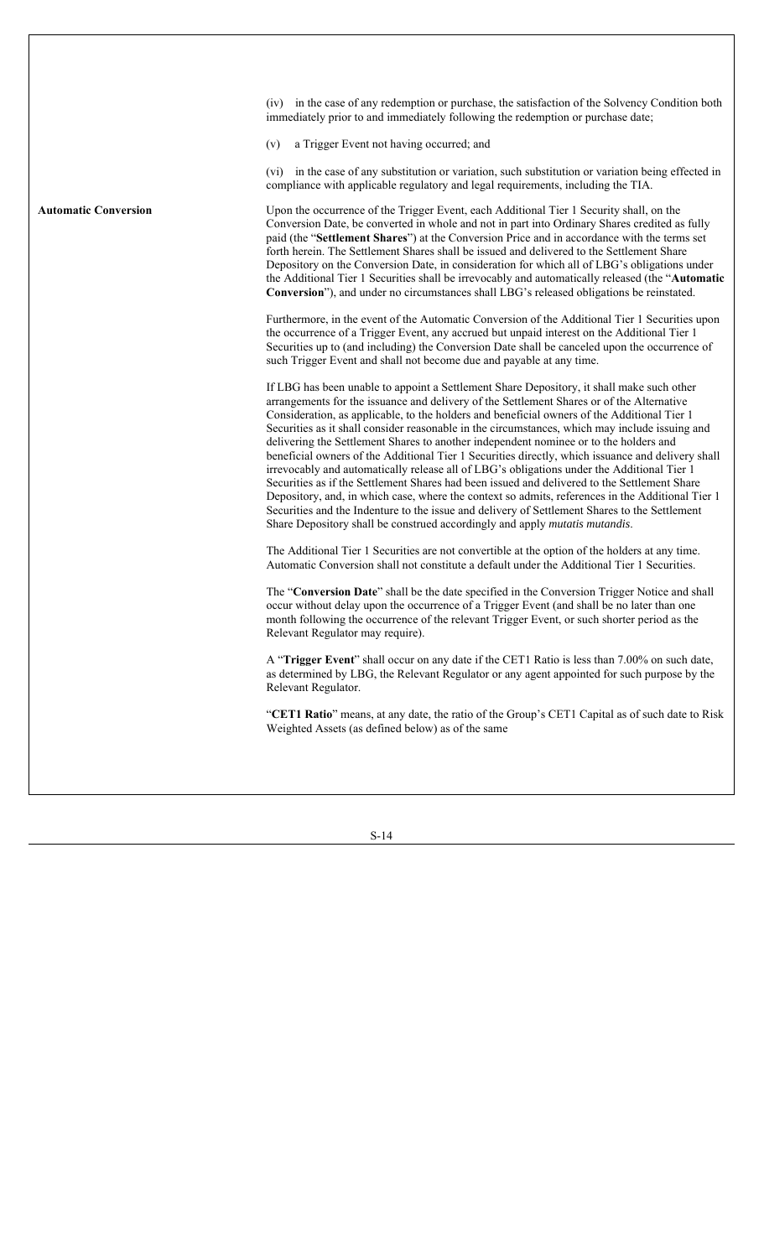(iv) in the case of any redemption or purchase, the satisfaction of the Solvency Condition both immediately prior to and immediately following the redemption or purchase date; (v) a Trigger Event not having occurred; and (vi) in the case of any substitution or variation, such substitution or variation being effected in compliance with applicable regulatory and legal requirements, including the TIA. **Automatic Conversion** Upon the occurrence of the Trigger Event, each Additional Tier 1 Security shall, on the Conversion Date, be converted in whole and not in part into Ordinary Shares credited as fully paid (the "**Settlement Shares**") at the Conversion Price and in accordance with the terms set forth herein. The Settlement Shares shall be issued and delivered to the Settlement Share Depository on the Conversion Date, in consideration for which all of LBG's obligations under the Additional Tier 1 Securities shall be irrevocably and automatically released (the "**Automatic Conversion**"), and under no circumstances shall LBG's released obligations be reinstated. Furthermore, in the event of the Automatic Conversion of the Additional Tier 1 Securities upon the occurrence of a Trigger Event, any accrued but unpaid interest on the Additional Tier 1 Securities up to (and including) the Conversion Date shall be canceled upon the occurrence of such Trigger Event and shall not become due and payable at any time. If LBG has been unable to appoint a Settlement Share Depository, it shall make such other arrangements for the issuance and delivery of the Settlement Shares or of the Alternative Consideration, as applicable, to the holders and beneficial owners of the Additional Tier 1 Securities as it shall consider reasonable in the circumstances, which may include issuing and delivering the Settlement Shares to another independent nominee or to the holders and beneficial owners of the Additional Tier 1 Securities directly, which issuance and delivery shall irrevocably and automatically release all of LBG's obligations under the Additional Tier 1 Securities as if the Settlement Shares had been issued and delivered to the Settlement Share Depository, and, in which case, where the context so admits, references in the Additional Tier 1 Securities and the Indenture to the issue and delivery of Settlement Shares to the Settlement Share Depository shall be construed accordingly and apply *mutatis mutandis*. The Additional Tier 1 Securities are not convertible at the option of the holders at any time. Automatic Conversion shall not constitute a default under the Additional Tier 1 Securities. The "**Conversion Date**" shall be the date specified in the Conversion Trigger Notice and shall occur without delay upon the occurrence of a Trigger Event (and shall be no later than one month following the occurrence of the relevant Trigger Event, or such shorter period as the Relevant Regulator may require). A "**Trigger Event**" shall occur on any date if the CET1 Ratio is less than 7.00% on such date, as determined by LBG, the Relevant Regulator or any agent appointed for such purpose by the Relevant Regulator. "**CET1 Ratio**" means, at any date, the ratio of the Group's CET1 Capital as of such date to Risk Weighted Assets (as defined below) as of the same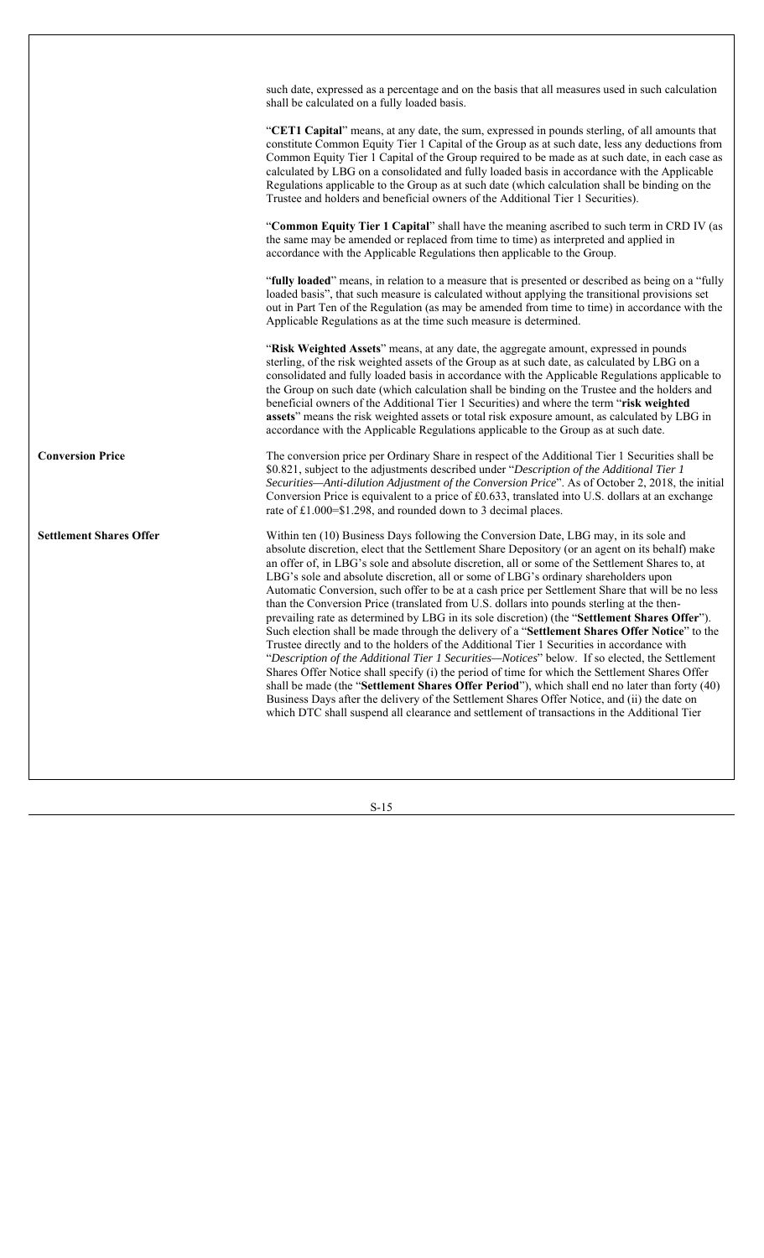|                                | such date, expressed as a percentage and on the basis that all measures used in such calculation<br>shall be calculated on a fully loaded basis.                                                                                                                                                                                                                                                                                                                                                                                                                                                                                                                                                                                                                                                                                                                                                                                                                                                                                                                                                                                                                                                                                                                                                                                                                                          |
|--------------------------------|-------------------------------------------------------------------------------------------------------------------------------------------------------------------------------------------------------------------------------------------------------------------------------------------------------------------------------------------------------------------------------------------------------------------------------------------------------------------------------------------------------------------------------------------------------------------------------------------------------------------------------------------------------------------------------------------------------------------------------------------------------------------------------------------------------------------------------------------------------------------------------------------------------------------------------------------------------------------------------------------------------------------------------------------------------------------------------------------------------------------------------------------------------------------------------------------------------------------------------------------------------------------------------------------------------------------------------------------------------------------------------------------|
|                                | "CET1 Capital" means, at any date, the sum, expressed in pounds sterling, of all amounts that<br>constitute Common Equity Tier 1 Capital of the Group as at such date, less any deductions from<br>Common Equity Tier 1 Capital of the Group required to be made as at such date, in each case as<br>calculated by LBG on a consolidated and fully loaded basis in accordance with the Applicable<br>Regulations applicable to the Group as at such date (which calculation shall be binding on the<br>Trustee and holders and beneficial owners of the Additional Tier 1 Securities).                                                                                                                                                                                                                                                                                                                                                                                                                                                                                                                                                                                                                                                                                                                                                                                                    |
|                                | "Common Equity Tier 1 Capital" shall have the meaning ascribed to such term in CRD IV (as<br>the same may be amended or replaced from time to time) as interpreted and applied in<br>accordance with the Applicable Regulations then applicable to the Group.                                                                                                                                                                                                                                                                                                                                                                                                                                                                                                                                                                                                                                                                                                                                                                                                                                                                                                                                                                                                                                                                                                                             |
|                                | "fully loaded" means, in relation to a measure that is presented or described as being on a "fully<br>loaded basis", that such measure is calculated without applying the transitional provisions set<br>out in Part Ten of the Regulation (as may be amended from time to time) in accordance with the<br>Applicable Regulations as at the time such measure is determined.                                                                                                                                                                                                                                                                                                                                                                                                                                                                                                                                                                                                                                                                                                                                                                                                                                                                                                                                                                                                              |
|                                | "Risk Weighted Assets" means, at any date, the aggregate amount, expressed in pounds<br>sterling, of the risk weighted assets of the Group as at such date, as calculated by LBG on a<br>consolidated and fully loaded basis in accordance with the Applicable Regulations applicable to<br>the Group on such date (which calculation shall be binding on the Trustee and the holders and<br>beneficial owners of the Additional Tier 1 Securities) and where the term "risk weighted<br>assets" means the risk weighted assets or total risk exposure amount, as calculated by LBG in<br>accordance with the Applicable Regulations applicable to the Group as at such date.                                                                                                                                                                                                                                                                                                                                                                                                                                                                                                                                                                                                                                                                                                             |
| <b>Conversion Price</b>        | The conversion price per Ordinary Share in respect of the Additional Tier 1 Securities shall be<br>\$0.821, subject to the adjustments described under "Description of the Additional Tier 1<br>Securities—Anti-dilution Adjustment of the Conversion Price". As of October 2, 2018, the initial<br>Conversion Price is equivalent to a price of £0.633, translated into U.S. dollars at an exchange<br>rate of £1.000=\$1.298, and rounded down to 3 decimal places.                                                                                                                                                                                                                                                                                                                                                                                                                                                                                                                                                                                                                                                                                                                                                                                                                                                                                                                     |
| <b>Settlement Shares Offer</b> | Within ten (10) Business Days following the Conversion Date, LBG may, in its sole and<br>absolute discretion, elect that the Settlement Share Depository (or an agent on its behalf) make<br>an offer of, in LBG's sole and absolute discretion, all or some of the Settlement Shares to, at<br>LBG's sole and absolute discretion, all or some of LBG's ordinary shareholders upon<br>Automatic Conversion, such offer to be at a cash price per Settlement Share that will be no less<br>than the Conversion Price (translated from U.S. dollars into pounds sterling at the then-<br>prevailing rate as determined by LBG in its sole discretion) (the "Settlement Shares Offer").<br>Such election shall be made through the delivery of a "Settlement Shares Offer Notice" to the<br>Trustee directly and to the holders of the Additional Tier 1 Securities in accordance with<br>"Description of the Additional Tier 1 Securities-Notices" below. If so elected, the Settlement<br>Shares Offer Notice shall specify (i) the period of time for which the Settlement Shares Offer<br>shall be made (the "Settlement Shares Offer Period"), which shall end no later than forty (40)<br>Business Days after the delivery of the Settlement Shares Offer Notice, and (ii) the date on<br>which DTC shall suspend all clearance and settlement of transactions in the Additional Tier |
|                                |                                                                                                                                                                                                                                                                                                                                                                                                                                                                                                                                                                                                                                                                                                                                                                                                                                                                                                                                                                                                                                                                                                                                                                                                                                                                                                                                                                                           |

 $\sqrt{ }$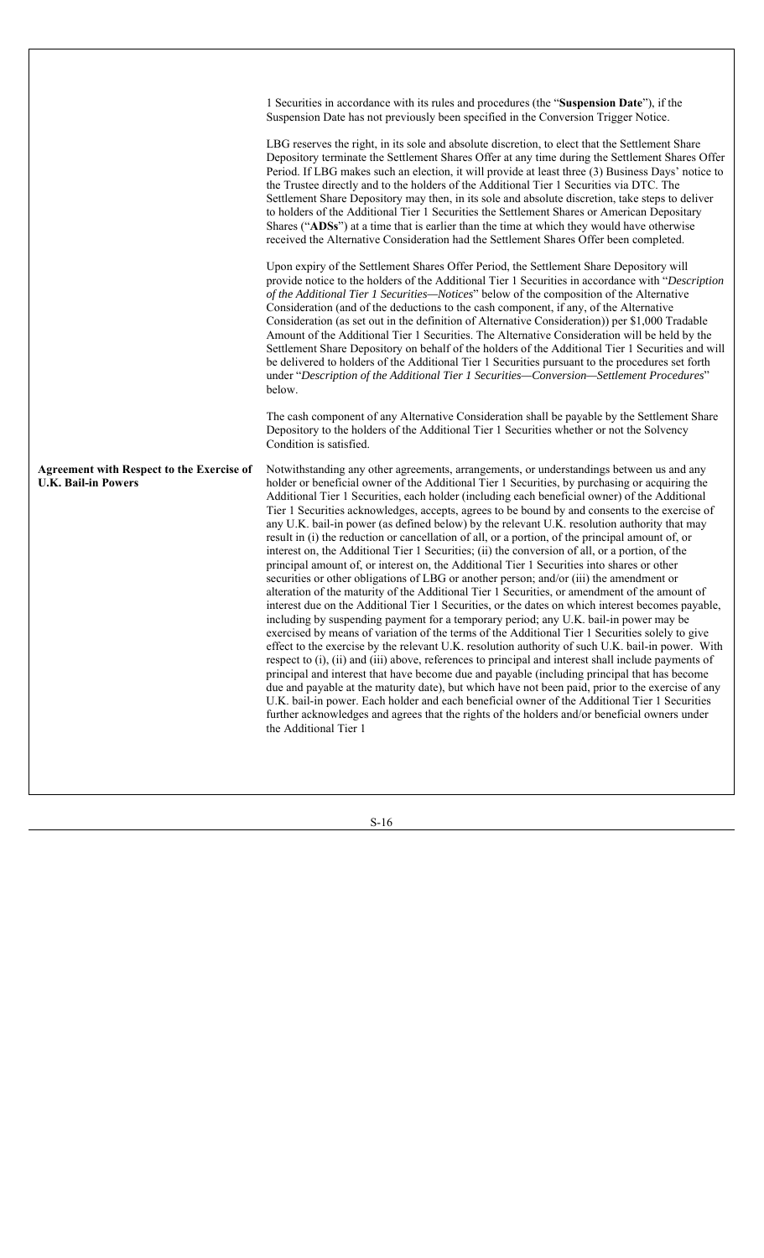|                                                                                | 1 Securities in accordance with its rules and procedures (the "Suspension Date"), if the<br>Suspension Date has not previously been specified in the Conversion Trigger Notice.                                                                                                                                                                                                                                                                                                                                                                                                                                                                                                                                                                                                                                                                                                                                                                                                                                                                                                                                                                                                                                                                                                                                                                                                                                                                                                                                                                                                                                                                                                                                                                                                                                                                                                                                                              |
|--------------------------------------------------------------------------------|----------------------------------------------------------------------------------------------------------------------------------------------------------------------------------------------------------------------------------------------------------------------------------------------------------------------------------------------------------------------------------------------------------------------------------------------------------------------------------------------------------------------------------------------------------------------------------------------------------------------------------------------------------------------------------------------------------------------------------------------------------------------------------------------------------------------------------------------------------------------------------------------------------------------------------------------------------------------------------------------------------------------------------------------------------------------------------------------------------------------------------------------------------------------------------------------------------------------------------------------------------------------------------------------------------------------------------------------------------------------------------------------------------------------------------------------------------------------------------------------------------------------------------------------------------------------------------------------------------------------------------------------------------------------------------------------------------------------------------------------------------------------------------------------------------------------------------------------------------------------------------------------------------------------------------------------|
|                                                                                | LBG reserves the right, in its sole and absolute discretion, to elect that the Settlement Share<br>Depository terminate the Settlement Shares Offer at any time during the Settlement Shares Offer<br>Period. If LBG makes such an election, it will provide at least three (3) Business Days' notice to<br>the Trustee directly and to the holders of the Additional Tier 1 Securities via DTC. The<br>Settlement Share Depository may then, in its sole and absolute discretion, take steps to deliver<br>to holders of the Additional Tier 1 Securities the Settlement Shares or American Depositary<br>Shares ("ADSs") at a time that is earlier than the time at which they would have otherwise<br>received the Alternative Consideration had the Settlement Shares Offer been completed.                                                                                                                                                                                                                                                                                                                                                                                                                                                                                                                                                                                                                                                                                                                                                                                                                                                                                                                                                                                                                                                                                                                                              |
|                                                                                | Upon expiry of the Settlement Shares Offer Period, the Settlement Share Depository will<br>provide notice to the holders of the Additional Tier 1 Securities in accordance with "Description<br>of the Additional Tier 1 Securities—Notices" below of the composition of the Alternative<br>Consideration (and of the deductions to the cash component, if any, of the Alternative<br>Consideration (as set out in the definition of Alternative Consideration)) per \$1,000 Tradable<br>Amount of the Additional Tier 1 Securities. The Alternative Consideration will be held by the<br>Settlement Share Depository on behalf of the holders of the Additional Tier 1 Securities and will<br>be delivered to holders of the Additional Tier 1 Securities pursuant to the procedures set forth<br>under "Description of the Additional Tier 1 Securities-Conversion-Settlement Procedures"<br>below.                                                                                                                                                                                                                                                                                                                                                                                                                                                                                                                                                                                                                                                                                                                                                                                                                                                                                                                                                                                                                                        |
|                                                                                | The cash component of any Alternative Consideration shall be payable by the Settlement Share<br>Depository to the holders of the Additional Tier 1 Securities whether or not the Solvency<br>Condition is satisfied.                                                                                                                                                                                                                                                                                                                                                                                                                                                                                                                                                                                                                                                                                                                                                                                                                                                                                                                                                                                                                                                                                                                                                                                                                                                                                                                                                                                                                                                                                                                                                                                                                                                                                                                         |
| <b>Agreement with Respect to the Exercise of</b><br><b>U.K. Bail-in Powers</b> | Notwithstanding any other agreements, arrangements, or understandings between us and any<br>holder or beneficial owner of the Additional Tier 1 Securities, by purchasing or acquiring the<br>Additional Tier 1 Securities, each holder (including each beneficial owner) of the Additional<br>Tier 1 Securities acknowledges, accepts, agrees to be bound by and consents to the exercise of<br>any U.K. bail-in power (as defined below) by the relevant U.K. resolution authority that may<br>result in (i) the reduction or cancellation of all, or a portion, of the principal amount of, or<br>interest on, the Additional Tier 1 Securities; (ii) the conversion of all, or a portion, of the<br>principal amount of, or interest on, the Additional Tier 1 Securities into shares or other<br>securities or other obligations of LBG or another person; and/or (iii) the amendment or<br>alteration of the maturity of the Additional Tier 1 Securities, or amendment of the amount of<br>interest due on the Additional Tier 1 Securities, or the dates on which interest becomes payable,<br>including by suspending payment for a temporary period; any U.K. bail-in power may be<br>exercised by means of variation of the terms of the Additional Tier 1 Securities solely to give<br>effect to the exercise by the relevant U.K. resolution authority of such U.K. bail-in power. With<br>respect to (i), (ii) and (iii) above, references to principal and interest shall include payments of<br>principal and interest that have become due and payable (including principal that has become<br>due and payable at the maturity date), but which have not been paid, prior to the exercise of any<br>U.K. bail-in power. Each holder and each beneficial owner of the Additional Tier 1 Securities<br>further acknowledges and agrees that the rights of the holders and/or beneficial owners under<br>the Additional Tier 1 |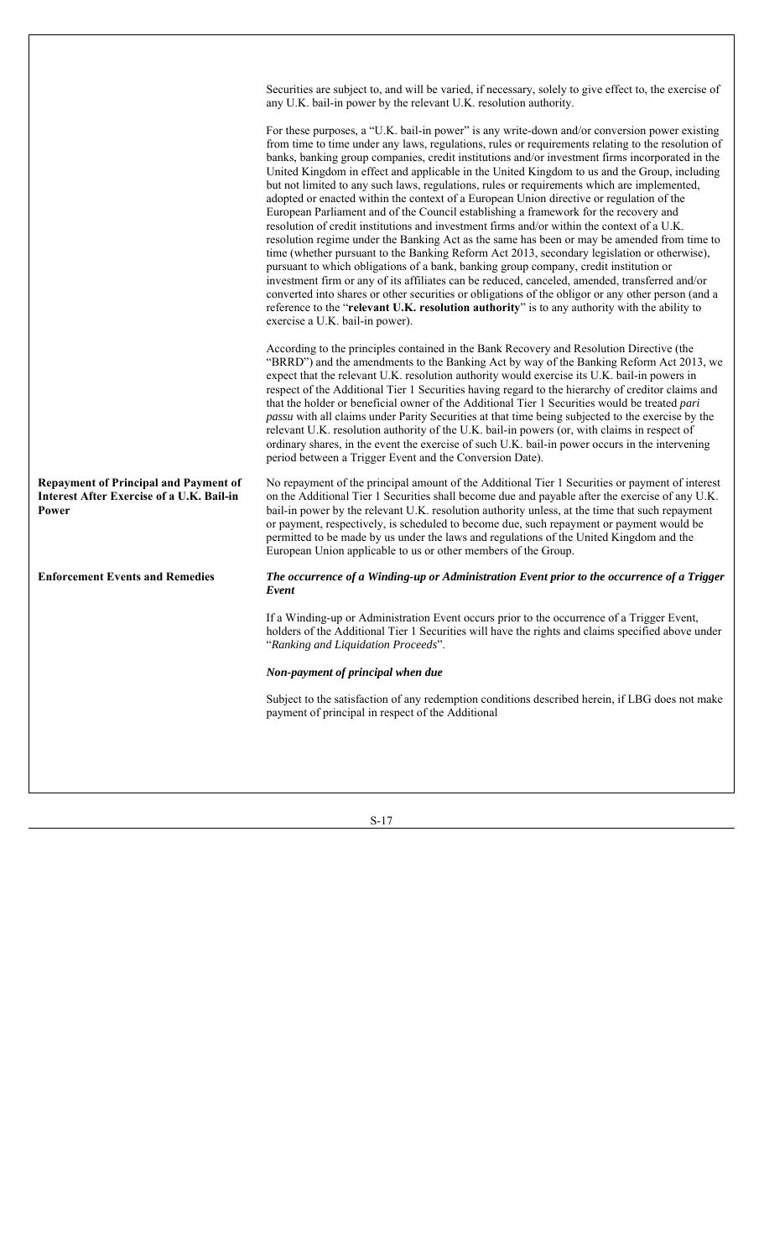|                                                                                                           | Securities are subject to, and will be varied, if necessary, solely to give effect to, the exercise of<br>any U.K. bail-in power by the relevant U.K. resolution authority.                                                                                                                                                                                                                                                                                                                                                                                                                                                                                                                                                                                                                                                                                                                                                                                                                                                                                                                                                                                                                                                                                                                                                                                                                                                |
|-----------------------------------------------------------------------------------------------------------|----------------------------------------------------------------------------------------------------------------------------------------------------------------------------------------------------------------------------------------------------------------------------------------------------------------------------------------------------------------------------------------------------------------------------------------------------------------------------------------------------------------------------------------------------------------------------------------------------------------------------------------------------------------------------------------------------------------------------------------------------------------------------------------------------------------------------------------------------------------------------------------------------------------------------------------------------------------------------------------------------------------------------------------------------------------------------------------------------------------------------------------------------------------------------------------------------------------------------------------------------------------------------------------------------------------------------------------------------------------------------------------------------------------------------|
|                                                                                                           | For these purposes, a "U.K. bail-in power" is any write-down and/or conversion power existing<br>from time to time under any laws, regulations, rules or requirements relating to the resolution of<br>banks, banking group companies, credit institutions and/or investment firms incorporated in the<br>United Kingdom in effect and applicable in the United Kingdom to us and the Group, including<br>but not limited to any such laws, regulations, rules or requirements which are implemented,<br>adopted or enacted within the context of a European Union directive or regulation of the<br>European Parliament and of the Council establishing a framework for the recovery and<br>resolution of credit institutions and investment firms and/or within the context of a U.K.<br>resolution regime under the Banking Act as the same has been or may be amended from time to<br>time (whether pursuant to the Banking Reform Act 2013, secondary legislation or otherwise),<br>pursuant to which obligations of a bank, banking group company, credit institution or<br>investment firm or any of its affiliates can be reduced, canceled, amended, transferred and/or<br>converted into shares or other securities or obligations of the obligor or any other person (and a<br>reference to the "relevant U.K. resolution authority" is to any authority with the ability to<br>exercise a U.K. bail-in power). |
|                                                                                                           | According to the principles contained in the Bank Recovery and Resolution Directive (the<br>"BRRD") and the amendments to the Banking Act by way of the Banking Reform Act 2013, we<br>expect that the relevant U.K. resolution authority would exercise its U.K. bail-in powers in<br>respect of the Additional Tier 1 Securities having regard to the hierarchy of creditor claims and<br>that the holder or beneficial owner of the Additional Tier 1 Securities would be treated pari<br>passu with all claims under Parity Securities at that time being subjected to the exercise by the<br>relevant U.K. resolution authority of the U.K. bail-in powers (or, with claims in respect of<br>ordinary shares, in the event the exercise of such U.K. bail-in power occurs in the intervening<br>period between a Trigger Event and the Conversion Date).                                                                                                                                                                                                                                                                                                                                                                                                                                                                                                                                                              |
| <b>Repayment of Principal and Payment of</b><br><b>Interest After Exercise of a U.K. Bail-in</b><br>Power | No repayment of the principal amount of the Additional Tier 1 Securities or payment of interest<br>on the Additional Tier 1 Securities shall become due and payable after the exercise of any U.K.<br>bail-in power by the relevant U.K. resolution authority unless, at the time that such repayment<br>or payment, respectively, is scheduled to become due, such repayment or payment would be<br>permitted to be made by us under the laws and regulations of the United Kingdom and the<br>European Union applicable to us or other members of the Group.                                                                                                                                                                                                                                                                                                                                                                                                                                                                                                                                                                                                                                                                                                                                                                                                                                                             |
| <b>Enforcement Events and Remedies</b>                                                                    | The occurrence of a Winding-up or Administration Event prior to the occurrence of a Trigger<br>Event                                                                                                                                                                                                                                                                                                                                                                                                                                                                                                                                                                                                                                                                                                                                                                                                                                                                                                                                                                                                                                                                                                                                                                                                                                                                                                                       |
|                                                                                                           | If a Winding-up or Administration Event occurs prior to the occurrence of a Trigger Event,<br>holders of the Additional Tier 1 Securities will have the rights and claims specified above under<br>"Ranking and Liquidation Proceeds".                                                                                                                                                                                                                                                                                                                                                                                                                                                                                                                                                                                                                                                                                                                                                                                                                                                                                                                                                                                                                                                                                                                                                                                     |
|                                                                                                           | Non-payment of principal when due                                                                                                                                                                                                                                                                                                                                                                                                                                                                                                                                                                                                                                                                                                                                                                                                                                                                                                                                                                                                                                                                                                                                                                                                                                                                                                                                                                                          |
|                                                                                                           | Subject to the satisfaction of any redemption conditions described herein, if LBG does not make<br>payment of principal in respect of the Additional                                                                                                                                                                                                                                                                                                                                                                                                                                                                                                                                                                                                                                                                                                                                                                                                                                                                                                                                                                                                                                                                                                                                                                                                                                                                       |
|                                                                                                           |                                                                                                                                                                                                                                                                                                                                                                                                                                                                                                                                                                                                                                                                                                                                                                                                                                                                                                                                                                                                                                                                                                                                                                                                                                                                                                                                                                                                                            |

 $\overline{\phantom{a}}$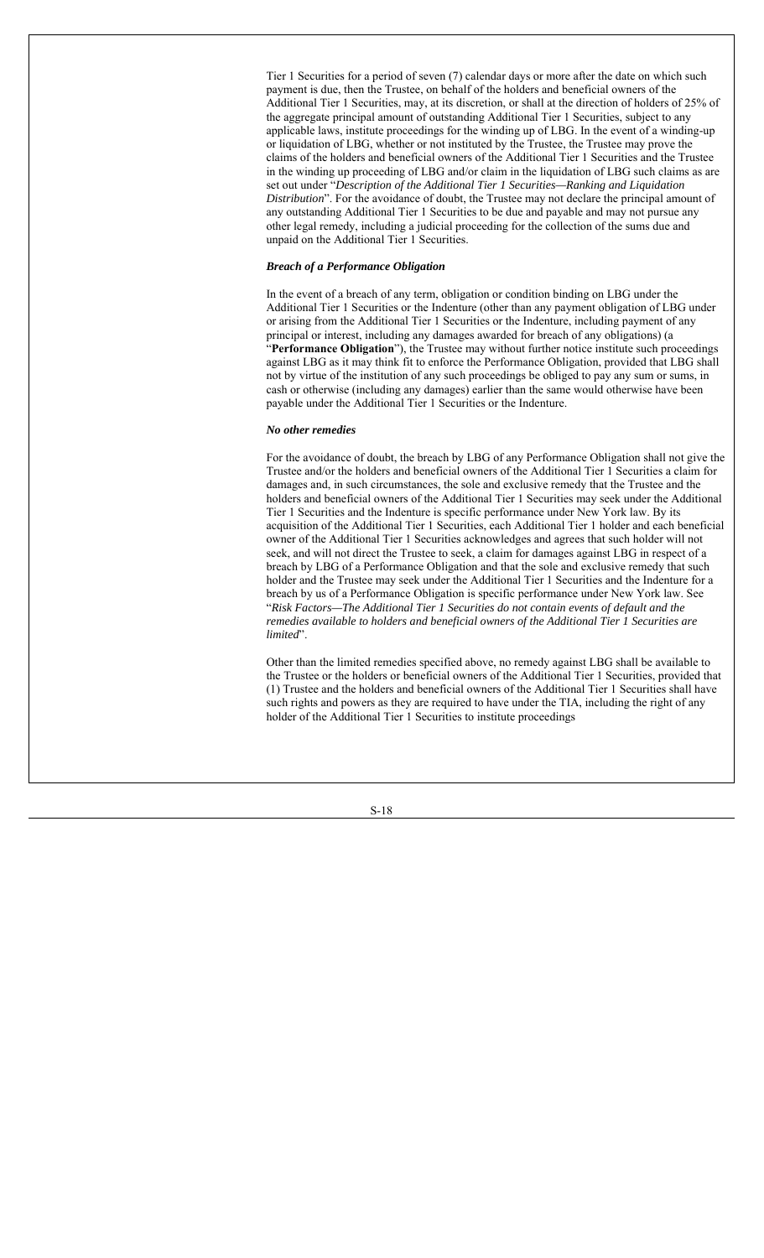Tier 1 Securities for a period of seven (7) calendar days or more after the date on which such payment is due, then the Trustee, on behalf of the holders and beneficial owners of the Additional Tier 1 Securities, may, at its discretion, or shall at the direction of holders of 25% of the aggregate principal amount of outstanding Additional Tier 1 Securities, subject to any applicable laws, institute proceedings for the winding up of LBG. In the event of a winding-up or liquidation of LBG, whether or not instituted by the Trustee, the Trustee may prove the claims of the holders and beneficial owners of the Additional Tier 1 Securities and the Trustee in the winding up proceeding of LBG and/or claim in the liquidation of LBG such claims as are set out under "*Description of the Additional Tier 1 Securities—Ranking and Liquidation Distribution*". For the avoidance of doubt, the Trustee may not declare the principal amount of any outstanding Additional Tier 1 Securities to be due and payable and may not pursue any other legal remedy, including a judicial proceeding for the collection of the sums due and unpaid on the Additional Tier 1 Securities.

#### *Breach of a Performance Obligation*

In the event of a breach of any term, obligation or condition binding on LBG under the Additional Tier 1 Securities or the Indenture (other than any payment obligation of LBG under or arising from the Additional Tier 1 Securities or the Indenture, including payment of any principal or interest, including any damages awarded for breach of any obligations) (a "**Performance Obligation**"), the Trustee may without further notice institute such proceedings against LBG as it may think fit to enforce the Performance Obligation, provided that LBG shall not by virtue of the institution of any such proceedings be obliged to pay any sum or sums, in cash or otherwise (including any damages) earlier than the same would otherwise have been payable under the Additional Tier 1 Securities or the Indenture.

#### *No other remedies*

For the avoidance of doubt, the breach by LBG of any Performance Obligation shall not give the Trustee and/or the holders and beneficial owners of the Additional Tier 1 Securities a claim for damages and, in such circumstances, the sole and exclusive remedy that the Trustee and the holders and beneficial owners of the Additional Tier 1 Securities may seek under the Additional Tier 1 Securities and the Indenture is specific performance under New York law. By its acquisition of the Additional Tier 1 Securities, each Additional Tier 1 holder and each beneficial owner of the Additional Tier 1 Securities acknowledges and agrees that such holder will not seek, and will not direct the Trustee to seek, a claim for damages against LBG in respect of a breach by LBG of a Performance Obligation and that the sole and exclusive remedy that such holder and the Trustee may seek under the Additional Tier 1 Securities and the Indenture for a breach by us of a Performance Obligation is specific performance under New York law. See "*Risk Factors—The Additional Tier 1 Securities do not contain events of default and the remedies available to holders and beneficial owners of the Additional Tier 1 Securities are limited*".

Other than the limited remedies specified above, no remedy against LBG shall be available to the Trustee or the holders or beneficial owners of the Additional Tier 1 Securities, provided that (1) Trustee and the holders and beneficial owners of the Additional Tier 1 Securities shall have such rights and powers as they are required to have under the TIA, including the right of any holder of the Additional Tier 1 Securities to institute proceedings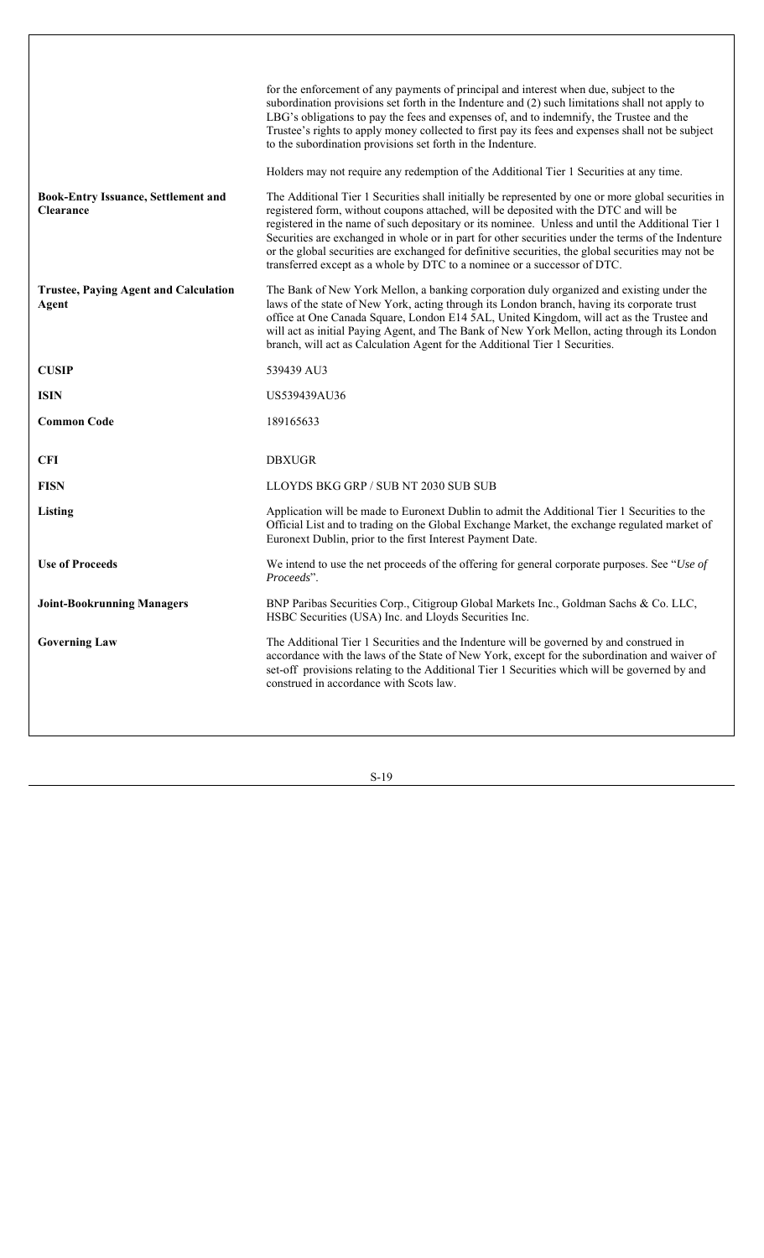|                                                                | for the enforcement of any payments of principal and interest when due, subject to the<br>subordination provisions set forth in the Indenture and (2) such limitations shall not apply to<br>LBG's obligations to pay the fees and expenses of, and to indemnify, the Trustee and the<br>Trustee's rights to apply money collected to first pay its fees and expenses shall not be subject<br>to the subordination provisions set forth in the Indenture.                                                                                                                                |
|----------------------------------------------------------------|------------------------------------------------------------------------------------------------------------------------------------------------------------------------------------------------------------------------------------------------------------------------------------------------------------------------------------------------------------------------------------------------------------------------------------------------------------------------------------------------------------------------------------------------------------------------------------------|
|                                                                | Holders may not require any redemption of the Additional Tier 1 Securities at any time.                                                                                                                                                                                                                                                                                                                                                                                                                                                                                                  |
| <b>Book-Entry Issuance, Settlement and</b><br><b>Clearance</b> | The Additional Tier 1 Securities shall initially be represented by one or more global securities in<br>registered form, without coupons attached, will be deposited with the DTC and will be<br>registered in the name of such depositary or its nominee. Unless and until the Additional Tier 1<br>Securities are exchanged in whole or in part for other securities under the terms of the Indenture<br>or the global securities are exchanged for definitive securities, the global securities may not be<br>transferred except as a whole by DTC to a nominee or a successor of DTC. |
| <b>Trustee, Paying Agent and Calculation</b><br><b>Agent</b>   | The Bank of New York Mellon, a banking corporation duly organized and existing under the<br>laws of the state of New York, acting through its London branch, having its corporate trust<br>office at One Canada Square, London E14 5AL, United Kingdom, will act as the Trustee and<br>will act as initial Paying Agent, and The Bank of New York Mellon, acting through its London<br>branch, will act as Calculation Agent for the Additional Tier 1 Securities.                                                                                                                       |
| <b>CUSIP</b>                                                   | 539439 AU3                                                                                                                                                                                                                                                                                                                                                                                                                                                                                                                                                                               |
| <b>ISIN</b>                                                    | US539439AU36                                                                                                                                                                                                                                                                                                                                                                                                                                                                                                                                                                             |
| <b>Common Code</b>                                             | 189165633                                                                                                                                                                                                                                                                                                                                                                                                                                                                                                                                                                                |
| <b>CFI</b>                                                     | <b>DBXUGR</b>                                                                                                                                                                                                                                                                                                                                                                                                                                                                                                                                                                            |
|                                                                |                                                                                                                                                                                                                                                                                                                                                                                                                                                                                                                                                                                          |
| <b>FISN</b>                                                    | LLOYDS BKG GRP / SUB NT 2030 SUB SUB                                                                                                                                                                                                                                                                                                                                                                                                                                                                                                                                                     |
| Listing                                                        | Application will be made to Euronext Dublin to admit the Additional Tier 1 Securities to the<br>Official List and to trading on the Global Exchange Market, the exchange regulated market of<br>Euronext Dublin, prior to the first Interest Payment Date.                                                                                                                                                                                                                                                                                                                               |
| <b>Use of Proceeds</b>                                         | We intend to use the net proceeds of the offering for general corporate purposes. See "Use of<br>Proceeds".                                                                                                                                                                                                                                                                                                                                                                                                                                                                              |
| <b>Joint-Bookrunning Managers</b>                              | BNP Paribas Securities Corp., Citigroup Global Markets Inc., Goldman Sachs & Co. LLC,<br>HSBC Securities (USA) Inc. and Lloyds Securities Inc.                                                                                                                                                                                                                                                                                                                                                                                                                                           |
| <b>Governing Law</b>                                           | The Additional Tier 1 Securities and the Indenture will be governed by and construed in<br>accordance with the laws of the State of New York, except for the subordination and waiver of<br>set-off provisions relating to the Additional Tier 1 Securities which will be governed by and<br>construed in accordance with Scots law.                                                                                                                                                                                                                                                     |
|                                                                |                                                                                                                                                                                                                                                                                                                                                                                                                                                                                                                                                                                          |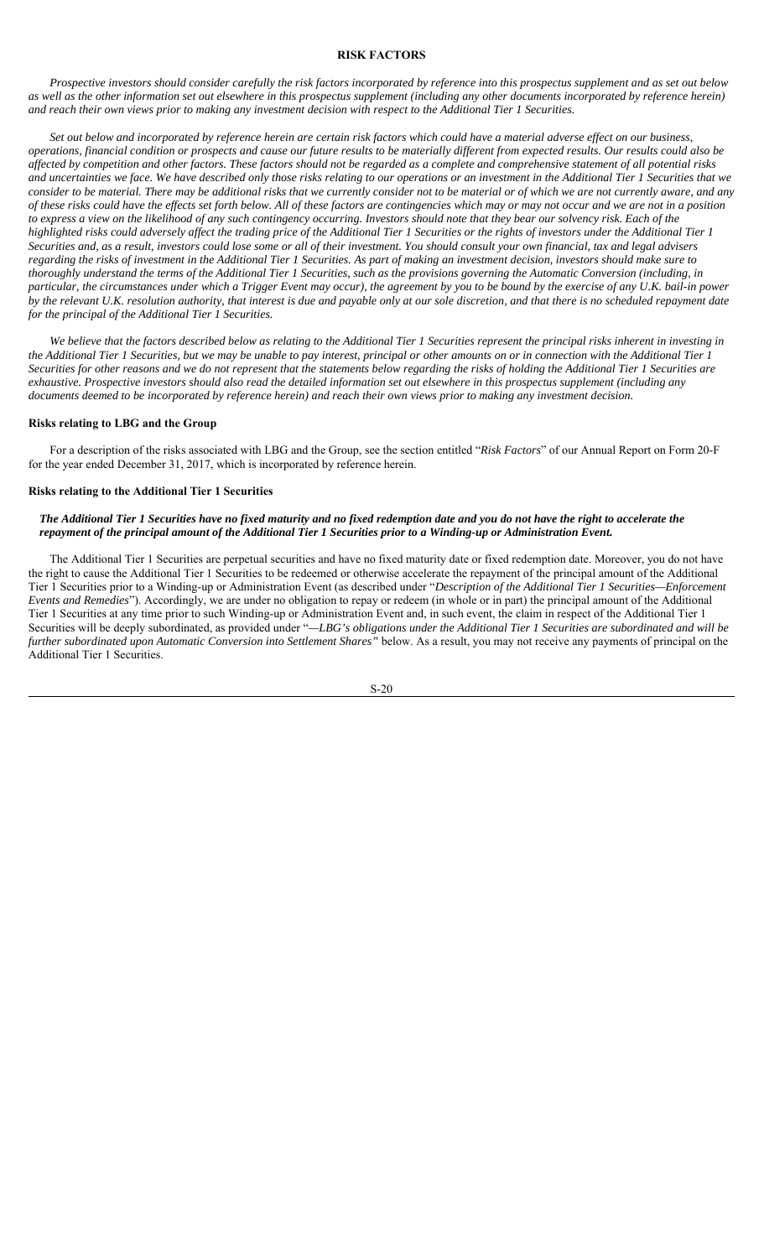#### **RISK FACTORS**

*Prospective investors should consider carefully the risk factors incorporated by reference into this prospectus supplement and as set out below as well as the other information set out elsewhere in this prospectus supplement (including any other documents incorporated by reference herein) and reach their own views prior to making any investment decision with respect to the Additional Tier 1 Securities.*

*Set out below and incorporated by reference herein are certain risk factors which could have a material adverse effect on our business, operations, financial condition or prospects and cause our future results to be materially different from expected results. Our results could also be affected by competition and other factors. These factors should not be regarded as a complete and comprehensive statement of all potential risks and uncertainties we face. We have described only those risks relating to our operations or an investment in the Additional Tier 1 Securities that we consider to be material. There may be additional risks that we currently consider not to be material or of which we are not currently aware, and any of these risks could have the effects set forth below. All of these factors are contingencies which may or may not occur and we are not in a position to express a view on the likelihood of any such contingency occurring. Investors should note that they bear our solvency risk. Each of the highlighted risks could adversely affect the trading price of the Additional Tier 1 Securities or the rights of investors under the Additional Tier 1 Securities and, as a result, investors could lose some or all of their investment. You should consult your own financial, tax and legal advisers regarding the risks of investment in the Additional Tier 1 Securities. As part of making an investment decision, investors should make sure to thoroughly understand the terms of the Additional Tier 1 Securities, such as the provisions governing the Automatic Conversion (including, in particular, the circumstances under which a Trigger Event may occur), the agreement by you to be bound by the exercise of any U.K. bail-in power by the relevant U.K. resolution authority, that interest is due and payable only at our sole discretion, and that there is no scheduled repayment date for the principal of the Additional Tier 1 Securities.*

We believe that the factors described below as relating to the Additional Tier 1 Securities represent the principal risks inherent in investing in *the Additional Tier 1 Securities, but we may be unable to pay interest, principal or other amounts on or in connection with the Additional Tier 1 Securities for other reasons and we do not represent that the statements below regarding the risks of holding the Additional Tier 1 Securities are exhaustive. Prospective investors should also read the detailed information set out elsewhere in this prospectus supplement (including any documents deemed to be incorporated by reference herein) and reach their own views prior to making any investment decision.*

#### **Risks relating to LBG and the Group**

For a description of the risks associated with LBG and the Group, see the section entitled "*Risk Factors*" of our Annual Report on Form 20-F for the year ended December 31, 2017, which is incorporated by reference herein.

## **Risks relating to the Additional Tier 1 Securities**

#### *The Additional Tier 1 Securities have no fixed maturity and no fixed redemption date and you do not have the right to accelerate the repayment of the principal amount of the Additional Tier 1 Securities prior to a Winding-up or Administration Event.*

The Additional Tier 1 Securities are perpetual securities and have no fixed maturity date or fixed redemption date. Moreover, you do not have the right to cause the Additional Tier 1 Securities to be redeemed or otherwise accelerate the repayment of the principal amount of the Additional Tier 1 Securities prior to a Winding-up or Administration Event (as described under "*Description of the Additional Tier 1 Securities—Enforcement Events and Remedies*"). Accordingly, we are under no obligation to repay or redeem (in whole or in part) the principal amount of the Additional Tier 1 Securities at any time prior to such Winding-up or Administration Event and, in such event, the claim in respect of the Additional Tier 1 Securities will be deeply subordinated, as provided under "*—LBG's obligations under the Additional Tier 1 Securities are subordinated and will be further subordinated upon Automatic Conversion into Settlement Shares"* below. As a result, you may not receive any payments of principal on the Additional Tier 1 Securities.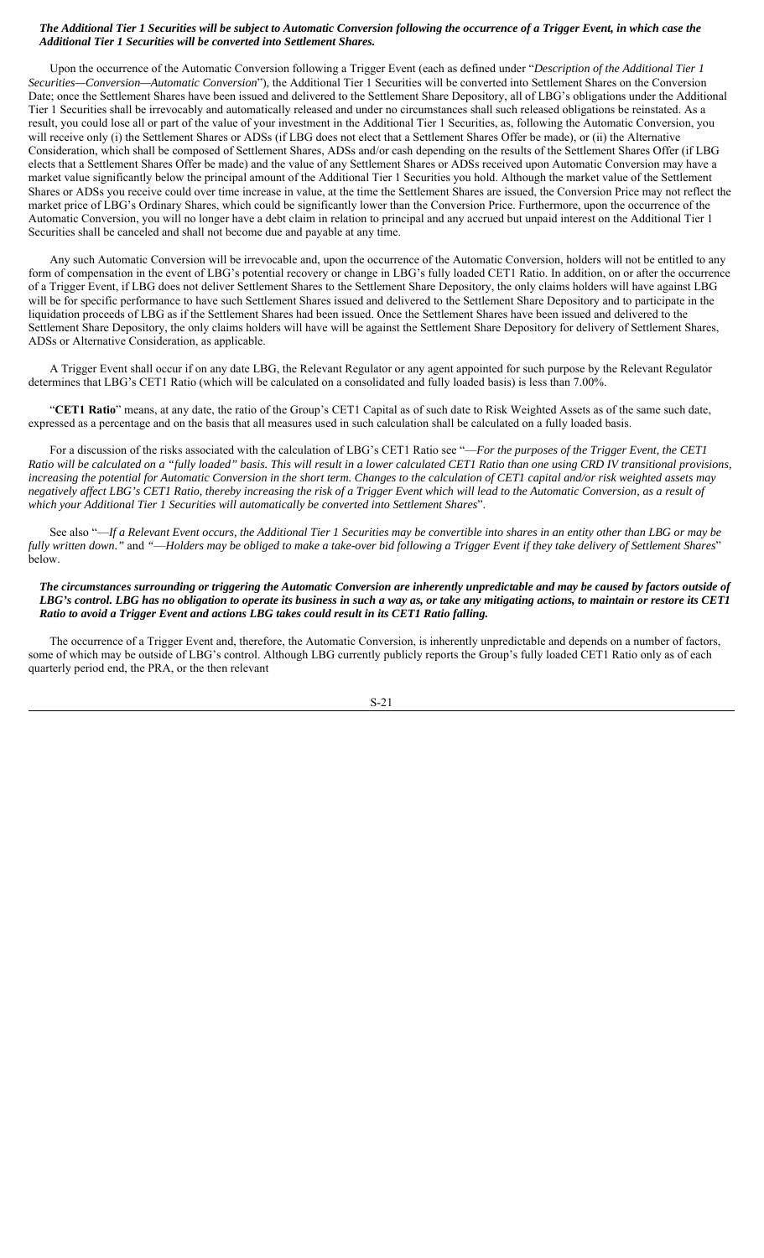# *The Additional Tier 1 Securities will be subject to Automatic Conversion following the occurrence of a Trigger Event, in which case the Additional Tier 1 Securities will be converted into Settlement Shares.*

Upon the occurrence of the Automatic Conversion following a Trigger Event (each as defined under "*Description of the Additional Tier 1 Securities—Conversion—Automatic Conversion*"), the Additional Tier 1 Securities will be converted into Settlement Shares on the Conversion Date; once the Settlement Shares have been issued and delivered to the Settlement Share Depository, all of LBG's obligations under the Additional Tier 1 Securities shall be irrevocably and automatically released and under no circumstances shall such released obligations be reinstated. As a result, you could lose all or part of the value of your investment in the Additional Tier 1 Securities, as, following the Automatic Conversion, you will receive only (i) the Settlement Shares or ADSs (if LBG does not elect that a Settlement Shares Offer be made), or (ii) the Alternative Consideration, which shall be composed of Settlement Shares, ADSs and/or cash depending on the results of the Settlement Shares Offer (if LBG elects that a Settlement Shares Offer be made) and the value of any Settlement Shares or ADSs received upon Automatic Conversion may have a market value significantly below the principal amount of the Additional Tier 1 Securities you hold. Although the market value of the Settlement Shares or ADSs you receive could over time increase in value, at the time the Settlement Shares are issued, the Conversion Price may not reflect the market price of LBG's Ordinary Shares, which could be significantly lower than the Conversion Price. Furthermore, upon the occurrence of the Automatic Conversion, you will no longer have a debt claim in relation to principal and any accrued but unpaid interest on the Additional Tier 1 Securities shall be canceled and shall not become due and payable at any time.

Any such Automatic Conversion will be irrevocable and, upon the occurrence of the Automatic Conversion, holders will not be entitled to any form of compensation in the event of LBG's potential recovery or change in LBG's fully loaded CET1 Ratio. In addition, on or after the occurrence of a Trigger Event, if LBG does not deliver Settlement Shares to the Settlement Share Depository, the only claims holders will have against LBG will be for specific performance to have such Settlement Shares issued and delivered to the Settlement Share Depository and to participate in the liquidation proceeds of LBG as if the Settlement Shares had been issued. Once the Settlement Shares have been issued and delivered to the Settlement Share Depository, the only claims holders will have will be against the Settlement Share Depository for delivery of Settlement Shares, ADSs or Alternative Consideration, as applicable.

A Trigger Event shall occur if on any date LBG, the Relevant Regulator or any agent appointed for such purpose by the Relevant Regulator determines that LBG's CET1 Ratio (which will be calculated on a consolidated and fully loaded basis) is less than 7.00%.

"**CET1 Ratio**" means, at any date, the ratio of the Group's CET1 Capital as of such date to Risk Weighted Assets as of the same such date, expressed as a percentage and on the basis that all measures used in such calculation shall be calculated on a fully loaded basis.

For a discussion of the risks associated with the calculation of LBG's CET1 Ratio see "—*For the purposes of the Trigger Event, the CET1 Ratio will be calculated on a "fully loaded" basis. This will result in a lower calculated CET1 Ratio than one using CRD IV transitional provisions, increasing the potential for Automatic Conversion in the short term. Changes to the calculation of CET1 capital and/or risk weighted assets may negatively affect LBG's CET1 Ratio, thereby increasing the risk of a Trigger Event which will lead to the Automatic Conversion, as a result of which your Additional Tier 1 Securities will automatically be converted into Settlement Shares*".

See also "—*If a Relevant Event occurs, the Additional Tier 1 Securities may be convertible into shares in an entity other than LBG or may be fully written down."* and *"*—*Holders may be obliged to make a take-over bid following a Trigger Event if they take delivery of Settlement Shares*" below.

*The circumstances surrounding or triggering the Automatic Conversion are inherently unpredictable and may be caused by factors outside of LBG's control. LBG has no obligation to operate its business in such a way as, or take any mitigating actions, to maintain or restore its CET1 Ratio to avoid a Trigger Event and actions LBG takes could result in its CET1 Ratio falling.*

The occurrence of a Trigger Event and, therefore, the Automatic Conversion, is inherently unpredictable and depends on a number of factors, some of which may be outside of LBG's control. Although LBG currently publicly reports the Group's fully loaded CET1 Ratio only as of each quarterly period end, the PRA, or the then relevant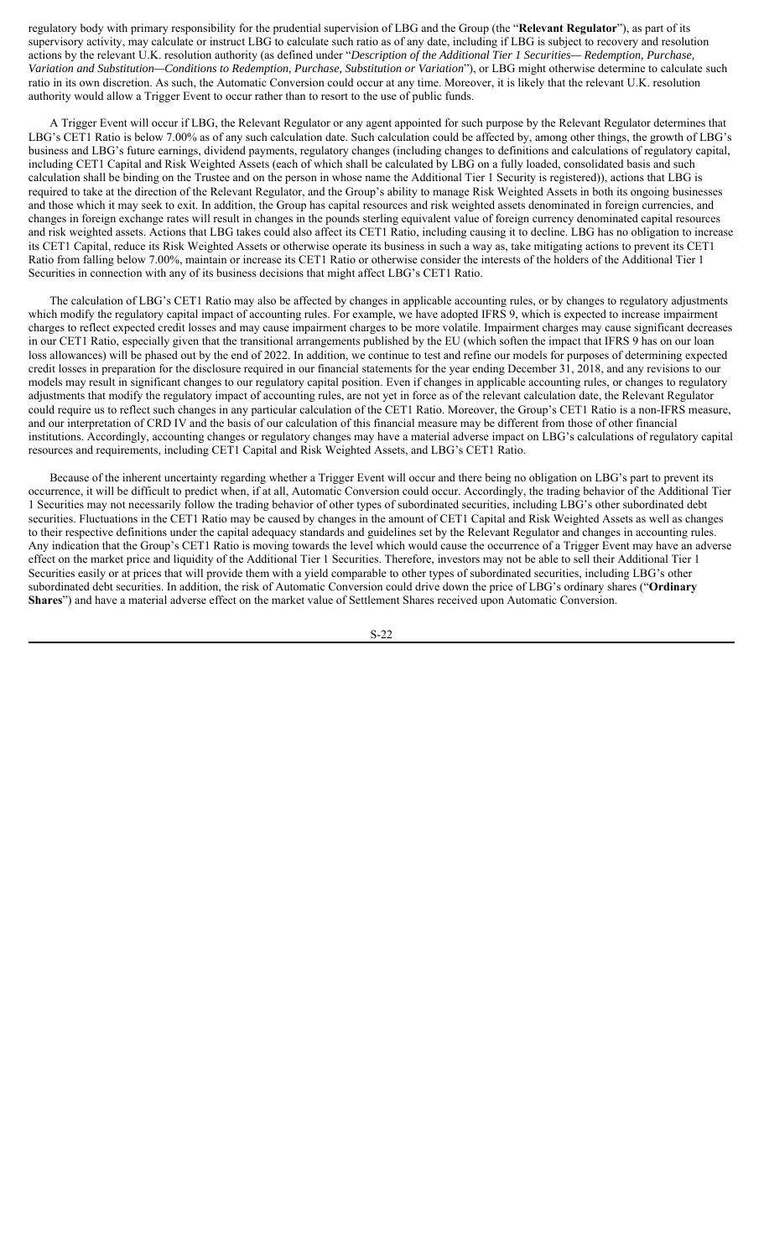regulatory body with primary responsibility for the prudential supervision of LBG and the Group (the "**Relevant Regulator**"), as part of its supervisory activity, may calculate or instruct LBG to calculate such ratio as of any date, including if LBG is subject to recovery and resolution actions by the relevant U.K. resolution authority (as defined under "*Description of the Additional Tier 1 Securities— Redemption, Purchase, Variation and Substitution—Conditions to Redemption, Purchase, Substitution or Variation*"), or LBG might otherwise determine to calculate such ratio in its own discretion. As such, the Automatic Conversion could occur at any time. Moreover, it is likely that the relevant U.K. resolution authority would allow a Trigger Event to occur rather than to resort to the use of public funds.

A Trigger Event will occur if LBG, the Relevant Regulator or any agent appointed for such purpose by the Relevant Regulator determines that LBG's CET1 Ratio is below 7.00% as of any such calculation date. Such calculation could be affected by, among other things, the growth of LBG's business and LBG's future earnings, dividend payments, regulatory changes (including changes to definitions and calculations of regulatory capital, including CET1 Capital and Risk Weighted Assets (each of which shall be calculated by LBG on a fully loaded, consolidated basis and such calculation shall be binding on the Trustee and on the person in whose name the Additional Tier 1 Security is registered)), actions that LBG is required to take at the direction of the Relevant Regulator, and the Group's ability to manage Risk Weighted Assets in both its ongoing businesses and those which it may seek to exit. In addition, the Group has capital resources and risk weighted assets denominated in foreign currencies, and changes in foreign exchange rates will result in changes in the pounds sterling equivalent value of foreign currency denominated capital resources and risk weighted assets. Actions that LBG takes could also affect its CET1 Ratio, including causing it to decline. LBG has no obligation to increase its CET1 Capital, reduce its Risk Weighted Assets or otherwise operate its business in such a way as, take mitigating actions to prevent its CET1 Ratio from falling below 7.00%, maintain or increase its CET1 Ratio or otherwise consider the interests of the holders of the Additional Tier 1 Securities in connection with any of its business decisions that might affect LBG's CET1 Ratio.

The calculation of LBG's CET1 Ratio may also be affected by changes in applicable accounting rules, or by changes to regulatory adjustments which modify the regulatory capital impact of accounting rules. For example, we have adopted IFRS 9, which is expected to increase impairment charges to reflect expected credit losses and may cause impairment charges to be more volatile. Impairment charges may cause significant decreases in our CET1 Ratio, especially given that the transitional arrangements published by the EU (which soften the impact that IFRS 9 has on our loan loss allowances) will be phased out by the end of 2022. In addition, we continue to test and refine our models for purposes of determining expected credit losses in preparation for the disclosure required in our financial statements for the year ending December 31, 2018, and any revisions to our models may result in significant changes to our regulatory capital position. Even if changes in applicable accounting rules, or changes to regulatory adjustments that modify the regulatory impact of accounting rules, are not yet in force as of the relevant calculation date, the Relevant Regulator could require us to reflect such changes in any particular calculation of the CET1 Ratio. Moreover, the Group's CET1 Ratio is a non-IFRS measure, and our interpretation of CRD IV and the basis of our calculation of this financial measure may be different from those of other financial institutions. Accordingly, accounting changes or regulatory changes may have a material adverse impact on LBG's calculations of regulatory capital resources and requirements, including CET1 Capital and Risk Weighted Assets, and LBG's CET1 Ratio.

Because of the inherent uncertainty regarding whether a Trigger Event will occur and there being no obligation on LBG's part to prevent its occurrence, it will be difficult to predict when, if at all, Automatic Conversion could occur. Accordingly, the trading behavior of the Additional Tier 1 Securities may not necessarily follow the trading behavior of other types of subordinated securities, including LBG's other subordinated debt securities. Fluctuations in the CET1 Ratio may be caused by changes in the amount of CET1 Capital and Risk Weighted Assets as well as changes to their respective definitions under the capital adequacy standards and guidelines set by the Relevant Regulator and changes in accounting rules. Any indication that the Group's CET1 Ratio is moving towards the level which would cause the occurrence of a Trigger Event may have an adverse effect on the market price and liquidity of the Additional Tier 1 Securities. Therefore, investors may not be able to sell their Additional Tier 1 Securities easily or at prices that will provide them with a yield comparable to other types of subordinated securities, including LBG's other subordinated debt securities. In addition, the risk of Automatic Conversion could drive down the price of LBG's ordinary shares ("**Ordinary Shares**") and have a material adverse effect on the market value of Settlement Shares received upon Automatic Conversion.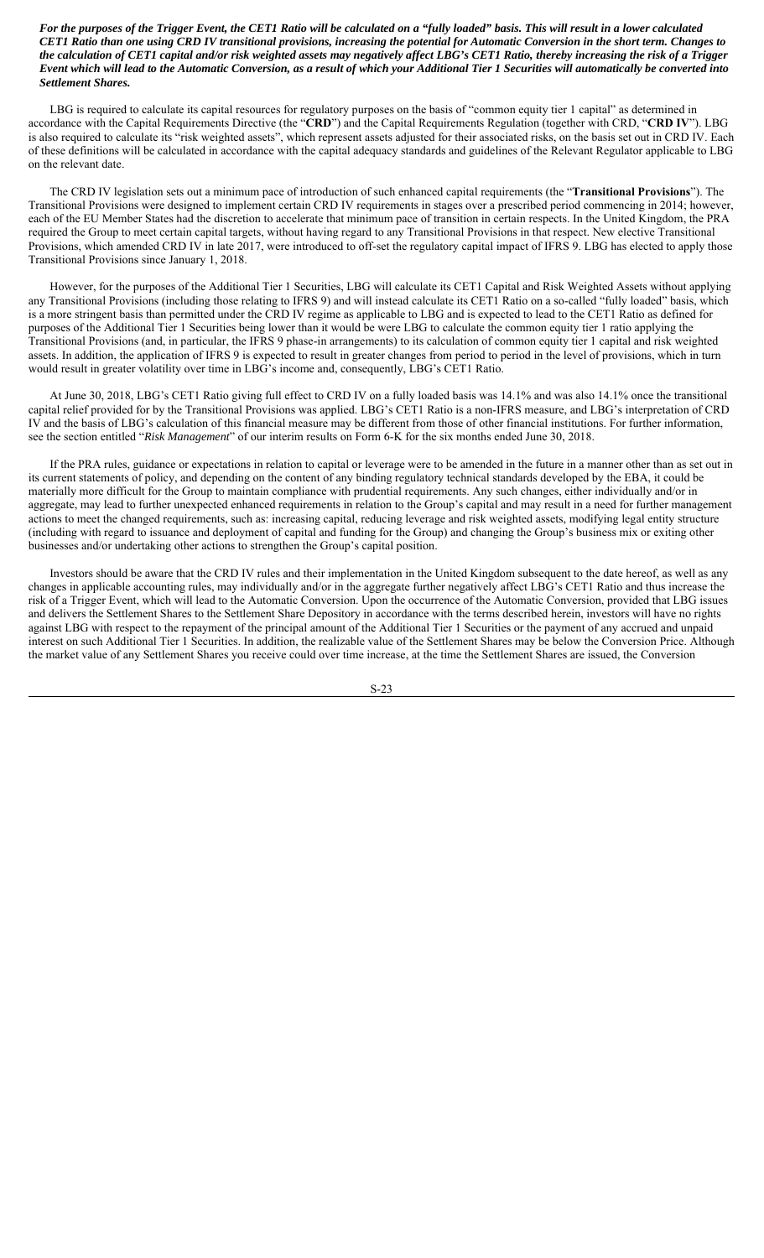*For the purposes of the Trigger Event, the CET1 Ratio will be calculated on a "fully loaded" basis. This will result in a lower calculated CET1 Ratio than one using CRD IV transitional provisions, increasing the potential for Automatic Conversion in the short term. Changes to the calculation of CET1 capital and/or risk weighted assets may negatively affect LBG's CET1 Ratio, thereby increasing the risk of a Trigger Event which will lead to the Automatic Conversion, as a result of which your Additional Tier 1 Securities will automatically be converted into Settlement Shares.*

LBG is required to calculate its capital resources for regulatory purposes on the basis of "common equity tier 1 capital" as determined in accordance with the Capital Requirements Directive (the "**CRD**") and the Capital Requirements Regulation (together with CRD, "**CRD IV**"). LBG is also required to calculate its "risk weighted assets", which represent assets adjusted for their associated risks, on the basis set out in CRD IV. Each of these definitions will be calculated in accordance with the capital adequacy standards and guidelines of the Relevant Regulator applicable to LBG on the relevant date.

The CRD IV legislation sets out a minimum pace of introduction of such enhanced capital requirements (the "**Transitional Provisions**"). The Transitional Provisions were designed to implement certain CRD IV requirements in stages over a prescribed period commencing in 2014; however, each of the EU Member States had the discretion to accelerate that minimum pace of transition in certain respects. In the United Kingdom, the PRA required the Group to meet certain capital targets, without having regard to any Transitional Provisions in that respect. New elective Transitional Provisions, which amended CRD IV in late 2017, were introduced to off-set the regulatory capital impact of IFRS 9. LBG has elected to apply those Transitional Provisions since January 1, 2018.

However, for the purposes of the Additional Tier 1 Securities, LBG will calculate its CET1 Capital and Risk Weighted Assets without applying any Transitional Provisions (including those relating to IFRS 9) and will instead calculate its CET1 Ratio on a so-called "fully loaded" basis, which is a more stringent basis than permitted under the CRD IV regime as applicable to LBG and is expected to lead to the CET1 Ratio as defined for purposes of the Additional Tier 1 Securities being lower than it would be were LBG to calculate the common equity tier 1 ratio applying the Transitional Provisions (and, in particular, the IFRS 9 phase-in arrangements) to its calculation of common equity tier 1 capital and risk weighted assets. In addition, the application of IFRS 9 is expected to result in greater changes from period to period in the level of provisions, which in turn would result in greater volatility over time in LBG's income and, consequently, LBG's CET1 Ratio.

At June 30, 2018, LBG's CET1 Ratio giving full effect to CRD IV on a fully loaded basis was 14.1% and was also 14.1% once the transitional capital relief provided for by the Transitional Provisions was applied. LBG's CET1 Ratio is a non-IFRS measure, and LBG's interpretation of CRD IV and the basis of LBG's calculation of this financial measure may be different from those of other financial institutions. For further information, see the section entitled "*Risk Management*" of our interim results on Form 6-K for the six months ended June 30, 2018.

If the PRA rules, guidance or expectations in relation to capital or leverage were to be amended in the future in a manner other than as set out in its current statements of policy, and depending on the content of any binding regulatory technical standards developed by the EBA, it could be materially more difficult for the Group to maintain compliance with prudential requirements. Any such changes, either individually and/or in aggregate, may lead to further unexpected enhanced requirements in relation to the Group's capital and may result in a need for further management actions to meet the changed requirements, such as: increasing capital, reducing leverage and risk weighted assets, modifying legal entity structure (including with regard to issuance and deployment of capital and funding for the Group) and changing the Group's business mix or exiting other businesses and/or undertaking other actions to strengthen the Group's capital position.

Investors should be aware that the CRD IV rules and their implementation in the United Kingdom subsequent to the date hereof, as well as any changes in applicable accounting rules, may individually and/or in the aggregate further negatively affect LBG's CET1 Ratio and thus increase the risk of a Trigger Event, which will lead to the Automatic Conversion. Upon the occurrence of the Automatic Conversion, provided that LBG issues and delivers the Settlement Shares to the Settlement Share Depository in accordance with the terms described herein, investors will have no rights against LBG with respect to the repayment of the principal amount of the Additional Tier 1 Securities or the payment of any accrued and unpaid interest on such Additional Tier 1 Securities. In addition, the realizable value of the Settlement Shares may be below the Conversion Price. Although the market value of any Settlement Shares you receive could over time increase, at the time the Settlement Shares are issued, the Conversion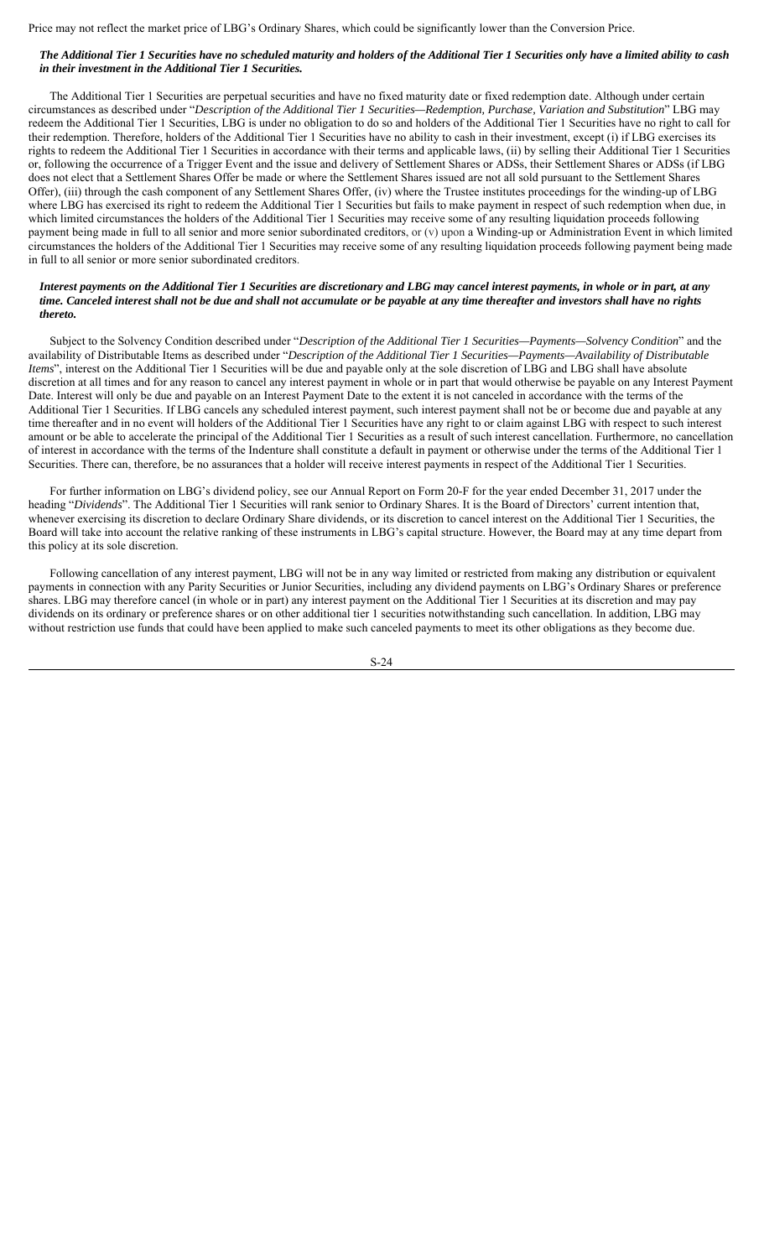Price may not reflect the market price of LBG's Ordinary Shares, which could be significantly lower than the Conversion Price.

# *The Additional Tier 1 Securities have no scheduled maturity and holders of the Additional Tier 1 Securities only have a limited ability to cash in their investment in the Additional Tier 1 Securities.*

The Additional Tier 1 Securities are perpetual securities and have no fixed maturity date or fixed redemption date. Although under certain circumstances as described under "*Description of the Additional Tier 1 Securities—Redemption, Purchase, Variation and Substitution*" LBG may redeem the Additional Tier 1 Securities, LBG is under no obligation to do so and holders of the Additional Tier 1 Securities have no right to call for their redemption. Therefore, holders of the Additional Tier 1 Securities have no ability to cash in their investment, except (i) if LBG exercises its rights to redeem the Additional Tier 1 Securities in accordance with their terms and applicable laws, (ii) by selling their Additional Tier 1 Securities or, following the occurrence of a Trigger Event and the issue and delivery of Settlement Shares or ADSs, their Settlement Shares or ADSs (if LBG does not elect that a Settlement Shares Offer be made or where the Settlement Shares issued are not all sold pursuant to the Settlement Shares Offer), (iii) through the cash component of any Settlement Shares Offer, (iv) where the Trustee institutes proceedings for the winding-up of LBG where LBG has exercised its right to redeem the Additional Tier 1 Securities but fails to make payment in respect of such redemption when due, in which limited circumstances the holders of the Additional Tier 1 Securities may receive some of any resulting liquidation proceeds following payment being made in full to all senior and more senior subordinated creditors, or (v) upon a Winding-up or Administration Event in which limited circumstances the holders of the Additional Tier 1 Securities may receive some of any resulting liquidation proceeds following payment being made in full to all senior or more senior subordinated creditors.

#### *Interest payments on the Additional Tier 1 Securities are discretionary and LBG may cancel interest payments, in whole or in part, at any time. Canceled interest shall not be due and shall not accumulate or be payable at any time thereafter and investors shall have no rights thereto.*

Subject to the Solvency Condition described under "*Description of the Additional Tier 1 Securities—Payments—Solvency Condition*" and the availability of Distributable Items as described under "*Description of the Additional Tier 1 Securities—Payments—Availability of Distributable Items*", interest on the Additional Tier 1 Securities will be due and payable only at the sole discretion of LBG and LBG shall have absolute discretion at all times and for any reason to cancel any interest payment in whole or in part that would otherwise be payable on any Interest Payment Date. Interest will only be due and payable on an Interest Payment Date to the extent it is not canceled in accordance with the terms of the Additional Tier 1 Securities. If LBG cancels any scheduled interest payment, such interest payment shall not be or become due and payable at any time thereafter and in no event will holders of the Additional Tier 1 Securities have any right to or claim against LBG with respect to such interest amount or be able to accelerate the principal of the Additional Tier 1 Securities as a result of such interest cancellation. Furthermore, no cancellation of interest in accordance with the terms of the Indenture shall constitute a default in payment or otherwise under the terms of the Additional Tier 1 Securities. There can, therefore, be no assurances that a holder will receive interest payments in respect of the Additional Tier 1 Securities.

For further information on LBG's dividend policy, see our Annual Report on Form 20-F for the year ended December 31, 2017 under the heading "*Dividends*". The Additional Tier 1 Securities will rank senior to Ordinary Shares. It is the Board of Directors' current intention that, whenever exercising its discretion to declare Ordinary Share dividends, or its discretion to cancel interest on the Additional Tier 1 Securities, the Board will take into account the relative ranking of these instruments in LBG's capital structure. However, the Board may at any time depart from this policy at its sole discretion.

Following cancellation of any interest payment, LBG will not be in any way limited or restricted from making any distribution or equivalent payments in connection with any Parity Securities or Junior Securities, including any dividend payments on LBG's Ordinary Shares or preference shares. LBG may therefore cancel (in whole or in part) any interest payment on the Additional Tier 1 Securities at its discretion and may pay dividends on its ordinary or preference shares or on other additional tier 1 securities notwithstanding such cancellation. In addition, LBG may without restriction use funds that could have been applied to make such canceled payments to meet its other obligations as they become due.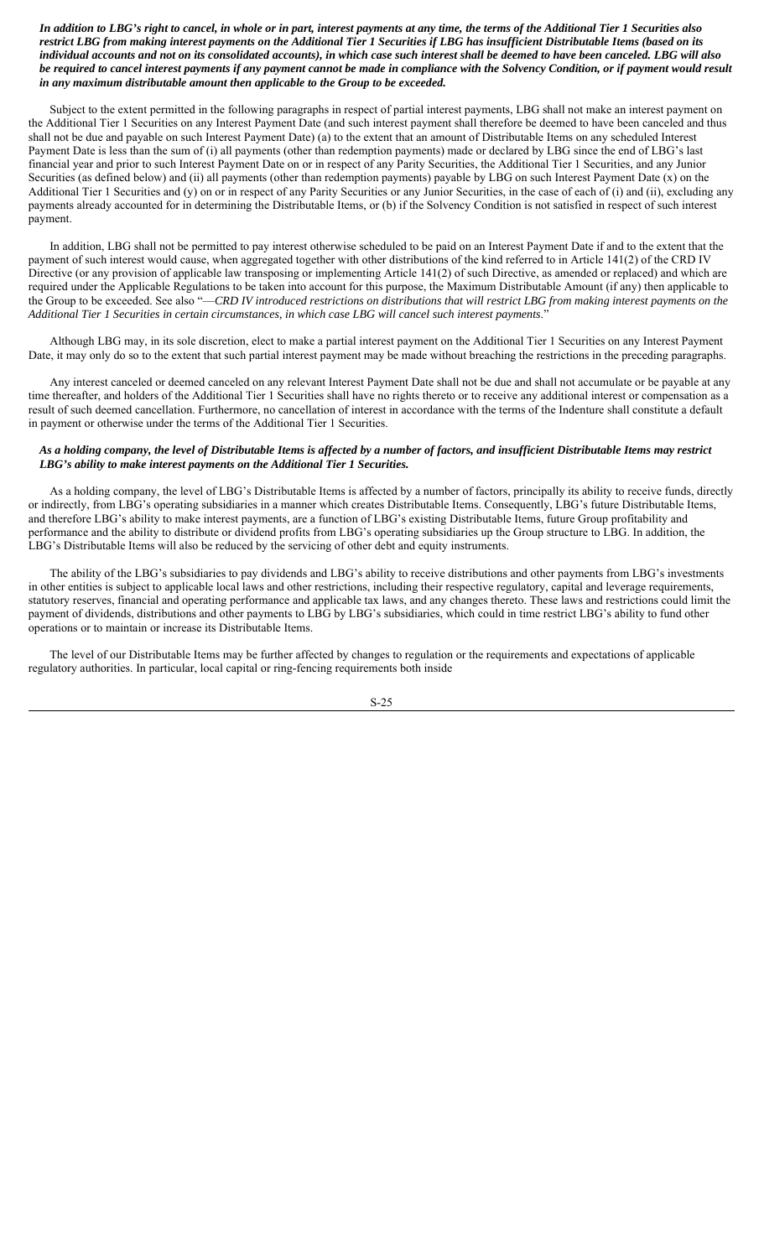*In addition to LBG's right to cancel, in whole or in part, interest payments at any time, the terms of the Additional Tier 1 Securities also restrict LBG from making interest payments on the Additional Tier 1 Securities if LBG has insufficient Distributable Items (based on its individual accounts and not on its consolidated accounts), in which case such interest shall be deemed to have been canceled. LBG will also be required to cancel interest payments if any payment cannot be made in compliance with the Solvency Condition, or if payment would result in any maximum distributable amount then applicable to the Group to be exceeded.*

Subject to the extent permitted in the following paragraphs in respect of partial interest payments, LBG shall not make an interest payment on the Additional Tier 1 Securities on any Interest Payment Date (and such interest payment shall therefore be deemed to have been canceled and thus shall not be due and payable on such Interest Payment Date) (a) to the extent that an amount of Distributable Items on any scheduled Interest Payment Date is less than the sum of (i) all payments (other than redemption payments) made or declared by LBG since the end of LBG's last financial year and prior to such Interest Payment Date on or in respect of any Parity Securities, the Additional Tier 1 Securities, and any Junior Securities (as defined below) and (ii) all payments (other than redemption payments) payable by LBG on such Interest Payment Date (x) on the Additional Tier 1 Securities and (y) on or in respect of any Parity Securities or any Junior Securities, in the case of each of (i) and (ii), excluding any payments already accounted for in determining the Distributable Items, or (b) if the Solvency Condition is not satisfied in respect of such interest payment.

In addition, LBG shall not be permitted to pay interest otherwise scheduled to be paid on an Interest Payment Date if and to the extent that the payment of such interest would cause, when aggregated together with other distributions of the kind referred to in Article 141(2) of the CRD IV Directive (or any provision of applicable law transposing or implementing Article 141(2) of such Directive, as amended or replaced) and which are required under the Applicable Regulations to be taken into account for this purpose, the Maximum Distributable Amount (if any) then applicable to the Group to be exceeded. See also "-CRD IV introduced restrictions on distributions that will restrict LBG from making interest payments on the *Additional Tier 1 Securities in certain circumstances, in which case LBG will cancel such interest payments*."

Although LBG may, in its sole discretion, elect to make a partial interest payment on the Additional Tier 1 Securities on any Interest Payment Date, it may only do so to the extent that such partial interest payment may be made without breaching the restrictions in the preceding paragraphs.

Any interest canceled or deemed canceled on any relevant Interest Payment Date shall not be due and shall not accumulate or be payable at any time thereafter, and holders of the Additional Tier 1 Securities shall have no rights thereto or to receive any additional interest or compensation as a result of such deemed cancellation. Furthermore, no cancellation of interest in accordance with the terms of the Indenture shall constitute a default in payment or otherwise under the terms of the Additional Tier 1 Securities.

# *As a holding company, the level of Distributable Items is affected by a number of factors, and insufficient Distributable Items may restrict LBG's ability to make interest payments on the Additional Tier 1 Securities.*

As a holding company, the level of LBG's Distributable Items is affected by a number of factors, principally its ability to receive funds, directly or indirectly, from LBG's operating subsidiaries in a manner which creates Distributable Items. Consequently, LBG's future Distributable Items, and therefore LBG's ability to make interest payments, are a function of LBG's existing Distributable Items, future Group profitability and performance and the ability to distribute or dividend profits from LBG's operating subsidiaries up the Group structure to LBG. In addition, the LBG's Distributable Items will also be reduced by the servicing of other debt and equity instruments.

The ability of the LBG's subsidiaries to pay dividends and LBG's ability to receive distributions and other payments from LBG's investments in other entities is subject to applicable local laws and other restrictions, including their respective regulatory, capital and leverage requirements, statutory reserves, financial and operating performance and applicable tax laws, and any changes thereto. These laws and restrictions could limit the payment of dividends, distributions and other payments to LBG by LBG's subsidiaries, which could in time restrict LBG's ability to fund other operations or to maintain or increase its Distributable Items.

The level of our Distributable Items may be further affected by changes to regulation or the requirements and expectations of applicable regulatory authorities. In particular, local capital or ring-fencing requirements both inside

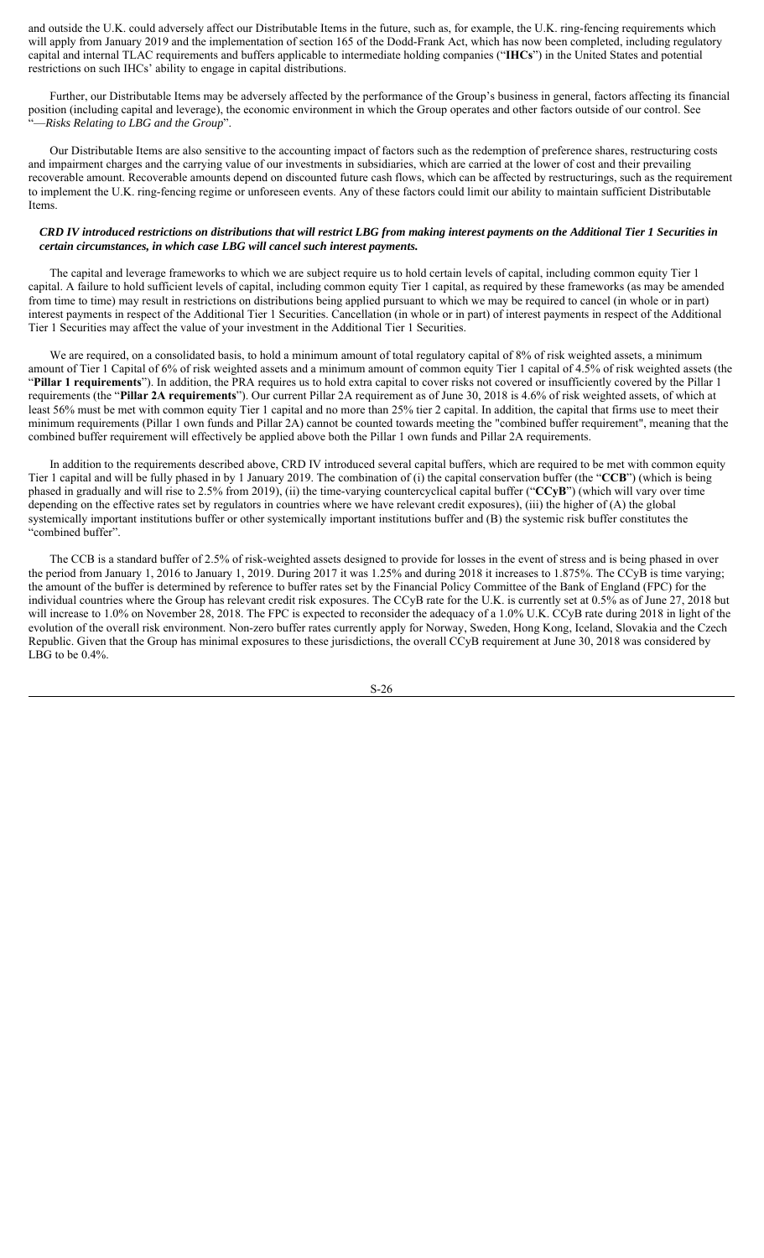and outside the U.K. could adversely affect our Distributable Items in the future, such as, for example, the U.K. ring-fencing requirements which will apply from January 2019 and the implementation of section 165 of the Dodd-Frank Act, which has now been completed, including regulatory capital and internal TLAC requirements and buffers applicable to intermediate holding companies ("**IHCs**") in the United States and potential restrictions on such IHCs' ability to engage in capital distributions.

Further, our Distributable Items may be adversely affected by the performance of the Group's business in general, factors affecting its financial position (including capital and leverage), the economic environment in which the Group operates and other factors outside of our control. See "—*Risks Relating to LBG and the Group*".

Our Distributable Items are also sensitive to the accounting impact of factors such as the redemption of preference shares, restructuring costs and impairment charges and the carrying value of our investments in subsidiaries, which are carried at the lower of cost and their prevailing recoverable amount. Recoverable amounts depend on discounted future cash flows, which can be affected by restructurings, such as the requirement to implement the U.K. ring-fencing regime or unforeseen events. Any of these factors could limit our ability to maintain sufficient Distributable Items.

# *CRD IV introduced restrictions on distributions that will restrict LBG from making interest payments on the Additional Tier 1 Securities in certain circumstances, in which case LBG will cancel such interest payments.*

The capital and leverage frameworks to which we are subject require us to hold certain levels of capital, including common equity Tier 1 capital. A failure to hold sufficient levels of capital, including common equity Tier 1 capital, as required by these frameworks (as may be amended from time to time) may result in restrictions on distributions being applied pursuant to which we may be required to cancel (in whole or in part) interest payments in respect of the Additional Tier 1 Securities. Cancellation (in whole or in part) of interest payments in respect of the Additional Tier 1 Securities may affect the value of your investment in the Additional Tier 1 Securities.

We are required, on a consolidated basis, to hold a minimum amount of total regulatory capital of 8% of risk weighted assets, a minimum amount of Tier 1 Capital of 6% of risk weighted assets and a minimum amount of common equity Tier 1 capital of 4.5% of risk weighted assets (the "**Pillar 1 requirements**"). In addition, the PRA requires us to hold extra capital to cover risks not covered or insufficiently covered by the Pillar 1 requirements (the "**Pillar 2A requirements**"). Our current Pillar 2A requirement as of June 30, 2018 is 4.6% of risk weighted assets, of which at least 56% must be met with common equity Tier 1 capital and no more than 25% tier 2 capital. In addition, the capital that firms use to meet their minimum requirements (Pillar 1 own funds and Pillar 2A) cannot be counted towards meeting the "combined buffer requirement", meaning that the combined buffer requirement will effectively be applied above both the Pillar 1 own funds and Pillar 2A requirements.

In addition to the requirements described above, CRD IV introduced several capital buffers, which are required to be met with common equity Tier 1 capital and will be fully phased in by 1 January 2019. The combination of (i) the capital conservation buffer (the "**CCB**") (which is being phased in gradually and will rise to 2.5% from 2019), (ii) the time-varying countercyclical capital buffer ("**CCyB**") (which will vary over time depending on the effective rates set by regulators in countries where we have relevant credit exposures), (iii) the higher of (A) the global systemically important institutions buffer or other systemically important institutions buffer and (B) the systemic risk buffer constitutes the "combined buffer".

The CCB is a standard buffer of 2.5% of risk-weighted assets designed to provide for losses in the event of stress and is being phased in over the period from January 1, 2016 to January 1, 2019. During 2017 it was 1.25% and during 2018 it increases to 1.875%. The CCyB is time varying; the amount of the buffer is determined by reference to buffer rates set by the Financial Policy Committee of the Bank of England (FPC) for the individual countries where the Group has relevant credit risk exposures. The CCyB rate for the U.K. is currently set at 0.5% as of June 27, 2018 but will increase to 1.0% on November 28, 2018. The FPC is expected to reconsider the adequacy of a 1.0% U.K. CCyB rate during 2018 in light of the evolution of the overall risk environment. Non-zero buffer rates currently apply for Norway, Sweden, Hong Kong, Iceland, Slovakia and the Czech Republic. Given that the Group has minimal exposures to these jurisdictions, the overall CCyB requirement at June 30, 2018 was considered by LBG to be 0.4%.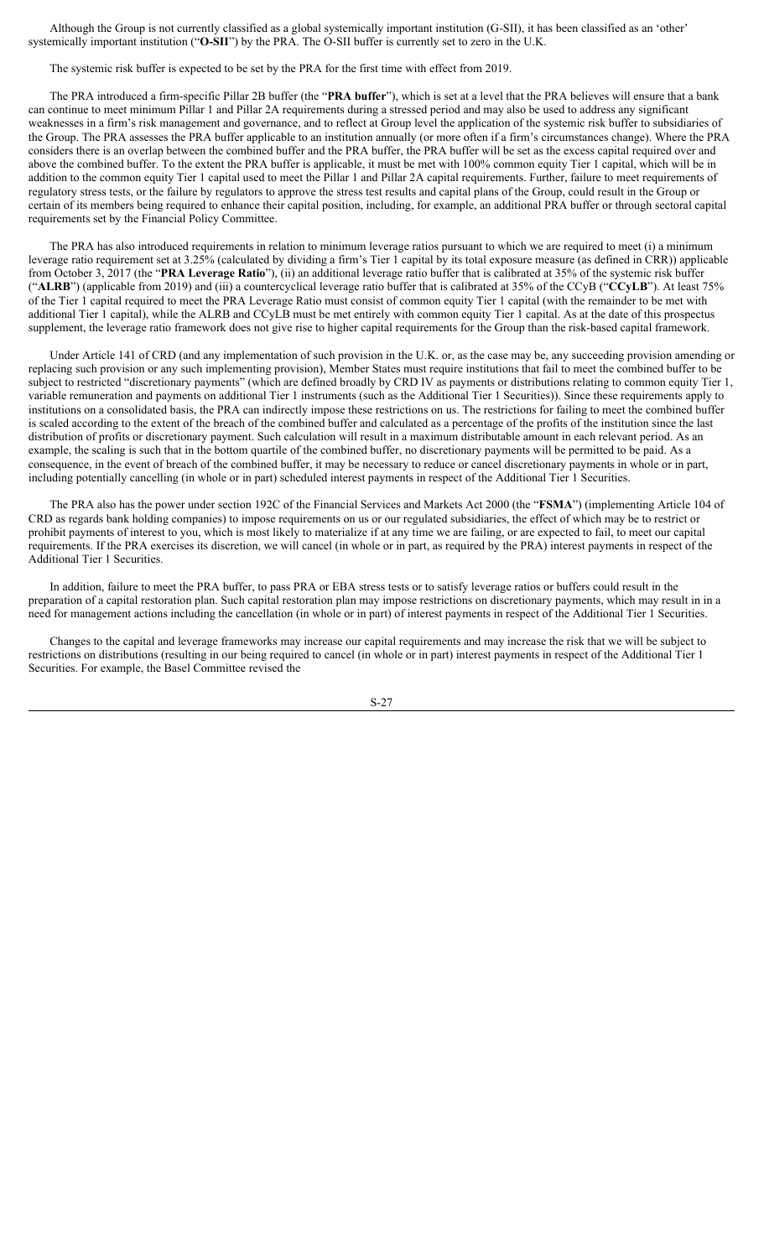Although the Group is not currently classified as a global systemically important institution (G-SII), it has been classified as an 'other' systemically important institution ("**O-SII**") by the PRA. The O-SII buffer is currently set to zero in the U.K.

The systemic risk buffer is expected to be set by the PRA for the first time with effect from 2019.

The PRA introduced a firm-specific Pillar 2B buffer (the "**PRA buffer**"), which is set at a level that the PRA believes will ensure that a bank can continue to meet minimum Pillar 1 and Pillar 2A requirements during a stressed period and may also be used to address any significant weaknesses in a firm's risk management and governance, and to reflect at Group level the application of the systemic risk buffer to subsidiaries of the Group. The PRA assesses the PRA buffer applicable to an institution annually (or more often if a firm's circumstances change). Where the PRA considers there is an overlap between the combined buffer and the PRA buffer, the PRA buffer will be set as the excess capital required over and above the combined buffer. To the extent the PRA buffer is applicable, it must be met with 100% common equity Tier 1 capital, which will be in addition to the common equity Tier 1 capital used to meet the Pillar 1 and Pillar 2A capital requirements. Further, failure to meet requirements of regulatory stress tests, or the failure by regulators to approve the stress test results and capital plans of the Group, could result in the Group or certain of its members being required to enhance their capital position, including, for example, an additional PRA buffer or through sectoral capital requirements set by the Financial Policy Committee.

The PRA has also introduced requirements in relation to minimum leverage ratios pursuant to which we are required to meet (i) a minimum leverage ratio requirement set at 3.25% (calculated by dividing a firm's Tier 1 capital by its total exposure measure (as defined in CRR)) applicable from October 3, 2017 (the "**PRA Leverage Ratio**"), (ii) an additional leverage ratio buffer that is calibrated at 35% of the systemic risk buffer ("**ALRB**") (applicable from 2019) and (iii) a countercyclical leverage ratio buffer that is calibrated at 35% of the CCyB ("**CCyLB**"). At least 75% of the Tier 1 capital required to meet the PRA Leverage Ratio must consist of common equity Tier 1 capital (with the remainder to be met with additional Tier 1 capital), while the ALRB and CCyLB must be met entirely with common equity Tier 1 capital. As at the date of this prospectus supplement, the leverage ratio framework does not give rise to higher capital requirements for the Group than the risk-based capital framework.

Under Article 141 of CRD (and any implementation of such provision in the U.K. or, as the case may be, any succeeding provision amending or replacing such provision or any such implementing provision), Member States must require institutions that fail to meet the combined buffer to be subject to restricted "discretionary payments" (which are defined broadly by CRD IV as payments or distributions relating to common equity Tier 1, variable remuneration and payments on additional Tier 1 instruments (such as the Additional Tier 1 Securities)). Since these requirements apply to institutions on a consolidated basis, the PRA can indirectly impose these restrictions on us. The restrictions for failing to meet the combined buffer is scaled according to the extent of the breach of the combined buffer and calculated as a percentage of the profits of the institution since the last distribution of profits or discretionary payment. Such calculation will result in a maximum distributable amount in each relevant period. As an example, the scaling is such that in the bottom quartile of the combined buffer, no discretionary payments will be permitted to be paid. As a consequence, in the event of breach of the combined buffer, it may be necessary to reduce or cancel discretionary payments in whole or in part, including potentially cancelling (in whole or in part) scheduled interest payments in respect of the Additional Tier 1 Securities.

The PRA also has the power under section 192C of the Financial Services and Markets Act 2000 (the "**FSMA**") (implementing Article 104 of CRD as regards bank holding companies) to impose requirements on us or our regulated subsidiaries, the effect of which may be to restrict or prohibit payments of interest to you, which is most likely to materialize if at any time we are failing, or are expected to fail, to meet our capital requirements. If the PRA exercises its discretion, we will cancel (in whole or in part, as required by the PRA) interest payments in respect of the Additional Tier 1 Securities.

In addition, failure to meet the PRA buffer, to pass PRA or EBA stress tests or to satisfy leverage ratios or buffers could result in the preparation of a capital restoration plan. Such capital restoration plan may impose restrictions on discretionary payments, which may result in in a need for management actions including the cancellation (in whole or in part) of interest payments in respect of the Additional Tier 1 Securities.

Changes to the capital and leverage frameworks may increase our capital requirements and may increase the risk that we will be subject to restrictions on distributions (resulting in our being required to cancel (in whole or in part) interest payments in respect of the Additional Tier 1 Securities. For example, the Basel Committee revised the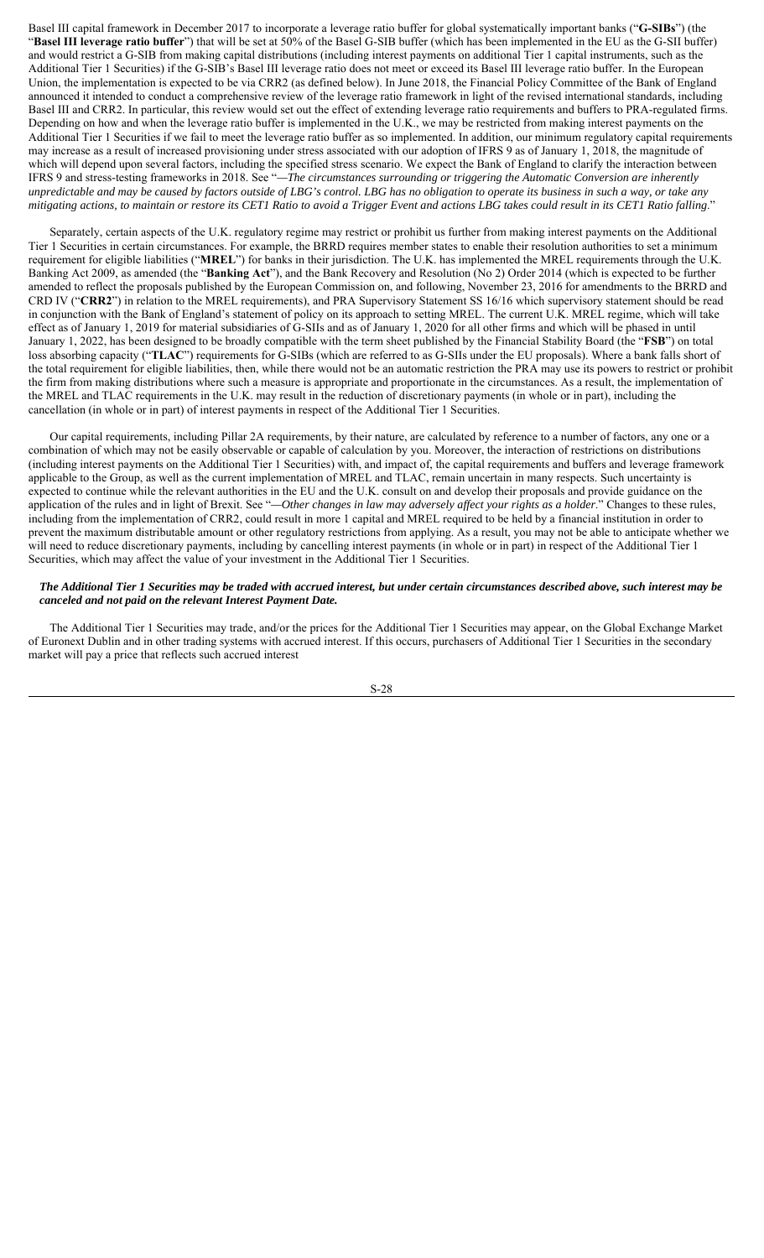Basel III capital framework in December 2017 to incorporate a leverage ratio buffer for global systematically important banks ("**G-SIBs**") (the "**Basel III leverage ratio buffer**") that will be set at 50% of the Basel G-SIB buffer (which has been implemented in the EU as the G-SII buffer) and would restrict a G-SIB from making capital distributions (including interest payments on additional Tier 1 capital instruments, such as the Additional Tier 1 Securities) if the G-SIB's Basel III leverage ratio does not meet or exceed its Basel III leverage ratio buffer. In the European Union, the implementation is expected to be via CRR2 (as defined below). In June 2018, the Financial Policy Committee of the Bank of England announced it intended to conduct a comprehensive review of the leverage ratio framework in light of the revised international standards, including Basel III and CRR2. In particular, this review would set out the effect of extending leverage ratio requirements and buffers to PRA-regulated firms. Depending on how and when the leverage ratio buffer is implemented in the U.K., we may be restricted from making interest payments on the Additional Tier 1 Securities if we fail to meet the leverage ratio buffer as so implemented. In addition, our minimum regulatory capital requirements may increase as a result of increased provisioning under stress associated with our adoption of IFRS 9 as of January 1, 2018, the magnitude of which will depend upon several factors, including the specified stress scenario. We expect the Bank of England to clarify the interaction between IFRS 9 and stress-testing frameworks in 2018. See "*—The circumstances surrounding or triggering the Automatic Conversion are inherently unpredictable and may be caused by factors outside of LBG's control. LBG has no obligation to operate its business in such a way, or take any mitigating actions, to maintain or restore its CET1 Ratio to avoid a Trigger Event and actions LBG takes could result in its CET1 Ratio falling*."

Separately, certain aspects of the U.K. regulatory regime may restrict or prohibit us further from making interest payments on the Additional Tier 1 Securities in certain circumstances. For example, the BRRD requires member states to enable their resolution authorities to set a minimum requirement for eligible liabilities ("**MREL**") for banks in their jurisdiction. The U.K. has implemented the MREL requirements through the U.K. Banking Act 2009, as amended (the "**Banking Act**"), and the Bank Recovery and Resolution (No 2) Order 2014 (which is expected to be further amended to reflect the proposals published by the European Commission on, and following, November 23, 2016 for amendments to the BRRD and CRD IV ("**CRR2**") in relation to the MREL requirements), and PRA Supervisory Statement SS 16/16 which supervisory statement should be read in conjunction with the Bank of England's statement of policy on its approach to setting MREL. The current U.K. MREL regime, which will take effect as of January 1, 2019 for material subsidiaries of G-SIIs and as of January 1, 2020 for all other firms and which will be phased in until January 1, 2022, has been designed to be broadly compatible with the term sheet published by the Financial Stability Board (the "**FSB**") on total loss absorbing capacity ("**TLAC**") requirements for G-SIBs (which are referred to as G-SIIs under the EU proposals). Where a bank falls short of the total requirement for eligible liabilities, then, while there would not be an automatic restriction the PRA may use its powers to restrict or prohibit the firm from making distributions where such a measure is appropriate and proportionate in the circumstances. As a result, the implementation of the MREL and TLAC requirements in the U.K. may result in the reduction of discretionary payments (in whole or in part), including the cancellation (in whole or in part) of interest payments in respect of the Additional Tier 1 Securities.

Our capital requirements, including Pillar 2A requirements, by their nature, are calculated by reference to a number of factors, any one or a combination of which may not be easily observable or capable of calculation by you. Moreover, the interaction of restrictions on distributions (including interest payments on the Additional Tier 1 Securities) with, and impact of, the capital requirements and buffers and leverage framework applicable to the Group, as well as the current implementation of MREL and TLAC, remain uncertain in many respects. Such uncertainty is expected to continue while the relevant authorities in the EU and the U.K. consult on and develop their proposals and provide guidance on the application of the rules and in light of Brexit. See "*—Other changes in law may adversely affect your rights as a holder*." Changes to these rules, including from the implementation of CRR2, could result in more 1 capital and MREL required to be held by a financial institution in order to prevent the maximum distributable amount or other regulatory restrictions from applying. As a result, you may not be able to anticipate whether we will need to reduce discretionary payments, including by cancelling interest payments (in whole or in part) in respect of the Additional Tier 1 Securities, which may affect the value of your investment in the Additional Tier 1 Securities.

# *The Additional Tier 1 Securities may be traded with accrued interest, but under certain circumstances described above, such interest may be canceled and not paid on the relevant Interest Payment Date.*

The Additional Tier 1 Securities may trade, and/or the prices for the Additional Tier 1 Securities may appear, on the Global Exchange Market of Euronext Dublin and in other trading systems with accrued interest. If this occurs, purchasers of Additional Tier 1 Securities in the secondary market will pay a price that reflects such accrued interest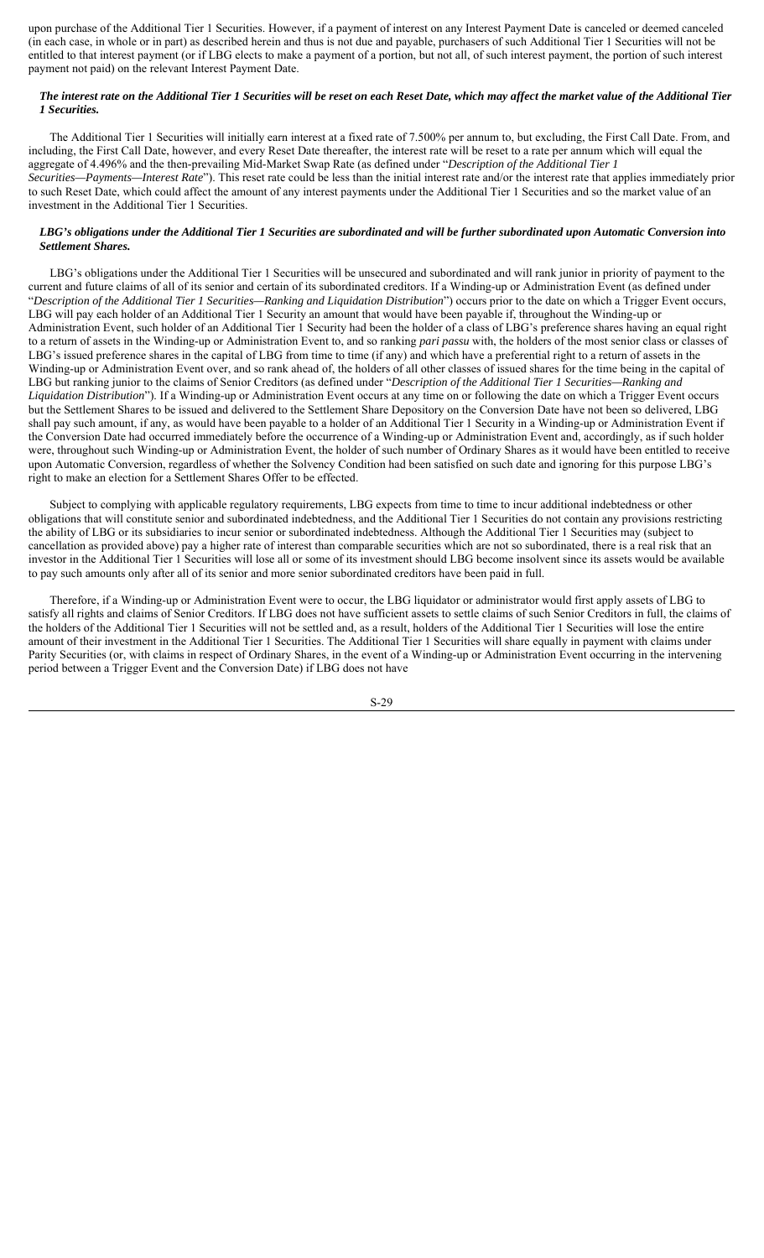upon purchase of the Additional Tier 1 Securities. However, if a payment of interest on any Interest Payment Date is canceled or deemed canceled (in each case, in whole or in part) as described herein and thus is not due and payable, purchasers of such Additional Tier 1 Securities will not be entitled to that interest payment (or if LBG elects to make a payment of a portion, but not all, of such interest payment, the portion of such interest payment not paid) on the relevant Interest Payment Date.

# *The interest rate on the Additional Tier 1 Securities will be reset on each Reset Date, which may affect the market value of the Additional Tier 1 Securities.*

The Additional Tier 1 Securities will initially earn interest at a fixed rate of 7.500% per annum to, but excluding, the First Call Date. From, and including, the First Call Date, however, and every Reset Date thereafter, the interest rate will be reset to a rate per annum which will equal the aggregate of 4.496% and the then-prevailing Mid-Market Swap Rate (as defined under "*Description of the Additional Tier 1 Securities—Payments—Interest Rate*"). This reset rate could be less than the initial interest rate and/or the interest rate that applies immediately prior to such Reset Date, which could affect the amount of any interest payments under the Additional Tier 1 Securities and so the market value of an investment in the Additional Tier 1 Securities.

# *LBG's obligations under the Additional Tier 1 Securities are subordinated and will be further subordinated upon Automatic Conversion into Settlement Shares.*

LBG's obligations under the Additional Tier 1 Securities will be unsecured and subordinated and will rank junior in priority of payment to the current and future claims of all of its senior and certain of its subordinated creditors. If a Winding-up or Administration Event (as defined under "*Description of the Additional Tier 1 Securities—Ranking and Liquidation Distribution*") occurs prior to the date on which a Trigger Event occurs, LBG will pay each holder of an Additional Tier 1 Security an amount that would have been payable if, throughout the Winding-up or Administration Event, such holder of an Additional Tier 1 Security had been the holder of a class of LBG's preference shares having an equal right to a return of assets in the Winding-up or Administration Event to, and so ranking *pari passu* with, the holders of the most senior class or classes of LBG's issued preference shares in the capital of LBG from time to time (if any) and which have a preferential right to a return of assets in the Winding-up or Administration Event over, and so rank ahead of, the holders of all other classes of issued shares for the time being in the capital of LBG but ranking junior to the claims of Senior Creditors (as defined under "*Description of the Additional Tier 1 Securities—Ranking and Liquidation Distribution*"). If a Winding-up or Administration Event occurs at any time on or following the date on which a Trigger Event occurs but the Settlement Shares to be issued and delivered to the Settlement Share Depository on the Conversion Date have not been so delivered, LBG shall pay such amount, if any, as would have been payable to a holder of an Additional Tier 1 Security in a Winding-up or Administration Event if the Conversion Date had occurred immediately before the occurrence of a Winding-up or Administration Event and, accordingly, as if such holder were, throughout such Winding-up or Administration Event, the holder of such number of Ordinary Shares as it would have been entitled to receive upon Automatic Conversion, regardless of whether the Solvency Condition had been satisfied on such date and ignoring for this purpose LBG's right to make an election for a Settlement Shares Offer to be effected.

Subject to complying with applicable regulatory requirements, LBG expects from time to time to incur additional indebtedness or other obligations that will constitute senior and subordinated indebtedness, and the Additional Tier 1 Securities do not contain any provisions restricting the ability of LBG or its subsidiaries to incur senior or subordinated indebtedness. Although the Additional Tier 1 Securities may (subject to cancellation as provided above) pay a higher rate of interest than comparable securities which are not so subordinated, there is a real risk that an investor in the Additional Tier 1 Securities will lose all or some of its investment should LBG become insolvent since its assets would be available to pay such amounts only after all of its senior and more senior subordinated creditors have been paid in full.

Therefore, if a Winding-up or Administration Event were to occur, the LBG liquidator or administrator would first apply assets of LBG to satisfy all rights and claims of Senior Creditors. If LBG does not have sufficient assets to settle claims of such Senior Creditors in full, the claims of the holders of the Additional Tier 1 Securities will not be settled and, as a result, holders of the Additional Tier 1 Securities will lose the entire amount of their investment in the Additional Tier 1 Securities. The Additional Tier 1 Securities will share equally in payment with claims under Parity Securities (or, with claims in respect of Ordinary Shares, in the event of a Winding-up or Administration Event occurring in the intervening period between a Trigger Event and the Conversion Date) if LBG does not have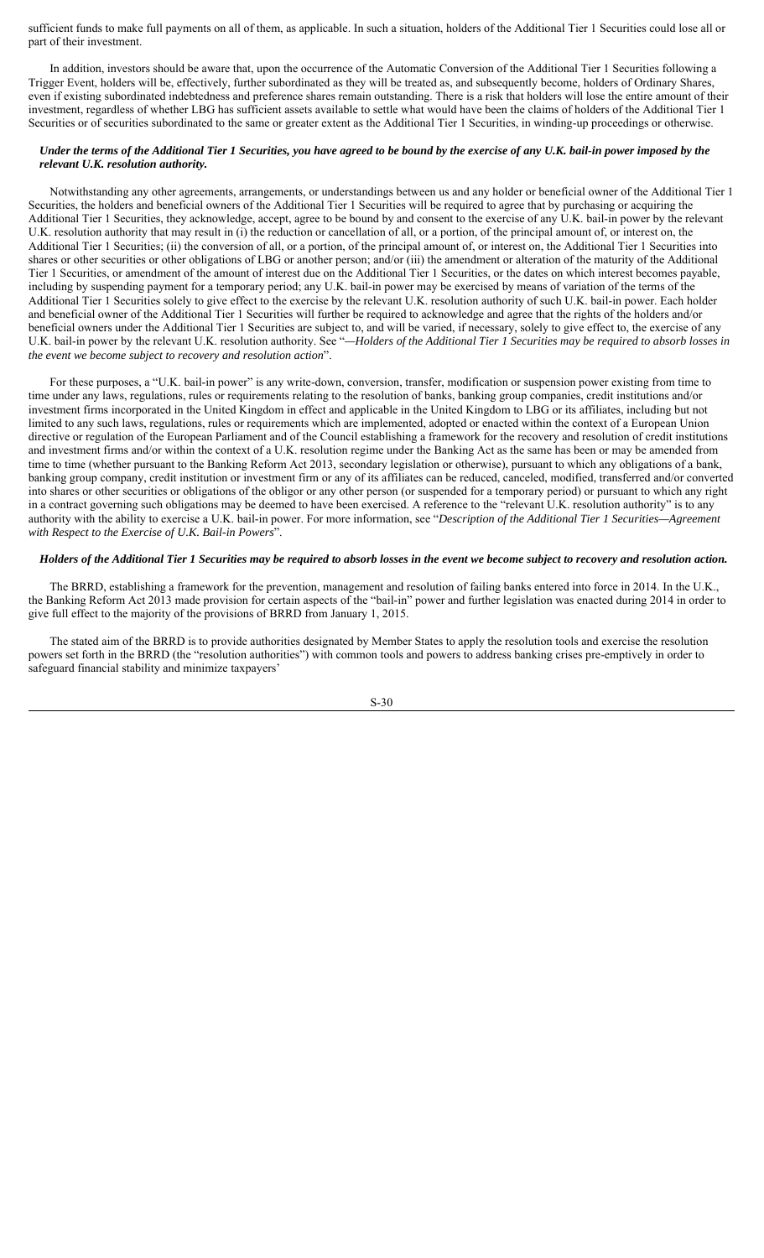sufficient funds to make full payments on all of them, as applicable. In such a situation, holders of the Additional Tier 1 Securities could lose all or part of their investment.

In addition, investors should be aware that, upon the occurrence of the Automatic Conversion of the Additional Tier 1 Securities following a Trigger Event, holders will be, effectively, further subordinated as they will be treated as, and subsequently become, holders of Ordinary Shares, even if existing subordinated indebtedness and preference shares remain outstanding. There is a risk that holders will lose the entire amount of their investment, regardless of whether LBG has sufficient assets available to settle what would have been the claims of holders of the Additional Tier 1 Securities or of securities subordinated to the same or greater extent as the Additional Tier 1 Securities, in winding-up proceedings or otherwise.

# *Under the terms of the Additional Tier 1 Securities, you have agreed to be bound by the exercise of any U.K. bail-in power imposed by the relevant U.K. resolution authority.*

Notwithstanding any other agreements, arrangements, or understandings between us and any holder or beneficial owner of the Additional Tier 1 Securities, the holders and beneficial owners of the Additional Tier 1 Securities will be required to agree that by purchasing or acquiring the Additional Tier 1 Securities, they acknowledge, accept, agree to be bound by and consent to the exercise of any U.K. bail-in power by the relevant U.K. resolution authority that may result in (i) the reduction or cancellation of all, or a portion, of the principal amount of, or interest on, the Additional Tier 1 Securities; (ii) the conversion of all, or a portion, of the principal amount of, or interest on, the Additional Tier 1 Securities into shares or other securities or other obligations of LBG or another person; and/or (iii) the amendment or alteration of the maturity of the Additional Tier 1 Securities, or amendment of the amount of interest due on the Additional Tier 1 Securities, or the dates on which interest becomes payable, including by suspending payment for a temporary period; any U.K. bail-in power may be exercised by means of variation of the terms of the Additional Tier 1 Securities solely to give effect to the exercise by the relevant U.K. resolution authority of such U.K. bail-in power. Each holder and beneficial owner of the Additional Tier 1 Securities will further be required to acknowledge and agree that the rights of the holders and/or beneficial owners under the Additional Tier 1 Securities are subject to, and will be varied, if necessary, solely to give effect to, the exercise of any U.K. bail-in power by the relevant U.K. resolution authority. See "*—Holders of the Additional Tier 1 Securities may be required to absorb losses in the event we become subject to recovery and resolution action*".

For these purposes, a "U.K. bail-in power" is any write-down, conversion, transfer, modification or suspension power existing from time to time under any laws, regulations, rules or requirements relating to the resolution of banks, banking group companies, credit institutions and/or investment firms incorporated in the United Kingdom in effect and applicable in the United Kingdom to LBG or its affiliates, including but not limited to any such laws, regulations, rules or requirements which are implemented, adopted or enacted within the context of a European Union directive or regulation of the European Parliament and of the Council establishing a framework for the recovery and resolution of credit institutions and investment firms and/or within the context of a U.K. resolution regime under the Banking Act as the same has been or may be amended from time to time (whether pursuant to the Banking Reform Act 2013, secondary legislation or otherwise), pursuant to which any obligations of a bank, banking group company, credit institution or investment firm or any of its affiliates can be reduced, canceled, modified, transferred and/or converted into shares or other securities or obligations of the obligor or any other person (or suspended for a temporary period) or pursuant to which any right in a contract governing such obligations may be deemed to have been exercised. A reference to the "relevant U.K. resolution authority" is to any authority with the ability to exercise a U.K. bail-in power. For more information, see "*Description of the Additional Tier 1 Securities—Agreement with Respect to the Exercise of U.K. Bail-in Powers*".

#### *Holders of the Additional Tier 1 Securities may be required to absorb losses in the event we become subject to recovery and resolution action.*

The BRRD, establishing a framework for the prevention, management and resolution of failing banks entered into force in 2014. In the U.K., the Banking Reform Act 2013 made provision for certain aspects of the "bail-in" power and further legislation was enacted during 2014 in order to give full effect to the majority of the provisions of BRRD from January 1, 2015.

The stated aim of the BRRD is to provide authorities designated by Member States to apply the resolution tools and exercise the resolution powers set forth in the BRRD (the "resolution authorities") with common tools and powers to address banking crises pre-emptively in order to safeguard financial stability and minimize taxpayers'

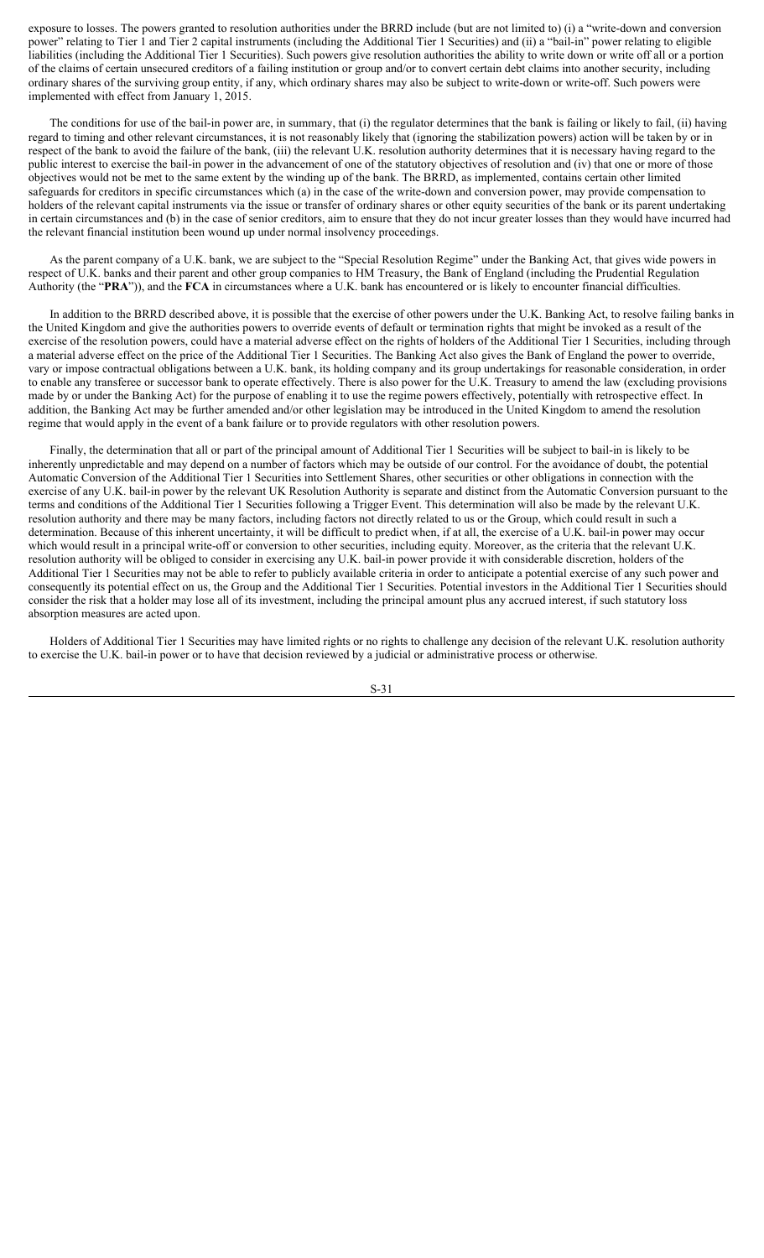exposure to losses. The powers granted to resolution authorities under the BRRD include (but are not limited to) (i) a "write-down and conversion power" relating to Tier 1 and Tier 2 capital instruments (including the Additional Tier 1 Securities) and (ii) a "bail-in" power relating to eligible liabilities (including the Additional Tier 1 Securities). Such powers give resolution authorities the ability to write down or write off all or a portion of the claims of certain unsecured creditors of a failing institution or group and/or to convert certain debt claims into another security, including ordinary shares of the surviving group entity, if any, which ordinary shares may also be subject to write-down or write-off. Such powers were implemented with effect from January 1, 2015.

The conditions for use of the bail-in power are, in summary, that (i) the regulator determines that the bank is failing or likely to fail, (ii) having regard to timing and other relevant circumstances, it is not reasonably likely that (ignoring the stabilization powers) action will be taken by or in respect of the bank to avoid the failure of the bank, (iii) the relevant U.K. resolution authority determines that it is necessary having regard to the public interest to exercise the bail-in power in the advancement of one of the statutory objectives of resolution and (iv) that one or more of those objectives would not be met to the same extent by the winding up of the bank. The BRRD, as implemented, contains certain other limited safeguards for creditors in specific circumstances which (a) in the case of the write-down and conversion power, may provide compensation to holders of the relevant capital instruments via the issue or transfer of ordinary shares or other equity securities of the bank or its parent undertaking in certain circumstances and (b) in the case of senior creditors, aim to ensure that they do not incur greater losses than they would have incurred had the relevant financial institution been wound up under normal insolvency proceedings.

As the parent company of a U.K. bank, we are subject to the "Special Resolution Regime" under the Banking Act, that gives wide powers in respect of U.K. banks and their parent and other group companies to HM Treasury, the Bank of England (including the Prudential Regulation Authority (the "**PRA**")), and the **FCA** in circumstances where a U.K. bank has encountered or is likely to encounter financial difficulties.

In addition to the BRRD described above, it is possible that the exercise of other powers under the U.K. Banking Act, to resolve failing banks in the United Kingdom and give the authorities powers to override events of default or termination rights that might be invoked as a result of the exercise of the resolution powers, could have a material adverse effect on the rights of holders of the Additional Tier 1 Securities, including through a material adverse effect on the price of the Additional Tier 1 Securities. The Banking Act also gives the Bank of England the power to override, vary or impose contractual obligations between a U.K. bank, its holding company and its group undertakings for reasonable consideration, in order to enable any transferee or successor bank to operate effectively. There is also power for the U.K. Treasury to amend the law (excluding provisions made by or under the Banking Act) for the purpose of enabling it to use the regime powers effectively, potentially with retrospective effect. In addition, the Banking Act may be further amended and/or other legislation may be introduced in the United Kingdom to amend the resolution regime that would apply in the event of a bank failure or to provide regulators with other resolution powers.

Finally, the determination that all or part of the principal amount of Additional Tier 1 Securities will be subject to bail-in is likely to be inherently unpredictable and may depend on a number of factors which may be outside of our control. For the avoidance of doubt, the potential Automatic Conversion of the Additional Tier 1 Securities into Settlement Shares, other securities or other obligations in connection with the exercise of any U.K. bail-in power by the relevant UK Resolution Authority is separate and distinct from the Automatic Conversion pursuant to the terms and conditions of the Additional Tier 1 Securities following a Trigger Event. This determination will also be made by the relevant U.K. resolution authority and there may be many factors, including factors not directly related to us or the Group, which could result in such a determination. Because of this inherent uncertainty, it will be difficult to predict when, if at all, the exercise of a U.K. bail-in power may occur which would result in a principal write-off or conversion to other securities, including equity. Moreover, as the criteria that the relevant U.K. resolution authority will be obliged to consider in exercising any U.K. bail-in power provide it with considerable discretion, holders of the Additional Tier 1 Securities may not be able to refer to publicly available criteria in order to anticipate a potential exercise of any such power and consequently its potential effect on us, the Group and the Additional Tier 1 Securities. Potential investors in the Additional Tier 1 Securities should consider the risk that a holder may lose all of its investment, including the principal amount plus any accrued interest, if such statutory loss absorption measures are acted upon.

Holders of Additional Tier 1 Securities may have limited rights or no rights to challenge any decision of the relevant U.K. resolution authority to exercise the U.K. bail-in power or to have that decision reviewed by a judicial or administrative process or otherwise.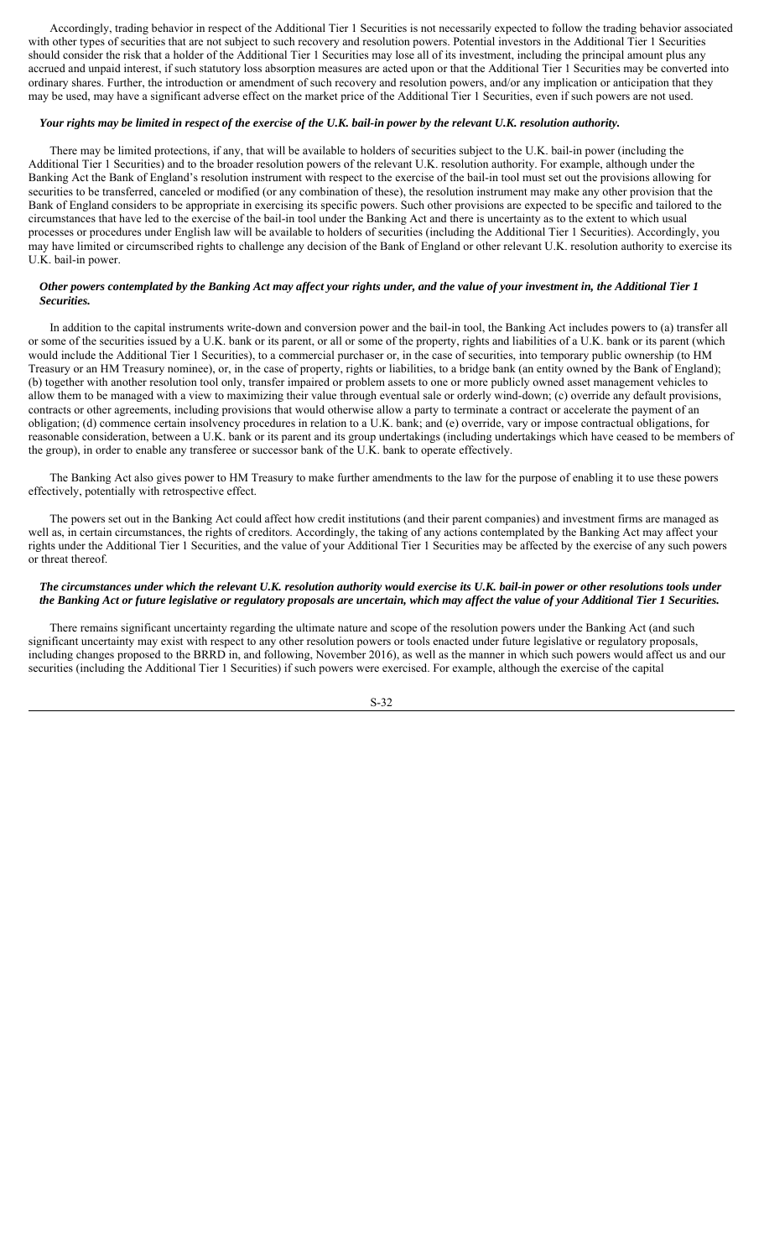Accordingly, trading behavior in respect of the Additional Tier 1 Securities is not necessarily expected to follow the trading behavior associated with other types of securities that are not subject to such recovery and resolution powers. Potential investors in the Additional Tier 1 Securities should consider the risk that a holder of the Additional Tier 1 Securities may lose all of its investment, including the principal amount plus any accrued and unpaid interest, if such statutory loss absorption measures are acted upon or that the Additional Tier 1 Securities may be converted into ordinary shares. Further, the introduction or amendment of such recovery and resolution powers, and/or any implication or anticipation that they may be used, may have a significant adverse effect on the market price of the Additional Tier 1 Securities, even if such powers are not used.

# *Your rights may be limited in respect of the exercise of the U.K. bail-in power by the relevant U.K. resolution authority.*

There may be limited protections, if any, that will be available to holders of securities subject to the U.K. bail-in power (including the Additional Tier 1 Securities) and to the broader resolution powers of the relevant U.K. resolution authority. For example, although under the Banking Act the Bank of England's resolution instrument with respect to the exercise of the bail-in tool must set out the provisions allowing for securities to be transferred, canceled or modified (or any combination of these), the resolution instrument may make any other provision that the Bank of England considers to be appropriate in exercising its specific powers. Such other provisions are expected to be specific and tailored to the circumstances that have led to the exercise of the bail-in tool under the Banking Act and there is uncertainty as to the extent to which usual processes or procedures under English law will be available to holders of securities (including the Additional Tier 1 Securities). Accordingly, you may have limited or circumscribed rights to challenge any decision of the Bank of England or other relevant U.K. resolution authority to exercise its U.K. bail-in power.

#### *Other powers contemplated by the Banking Act may affect your rights under, and the value of your investment in, the Additional Tier 1 Securities.*

In addition to the capital instruments write-down and conversion power and the bail-in tool, the Banking Act includes powers to (a) transfer all or some of the securities issued by a U.K. bank or its parent, or all or some of the property, rights and liabilities of a U.K. bank or its parent (which would include the Additional Tier 1 Securities), to a commercial purchaser or, in the case of securities, into temporary public ownership (to HM Treasury or an HM Treasury nominee), or, in the case of property, rights or liabilities, to a bridge bank (an entity owned by the Bank of England); (b) together with another resolution tool only, transfer impaired or problem assets to one or more publicly owned asset management vehicles to allow them to be managed with a view to maximizing their value through eventual sale or orderly wind-down; (c) override any default provisions, contracts or other agreements, including provisions that would otherwise allow a party to terminate a contract or accelerate the payment of an obligation; (d) commence certain insolvency procedures in relation to a U.K. bank; and (e) override, vary or impose contractual obligations, for reasonable consideration, between a U.K. bank or its parent and its group undertakings (including undertakings which have ceased to be members of the group), in order to enable any transferee or successor bank of the U.K. bank to operate effectively.

The Banking Act also gives power to HM Treasury to make further amendments to the law for the purpose of enabling it to use these powers effectively, potentially with retrospective effect.

The powers set out in the Banking Act could affect how credit institutions (and their parent companies) and investment firms are managed as well as, in certain circumstances, the rights of creditors. Accordingly, the taking of any actions contemplated by the Banking Act may affect your rights under the Additional Tier 1 Securities, and the value of your Additional Tier 1 Securities may be affected by the exercise of any such powers or threat thereof.

### *The circumstances under which the relevant U.K. resolution authority would exercise its U.K. bail-in power or other resolutions tools under the Banking Act or future legislative or regulatory proposals are uncertain, which may affect the value of your Additional Tier 1 Securities.*

There remains significant uncertainty regarding the ultimate nature and scope of the resolution powers under the Banking Act (and such significant uncertainty may exist with respect to any other resolution powers or tools enacted under future legislative or regulatory proposals, including changes proposed to the BRRD in, and following, November 2016), as well as the manner in which such powers would affect us and our securities (including the Additional Tier 1 Securities) if such powers were exercised. For example, although the exercise of the capital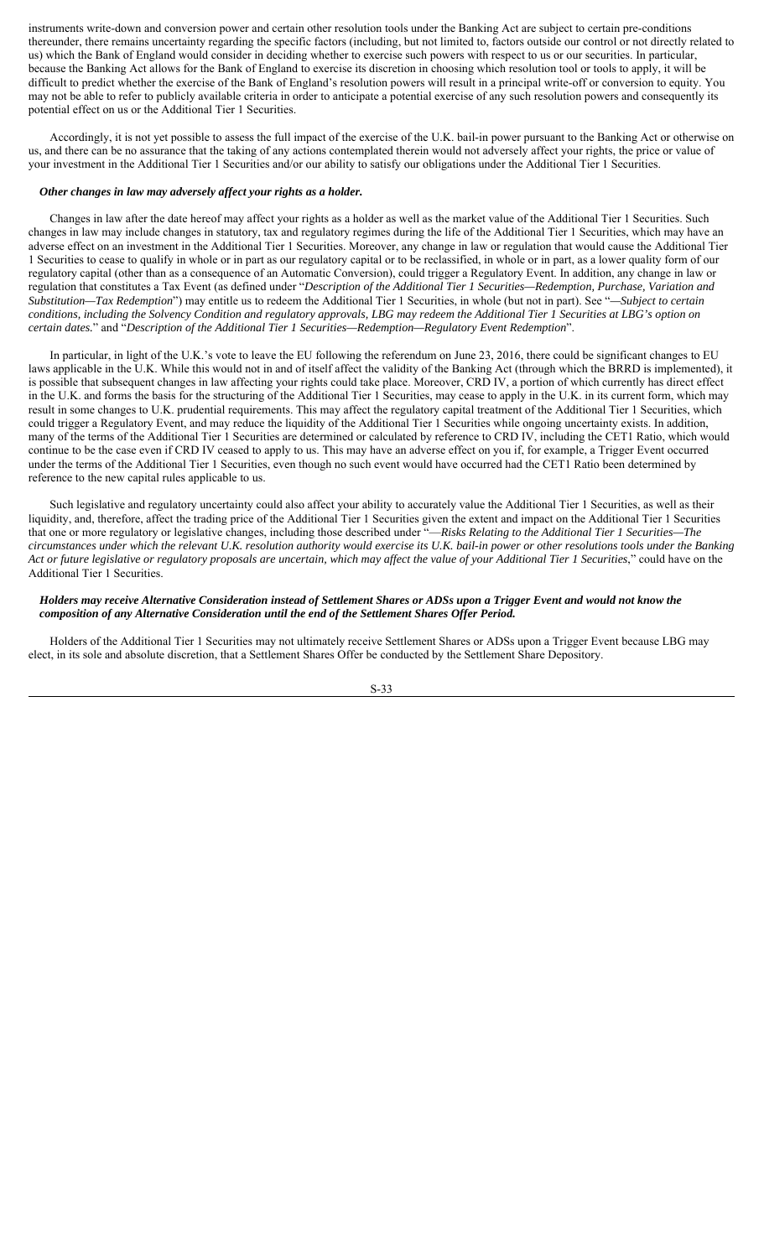instruments write-down and conversion power and certain other resolution tools under the Banking Act are subject to certain pre-conditions thereunder, there remains uncertainty regarding the specific factors (including, but not limited to, factors outside our control or not directly related to us) which the Bank of England would consider in deciding whether to exercise such powers with respect to us or our securities. In particular, because the Banking Act allows for the Bank of England to exercise its discretion in choosing which resolution tool or tools to apply, it will be difficult to predict whether the exercise of the Bank of England's resolution powers will result in a principal write-off or conversion to equity. You may not be able to refer to publicly available criteria in order to anticipate a potential exercise of any such resolution powers and consequently its potential effect on us or the Additional Tier 1 Securities.

Accordingly, it is not yet possible to assess the full impact of the exercise of the U.K. bail-in power pursuant to the Banking Act or otherwise on us, and there can be no assurance that the taking of any actions contemplated therein would not adversely affect your rights, the price or value of your investment in the Additional Tier 1 Securities and/or our ability to satisfy our obligations under the Additional Tier 1 Securities.

#### *Other changes in law may adversely affect your rights as a holder.*

Changes in law after the date hereof may affect your rights as a holder as well as the market value of the Additional Tier 1 Securities. Such changes in law may include changes in statutory, tax and regulatory regimes during the life of the Additional Tier 1 Securities, which may have an adverse effect on an investment in the Additional Tier 1 Securities. Moreover, any change in law or regulation that would cause the Additional Tier 1 Securities to cease to qualify in whole or in part as our regulatory capital or to be reclassified, in whole or in part, as a lower quality form of our regulatory capital (other than as a consequence of an Automatic Conversion), could trigger a Regulatory Event. In addition, any change in law or regulation that constitutes a Tax Event (as defined under "*Description of the Additional Tier 1 Securities—Redemption, Purchase, Variation and Substitution—Tax Redemption*") may entitle us to redeem the Additional Tier 1 Securities, in whole (but not in part). See "*—Subject to certain conditions, including the Solvency Condition and regulatory approvals, LBG may redeem the Additional Tier 1 Securities at LBG's option on certain dates.*" and "*Description of the Additional Tier 1 Securities—Redemption—Regulatory Event Redemption*".

In particular, in light of the U.K.'s vote to leave the EU following the referendum on June 23, 2016, there could be significant changes to EU laws applicable in the U.K. While this would not in and of itself affect the validity of the Banking Act (through which the BRRD is implemented), it is possible that subsequent changes in law affecting your rights could take place. Moreover, CRD IV, a portion of which currently has direct effect in the U.K. and forms the basis for the structuring of the Additional Tier 1 Securities, may cease to apply in the U.K. in its current form, which may result in some changes to U.K. prudential requirements. This may affect the regulatory capital treatment of the Additional Tier 1 Securities, which could trigger a Regulatory Event, and may reduce the liquidity of the Additional Tier 1 Securities while ongoing uncertainty exists. In addition, many of the terms of the Additional Tier 1 Securities are determined or calculated by reference to CRD IV, including the CET1 Ratio, which would continue to be the case even if CRD IV ceased to apply to us. This may have an adverse effect on you if, for example, a Trigger Event occurred under the terms of the Additional Tier 1 Securities, even though no such event would have occurred had the CET1 Ratio been determined by reference to the new capital rules applicable to us.

Such legislative and regulatory uncertainty could also affect your ability to accurately value the Additional Tier 1 Securities, as well as their liquidity, and, therefore, affect the trading price of the Additional Tier 1 Securities given the extent and impact on the Additional Tier 1 Securities that one or more regulatory or legislative changes, including those described under "—*Risks Relating to the Additional Tier 1 Securities—The circumstances under which the relevant U.K. resolution authority would exercise its U.K. bail-in power or other resolutions tools under the Banking Act or future legislative or regulatory proposals are uncertain, which may affect the value of your Additional Tier 1 Securities*," could have on the Additional Tier 1 Securities.

# *Holders may receive Alternative Consideration instead of Settlement Shares or ADSs upon a Trigger Event and would not know the composition of any Alternative Consideration until the end of the Settlement Shares Offer Period.*

Holders of the Additional Tier 1 Securities may not ultimately receive Settlement Shares or ADSs upon a Trigger Event because LBG may elect, in its sole and absolute discretion, that a Settlement Shares Offer be conducted by the Settlement Share Depository.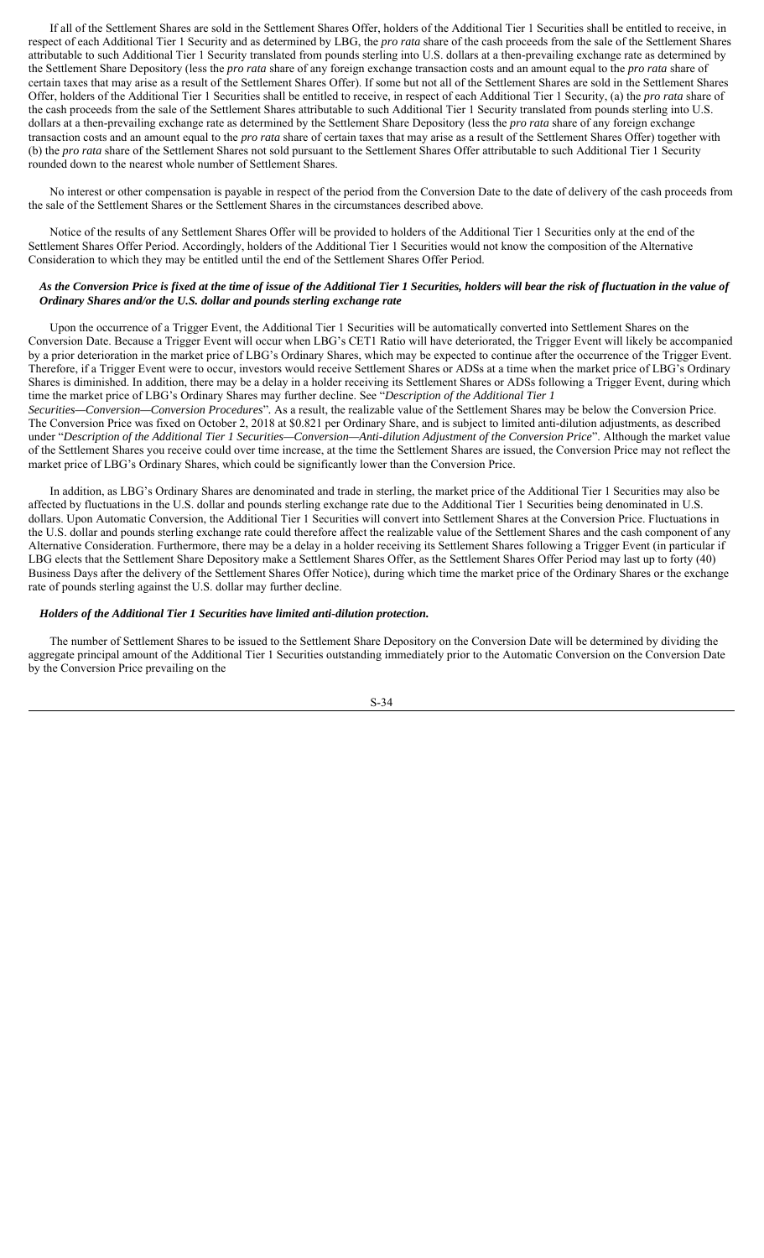If all of the Settlement Shares are sold in the Settlement Shares Offer, holders of the Additional Tier 1 Securities shall be entitled to receive, in respect of each Additional Tier 1 Security and as determined by LBG, the *pro rata* share of the cash proceeds from the sale of the Settlement Shares attributable to such Additional Tier 1 Security translated from pounds sterling into U.S. dollars at a then-prevailing exchange rate as determined by the Settlement Share Depository (less the *pro rata* share of any foreign exchange transaction costs and an amount equal to the *pro rata* share of certain taxes that may arise as a result of the Settlement Shares Offer). If some but not all of the Settlement Shares are sold in the Settlement Shares Offer, holders of the Additional Tier 1 Securities shall be entitled to receive, in respect of each Additional Tier 1 Security, (a) the *pro rata* share of the cash proceeds from the sale of the Settlement Shares attributable to such Additional Tier 1 Security translated from pounds sterling into U.S. dollars at a then-prevailing exchange rate as determined by the Settlement Share Depository (less the *pro rata* share of any foreign exchange transaction costs and an amount equal to the *pro rata* share of certain taxes that may arise as a result of the Settlement Shares Offer) together with (b) the *pro rata* share of the Settlement Shares not sold pursuant to the Settlement Shares Offer attributable to such Additional Tier 1 Security rounded down to the nearest whole number of Settlement Shares.

No interest or other compensation is payable in respect of the period from the Conversion Date to the date of delivery of the cash proceeds from the sale of the Settlement Shares or the Settlement Shares in the circumstances described above.

Notice of the results of any Settlement Shares Offer will be provided to holders of the Additional Tier 1 Securities only at the end of the Settlement Shares Offer Period. Accordingly, holders of the Additional Tier 1 Securities would not know the composition of the Alternative Consideration to which they may be entitled until the end of the Settlement Shares Offer Period.

# *As the Conversion Price is fixed at the time of issue of the Additional Tier 1 Securities, holders will bear the risk of fluctuation in the value of Ordinary Shares and/or the U.S. dollar and pounds sterling exchange rate*

Upon the occurrence of a Trigger Event, the Additional Tier 1 Securities will be automatically converted into Settlement Shares on the Conversion Date. Because a Trigger Event will occur when LBG's CET1 Ratio will have deteriorated, the Trigger Event will likely be accompanied by a prior deterioration in the market price of LBG's Ordinary Shares, which may be expected to continue after the occurrence of the Trigger Event. Therefore, if a Trigger Event were to occur, investors would receive Settlement Shares or ADSs at a time when the market price of LBG's Ordinary Shares is diminished. In addition, there may be a delay in a holder receiving its Settlement Shares or ADSs following a Trigger Event, during which time the market price of LBG's Ordinary Shares may further decline. See "*Description of the Additional Tier 1* 

*Securities—Conversion—Conversion Procedures*"*.* As a result, the realizable value of the Settlement Shares may be below the Conversion Price. The Conversion Price was fixed on October 2, 2018 at \$0.821 per Ordinary Share, and is subject to limited anti-dilution adjustments, as described under "*Description of the Additional Tier 1 Securities—Conversion—Anti-dilution Adjustment of the Conversion Price*". Although the market value of the Settlement Shares you receive could over time increase, at the time the Settlement Shares are issued, the Conversion Price may not reflect the market price of LBG's Ordinary Shares, which could be significantly lower than the Conversion Price.

In addition, as LBG's Ordinary Shares are denominated and trade in sterling, the market price of the Additional Tier 1 Securities may also be affected by fluctuations in the U.S. dollar and pounds sterling exchange rate due to the Additional Tier 1 Securities being denominated in U.S. dollars. Upon Automatic Conversion, the Additional Tier 1 Securities will convert into Settlement Shares at the Conversion Price. Fluctuations in the U.S. dollar and pounds sterling exchange rate could therefore affect the realizable value of the Settlement Shares and the cash component of any Alternative Consideration. Furthermore, there may be a delay in a holder receiving its Settlement Shares following a Trigger Event (in particular if LBG elects that the Settlement Share Depository make a Settlement Shares Offer, as the Settlement Shares Offer Period may last up to forty (40) Business Days after the delivery of the Settlement Shares Offer Notice), during which time the market price of the Ordinary Shares or the exchange rate of pounds sterling against the U.S. dollar may further decline.

# *Holders of the Additional Tier 1 Securities have limited anti-dilution protection.*

The number of Settlement Shares to be issued to the Settlement Share Depository on the Conversion Date will be determined by dividing the aggregate principal amount of the Additional Tier 1 Securities outstanding immediately prior to the Automatic Conversion on the Conversion Date by the Conversion Price prevailing on the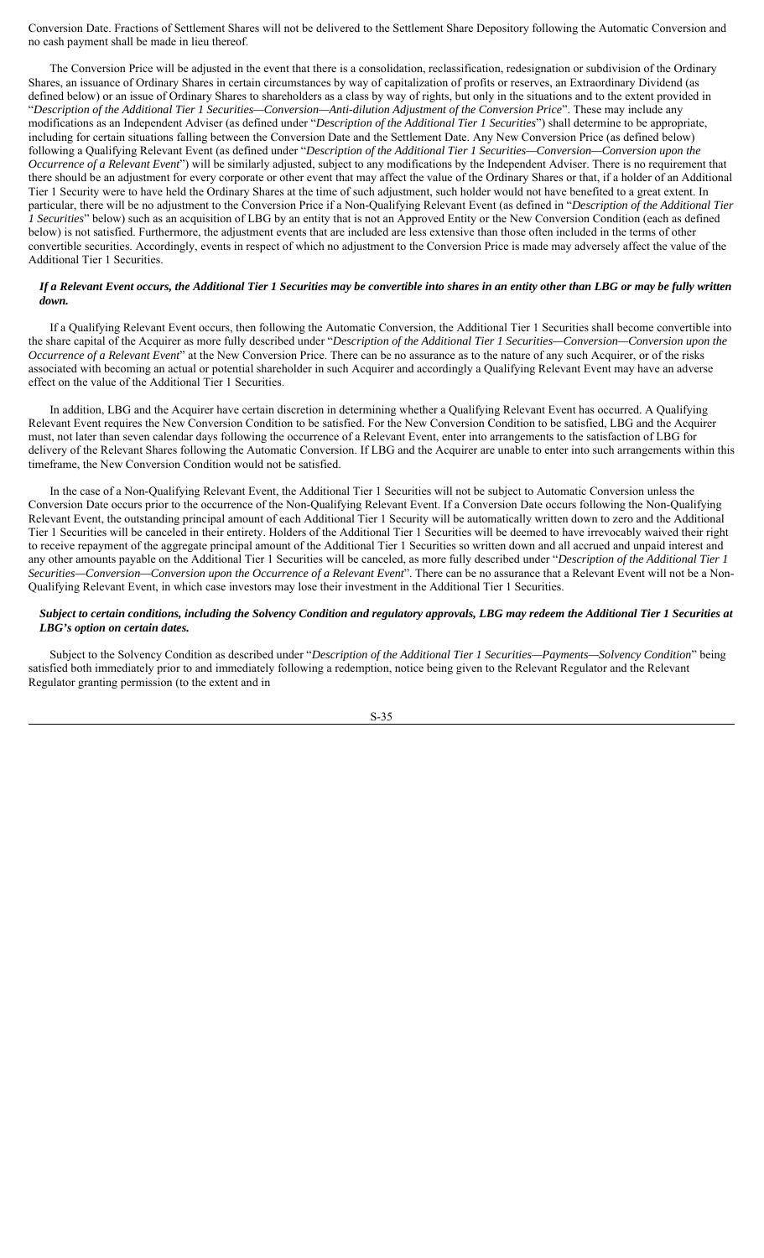Conversion Date. Fractions of Settlement Shares will not be delivered to the Settlement Share Depository following the Automatic Conversion and no cash payment shall be made in lieu thereof.

The Conversion Price will be adjusted in the event that there is a consolidation, reclassification, redesignation or subdivision of the Ordinary Shares, an issuance of Ordinary Shares in certain circumstances by way of capitalization of profits or reserves, an Extraordinary Dividend (as defined below) or an issue of Ordinary Shares to shareholders as a class by way of rights, but only in the situations and to the extent provided in "*Description of the Additional Tier 1 Securities—Conversion—Anti-dilution Adjustment of the Conversion Price*". These may include any modifications as an Independent Adviser (as defined under "*Description of the Additional Tier 1 Securities*") shall determine to be appropriate, including for certain situations falling between the Conversion Date and the Settlement Date. Any New Conversion Price (as defined below) following a Qualifying Relevant Event (as defined under "*Description of the Additional Tier 1 Securities—Conversion—Conversion upon the Occurrence of a Relevant Event*") will be similarly adjusted, subject to any modifications by the Independent Adviser. There is no requirement that there should be an adjustment for every corporate or other event that may affect the value of the Ordinary Shares or that, if a holder of an Additional Tier 1 Security were to have held the Ordinary Shares at the time of such adjustment, such holder would not have benefited to a great extent. In particular, there will be no adjustment to the Conversion Price if a Non-Qualifying Relevant Event (as defined in "*Description of the Additional Tier 1 Securities*" below) such as an acquisition of LBG by an entity that is not an Approved Entity or the New Conversion Condition (each as defined below) is not satisfied. Furthermore, the adjustment events that are included are less extensive than those often included in the terms of other convertible securities. Accordingly, events in respect of which no adjustment to the Conversion Price is made may adversely affect the value of the Additional Tier 1 Securities.

## *If a Relevant Event occurs, the Additional Tier 1 Securities may be convertible into shares in an entity other than LBG or may be fully written down.*

If a Qualifying Relevant Event occurs, then following the Automatic Conversion, the Additional Tier 1 Securities shall become convertible into the share capital of the Acquirer as more fully described under "*Description of the Additional Tier 1 Securities—Conversion—Conversion upon the Occurrence of a Relevant Event*" at the New Conversion Price. There can be no assurance as to the nature of any such Acquirer, or of the risks associated with becoming an actual or potential shareholder in such Acquirer and accordingly a Qualifying Relevant Event may have an adverse effect on the value of the Additional Tier 1 Securities.

In addition, LBG and the Acquirer have certain discretion in determining whether a Qualifying Relevant Event has occurred. A Qualifying Relevant Event requires the New Conversion Condition to be satisfied. For the New Conversion Condition to be satisfied, LBG and the Acquirer must, not later than seven calendar days following the occurrence of a Relevant Event, enter into arrangements to the satisfaction of LBG for delivery of the Relevant Shares following the Automatic Conversion. If LBG and the Acquirer are unable to enter into such arrangements within this timeframe, the New Conversion Condition would not be satisfied.

In the case of a Non-Qualifying Relevant Event, the Additional Tier 1 Securities will not be subject to Automatic Conversion unless the Conversion Date occurs prior to the occurrence of the Non-Qualifying Relevant Event. If a Conversion Date occurs following the Non-Qualifying Relevant Event, the outstanding principal amount of each Additional Tier 1 Security will be automatically written down to zero and the Additional Tier 1 Securities will be canceled in their entirety. Holders of the Additional Tier 1 Securities will be deemed to have irrevocably waived their right to receive repayment of the aggregate principal amount of the Additional Tier 1 Securities so written down and all accrued and unpaid interest and any other amounts payable on the Additional Tier 1 Securities will be canceled, as more fully described under "*Description of the Additional Tier 1 Securities—Conversion—Conversion upon the Occurrence of a Relevant Event*". There can be no assurance that a Relevant Event will not be a Non-Qualifying Relevant Event, in which case investors may lose their investment in the Additional Tier 1 Securities.

## *Subject to certain conditions, including the Solvency Condition and regulatory approvals, LBG may redeem the Additional Tier 1 Securities at LBG's option on certain dates.*

Subject to the Solvency Condition as described under "*Description of the Additional Tier 1 Securities—Payments—Solvency Condition*" being satisfied both immediately prior to and immediately following a redemption, notice being given to the Relevant Regulator and the Relevant Regulator granting permission (to the extent and in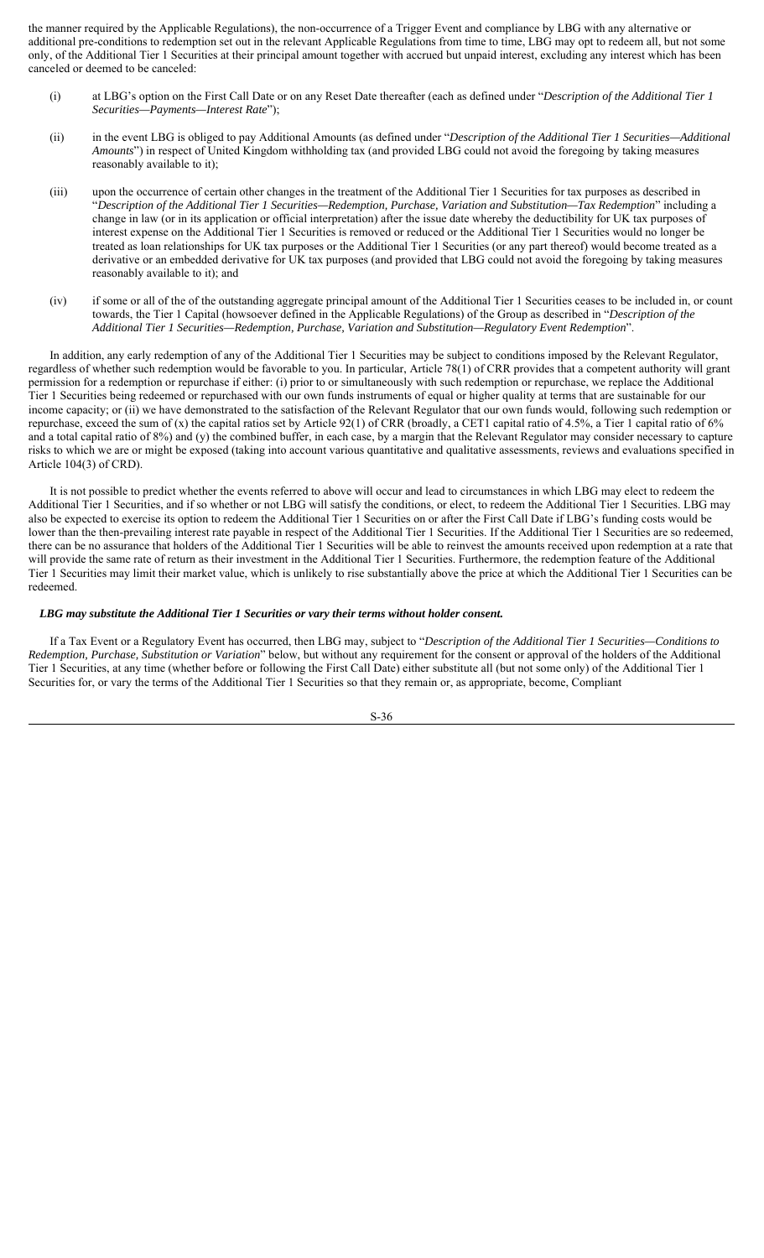the manner required by the Applicable Regulations), the non-occurrence of a Trigger Event and compliance by LBG with any alternative or additional pre-conditions to redemption set out in the relevant Applicable Regulations from time to time, LBG may opt to redeem all, but not some only, of the Additional Tier 1 Securities at their principal amount together with accrued but unpaid interest, excluding any interest which has been canceled or deemed to be canceled:

- (i) at LBG's option on the First Call Date or on any Reset Date thereafter (each as defined under "*Description of the Additional Tier 1 Securities—Payments—Interest Rate*");
- (ii) in the event LBG is obliged to pay Additional Amounts (as defined under "*Description of the Additional Tier 1 Securities—Additional Amounts*") in respect of United Kingdom withholding tax (and provided LBG could not avoid the foregoing by taking measures reasonably available to it);
- (iii) upon the occurrence of certain other changes in the treatment of the Additional Tier 1 Securities for tax purposes as described in "*Description of the Additional Tier 1 Securities—Redemption, Purchase, Variation and Substitution—Tax Redemption*" including a change in law (or in its application or official interpretation) after the issue date whereby the deductibility for UK tax purposes of interest expense on the Additional Tier 1 Securities is removed or reduced or the Additional Tier 1 Securities would no longer be treated as loan relationships for UK tax purposes or the Additional Tier 1 Securities (or any part thereof) would become treated as a derivative or an embedded derivative for UK tax purposes (and provided that LBG could not avoid the foregoing by taking measures reasonably available to it); and
- (iv) if some or all of the of the outstanding aggregate principal amount of the Additional Tier 1 Securities ceases to be included in, or count towards, the Tier 1 Capital (howsoever defined in the Applicable Regulations) of the Group as described in "*Description of the Additional Tier 1 Securities—Redemption, Purchase, Variation and Substitution—Regulatory Event Redemption*".

In addition, any early redemption of any of the Additional Tier 1 Securities may be subject to conditions imposed by the Relevant Regulator, regardless of whether such redemption would be favorable to you. In particular, Article 78(1) of CRR provides that a competent authority will grant permission for a redemption or repurchase if either: (i) prior to or simultaneously with such redemption or repurchase, we replace the Additional Tier 1 Securities being redeemed or repurchased with our own funds instruments of equal or higher quality at terms that are sustainable for our income capacity; or (ii) we have demonstrated to the satisfaction of the Relevant Regulator that our own funds would, following such redemption or repurchase, exceed the sum of (x) the capital ratios set by Article 92(1) of CRR (broadly, a CET1 capital ratio of 4.5%, a Tier 1 capital ratio of 6% and a total capital ratio of 8%) and (y) the combined buffer, in each case, by a margin that the Relevant Regulator may consider necessary to capture risks to which we are or might be exposed (taking into account various quantitative and qualitative assessments, reviews and evaluations specified in Article 104(3) of CRD).

It is not possible to predict whether the events referred to above will occur and lead to circumstances in which LBG may elect to redeem the Additional Tier 1 Securities, and if so whether or not LBG will satisfy the conditions, or elect, to redeem the Additional Tier 1 Securities. LBG may also be expected to exercise its option to redeem the Additional Tier 1 Securities on or after the First Call Date if LBG's funding costs would be lower than the then-prevailing interest rate payable in respect of the Additional Tier 1 Securities. If the Additional Tier 1 Securities are so redeemed, there can be no assurance that holders of the Additional Tier 1 Securities will be able to reinvest the amounts received upon redemption at a rate that will provide the same rate of return as their investment in the Additional Tier 1 Securities. Furthermore, the redemption feature of the Additional Tier 1 Securities may limit their market value, which is unlikely to rise substantially above the price at which the Additional Tier 1 Securities can be redeemed.

#### *LBG may substitute the Additional Tier 1 Securities or vary their terms without holder consent.*

If a Tax Event or a Regulatory Event has occurred, then LBG may, subject to "*Description of the Additional Tier 1 Securities—Conditions to Redemption, Purchase, Substitution or Variation*" below, but without any requirement for the consent or approval of the holders of the Additional Tier 1 Securities, at any time (whether before or following the First Call Date) either substitute all (but not some only) of the Additional Tier 1 Securities for, or vary the terms of the Additional Tier 1 Securities so that they remain or, as appropriate, become, Compliant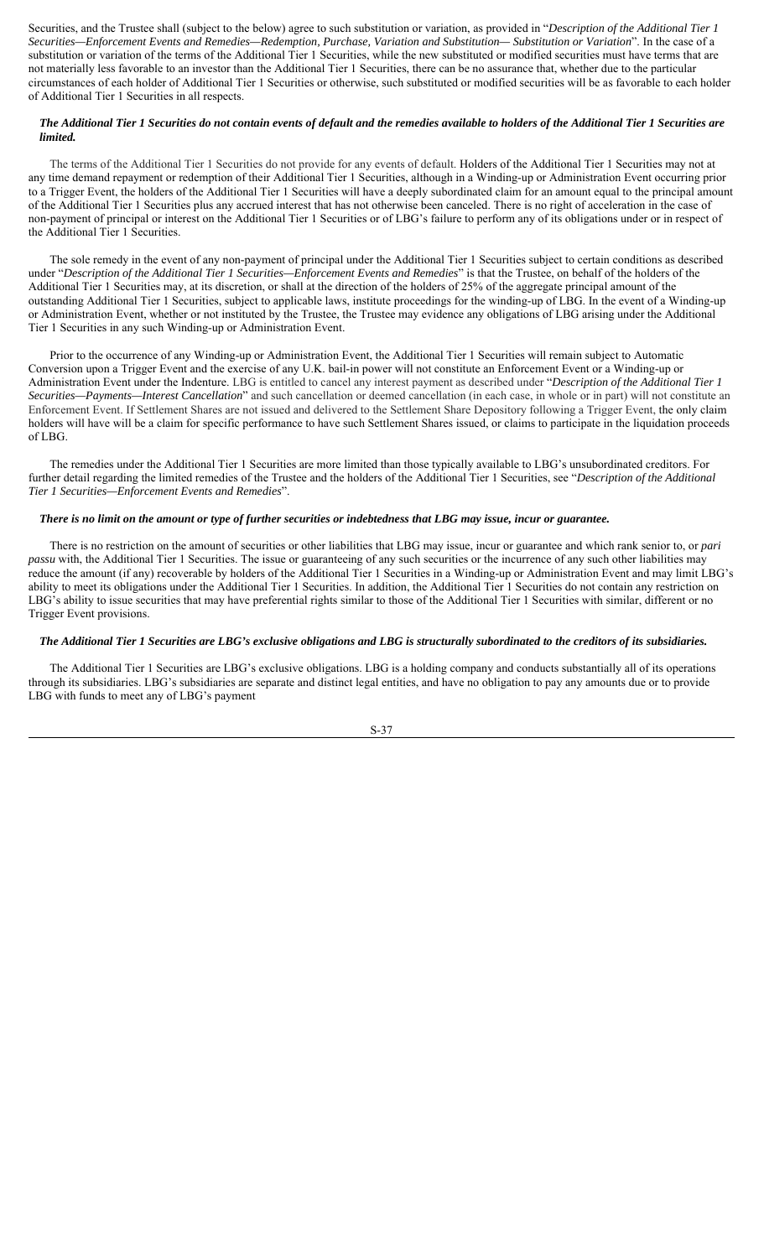Securities, and the Trustee shall (subject to the below) agree to such substitution or variation, as provided in "*Description of the Additional Tier 1 Securities—Enforcement Events and Remedies—Redemption, Purchase, Variation and Substitution— Substitution or Variation*". In the case of a substitution or variation of the terms of the Additional Tier 1 Securities, while the new substituted or modified securities must have terms that are not materially less favorable to an investor than the Additional Tier 1 Securities, there can be no assurance that, whether due to the particular circumstances of each holder of Additional Tier 1 Securities or otherwise, such substituted or modified securities will be as favorable to each holder of Additional Tier 1 Securities in all respects.

# *The Additional Tier 1 Securities do not contain events of default and the remedies available to holders of the Additional Tier 1 Securities are limited.*

The terms of the Additional Tier 1 Securities do not provide for any events of default. Holders of the Additional Tier 1 Securities may not at any time demand repayment or redemption of their Additional Tier 1 Securities, although in a Winding-up or Administration Event occurring prior to a Trigger Event, the holders of the Additional Tier 1 Securities will have a deeply subordinated claim for an amount equal to the principal amount of the Additional Tier 1 Securities plus any accrued interest that has not otherwise been canceled. There is no right of acceleration in the case of non-payment of principal or interest on the Additional Tier 1 Securities or of LBG's failure to perform any of its obligations under or in respect of the Additional Tier 1 Securities.

The sole remedy in the event of any non-payment of principal under the Additional Tier 1 Securities subject to certain conditions as described under "*Description of the Additional Tier 1 Securities—Enforcement Events and Remedies*" is that the Trustee, on behalf of the holders of the Additional Tier 1 Securities may, at its discretion, or shall at the direction of the holders of 25% of the aggregate principal amount of the outstanding Additional Tier 1 Securities, subject to applicable laws, institute proceedings for the winding-up of LBG. In the event of a Winding-up or Administration Event, whether or not instituted by the Trustee, the Trustee may evidence any obligations of LBG arising under the Additional Tier 1 Securities in any such Winding-up or Administration Event.

Prior to the occurrence of any Winding-up or Administration Event, the Additional Tier 1 Securities will remain subject to Automatic Conversion upon a Trigger Event and the exercise of any U.K. bail-in power will not constitute an Enforcement Event or a Winding-up or Administration Event under the Indenture. LBG is entitled to cancel any interest payment as described under "*Description of the Additional Tier 1 Securities—Payments—Interest Cancellation*" and such cancellation or deemed cancellation (in each case, in whole or in part) will not constitute an Enforcement Event. If Settlement Shares are not issued and delivered to the Settlement Share Depository following a Trigger Event, the only claim holders will have will be a claim for specific performance to have such Settlement Shares issued, or claims to participate in the liquidation proceeds of LBG.

The remedies under the Additional Tier 1 Securities are more limited than those typically available to LBG's unsubordinated creditors. For further detail regarding the limited remedies of the Trustee and the holders of the Additional Tier 1 Securities, see "*Description of the Additional Tier 1 Securities—Enforcement Events and Remedies*".

### *There is no limit on the amount or type of further securities or indebtedness that LBG may issue, incur or guarantee.*

There is no restriction on the amount of securities or other liabilities that LBG may issue, incur or guarantee and which rank senior to, or *pari passu* with, the Additional Tier 1 Securities. The issue or guaranteeing of any such securities or the incurrence of any such other liabilities may reduce the amount (if any) recoverable by holders of the Additional Tier 1 Securities in a Winding-up or Administration Event and may limit LBG's ability to meet its obligations under the Additional Tier 1 Securities. In addition, the Additional Tier 1 Securities do not contain any restriction on LBG's ability to issue securities that may have preferential rights similar to those of the Additional Tier 1 Securities with similar, different or no Trigger Event provisions.

# *The Additional Tier 1 Securities are LBG's exclusive obligations and LBG is structurally subordinated to the creditors of its subsidiaries.*

The Additional Tier 1 Securities are LBG's exclusive obligations. LBG is a holding company and conducts substantially all of its operations through its subsidiaries. LBG's subsidiaries are separate and distinct legal entities, and have no obligation to pay any amounts due or to provide LBG with funds to meet any of LBG's payment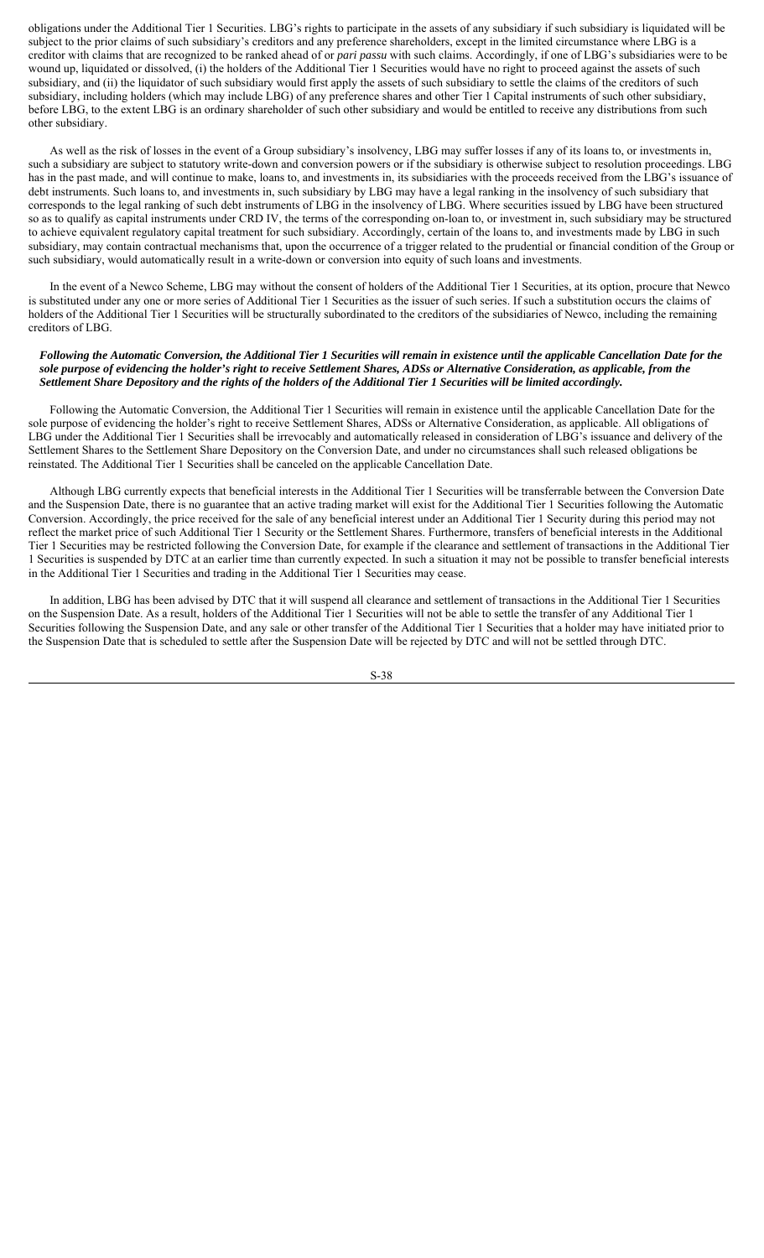obligations under the Additional Tier 1 Securities. LBG's rights to participate in the assets of any subsidiary if such subsidiary is liquidated will be subject to the prior claims of such subsidiary's creditors and any preference shareholders, except in the limited circumstance where LBG is a creditor with claims that are recognized to be ranked ahead of or *pari passu* with such claims. Accordingly, if one of LBG's subsidiaries were to be wound up, liquidated or dissolved, (i) the holders of the Additional Tier 1 Securities would have no right to proceed against the assets of such subsidiary, and (ii) the liquidator of such subsidiary would first apply the assets of such subsidiary to settle the claims of the creditors of such subsidiary, including holders (which may include LBG) of any preference shares and other Tier 1 Capital instruments of such other subsidiary, before LBG, to the extent LBG is an ordinary shareholder of such other subsidiary and would be entitled to receive any distributions from such other subsidiary.

As well as the risk of losses in the event of a Group subsidiary's insolvency, LBG may suffer losses if any of its loans to, or investments in, such a subsidiary are subject to statutory write-down and conversion powers or if the subsidiary is otherwise subject to resolution proceedings. LBG has in the past made, and will continue to make, loans to, and investments in, its subsidiaries with the proceeds received from the LBG's issuance of debt instruments. Such loans to, and investments in, such subsidiary by LBG may have a legal ranking in the insolvency of such subsidiary that corresponds to the legal ranking of such debt instruments of LBG in the insolvency of LBG. Where securities issued by LBG have been structured so as to qualify as capital instruments under CRD IV, the terms of the corresponding on-loan to, or investment in, such subsidiary may be structured to achieve equivalent regulatory capital treatment for such subsidiary. Accordingly, certain of the loans to, and investments made by LBG in such subsidiary, may contain contractual mechanisms that, upon the occurrence of a trigger related to the prudential or financial condition of the Group or such subsidiary, would automatically result in a write-down or conversion into equity of such loans and investments.

In the event of a Newco Scheme, LBG may without the consent of holders of the Additional Tier 1 Securities, at its option, procure that Newco is substituted under any one or more series of Additional Tier 1 Securities as the issuer of such series. If such a substitution occurs the claims of holders of the Additional Tier 1 Securities will be structurally subordinated to the creditors of the subsidiaries of Newco, including the remaining creditors of LBG.

#### *Following the Automatic Conversion, the Additional Tier 1 Securities will remain in existence until the applicable Cancellation Date for the sole purpose of evidencing the holder's right to receive Settlement Shares, ADSs or Alternative Consideration, as applicable, from the Settlement Share Depository and the rights of the holders of the Additional Tier 1 Securities will be limited accordingly.*

Following the Automatic Conversion, the Additional Tier 1 Securities will remain in existence until the applicable Cancellation Date for the sole purpose of evidencing the holder's right to receive Settlement Shares, ADSs or Alternative Consideration, as applicable. All obligations of LBG under the Additional Tier 1 Securities shall be irrevocably and automatically released in consideration of LBG's issuance and delivery of the Settlement Shares to the Settlement Share Depository on the Conversion Date, and under no circumstances shall such released obligations be reinstated. The Additional Tier 1 Securities shall be canceled on the applicable Cancellation Date.

Although LBG currently expects that beneficial interests in the Additional Tier 1 Securities will be transferrable between the Conversion Date and the Suspension Date, there is no guarantee that an active trading market will exist for the Additional Tier 1 Securities following the Automatic Conversion. Accordingly, the price received for the sale of any beneficial interest under an Additional Tier 1 Security during this period may not reflect the market price of such Additional Tier 1 Security or the Settlement Shares. Furthermore, transfers of beneficial interests in the Additional Tier 1 Securities may be restricted following the Conversion Date, for example if the clearance and settlement of transactions in the Additional Tier 1 Securities is suspended by DTC at an earlier time than currently expected. In such a situation it may not be possible to transfer beneficial interests in the Additional Tier 1 Securities and trading in the Additional Tier 1 Securities may cease.

In addition, LBG has been advised by DTC that it will suspend all clearance and settlement of transactions in the Additional Tier 1 Securities on the Suspension Date. As a result, holders of the Additional Tier 1 Securities will not be able to settle the transfer of any Additional Tier 1 Securities following the Suspension Date, and any sale or other transfer of the Additional Tier 1 Securities that a holder may have initiated prior to the Suspension Date that is scheduled to settle after the Suspension Date will be rejected by DTC and will not be settled through DTC.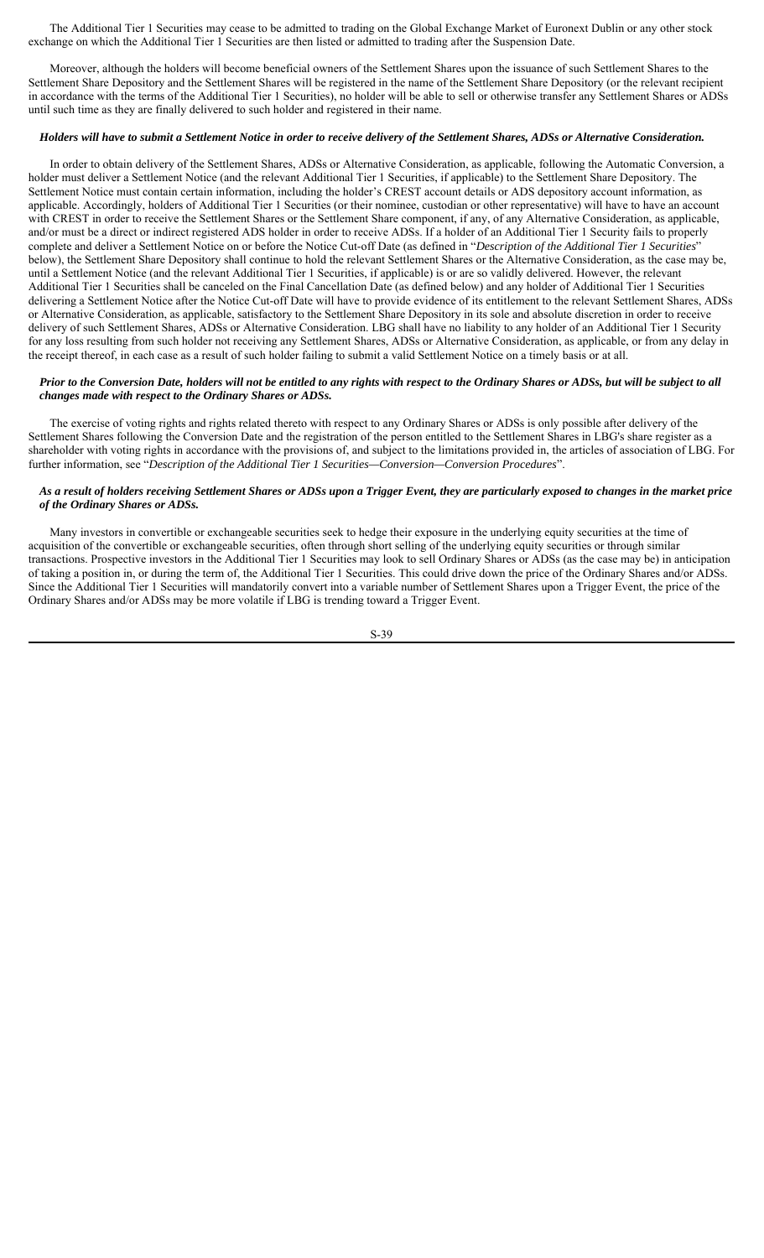The Additional Tier 1 Securities may cease to be admitted to trading on the Global Exchange Market of Euronext Dublin or any other stock exchange on which the Additional Tier 1 Securities are then listed or admitted to trading after the Suspension Date.

Moreover, although the holders will become beneficial owners of the Settlement Shares upon the issuance of such Settlement Shares to the Settlement Share Depository and the Settlement Shares will be registered in the name of the Settlement Share Depository (or the relevant recipient in accordance with the terms of the Additional Tier 1 Securities), no holder will be able to sell or otherwise transfer any Settlement Shares or ADSs until such time as they are finally delivered to such holder and registered in their name.

## *Holders will have to submit a Settlement Notice in order to receive delivery of the Settlement Shares, ADSs or Alternative Consideration.*

In order to obtain delivery of the Settlement Shares, ADSs or Alternative Consideration, as applicable, following the Automatic Conversion, a holder must deliver a Settlement Notice (and the relevant Additional Tier 1 Securities, if applicable) to the Settlement Share Depository. The Settlement Notice must contain certain information, including the holder's CREST account details or ADS depository account information, as applicable. Accordingly, holders of Additional Tier 1 Securities (or their nominee, custodian or other representative) will have to have an account with CREST in order to receive the Settlement Shares or the Settlement Share component, if any, of any Alternative Consideration, as applicable, and/or must be a direct or indirect registered ADS holder in order to receive ADSs. If a holder of an Additional Tier 1 Security fails to properly complete and deliver a Settlement Notice on or before the Notice Cut-off Date (as defined in "*Description of the Additional Tier 1 Securities*" below), the Settlement Share Depository shall continue to hold the relevant Settlement Shares or the Alternative Consideration, as the case may be, until a Settlement Notice (and the relevant Additional Tier 1 Securities, if applicable) is or are so validly delivered. However, the relevant Additional Tier 1 Securities shall be canceled on the Final Cancellation Date (as defined below) and any holder of Additional Tier 1 Securities delivering a Settlement Notice after the Notice Cut-off Date will have to provide evidence of its entitlement to the relevant Settlement Shares, ADSs or Alternative Consideration, as applicable, satisfactory to the Settlement Share Depository in its sole and absolute discretion in order to receive delivery of such Settlement Shares, ADSs or Alternative Consideration. LBG shall have no liability to any holder of an Additional Tier 1 Security for any loss resulting from such holder not receiving any Settlement Shares, ADSs or Alternative Consideration, as applicable, or from any delay in the receipt thereof, in each case as a result of such holder failing to submit a valid Settlement Notice on a timely basis or at all.

### *Prior to the Conversion Date, holders will not be entitled to any rights with respect to the Ordinary Shares or ADSs, but will be subject to all changes made with respect to the Ordinary Shares or ADSs.*

The exercise of voting rights and rights related thereto with respect to any Ordinary Shares or ADSs is only possible after delivery of the Settlement Shares following the Conversion Date and the registration of the person entitled to the Settlement Shares in LBG's share register as a shareholder with voting rights in accordance with the provisions of, and subject to the limitations provided in, the articles of association of LBG. For further information, see "*Description of the Additional Tier 1 Securities—Conversion—Conversion Procedures*".

# *As a result of holders receiving Settlement Shares or ADSs upon a Trigger Event, they are particularly exposed to changes in the market price of the Ordinary Shares or ADSs.*

Many investors in convertible or exchangeable securities seek to hedge their exposure in the underlying equity securities at the time of acquisition of the convertible or exchangeable securities, often through short selling of the underlying equity securities or through similar transactions. Prospective investors in the Additional Tier 1 Securities may look to sell Ordinary Shares or ADSs (as the case may be) in anticipation of taking a position in, or during the term of, the Additional Tier 1 Securities. This could drive down the price of the Ordinary Shares and/or ADSs. Since the Additional Tier 1 Securities will mandatorily convert into a variable number of Settlement Shares upon a Trigger Event, the price of the Ordinary Shares and/or ADSs may be more volatile if LBG is trending toward a Trigger Event.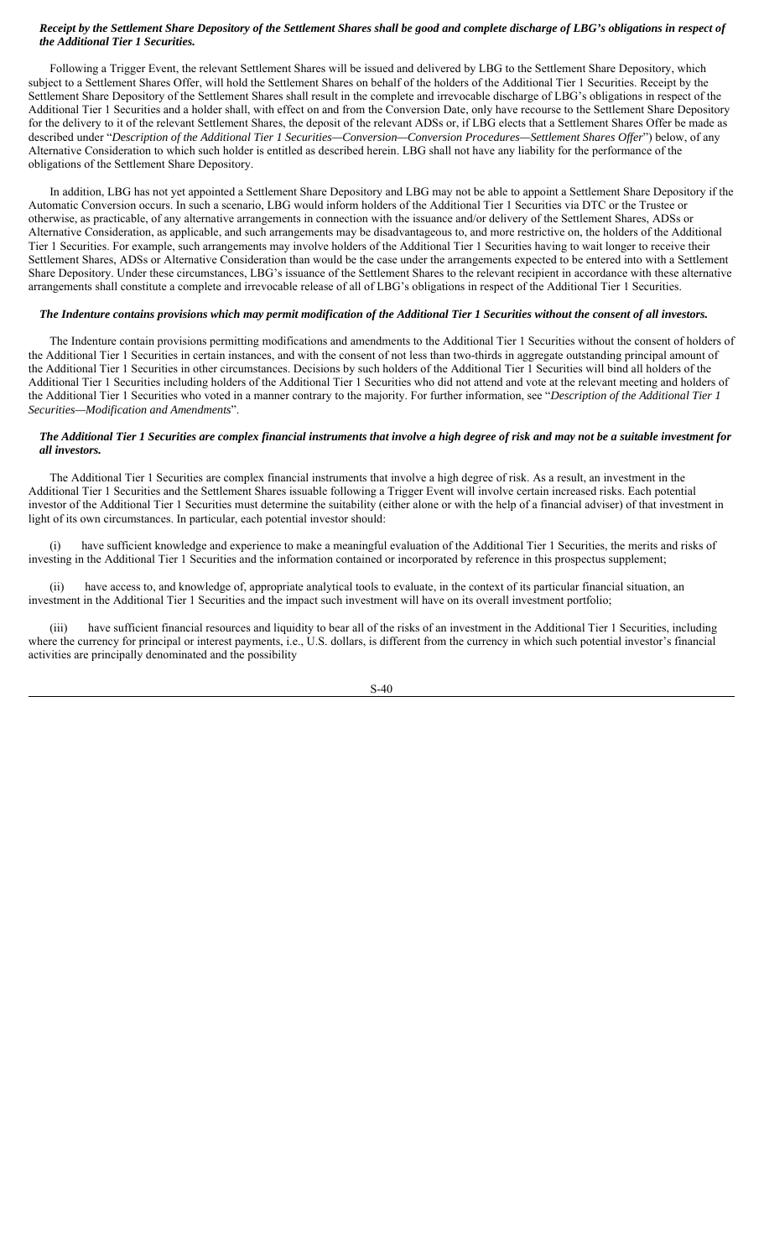# *Receipt by the Settlement Share Depository of the Settlement Shares shall be good and complete discharge of LBG's obligations in respect of the Additional Tier 1 Securities.*

Following a Trigger Event, the relevant Settlement Shares will be issued and delivered by LBG to the Settlement Share Depository, which subject to a Settlement Shares Offer, will hold the Settlement Shares on behalf of the holders of the Additional Tier 1 Securities. Receipt by the Settlement Share Depository of the Settlement Shares shall result in the complete and irrevocable discharge of LBG's obligations in respect of the Additional Tier 1 Securities and a holder shall, with effect on and from the Conversion Date, only have recourse to the Settlement Share Depository for the delivery to it of the relevant Settlement Shares, the deposit of the relevant ADSs or, if LBG elects that a Settlement Shares Offer be made as described under "*Description of the Additional Tier 1 Securities—Conversion—Conversion Procedures—Settlement Shares Offer*") below, of any Alternative Consideration to which such holder is entitled as described herein. LBG shall not have any liability for the performance of the obligations of the Settlement Share Depository.

In addition, LBG has not yet appointed a Settlement Share Depository and LBG may not be able to appoint a Settlement Share Depository if the Automatic Conversion occurs. In such a scenario, LBG would inform holders of the Additional Tier 1 Securities via DTC or the Trustee or otherwise, as practicable, of any alternative arrangements in connection with the issuance and/or delivery of the Settlement Shares, ADSs or Alternative Consideration, as applicable, and such arrangements may be disadvantageous to, and more restrictive on, the holders of the Additional Tier 1 Securities. For example, such arrangements may involve holders of the Additional Tier 1 Securities having to wait longer to receive their Settlement Shares, ADSs or Alternative Consideration than would be the case under the arrangements expected to be entered into with a Settlement Share Depository. Under these circumstances, LBG's issuance of the Settlement Shares to the relevant recipient in accordance with these alternative arrangements shall constitute a complete and irrevocable release of all of LBG's obligations in respect of the Additional Tier 1 Securities.

#### *The Indenture contains provisions which may permit modification of the Additional Tier 1 Securities without the consent of all investors.*

The Indenture contain provisions permitting modifications and amendments to the Additional Tier 1 Securities without the consent of holders of the Additional Tier 1 Securities in certain instances, and with the consent of not less than two-thirds in aggregate outstanding principal amount of the Additional Tier 1 Securities in other circumstances. Decisions by such holders of the Additional Tier 1 Securities will bind all holders of the Additional Tier 1 Securities including holders of the Additional Tier 1 Securities who did not attend and vote at the relevant meeting and holders of the Additional Tier 1 Securities who voted in a manner contrary to the majority. For further information, see "*Description of the Additional Tier 1 Securities—Modification and Amendments*".

## *The Additional Tier 1 Securities are complex financial instruments that involve a high degree of risk and may not be a suitable investment for all investors.*

The Additional Tier 1 Securities are complex financial instruments that involve a high degree of risk. As a result, an investment in the Additional Tier 1 Securities and the Settlement Shares issuable following a Trigger Event will involve certain increased risks. Each potential investor of the Additional Tier 1 Securities must determine the suitability (either alone or with the help of a financial adviser) of that investment in light of its own circumstances. In particular, each potential investor should:

(i) have sufficient knowledge and experience to make a meaningful evaluation of the Additional Tier 1 Securities, the merits and risks of investing in the Additional Tier 1 Securities and the information contained or incorporated by reference in this prospectus supplement;

(ii) have access to, and knowledge of, appropriate analytical tools to evaluate, in the context of its particular financial situation, an investment in the Additional Tier 1 Securities and the impact such investment will have on its overall investment portfolio;

have sufficient financial resources and liquidity to bear all of the risks of an investment in the Additional Tier 1 Securities, including where the currency for principal or interest payments, i.e., U.S. dollars, is different from the currency in which such potential investor's financial activities are principally denominated and the possibility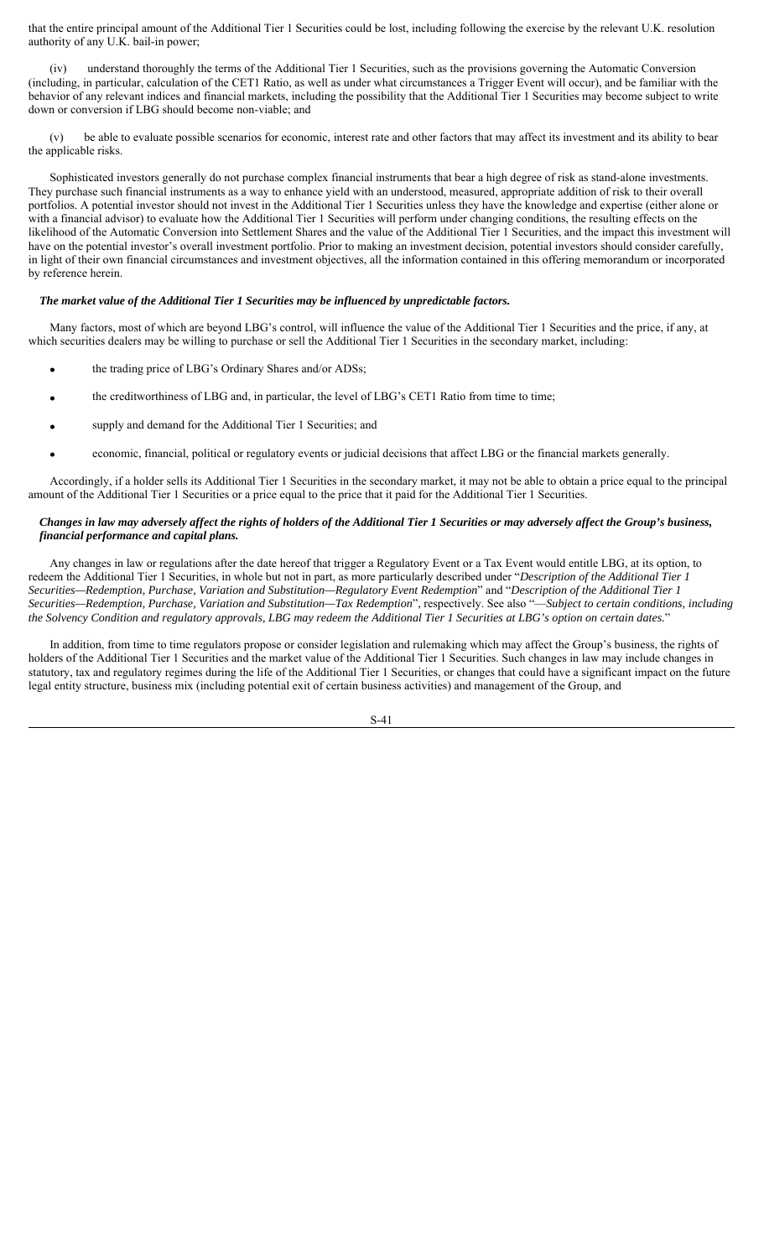that the entire principal amount of the Additional Tier 1 Securities could be lost, including following the exercise by the relevant U.K. resolution authority of any U.K. bail-in power;

(iv) understand thoroughly the terms of the Additional Tier 1 Securities, such as the provisions governing the Automatic Conversion (including, in particular, calculation of the CET1 Ratio, as well as under what circumstances a Trigger Event will occur), and be familiar with the behavior of any relevant indices and financial markets, including the possibility that the Additional Tier 1 Securities may become subject to write down or conversion if LBG should become non-viable; and

be able to evaluate possible scenarios for economic, interest rate and other factors that may affect its investment and its ability to bear the applicable risks.

Sophisticated investors generally do not purchase complex financial instruments that bear a high degree of risk as stand-alone investments. They purchase such financial instruments as a way to enhance yield with an understood, measured, appropriate addition of risk to their overall portfolios. A potential investor should not invest in the Additional Tier 1 Securities unless they have the knowledge and expertise (either alone or with a financial advisor) to evaluate how the Additional Tier 1 Securities will perform under changing conditions, the resulting effects on the likelihood of the Automatic Conversion into Settlement Shares and the value of the Additional Tier 1 Securities, and the impact this investment will have on the potential investor's overall investment portfolio. Prior to making an investment decision, potential investors should consider carefully, in light of their own financial circumstances and investment objectives, all the information contained in this offering memorandum or incorporated by reference herein.

## *The market value of the Additional Tier 1 Securities may be influenced by unpredictable factors.*

Many factors, most of which are beyond LBG's control, will influence the value of the Additional Tier 1 Securities and the price, if any, at which securities dealers may be willing to purchase or sell the Additional Tier 1 Securities in the secondary market, including:

- the trading price of LBG's Ordinary Shares and/or ADSs;
- the creditworthiness of LBG and, in particular, the level of LBG's CET1 Ratio from time to time;
- supply and demand for the Additional Tier 1 Securities; and
- economic, financial, political or regulatory events or judicial decisions that affect LBG or the financial markets generally.

Accordingly, if a holder sells its Additional Tier 1 Securities in the secondary market, it may not be able to obtain a price equal to the principal amount of the Additional Tier 1 Securities or a price equal to the price that it paid for the Additional Tier 1 Securities.

# *Changes in law may adversely affect the rights of holders of the Additional Tier 1 Securities or may adversely affect the Group's business, financial performance and capital plans.*

Any changes in law or regulations after the date hereof that trigger a Regulatory Event or a Tax Event would entitle LBG, at its option, to redeem the Additional Tier 1 Securities, in whole but not in part, as more particularly described under "*Description of the Additional Tier 1 Securities—Redemption, Purchase, Variation and Substitution—Regulatory Event Redemption*" and "*Description of the Additional Tier 1 Securities—Redemption, Purchase, Variation and Substitution—Tax Redemption*", respectively. See also "—*Subject to certain conditions, including the Solvency Condition and regulatory approvals, LBG may redeem the Additional Tier 1 Securities at LBG's option on certain dates.*"

In addition, from time to time regulators propose or consider legislation and rulemaking which may affect the Group's business, the rights of holders of the Additional Tier 1 Securities and the market value of the Additional Tier 1 Securities. Such changes in law may include changes in statutory, tax and regulatory regimes during the life of the Additional Tier 1 Securities, or changes that could have a significant impact on the future legal entity structure, business mix (including potential exit of certain business activities) and management of the Group, and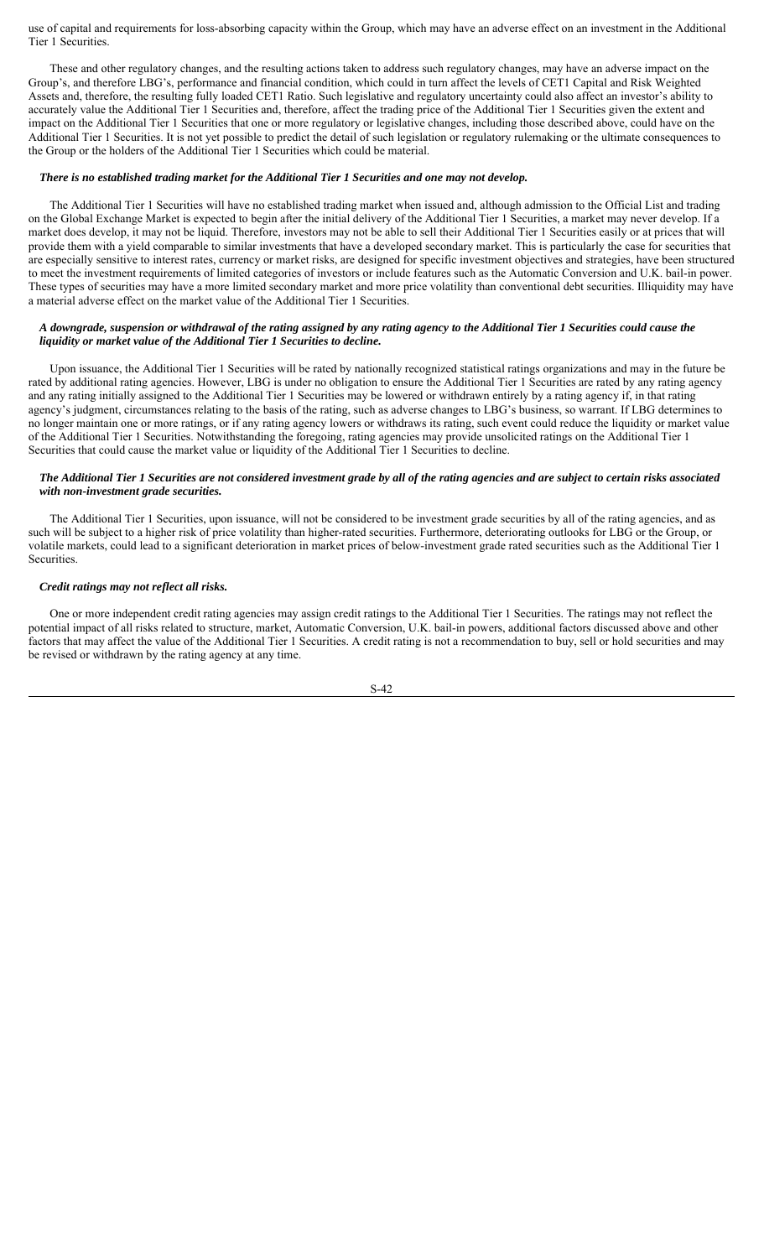use of capital and requirements for loss-absorbing capacity within the Group, which may have an adverse effect on an investment in the Additional Tier 1 Securities.

These and other regulatory changes, and the resulting actions taken to address such regulatory changes, may have an adverse impact on the Group's, and therefore LBG's, performance and financial condition, which could in turn affect the levels of CET1 Capital and Risk Weighted Assets and, therefore, the resulting fully loaded CET1 Ratio. Such legislative and regulatory uncertainty could also affect an investor's ability to accurately value the Additional Tier 1 Securities and, therefore, affect the trading price of the Additional Tier 1 Securities given the extent and impact on the Additional Tier 1 Securities that one or more regulatory or legislative changes, including those described above, could have on the Additional Tier 1 Securities. It is not yet possible to predict the detail of such legislation or regulatory rulemaking or the ultimate consequences to the Group or the holders of the Additional Tier 1 Securities which could be material.

## *There is no established trading market for the Additional Tier 1 Securities and one may not develop.*

The Additional Tier 1 Securities will have no established trading market when issued and, although admission to the Official List and trading on the Global Exchange Market is expected to begin after the initial delivery of the Additional Tier 1 Securities, a market may never develop. If a market does develop, it may not be liquid. Therefore, investors may not be able to sell their Additional Tier 1 Securities easily or at prices that will provide them with a yield comparable to similar investments that have a developed secondary market. This is particularly the case for securities that are especially sensitive to interest rates, currency or market risks, are designed for specific investment objectives and strategies, have been structured to meet the investment requirements of limited categories of investors or include features such as the Automatic Conversion and U.K. bail-in power. These types of securities may have a more limited secondary market and more price volatility than conventional debt securities. Illiquidity may have a material adverse effect on the market value of the Additional Tier 1 Securities.

## *A downgrade, suspension or withdrawal of the rating assigned by any rating agency to the Additional Tier 1 Securities could cause the liquidity or market value of the Additional Tier 1 Securities to decline.*

Upon issuance, the Additional Tier 1 Securities will be rated by nationally recognized statistical ratings organizations and may in the future be rated by additional rating agencies. However, LBG is under no obligation to ensure the Additional Tier 1 Securities are rated by any rating agency and any rating initially assigned to the Additional Tier 1 Securities may be lowered or withdrawn entirely by a rating agency if, in that rating agency's judgment, circumstances relating to the basis of the rating, such as adverse changes to LBG's business, so warrant. If LBG determines to no longer maintain one or more ratings, or if any rating agency lowers or withdraws its rating, such event could reduce the liquidity or market value of the Additional Tier 1 Securities. Notwithstanding the foregoing, rating agencies may provide unsolicited ratings on the Additional Tier 1 Securities that could cause the market value or liquidity of the Additional Tier 1 Securities to decline.

### *The Additional Tier 1 Securities are not considered investment grade by all of the rating agencies and are subject to certain risks associated with non-investment grade securities.*

The Additional Tier 1 Securities, upon issuance, will not be considered to be investment grade securities by all of the rating agencies, and as such will be subject to a higher risk of price volatility than higher-rated securities. Furthermore, deteriorating outlooks for LBG or the Group, or volatile markets, could lead to a significant deterioration in market prices of below-investment grade rated securities such as the Additional Tier 1 Securities.

### *Credit ratings may not reflect all risks.*

One or more independent credit rating agencies may assign credit ratings to the Additional Tier 1 Securities. The ratings may not reflect the potential impact of all risks related to structure, market, Automatic Conversion, U.K. bail-in powers, additional factors discussed above and other factors that may affect the value of the Additional Tier 1 Securities. A credit rating is not a recommendation to buy, sell or hold securities and may be revised or withdrawn by the rating agency at any time.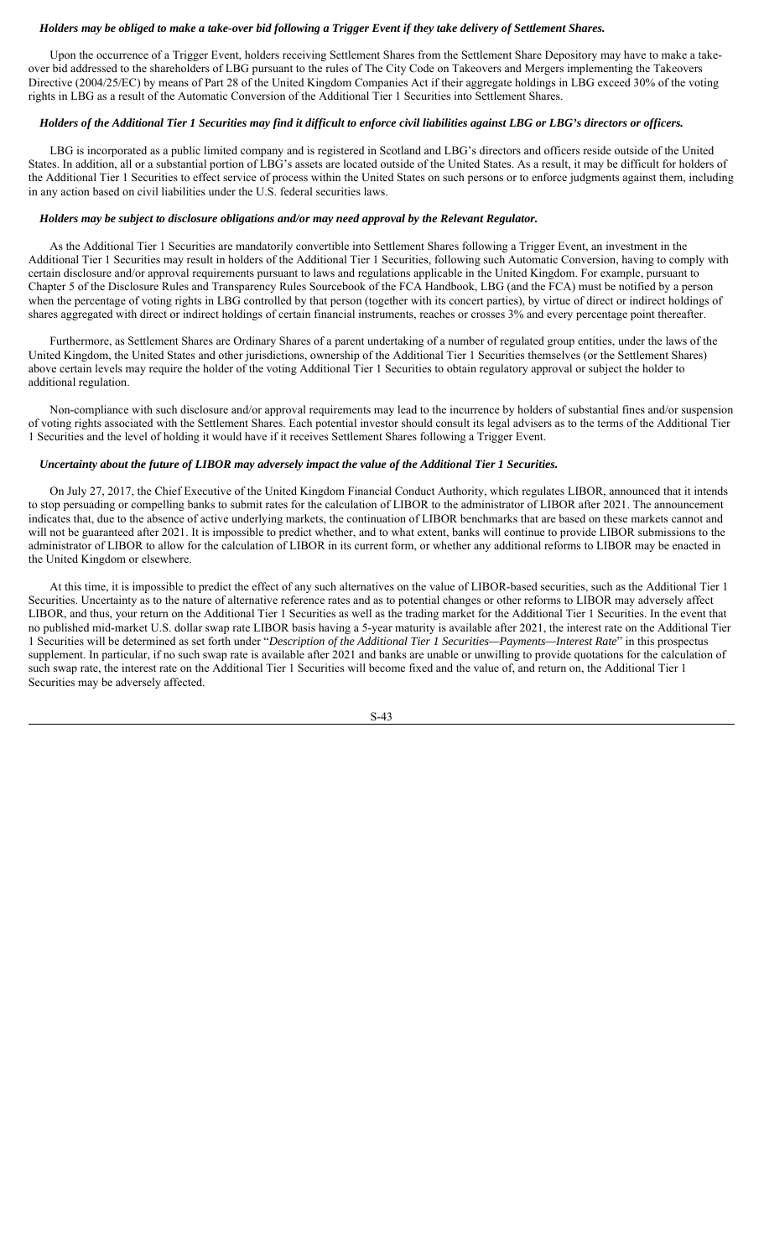## *Holders may be obliged to make a take-over bid following a Trigger Event if they take delivery of Settlement Shares.*

Upon the occurrence of a Trigger Event, holders receiving Settlement Shares from the Settlement Share Depository may have to make a takeover bid addressed to the shareholders of LBG pursuant to the rules of The City Code on Takeovers and Mergers implementing the Takeovers Directive (2004/25/EC) by means of Part 28 of the United Kingdom Companies Act if their aggregate holdings in LBG exceed 30% of the voting rights in LBG as a result of the Automatic Conversion of the Additional Tier 1 Securities into Settlement Shares.

# *Holders of the Additional Tier 1 Securities may find it difficult to enforce civil liabilities against LBG or LBG's directors or officers.*

LBG is incorporated as a public limited company and is registered in Scotland and LBG's directors and officers reside outside of the United States. In addition, all or a substantial portion of LBG's assets are located outside of the United States. As a result, it may be difficult for holders of the Additional Tier 1 Securities to effect service of process within the United States on such persons or to enforce judgments against them, including in any action based on civil liabilities under the U.S. federal securities laws.

# *Holders may be subject to disclosure obligations and/or may need approval by the Relevant Regulator.*

As the Additional Tier 1 Securities are mandatorily convertible into Settlement Shares following a Trigger Event, an investment in the Additional Tier 1 Securities may result in holders of the Additional Tier 1 Securities, following such Automatic Conversion, having to comply with certain disclosure and/or approval requirements pursuant to laws and regulations applicable in the United Kingdom. For example, pursuant to Chapter 5 of the Disclosure Rules and Transparency Rules Sourcebook of the FCA Handbook, LBG (and the FCA) must be notified by a person when the percentage of voting rights in LBG controlled by that person (together with its concert parties), by virtue of direct or indirect holdings of shares aggregated with direct or indirect holdings of certain financial instruments, reaches or crosses 3% and every percentage point thereafter.

Furthermore, as Settlement Shares are Ordinary Shares of a parent undertaking of a number of regulated group entities, under the laws of the United Kingdom, the United States and other jurisdictions, ownership of the Additional Tier 1 Securities themselves (or the Settlement Shares) above certain levels may require the holder of the voting Additional Tier 1 Securities to obtain regulatory approval or subject the holder to additional regulation.

Non-compliance with such disclosure and/or approval requirements may lead to the incurrence by holders of substantial fines and/or suspension of voting rights associated with the Settlement Shares. Each potential investor should consult its legal advisers as to the terms of the Additional Tier 1 Securities and the level of holding it would have if it receives Settlement Shares following a Trigger Event.

# *Uncertainty about the future of LIBOR may adversely impact the value of the Additional Tier 1 Securities.*

On July 27, 2017, the Chief Executive of the United Kingdom Financial Conduct Authority, which regulates LIBOR, announced that it intends to stop persuading or compelling banks to submit rates for the calculation of LIBOR to the administrator of LIBOR after 2021. The announcement indicates that, due to the absence of active underlying markets, the continuation of LIBOR benchmarks that are based on these markets cannot and will not be guaranteed after 2021. It is impossible to predict whether, and to what extent, banks will continue to provide LIBOR submissions to the administrator of LIBOR to allow for the calculation of LIBOR in its current form, or whether any additional reforms to LIBOR may be enacted in the United Kingdom or elsewhere.

At this time, it is impossible to predict the effect of any such alternatives on the value of LIBOR-based securities, such as the Additional Tier 1 Securities. Uncertainty as to the nature of alternative reference rates and as to potential changes or other reforms to LIBOR may adversely affect LIBOR, and thus, your return on the Additional Tier 1 Securities as well as the trading market for the Additional Tier 1 Securities. In the event that no published mid-market U.S. dollar swap rate LIBOR basis having a 5-year maturity is available after 2021, the interest rate on the Additional Tier 1 Securities will be determined as set forth under "*Description of the Additional Tier 1 Securities—Payments—Interest Rate*" in this prospectus supplement. In particular, if no such swap rate is available after 2021 and banks are unable or unwilling to provide quotations for the calculation of such swap rate, the interest rate on the Additional Tier 1 Securities will become fixed and the value of, and return on, the Additional Tier 1 Securities may be adversely affected.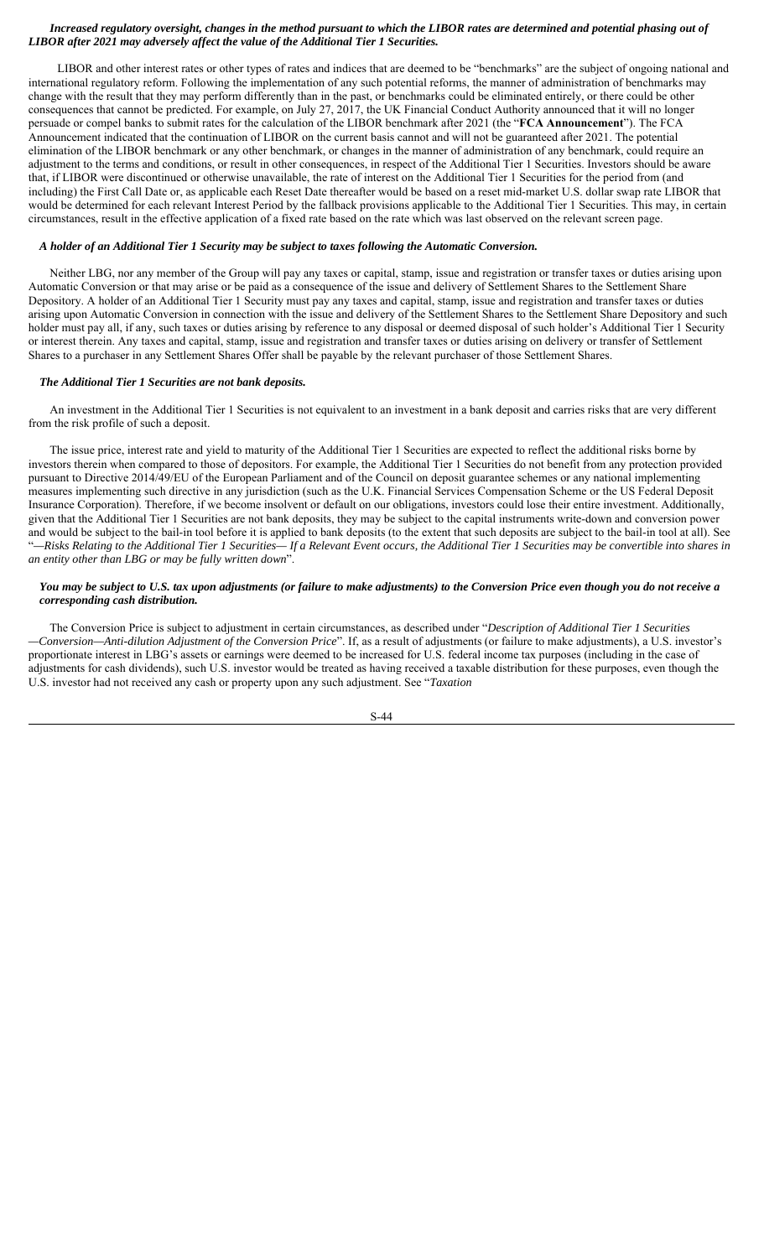# *Increased regulatory oversight, changes in the method pursuant to which the LIBOR rates are determined and potential phasing out of LIBOR after 2021 may adversely affect the value of the Additional Tier 1 Securities.*

LIBOR and other interest rates or other types of rates and indices that are deemed to be "benchmarks" are the subject of ongoing national and international regulatory reform. Following the implementation of any such potential reforms, the manner of administration of benchmarks may change with the result that they may perform differently than in the past, or benchmarks could be eliminated entirely, or there could be other consequences that cannot be predicted. For example, on July 27, 2017, the UK Financial Conduct Authority announced that it will no longer persuade or compel banks to submit rates for the calculation of the LIBOR benchmark after 2021 (the "**FCA Announcement**"). The FCA Announcement indicated that the continuation of LIBOR on the current basis cannot and will not be guaranteed after 2021. The potential elimination of the LIBOR benchmark or any other benchmark, or changes in the manner of administration of any benchmark, could require an adjustment to the terms and conditions, or result in other consequences, in respect of the Additional Tier 1 Securities. Investors should be aware that, if LIBOR were discontinued or otherwise unavailable, the rate of interest on the Additional Tier 1 Securities for the period from (and including) the First Call Date or, as applicable each Reset Date thereafter would be based on a reset mid-market U.S. dollar swap rate LIBOR that would be determined for each relevant Interest Period by the fallback provisions applicable to the Additional Tier 1 Securities. This may, in certain circumstances, result in the effective application of a fixed rate based on the rate which was last observed on the relevant screen page.

# *A holder of an Additional Tier 1 Security may be subject to taxes following the Automatic Conversion.*

Neither LBG, nor any member of the Group will pay any taxes or capital, stamp, issue and registration or transfer taxes or duties arising upon Automatic Conversion or that may arise or be paid as a consequence of the issue and delivery of Settlement Shares to the Settlement Share Depository. A holder of an Additional Tier 1 Security must pay any taxes and capital, stamp, issue and registration and transfer taxes or duties arising upon Automatic Conversion in connection with the issue and delivery of the Settlement Shares to the Settlement Share Depository and such holder must pay all, if any, such taxes or duties arising by reference to any disposal or deemed disposal of such holder's Additional Tier 1 Security or interest therein. Any taxes and capital, stamp, issue and registration and transfer taxes or duties arising on delivery or transfer of Settlement Shares to a purchaser in any Settlement Shares Offer shall be payable by the relevant purchaser of those Settlement Shares.

### *The Additional Tier 1 Securities are not bank deposits.*

An investment in the Additional Tier 1 Securities is not equivalent to an investment in a bank deposit and carries risks that are very different from the risk profile of such a deposit.

The issue price, interest rate and yield to maturity of the Additional Tier 1 Securities are expected to reflect the additional risks borne by investors therein when compared to those of depositors. For example, the Additional Tier 1 Securities do not benefit from any protection provided pursuant to Directive 2014/49/EU of the European Parliament and of the Council on deposit guarantee schemes or any national implementing measures implementing such directive in any jurisdiction (such as the U.K. Financial Services Compensation Scheme or the US Federal Deposit Insurance Corporation). Therefore, if we become insolvent or default on our obligations, investors could lose their entire investment. Additionally, given that the Additional Tier 1 Securities are not bank deposits, they may be subject to the capital instruments write-down and conversion power and would be subject to the bail-in tool before it is applied to bank deposits (to the extent that such deposits are subject to the bail-in tool at all). See "*—Risks Relating to the Additional Tier 1 Securities— If a Relevant Event occurs, the Additional Tier 1 Securities may be convertible into shares in an entity other than LBG or may be fully written down*".

# *You may be subject to U.S. tax upon adjustments (or failure to make adjustments) to the Conversion Price even though you do not receive a corresponding cash distribution.*

The Conversion Price is subject to adjustment in certain circumstances, as described under "*Description of Additional Tier 1 Securities —Conversion—Anti-dilution Adjustment of the Conversion Price*". If, as a result of adjustments (or failure to make adjustments), a U.S. investor's proportionate interest in LBG's assets or earnings were deemed to be increased for U.S. federal income tax purposes (including in the case of adjustments for cash dividends), such U.S. investor would be treated as having received a taxable distribution for these purposes, even though the U.S. investor had not received any cash or property upon any such adjustment. See "*Taxation*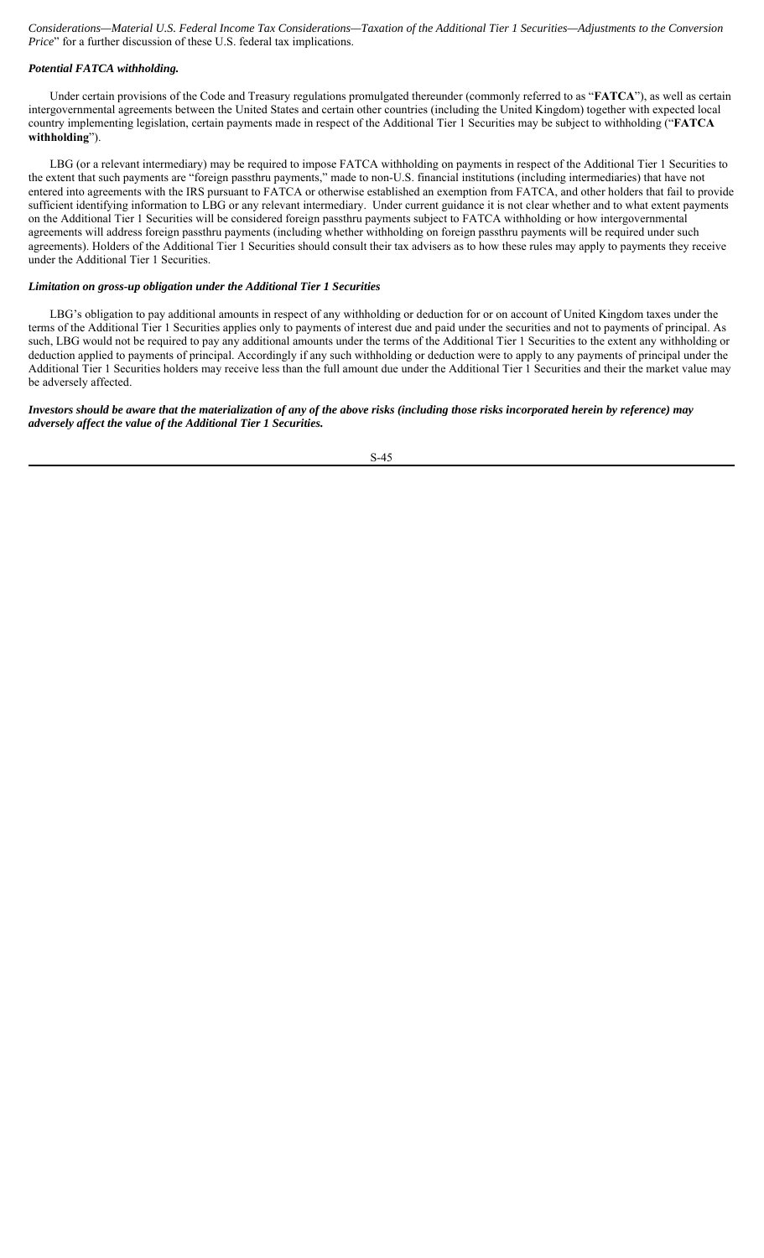*Considerations—Material U.S. Federal Income Tax Considerations—Taxation of the Additional Tier 1 Securities—Adjustments to the Conversion Price*" for a further discussion of these U.S. federal tax implications.

# *Potential FATCA withholding.*

Under certain provisions of the Code and Treasury regulations promulgated thereunder (commonly referred to as "**FATCA**"), as well as certain intergovernmental agreements between the United States and certain other countries (including the United Kingdom) together with expected local country implementing legislation, certain payments made in respect of the Additional Tier 1 Securities may be subject to withholding ("**FATCA withholding**").

LBG (or a relevant intermediary) may be required to impose FATCA withholding on payments in respect of the Additional Tier 1 Securities to the extent that such payments are "foreign passthru payments," made to non-U.S. financial institutions (including intermediaries) that have not entered into agreements with the IRS pursuant to FATCA or otherwise established an exemption from FATCA, and other holders that fail to provide sufficient identifying information to LBG or any relevant intermediary. Under current guidance it is not clear whether and to what extent payments on the Additional Tier 1 Securities will be considered foreign passthru payments subject to FATCA withholding or how intergovernmental agreements will address foreign passthru payments (including whether withholding on foreign passthru payments will be required under such agreements). Holders of the Additional Tier 1 Securities should consult their tax advisers as to how these rules may apply to payments they receive under the Additional Tier 1 Securities.

# *Limitation on gross-up obligation under the Additional Tier 1 Securities*

LBG's obligation to pay additional amounts in respect of any withholding or deduction for or on account of United Kingdom taxes under the terms of the Additional Tier 1 Securities applies only to payments of interest due and paid under the securities and not to payments of principal. As such, LBG would not be required to pay any additional amounts under the terms of the Additional Tier 1 Securities to the extent any withholding or deduction applied to payments of principal. Accordingly if any such withholding or deduction were to apply to any payments of principal under the Additional Tier 1 Securities holders may receive less than the full amount due under the Additional Tier 1 Securities and their the market value may be adversely affected.

# *Investors should be aware that the materialization of any of the above risks (including those risks incorporated herein by reference) may adversely affect the value of the Additional Tier 1 Securities.*

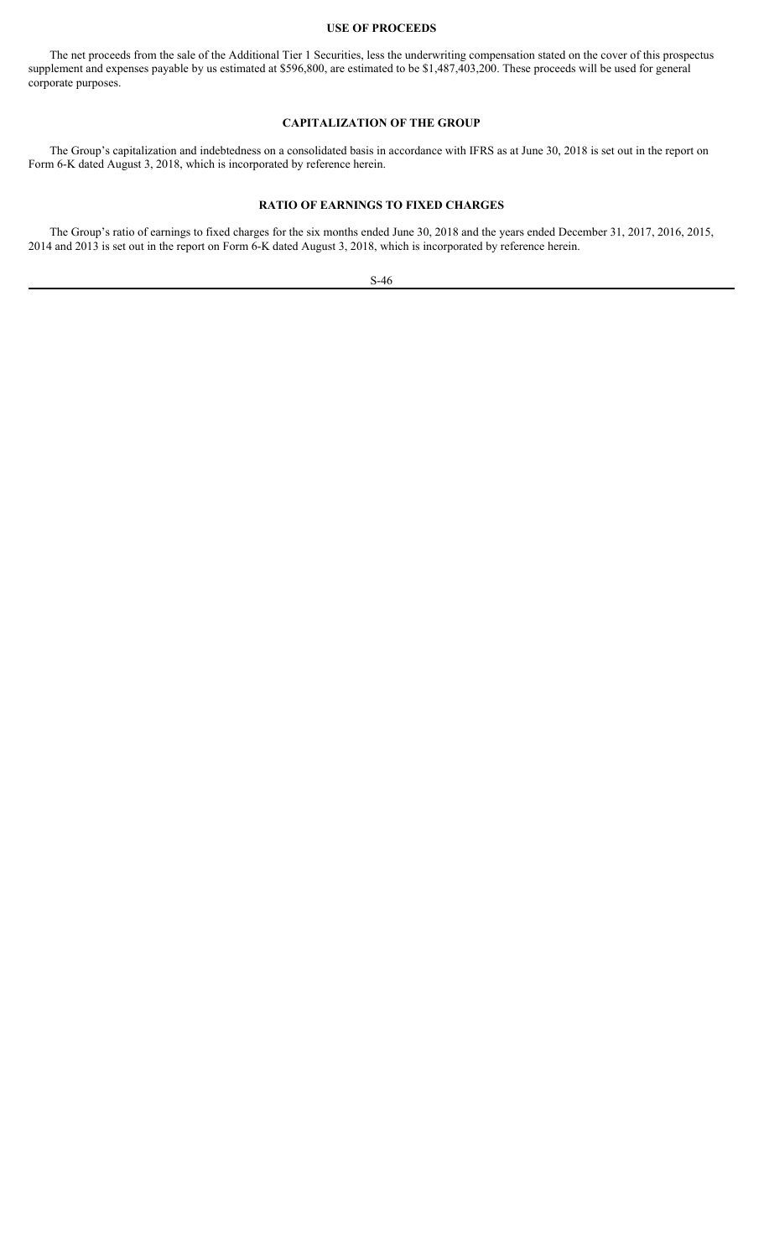#### **USE OF PROCEEDS**

The net proceeds from the sale of the Additional Tier 1 Securities, less the underwriting compensation stated on the cover of this prospectus supplement and expenses payable by us estimated at \$596,800, are estimated to be \$1,487,403,200. These proceeds will be used for general corporate purposes.

# **CAPITALIZATION OF THE GROUP**

The Group's capitalization and indebtedness on a consolidated basis in accordance with IFRS as at June 30, 2018 is set out in the report on Form 6-K dated August 3, 2018, which is incorporated by reference herein.

# **RATIO OF EARNINGS TO FIXED CHARGES**

The Group's ratio of earnings to fixed charges for the six months ended June 30, 2018 and the years ended December 31, 2017, 2016, 2015, 2014 and 2013 is set out in the report on Form 6-K dated August 3, 2018, which is incorporated by reference herein.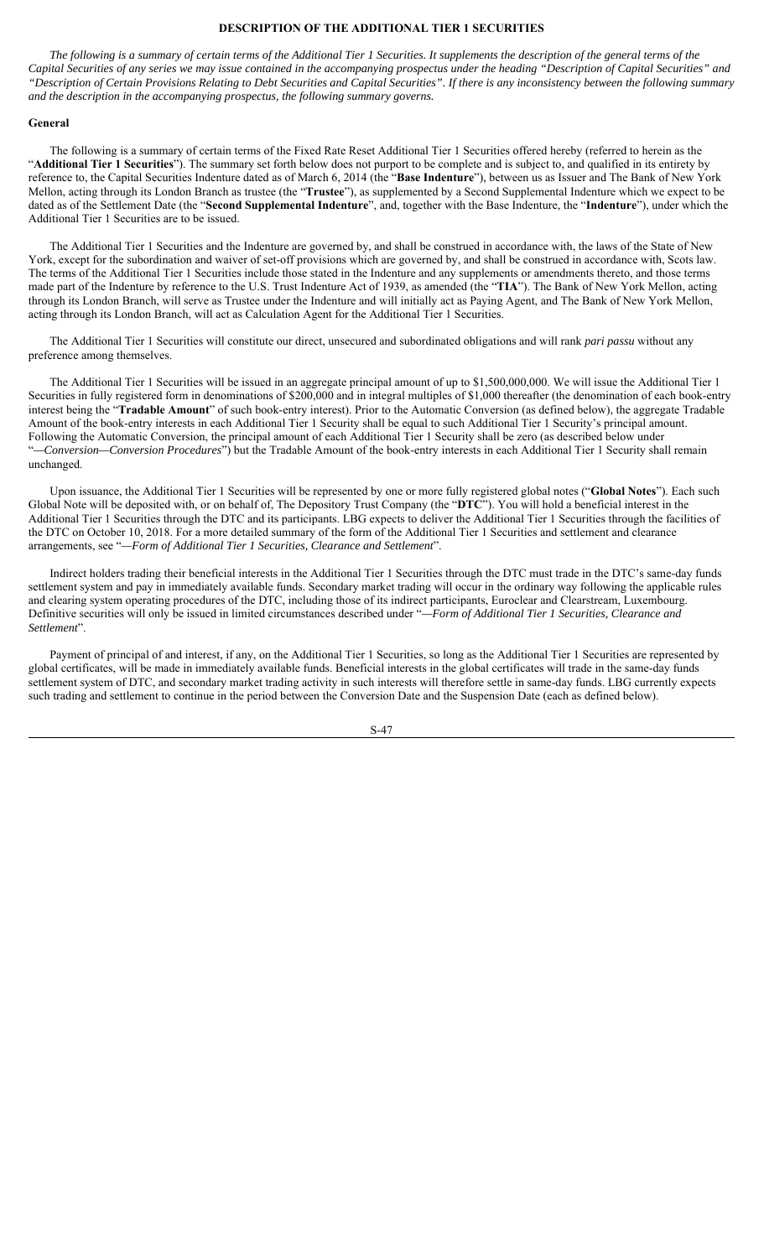## **DESCRIPTION OF THE ADDITIONAL TIER 1 SECURITIES**

*The following is a summary of certain terms of the Additional Tier 1 Securities. It supplements the description of the general terms of the Capital Securities of any series we may issue contained in the accompanying prospectus under the heading "Description of Capital Securities" and "Description of Certain Provisions Relating to Debt Securities and Capital Securities". If there is any inconsistency between the following summary and the description in the accompanying prospectus, the following summary governs.*

#### **General**

The following is a summary of certain terms of the Fixed Rate Reset Additional Tier 1 Securities offered hereby (referred to herein as the "**Additional Tier 1 Securities**"). The summary set forth below does not purport to be complete and is subject to, and qualified in its entirety by reference to, the Capital Securities Indenture dated as of March 6, 2014 (the "**Base Indenture**"), between us as Issuer and The Bank of New York Mellon, acting through its London Branch as trustee (the "**Trustee**"), as supplemented by a Second Supplemental Indenture which we expect to be dated as of the Settlement Date (the "**Second Supplemental Indenture**", and, together with the Base Indenture, the "**Indenture**"), under which the Additional Tier 1 Securities are to be issued.

The Additional Tier 1 Securities and the Indenture are governed by, and shall be construed in accordance with, the laws of the State of New York, except for the subordination and waiver of set-off provisions which are governed by, and shall be construed in accordance with, Scots law. The terms of the Additional Tier 1 Securities include those stated in the Indenture and any supplements or amendments thereto, and those terms made part of the Indenture by reference to the U.S. Trust Indenture Act of 1939, as amended (the "**TIA**"). The Bank of New York Mellon, acting through its London Branch, will serve as Trustee under the Indenture and will initially act as Paying Agent, and The Bank of New York Mellon, acting through its London Branch, will act as Calculation Agent for the Additional Tier 1 Securities.

The Additional Tier 1 Securities will constitute our direct, unsecured and subordinated obligations and will rank *pari passu* without any preference among themselves.

The Additional Tier 1 Securities will be issued in an aggregate principal amount of up to \$1,500,000,000. We will issue the Additional Tier 1 Securities in fully registered form in denominations of \$200,000 and in integral multiples of \$1,000 thereafter (the denomination of each book-entry interest being the "**Tradable Amount**" of such book-entry interest). Prior to the Automatic Conversion (as defined below), the aggregate Tradable Amount of the book-entry interests in each Additional Tier 1 Security shall be equal to such Additional Tier 1 Security's principal amount. Following the Automatic Conversion, the principal amount of each Additional Tier 1 Security shall be zero (as described below under "*—Conversion—Conversion Procedures*") but the Tradable Amount of the book-entry interests in each Additional Tier 1 Security shall remain unchanged.

Upon issuance, the Additional Tier 1 Securities will be represented by one or more fully registered global notes ("**Global Notes**"). Each such Global Note will be deposited with, or on behalf of, The Depository Trust Company (the "**DTC**"). You will hold a beneficial interest in the Additional Tier 1 Securities through the DTC and its participants. LBG expects to deliver the Additional Tier 1 Securities through the facilities of the DTC on October 10, 2018. For a more detailed summary of the form of the Additional Tier 1 Securities and settlement and clearance arrangements, see "*—Form of Additional Tier 1 Securities, Clearance and Settlement*".

Indirect holders trading their beneficial interests in the Additional Tier 1 Securities through the DTC must trade in the DTC's same-day funds settlement system and pay in immediately available funds. Secondary market trading will occur in the ordinary way following the applicable rules and clearing system operating procedures of the DTC, including those of its indirect participants, Euroclear and Clearstream, Luxembourg. Definitive securities will only be issued in limited circumstances described under "*—Form of Additional Tier 1 Securities, Clearance and Settlement*".

Payment of principal of and interest, if any, on the Additional Tier 1 Securities, so long as the Additional Tier 1 Securities are represented by global certificates, will be made in immediately available funds. Beneficial interests in the global certificates will trade in the same-day funds settlement system of DTC, and secondary market trading activity in such interests will therefore settle in same-day funds. LBG currently expects such trading and settlement to continue in the period between the Conversion Date and the Suspension Date (each as defined below).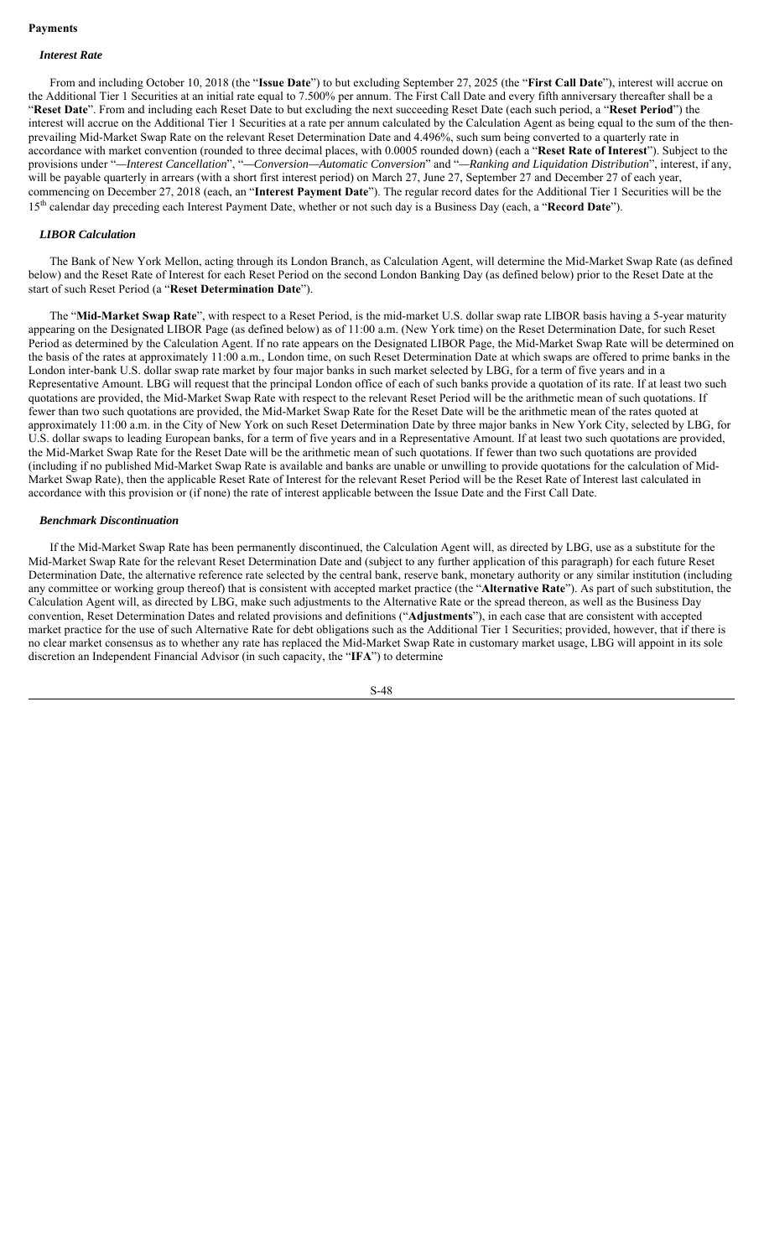## **Payments**

# *Interest Rate*

From and including October 10, 2018 (the "**Issue Date**") to but excluding September 27, 2025 (the "**First Call Date**"), interest will accrue on the Additional Tier 1 Securities at an initial rate equal to 7.500% per annum. The First Call Date and every fifth anniversary thereafter shall be a "**Reset Date**". From and including each Reset Date to but excluding the next succeeding Reset Date (each such period, a "**Reset Period**") the interest will accrue on the Additional Tier 1 Securities at a rate per annum calculated by the Calculation Agent as being equal to the sum of the thenprevailing Mid-Market Swap Rate on the relevant Reset Determination Date and 4.496%, such sum being converted to a quarterly rate in accordance with market convention (rounded to three decimal places, with 0.0005 rounded down) (each a "**Reset Rate of Interest**"). Subject to the provisions under "*—Interest Cancellation*", "*—Conversion—Automatic Conversion*" and "*—Ranking and Liquidation Distribution*", interest, if any, will be payable quarterly in arrears (with a short first interest period) on March 27, June 27, September 27 and December 27 of each year, commencing on December 27, 2018 (each, an "**Interest Payment Date**"). The regular record dates for the Additional Tier 1 Securities will be the 15th calendar day preceding each Interest Payment Date, whether or not such day is a Business Day (each, a "**Record Date**").

## *LIBOR Calculation*

The Bank of New York Mellon, acting through its London Branch, as Calculation Agent, will determine the Mid-Market Swap Rate (as defined below) and the Reset Rate of Interest for each Reset Period on the second London Banking Day (as defined below) prior to the Reset Date at the start of such Reset Period (a "**Reset Determination Date**").

The "**Mid-Market Swap Rate**", with respect to a Reset Period, is the mid-market U.S. dollar swap rate LIBOR basis having a 5-year maturity appearing on the Designated LIBOR Page (as defined below) as of 11:00 a.m. (New York time) on the Reset Determination Date, for such Reset Period as determined by the Calculation Agent. If no rate appears on the Designated LIBOR Page, the Mid-Market Swap Rate will be determined on the basis of the rates at approximately 11:00 a.m., London time, on such Reset Determination Date at which swaps are offered to prime banks in the London inter-bank U.S. dollar swap rate market by four major banks in such market selected by LBG, for a term of five years and in a Representative Amount. LBG will request that the principal London office of each of such banks provide a quotation of its rate. If at least two such quotations are provided, the Mid-Market Swap Rate with respect to the relevant Reset Period will be the arithmetic mean of such quotations. If fewer than two such quotations are provided, the Mid-Market Swap Rate for the Reset Date will be the arithmetic mean of the rates quoted at approximately 11:00 a.m. in the City of New York on such Reset Determination Date by three major banks in New York City, selected by LBG, for U.S. dollar swaps to leading European banks, for a term of five years and in a Representative Amount. If at least two such quotations are provided, the Mid-Market Swap Rate for the Reset Date will be the arithmetic mean of such quotations. If fewer than two such quotations are provided (including if no published Mid-Market Swap Rate is available and banks are unable or unwilling to provide quotations for the calculation of Mid-Market Swap Rate), then the applicable Reset Rate of Interest for the relevant Reset Period will be the Reset Rate of Interest last calculated in accordance with this provision or (if none) the rate of interest applicable between the Issue Date and the First Call Date.

### *Benchmark Discontinuation*

If the Mid-Market Swap Rate has been permanently discontinued, the Calculation Agent will, as directed by LBG, use as a substitute for the Mid-Market Swap Rate for the relevant Reset Determination Date and (subject to any further application of this paragraph) for each future Reset Determination Date, the alternative reference rate selected by the central bank, reserve bank, monetary authority or any similar institution (including any committee or working group thereof) that is consistent with accepted market practice (the "**Alternative Rate**"). As part of such substitution, the Calculation Agent will, as directed by LBG, make such adjustments to the Alternative Rate or the spread thereon, as well as the Business Day convention, Reset Determination Dates and related provisions and definitions ("**Adjustments**"), in each case that are consistent with accepted market practice for the use of such Alternative Rate for debt obligations such as the Additional Tier 1 Securities; provided, however, that if there is no clear market consensus as to whether any rate has replaced the Mid-Market Swap Rate in customary market usage, LBG will appoint in its sole discretion an Independent Financial Advisor (in such capacity, the "**IFA**") to determine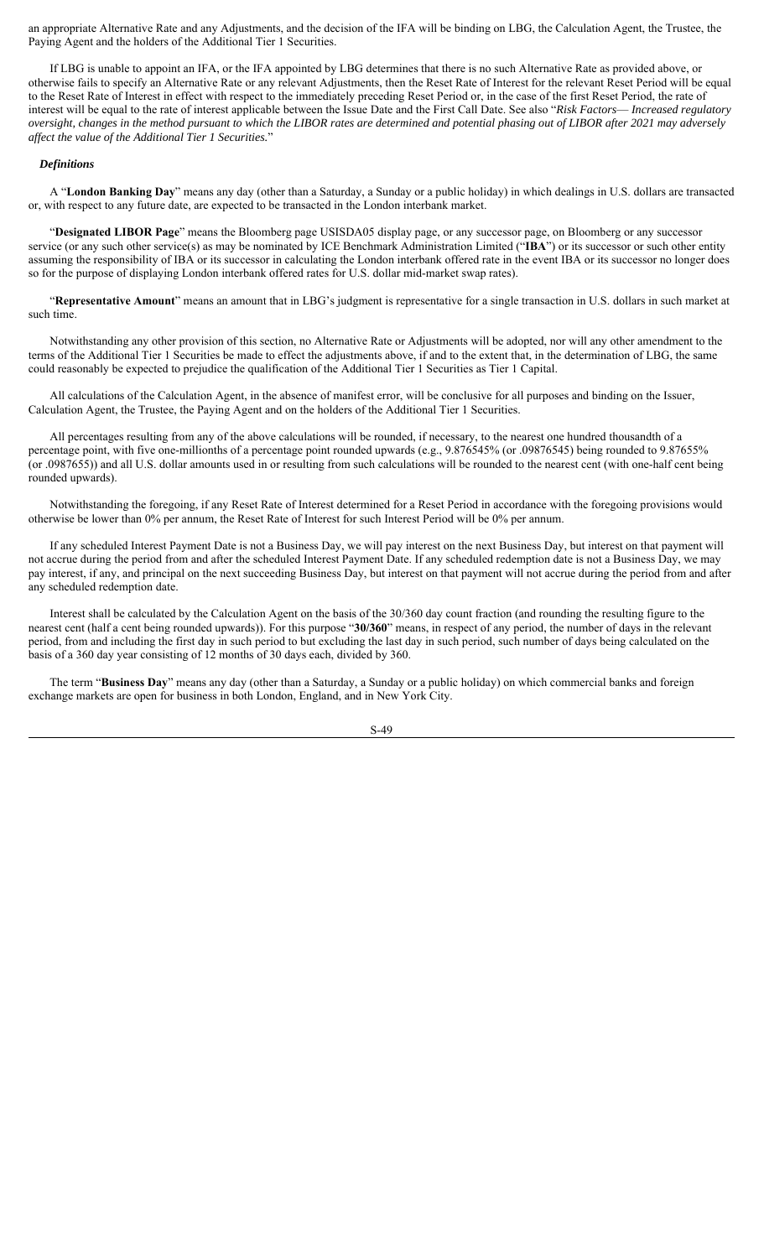an appropriate Alternative Rate and any Adjustments, and the decision of the IFA will be binding on LBG, the Calculation Agent, the Trustee, the Paying Agent and the holders of the Additional Tier 1 Securities.

If LBG is unable to appoint an IFA, or the IFA appointed by LBG determines that there is no such Alternative Rate as provided above, or otherwise fails to specify an Alternative Rate or any relevant Adjustments, then the Reset Rate of Interest for the relevant Reset Period will be equal to the Reset Rate of Interest in effect with respect to the immediately preceding Reset Period or, in the case of the first Reset Period, the rate of interest will be equal to the rate of interest applicable between the Issue Date and the First Call Date. See also "*Risk Factors*— *Increased regulatory oversight, changes in the method pursuant to which the LIBOR rates are determined and potential phasing out of LIBOR after 2021 may adversely affect the value of the Additional Tier 1 Securities.*"

### *Definitions*

A "**London Banking Day**" means any day (other than a Saturday, a Sunday or a public holiday) in which dealings in U.S. dollars are transacted or, with respect to any future date, are expected to be transacted in the London interbank market.

"**Designated LIBOR Page**" means the Bloomberg page USISDA05 display page, or any successor page, on Bloomberg or any successor service (or any such other service(s) as may be nominated by ICE Benchmark Administration Limited ("**IBA**") or its successor or such other entity assuming the responsibility of IBA or its successor in calculating the London interbank offered rate in the event IBA or its successor no longer does so for the purpose of displaying London interbank offered rates for U.S. dollar mid-market swap rates).

"**Representative Amount**" means an amount that in LBG's judgment is representative for a single transaction in U.S. dollars in such market at such time.

Notwithstanding any other provision of this section, no Alternative Rate or Adjustments will be adopted, nor will any other amendment to the terms of the Additional Tier 1 Securities be made to effect the adjustments above, if and to the extent that, in the determination of LBG, the same could reasonably be expected to prejudice the qualification of the Additional Tier 1 Securities as Tier 1 Capital.

All calculations of the Calculation Agent, in the absence of manifest error, will be conclusive for all purposes and binding on the Issuer, Calculation Agent, the Trustee, the Paying Agent and on the holders of the Additional Tier 1 Securities.

All percentages resulting from any of the above calculations will be rounded, if necessary, to the nearest one hundred thousandth of a percentage point, with five one-millionths of a percentage point rounded upwards (e.g., 9.876545% (or .09876545) being rounded to 9.87655% (or .0987655)) and all U.S. dollar amounts used in or resulting from such calculations will be rounded to the nearest cent (with one-half cent being rounded upwards).

Notwithstanding the foregoing, if any Reset Rate of Interest determined for a Reset Period in accordance with the foregoing provisions would otherwise be lower than 0% per annum, the Reset Rate of Interest for such Interest Period will be 0% per annum.

If any scheduled Interest Payment Date is not a Business Day, we will pay interest on the next Business Day, but interest on that payment will not accrue during the period from and after the scheduled Interest Payment Date. If any scheduled redemption date is not a Business Day, we may pay interest, if any, and principal on the next succeeding Business Day, but interest on that payment will not accrue during the period from and after any scheduled redemption date.

Interest shall be calculated by the Calculation Agent on the basis of the 30/360 day count fraction (and rounding the resulting figure to the nearest cent (half a cent being rounded upwards)). For this purpose "**30/360**" means, in respect of any period, the number of days in the relevant period, from and including the first day in such period to but excluding the last day in such period, such number of days being calculated on the basis of a 360 day year consisting of 12 months of 30 days each, divided by 360.

The term "**Business Day**" means any day (other than a Saturday, a Sunday or a public holiday) on which commercial banks and foreign exchange markets are open for business in both London, England, and in New York City.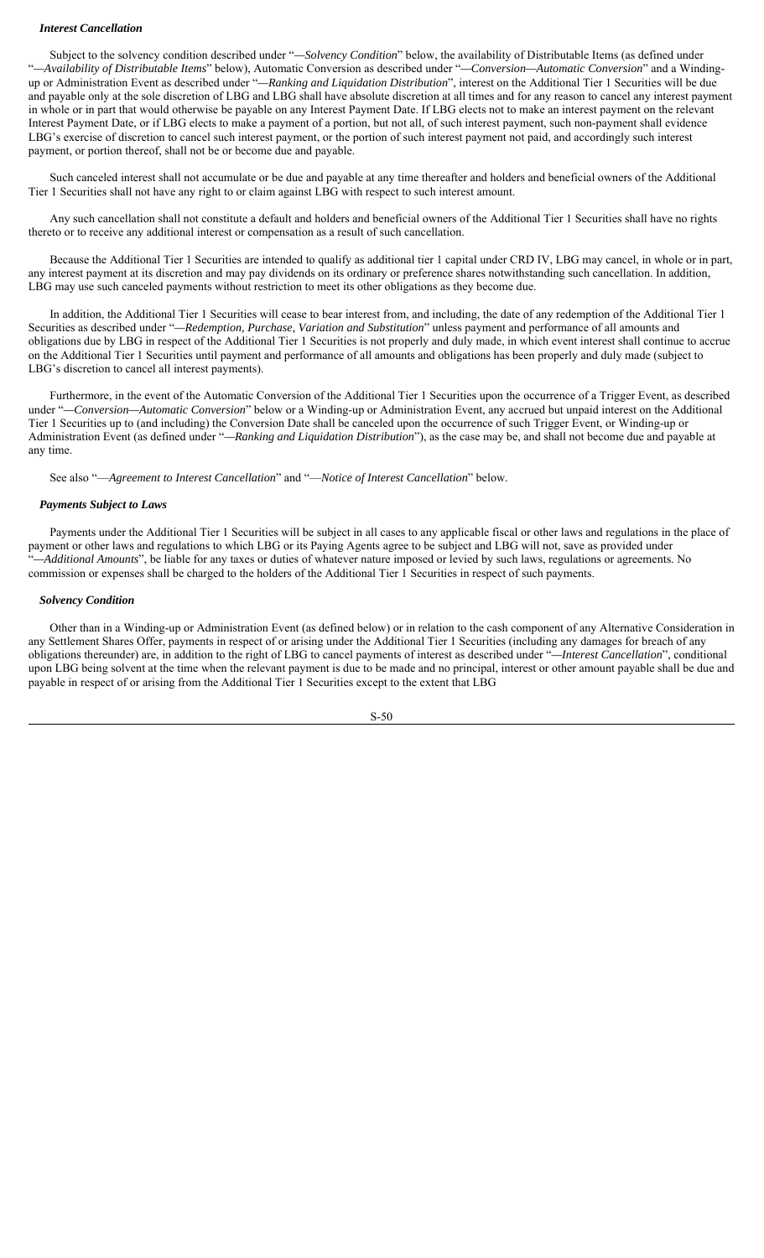## *Interest Cancellation*

Subject to the solvency condition described under "*—Solvency Condition*" below, the availability of Distributable Items (as defined under "*—Availability of Distributable Items*" below), Automatic Conversion as described under "*—Conversion—Automatic Conversion*" and a Windingup or Administration Event as described under "*—Ranking and Liquidation Distribution*", interest on the Additional Tier 1 Securities will be due and payable only at the sole discretion of LBG and LBG shall have absolute discretion at all times and for any reason to cancel any interest payment in whole or in part that would otherwise be payable on any Interest Payment Date. If LBG elects not to make an interest payment on the relevant Interest Payment Date, or if LBG elects to make a payment of a portion, but not all, of such interest payment, such non-payment shall evidence LBG's exercise of discretion to cancel such interest payment, or the portion of such interest payment not paid, and accordingly such interest payment, or portion thereof, shall not be or become due and payable.

Such canceled interest shall not accumulate or be due and payable at any time thereafter and holders and beneficial owners of the Additional Tier 1 Securities shall not have any right to or claim against LBG with respect to such interest amount.

Any such cancellation shall not constitute a default and holders and beneficial owners of the Additional Tier 1 Securities shall have no rights thereto or to receive any additional interest or compensation as a result of such cancellation.

Because the Additional Tier 1 Securities are intended to qualify as additional tier 1 capital under CRD IV, LBG may cancel, in whole or in part, any interest payment at its discretion and may pay dividends on its ordinary or preference shares notwithstanding such cancellation. In addition, LBG may use such canceled payments without restriction to meet its other obligations as they become due.

In addition, the Additional Tier 1 Securities will cease to bear interest from, and including, the date of any redemption of the Additional Tier 1 Securities as described under "*—Redemption, Purchase, Variation and Substitution*" unless payment and performance of all amounts and obligations due by LBG in respect of the Additional Tier 1 Securities is not properly and duly made, in which event interest shall continue to accrue on the Additional Tier 1 Securities until payment and performance of all amounts and obligations has been properly and duly made (subject to LBG's discretion to cancel all interest payments).

Furthermore, in the event of the Automatic Conversion of the Additional Tier 1 Securities upon the occurrence of a Trigger Event, as described under "*—Conversion—Automatic Conversion*" below or a Winding-up or Administration Event, any accrued but unpaid interest on the Additional Tier 1 Securities up to (and including) the Conversion Date shall be canceled upon the occurrence of such Trigger Event, or Winding-up or Administration Event (as defined under "*—Ranking and Liquidation Distribution*"), as the case may be, and shall not become due and payable at any time.

See also "—*Agreement to Interest Cancellation*" and "—*Notice of Interest Cancellation*" below.

# *Payments Subject to Laws*

Payments under the Additional Tier 1 Securities will be subject in all cases to any applicable fiscal or other laws and regulations in the place of payment or other laws and regulations to which LBG or its Paying Agents agree to be subject and LBG will not, save as provided under "*—Additional Amounts*", be liable for any taxes or duties of whatever nature imposed or levied by such laws, regulations or agreements. No commission or expenses shall be charged to the holders of the Additional Tier 1 Securities in respect of such payments.

### *Solvency Condition*

Other than in a Winding-up or Administration Event (as defined below) or in relation to the cash component of any Alternative Consideration in any Settlement Shares Offer, payments in respect of or arising under the Additional Tier 1 Securities (including any damages for breach of any obligations thereunder) are, in addition to the right of LBG to cancel payments of interest as described under "*—Interest Cancellation*", conditional upon LBG being solvent at the time when the relevant payment is due to be made and no principal, interest or other amount payable shall be due and payable in respect of or arising from the Additional Tier 1 Securities except to the extent that LBG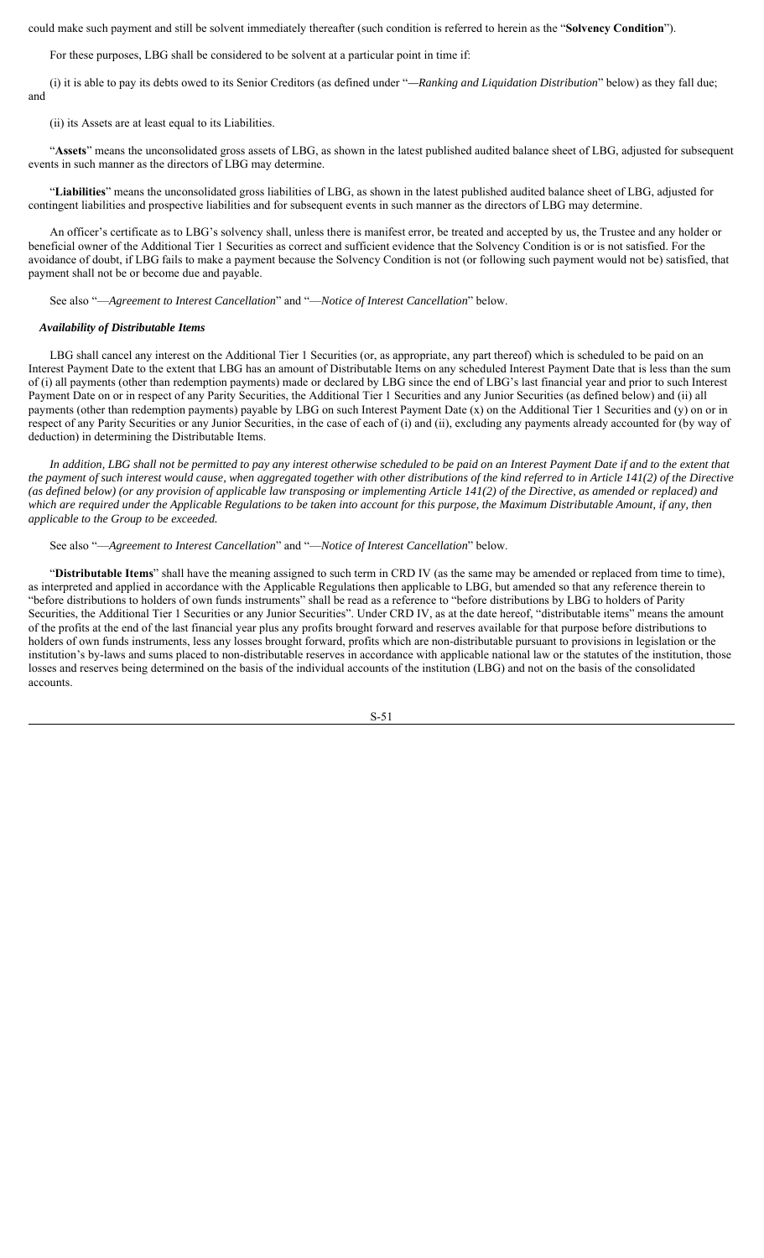could make such payment and still be solvent immediately thereafter (such condition is referred to herein as the "**Solvency Condition**").

For these purposes, LBG shall be considered to be solvent at a particular point in time if:

(i) it is able to pay its debts owed to its Senior Creditors (as defined under "*—Ranking and Liquidation Distribution*" below) as they fall due; and

(ii) its Assets are at least equal to its Liabilities.

"**Assets**" means the unconsolidated gross assets of LBG, as shown in the latest published audited balance sheet of LBG, adjusted for subsequent events in such manner as the directors of LBG may determine.

"**Liabilities**" means the unconsolidated gross liabilities of LBG, as shown in the latest published audited balance sheet of LBG, adjusted for contingent liabilities and prospective liabilities and for subsequent events in such manner as the directors of LBG may determine.

An officer's certificate as to LBG's solvency shall, unless there is manifest error, be treated and accepted by us, the Trustee and any holder or beneficial owner of the Additional Tier 1 Securities as correct and sufficient evidence that the Solvency Condition is or is not satisfied. For the avoidance of doubt, if LBG fails to make a payment because the Solvency Condition is not (or following such payment would not be) satisfied, that payment shall not be or become due and payable.

See also "—*Agreement to Interest Cancellation*" and "—*Notice of Interest Cancellation*" below.

## *Availability of Distributable Items*

LBG shall cancel any interest on the Additional Tier 1 Securities (or, as appropriate, any part thereof) which is scheduled to be paid on an Interest Payment Date to the extent that LBG has an amount of Distributable Items on any scheduled Interest Payment Date that is less than the sum of (i) all payments (other than redemption payments) made or declared by LBG since the end of LBG's last financial year and prior to such Interest Payment Date on or in respect of any Parity Securities, the Additional Tier 1 Securities and any Junior Securities (as defined below) and (ii) all payments (other than redemption payments) payable by LBG on such Interest Payment Date (x) on the Additional Tier 1 Securities and (y) on or in respect of any Parity Securities or any Junior Securities, in the case of each of (i) and (ii), excluding any payments already accounted for (by way of deduction) in determining the Distributable Items.

*In addition, LBG shall not be permitted to pay any interest otherwise scheduled to be paid on an Interest Payment Date if and to the extent that the payment of such interest would cause, when aggregated together with other distributions of the kind referred to in Article 141(2) of the Directive (as defined below) (or any provision of applicable law transposing or implementing Article 141(2) of the Directive, as amended or replaced) and which are required under the Applicable Regulations to be taken into account for this purpose, the Maximum Distributable Amount, if any, then applicable to the Group to be exceeded.* 

See also "—*Agreement to Interest Cancellation*" and "—*Notice of Interest Cancellation*" below.

"**Distributable Items**" shall have the meaning assigned to such term in CRD IV (as the same may be amended or replaced from time to time), as interpreted and applied in accordance with the Applicable Regulations then applicable to LBG, but amended so that any reference therein to "before distributions to holders of own funds instruments" shall be read as a reference to "before distributions by LBG to holders of Parity Securities, the Additional Tier 1 Securities or any Junior Securities". Under CRD IV, as at the date hereof, "distributable items" means the amount of the profits at the end of the last financial year plus any profits brought forward and reserves available for that purpose before distributions to holders of own funds instruments, less any losses brought forward, profits which are non-distributable pursuant to provisions in legislation or the institution's by-laws and sums placed to non-distributable reserves in accordance with applicable national law or the statutes of the institution, those losses and reserves being determined on the basis of the individual accounts of the institution (LBG) and not on the basis of the consolidated accounts.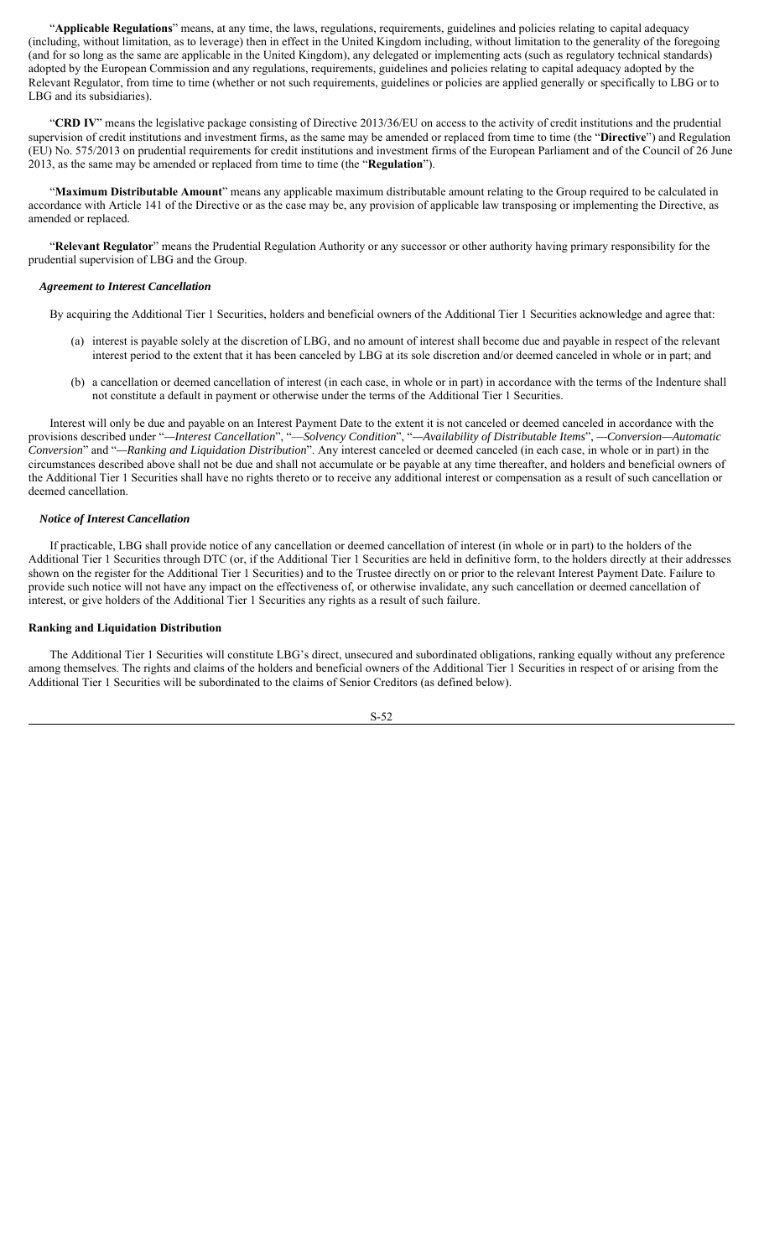"**Applicable Regulations**" means, at any time, the laws, regulations, requirements, guidelines and policies relating to capital adequacy (including, without limitation, as to leverage) then in effect in the United Kingdom including, without limitation to the generality of the foregoing (and for so long as the same are applicable in the United Kingdom), any delegated or implementing acts (such as regulatory technical standards) adopted by the European Commission and any regulations, requirements, guidelines and policies relating to capital adequacy adopted by the Relevant Regulator, from time to time (whether or not such requirements, guidelines or policies are applied generally or specifically to LBG or to LBG and its subsidiaries).

"**CRD IV**" means the legislative package consisting of Directive 2013/36/EU on access to the activity of credit institutions and the prudential supervision of credit institutions and investment firms, as the same may be amended or replaced from time to time (the "**Directive**") and Regulation (EU) No. 575/2013 on prudential requirements for credit institutions and investment firms of the European Parliament and of the Council of 26 June 2013, as the same may be amended or replaced from time to time (the "**Regulation**").

"**Maximum Distributable Amount**" means any applicable maximum distributable amount relating to the Group required to be calculated in accordance with Article 141 of the Directive or as the case may be, any provision of applicable law transposing or implementing the Directive, as amended or replaced.

"**Relevant Regulator**" means the Prudential Regulation Authority or any successor or other authority having primary responsibility for the prudential supervision of LBG and the Group.

#### *Agreement to Interest Cancellation*

By acquiring the Additional Tier 1 Securities, holders and beneficial owners of the Additional Tier 1 Securities acknowledge and agree that:

- (a) interest is payable solely at the discretion of LBG, and no amount of interest shall become due and payable in respect of the relevant interest period to the extent that it has been canceled by LBG at its sole discretion and/or deemed canceled in whole or in part; and
- (b) a cancellation or deemed cancellation of interest (in each case, in whole or in part) in accordance with the terms of the Indenture shall not constitute a default in payment or otherwise under the terms of the Additional Tier 1 Securities.

Interest will only be due and payable on an Interest Payment Date to the extent it is not canceled or deemed canceled in accordance with the provisions described under "*—Interest Cancellation*", "—*Solvency Condition*", "*—Availability of Distributable Items*", *—Conversion—Automatic Conversion*" and "*—Ranking and Liquidation Distribution*". Any interest canceled or deemed canceled (in each case, in whole or in part) in the circumstances described above shall not be due and shall not accumulate or be payable at any time thereafter, and holders and beneficial owners of the Additional Tier 1 Securities shall have no rights thereto or to receive any additional interest or compensation as a result of such cancellation or deemed cancellation.

#### *Notice of Interest Cancellation*

If practicable, LBG shall provide notice of any cancellation or deemed cancellation of interest (in whole or in part) to the holders of the Additional Tier 1 Securities through DTC (or, if the Additional Tier 1 Securities are held in definitive form, to the holders directly at their addresses shown on the register for the Additional Tier 1 Securities) and to the Trustee directly on or prior to the relevant Interest Payment Date. Failure to provide such notice will not have any impact on the effectiveness of, or otherwise invalidate, any such cancellation or deemed cancellation of interest, or give holders of the Additional Tier 1 Securities any rights as a result of such failure.

#### **Ranking and Liquidation Distribution**

The Additional Tier 1 Securities will constitute LBG's direct, unsecured and subordinated obligations, ranking equally without any preference among themselves. The rights and claims of the holders and beneficial owners of the Additional Tier 1 Securities in respect of or arising from the Additional Tier 1 Securities will be subordinated to the claims of Senior Creditors (as defined below).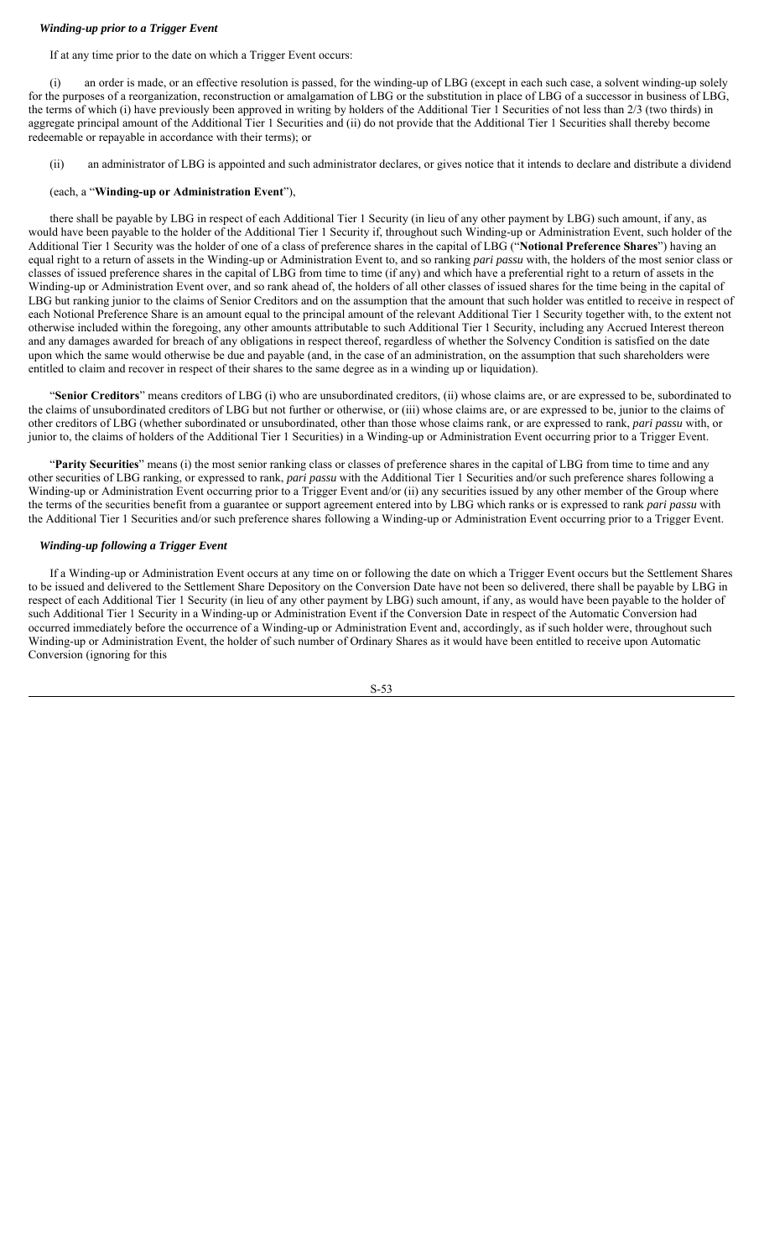# *Winding-up prior to a Trigger Event*

If at any time prior to the date on which a Trigger Event occurs:

(i) an order is made, or an effective resolution is passed, for the winding-up of LBG (except in each such case, a solvent winding-up solely for the purposes of a reorganization, reconstruction or amalgamation of LBG or the substitution in place of LBG of a successor in business of LBG, the terms of which (i) have previously been approved in writing by holders of the Additional Tier 1 Securities of not less than 2/3 (two thirds) in aggregate principal amount of the Additional Tier 1 Securities and (ii) do not provide that the Additional Tier 1 Securities shall thereby become redeemable or repayable in accordance with their terms); or

(ii) an administrator of LBG is appointed and such administrator declares, or gives notice that it intends to declare and distribute a dividend

# (each, a "**Winding-up or Administration Event**"),

there shall be payable by LBG in respect of each Additional Tier 1 Security (in lieu of any other payment by LBG) such amount, if any, as would have been payable to the holder of the Additional Tier 1 Security if, throughout such Winding-up or Administration Event, such holder of the Additional Tier 1 Security was the holder of one of a class of preference shares in the capital of LBG ("**Notional Preference Shares**") having an equal right to a return of assets in the Winding-up or Administration Event to, and so ranking *pari passu* with, the holders of the most senior class or classes of issued preference shares in the capital of LBG from time to time (if any) and which have a preferential right to a return of assets in the Winding-up or Administration Event over, and so rank ahead of, the holders of all other classes of issued shares for the time being in the capital of LBG but ranking junior to the claims of Senior Creditors and on the assumption that the amount that such holder was entitled to receive in respect of each Notional Preference Share is an amount equal to the principal amount of the relevant Additional Tier 1 Security together with, to the extent not otherwise included within the foregoing, any other amounts attributable to such Additional Tier 1 Security, including any Accrued Interest thereon and any damages awarded for breach of any obligations in respect thereof, regardless of whether the Solvency Condition is satisfied on the date upon which the same would otherwise be due and payable (and, in the case of an administration, on the assumption that such shareholders were entitled to claim and recover in respect of their shares to the same degree as in a winding up or liquidation).

"**Senior Creditors**" means creditors of LBG (i) who are unsubordinated creditors, (ii) whose claims are, or are expressed to be, subordinated to the claims of unsubordinated creditors of LBG but not further or otherwise, or (iii) whose claims are, or are expressed to be, junior to the claims of other creditors of LBG (whether subordinated or unsubordinated, other than those whose claims rank, or are expressed to rank, *pari passu* with, or junior to, the claims of holders of the Additional Tier 1 Securities) in a Winding-up or Administration Event occurring prior to a Trigger Event.

"**Parity Securities**" means (i) the most senior ranking class or classes of preference shares in the capital of LBG from time to time and any other securities of LBG ranking, or expressed to rank, *pari passu* with the Additional Tier 1 Securities and/or such preference shares following a Winding-up or Administration Event occurring prior to a Trigger Event and/or (ii) any securities issued by any other member of the Group where the terms of the securities benefit from a guarantee or support agreement entered into by LBG which ranks or is expressed to rank *pari passu* with the Additional Tier 1 Securities and/or such preference shares following a Winding-up or Administration Event occurring prior to a Trigger Event.

# *Winding-up following a Trigger Event*

If a Winding-up or Administration Event occurs at any time on or following the date on which a Trigger Event occurs but the Settlement Shares to be issued and delivered to the Settlement Share Depository on the Conversion Date have not been so delivered, there shall be payable by LBG in respect of each Additional Tier 1 Security (in lieu of any other payment by LBG) such amount, if any, as would have been payable to the holder of such Additional Tier 1 Security in a Winding-up or Administration Event if the Conversion Date in respect of the Automatic Conversion had occurred immediately before the occurrence of a Winding-up or Administration Event and, accordingly, as if such holder were, throughout such Winding-up or Administration Event, the holder of such number of Ordinary Shares as it would have been entitled to receive upon Automatic Conversion (ignoring for this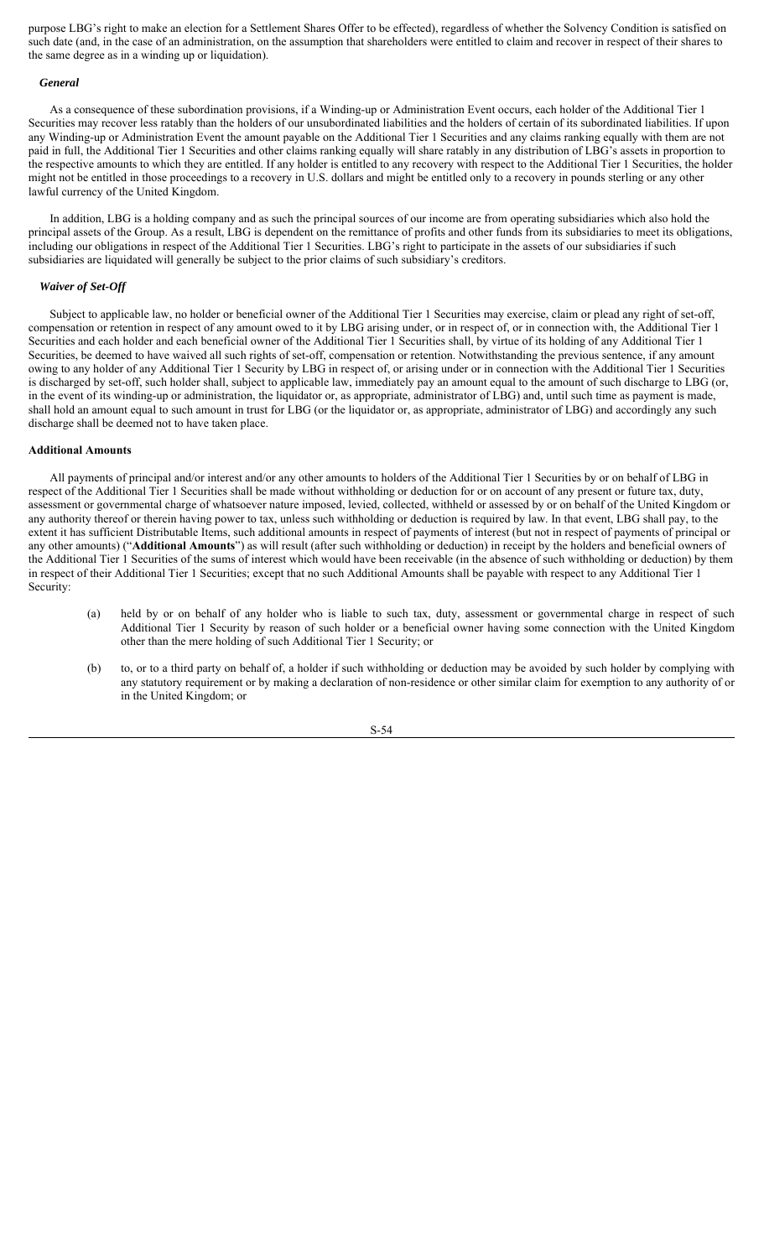purpose LBG's right to make an election for a Settlement Shares Offer to be effected), regardless of whether the Solvency Condition is satisfied on such date (and, in the case of an administration, on the assumption that shareholders were entitled to claim and recover in respect of their shares to the same degree as in a winding up or liquidation).

#### *General*

As a consequence of these subordination provisions, if a Winding-up or Administration Event occurs, each holder of the Additional Tier 1 Securities may recover less ratably than the holders of our unsubordinated liabilities and the holders of certain of its subordinated liabilities. If upon any Winding-up or Administration Event the amount payable on the Additional Tier 1 Securities and any claims ranking equally with them are not paid in full, the Additional Tier 1 Securities and other claims ranking equally will share ratably in any distribution of LBG's assets in proportion to the respective amounts to which they are entitled. If any holder is entitled to any recovery with respect to the Additional Tier 1 Securities, the holder might not be entitled in those proceedings to a recovery in U.S. dollars and might be entitled only to a recovery in pounds sterling or any other lawful currency of the United Kingdom.

In addition, LBG is a holding company and as such the principal sources of our income are from operating subsidiaries which also hold the principal assets of the Group. As a result, LBG is dependent on the remittance of profits and other funds from its subsidiaries to meet its obligations, including our obligations in respect of the Additional Tier 1 Securities. LBG's right to participate in the assets of our subsidiaries if such subsidiaries are liquidated will generally be subject to the prior claims of such subsidiary's creditors.

#### *Waiver of Set-Off*

Subject to applicable law, no holder or beneficial owner of the Additional Tier 1 Securities may exercise, claim or plead any right of set-off, compensation or retention in respect of any amount owed to it by LBG arising under, or in respect of, or in connection with, the Additional Tier 1 Securities and each holder and each beneficial owner of the Additional Tier 1 Securities shall, by virtue of its holding of any Additional Tier 1 Securities, be deemed to have waived all such rights of set-off, compensation or retention. Notwithstanding the previous sentence, if any amount owing to any holder of any Additional Tier 1 Security by LBG in respect of, or arising under or in connection with the Additional Tier 1 Securities is discharged by set-off, such holder shall, subject to applicable law, immediately pay an amount equal to the amount of such discharge to LBG (or, in the event of its winding-up or administration, the liquidator or, as appropriate, administrator of LBG) and, until such time as payment is made, shall hold an amount equal to such amount in trust for LBG (or the liquidator or, as appropriate, administrator of LBG) and accordingly any such discharge shall be deemed not to have taken place.

# **Additional Amounts**

All payments of principal and/or interest and/or any other amounts to holders of the Additional Tier 1 Securities by or on behalf of LBG in respect of the Additional Tier 1 Securities shall be made without withholding or deduction for or on account of any present or future tax, duty, assessment or governmental charge of whatsoever nature imposed, levied, collected, withheld or assessed by or on behalf of the United Kingdom or any authority thereof or therein having power to tax, unless such withholding or deduction is required by law. In that event, LBG shall pay, to the extent it has sufficient Distributable Items, such additional amounts in respect of payments of interest (but not in respect of payments of principal or any other amounts) ("**Additional Amounts**") as will result (after such withholding or deduction) in receipt by the holders and beneficial owners of the Additional Tier 1 Securities of the sums of interest which would have been receivable (in the absence of such withholding or deduction) by them in respect of their Additional Tier 1 Securities; except that no such Additional Amounts shall be payable with respect to any Additional Tier 1 Security:

- (a) held by or on behalf of any holder who is liable to such tax, duty, assessment or governmental charge in respect of such Additional Tier 1 Security by reason of such holder or a beneficial owner having some connection with the United Kingdom other than the mere holding of such Additional Tier 1 Security; or
- (b) to, or to a third party on behalf of, a holder if such withholding or deduction may be avoided by such holder by complying with any statutory requirement or by making a declaration of non-residence or other similar claim for exemption to any authority of or in the United Kingdom; or

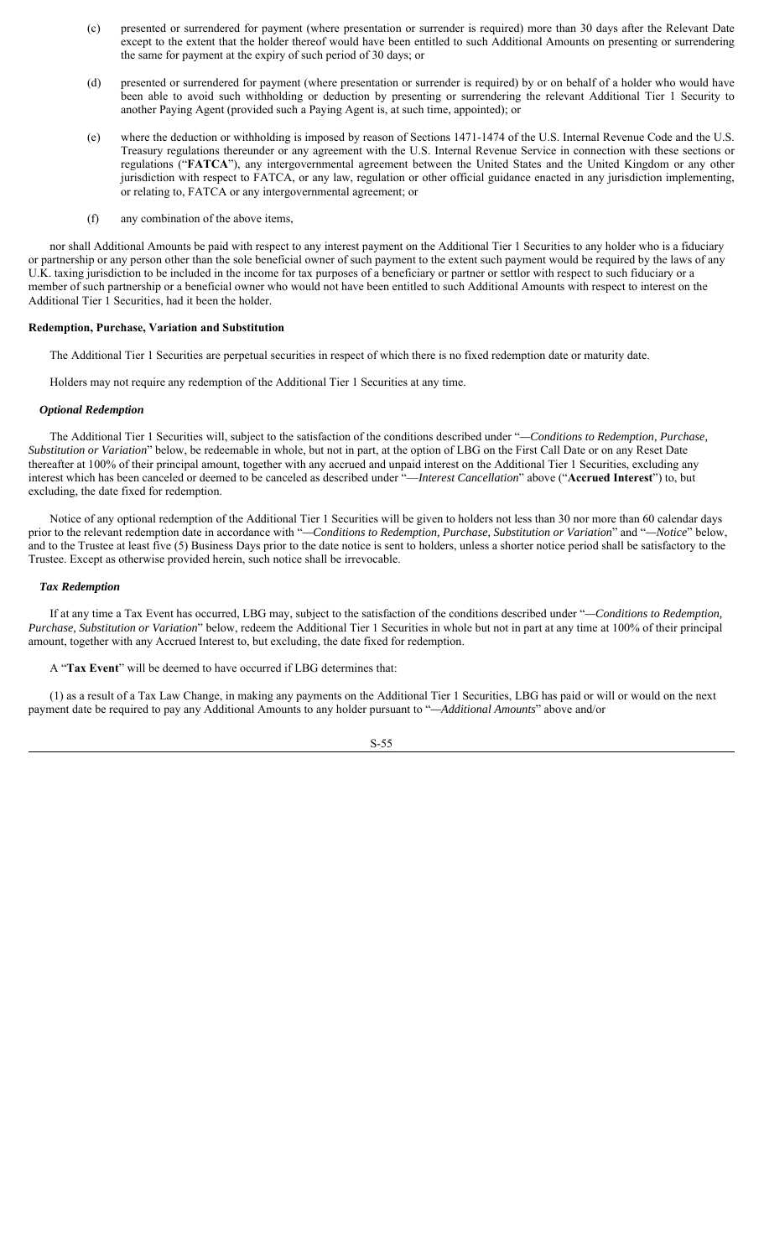- (c) presented or surrendered for payment (where presentation or surrender is required) more than 30 days after the Relevant Date except to the extent that the holder thereof would have been entitled to such Additional Amounts on presenting or surrendering the same for payment at the expiry of such period of 30 days; or
- (d) presented or surrendered for payment (where presentation or surrender is required) by or on behalf of a holder who would have been able to avoid such withholding or deduction by presenting or surrendering the relevant Additional Tier 1 Security to another Paying Agent (provided such a Paying Agent is, at such time, appointed); or
- (e) where the deduction or withholding is imposed by reason of Sections 1471-1474 of the U.S. Internal Revenue Code and the U.S. Treasury regulations thereunder or any agreement with the U.S. Internal Revenue Service in connection with these sections or regulations ("**FATCA**"), any intergovernmental agreement between the United States and the United Kingdom or any other jurisdiction with respect to FATCA, or any law, regulation or other official guidance enacted in any jurisdiction implementing, or relating to, FATCA or any intergovernmental agreement; or
- (f) any combination of the above items,

nor shall Additional Amounts be paid with respect to any interest payment on the Additional Tier 1 Securities to any holder who is a fiduciary or partnership or any person other than the sole beneficial owner of such payment to the extent such payment would be required by the laws of any U.K. taxing jurisdiction to be included in the income for tax purposes of a beneficiary or partner or settlor with respect to such fiduciary or a member of such partnership or a beneficial owner who would not have been entitled to such Additional Amounts with respect to interest on the Additional Tier 1 Securities, had it been the holder.

### **Redemption, Purchase, Variation and Substitution**

The Additional Tier 1 Securities are perpetual securities in respect of which there is no fixed redemption date or maturity date.

Holders may not require any redemption of the Additional Tier 1 Securities at any time.

#### *Optional Redemption*

The Additional Tier 1 Securities will, subject to the satisfaction of the conditions described under "*—Conditions to Redemption, Purchase, Substitution or Variation*" below, be redeemable in whole, but not in part, at the option of LBG on the First Call Date or on any Reset Date thereafter at 100% of their principal amount, together with any accrued and unpaid interest on the Additional Tier 1 Securities, excluding any interest which has been canceled or deemed to be canceled as described under "—*Interest Cancellation*" above ("**Accrued Interest**") to, but excluding, the date fixed for redemption.

Notice of any optional redemption of the Additional Tier 1 Securities will be given to holders not less than 30 nor more than 60 calendar days prior to the relevant redemption date in accordance with "*—Conditions to Redemption, Purchase, Substitution or Variation*" and "*—Notice*" below, and to the Trustee at least five (5) Business Days prior to the date notice is sent to holders, unless a shorter notice period shall be satisfactory to the Trustee. Except as otherwise provided herein, such notice shall be irrevocable.

#### *Tax Redemption*

If at any time a Tax Event has occurred, LBG may, subject to the satisfaction of the conditions described under "*—Conditions to Redemption, Purchase, Substitution or Variation*" below, redeem the Additional Tier 1 Securities in whole but not in part at any time at 100% of their principal amount, together with any Accrued Interest to, but excluding, the date fixed for redemption.

A "**Tax Event**" will be deemed to have occurred if LBG determines that:

(1) as a result of a Tax Law Change, in making any payments on the Additional Tier 1 Securities, LBG has paid or will or would on the next payment date be required to pay any Additional Amounts to any holder pursuant to "*—Additional Amounts*" above and/or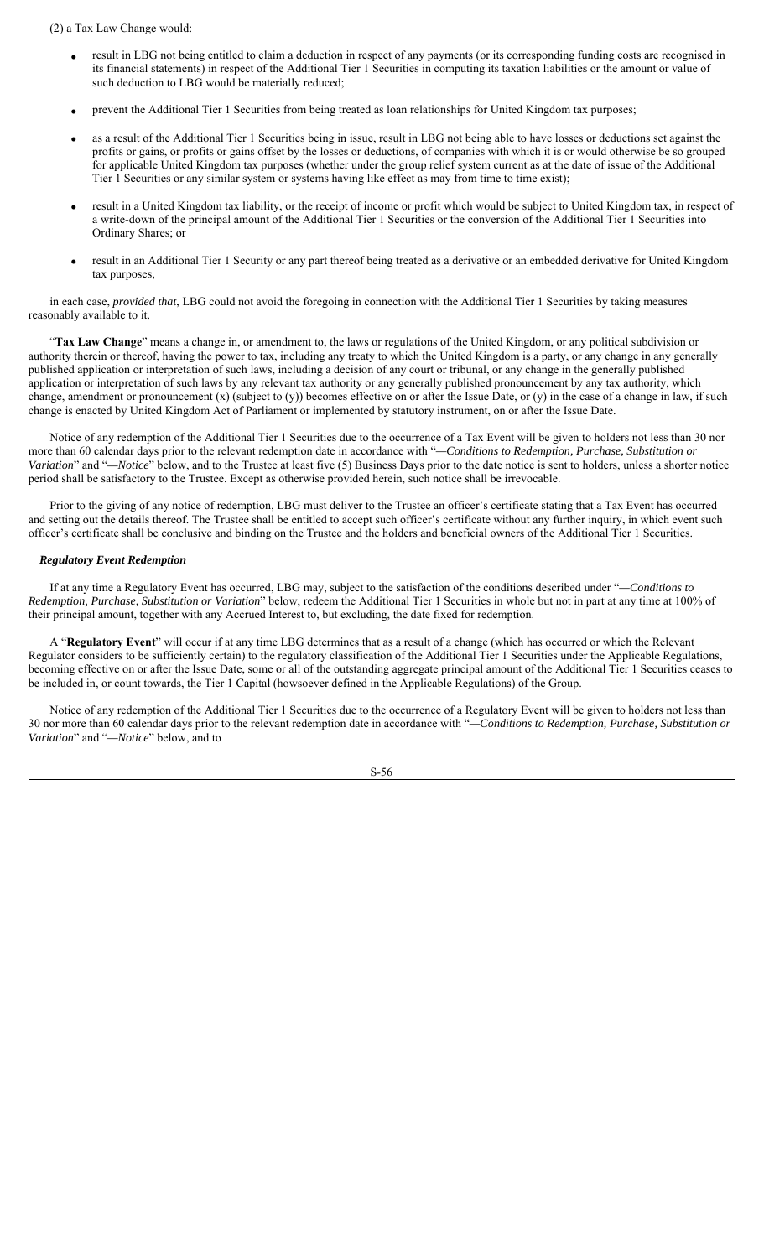(2) a Tax Law Change would:

- result in LBG not being entitled to claim a deduction in respect of any payments (or its corresponding funding costs are recognised in its financial statements) in respect of the Additional Tier 1 Securities in computing its taxation liabilities or the amount or value of such deduction to LBG would be materially reduced;
- prevent the Additional Tier 1 Securities from being treated as loan relationships for United Kingdom tax purposes;
- as a result of the Additional Tier 1 Securities being in issue, result in LBG not being able to have losses or deductions set against the profits or gains, or profits or gains offset by the losses or deductions, of companies with which it is or would otherwise be so grouped for applicable United Kingdom tax purposes (whether under the group relief system current as at the date of issue of the Additional Tier 1 Securities or any similar system or systems having like effect as may from time to time exist);
- result in a United Kingdom tax liability, or the receipt of income or profit which would be subject to United Kingdom tax, in respect of a write-down of the principal amount of the Additional Tier 1 Securities or the conversion of the Additional Tier 1 Securities into Ordinary Shares; or
- result in an Additional Tier 1 Security or any part thereof being treated as a derivative or an embedded derivative for United Kingdom tax purposes,

in each case, *provided that*, LBG could not avoid the foregoing in connection with the Additional Tier 1 Securities by taking measures reasonably available to it.

"**Tax Law Change**" means a change in, or amendment to, the laws or regulations of the United Kingdom, or any political subdivision or authority therein or thereof, having the power to tax, including any treaty to which the United Kingdom is a party, or any change in any generally published application or interpretation of such laws, including a decision of any court or tribunal, or any change in the generally published application or interpretation of such laws by any relevant tax authority or any generally published pronouncement by any tax authority, which change, amendment or pronouncement (x) (subject to (y)) becomes effective on or after the Issue Date, or (y) in the case of a change in law, if such change is enacted by United Kingdom Act of Parliament or implemented by statutory instrument, on or after the Issue Date.

Notice of any redemption of the Additional Tier 1 Securities due to the occurrence of a Tax Event will be given to holders not less than 30 nor more than 60 calendar days prior to the relevant redemption date in accordance with "*—Conditions to Redemption, Purchase, Substitution or Variation*" and "*—Notice*" below, and to the Trustee at least five (5) Business Days prior to the date notice is sent to holders, unless a shorter notice period shall be satisfactory to the Trustee. Except as otherwise provided herein, such notice shall be irrevocable.

Prior to the giving of any notice of redemption, LBG must deliver to the Trustee an officer's certificate stating that a Tax Event has occurred and setting out the details thereof. The Trustee shall be entitled to accept such officer's certificate without any further inquiry, in which event such officer's certificate shall be conclusive and binding on the Trustee and the holders and beneficial owners of the Additional Tier 1 Securities.

# *Regulatory Event Redemption*

If at any time a Regulatory Event has occurred, LBG may, subject to the satisfaction of the conditions described under "*—Conditions to Redemption, Purchase, Substitution or Variation*" below, redeem the Additional Tier 1 Securities in whole but not in part at any time at 100% of their principal amount, together with any Accrued Interest to, but excluding, the date fixed for redemption.

A "**Regulatory Event**" will occur if at any time LBG determines that as a result of a change (which has occurred or which the Relevant Regulator considers to be sufficiently certain) to the regulatory classification of the Additional Tier 1 Securities under the Applicable Regulations, becoming effective on or after the Issue Date, some or all of the outstanding aggregate principal amount of the Additional Tier 1 Securities ceases to be included in, or count towards, the Tier 1 Capital (howsoever defined in the Applicable Regulations) of the Group.

Notice of any redemption of the Additional Tier 1 Securities due to the occurrence of a Regulatory Event will be given to holders not less than 30 nor more than 60 calendar days prior to the relevant redemption date in accordance with "*—Conditions to Redemption, Purchase, Substitution or Variation*" and "*—Notice*" below, and to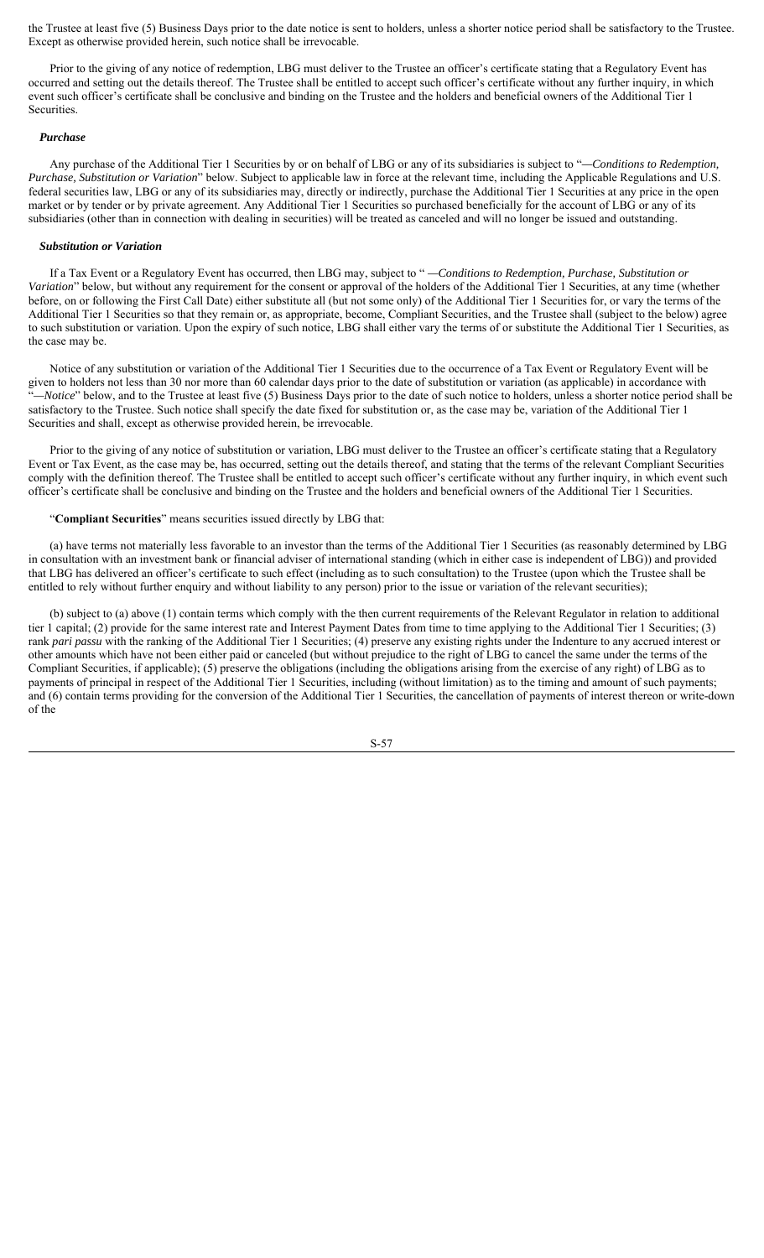the Trustee at least five (5) Business Days prior to the date notice is sent to holders, unless a shorter notice period shall be satisfactory to the Trustee. Except as otherwise provided herein, such notice shall be irrevocable.

Prior to the giving of any notice of redemption, LBG must deliver to the Trustee an officer's certificate stating that a Regulatory Event has occurred and setting out the details thereof. The Trustee shall be entitled to accept such officer's certificate without any further inquiry, in which event such officer's certificate shall be conclusive and binding on the Trustee and the holders and beneficial owners of the Additional Tier 1 **Securities** 

#### *Purchase*

Any purchase of the Additional Tier 1 Securities by or on behalf of LBG or any of its subsidiaries is subject to "*—Conditions to Redemption, Purchase, Substitution or Variation*" below. Subject to applicable law in force at the relevant time, including the Applicable Regulations and U.S. federal securities law, LBG or any of its subsidiaries may, directly or indirectly, purchase the Additional Tier 1 Securities at any price in the open market or by tender or by private agreement. Any Additional Tier 1 Securities so purchased beneficially for the account of LBG or any of its subsidiaries (other than in connection with dealing in securities) will be treated as canceled and will no longer be issued and outstanding.

### *Substitution or Variation*

If a Tax Event or a Regulatory Event has occurred, then LBG may, subject to " *—Conditions to Redemption, Purchase, Substitution or Variation*" below, but without any requirement for the consent or approval of the holders of the Additional Tier 1 Securities, at any time (whether before, on or following the First Call Date) either substitute all (but not some only) of the Additional Tier 1 Securities for, or vary the terms of the Additional Tier 1 Securities so that they remain or, as appropriate, become, Compliant Securities, and the Trustee shall (subject to the below) agree to such substitution or variation. Upon the expiry of such notice, LBG shall either vary the terms of or substitute the Additional Tier 1 Securities, as the case may be.

Notice of any substitution or variation of the Additional Tier 1 Securities due to the occurrence of a Tax Event or Regulatory Event will be given to holders not less than 30 nor more than 60 calendar days prior to the date of substitution or variation (as applicable) in accordance with "*—Notice*" below, and to the Trustee at least five (5) Business Days prior to the date of such notice to holders, unless a shorter notice period shall be satisfactory to the Trustee. Such notice shall specify the date fixed for substitution or, as the case may be, variation of the Additional Tier 1 Securities and shall, except as otherwise provided herein, be irrevocable.

Prior to the giving of any notice of substitution or variation, LBG must deliver to the Trustee an officer's certificate stating that a Regulatory Event or Tax Event, as the case may be, has occurred, setting out the details thereof, and stating that the terms of the relevant Compliant Securities comply with the definition thereof. The Trustee shall be entitled to accept such officer's certificate without any further inquiry, in which event such officer's certificate shall be conclusive and binding on the Trustee and the holders and beneficial owners of the Additional Tier 1 Securities.

#### "**Compliant Securities**" means securities issued directly by LBG that:

(a) have terms not materially less favorable to an investor than the terms of the Additional Tier 1 Securities (as reasonably determined by LBG in consultation with an investment bank or financial adviser of international standing (which in either case is independent of LBG)) and provided that LBG has delivered an officer's certificate to such effect (including as to such consultation) to the Trustee (upon which the Trustee shall be entitled to rely without further enquiry and without liability to any person) prior to the issue or variation of the relevant securities);

(b) subject to (a) above (1) contain terms which comply with the then current requirements of the Relevant Regulator in relation to additional tier 1 capital; (2) provide for the same interest rate and Interest Payment Dates from time to time applying to the Additional Tier 1 Securities; (3) rank *pari passu* with the ranking of the Additional Tier 1 Securities; (4) preserve any existing rights under the Indenture to any accrued interest or other amounts which have not been either paid or canceled (but without prejudice to the right of LBG to cancel the same under the terms of the Compliant Securities, if applicable); (5) preserve the obligations (including the obligations arising from the exercise of any right) of LBG as to payments of principal in respect of the Additional Tier 1 Securities, including (without limitation) as to the timing and amount of such payments; and (6) contain terms providing for the conversion of the Additional Tier 1 Securities, the cancellation of payments of interest thereon or write-down of the

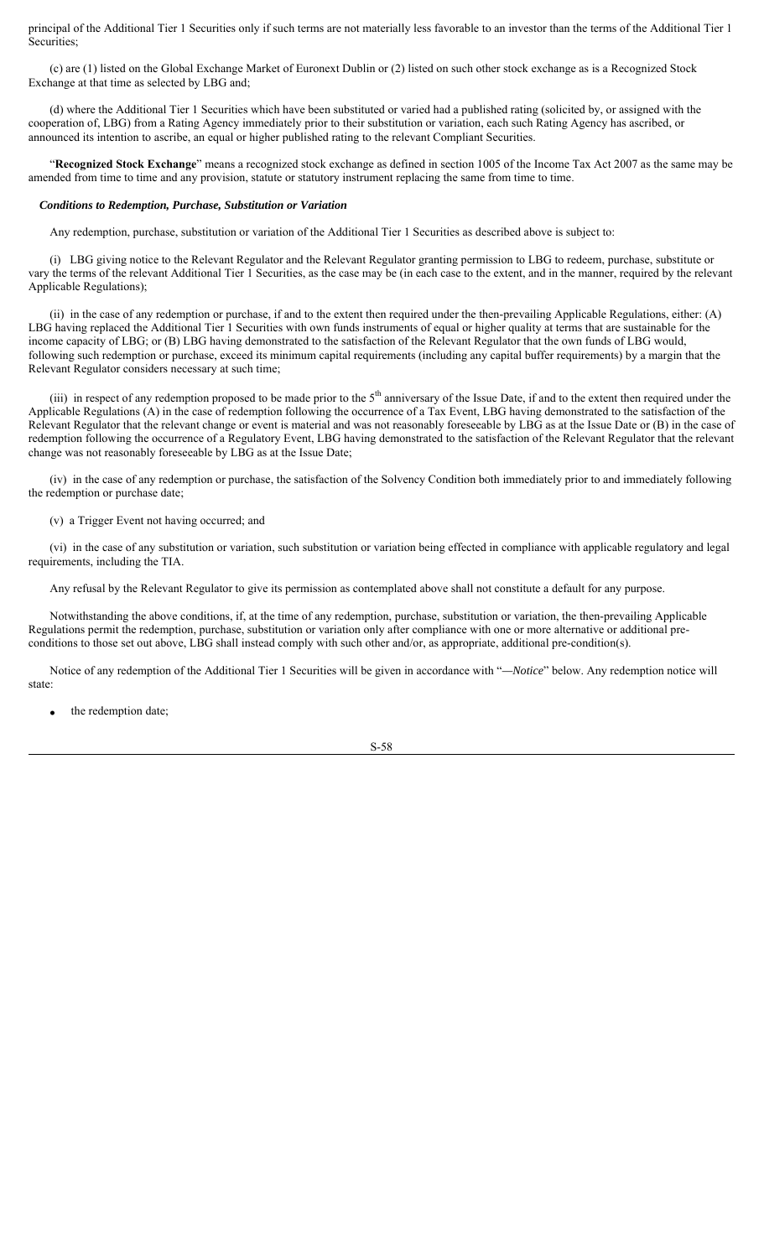principal of the Additional Tier 1 Securities only if such terms are not materially less favorable to an investor than the terms of the Additional Tier 1 Securities;

(c) are (1) listed on the Global Exchange Market of Euronext Dublin or (2) listed on such other stock exchange as is a Recognized Stock Exchange at that time as selected by LBG and;

(d) where the Additional Tier 1 Securities which have been substituted or varied had a published rating (solicited by, or assigned with the cooperation of, LBG) from a Rating Agency immediately prior to their substitution or variation, each such Rating Agency has ascribed, or announced its intention to ascribe, an equal or higher published rating to the relevant Compliant Securities.

"**Recognized Stock Exchange**" means a recognized stock exchange as defined in section 1005 of the Income Tax Act 2007 as the same may be amended from time to time and any provision, statute or statutory instrument replacing the same from time to time.

#### *Conditions to Redemption, Purchase, Substitution or Variation*

Any redemption, purchase, substitution or variation of the Additional Tier 1 Securities as described above is subject to:

(i) LBG giving notice to the Relevant Regulator and the Relevant Regulator granting permission to LBG to redeem, purchase, substitute or vary the terms of the relevant Additional Tier 1 Securities, as the case may be (in each case to the extent, and in the manner, required by the relevant Applicable Regulations);

(ii) in the case of any redemption or purchase, if and to the extent then required under the then-prevailing Applicable Regulations, either: (A) LBG having replaced the Additional Tier 1 Securities with own funds instruments of equal or higher quality at terms that are sustainable for the income capacity of LBG; or (B) LBG having demonstrated to the satisfaction of the Relevant Regulator that the own funds of LBG would, following such redemption or purchase, exceed its minimum capital requirements (including any capital buffer requirements) by a margin that the Relevant Regulator considers necessary at such time;

(iii) in respect of any redemption proposed to be made prior to the  $5<sup>th</sup>$  anniversary of the Issue Date, if and to the extent then required under the Applicable Regulations (A) in the case of redemption following the occurrence of a Tax Event, LBG having demonstrated to the satisfaction of the Relevant Regulator that the relevant change or event is material and was not reasonably foreseeable by LBG as at the Issue Date or (B) in the case of redemption following the occurrence of a Regulatory Event, LBG having demonstrated to the satisfaction of the Relevant Regulator that the relevant change was not reasonably foreseeable by LBG as at the Issue Date;

(iv) in the case of any redemption or purchase, the satisfaction of the Solvency Condition both immediately prior to and immediately following the redemption or purchase date;

(v) a Trigger Event not having occurred; and

(vi) in the case of any substitution or variation, such substitution or variation being effected in compliance with applicable regulatory and legal requirements, including the TIA.

Any refusal by the Relevant Regulator to give its permission as contemplated above shall not constitute a default for any purpose.

Notwithstanding the above conditions, if, at the time of any redemption, purchase, substitution or variation, the then-prevailing Applicable Regulations permit the redemption, purchase, substitution or variation only after compliance with one or more alternative or additional preconditions to those set out above, LBG shall instead comply with such other and/or, as appropriate, additional pre-condition(s).

Notice of any redemption of the Additional Tier 1 Securities will be given in accordance with "*—Notice*" below. Any redemption notice will state:

the redemption date;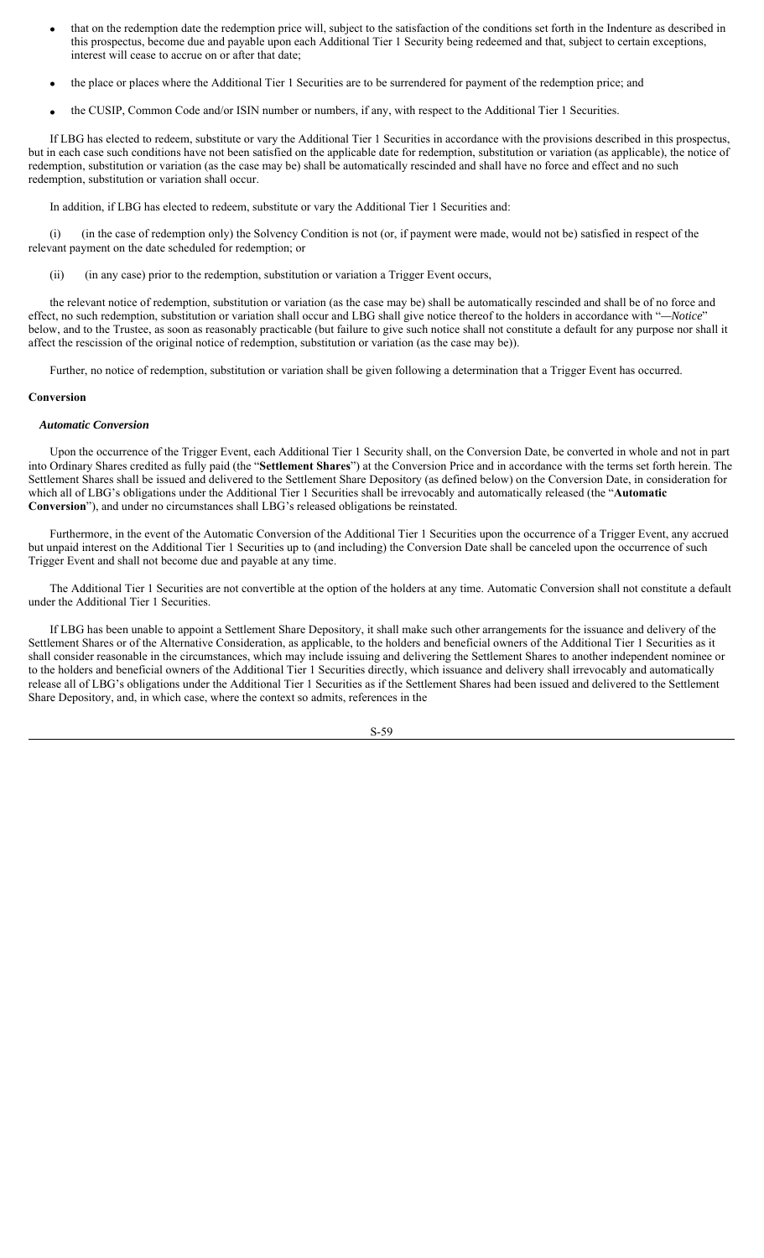- that on the redemption date the redemption price will, subject to the satisfaction of the conditions set forth in the Indenture as described in this prospectus, become due and payable upon each Additional Tier 1 Security being redeemed and that, subject to certain exceptions, interest will cease to accrue on or after that date;
- the place or places where the Additional Tier 1 Securities are to be surrendered for payment of the redemption price; and
- the CUSIP, Common Code and/or ISIN number or numbers, if any, with respect to the Additional Tier 1 Securities.

If LBG has elected to redeem, substitute or vary the Additional Tier 1 Securities in accordance with the provisions described in this prospectus, but in each case such conditions have not been satisfied on the applicable date for redemption, substitution or variation (as applicable), the notice of redemption, substitution or variation (as the case may be) shall be automatically rescinded and shall have no force and effect and no such redemption, substitution or variation shall occur.

In addition, if LBG has elected to redeem, substitute or vary the Additional Tier 1 Securities and:

(i) (in the case of redemption only) the Solvency Condition is not (or, if payment were made, would not be) satisfied in respect of the relevant payment on the date scheduled for redemption; or

(ii) (in any case) prior to the redemption, substitution or variation a Trigger Event occurs,

the relevant notice of redemption, substitution or variation (as the case may be) shall be automatically rescinded and shall be of no force and effect, no such redemption, substitution or variation shall occur and LBG shall give notice thereof to the holders in accordance with "*—Notice*" below, and to the Trustee, as soon as reasonably practicable (but failure to give such notice shall not constitute a default for any purpose nor shall it affect the rescission of the original notice of redemption, substitution or variation (as the case may be)).

Further, no notice of redemption, substitution or variation shall be given following a determination that a Trigger Event has occurred.

#### **Conversion**

#### *Automatic Conversion*

Upon the occurrence of the Trigger Event, each Additional Tier 1 Security shall, on the Conversion Date, be converted in whole and not in part into Ordinary Shares credited as fully paid (the "**Settlement Shares**") at the Conversion Price and in accordance with the terms set forth herein. The Settlement Shares shall be issued and delivered to the Settlement Share Depository (as defined below) on the Conversion Date, in consideration for which all of LBG's obligations under the Additional Tier 1 Securities shall be irrevocably and automatically released (the "**Automatic Conversion**"), and under no circumstances shall LBG's released obligations be reinstated.

Furthermore, in the event of the Automatic Conversion of the Additional Tier 1 Securities upon the occurrence of a Trigger Event, any accrued but unpaid interest on the Additional Tier 1 Securities up to (and including) the Conversion Date shall be canceled upon the occurrence of such Trigger Event and shall not become due and payable at any time.

The Additional Tier 1 Securities are not convertible at the option of the holders at any time. Automatic Conversion shall not constitute a default under the Additional Tier 1 Securities.

If LBG has been unable to appoint a Settlement Share Depository, it shall make such other arrangements for the issuance and delivery of the Settlement Shares or of the Alternative Consideration, as applicable, to the holders and beneficial owners of the Additional Tier 1 Securities as it shall consider reasonable in the circumstances, which may include issuing and delivering the Settlement Shares to another independent nominee or to the holders and beneficial owners of the Additional Tier 1 Securities directly, which issuance and delivery shall irrevocably and automatically release all of LBG's obligations under the Additional Tier 1 Securities as if the Settlement Shares had been issued and delivered to the Settlement Share Depository, and, in which case, where the context so admits, references in the

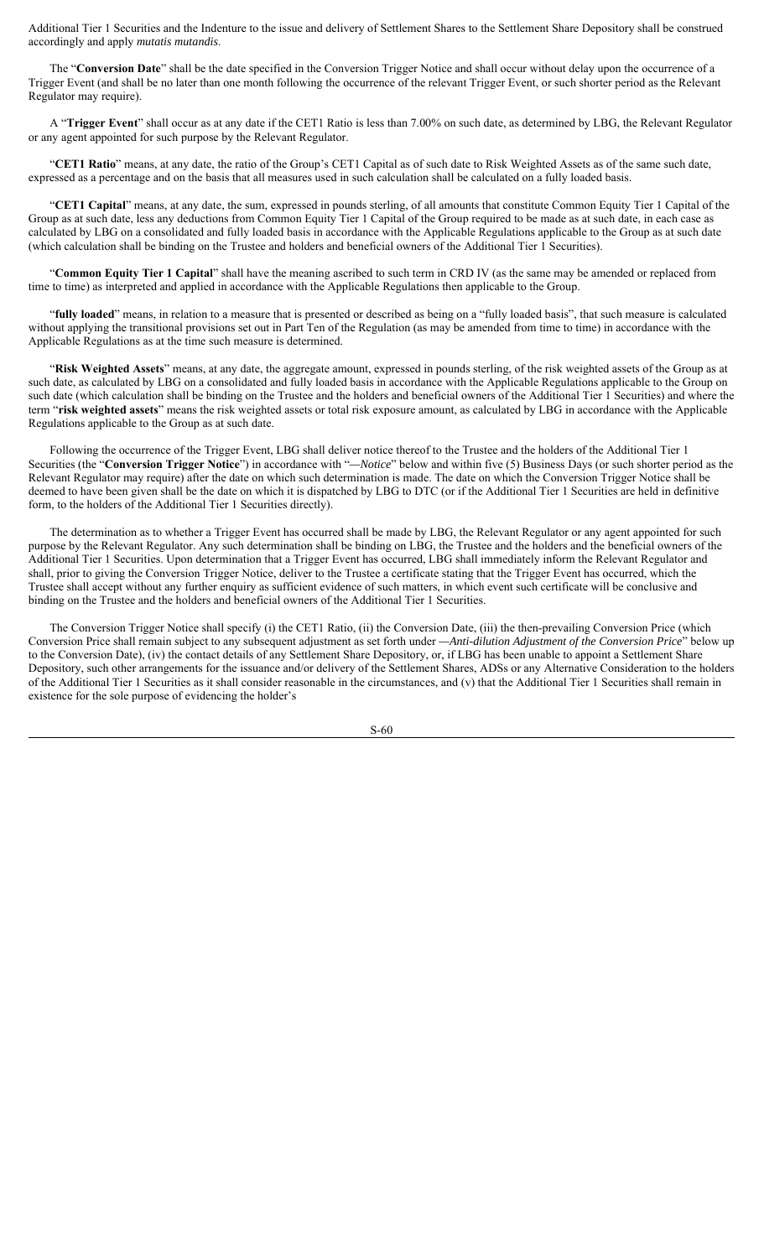Additional Tier 1 Securities and the Indenture to the issue and delivery of Settlement Shares to the Settlement Share Depository shall be construed accordingly and apply *mutatis mutandis*.

The "**Conversion Date**" shall be the date specified in the Conversion Trigger Notice and shall occur without delay upon the occurrence of a Trigger Event (and shall be no later than one month following the occurrence of the relevant Trigger Event, or such shorter period as the Relevant Regulator may require).

A "**Trigger Event**" shall occur as at any date if the CET1 Ratio is less than 7.00% on such date, as determined by LBG, the Relevant Regulator or any agent appointed for such purpose by the Relevant Regulator.

"**CET1 Ratio**" means, at any date, the ratio of the Group's CET1 Capital as of such date to Risk Weighted Assets as of the same such date, expressed as a percentage and on the basis that all measures used in such calculation shall be calculated on a fully loaded basis.

"**CET1 Capital**" means, at any date, the sum, expressed in pounds sterling, of all amounts that constitute Common Equity Tier 1 Capital of the Group as at such date, less any deductions from Common Equity Tier 1 Capital of the Group required to be made as at such date, in each case as calculated by LBG on a consolidated and fully loaded basis in accordance with the Applicable Regulations applicable to the Group as at such date (which calculation shall be binding on the Trustee and holders and beneficial owners of the Additional Tier 1 Securities).

"**Common Equity Tier 1 Capital**" shall have the meaning ascribed to such term in CRD IV (as the same may be amended or replaced from time to time) as interpreted and applied in accordance with the Applicable Regulations then applicable to the Group.

"**fully loaded**" means, in relation to a measure that is presented or described as being on a "fully loaded basis", that such measure is calculated without applying the transitional provisions set out in Part Ten of the Regulation (as may be amended from time to time) in accordance with the Applicable Regulations as at the time such measure is determined.

Risk Weighted Assets" means, at any date, the aggregate amount, expressed in pounds sterling, of the risk weighted assets of the Group as at such date, as calculated by LBG on a consolidated and fully loaded basis in accordance with the Applicable Regulations applicable to the Group on such date (which calculation shall be binding on the Trustee and the holders and beneficial owners of the Additional Tier 1 Securities) and where the term "**risk weighted assets**" means the risk weighted assets or total risk exposure amount, as calculated by LBG in accordance with the Applicable Regulations applicable to the Group as at such date.

Following the occurrence of the Trigger Event, LBG shall deliver notice thereof to the Trustee and the holders of the Additional Tier 1 Securities (the "**Conversion Trigger Notice**") in accordance with "*—Notice*" below and within five (5) Business Days (or such shorter period as the Relevant Regulator may require) after the date on which such determination is made. The date on which the Conversion Trigger Notice shall be deemed to have been given shall be the date on which it is dispatched by LBG to DTC (or if the Additional Tier 1 Securities are held in definitive form, to the holders of the Additional Tier 1 Securities directly).

The determination as to whether a Trigger Event has occurred shall be made by LBG, the Relevant Regulator or any agent appointed for such purpose by the Relevant Regulator. Any such determination shall be binding on LBG, the Trustee and the holders and the beneficial owners of the Additional Tier 1 Securities. Upon determination that a Trigger Event has occurred, LBG shall immediately inform the Relevant Regulator and shall, prior to giving the Conversion Trigger Notice, deliver to the Trustee a certificate stating that the Trigger Event has occurred, which the Trustee shall accept without any further enquiry as sufficient evidence of such matters, in which event such certificate will be conclusive and binding on the Trustee and the holders and beneficial owners of the Additional Tier 1 Securities.

The Conversion Trigger Notice shall specify (i) the CET1 Ratio, (ii) the Conversion Date, (iii) the then-prevailing Conversion Price (which Conversion Price shall remain subject to any subsequent adjustment as set forth under *—Anti-dilution Adjustment of the Conversion Price*" below up to the Conversion Date), (iv) the contact details of any Settlement Share Depository, or, if LBG has been unable to appoint a Settlement Share Depository, such other arrangements for the issuance and/or delivery of the Settlement Shares, ADSs or any Alternative Consideration to the holders of the Additional Tier 1 Securities as it shall consider reasonable in the circumstances, and (v) that the Additional Tier 1 Securities shall remain in existence for the sole purpose of evidencing the holder's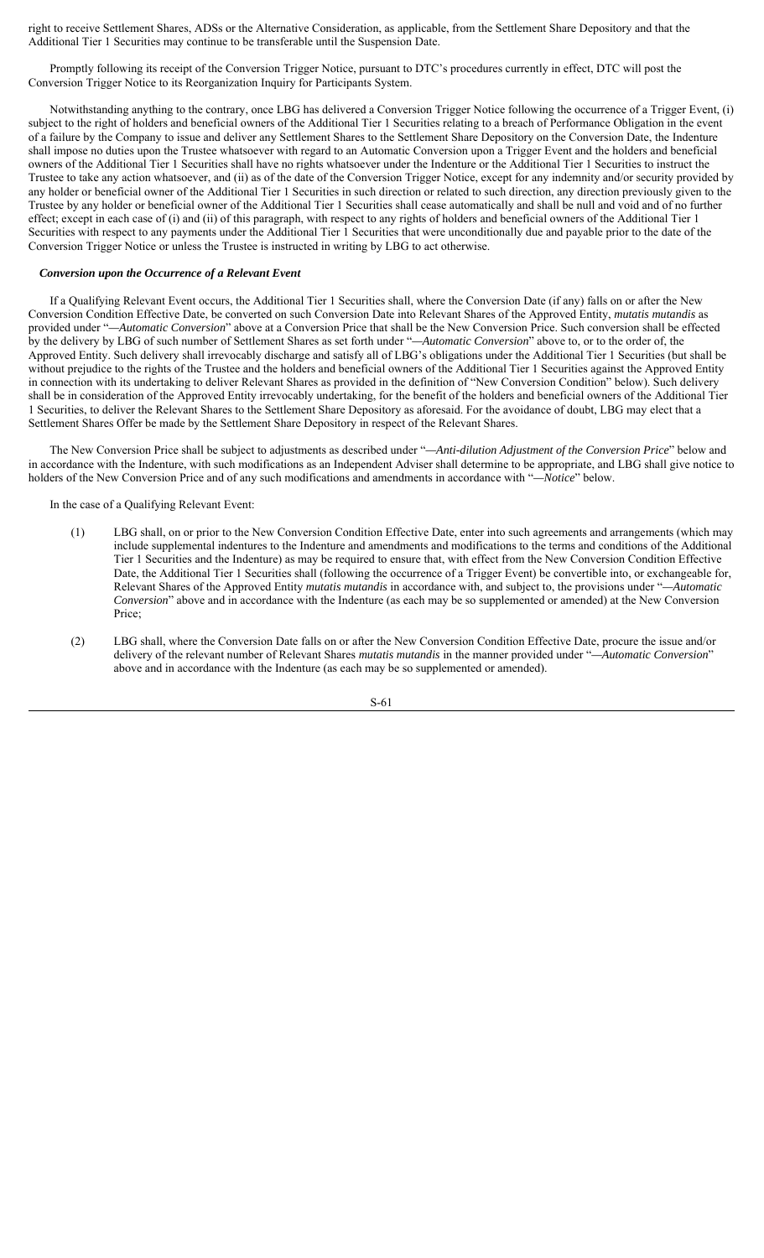right to receive Settlement Shares, ADSs or the Alternative Consideration, as applicable, from the Settlement Share Depository and that the Additional Tier 1 Securities may continue to be transferable until the Suspension Date.

Promptly following its receipt of the Conversion Trigger Notice, pursuant to DTC's procedures currently in effect, DTC will post the Conversion Trigger Notice to its Reorganization Inquiry for Participants System.

Notwithstanding anything to the contrary, once LBG has delivered a Conversion Trigger Notice following the occurrence of a Trigger Event, (i) subject to the right of holders and beneficial owners of the Additional Tier 1 Securities relating to a breach of Performance Obligation in the event of a failure by the Company to issue and deliver any Settlement Shares to the Settlement Share Depository on the Conversion Date, the Indenture shall impose no duties upon the Trustee whatsoever with regard to an Automatic Conversion upon a Trigger Event and the holders and beneficial owners of the Additional Tier 1 Securities shall have no rights whatsoever under the Indenture or the Additional Tier 1 Securities to instruct the Trustee to take any action whatsoever, and (ii) as of the date of the Conversion Trigger Notice, except for any indemnity and/or security provided by any holder or beneficial owner of the Additional Tier 1 Securities in such direction or related to such direction, any direction previously given to the Trustee by any holder or beneficial owner of the Additional Tier 1 Securities shall cease automatically and shall be null and void and of no further effect; except in each case of (i) and (ii) of this paragraph, with respect to any rights of holders and beneficial owners of the Additional Tier 1 Securities with respect to any payments under the Additional Tier 1 Securities that were unconditionally due and payable prior to the date of the Conversion Trigger Notice or unless the Trustee is instructed in writing by LBG to act otherwise.

# *Conversion upon the Occurrence of a Relevant Event*

If a Qualifying Relevant Event occurs, the Additional Tier 1 Securities shall, where the Conversion Date (if any) falls on or after the New Conversion Condition Effective Date, be converted on such Conversion Date into Relevant Shares of the Approved Entity, *mutatis mutandis* as provided under "*—Automatic Conversion*" above at a Conversion Price that shall be the New Conversion Price. Such conversion shall be effected by the delivery by LBG of such number of Settlement Shares as set forth under "*—Automatic Conversion*" above to, or to the order of, the Approved Entity. Such delivery shall irrevocably discharge and satisfy all of LBG's obligations under the Additional Tier 1 Securities (but shall be without prejudice to the rights of the Trustee and the holders and beneficial owners of the Additional Tier 1 Securities against the Approved Entity in connection with its undertaking to deliver Relevant Shares as provided in the definition of "New Conversion Condition" below). Such delivery shall be in consideration of the Approved Entity irrevocably undertaking, for the benefit of the holders and beneficial owners of the Additional Tier 1 Securities, to deliver the Relevant Shares to the Settlement Share Depository as aforesaid. For the avoidance of doubt, LBG may elect that a Settlement Shares Offer be made by the Settlement Share Depository in respect of the Relevant Shares.

The New Conversion Price shall be subject to adjustments as described under "*—Anti-dilution Adjustment of the Conversion Price*" below and in accordance with the Indenture, with such modifications as an Independent Adviser shall determine to be appropriate, and LBG shall give notice to holders of the New Conversion Price and of any such modifications and amendments in accordance with "*—Notice*" below.

In the case of a Qualifying Relevant Event:

- (1) LBG shall, on or prior to the New Conversion Condition Effective Date, enter into such agreements and arrangements (which may include supplemental indentures to the Indenture and amendments and modifications to the terms and conditions of the Additional Tier 1 Securities and the Indenture) as may be required to ensure that, with effect from the New Conversion Condition Effective Date, the Additional Tier 1 Securities shall (following the occurrence of a Trigger Event) be convertible into, or exchangeable for, Relevant Shares of the Approved Entity *mutatis mutandis* in accordance with, and subject to, the provisions under "*—Automatic Conversion*" above and in accordance with the Indenture (as each may be so supplemented or amended) at the New Conversion Price;
- (2) LBG shall, where the Conversion Date falls on or after the New Conversion Condition Effective Date, procure the issue and/or delivery of the relevant number of Relevant Shares *mutatis mutandis* in the manner provided under "*—Automatic Conversion*" above and in accordance with the Indenture (as each may be so supplemented or amended).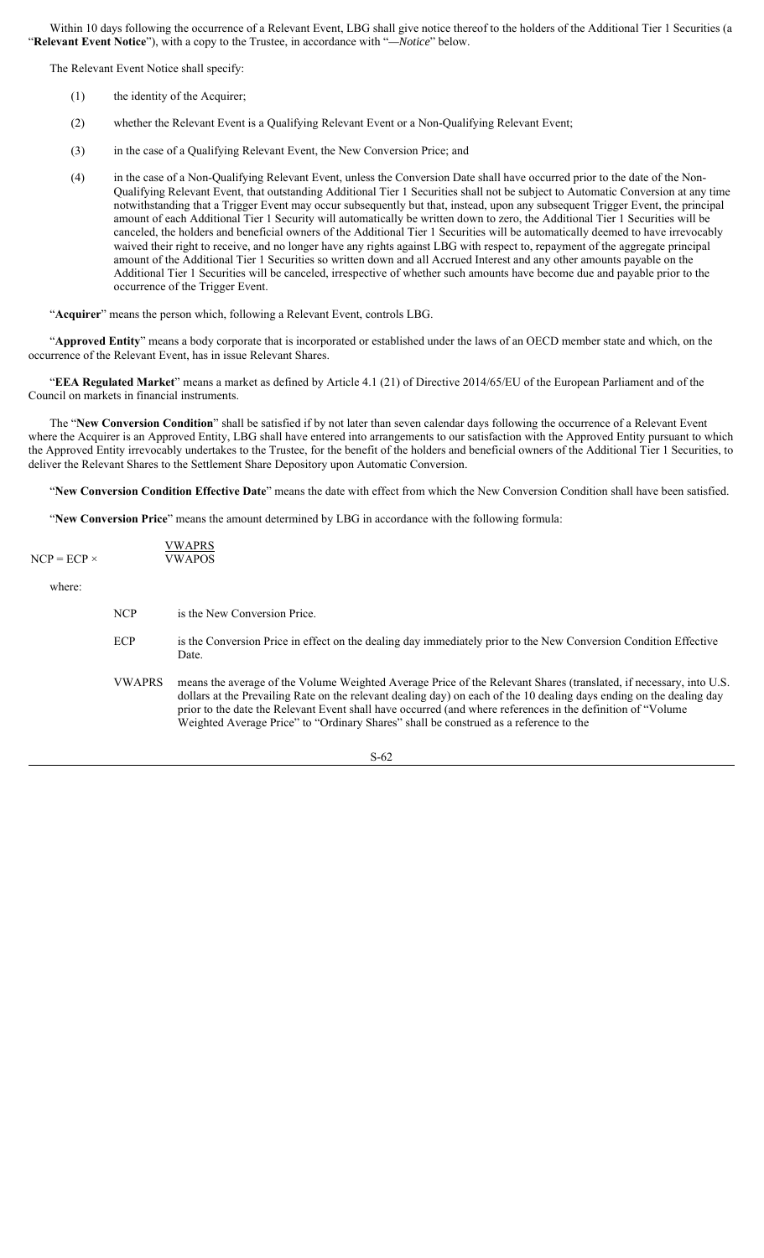Within 10 days following the occurrence of a Relevant Event, LBG shall give notice thereof to the holders of the Additional Tier 1 Securities (a "**Relevant Event Notice**"), with a copy to the Trustee, in accordance with "*—Notice*" below.

The Relevant Event Notice shall specify:

- (1) the identity of the Acquirer;
- (2) whether the Relevant Event is a Qualifying Relevant Event or a Non-Qualifying Relevant Event;
- (3) in the case of a Qualifying Relevant Event, the New Conversion Price; and
- (4) in the case of a Non-Qualifying Relevant Event, unless the Conversion Date shall have occurred prior to the date of the Non-Qualifying Relevant Event, that outstanding Additional Tier 1 Securities shall not be subject to Automatic Conversion at any time notwithstanding that a Trigger Event may occur subsequently but that, instead, upon any subsequent Trigger Event, the principal amount of each Additional Tier 1 Security will automatically be written down to zero, the Additional Tier 1 Securities will be canceled, the holders and beneficial owners of the Additional Tier 1 Securities will be automatically deemed to have irrevocably waived their right to receive, and no longer have any rights against LBG with respect to, repayment of the aggregate principal amount of the Additional Tier 1 Securities so written down and all Accrued Interest and any other amounts payable on the Additional Tier 1 Securities will be canceled, irrespective of whether such amounts have become due and payable prior to the occurrence of the Trigger Event.

"**Acquirer**" means the person which, following a Relevant Event, controls LBG.

"**Approved Entity**" means a body corporate that is incorporated or established under the laws of an OECD member state and which, on the occurrence of the Relevant Event, has in issue Relevant Shares.

"**EEA Regulated Market**" means a market as defined by Article 4.1 (21) of Directive 2014/65/EU of the European Parliament and of the Council on markets in financial instruments.

The "**New Conversion Condition**" shall be satisfied if by not later than seven calendar days following the occurrence of a Relevant Event where the Acquirer is an Approved Entity, LBG shall have entered into arrangements to our satisfaction with the Approved Entity pursuant to which the Approved Entity irrevocably undertakes to the Trustee, for the benefit of the holders and beneficial owners of the Additional Tier 1 Securities, to deliver the Relevant Shares to the Settlement Share Depository upon Automatic Conversion.

"**New Conversion Condition Effective Date**" means the date with effect from which the New Conversion Condition shall have been satisfied.

"**New Conversion Price**" means the amount determined by LBG in accordance with the following formula:

| $NCP = ECP \times$ |               | VWAPRS<br><b>VWAPOS</b>                                                                                                                                                                                                                                                                                                                                                                                                                             |
|--------------------|---------------|-----------------------------------------------------------------------------------------------------------------------------------------------------------------------------------------------------------------------------------------------------------------------------------------------------------------------------------------------------------------------------------------------------------------------------------------------------|
| where:             |               |                                                                                                                                                                                                                                                                                                                                                                                                                                                     |
|                    | NCP           | is the New Conversion Price.                                                                                                                                                                                                                                                                                                                                                                                                                        |
|                    | ECP           | is the Conversion Price in effect on the dealing day immediately prior to the New Conversion Condition Effective<br>Date.                                                                                                                                                                                                                                                                                                                           |
|                    | <b>VWAPRS</b> | means the average of the Volume Weighted Average Price of the Relevant Shares (translated, if necessary, into U.S.<br>dollars at the Prevailing Rate on the relevant dealing day) on each of the 10 dealing days ending on the dealing day<br>prior to the date the Relevant Event shall have occurred (and where references in the definition of "Volume"<br>Weighted Average Price" to "Ordinary Shares" shall be construed as a reference to the |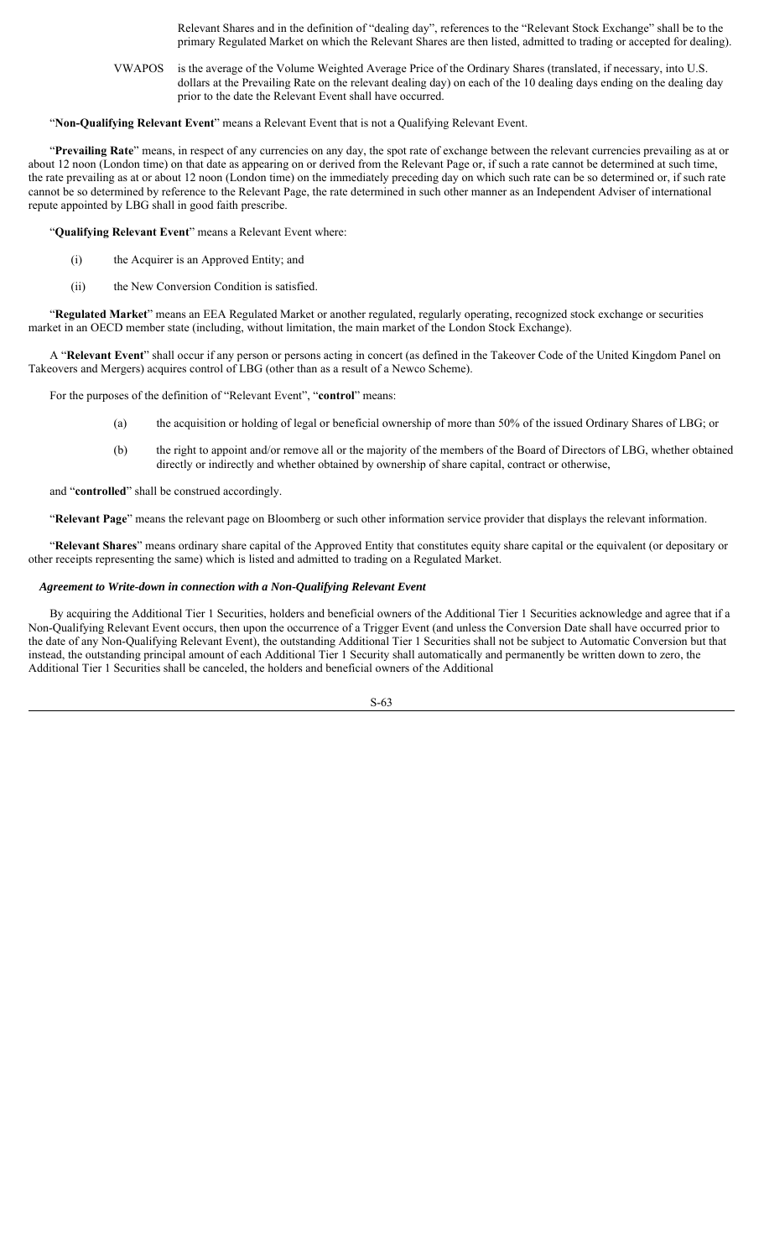Relevant Shares and in the definition of "dealing day", references to the "Relevant Stock Exchange" shall be to the primary Regulated Market on which the Relevant Shares are then listed, admitted to trading or accepted for dealing).

VWAPOS is the average of the Volume Weighted Average Price of the Ordinary Shares (translated, if necessary, into U.S. dollars at the Prevailing Rate on the relevant dealing day) on each of the 10 dealing days ending on the dealing day prior to the date the Relevant Event shall have occurred.

#### "**Non-Qualifying Relevant Event**" means a Relevant Event that is not a Qualifying Relevant Event.

"**Prevailing Rate**" means, in respect of any currencies on any day, the spot rate of exchange between the relevant currencies prevailing as at or about 12 noon (London time) on that date as appearing on or derived from the Relevant Page or, if such a rate cannot be determined at such time, the rate prevailing as at or about 12 noon (London time) on the immediately preceding day on which such rate can be so determined or, if such rate cannot be so determined by reference to the Relevant Page, the rate determined in such other manner as an Independent Adviser of international repute appointed by LBG shall in good faith prescribe.

"**Qualifying Relevant Event**" means a Relevant Event where:

- (i) the Acquirer is an Approved Entity; and
- (ii) the New Conversion Condition is satisfied.

"**Regulated Market**" means an EEA Regulated Market or another regulated, regularly operating, recognized stock exchange or securities market in an OECD member state (including, without limitation, the main market of the London Stock Exchange).

A "**Relevant Event**" shall occur if any person or persons acting in concert (as defined in the Takeover Code of the United Kingdom Panel on Takeovers and Mergers) acquires control of LBG (other than as a result of a Newco Scheme).

For the purposes of the definition of "Relevant Event", "**control**" means:

- (a) the acquisition or holding of legal or beneficial ownership of more than 50% of the issued Ordinary Shares of LBG; or
- (b) the right to appoint and/or remove all or the majority of the members of the Board of Directors of LBG, whether obtained directly or indirectly and whether obtained by ownership of share capital, contract or otherwise,

and "**controlled**" shall be construed accordingly.

"**Relevant Page**" means the relevant page on Bloomberg or such other information service provider that displays the relevant information.

"**Relevant Shares**" means ordinary share capital of the Approved Entity that constitutes equity share capital or the equivalent (or depositary or other receipts representing the same) which is listed and admitted to trading on a Regulated Market.

#### *Agreement to Write-down in connection with a Non-Qualifying Relevant Event*

By acquiring the Additional Tier 1 Securities, holders and beneficial owners of the Additional Tier 1 Securities acknowledge and agree that if a Non-Qualifying Relevant Event occurs, then upon the occurrence of a Trigger Event (and unless the Conversion Date shall have occurred prior to the date of any Non-Qualifying Relevant Event), the outstanding Additional Tier 1 Securities shall not be subject to Automatic Conversion but that instead, the outstanding principal amount of each Additional Tier 1 Security shall automatically and permanently be written down to zero, the Additional Tier 1 Securities shall be canceled, the holders and beneficial owners of the Additional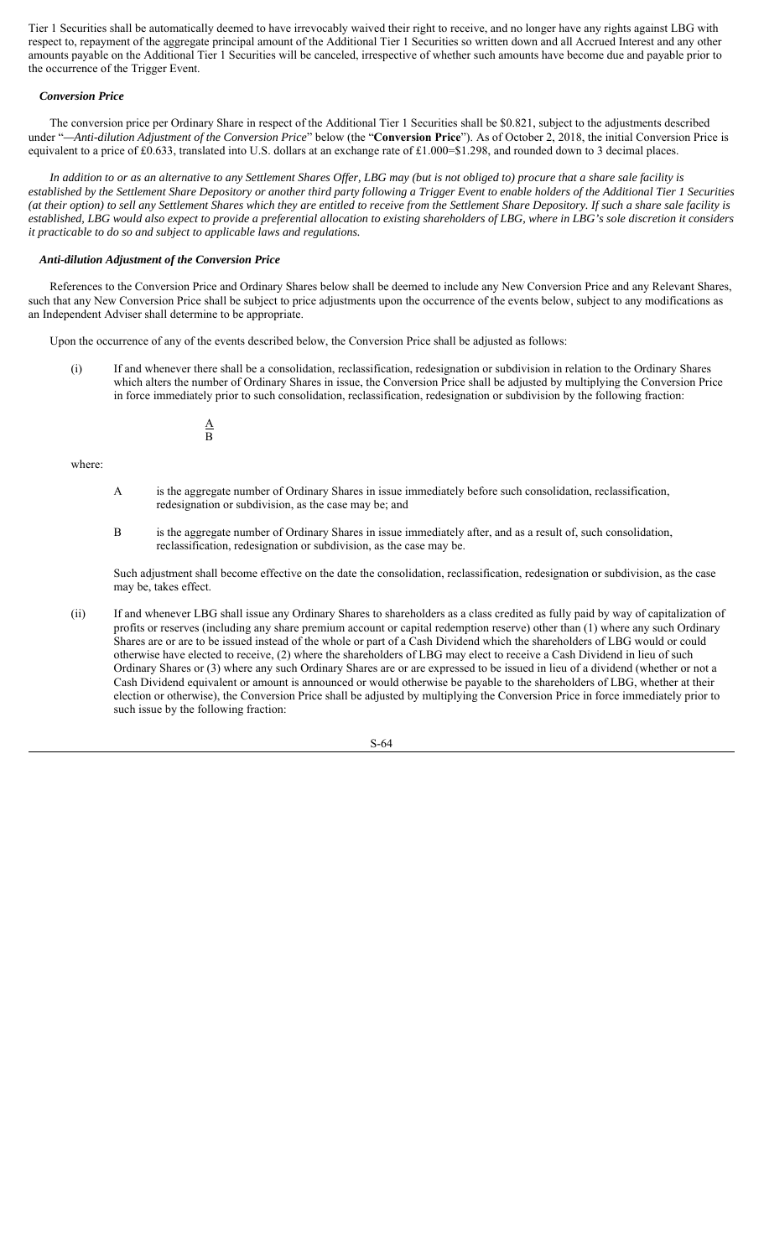Tier 1 Securities shall be automatically deemed to have irrevocably waived their right to receive, and no longer have any rights against LBG with respect to, repayment of the aggregate principal amount of the Additional Tier 1 Securities so written down and all Accrued Interest and any other amounts payable on the Additional Tier 1 Securities will be canceled, irrespective of whether such amounts have become due and payable prior to the occurrence of the Trigger Event.

#### *Conversion Price*

The conversion price per Ordinary Share in respect of the Additional Tier 1 Securities shall be \$0.821, subject to the adjustments described under "*—Anti-dilution Adjustment of the Conversion Price*" below (the "**Conversion Price**"). As of October 2, 2018, the initial Conversion Price is equivalent to a price of £0.633, translated into U.S. dollars at an exchange rate of £1.000=\$1.298, and rounded down to 3 decimal places.

*In addition to or as an alternative to any Settlement Shares Offer, LBG may (but is not obliged to) procure that a share sale facility is established by the Settlement Share Depository or another third party following a Trigger Event to enable holders of the Additional Tier 1 Securities (at their option) to sell any Settlement Shares which they are entitled to receive from the Settlement Share Depository. If such a share sale facility is established, LBG would also expect to provide a preferential allocation to existing shareholders of LBG, where in LBG's sole discretion it considers it practicable to do so and subject to applicable laws and regulations.*

#### *Anti-dilution Adjustment of the Conversion Price*

References to the Conversion Price and Ordinary Shares below shall be deemed to include any New Conversion Price and any Relevant Shares, such that any New Conversion Price shall be subject to price adjustments upon the occurrence of the events below, subject to any modifications as an Independent Adviser shall determine to be appropriate.

Upon the occurrence of any of the events described below, the Conversion Price shall be adjusted as follows:

(i) If and whenever there shall be a consolidation, reclassification, redesignation or subdivision in relation to the Ordinary Shares which alters the number of Ordinary Shares in issue, the Conversion Price shall be adjusted by multiplying the Conversion Price in force immediately prior to such consolidation, reclassification, redesignation or subdivision by the following fraction:

> A B

### where:

- A is the aggregate number of Ordinary Shares in issue immediately before such consolidation, reclassification, redesignation or subdivision, as the case may be; and
- B is the aggregate number of Ordinary Shares in issue immediately after, and as a result of, such consolidation, reclassification, redesignation or subdivision, as the case may be.

Such adjustment shall become effective on the date the consolidation, reclassification, redesignation or subdivision, as the case may be, takes effect.

(ii) If and whenever LBG shall issue any Ordinary Shares to shareholders as a class credited as fully paid by way of capitalization of profits or reserves (including any share premium account or capital redemption reserve) other than (1) where any such Ordinary Shares are or are to be issued instead of the whole or part of a Cash Dividend which the shareholders of LBG would or could otherwise have elected to receive, (2) where the shareholders of LBG may elect to receive a Cash Dividend in lieu of such Ordinary Shares or (3) where any such Ordinary Shares are or are expressed to be issued in lieu of a dividend (whether or not a Cash Dividend equivalent or amount is announced or would otherwise be payable to the shareholders of LBG, whether at their election or otherwise), the Conversion Price shall be adjusted by multiplying the Conversion Price in force immediately prior to such issue by the following fraction:

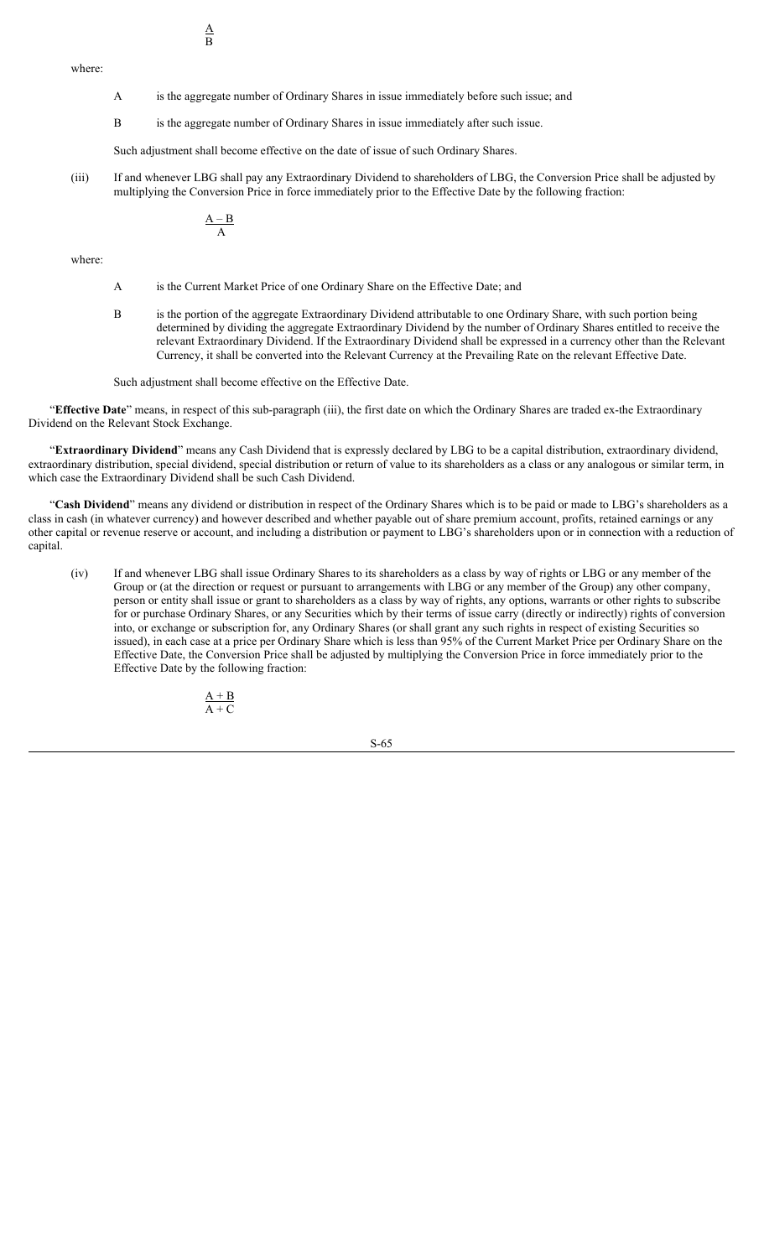where:

- A is the aggregate number of Ordinary Shares in issue immediately before such issue; and
- B is the aggregate number of Ordinary Shares in issue immediately after such issue.

Such adjustment shall become effective on the date of issue of such Ordinary Shares.

(iii) If and whenever LBG shall pay any Extraordinary Dividend to shareholders of LBG, the Conversion Price shall be adjusted by multiplying the Conversion Price in force immediately prior to the Effective Date by the following fraction:

$$
\frac{A-B}{A}
$$

where:

- A is the Current Market Price of one Ordinary Share on the Effective Date; and
- B is the portion of the aggregate Extraordinary Dividend attributable to one Ordinary Share, with such portion being determined by dividing the aggregate Extraordinary Dividend by the number of Ordinary Shares entitled to receive the relevant Extraordinary Dividend. If the Extraordinary Dividend shall be expressed in a currency other than the Relevant Currency, it shall be converted into the Relevant Currency at the Prevailing Rate on the relevant Effective Date.

Such adjustment shall become effective on the Effective Date.

"**Effective Date**" means, in respect of this sub-paragraph (iii), the first date on which the Ordinary Shares are traded ex-the Extraordinary Dividend on the Relevant Stock Exchange.

"**Extraordinary Dividend**" means any Cash Dividend that is expressly declared by LBG to be a capital distribution, extraordinary dividend, extraordinary distribution, special dividend, special distribution or return of value to its shareholders as a class or any analogous or similar term, in which case the Extraordinary Dividend shall be such Cash Dividend.

"Cash Dividend" means any dividend or distribution in respect of the Ordinary Shares which is to be paid or made to LBG's shareholders as a class in cash (in whatever currency) and however described and whether payable out of share premium account, profits, retained earnings or any other capital or revenue reserve or account, and including a distribution or payment to LBG's shareholders upon or in connection with a reduction of capital.

(iv) If and whenever LBG shall issue Ordinary Shares to its shareholders as a class by way of rights or LBG or any member of the Group or (at the direction or request or pursuant to arrangements with LBG or any member of the Group) any other company, person or entity shall issue or grant to shareholders as a class by way of rights, any options, warrants or other rights to subscribe for or purchase Ordinary Shares, or any Securities which by their terms of issue carry (directly or indirectly) rights of conversion into, or exchange or subscription for, any Ordinary Shares (or shall grant any such rights in respect of existing Securities so issued), in each case at a price per Ordinary Share which is less than 95% of the Current Market Price per Ordinary Share on the Effective Date, the Conversion Price shall be adjusted by multiplying the Conversion Price in force immediately prior to the Effective Date by the following fraction:

$$
\frac{A+B}{A+C}
$$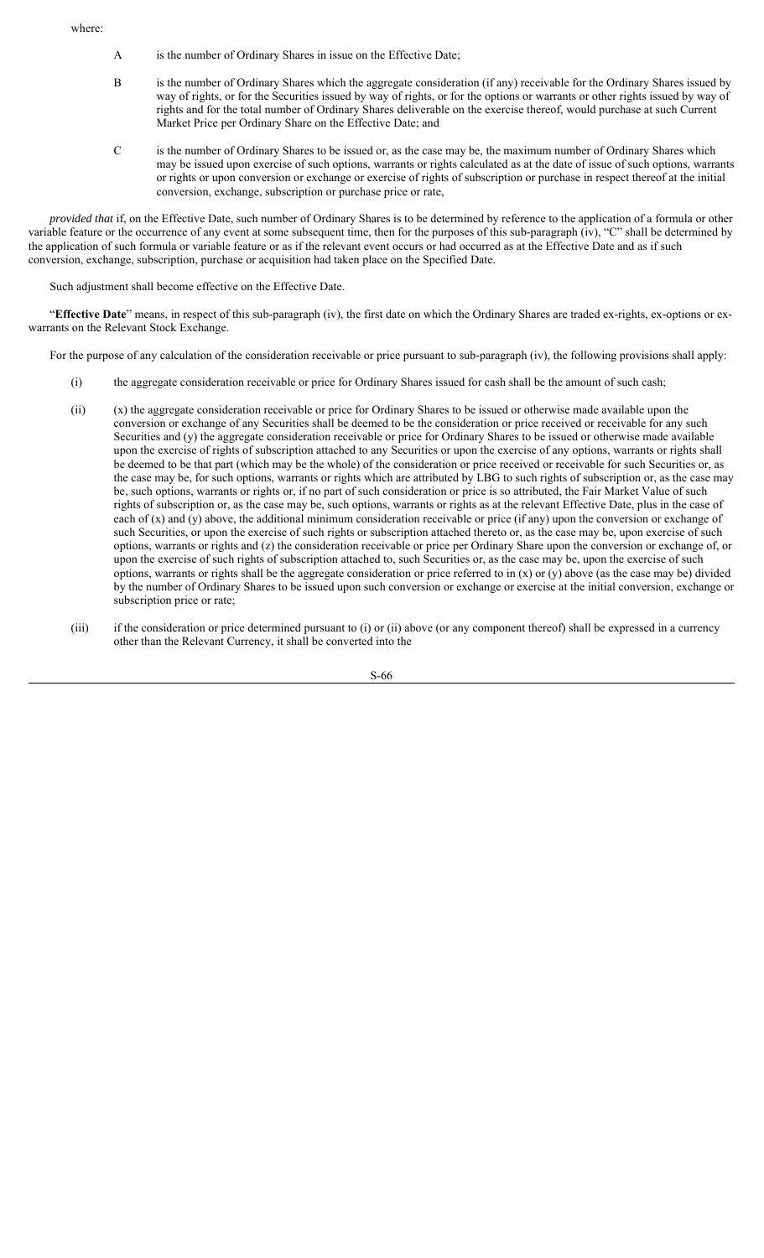where:

- A is the number of Ordinary Shares in issue on the Effective Date;
- B is the number of Ordinary Shares which the aggregate consideration (if any) receivable for the Ordinary Shares issued by way of rights, or for the Securities issued by way of rights, or for the options or warrants or other rights issued by way of rights and for the total number of Ordinary Shares deliverable on the exercise thereof, would purchase at such Current Market Price per Ordinary Share on the Effective Date; and
- C is the number of Ordinary Shares to be issued or, as the case may be, the maximum number of Ordinary Shares which may be issued upon exercise of such options, warrants or rights calculated as at the date of issue of such options, warrants or rights or upon conversion or exchange or exercise of rights of subscription or purchase in respect thereof at the initial conversion, exchange, subscription or purchase price or rate,

*provided that* if, on the Effective Date, such number of Ordinary Shares is to be determined by reference to the application of a formula or other variable feature or the occurrence of any event at some subsequent time, then for the purposes of this sub-paragraph (iv), "C" shall be determined by the application of such formula or variable feature or as if the relevant event occurs or had occurred as at the Effective Date and as if such conversion, exchange, subscription, purchase or acquisition had taken place on the Specified Date.

Such adjustment shall become effective on the Effective Date.

"**Effective Date**" means, in respect of this sub-paragraph (iv), the first date on which the Ordinary Shares are traded ex-rights, ex-options or exwarrants on the Relevant Stock Exchange.

For the purpose of any calculation of the consideration receivable or price pursuant to sub-paragraph (iv), the following provisions shall apply:

- (i) the aggregate consideration receivable or price for Ordinary Shares issued for cash shall be the amount of such cash;
- (ii) (x) the aggregate consideration receivable or price for Ordinary Shares to be issued or otherwise made available upon the conversion or exchange of any Securities shall be deemed to be the consideration or price received or receivable for any such Securities and (y) the aggregate consideration receivable or price for Ordinary Shares to be issued or otherwise made available upon the exercise of rights of subscription attached to any Securities or upon the exercise of any options, warrants or rights shall be deemed to be that part (which may be the whole) of the consideration or price received or receivable for such Securities or, as the case may be, for such options, warrants or rights which are attributed by LBG to such rights of subscription or, as the case may be, such options, warrants or rights or, if no part of such consideration or price is so attributed, the Fair Market Value of such rights of subscription or, as the case may be, such options, warrants or rights as at the relevant Effective Date, plus in the case of each of (x) and (y) above, the additional minimum consideration receivable or price (if any) upon the conversion or exchange of such Securities, or upon the exercise of such rights or subscription attached thereto or, as the case may be, upon exercise of such options, warrants or rights and (z) the consideration receivable or price per Ordinary Share upon the conversion or exchange of, or upon the exercise of such rights of subscription attached to, such Securities or, as the case may be, upon the exercise of such options, warrants or rights shall be the aggregate consideration or price referred to in  $(x)$  or  $(y)$  above (as the case may be) divided by the number of Ordinary Shares to be issued upon such conversion or exchange or exercise at the initial conversion, exchange or subscription price or rate;
- (iii) if the consideration or price determined pursuant to (i) or (ii) above (or any component thereof) shall be expressed in a currency other than the Relevant Currency, it shall be converted into the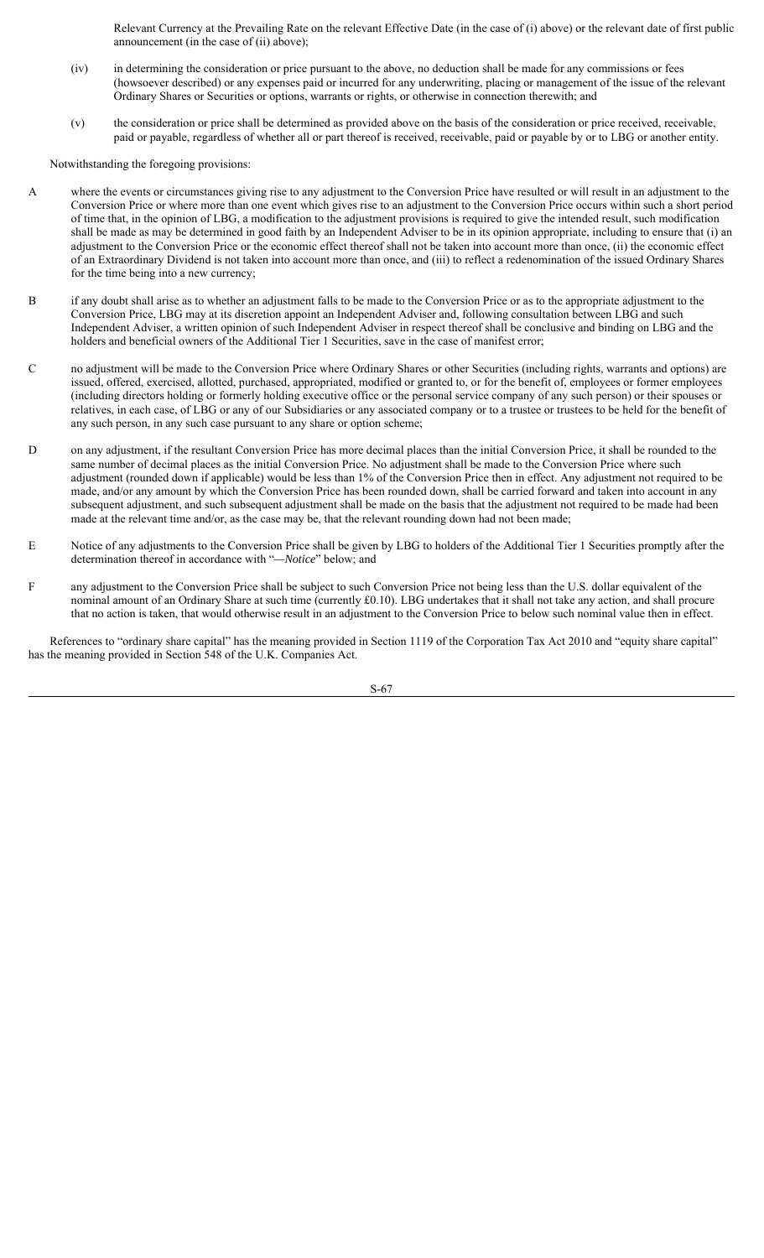Relevant Currency at the Prevailing Rate on the relevant Effective Date (in the case of (i) above) or the relevant date of first public announcement (in the case of (ii) above);

- (iv) in determining the consideration or price pursuant to the above, no deduction shall be made for any commissions or fees (howsoever described) or any expenses paid or incurred for any underwriting, placing or management of the issue of the relevant Ordinary Shares or Securities or options, warrants or rights, or otherwise in connection therewith; and
- (v) the consideration or price shall be determined as provided above on the basis of the consideration or price received, receivable, paid or payable, regardless of whether all or part thereof is received, receivable, paid or payable by or to LBG or another entity.

Notwithstanding the foregoing provisions:

- A where the events or circumstances giving rise to any adjustment to the Conversion Price have resulted or will result in an adjustment to the Conversion Price or where more than one event which gives rise to an adjustment to the Conversion Price occurs within such a short period of time that, in the opinion of LBG, a modification to the adjustment provisions is required to give the intended result, such modification shall be made as may be determined in good faith by an Independent Adviser to be in its opinion appropriate, including to ensure that (i) an adjustment to the Conversion Price or the economic effect thereof shall not be taken into account more than once, (ii) the economic effect of an Extraordinary Dividend is not taken into account more than once, and (iii) to reflect a redenomination of the issued Ordinary Shares for the time being into a new currency;
- B if any doubt shall arise as to whether an adjustment falls to be made to the Conversion Price or as to the appropriate adjustment to the Conversion Price, LBG may at its discretion appoint an Independent Adviser and, following consultation between LBG and such Independent Adviser, a written opinion of such Independent Adviser in respect thereof shall be conclusive and binding on LBG and the holders and beneficial owners of the Additional Tier 1 Securities, save in the case of manifest error;
- C no adjustment will be made to the Conversion Price where Ordinary Shares or other Securities (including rights, warrants and options) are issued, offered, exercised, allotted, purchased, appropriated, modified or granted to, or for the benefit of, employees or former employees (including directors holding or formerly holding executive office or the personal service company of any such person) or their spouses or relatives, in each case, of LBG or any of our Subsidiaries or any associated company or to a trustee or trustees to be held for the benefit of any such person, in any such case pursuant to any share or option scheme;
- D on any adjustment, if the resultant Conversion Price has more decimal places than the initial Conversion Price, it shall be rounded to the same number of decimal places as the initial Conversion Price. No adjustment shall be made to the Conversion Price where such adjustment (rounded down if applicable) would be less than 1% of the Conversion Price then in effect. Any adjustment not required to be made, and/or any amount by which the Conversion Price has been rounded down, shall be carried forward and taken into account in any subsequent adjustment, and such subsequent adjustment shall be made on the basis that the adjustment not required to be made had been made at the relevant time and/or, as the case may be, that the relevant rounding down had not been made;
- E Notice of any adjustments to the Conversion Price shall be given by LBG to holders of the Additional Tier 1 Securities promptly after the determination thereof in accordance with "*—Notice*" below; and
- F any adjustment to the Conversion Price shall be subject to such Conversion Price not being less than the U.S. dollar equivalent of the nominal amount of an Ordinary Share at such time (currently £0.10). LBG undertakes that it shall not take any action, and shall procure that no action is taken, that would otherwise result in an adjustment to the Conversion Price to below such nominal value then in effect.

References to "ordinary share capital" has the meaning provided in Section 1119 of the Corporation Tax Act 2010 and "equity share capital" has the meaning provided in Section 548 of the U.K. Companies Act.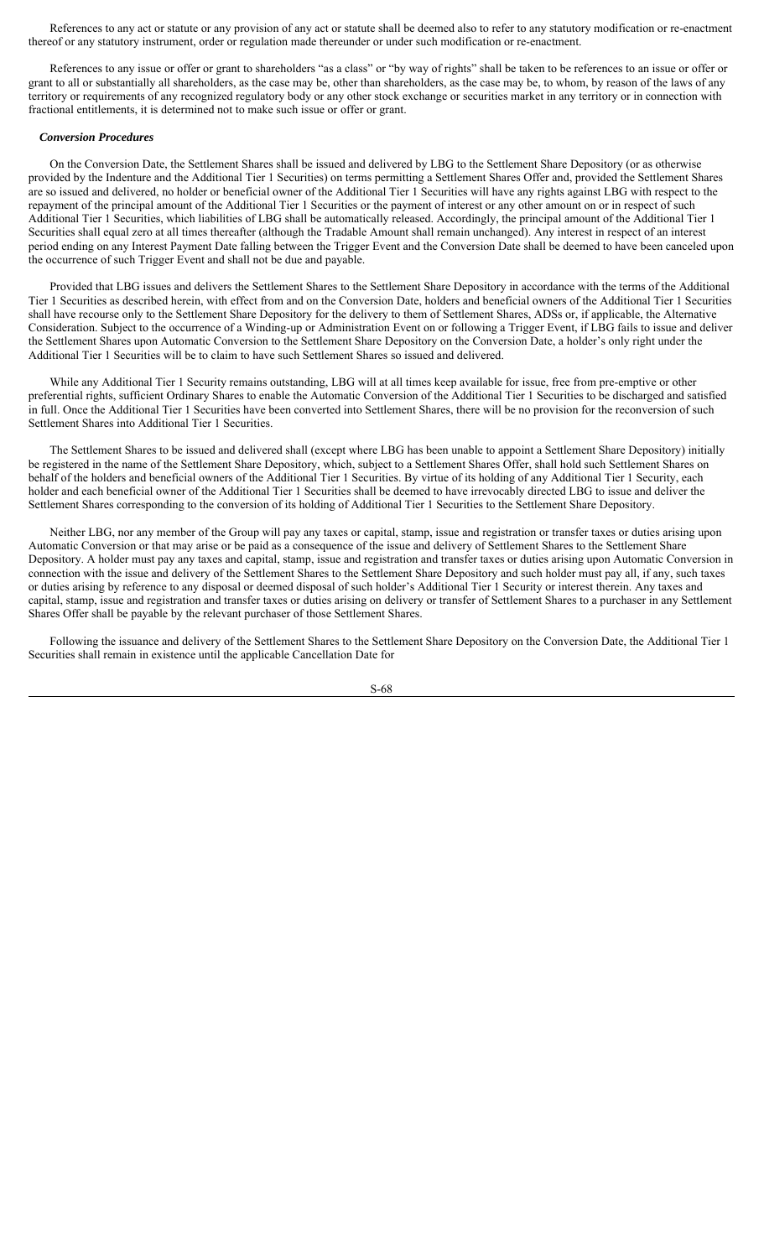References to any act or statute or any provision of any act or statute shall be deemed also to refer to any statutory modification or re-enactment thereof or any statutory instrument, order or regulation made thereunder or under such modification or re-enactment.

References to any issue or offer or grant to shareholders "as a class" or "by way of rights" shall be taken to be references to an issue or offer or grant to all or substantially all shareholders, as the case may be, other than shareholders, as the case may be, to whom, by reason of the laws of any territory or requirements of any recognized regulatory body or any other stock exchange or securities market in any territory or in connection with fractional entitlements, it is determined not to make such issue or offer or grant.

#### *Conversion Procedures*

On the Conversion Date, the Settlement Shares shall be issued and delivered by LBG to the Settlement Share Depository (or as otherwise provided by the Indenture and the Additional Tier 1 Securities) on terms permitting a Settlement Shares Offer and, provided the Settlement Shares are so issued and delivered, no holder or beneficial owner of the Additional Tier 1 Securities will have any rights against LBG with respect to the repayment of the principal amount of the Additional Tier 1 Securities or the payment of interest or any other amount on or in respect of such Additional Tier 1 Securities, which liabilities of LBG shall be automatically released. Accordingly, the principal amount of the Additional Tier 1 Securities shall equal zero at all times thereafter (although the Tradable Amount shall remain unchanged). Any interest in respect of an interest period ending on any Interest Payment Date falling between the Trigger Event and the Conversion Date shall be deemed to have been canceled upon the occurrence of such Trigger Event and shall not be due and payable.

Provided that LBG issues and delivers the Settlement Shares to the Settlement Share Depository in accordance with the terms of the Additional Tier 1 Securities as described herein, with effect from and on the Conversion Date, holders and beneficial owners of the Additional Tier 1 Securities shall have recourse only to the Settlement Share Depository for the delivery to them of Settlement Shares, ADSs or, if applicable, the Alternative Consideration. Subject to the occurrence of a Winding-up or Administration Event on or following a Trigger Event, if LBG fails to issue and deliver the Settlement Shares upon Automatic Conversion to the Settlement Share Depository on the Conversion Date, a holder's only right under the Additional Tier 1 Securities will be to claim to have such Settlement Shares so issued and delivered.

While any Additional Tier 1 Security remains outstanding, LBG will at all times keep available for issue, free from pre-emptive or other preferential rights, sufficient Ordinary Shares to enable the Automatic Conversion of the Additional Tier 1 Securities to be discharged and satisfied in full. Once the Additional Tier 1 Securities have been converted into Settlement Shares, there will be no provision for the reconversion of such Settlement Shares into Additional Tier 1 Securities.

The Settlement Shares to be issued and delivered shall (except where LBG has been unable to appoint a Settlement Share Depository) initially be registered in the name of the Settlement Share Depository, which, subject to a Settlement Shares Offer, shall hold such Settlement Shares on behalf of the holders and beneficial owners of the Additional Tier 1 Securities. By virtue of its holding of any Additional Tier 1 Security, each holder and each beneficial owner of the Additional Tier 1 Securities shall be deemed to have irrevocably directed LBG to issue and deliver the Settlement Shares corresponding to the conversion of its holding of Additional Tier 1 Securities to the Settlement Share Depository.

Neither LBG, nor any member of the Group will pay any taxes or capital, stamp, issue and registration or transfer taxes or duties arising upon Automatic Conversion or that may arise or be paid as a consequence of the issue and delivery of Settlement Shares to the Settlement Share Depository. A holder must pay any taxes and capital, stamp, issue and registration and transfer taxes or duties arising upon Automatic Conversion in connection with the issue and delivery of the Settlement Shares to the Settlement Share Depository and such holder must pay all, if any, such taxes or duties arising by reference to any disposal or deemed disposal of such holder's Additional Tier 1 Security or interest therein. Any taxes and capital, stamp, issue and registration and transfer taxes or duties arising on delivery or transfer of Settlement Shares to a purchaser in any Settlement Shares Offer shall be payable by the relevant purchaser of those Settlement Shares.

Following the issuance and delivery of the Settlement Shares to the Settlement Share Depository on the Conversion Date, the Additional Tier 1 Securities shall remain in existence until the applicable Cancellation Date for

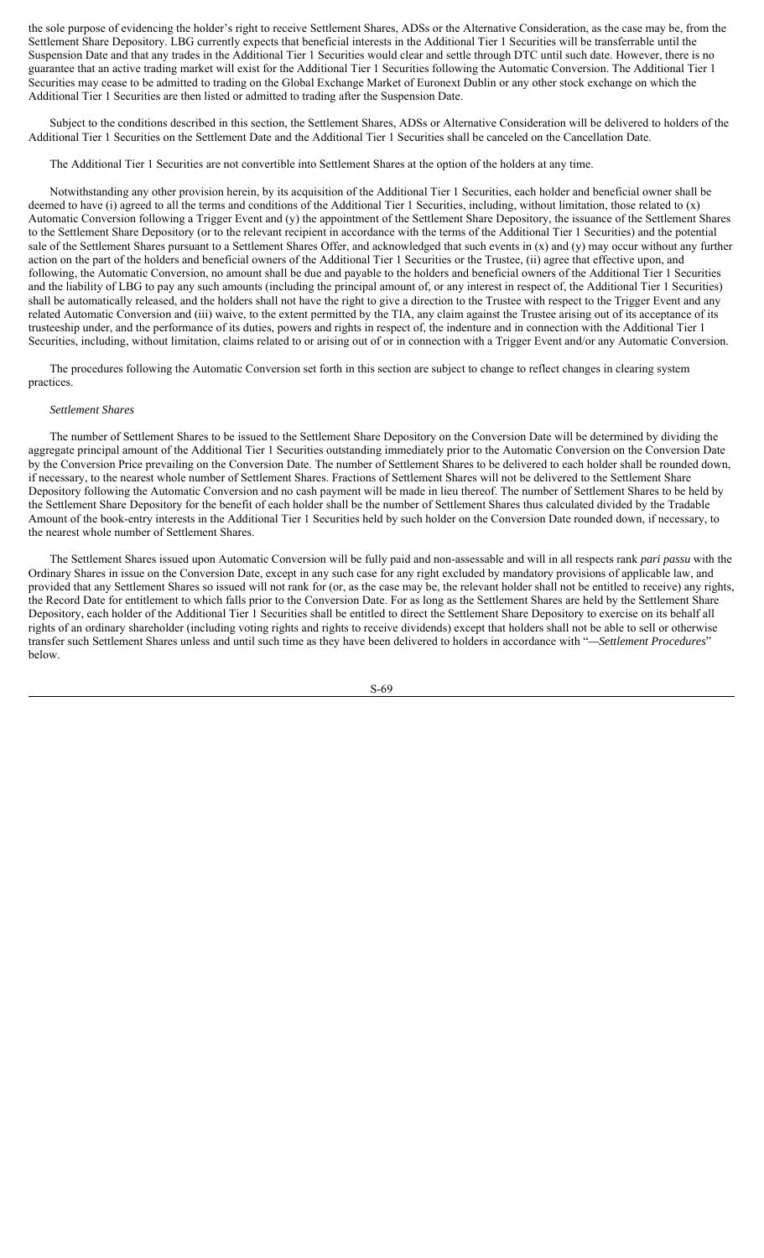the sole purpose of evidencing the holder's right to receive Settlement Shares, ADSs or the Alternative Consideration, as the case may be, from the Settlement Share Depository. LBG currently expects that beneficial interests in the Additional Tier 1 Securities will be transferrable until the Suspension Date and that any trades in the Additional Tier 1 Securities would clear and settle through DTC until such date. However, there is no guarantee that an active trading market will exist for the Additional Tier 1 Securities following the Automatic Conversion. The Additional Tier 1 Securities may cease to be admitted to trading on the Global Exchange Market of Euronext Dublin or any other stock exchange on which the Additional Tier 1 Securities are then listed or admitted to trading after the Suspension Date.

Subject to the conditions described in this section, the Settlement Shares, ADSs or Alternative Consideration will be delivered to holders of the Additional Tier 1 Securities on the Settlement Date and the Additional Tier 1 Securities shall be canceled on the Cancellation Date.

## The Additional Tier 1 Securities are not convertible into Settlement Shares at the option of the holders at any time.

Notwithstanding any other provision herein, by its acquisition of the Additional Tier 1 Securities, each holder and beneficial owner shall be deemed to have (i) agreed to all the terms and conditions of the Additional Tier 1 Securities, including, without limitation, those related to (x) Automatic Conversion following a Trigger Event and (y) the appointment of the Settlement Share Depository, the issuance of the Settlement Shares to the Settlement Share Depository (or to the relevant recipient in accordance with the terms of the Additional Tier 1 Securities) and the potential sale of the Settlement Shares pursuant to a Settlement Shares Offer, and acknowledged that such events in (x) and (y) may occur without any further action on the part of the holders and beneficial owners of the Additional Tier 1 Securities or the Trustee, (ii) agree that effective upon, and following, the Automatic Conversion, no amount shall be due and payable to the holders and beneficial owners of the Additional Tier 1 Securities and the liability of LBG to pay any such amounts (including the principal amount of, or any interest in respect of, the Additional Tier 1 Securities) shall be automatically released, and the holders shall not have the right to give a direction to the Trustee with respect to the Trigger Event and any related Automatic Conversion and (iii) waive, to the extent permitted by the TIA, any claim against the Trustee arising out of its acceptance of its trusteeship under, and the performance of its duties, powers and rights in respect of, the indenture and in connection with the Additional Tier 1 Securities, including, without limitation, claims related to or arising out of or in connection with a Trigger Event and/or any Automatic Conversion.

The procedures following the Automatic Conversion set forth in this section are subject to change to reflect changes in clearing system practices.

#### *Settlement Shares*

The number of Settlement Shares to be issued to the Settlement Share Depository on the Conversion Date will be determined by dividing the aggregate principal amount of the Additional Tier 1 Securities outstanding immediately prior to the Automatic Conversion on the Conversion Date by the Conversion Price prevailing on the Conversion Date. The number of Settlement Shares to be delivered to each holder shall be rounded down, if necessary, to the nearest whole number of Settlement Shares. Fractions of Settlement Shares will not be delivered to the Settlement Share Depository following the Automatic Conversion and no cash payment will be made in lieu thereof. The number of Settlement Shares to be held by the Settlement Share Depository for the benefit of each holder shall be the number of Settlement Shares thus calculated divided by the Tradable Amount of the book-entry interests in the Additional Tier 1 Securities held by such holder on the Conversion Date rounded down, if necessary, to the nearest whole number of Settlement Shares.

The Settlement Shares issued upon Automatic Conversion will be fully paid and non-assessable and will in all respects rank *pari passu* with the Ordinary Shares in issue on the Conversion Date, except in any such case for any right excluded by mandatory provisions of applicable law, and provided that any Settlement Shares so issued will not rank for (or, as the case may be, the relevant holder shall not be entitled to receive) any rights, the Record Date for entitlement to which falls prior to the Conversion Date. For as long as the Settlement Shares are held by the Settlement Share Depository, each holder of the Additional Tier 1 Securities shall be entitled to direct the Settlement Share Depository to exercise on its behalf all rights of an ordinary shareholder (including voting rights and rights to receive dividends) except that holders shall not be able to sell or otherwise transfer such Settlement Shares unless and until such time as they have been delivered to holders in accordance with "*—Settlement Procedures*" below.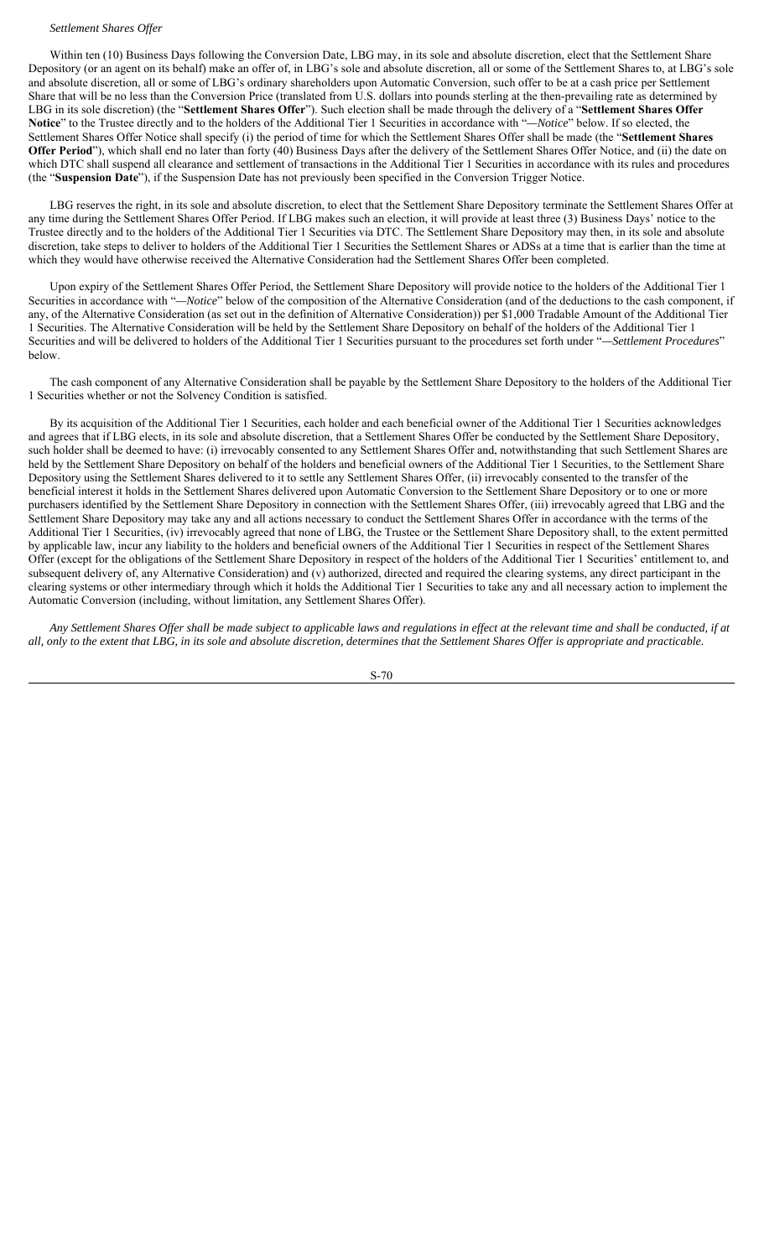#### *Settlement Shares Offer*

Within ten (10) Business Days following the Conversion Date, LBG may, in its sole and absolute discretion, elect that the Settlement Share Depository (or an agent on its behalf) make an offer of, in LBG's sole and absolute discretion, all or some of the Settlement Shares to, at LBG's sole and absolute discretion, all or some of LBG's ordinary shareholders upon Automatic Conversion, such offer to be at a cash price per Settlement Share that will be no less than the Conversion Price (translated from U.S. dollars into pounds sterling at the then-prevailing rate as determined by LBG in its sole discretion) (the "**Settlement Shares Offer**"). Such election shall be made through the delivery of a "**Settlement Shares Offer Notice**" to the Trustee directly and to the holders of the Additional Tier 1 Securities in accordance with "*—Notice*" below. If so elected, the Settlement Shares Offer Notice shall specify (i) the period of time for which the Settlement Shares Offer shall be made (the "**Settlement Shares Offer Period**"), which shall end no later than forty (40) Business Days after the delivery of the Settlement Shares Offer Notice, and (ii) the date on which DTC shall suspend all clearance and settlement of transactions in the Additional Tier 1 Securities in accordance with its rules and procedures (the "**Suspension Date**"), if the Suspension Date has not previously been specified in the Conversion Trigger Notice.

LBG reserves the right, in its sole and absolute discretion, to elect that the Settlement Share Depository terminate the Settlement Shares Offer at any time during the Settlement Shares Offer Period. If LBG makes such an election, it will provide at least three (3) Business Days' notice to the Trustee directly and to the holders of the Additional Tier 1 Securities via DTC. The Settlement Share Depository may then, in its sole and absolute discretion, take steps to deliver to holders of the Additional Tier 1 Securities the Settlement Shares or ADSs at a time that is earlier than the time at which they would have otherwise received the Alternative Consideration had the Settlement Shares Offer been completed.

Upon expiry of the Settlement Shares Offer Period, the Settlement Share Depository will provide notice to the holders of the Additional Tier 1 Securities in accordance with "*—Notice*" below of the composition of the Alternative Consideration (and of the deductions to the cash component, if any, of the Alternative Consideration (as set out in the definition of Alternative Consideration)) per \$1,000 Tradable Amount of the Additional Tier 1 Securities. The Alternative Consideration will be held by the Settlement Share Depository on behalf of the holders of the Additional Tier 1 Securities and will be delivered to holders of the Additional Tier 1 Securities pursuant to the procedures set forth under "*—Settlement Procedures*" below.

The cash component of any Alternative Consideration shall be payable by the Settlement Share Depository to the holders of the Additional Tier 1 Securities whether or not the Solvency Condition is satisfied.

By its acquisition of the Additional Tier 1 Securities, each holder and each beneficial owner of the Additional Tier 1 Securities acknowledges and agrees that if LBG elects, in its sole and absolute discretion, that a Settlement Shares Offer be conducted by the Settlement Share Depository, such holder shall be deemed to have: (i) irrevocably consented to any Settlement Shares Offer and, notwithstanding that such Settlement Shares are held by the Settlement Share Depository on behalf of the holders and beneficial owners of the Additional Tier 1 Securities, to the Settlement Share Depository using the Settlement Shares delivered to it to settle any Settlement Shares Offer, (ii) irrevocably consented to the transfer of the beneficial interest it holds in the Settlement Shares delivered upon Automatic Conversion to the Settlement Share Depository or to one or more purchasers identified by the Settlement Share Depository in connection with the Settlement Shares Offer, (iii) irrevocably agreed that LBG and the Settlement Share Depository may take any and all actions necessary to conduct the Settlement Shares Offer in accordance with the terms of the Additional Tier 1 Securities, (iv) irrevocably agreed that none of LBG, the Trustee or the Settlement Share Depository shall, to the extent permitted by applicable law, incur any liability to the holders and beneficial owners of the Additional Tier 1 Securities in respect of the Settlement Shares Offer (except for the obligations of the Settlement Share Depository in respect of the holders of the Additional Tier 1 Securities' entitlement to, and subsequent delivery of, any Alternative Consideration) and (v) authorized, directed and required the clearing systems, any direct participant in the clearing systems or other intermediary through which it holds the Additional Tier 1 Securities to take any and all necessary action to implement the Automatic Conversion (including, without limitation, any Settlement Shares Offer).

*Any Settlement Shares Offer shall be made subject to applicable laws and regulations in effect at the relevant time and shall be conducted, if at all, only to the extent that LBG, in its sole and absolute discretion, determines that the Settlement Shares Offer is appropriate and practicable.*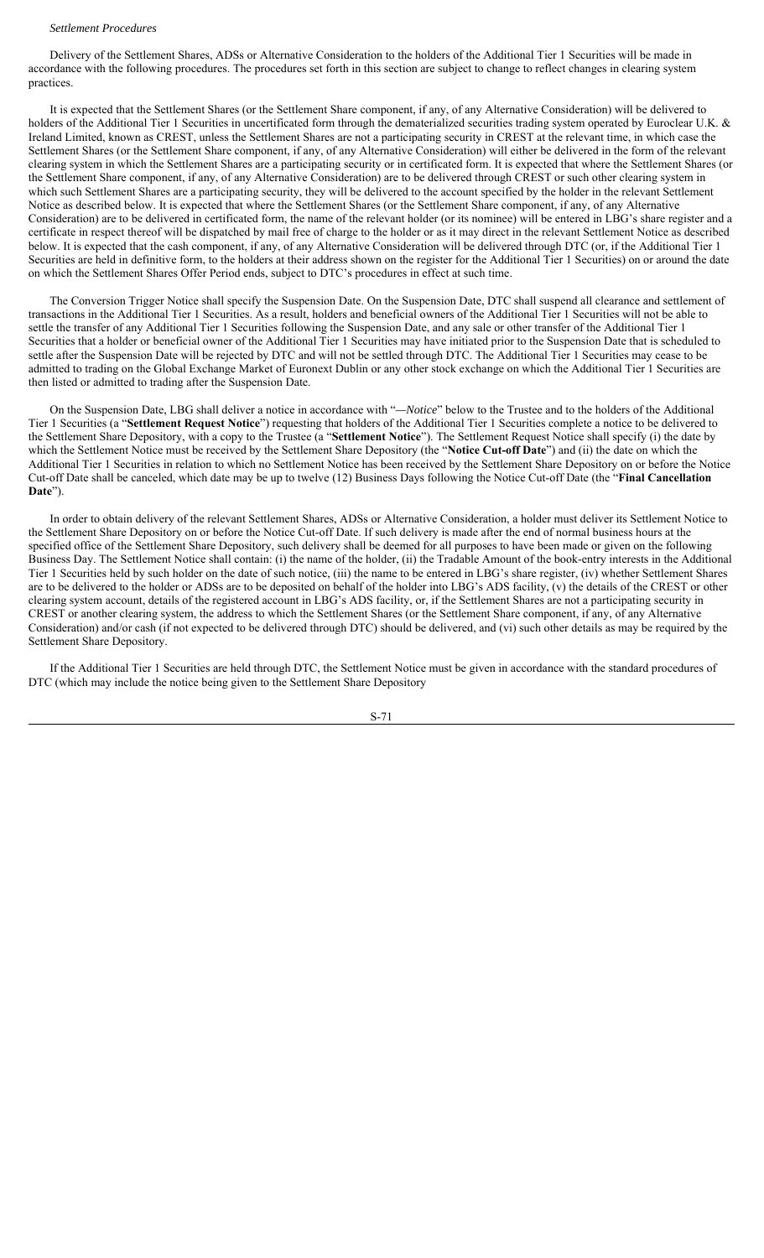#### *Settlement Procedures*

Delivery of the Settlement Shares, ADSs or Alternative Consideration to the holders of the Additional Tier 1 Securities will be made in accordance with the following procedures. The procedures set forth in this section are subject to change to reflect changes in clearing system practices.

It is expected that the Settlement Shares (or the Settlement Share component, if any, of any Alternative Consideration) will be delivered to holders of the Additional Tier 1 Securities in uncertificated form through the dematerialized securities trading system operated by Euroclear U.K. & Ireland Limited, known as CREST, unless the Settlement Shares are not a participating security in CREST at the relevant time, in which case the Settlement Shares (or the Settlement Share component, if any, of any Alternative Consideration) will either be delivered in the form of the relevant clearing system in which the Settlement Shares are a participating security or in certificated form. It is expected that where the Settlement Shares (or the Settlement Share component, if any, of any Alternative Consideration) are to be delivered through CREST or such other clearing system in which such Settlement Shares are a participating security, they will be delivered to the account specified by the holder in the relevant Settlement Notice as described below. It is expected that where the Settlement Shares (or the Settlement Share component, if any, of any Alternative Consideration) are to be delivered in certificated form, the name of the relevant holder (or its nominee) will be entered in LBG's share register and a certificate in respect thereof will be dispatched by mail free of charge to the holder or as it may direct in the relevant Settlement Notice as described below. It is expected that the cash component, if any, of any Alternative Consideration will be delivered through DTC (or, if the Additional Tier 1 Securities are held in definitive form, to the holders at their address shown on the register for the Additional Tier 1 Securities) on or around the date on which the Settlement Shares Offer Period ends, subject to DTC's procedures in effect at such time.

The Conversion Trigger Notice shall specify the Suspension Date. On the Suspension Date, DTC shall suspend all clearance and settlement of transactions in the Additional Tier 1 Securities. As a result, holders and beneficial owners of the Additional Tier 1 Securities will not be able to settle the transfer of any Additional Tier 1 Securities following the Suspension Date, and any sale or other transfer of the Additional Tier 1 Securities that a holder or beneficial owner of the Additional Tier 1 Securities may have initiated prior to the Suspension Date that is scheduled to settle after the Suspension Date will be rejected by DTC and will not be settled through DTC. The Additional Tier 1 Securities may cease to be admitted to trading on the Global Exchange Market of Euronext Dublin or any other stock exchange on which the Additional Tier 1 Securities are then listed or admitted to trading after the Suspension Date.

On the Suspension Date, LBG shall deliver a notice in accordance with "*—Notice*" below to the Trustee and to the holders of the Additional Tier 1 Securities (a "**Settlement Request Notice**") requesting that holders of the Additional Tier 1 Securities complete a notice to be delivered to the Settlement Share Depository, with a copy to the Trustee (a "**Settlement Notice**"). The Settlement Request Notice shall specify (i) the date by which the Settlement Notice must be received by the Settlement Share Depository (the "**Notice Cut-off Date**") and (ii) the date on which the Additional Tier 1 Securities in relation to which no Settlement Notice has been received by the Settlement Share Depository on or before the Notice Cut-off Date shall be canceled, which date may be up to twelve (12) Business Days following the Notice Cut-off Date (the "**Final Cancellation Date**").

In order to obtain delivery of the relevant Settlement Shares, ADSs or Alternative Consideration, a holder must deliver its Settlement Notice to the Settlement Share Depository on or before the Notice Cut-off Date. If such delivery is made after the end of normal business hours at the specified office of the Settlement Share Depository, such delivery shall be deemed for all purposes to have been made or given on the following Business Day. The Settlement Notice shall contain: (i) the name of the holder, (ii) the Tradable Amount of the book-entry interests in the Additional Tier 1 Securities held by such holder on the date of such notice, (iii) the name to be entered in LBG's share register, (iv) whether Settlement Shares are to be delivered to the holder or ADSs are to be deposited on behalf of the holder into LBG's ADS facility, (v) the details of the CREST or other clearing system account, details of the registered account in LBG's ADS facility, or, if the Settlement Shares are not a participating security in CREST or another clearing system, the address to which the Settlement Shares (or the Settlement Share component, if any, of any Alternative Consideration) and/or cash (if not expected to be delivered through DTC) should be delivered, and (vi) such other details as may be required by the Settlement Share Depository.

If the Additional Tier 1 Securities are held through DTC, the Settlement Notice must be given in accordance with the standard procedures of DTC (which may include the notice being given to the Settlement Share Depository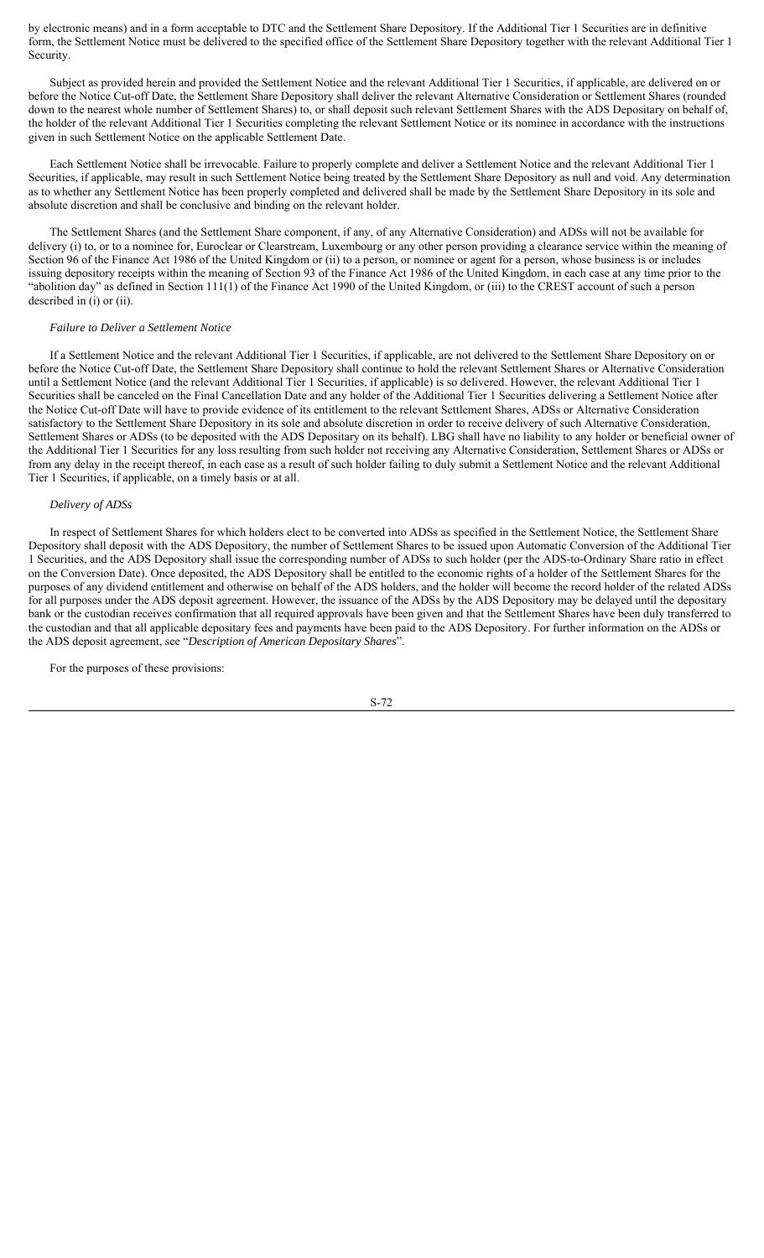by electronic means) and in a form acceptable to DTC and the Settlement Share Depository. If the Additional Tier 1 Securities are in definitive form, the Settlement Notice must be delivered to the specified office of the Settlement Share Depository together with the relevant Additional Tier 1 Security.

Subject as provided herein and provided the Settlement Notice and the relevant Additional Tier 1 Securities, if applicable, are delivered on or before the Notice Cut-off Date, the Settlement Share Depository shall deliver the relevant Alternative Consideration or Settlement Shares (rounded down to the nearest whole number of Settlement Shares) to, or shall deposit such relevant Settlement Shares with the ADS Depositary on behalf of, the holder of the relevant Additional Tier 1 Securities completing the relevant Settlement Notice or its nominee in accordance with the instructions given in such Settlement Notice on the applicable Settlement Date.

Each Settlement Notice shall be irrevocable. Failure to properly complete and deliver a Settlement Notice and the relevant Additional Tier 1 Securities, if applicable, may result in such Settlement Notice being treated by the Settlement Share Depository as null and void. Any determination as to whether any Settlement Notice has been properly completed and delivered shall be made by the Settlement Share Depository in its sole and absolute discretion and shall be conclusive and binding on the relevant holder.

The Settlement Shares (and the Settlement Share component, if any, of any Alternative Consideration) and ADSs will not be available for delivery (i) to, or to a nominee for, Euroclear or Clearstream, Luxembourg or any other person providing a clearance service within the meaning of Section 96 of the Finance Act 1986 of the United Kingdom or (ii) to a person, or nominee or agent for a person, whose business is or includes issuing depository receipts within the meaning of Section 93 of the Finance Act 1986 of the United Kingdom, in each case at any time prior to the "abolition day" as defined in Section 111(1) of the Finance Act 1990 of the United Kingdom, or (iii) to the CREST account of such a person described in (i) or (ii).

## *Failure to Deliver a Settlement Notice*

If a Settlement Notice and the relevant Additional Tier 1 Securities, if applicable, are not delivered to the Settlement Share Depository on or before the Notice Cut-off Date, the Settlement Share Depository shall continue to hold the relevant Settlement Shares or Alternative Consideration until a Settlement Notice (and the relevant Additional Tier 1 Securities, if applicable) is so delivered. However, the relevant Additional Tier 1 Securities shall be canceled on the Final Cancellation Date and any holder of the Additional Tier 1 Securities delivering a Settlement Notice after the Notice Cut-off Date will have to provide evidence of its entitlement to the relevant Settlement Shares, ADSs or Alternative Consideration satisfactory to the Settlement Share Depository in its sole and absolute discretion in order to receive delivery of such Alternative Consideration, Settlement Shares or ADSs (to be deposited with the ADS Depositary on its behalf). LBG shall have no liability to any holder or beneficial owner of the Additional Tier 1 Securities for any loss resulting from such holder not receiving any Alternative Consideration, Settlement Shares or ADSs or from any delay in the receipt thereof, in each case as a result of such holder failing to duly submit a Settlement Notice and the relevant Additional Tier 1 Securities, if applicable, on a timely basis or at all.

#### *Delivery of ADSs*

In respect of Settlement Shares for which holders elect to be converted into ADSs as specified in the Settlement Notice, the Settlement Share Depository shall deposit with the ADS Depository, the number of Settlement Shares to be issued upon Automatic Conversion of the Additional Tier 1 Securities, and the ADS Depository shall issue the corresponding number of ADSs to such holder (per the ADS-to-Ordinary Share ratio in effect on the Conversion Date). Once deposited, the ADS Depository shall be entitled to the economic rights of a holder of the Settlement Shares for the purposes of any dividend entitlement and otherwise on behalf of the ADS holders, and the holder will become the record holder of the related ADSs for all purposes under the ADS deposit agreement. However, the issuance of the ADSs by the ADS Depository may be delayed until the depositary bank or the custodian receives confirmation that all required approvals have been given and that the Settlement Shares have been duly transferred to the custodian and that all applicable depositary fees and payments have been paid to the ADS Depository. For further information on the ADSs or the ADS deposit agreement, see "*Description of American Depositary Shares*".

For the purposes of these provisions:

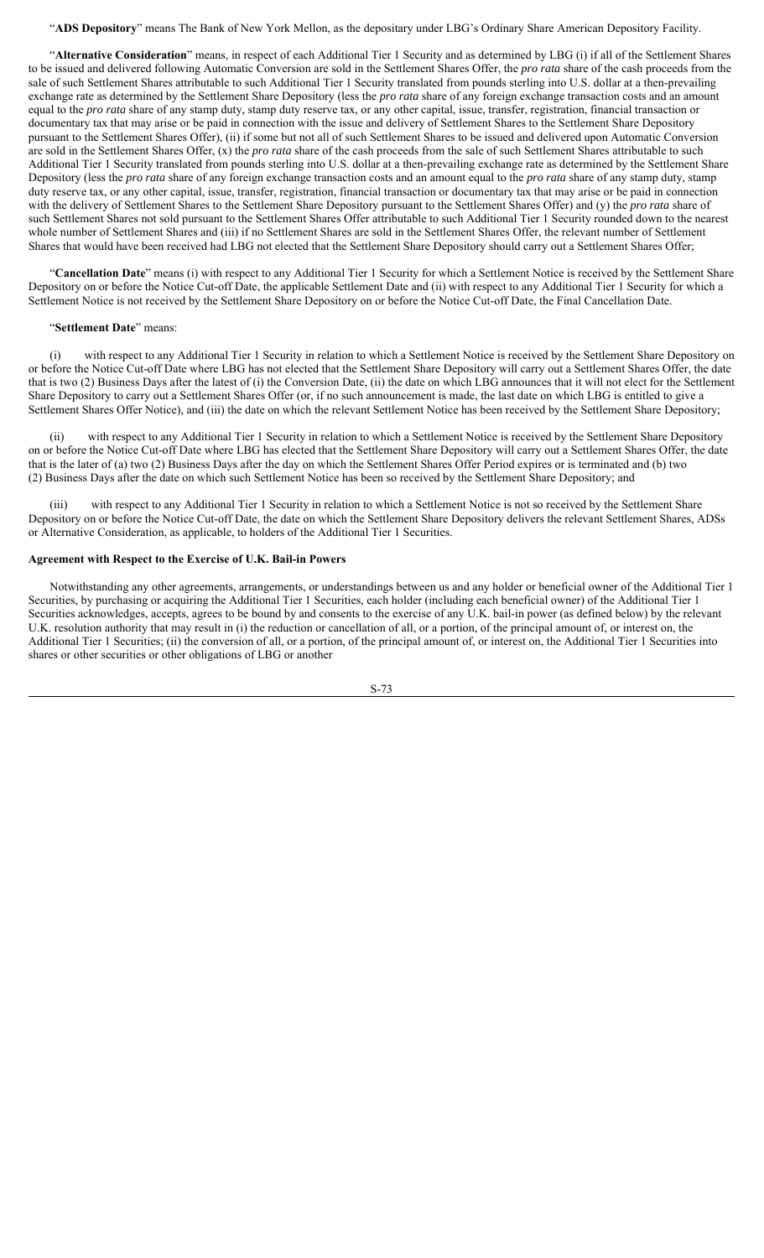"**ADS Depository**" means The Bank of New York Mellon, as the depositary under LBG's Ordinary Share American Depository Facility.

"**Alternative Consideration**" means, in respect of each Additional Tier 1 Security and as determined by LBG (i) if all of the Settlement Shares to be issued and delivered following Automatic Conversion are sold in the Settlement Shares Offer, the *pro rata* share of the cash proceeds from the sale of such Settlement Shares attributable to such Additional Tier 1 Security translated from pounds sterling into U.S. dollar at a then-prevailing exchange rate as determined by the Settlement Share Depository (less the *pro rata* share of any foreign exchange transaction costs and an amount equal to the *pro rata* share of any stamp duty, stamp duty reserve tax, or any other capital, issue, transfer, registration, financial transaction or documentary tax that may arise or be paid in connection with the issue and delivery of Settlement Shares to the Settlement Share Depository pursuant to the Settlement Shares Offer), (ii) if some but not all of such Settlement Shares to be issued and delivered upon Automatic Conversion are sold in the Settlement Shares Offer, (x) the *pro rata* share of the cash proceeds from the sale of such Settlement Shares attributable to such Additional Tier 1 Security translated from pounds sterling into U.S. dollar at a then-prevailing exchange rate as determined by the Settlement Share Depository (less the *pro rata* share of any foreign exchange transaction costs and an amount equal to the *pro rata* share of any stamp duty, stamp duty reserve tax, or any other capital, issue, transfer, registration, financial transaction or documentary tax that may arise or be paid in connection with the delivery of Settlement Shares to the Settlement Share Depository pursuant to the Settlement Shares Offer) and (y) the *pro rata* share of such Settlement Shares not sold pursuant to the Settlement Shares Offer attributable to such Additional Tier 1 Security rounded down to the nearest whole number of Settlement Shares and (iii) if no Settlement Shares are sold in the Settlement Shares Offer, the relevant number of Settlement Shares that would have been received had LBG not elected that the Settlement Share Depository should carry out a Settlement Shares Offer;

"**Cancellation Date**" means (i) with respect to any Additional Tier 1 Security for which a Settlement Notice is received by the Settlement Share Depository on or before the Notice Cut-off Date, the applicable Settlement Date and (ii) with respect to any Additional Tier 1 Security for which a Settlement Notice is not received by the Settlement Share Depository on or before the Notice Cut-off Date, the Final Cancellation Date.

## "**Settlement Date**" means:

(i) with respect to any Additional Tier 1 Security in relation to which a Settlement Notice is received by the Settlement Share Depository on or before the Notice Cut-off Date where LBG has not elected that the Settlement Share Depository will carry out a Settlement Shares Offer, the date that is two (2) Business Days after the latest of (i) the Conversion Date, (ii) the date on which LBG announces that it will not elect for the Settlement Share Depository to carry out a Settlement Shares Offer (or, if no such announcement is made, the last date on which LBG is entitled to give a Settlement Shares Offer Notice), and (iii) the date on which the relevant Settlement Notice has been received by the Settlement Share Depository;

(ii) with respect to any Additional Tier 1 Security in relation to which a Settlement Notice is received by the Settlement Share Depository on or before the Notice Cut-off Date where LBG has elected that the Settlement Share Depository will carry out a Settlement Shares Offer, the date that is the later of (a) two (2) Business Days after the day on which the Settlement Shares Offer Period expires or is terminated and (b) two (2) Business Days after the date on which such Settlement Notice has been so received by the Settlement Share Depository; and

(iii) with respect to any Additional Tier 1 Security in relation to which a Settlement Notice is not so received by the Settlement Share Depository on or before the Notice Cut-off Date, the date on which the Settlement Share Depository delivers the relevant Settlement Shares, ADSs or Alternative Consideration, as applicable, to holders of the Additional Tier 1 Securities.

## **Agreement with Respect to the Exercise of U.K. Bail-in Powers**

Notwithstanding any other agreements, arrangements, or understandings between us and any holder or beneficial owner of the Additional Tier 1 Securities, by purchasing or acquiring the Additional Tier 1 Securities, each holder (including each beneficial owner) of the Additional Tier 1 Securities acknowledges, accepts, agrees to be bound by and consents to the exercise of any U.K. bail-in power (as defined below) by the relevant U.K. resolution authority that may result in (i) the reduction or cancellation of all, or a portion, of the principal amount of, or interest on, the Additional Tier 1 Securities; (ii) the conversion of all, or a portion, of the principal amount of, or interest on, the Additional Tier 1 Securities into shares or other securities or other obligations of LBG or another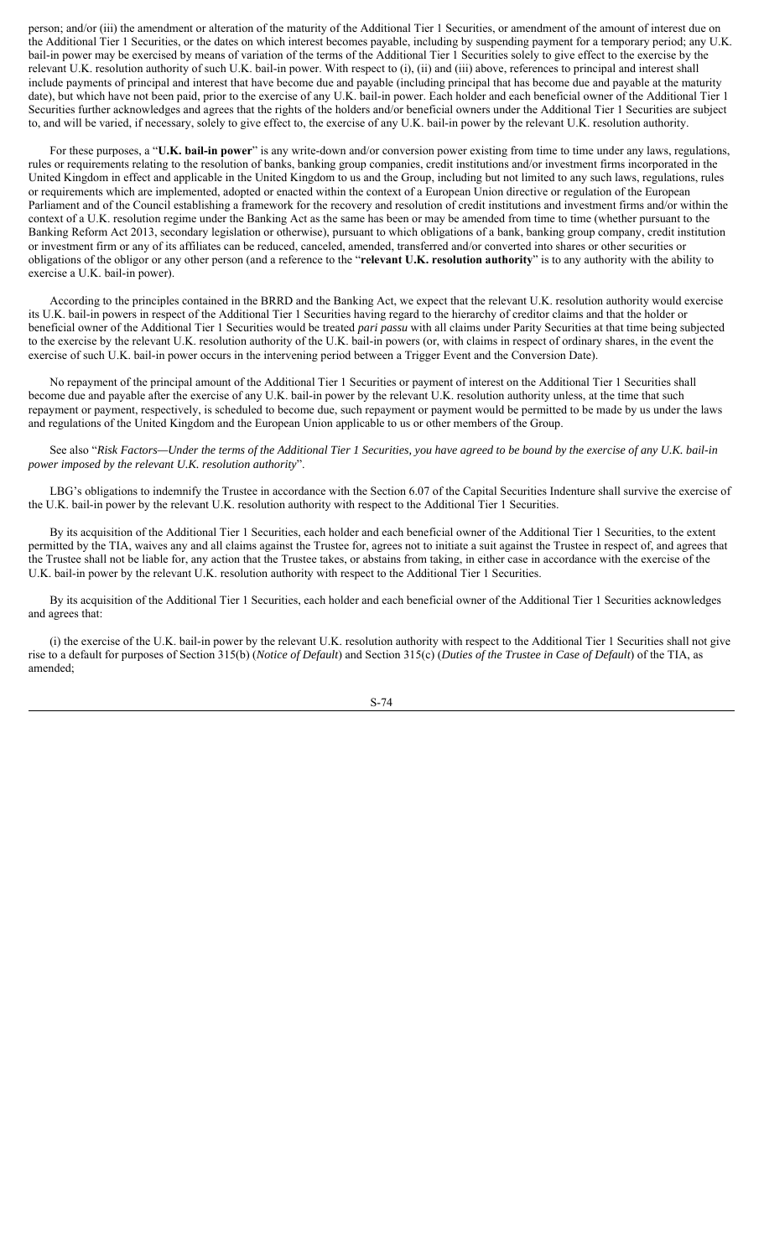person; and/or (iii) the amendment or alteration of the maturity of the Additional Tier 1 Securities, or amendment of the amount of interest due on the Additional Tier 1 Securities, or the dates on which interest becomes payable, including by suspending payment for a temporary period; any U.K. bail-in power may be exercised by means of variation of the terms of the Additional Tier 1 Securities solely to give effect to the exercise by the relevant U.K. resolution authority of such U.K. bail-in power. With respect to (i), (ii) and (iii) above, references to principal and interest shall include payments of principal and interest that have become due and payable (including principal that has become due and payable at the maturity date), but which have not been paid, prior to the exercise of any U.K. bail-in power. Each holder and each beneficial owner of the Additional Tier 1 Securities further acknowledges and agrees that the rights of the holders and/or beneficial owners under the Additional Tier 1 Securities are subject to, and will be varied, if necessary, solely to give effect to, the exercise of any U.K. bail-in power by the relevant U.K. resolution authority.

For these purposes, a "**U.K. bail-in power**" is any write-down and/or conversion power existing from time to time under any laws, regulations, rules or requirements relating to the resolution of banks, banking group companies, credit institutions and/or investment firms incorporated in the United Kingdom in effect and applicable in the United Kingdom to us and the Group, including but not limited to any such laws, regulations, rules or requirements which are implemented, adopted or enacted within the context of a European Union directive or regulation of the European Parliament and of the Council establishing a framework for the recovery and resolution of credit institutions and investment firms and/or within the context of a U.K. resolution regime under the Banking Act as the same has been or may be amended from time to time (whether pursuant to the Banking Reform Act 2013, secondary legislation or otherwise), pursuant to which obligations of a bank, banking group company, credit institution or investment firm or any of its affiliates can be reduced, canceled, amended, transferred and/or converted into shares or other securities or obligations of the obligor or any other person (and a reference to the "**relevant U.K. resolution authority**" is to any authority with the ability to exercise a U.K. bail-in power).

According to the principles contained in the BRRD and the Banking Act, we expect that the relevant U.K. resolution authority would exercise its U.K. bail-in powers in respect of the Additional Tier 1 Securities having regard to the hierarchy of creditor claims and that the holder or beneficial owner of the Additional Tier 1 Securities would be treated *pari passu* with all claims under Parity Securities at that time being subjected to the exercise by the relevant U.K. resolution authority of the U.K. bail-in powers (or, with claims in respect of ordinary shares, in the event the exercise of such U.K. bail-in power occurs in the intervening period between a Trigger Event and the Conversion Date).

No repayment of the principal amount of the Additional Tier 1 Securities or payment of interest on the Additional Tier 1 Securities shall become due and payable after the exercise of any U.K. bail-in power by the relevant U.K. resolution authority unless, at the time that such repayment or payment, respectively, is scheduled to become due, such repayment or payment would be permitted to be made by us under the laws and regulations of the United Kingdom and the European Union applicable to us or other members of the Group.

See also "*Risk Factors—Under the terms of the Additional Tier 1 Securities, you have agreed to be bound by the exercise of any U.K. bail-in power imposed by the relevant U.K. resolution authority*".

LBG's obligations to indemnify the Trustee in accordance with the Section 6.07 of the Capital Securities Indenture shall survive the exercise of the U.K. bail-in power by the relevant U.K. resolution authority with respect to the Additional Tier 1 Securities.

By its acquisition of the Additional Tier 1 Securities, each holder and each beneficial owner of the Additional Tier 1 Securities, to the extent permitted by the TIA, waives any and all claims against the Trustee for, agrees not to initiate a suit against the Trustee in respect of, and agrees that the Trustee shall not be liable for, any action that the Trustee takes, or abstains from taking, in either case in accordance with the exercise of the U.K. bail-in power by the relevant U.K. resolution authority with respect to the Additional Tier 1 Securities.

By its acquisition of the Additional Tier 1 Securities, each holder and each beneficial owner of the Additional Tier 1 Securities acknowledges and agrees that:

(i) the exercise of the U.K. bail-in power by the relevant U.K. resolution authority with respect to the Additional Tier 1 Securities shall not give rise to a default for purposes of Section 315(b) (*Notice of Default*) and Section 315(c) (*Duties of the Trustee in Case of Default*) of the TIA, as amended;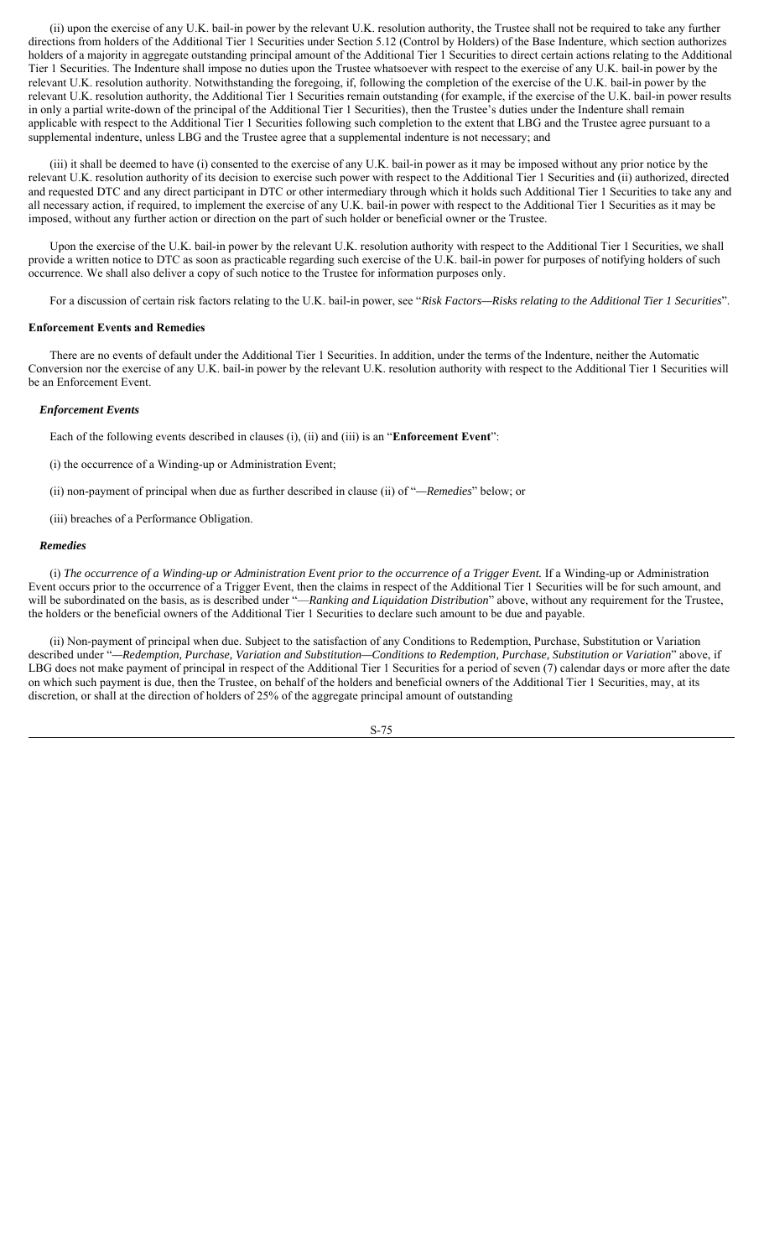(ii) upon the exercise of any U.K. bail-in power by the relevant U.K. resolution authority, the Trustee shall not be required to take any further directions from holders of the Additional Tier 1 Securities under Section 5.12 (Control by Holders) of the Base Indenture, which section authorizes holders of a majority in aggregate outstanding principal amount of the Additional Tier 1 Securities to direct certain actions relating to the Additional Tier 1 Securities. The Indenture shall impose no duties upon the Trustee whatsoever with respect to the exercise of any U.K. bail-in power by the relevant U.K. resolution authority. Notwithstanding the foregoing, if, following the completion of the exercise of the U.K. bail-in power by the relevant U.K. resolution authority, the Additional Tier 1 Securities remain outstanding (for example, if the exercise of the U.K. bail-in power results in only a partial write-down of the principal of the Additional Tier 1 Securities), then the Trustee's duties under the Indenture shall remain applicable with respect to the Additional Tier 1 Securities following such completion to the extent that LBG and the Trustee agree pursuant to a supplemental indenture, unless LBG and the Trustee agree that a supplemental indenture is not necessary; and

(iii) it shall be deemed to have (i) consented to the exercise of any U.K. bail-in power as it may be imposed without any prior notice by the relevant U.K. resolution authority of its decision to exercise such power with respect to the Additional Tier 1 Securities and (ii) authorized, directed and requested DTC and any direct participant in DTC or other intermediary through which it holds such Additional Tier 1 Securities to take any and all necessary action, if required, to implement the exercise of any U.K. bail-in power with respect to the Additional Tier 1 Securities as it may be imposed, without any further action or direction on the part of such holder or beneficial owner or the Trustee.

Upon the exercise of the U.K. bail-in power by the relevant U.K. resolution authority with respect to the Additional Tier 1 Securities, we shall provide a written notice to DTC as soon as practicable regarding such exercise of the U.K. bail-in power for purposes of notifying holders of such occurrence. We shall also deliver a copy of such notice to the Trustee for information purposes only.

For a discussion of certain risk factors relating to the U.K. bail-in power, see "*Risk Factors—Risks relating to the Additional Tier 1 Securities*".

## **Enforcement Events and Remedies**

There are no events of default under the Additional Tier 1 Securities. In addition, under the terms of the Indenture, neither the Automatic Conversion nor the exercise of any U.K. bail-in power by the relevant U.K. resolution authority with respect to the Additional Tier 1 Securities will be an Enforcement Event.

## *Enforcement Events*

Each of the following events described in clauses (i), (ii) and (iii) is an "**Enforcement Event**":

(i) the occurrence of a Winding-up or Administration Event;

(ii) non-payment of principal when due as further described in clause (ii) of "*—Remedies*" below; or

(iii) breaches of a Performance Obligation.

## *Remedies*

(i) *The occurrence of a Winding-up or Administration Event prior to the occurrence of a Trigger Event.* If a Winding-up or Administration Event occurs prior to the occurrence of a Trigger Event, then the claims in respect of the Additional Tier 1 Securities will be for such amount, and will be subordinated on the basis, as is described under "—*Ranking and Liquidation Distribution*" above, without any requirement for the Trustee, the holders or the beneficial owners of the Additional Tier 1 Securities to declare such amount to be due and payable.

(ii) Non-payment of principal when due. Subject to the satisfaction of any Conditions to Redemption, Purchase, Substitution or Variation described under "*—Redemption, Purchase, Variation and Substitution—Conditions to Redemption, Purchase, Substitution or Variation*" above, if LBG does not make payment of principal in respect of the Additional Tier 1 Securities for a period of seven (7) calendar days or more after the date on which such payment is due, then the Trustee, on behalf of the holders and beneficial owners of the Additional Tier 1 Securities, may, at its discretion, or shall at the direction of holders of 25% of the aggregate principal amount of outstanding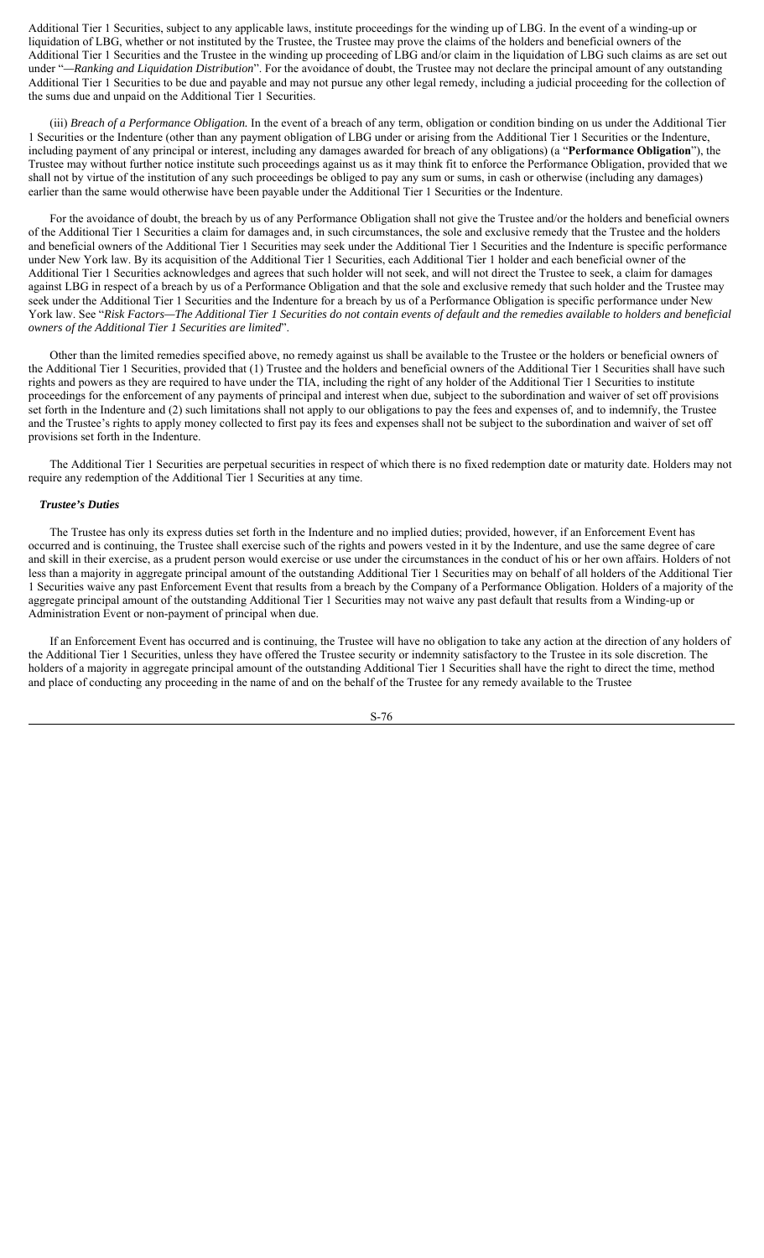Additional Tier 1 Securities, subject to any applicable laws, institute proceedings for the winding up of LBG. In the event of a winding-up or liquidation of LBG, whether or not instituted by the Trustee, the Trustee may prove the claims of the holders and beneficial owners of the Additional Tier 1 Securities and the Trustee in the winding up proceeding of LBG and/or claim in the liquidation of LBG such claims as are set out under "*—Ranking and Liquidation Distribution*". For the avoidance of doubt, the Trustee may not declare the principal amount of any outstanding Additional Tier 1 Securities to be due and payable and may not pursue any other legal remedy, including a judicial proceeding for the collection of the sums due and unpaid on the Additional Tier 1 Securities.

(iii) *Breach of a Performance Obligation.* In the event of a breach of any term, obligation or condition binding on us under the Additional Tier 1 Securities or the Indenture (other than any payment obligation of LBG under or arising from the Additional Tier 1 Securities or the Indenture, including payment of any principal or interest, including any damages awarded for breach of any obligations) (a "**Performance Obligation**"), the Trustee may without further notice institute such proceedings against us as it may think fit to enforce the Performance Obligation, provided that we shall not by virtue of the institution of any such proceedings be obliged to pay any sum or sums, in cash or otherwise (including any damages) earlier than the same would otherwise have been payable under the Additional Tier 1 Securities or the Indenture.

For the avoidance of doubt, the breach by us of any Performance Obligation shall not give the Trustee and/or the holders and beneficial owners of the Additional Tier 1 Securities a claim for damages and, in such circumstances, the sole and exclusive remedy that the Trustee and the holders and beneficial owners of the Additional Tier 1 Securities may seek under the Additional Tier 1 Securities and the Indenture is specific performance under New York law. By its acquisition of the Additional Tier 1 Securities, each Additional Tier 1 holder and each beneficial owner of the Additional Tier 1 Securities acknowledges and agrees that such holder will not seek, and will not direct the Trustee to seek, a claim for damages against LBG in respect of a breach by us of a Performance Obligation and that the sole and exclusive remedy that such holder and the Trustee may seek under the Additional Tier 1 Securities and the Indenture for a breach by us of a Performance Obligation is specific performance under New York law. See "*Risk Factors—The Additional Tier 1 Securities do not contain events of default and the remedies available to holders and beneficial owners of the Additional Tier 1 Securities are limited*".

Other than the limited remedies specified above, no remedy against us shall be available to the Trustee or the holders or beneficial owners of the Additional Tier 1 Securities, provided that (1) Trustee and the holders and beneficial owners of the Additional Tier 1 Securities shall have such rights and powers as they are required to have under the TIA, including the right of any holder of the Additional Tier 1 Securities to institute proceedings for the enforcement of any payments of principal and interest when due, subject to the subordination and waiver of set off provisions set forth in the Indenture and (2) such limitations shall not apply to our obligations to pay the fees and expenses of, and to indemnify, the Trustee and the Trustee's rights to apply money collected to first pay its fees and expenses shall not be subject to the subordination and waiver of set off provisions set forth in the Indenture.

The Additional Tier 1 Securities are perpetual securities in respect of which there is no fixed redemption date or maturity date. Holders may not require any redemption of the Additional Tier 1 Securities at any time.

## *Trustee's Duties*

The Trustee has only its express duties set forth in the Indenture and no implied duties; provided, however, if an Enforcement Event has occurred and is continuing, the Trustee shall exercise such of the rights and powers vested in it by the Indenture, and use the same degree of care and skill in their exercise, as a prudent person would exercise or use under the circumstances in the conduct of his or her own affairs. Holders of not less than a majority in aggregate principal amount of the outstanding Additional Tier 1 Securities may on behalf of all holders of the Additional Tier 1 Securities waive any past Enforcement Event that results from a breach by the Company of a Performance Obligation. Holders of a majority of the aggregate principal amount of the outstanding Additional Tier 1 Securities may not waive any past default that results from a Winding-up or Administration Event or non-payment of principal when due.

If an Enforcement Event has occurred and is continuing, the Trustee will have no obligation to take any action at the direction of any holders of the Additional Tier 1 Securities, unless they have offered the Trustee security or indemnity satisfactory to the Trustee in its sole discretion. The holders of a majority in aggregate principal amount of the outstanding Additional Tier 1 Securities shall have the right to direct the time, method and place of conducting any proceeding in the name of and on the behalf of the Trustee for any remedy available to the Trustee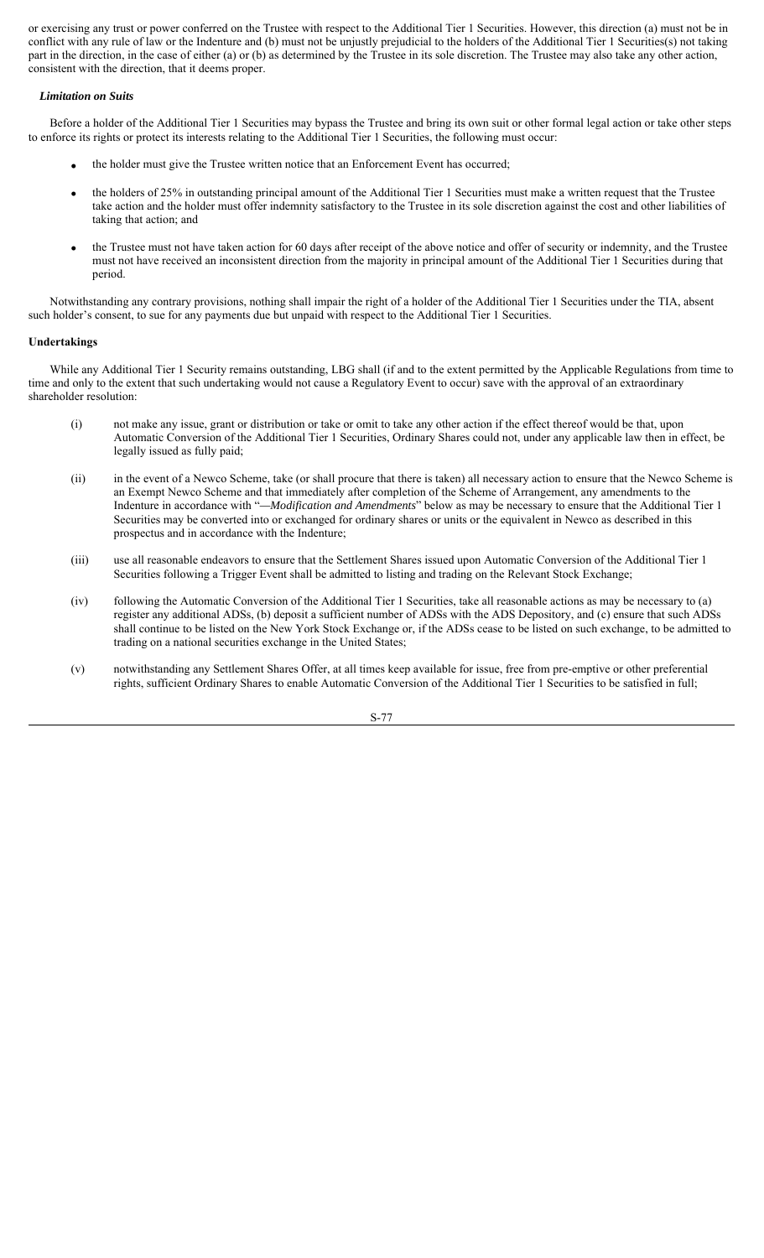or exercising any trust or power conferred on the Trustee with respect to the Additional Tier 1 Securities. However, this direction (a) must not be in conflict with any rule of law or the Indenture and (b) must not be unjustly prejudicial to the holders of the Additional Tier 1 Securities(s) not taking part in the direction, in the case of either (a) or (b) as determined by the Trustee in its sole discretion. The Trustee may also take any other action, consistent with the direction, that it deems proper.

## *Limitation on Suits*

Before a holder of the Additional Tier 1 Securities may bypass the Trustee and bring its own suit or other formal legal action or take other steps to enforce its rights or protect its interests relating to the Additional Tier 1 Securities, the following must occur:

- the holder must give the Trustee written notice that an Enforcement Event has occurred;
- the holders of 25% in outstanding principal amount of the Additional Tier 1 Securities must make a written request that the Trustee take action and the holder must offer indemnity satisfactory to the Trustee in its sole discretion against the cost and other liabilities of taking that action; and
- the Trustee must not have taken action for 60 days after receipt of the above notice and offer of security or indemnity, and the Trustee must not have received an inconsistent direction from the majority in principal amount of the Additional Tier 1 Securities during that period.

Notwithstanding any contrary provisions, nothing shall impair the right of a holder of the Additional Tier 1 Securities under the TIA, absent such holder's consent, to sue for any payments due but unpaid with respect to the Additional Tier 1 Securities.

## **Undertakings**

While any Additional Tier 1 Security remains outstanding, LBG shall (if and to the extent permitted by the Applicable Regulations from time to time and only to the extent that such undertaking would not cause a Regulatory Event to occur) save with the approval of an extraordinary shareholder resolution:

- (i) not make any issue, grant or distribution or take or omit to take any other action if the effect thereof would be that, upon Automatic Conversion of the Additional Tier 1 Securities, Ordinary Shares could not, under any applicable law then in effect, be legally issued as fully paid;
- (ii) in the event of a Newco Scheme, take (or shall procure that there is taken) all necessary action to ensure that the Newco Scheme is an Exempt Newco Scheme and that immediately after completion of the Scheme of Arrangement, any amendments to the Indenture in accordance with "*—Modification and Amendments*" below as may be necessary to ensure that the Additional Tier 1 Securities may be converted into or exchanged for ordinary shares or units or the equivalent in Newco as described in this prospectus and in accordance with the Indenture;
- (iii) use all reasonable endeavors to ensure that the Settlement Shares issued upon Automatic Conversion of the Additional Tier 1 Securities following a Trigger Event shall be admitted to listing and trading on the Relevant Stock Exchange;
- (iv) following the Automatic Conversion of the Additional Tier 1 Securities, take all reasonable actions as may be necessary to (a) register any additional ADSs, (b) deposit a sufficient number of ADSs with the ADS Depository, and (c) ensure that such ADSs shall continue to be listed on the New York Stock Exchange or, if the ADSs cease to be listed on such exchange, to be admitted to trading on a national securities exchange in the United States;
- (v) notwithstanding any Settlement Shares Offer, at all times keep available for issue, free from pre-emptive or other preferential rights, sufficient Ordinary Shares to enable Automatic Conversion of the Additional Tier 1 Securities to be satisfied in full;

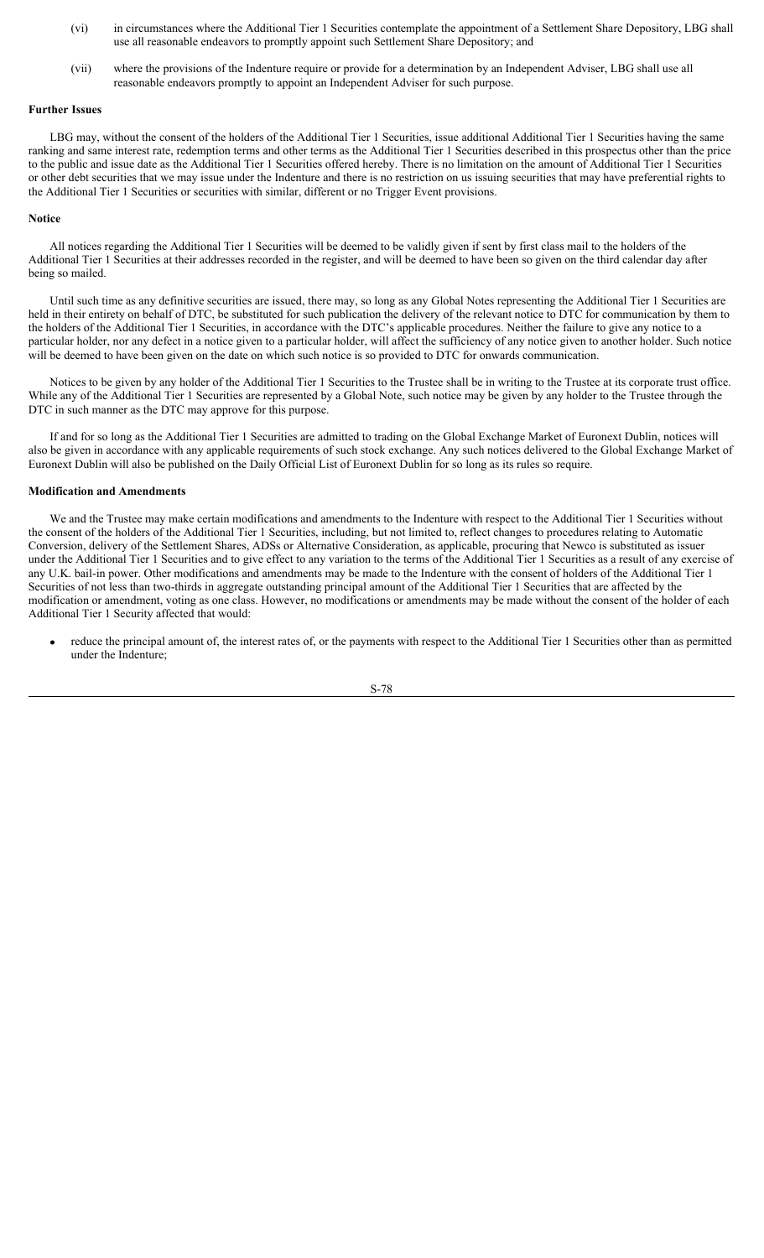- (vi) in circumstances where the Additional Tier 1 Securities contemplate the appointment of a Settlement Share Depository, LBG shall use all reasonable endeavors to promptly appoint such Settlement Share Depository; and
- (vii) where the provisions of the Indenture require or provide for a determination by an Independent Adviser, LBG shall use all reasonable endeavors promptly to appoint an Independent Adviser for such purpose.

# **Further Issues**

LBG may, without the consent of the holders of the Additional Tier 1 Securities, issue additional Additional Tier 1 Securities having the same ranking and same interest rate, redemption terms and other terms as the Additional Tier 1 Securities described in this prospectus other than the price to the public and issue date as the Additional Tier 1 Securities offered hereby. There is no limitation on the amount of Additional Tier 1 Securities or other debt securities that we may issue under the Indenture and there is no restriction on us issuing securities that may have preferential rights to the Additional Tier 1 Securities or securities with similar, different or no Trigger Event provisions.

#### **Notice**

All notices regarding the Additional Tier 1 Securities will be deemed to be validly given if sent by first class mail to the holders of the Additional Tier 1 Securities at their addresses recorded in the register, and will be deemed to have been so given on the third calendar day after being so mailed.

Until such time as any definitive securities are issued, there may, so long as any Global Notes representing the Additional Tier 1 Securities are held in their entirety on behalf of DTC, be substituted for such publication the delivery of the relevant notice to DTC for communication by them to the holders of the Additional Tier 1 Securities, in accordance with the DTC's applicable procedures. Neither the failure to give any notice to a particular holder, nor any defect in a notice given to a particular holder, will affect the sufficiency of any notice given to another holder. Such notice will be deemed to have been given on the date on which such notice is so provided to DTC for onwards communication.

Notices to be given by any holder of the Additional Tier 1 Securities to the Trustee shall be in writing to the Trustee at its corporate trust office. While any of the Additional Tier 1 Securities are represented by a Global Note, such notice may be given by any holder to the Trustee through the DTC in such manner as the DTC may approve for this purpose.

If and for so long as the Additional Tier 1 Securities are admitted to trading on the Global Exchange Market of Euronext Dublin, notices will also be given in accordance with any applicable requirements of such stock exchange. Any such notices delivered to the Global Exchange Market of Euronext Dublin will also be published on the Daily Official List of Euronext Dublin for so long as its rules so require.

## **Modification and Amendments**

We and the Trustee may make certain modifications and amendments to the Indenture with respect to the Additional Tier 1 Securities without the consent of the holders of the Additional Tier 1 Securities, including, but not limited to, reflect changes to procedures relating to Automatic Conversion, delivery of the Settlement Shares, ADSs or Alternative Consideration, as applicable, procuring that Newco is substituted as issuer under the Additional Tier 1 Securities and to give effect to any variation to the terms of the Additional Tier 1 Securities as a result of any exercise of any U.K. bail-in power. Other modifications and amendments may be made to the Indenture with the consent of holders of the Additional Tier 1 Securities of not less than two-thirds in aggregate outstanding principal amount of the Additional Tier 1 Securities that are affected by the modification or amendment, voting as one class. However, no modifications or amendments may be made without the consent of the holder of each Additional Tier 1 Security affected that would:

 reduce the principal amount of, the interest rates of, or the payments with respect to the Additional Tier 1 Securities other than as permitted under the Indenture;

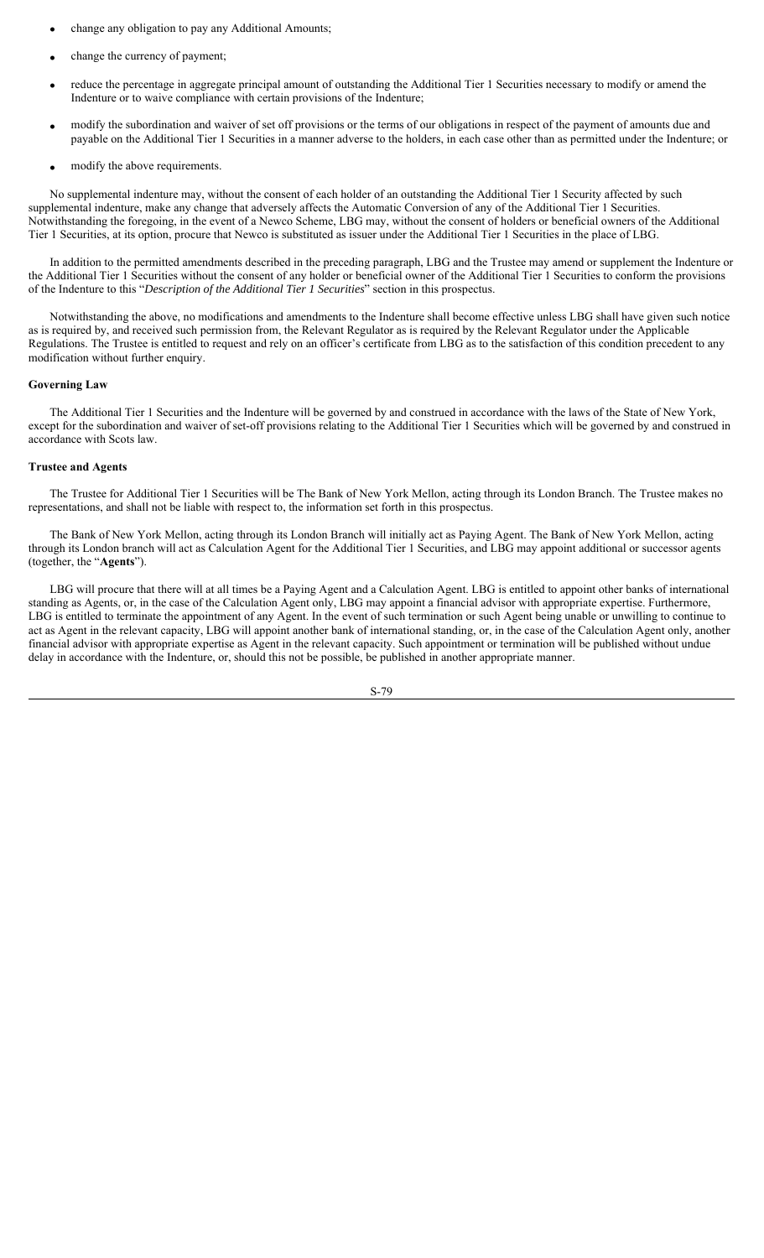- change any obligation to pay any Additional Amounts;
- change the currency of payment;
- reduce the percentage in aggregate principal amount of outstanding the Additional Tier 1 Securities necessary to modify or amend the Indenture or to waive compliance with certain provisions of the Indenture;
- modify the subordination and waiver of set off provisions or the terms of our obligations in respect of the payment of amounts due and payable on the Additional Tier 1 Securities in a manner adverse to the holders, in each case other than as permitted under the Indenture; or
- modify the above requirements.

No supplemental indenture may, without the consent of each holder of an outstanding the Additional Tier 1 Security affected by such supplemental indenture, make any change that adversely affects the Automatic Conversion of any of the Additional Tier 1 Securities. Notwithstanding the foregoing, in the event of a Newco Scheme, LBG may, without the consent of holders or beneficial owners of the Additional Tier 1 Securities, at its option, procure that Newco is substituted as issuer under the Additional Tier 1 Securities in the place of LBG.

In addition to the permitted amendments described in the preceding paragraph, LBG and the Trustee may amend or supplement the Indenture or the Additional Tier 1 Securities without the consent of any holder or beneficial owner of the Additional Tier 1 Securities to conform the provisions of the Indenture to this "*Description of the Additional Tier 1 Securities*" section in this prospectus.

Notwithstanding the above, no modifications and amendments to the Indenture shall become effective unless LBG shall have given such notice as is required by, and received such permission from, the Relevant Regulator as is required by the Relevant Regulator under the Applicable Regulations. The Trustee is entitled to request and rely on an officer's certificate from LBG as to the satisfaction of this condition precedent to any modification without further enquiry.

#### **Governing Law**

The Additional Tier 1 Securities and the Indenture will be governed by and construed in accordance with the laws of the State of New York, except for the subordination and waiver of set-off provisions relating to the Additional Tier 1 Securities which will be governed by and construed in accordance with Scots law.

#### **Trustee and Agents**

The Trustee for Additional Tier 1 Securities will be The Bank of New York Mellon, acting through its London Branch. The Trustee makes no representations, and shall not be liable with respect to, the information set forth in this prospectus.

The Bank of New York Mellon, acting through its London Branch will initially act as Paying Agent. The Bank of New York Mellon, acting through its London branch will act as Calculation Agent for the Additional Tier 1 Securities, and LBG may appoint additional or successor agents (together, the "**Agents**").

LBG will procure that there will at all times be a Paying Agent and a Calculation Agent. LBG is entitled to appoint other banks of international standing as Agents, or, in the case of the Calculation Agent only, LBG may appoint a financial advisor with appropriate expertise. Furthermore, LBG is entitled to terminate the appointment of any Agent. In the event of such termination or such Agent being unable or unwilling to continue to act as Agent in the relevant capacity, LBG will appoint another bank of international standing, or, in the case of the Calculation Agent only, another financial advisor with appropriate expertise as Agent in the relevant capacity. Such appointment or termination will be published without undue delay in accordance with the Indenture, or, should this not be possible, be published in another appropriate manner.

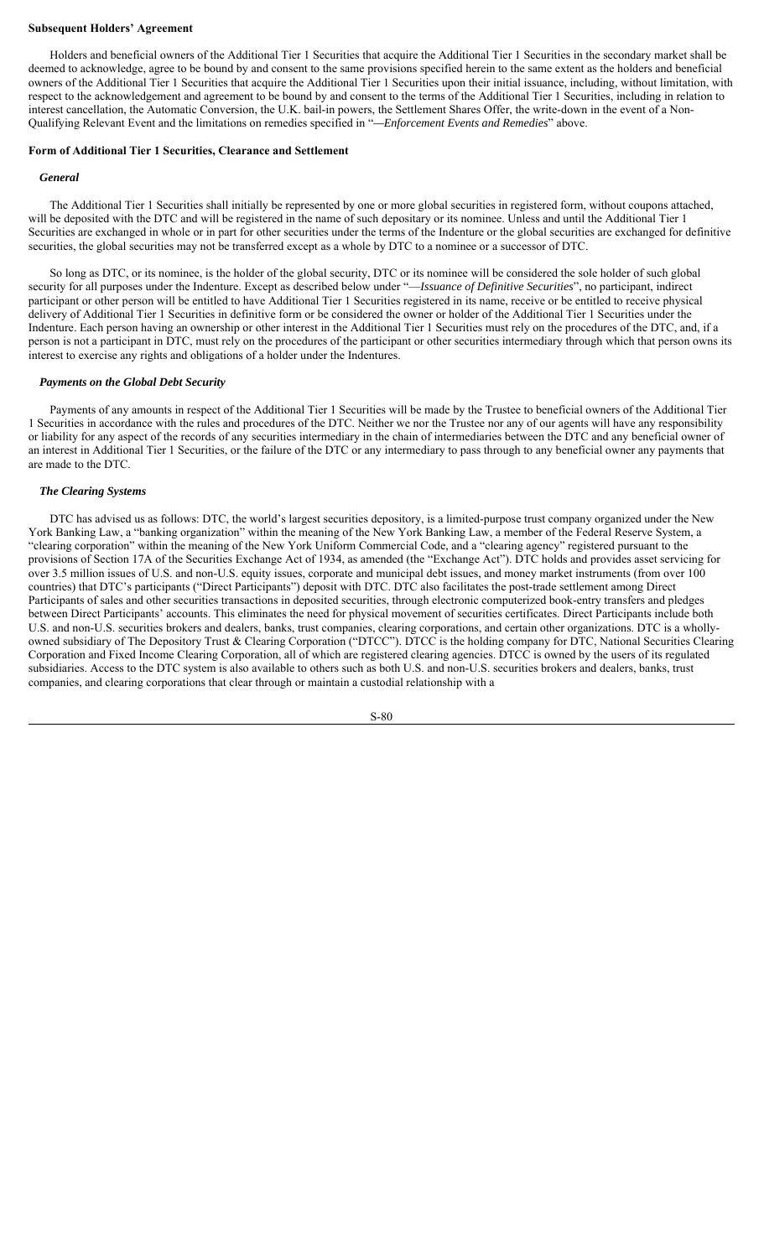#### **Subsequent Holders' Agreement**

Holders and beneficial owners of the Additional Tier 1 Securities that acquire the Additional Tier 1 Securities in the secondary market shall be deemed to acknowledge, agree to be bound by and consent to the same provisions specified herein to the same extent as the holders and beneficial owners of the Additional Tier 1 Securities that acquire the Additional Tier 1 Securities upon their initial issuance, including, without limitation, with respect to the acknowledgement and agreement to be bound by and consent to the terms of the Additional Tier 1 Securities, including in relation to interest cancellation, the Automatic Conversion, the U.K. bail-in powers, the Settlement Shares Offer, the write-down in the event of a Non-Qualifying Relevant Event and the limitations on remedies specified in "*—Enforcement Events and Remedies*" above.

## **Form of Additional Tier 1 Securities, Clearance and Settlement**

#### *General*

The Additional Tier 1 Securities shall initially be represented by one or more global securities in registered form, without coupons attached, will be deposited with the DTC and will be registered in the name of such depositary or its nominee. Unless and until the Additional Tier 1 Securities are exchanged in whole or in part for other securities under the terms of the Indenture or the global securities are exchanged for definitive securities, the global securities may not be transferred except as a whole by DTC to a nominee or a successor of DTC.

So long as DTC, or its nominee, is the holder of the global security, DTC or its nominee will be considered the sole holder of such global security for all purposes under the Indenture. Except as described below under "—*Issuance of Definitive Securities*", no participant, indirect participant or other person will be entitled to have Additional Tier 1 Securities registered in its name, receive or be entitled to receive physical delivery of Additional Tier 1 Securities in definitive form or be considered the owner or holder of the Additional Tier 1 Securities under the Indenture. Each person having an ownership or other interest in the Additional Tier 1 Securities must rely on the procedures of the DTC, and, if a person is not a participant in DTC, must rely on the procedures of the participant or other securities intermediary through which that person owns its interest to exercise any rights and obligations of a holder under the Indentures.

## *Payments on the Global Debt Security*

Payments of any amounts in respect of the Additional Tier 1 Securities will be made by the Trustee to beneficial owners of the Additional Tier 1 Securities in accordance with the rules and procedures of the DTC. Neither we nor the Trustee nor any of our agents will have any responsibility or liability for any aspect of the records of any securities intermediary in the chain of intermediaries between the DTC and any beneficial owner of an interest in Additional Tier 1 Securities, or the failure of the DTC or any intermediary to pass through to any beneficial owner any payments that are made to the DTC.

## *The Clearing Systems*

DTC has advised us as follows: DTC, the world's largest securities depository, is a limited-purpose trust company organized under the New York Banking Law, a "banking organization" within the meaning of the New York Banking Law, a member of the Federal Reserve System, a "clearing corporation" within the meaning of the New York Uniform Commercial Code, and a "clearing agency" registered pursuant to the provisions of Section 17A of the Securities Exchange Act of 1934, as amended (the "Exchange Act"). DTC holds and provides asset servicing for over 3.5 million issues of U.S. and non-U.S. equity issues, corporate and municipal debt issues, and money market instruments (from over 100 countries) that DTC's participants ("Direct Participants") deposit with DTC. DTC also facilitates the post-trade settlement among Direct Participants of sales and other securities transactions in deposited securities, through electronic computerized book-entry transfers and pledges between Direct Participants' accounts. This eliminates the need for physical movement of securities certificates. Direct Participants include both U.S. and non-U.S. securities brokers and dealers, banks, trust companies, clearing corporations, and certain other organizations. DTC is a whollyowned subsidiary of The Depository Trust & Clearing Corporation ("DTCC"). DTCC is the holding company for DTC, National Securities Clearing Corporation and Fixed Income Clearing Corporation, all of which are registered clearing agencies. DTCC is owned by the users of its regulated subsidiaries. Access to the DTC system is also available to others such as both U.S. and non-U.S. securities brokers and dealers, banks, trust companies, and clearing corporations that clear through or maintain a custodial relationship with a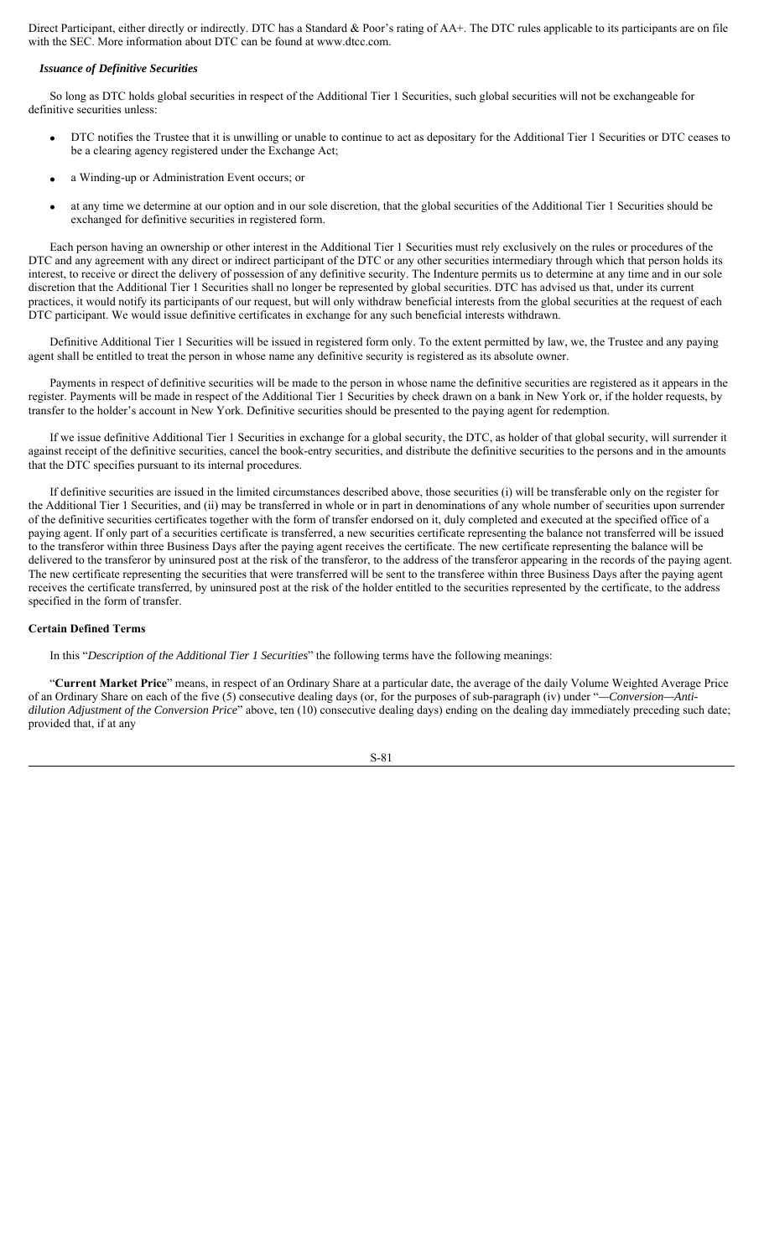Direct Participant, either directly or indirectly. DTC has a Standard & Poor's rating of AA+. The DTC rules applicable to its participants are on file with the SEC. More information about DTC can be found at www.dtcc.com.

## *Issuance of Definitive Securities*

So long as DTC holds global securities in respect of the Additional Tier 1 Securities, such global securities will not be exchangeable for definitive securities unless:

- DTC notifies the Trustee that it is unwilling or unable to continue to act as depositary for the Additional Tier 1 Securities or DTC ceases to be a clearing agency registered under the Exchange Act;
- a Winding-up or Administration Event occurs; or
- at any time we determine at our option and in our sole discretion, that the global securities of the Additional Tier 1 Securities should be exchanged for definitive securities in registered form.

Each person having an ownership or other interest in the Additional Tier 1 Securities must rely exclusively on the rules or procedures of the DTC and any agreement with any direct or indirect participant of the DTC or any other securities intermediary through which that person holds its interest, to receive or direct the delivery of possession of any definitive security. The Indenture permits us to determine at any time and in our sole discretion that the Additional Tier 1 Securities shall no longer be represented by global securities. DTC has advised us that, under its current practices, it would notify its participants of our request, but will only withdraw beneficial interests from the global securities at the request of each DTC participant. We would issue definitive certificates in exchange for any such beneficial interests withdrawn.

Definitive Additional Tier 1 Securities will be issued in registered form only. To the extent permitted by law, we, the Trustee and any paying agent shall be entitled to treat the person in whose name any definitive security is registered as its absolute owner.

Payments in respect of definitive securities will be made to the person in whose name the definitive securities are registered as it appears in the register. Payments will be made in respect of the Additional Tier 1 Securities by check drawn on a bank in New York or, if the holder requests, by transfer to the holder's account in New York. Definitive securities should be presented to the paying agent for redemption.

If we issue definitive Additional Tier 1 Securities in exchange for a global security, the DTC, as holder of that global security, will surrender it against receipt of the definitive securities, cancel the book-entry securities, and distribute the definitive securities to the persons and in the amounts that the DTC specifies pursuant to its internal procedures.

If definitive securities are issued in the limited circumstances described above, those securities (i) will be transferable only on the register for the Additional Tier 1 Securities, and (ii) may be transferred in whole or in part in denominations of any whole number of securities upon surrender of the definitive securities certificates together with the form of transfer endorsed on it, duly completed and executed at the specified office of a paying agent. If only part of a securities certificate is transferred, a new securities certificate representing the balance not transferred will be issued to the transferor within three Business Days after the paying agent receives the certificate. The new certificate representing the balance will be delivered to the transferor by uninsured post at the risk of the transferor, to the address of the transferor appearing in the records of the paying agent. The new certificate representing the securities that were transferred will be sent to the transferee within three Business Days after the paying agent receives the certificate transferred, by uninsured post at the risk of the holder entitled to the securities represented by the certificate, to the address specified in the form of transfer.

#### **Certain Defined Terms**

In this "*Description of the Additional Tier 1 Securities*" the following terms have the following meanings:

"**Current Market Price**" means, in respect of an Ordinary Share at a particular date, the average of the daily Volume Weighted Average Price of an Ordinary Share on each of the five (5) consecutive dealing days (or, for the purposes of sub-paragraph (iv) under "*—Conversion—Antidilution Adjustment of the Conversion Price*" above, ten (10) consecutive dealing days) ending on the dealing day immediately preceding such date; provided that, if at any

$$
S-81
$$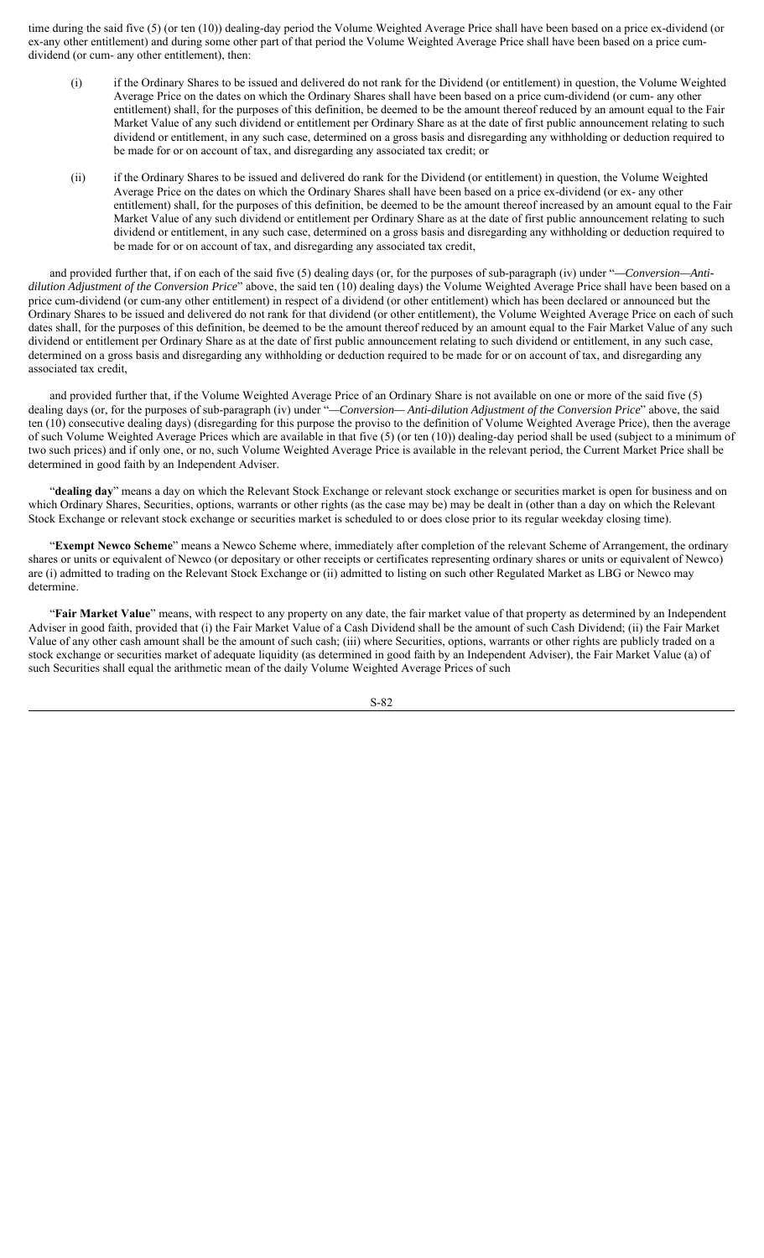time during the said five (5) (or ten (10)) dealing-day period the Volume Weighted Average Price shall have been based on a price ex-dividend (or ex-any other entitlement) and during some other part of that period the Volume Weighted Average Price shall have been based on a price cumdividend (or cum- any other entitlement), then:

- (i) if the Ordinary Shares to be issued and delivered do not rank for the Dividend (or entitlement) in question, the Volume Weighted Average Price on the dates on which the Ordinary Shares shall have been based on a price cum-dividend (or cum- any other entitlement) shall, for the purposes of this definition, be deemed to be the amount thereof reduced by an amount equal to the Fair Market Value of any such dividend or entitlement per Ordinary Share as at the date of first public announcement relating to such dividend or entitlement, in any such case, determined on a gross basis and disregarding any withholding or deduction required to be made for or on account of tax, and disregarding any associated tax credit; or
- (ii) if the Ordinary Shares to be issued and delivered do rank for the Dividend (or entitlement) in question, the Volume Weighted Average Price on the dates on which the Ordinary Shares shall have been based on a price ex-dividend (or ex- any other entitlement) shall, for the purposes of this definition, be deemed to be the amount thereof increased by an amount equal to the Fair Market Value of any such dividend or entitlement per Ordinary Share as at the date of first public announcement relating to such dividend or entitlement, in any such case, determined on a gross basis and disregarding any withholding or deduction required to be made for or on account of tax, and disregarding any associated tax credit,

and provided further that, if on each of the said five (5) dealing days (or, for the purposes of sub-paragraph (iv) under "*—Conversion—Antidilution Adjustment of the Conversion Price*" above, the said ten (10) dealing days) the Volume Weighted Average Price shall have been based on a price cum-dividend (or cum-any other entitlement) in respect of a dividend (or other entitlement) which has been declared or announced but the Ordinary Shares to be issued and delivered do not rank for that dividend (or other entitlement), the Volume Weighted Average Price on each of such dates shall, for the purposes of this definition, be deemed to be the amount thereof reduced by an amount equal to the Fair Market Value of any such dividend or entitlement per Ordinary Share as at the date of first public announcement relating to such dividend or entitlement, in any such case, determined on a gross basis and disregarding any withholding or deduction required to be made for or on account of tax, and disregarding any associated tax credit,

and provided further that, if the Volume Weighted Average Price of an Ordinary Share is not available on one or more of the said five (5) dealing days (or, for the purposes of sub-paragraph (iv) under "*—Conversion— Anti-dilution Adjustment of the Conversion Price*" above, the said ten (10) consecutive dealing days) (disregarding for this purpose the proviso to the definition of Volume Weighted Average Price), then the average of such Volume Weighted Average Prices which are available in that five (5) (or ten (10)) dealing-day period shall be used (subject to a minimum of two such prices) and if only one, or no, such Volume Weighted Average Price is available in the relevant period, the Current Market Price shall be determined in good faith by an Independent Adviser.

"**dealing day**" means a day on which the Relevant Stock Exchange or relevant stock exchange or securities market is open for business and on which Ordinary Shares, Securities, options, warrants or other rights (as the case may be) may be dealt in (other than a day on which the Relevant Stock Exchange or relevant stock exchange or securities market is scheduled to or does close prior to its regular weekday closing time).

"**Exempt Newco Scheme**" means a Newco Scheme where, immediately after completion of the relevant Scheme of Arrangement, the ordinary shares or units or equivalent of Newco (or depositary or other receipts or certificates representing ordinary shares or units or equivalent of Newco) are (i) admitted to trading on the Relevant Stock Exchange or (ii) admitted to listing on such other Regulated Market as LBG or Newco may determine.

"**Fair Market Value**" means, with respect to any property on any date, the fair market value of that property as determined by an Independent Adviser in good faith, provided that (i) the Fair Market Value of a Cash Dividend shall be the amount of such Cash Dividend; (ii) the Fair Market Value of any other cash amount shall be the amount of such cash; (iii) where Securities, options, warrants or other rights are publicly traded on a stock exchange or securities market of adequate liquidity (as determined in good faith by an Independent Adviser), the Fair Market Value (a) of such Securities shall equal the arithmetic mean of the daily Volume Weighted Average Prices of such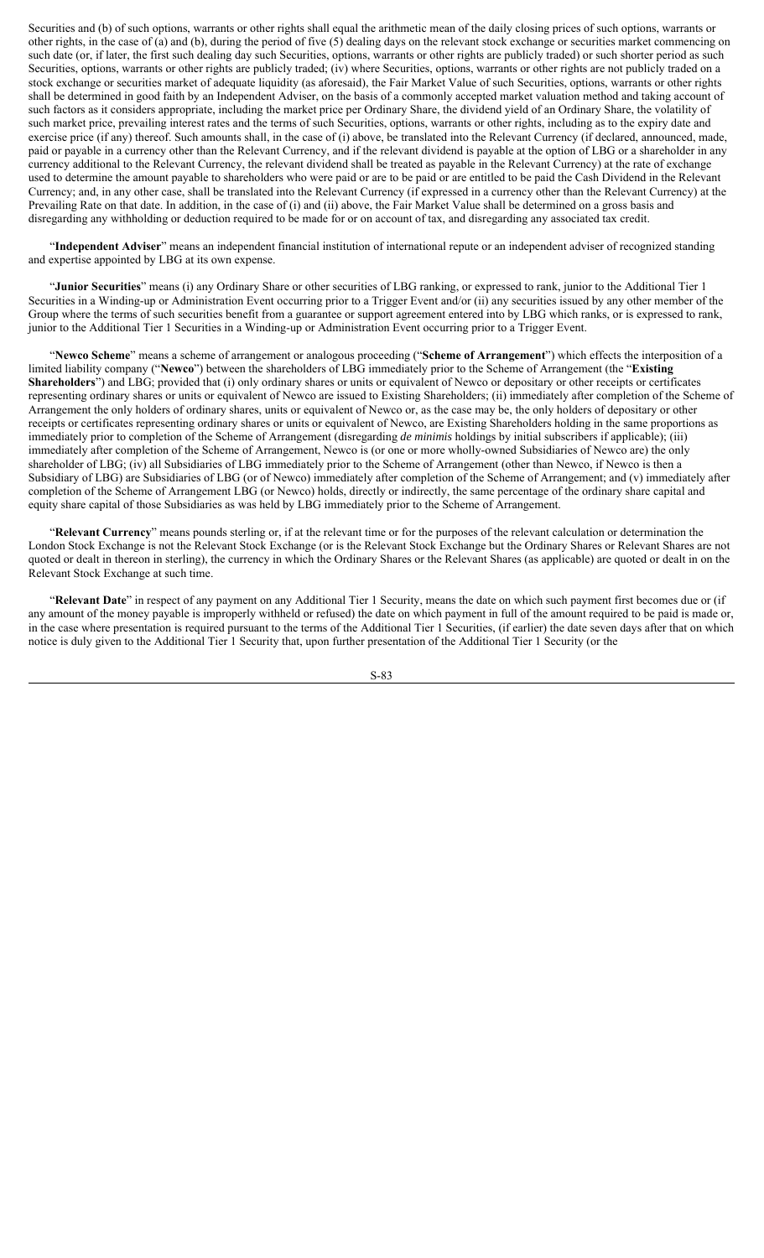Securities and (b) of such options, warrants or other rights shall equal the arithmetic mean of the daily closing prices of such options, warrants or other rights, in the case of (a) and (b), during the period of five (5) dealing days on the relevant stock exchange or securities market commencing on such date (or, if later, the first such dealing day such Securities, options, warrants or other rights are publicly traded) or such shorter period as such Securities, options, warrants or other rights are publicly traded; (iv) where Securities, options, warrants or other rights are not publicly traded on a stock exchange or securities market of adequate liquidity (as aforesaid), the Fair Market Value of such Securities, options, warrants or other rights shall be determined in good faith by an Independent Adviser, on the basis of a commonly accepted market valuation method and taking account of such factors as it considers appropriate, including the market price per Ordinary Share, the dividend yield of an Ordinary Share, the volatility of such market price, prevailing interest rates and the terms of such Securities, options, warrants or other rights, including as to the expiry date and exercise price (if any) thereof. Such amounts shall, in the case of (i) above, be translated into the Relevant Currency (if declared, announced, made, paid or payable in a currency other than the Relevant Currency, and if the relevant dividend is payable at the option of LBG or a shareholder in any currency additional to the Relevant Currency, the relevant dividend shall be treated as payable in the Relevant Currency) at the rate of exchange used to determine the amount payable to shareholders who were paid or are to be paid or are entitled to be paid the Cash Dividend in the Relevant Currency; and, in any other case, shall be translated into the Relevant Currency (if expressed in a currency other than the Relevant Currency) at the Prevailing Rate on that date. In addition, in the case of (i) and (ii) above, the Fair Market Value shall be determined on a gross basis and disregarding any withholding or deduction required to be made for or on account of tax, and disregarding any associated tax credit.

"**Independent Adviser**" means an independent financial institution of international repute or an independent adviser of recognized standing and expertise appointed by LBG at its own expense.

"**Junior Securities**" means (i) any Ordinary Share or other securities of LBG ranking, or expressed to rank, junior to the Additional Tier 1 Securities in a Winding-up or Administration Event occurring prior to a Trigger Event and/or (ii) any securities issued by any other member of the Group where the terms of such securities benefit from a guarantee or support agreement entered into by LBG which ranks, or is expressed to rank, junior to the Additional Tier 1 Securities in a Winding-up or Administration Event occurring prior to a Trigger Event.

"**Newco Scheme**" means a scheme of arrangement or analogous proceeding ("**Scheme of Arrangement**") which effects the interposition of a limited liability company ("**Newco**") between the shareholders of LBG immediately prior to the Scheme of Arrangement (the "**Existing Shareholders**") and LBG; provided that (i) only ordinary shares or units or equivalent of Newco or depositary or other receipts or certificates representing ordinary shares or units or equivalent of Newco are issued to Existing Shareholders; (ii) immediately after completion of the Scheme of Arrangement the only holders of ordinary shares, units or equivalent of Newco or, as the case may be, the only holders of depositary or other receipts or certificates representing ordinary shares or units or equivalent of Newco, are Existing Shareholders holding in the same proportions as immediately prior to completion of the Scheme of Arrangement (disregarding *de minimis* holdings by initial subscribers if applicable); (iii) immediately after completion of the Scheme of Arrangement, Newco is (or one or more wholly-owned Subsidiaries of Newco are) the only shareholder of LBG; (iv) all Subsidiaries of LBG immediately prior to the Scheme of Arrangement (other than Newco, if Newco is then a Subsidiary of LBG) are Subsidiaries of LBG (or of Newco) immediately after completion of the Scheme of Arrangement; and (v) immediately after completion of the Scheme of Arrangement LBG (or Newco) holds, directly or indirectly, the same percentage of the ordinary share capital and equity share capital of those Subsidiaries as was held by LBG immediately prior to the Scheme of Arrangement.

"**Relevant Currency**" means pounds sterling or, if at the relevant time or for the purposes of the relevant calculation or determination the London Stock Exchange is not the Relevant Stock Exchange (or is the Relevant Stock Exchange but the Ordinary Shares or Relevant Shares are not quoted or dealt in thereon in sterling), the currency in which the Ordinary Shares or the Relevant Shares (as applicable) are quoted or dealt in on the Relevant Stock Exchange at such time.

"**Relevant Date**" in respect of any payment on any Additional Tier 1 Security, means the date on which such payment first becomes due or (if any amount of the money payable is improperly withheld or refused) the date on which payment in full of the amount required to be paid is made or, in the case where presentation is required pursuant to the terms of the Additional Tier 1 Securities, (if earlier) the date seven days after that on which notice is duly given to the Additional Tier 1 Security that, upon further presentation of the Additional Tier 1 Security (or the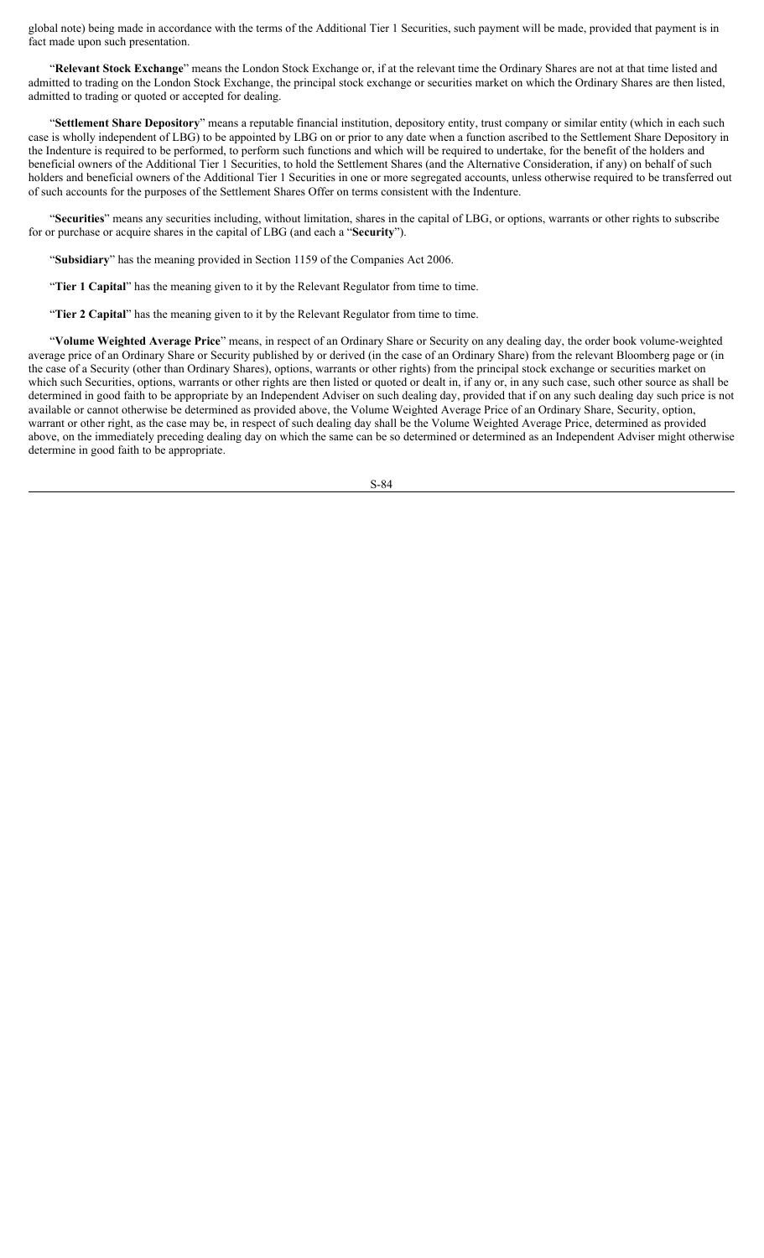global note) being made in accordance with the terms of the Additional Tier 1 Securities, such payment will be made, provided that payment is in fact made upon such presentation.

"**Relevant Stock Exchange**" means the London Stock Exchange or, if at the relevant time the Ordinary Shares are not at that time listed and admitted to trading on the London Stock Exchange, the principal stock exchange or securities market on which the Ordinary Shares are then listed, admitted to trading or quoted or accepted for dealing.

"**Settlement Share Depository**" means a reputable financial institution, depository entity, trust company or similar entity (which in each such case is wholly independent of LBG) to be appointed by LBG on or prior to any date when a function ascribed to the Settlement Share Depository in the Indenture is required to be performed, to perform such functions and which will be required to undertake, for the benefit of the holders and beneficial owners of the Additional Tier 1 Securities, to hold the Settlement Shares (and the Alternative Consideration, if any) on behalf of such holders and beneficial owners of the Additional Tier 1 Securities in one or more segregated accounts, unless otherwise required to be transferred out of such accounts for the purposes of the Settlement Shares Offer on terms consistent with the Indenture.

"**Securities**" means any securities including, without limitation, shares in the capital of LBG, or options, warrants or other rights to subscribe for or purchase or acquire shares in the capital of LBG (and each a "**Security**").

"**Subsidiary**" has the meaning provided in Section 1159 of the Companies Act 2006.

"**Tier 1 Capital**" has the meaning given to it by the Relevant Regulator from time to time.

"**Tier 2 Capital**" has the meaning given to it by the Relevant Regulator from time to time.

"**Volume Weighted Average Price**" means, in respect of an Ordinary Share or Security on any dealing day, the order book volume-weighted average price of an Ordinary Share or Security published by or derived (in the case of an Ordinary Share) from the relevant Bloomberg page or (in the case of a Security (other than Ordinary Shares), options, warrants or other rights) from the principal stock exchange or securities market on which such Securities, options, warrants or other rights are then listed or quoted or dealt in, if any or, in any such case, such other source as shall be determined in good faith to be appropriate by an Independent Adviser on such dealing day, provided that if on any such dealing day such price is not available or cannot otherwise be determined as provided above, the Volume Weighted Average Price of an Ordinary Share, Security, option, warrant or other right, as the case may be, in respect of such dealing day shall be the Volume Weighted Average Price, determined as provided above, on the immediately preceding dealing day on which the same can be so determined or determined as an Independent Adviser might otherwise determine in good faith to be appropriate.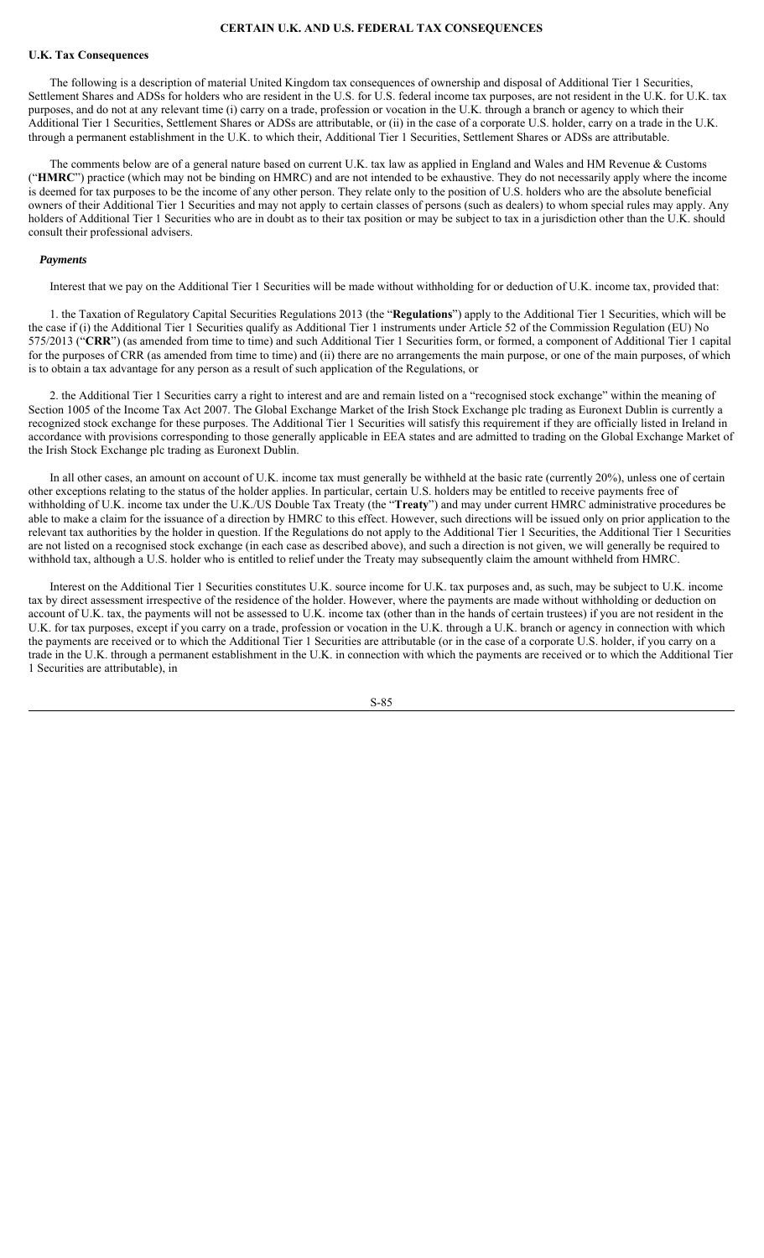## **CERTAIN U.K. AND U.S. FEDERAL TAX CONSEQUENCES**

## **U.K. Tax Consequences**

The following is a description of material United Kingdom tax consequences of ownership and disposal of Additional Tier 1 Securities, Settlement Shares and ADSs for holders who are resident in the U.S. for U.S. federal income tax purposes, are not resident in the U.K. for U.K. tax purposes, and do not at any relevant time (i) carry on a trade, profession or vocation in the U.K. through a branch or agency to which their Additional Tier 1 Securities, Settlement Shares or ADSs are attributable, or (ii) in the case of a corporate U.S. holder, carry on a trade in the U.K. through a permanent establishment in the U.K. to which their, Additional Tier 1 Securities, Settlement Shares or ADSs are attributable.

The comments below are of a general nature based on current U.K. tax law as applied in England and Wales and HM Revenue & Customs ("**HMRC**") practice (which may not be binding on HMRC) and are not intended to be exhaustive. They do not necessarily apply where the income is deemed for tax purposes to be the income of any other person. They relate only to the position of U.S. holders who are the absolute beneficial owners of their Additional Tier 1 Securities and may not apply to certain classes of persons (such as dealers) to whom special rules may apply. Any holders of Additional Tier 1 Securities who are in doubt as to their tax position or may be subject to tax in a jurisdiction other than the U.K. should consult their professional advisers.

#### *Payments*

Interest that we pay on the Additional Tier 1 Securities will be made without withholding for or deduction of U.K. income tax, provided that:

1. the Taxation of Regulatory Capital Securities Regulations 2013 (the "**Regulations**") apply to the Additional Tier 1 Securities, which will be the case if (i) the Additional Tier 1 Securities qualify as Additional Tier 1 instruments under Article 52 of the Commission Regulation (EU) No 575/2013 ("**CRR**") (as amended from time to time) and such Additional Tier 1 Securities form, or formed, a component of Additional Tier 1 capital for the purposes of CRR (as amended from time to time) and (ii) there are no arrangements the main purpose, or one of the main purposes, of which is to obtain a tax advantage for any person as a result of such application of the Regulations, or

2. the Additional Tier 1 Securities carry a right to interest and are and remain listed on a "recognised stock exchange" within the meaning of Section 1005 of the Income Tax Act 2007. The Global Exchange Market of the Irish Stock Exchange plc trading as Euronext Dublin is currently a recognized stock exchange for these purposes. The Additional Tier 1 Securities will satisfy this requirement if they are officially listed in Ireland in accordance with provisions corresponding to those generally applicable in EEA states and are admitted to trading on the Global Exchange Market of the Irish Stock Exchange plc trading as Euronext Dublin.

In all other cases, an amount on account of U.K. income tax must generally be withheld at the basic rate (currently 20%), unless one of certain other exceptions relating to the status of the holder applies. In particular, certain U.S. holders may be entitled to receive payments free of withholding of U.K. income tax under the U.K./US Double Tax Treaty (the "**Treaty**") and may under current HMRC administrative procedures be able to make a claim for the issuance of a direction by HMRC to this effect. However, such directions will be issued only on prior application to the relevant tax authorities by the holder in question. If the Regulations do not apply to the Additional Tier 1 Securities, the Additional Tier 1 Securities are not listed on a recognised stock exchange (in each case as described above), and such a direction is not given, we will generally be required to withhold tax, although a U.S. holder who is entitled to relief under the Treaty may subsequently claim the amount withheld from HMRC.

Interest on the Additional Tier 1 Securities constitutes U.K. source income for U.K. tax purposes and, as such, may be subject to U.K. income tax by direct assessment irrespective of the residence of the holder. However, where the payments are made without withholding or deduction on account of U.K. tax, the payments will not be assessed to U.K. income tax (other than in the hands of certain trustees) if you are not resident in the U.K. for tax purposes, except if you carry on a trade, profession or vocation in the U.K. through a U.K. branch or agency in connection with which the payments are received or to which the Additional Tier 1 Securities are attributable (or in the case of a corporate U.S. holder, if you carry on a trade in the U.K. through a permanent establishment in the U.K. in connection with which the payments are received or to which the Additional Tier 1 Securities are attributable), in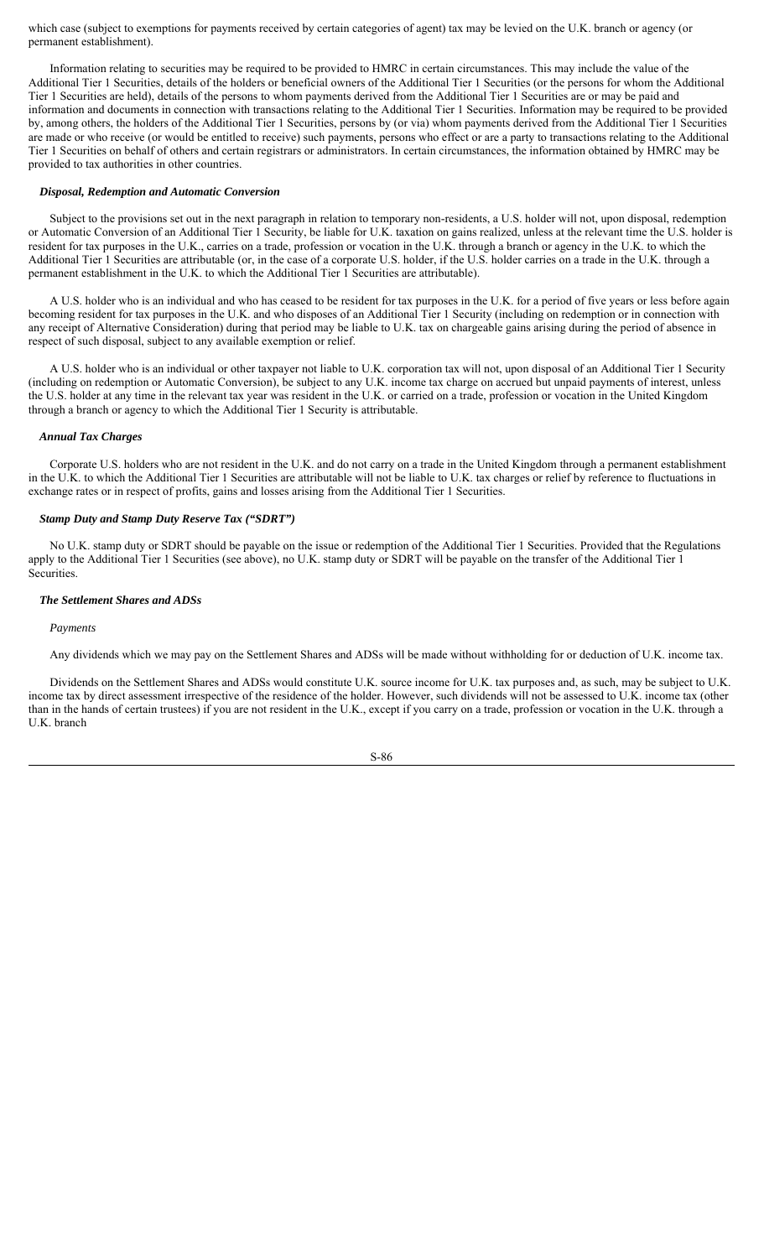which case (subject to exemptions for payments received by certain categories of agent) tax may be levied on the U.K. branch or agency (or permanent establishment).

Information relating to securities may be required to be provided to HMRC in certain circumstances. This may include the value of the Additional Tier 1 Securities, details of the holders or beneficial owners of the Additional Tier 1 Securities (or the persons for whom the Additional Tier 1 Securities are held), details of the persons to whom payments derived from the Additional Tier 1 Securities are or may be paid and information and documents in connection with transactions relating to the Additional Tier 1 Securities. Information may be required to be provided by, among others, the holders of the Additional Tier 1 Securities, persons by (or via) whom payments derived from the Additional Tier 1 Securities are made or who receive (or would be entitled to receive) such payments, persons who effect or are a party to transactions relating to the Additional Tier 1 Securities on behalf of others and certain registrars or administrators. In certain circumstances, the information obtained by HMRC may be provided to tax authorities in other countries.

#### *Disposal, Redemption and Automatic Conversion*

Subject to the provisions set out in the next paragraph in relation to temporary non-residents, a U.S. holder will not, upon disposal, redemption or Automatic Conversion of an Additional Tier 1 Security, be liable for U.K. taxation on gains realized, unless at the relevant time the U.S. holder is resident for tax purposes in the U.K., carries on a trade, profession or vocation in the U.K. through a branch or agency in the U.K. to which the Additional Tier 1 Securities are attributable (or, in the case of a corporate U.S. holder, if the U.S. holder carries on a trade in the U.K. through a permanent establishment in the U.K. to which the Additional Tier 1 Securities are attributable).

A U.S. holder who is an individual and who has ceased to be resident for tax purposes in the U.K. for a period of five years or less before again becoming resident for tax purposes in the U.K. and who disposes of an Additional Tier 1 Security (including on redemption or in connection with any receipt of Alternative Consideration) during that period may be liable to U.K. tax on chargeable gains arising during the period of absence in respect of such disposal, subject to any available exemption or relief.

A U.S. holder who is an individual or other taxpayer not liable to U.K. corporation tax will not, upon disposal of an Additional Tier 1 Security (including on redemption or Automatic Conversion), be subject to any U.K. income tax charge on accrued but unpaid payments of interest, unless the U.S. holder at any time in the relevant tax year was resident in the U.K. or carried on a trade, profession or vocation in the United Kingdom through a branch or agency to which the Additional Tier 1 Security is attributable.

#### *Annual Tax Charges*

Corporate U.S. holders who are not resident in the U.K. and do not carry on a trade in the United Kingdom through a permanent establishment in the U.K. to which the Additional Tier 1 Securities are attributable will not be liable to U.K. tax charges or relief by reference to fluctuations in exchange rates or in respect of profits, gains and losses arising from the Additional Tier 1 Securities.

#### *Stamp Duty and Stamp Duty Reserve Tax ("SDRT")*

No U.K. stamp duty or SDRT should be payable on the issue or redemption of the Additional Tier 1 Securities. Provided that the Regulations apply to the Additional Tier 1 Securities (see above), no U.K. stamp duty or SDRT will be payable on the transfer of the Additional Tier 1 Securities.

## *The Settlement Shares and ADSs*

#### *Payments*

Any dividends which we may pay on the Settlement Shares and ADSs will be made without withholding for or deduction of U.K. income tax.

Dividends on the Settlement Shares and ADSs would constitute U.K. source income for U.K. tax purposes and, as such, may be subject to U.K. income tax by direct assessment irrespective of the residence of the holder. However, such dividends will not be assessed to U.K. income tax (other than in the hands of certain trustees) if you are not resident in the U.K., except if you carry on a trade, profession or vocation in the U.K. through a U.K. branch

$$
S-86
$$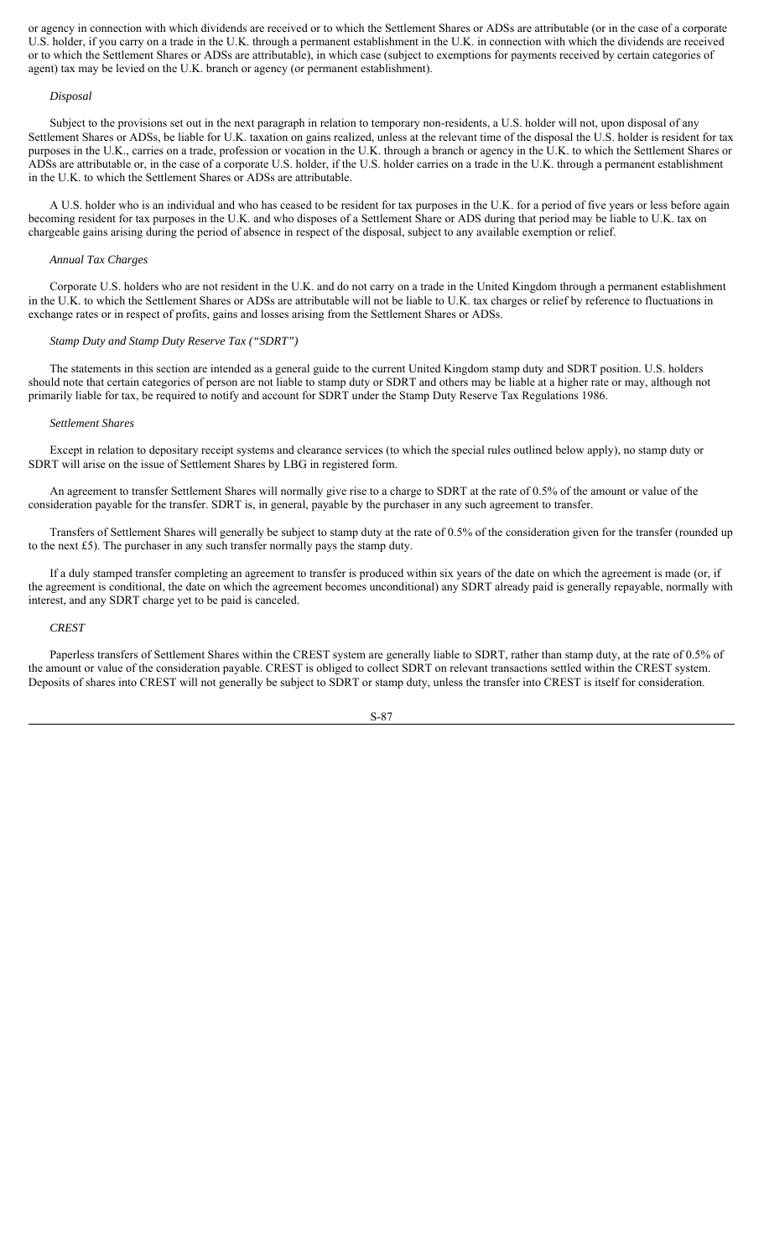or agency in connection with which dividends are received or to which the Settlement Shares or ADSs are attributable (or in the case of a corporate U.S. holder, if you carry on a trade in the U.K. through a permanent establishment in the U.K. in connection with which the dividends are received or to which the Settlement Shares or ADSs are attributable), in which case (subject to exemptions for payments received by certain categories of agent) tax may be levied on the U.K. branch or agency (or permanent establishment).

#### *Disposal*

Subject to the provisions set out in the next paragraph in relation to temporary non-residents, a U.S. holder will not, upon disposal of any Settlement Shares or ADSs, be liable for U.K. taxation on gains realized, unless at the relevant time of the disposal the U.S. holder is resident for tax purposes in the U.K., carries on a trade, profession or vocation in the U.K. through a branch or agency in the U.K. to which the Settlement Shares or ADSs are attributable or, in the case of a corporate U.S. holder, if the U.S. holder carries on a trade in the U.K. through a permanent establishment in the U.K. to which the Settlement Shares or ADSs are attributable.

A U.S. holder who is an individual and who has ceased to be resident for tax purposes in the U.K. for a period of five years or less before again becoming resident for tax purposes in the U.K. and who disposes of a Settlement Share or ADS during that period may be liable to U.K. tax on chargeable gains arising during the period of absence in respect of the disposal, subject to any available exemption or relief.

#### *Annual Tax Charges*

Corporate U.S. holders who are not resident in the U.K. and do not carry on a trade in the United Kingdom through a permanent establishment in the U.K. to which the Settlement Shares or ADSs are attributable will not be liable to U.K. tax charges or relief by reference to fluctuations in exchange rates or in respect of profits, gains and losses arising from the Settlement Shares or ADSs.

#### *Stamp Duty and Stamp Duty Reserve Tax ("SDRT")*

The statements in this section are intended as a general guide to the current United Kingdom stamp duty and SDRT position. U.S. holders should note that certain categories of person are not liable to stamp duty or SDRT and others may be liable at a higher rate or may, although not primarily liable for tax, be required to notify and account for SDRT under the Stamp Duty Reserve Tax Regulations 1986.

#### *Settlement Shares*

Except in relation to depositary receipt systems and clearance services (to which the special rules outlined below apply), no stamp duty or SDRT will arise on the issue of Settlement Shares by LBG in registered form.

An agreement to transfer Settlement Shares will normally give rise to a charge to SDRT at the rate of 0.5% of the amount or value of the consideration payable for the transfer. SDRT is, in general, payable by the purchaser in any such agreement to transfer.

Transfers of Settlement Shares will generally be subject to stamp duty at the rate of 0.5% of the consideration given for the transfer (rounded up to the next £5). The purchaser in any such transfer normally pays the stamp duty.

If a duly stamped transfer completing an agreement to transfer is produced within six years of the date on which the agreement is made (or, if the agreement is conditional, the date on which the agreement becomes unconditional) any SDRT already paid is generally repayable, normally with interest, and any SDRT charge yet to be paid is canceled.

## *CREST*

Paperless transfers of Settlement Shares within the CREST system are generally liable to SDRT, rather than stamp duty, at the rate of 0.5% of the amount or value of the consideration payable. CREST is obliged to collect SDRT on relevant transactions settled within the CREST system. Deposits of shares into CREST will not generally be subject to SDRT or stamp duty, unless the transfer into CREST is itself for consideration.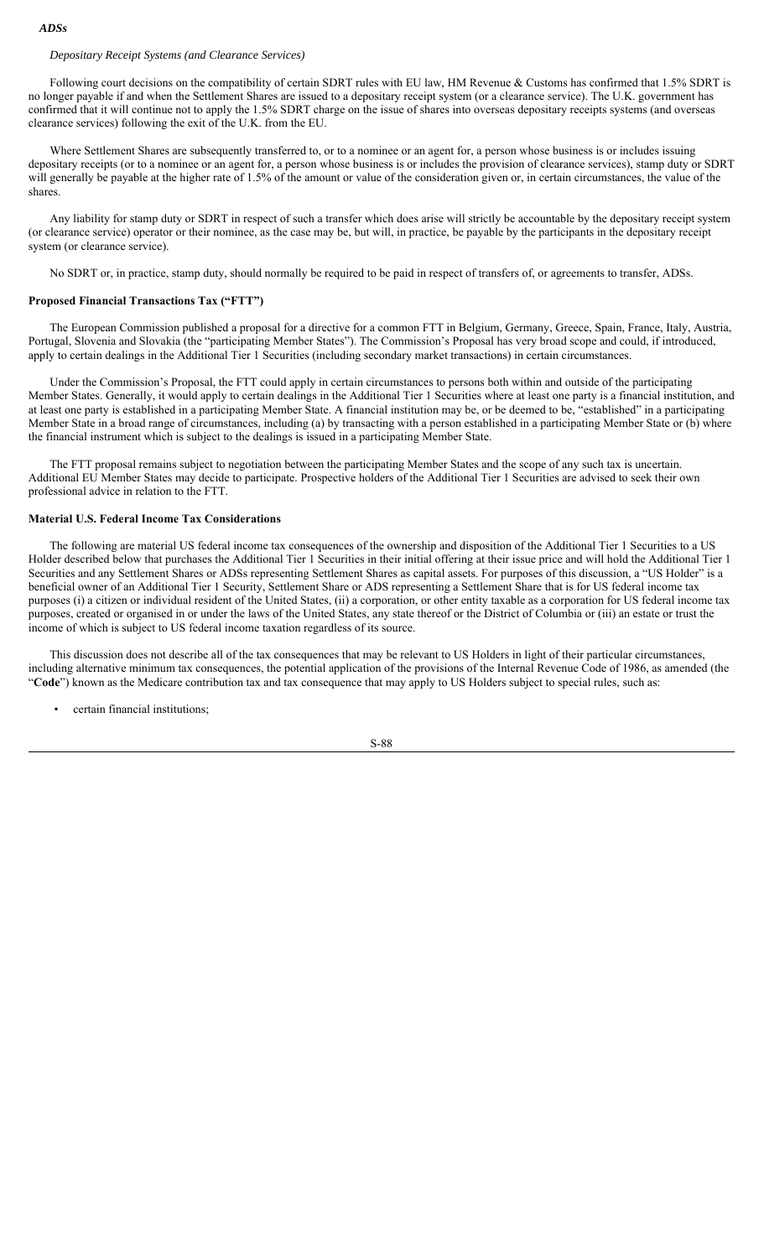## *ADSs*

# *Depositary Receipt Systems (and Clearance Services)*

Following court decisions on the compatibility of certain SDRT rules with EU law, HM Revenue & Customs has confirmed that 1.5% SDRT is no longer payable if and when the Settlement Shares are issued to a depositary receipt system (or a clearance service). The U.K. government has confirmed that it will continue not to apply the 1.5% SDRT charge on the issue of shares into overseas depositary receipts systems (and overseas clearance services) following the exit of the U.K. from the EU.

Where Settlement Shares are subsequently transferred to, or to a nominee or an agent for, a person whose business is or includes issuing depositary receipts (or to a nominee or an agent for, a person whose business is or includes the provision of clearance services), stamp duty or SDRT will generally be payable at the higher rate of 1.5% of the amount or value of the consideration given or, in certain circumstances, the value of the shares.

Any liability for stamp duty or SDRT in respect of such a transfer which does arise will strictly be accountable by the depositary receipt system (or clearance service) operator or their nominee, as the case may be, but will, in practice, be payable by the participants in the depositary receipt system (or clearance service).

No SDRT or, in practice, stamp duty, should normally be required to be paid in respect of transfers of, or agreements to transfer, ADSs.

## **Proposed Financial Transactions Tax ("FTT")**

The European Commission published a proposal for a directive for a common FTT in Belgium, Germany, Greece, Spain, France, Italy, Austria, Portugal, Slovenia and Slovakia (the "participating Member States"). The Commission's Proposal has very broad scope and could, if introduced, apply to certain dealings in the Additional Tier 1 Securities (including secondary market transactions) in certain circumstances.

Under the Commission's Proposal, the FTT could apply in certain circumstances to persons both within and outside of the participating Member States. Generally, it would apply to certain dealings in the Additional Tier 1 Securities where at least one party is a financial institution, and at least one party is established in a participating Member State. A financial institution may be, or be deemed to be, "established" in a participating Member State in a broad range of circumstances, including (a) by transacting with a person established in a participating Member State or (b) where the financial instrument which is subject to the dealings is issued in a participating Member State.

The FTT proposal remains subject to negotiation between the participating Member States and the scope of any such tax is uncertain. Additional EU Member States may decide to participate. Prospective holders of the Additional Tier 1 Securities are advised to seek their own professional advice in relation to the FTT.

## **Material U.S. Federal Income Tax Considerations**

The following are material US federal income tax consequences of the ownership and disposition of the Additional Tier 1 Securities to a US Holder described below that purchases the Additional Tier 1 Securities in their initial offering at their issue price and will hold the Additional Tier 1 Securities and any Settlement Shares or ADSs representing Settlement Shares as capital assets. For purposes of this discussion, a "US Holder" is a beneficial owner of an Additional Tier 1 Security, Settlement Share or ADS representing a Settlement Share that is for US federal income tax purposes (i) a citizen or individual resident of the United States, (ii) a corporation, or other entity taxable as a corporation for US federal income tax purposes, created or organised in or under the laws of the United States, any state thereof or the District of Columbia or (iii) an estate or trust the income of which is subject to US federal income taxation regardless of its source.

This discussion does not describe all of the tax consequences that may be relevant to US Holders in light of their particular circumstances, including alternative minimum tax consequences, the potential application of the provisions of the Internal Revenue Code of 1986, as amended (the "**Code**") known as the Medicare contribution tax and tax consequence that may apply to US Holders subject to special rules, such as:

• certain financial institutions;

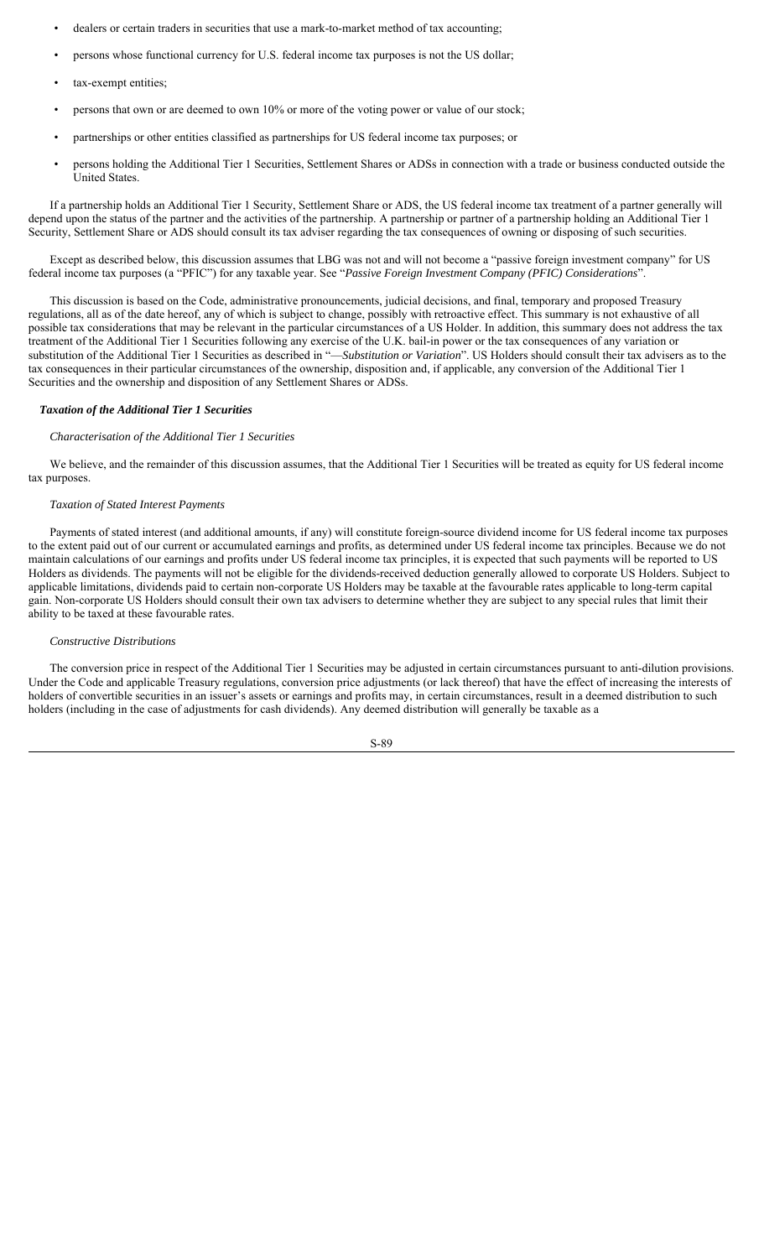- dealers or certain traders in securities that use a mark-to-market method of tax accounting;
- persons whose functional currency for U.S. federal income tax purposes is not the US dollar;
- tax-exempt entities;
- persons that own or are deemed to own 10% or more of the voting power or value of our stock;
- partnerships or other entities classified as partnerships for US federal income tax purposes; or
- persons holding the Additional Tier 1 Securities, Settlement Shares or ADSs in connection with a trade or business conducted outside the United States.

If a partnership holds an Additional Tier 1 Security, Settlement Share or ADS, the US federal income tax treatment of a partner generally will depend upon the status of the partner and the activities of the partnership. A partnership or partner of a partnership holding an Additional Tier 1 Security, Settlement Share or ADS should consult its tax adviser regarding the tax consequences of owning or disposing of such securities.

Except as described below, this discussion assumes that LBG was not and will not become a "passive foreign investment company" for US federal income tax purposes (a "PFIC") for any taxable year. See "*Passive Foreign Investment Company (PFIC) Considerations*".

This discussion is based on the Code, administrative pronouncements, judicial decisions, and final, temporary and proposed Treasury regulations, all as of the date hereof, any of which is subject to change, possibly with retroactive effect. This summary is not exhaustive of all possible tax considerations that may be relevant in the particular circumstances of a US Holder. In addition, this summary does not address the tax treatment of the Additional Tier 1 Securities following any exercise of the U.K. bail-in power or the tax consequences of any variation or substitution of the Additional Tier 1 Securities as described in "—*Substitution or Variation*". US Holders should consult their tax advisers as to the tax consequences in their particular circumstances of the ownership, disposition and, if applicable, any conversion of the Additional Tier 1 Securities and the ownership and disposition of any Settlement Shares or ADSs.

#### *Taxation of the Additional Tier 1 Securities*

## *Characterisation of the Additional Tier 1 Securities*

We believe, and the remainder of this discussion assumes, that the Additional Tier 1 Securities will be treated as equity for US federal income tax purposes.

#### *Taxation of Stated Interest Payments*

Payments of stated interest (and additional amounts, if any) will constitute foreign-source dividend income for US federal income tax purposes to the extent paid out of our current or accumulated earnings and profits, as determined under US federal income tax principles. Because we do not maintain calculations of our earnings and profits under US federal income tax principles, it is expected that such payments will be reported to US Holders as dividends. The payments will not be eligible for the dividends-received deduction generally allowed to corporate US Holders. Subject to applicable limitations, dividends paid to certain non-corporate US Holders may be taxable at the favourable rates applicable to long-term capital gain. Non-corporate US Holders should consult their own tax advisers to determine whether they are subject to any special rules that limit their ability to be taxed at these favourable rates.

#### *Constructive Distributions*

The conversion price in respect of the Additional Tier 1 Securities may be adjusted in certain circumstances pursuant to anti-dilution provisions. Under the Code and applicable Treasury regulations, conversion price adjustments (or lack thereof) that have the effect of increasing the interests of holders of convertible securities in an issuer's assets or earnings and profits may, in certain circumstances, result in a deemed distribution to such holders (including in the case of adjustments for cash dividends). Any deemed distribution will generally be taxable as a

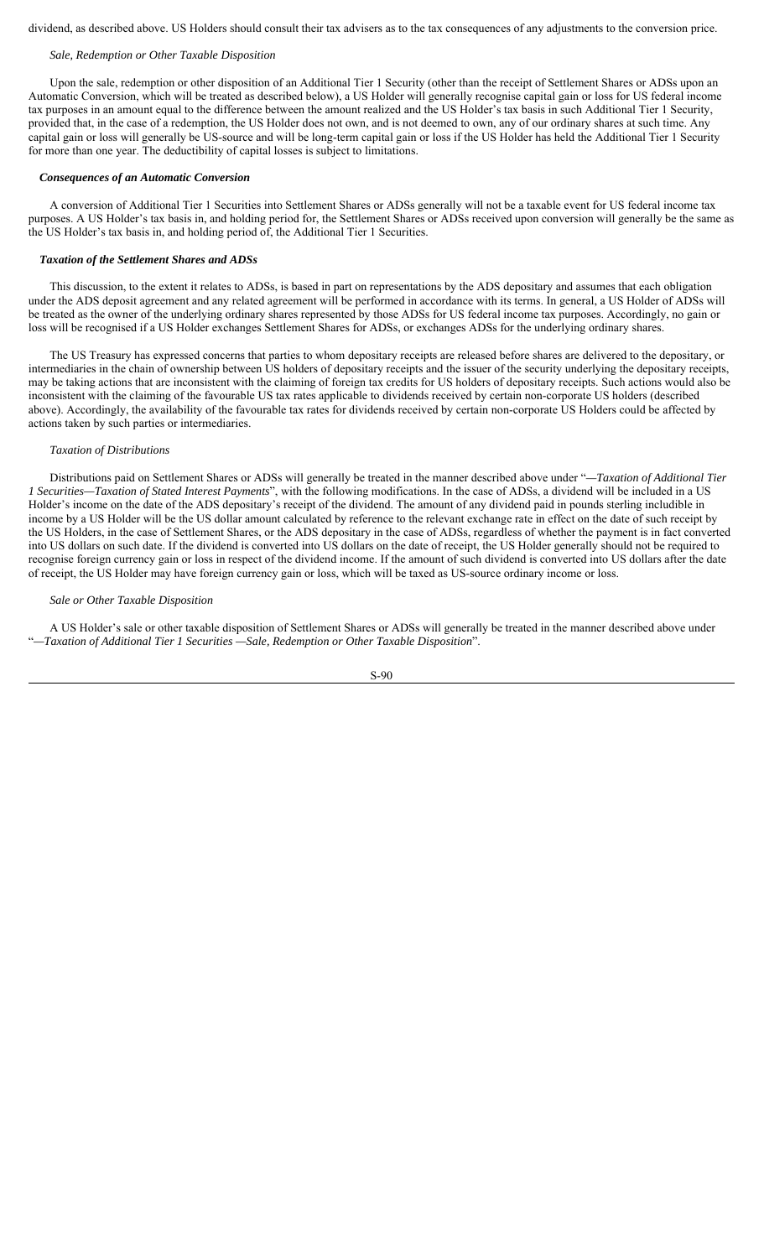dividend, as described above. US Holders should consult their tax advisers as to the tax consequences of any adjustments to the conversion price.

# *Sale, Redemption or Other Taxable Disposition*

Upon the sale, redemption or other disposition of an Additional Tier 1 Security (other than the receipt of Settlement Shares or ADSs upon an Automatic Conversion, which will be treated as described below), a US Holder will generally recognise capital gain or loss for US federal income tax purposes in an amount equal to the difference between the amount realized and the US Holder's tax basis in such Additional Tier 1 Security, provided that, in the case of a redemption, the US Holder does not own, and is not deemed to own, any of our ordinary shares at such time. Any capital gain or loss will generally be US-source and will be long-term capital gain or loss if the US Holder has held the Additional Tier 1 Security for more than one year. The deductibility of capital losses is subject to limitations.

## *Consequences of an Automatic Conversion*

A conversion of Additional Tier 1 Securities into Settlement Shares or ADSs generally will not be a taxable event for US federal income tax purposes. A US Holder's tax basis in, and holding period for, the Settlement Shares or ADSs received upon conversion will generally be the same as the US Holder's tax basis in, and holding period of, the Additional Tier 1 Securities.

#### *Taxation of the Settlement Shares and ADSs*

This discussion, to the extent it relates to ADSs, is based in part on representations by the ADS depositary and assumes that each obligation under the ADS deposit agreement and any related agreement will be performed in accordance with its terms. In general, a US Holder of ADSs will be treated as the owner of the underlying ordinary shares represented by those ADSs for US federal income tax purposes. Accordingly, no gain or loss will be recognised if a US Holder exchanges Settlement Shares for ADSs, or exchanges ADSs for the underlying ordinary shares.

The US Treasury has expressed concerns that parties to whom depositary receipts are released before shares are delivered to the depositary, or intermediaries in the chain of ownership between US holders of depositary receipts and the issuer of the security underlying the depositary receipts, may be taking actions that are inconsistent with the claiming of foreign tax credits for US holders of depositary receipts. Such actions would also be inconsistent with the claiming of the favourable US tax rates applicable to dividends received by certain non-corporate US holders (described above). Accordingly, the availability of the favourable tax rates for dividends received by certain non-corporate US Holders could be affected by actions taken by such parties or intermediaries.

## *Taxation of Distributions*

Distributions paid on Settlement Shares or ADSs will generally be treated in the manner described above under "*—Taxation of Additional Tier 1 Securities—Taxation of Stated Interest Payments*", with the following modifications. In the case of ADSs, a dividend will be included in a US Holder's income on the date of the ADS depositary's receipt of the dividend. The amount of any dividend paid in pounds sterling includible in income by a US Holder will be the US dollar amount calculated by reference to the relevant exchange rate in effect on the date of such receipt by the US Holders, in the case of Settlement Shares, or the ADS depositary in the case of ADSs, regardless of whether the payment is in fact converted into US dollars on such date. If the dividend is converted into US dollars on the date of receipt, the US Holder generally should not be required to recognise foreign currency gain or loss in respect of the dividend income. If the amount of such dividend is converted into US dollars after the date of receipt, the US Holder may have foreign currency gain or loss, which will be taxed as US-source ordinary income or loss.

#### *Sale or Other Taxable Disposition*

A US Holder's sale or other taxable disposition of Settlement Shares or ADSs will generally be treated in the manner described above under "*—Taxation of Additional Tier 1 Securities —Sale, Redemption or Other Taxable Disposition*".

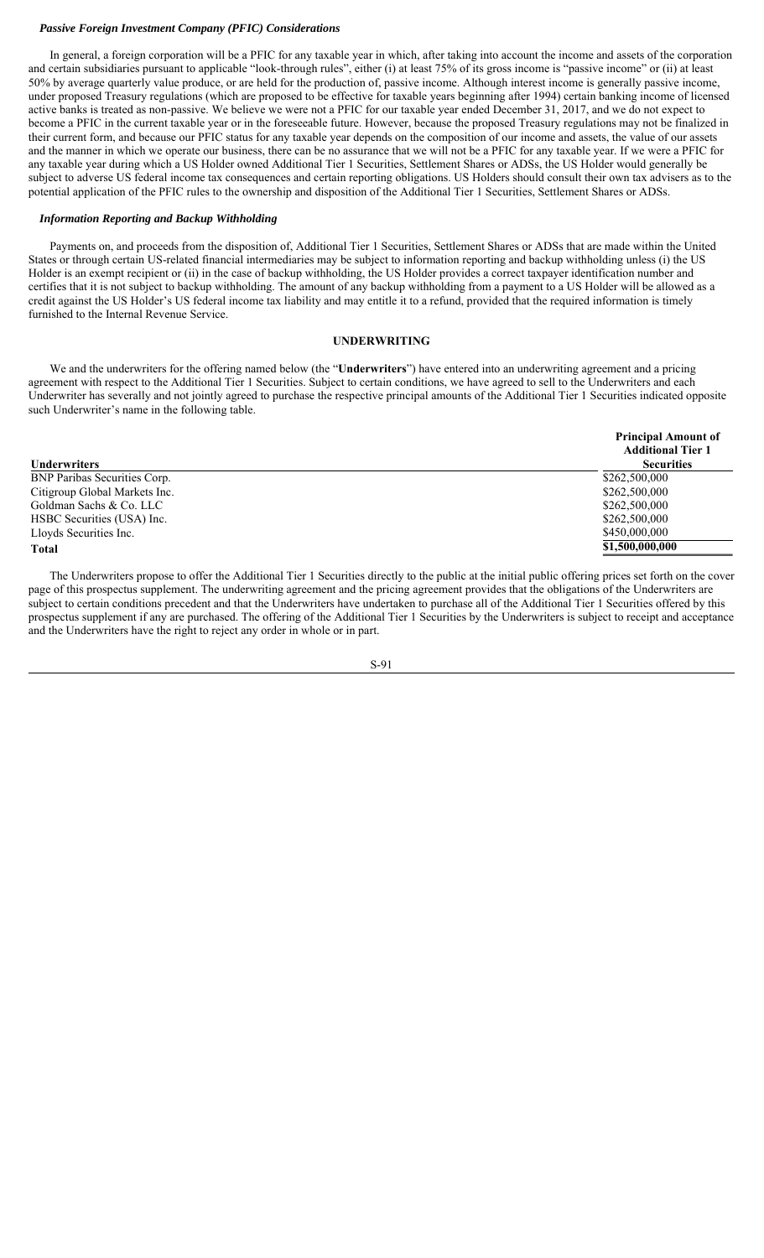# *Passive Foreign Investment Company (PFIC) Considerations*

In general, a foreign corporation will be a PFIC for any taxable year in which, after taking into account the income and assets of the corporation and certain subsidiaries pursuant to applicable "look-through rules", either (i) at least 75% of its gross income is "passive income" or (ii) at least 50% by average quarterly value produce, or are held for the production of, passive income. Although interest income is generally passive income, under proposed Treasury regulations (which are proposed to be effective for taxable years beginning after 1994) certain banking income of licensed active banks is treated as non-passive. We believe we were not a PFIC for our taxable year ended December 31, 2017, and we do not expect to become a PFIC in the current taxable year or in the foreseeable future. However, because the proposed Treasury regulations may not be finalized in their current form, and because our PFIC status for any taxable year depends on the composition of our income and assets, the value of our assets and the manner in which we operate our business, there can be no assurance that we will not be a PFIC for any taxable year. If we were a PFIC for any taxable year during which a US Holder owned Additional Tier 1 Securities, Settlement Shares or ADSs, the US Holder would generally be subject to adverse US federal income tax consequences and certain reporting obligations. US Holders should consult their own tax advisers as to the potential application of the PFIC rules to the ownership and disposition of the Additional Tier 1 Securities, Settlement Shares or ADSs.

## *Information Reporting and Backup Withholding*

Payments on, and proceeds from the disposition of, Additional Tier 1 Securities, Settlement Shares or ADSs that are made within the United States or through certain US-related financial intermediaries may be subject to information reporting and backup withholding unless (i) the US Holder is an exempt recipient or (ii) in the case of backup withholding, the US Holder provides a correct taxpayer identification number and certifies that it is not subject to backup withholding. The amount of any backup withholding from a payment to a US Holder will be allowed as a credit against the US Holder's US federal income tax liability and may entitle it to a refund, provided that the required information is timely furnished to the Internal Revenue Service.

# **UNDERWRITING**

We and the underwriters for the offering named below (the "**Underwriters**") have entered into an underwriting agreement and a pricing agreement with respect to the Additional Tier 1 Securities. Subject to certain conditions, we have agreed to sell to the Underwriters and each Underwriter has severally and not jointly agreed to purchase the respective principal amounts of the Additional Tier 1 Securities indicated opposite such Underwriter's name in the following table.

|                               | <b>Principal Amount of</b><br><b>Additional Tier 1</b> |
|-------------------------------|--------------------------------------------------------|
| <b>Underwriters</b>           | <b>Securities</b>                                      |
| BNP Paribas Securities Corp.  | \$262,500,000                                          |
| Citigroup Global Markets Inc. | \$262,500,000                                          |
| Goldman Sachs & Co. LLC       | \$262,500,000                                          |
| HSBC Securities (USA) Inc.    | \$262,500,000                                          |
| Lloyds Securities Inc.        | \$450,000,000                                          |
| <b>Total</b>                  | \$1,500,000,000                                        |

The Underwriters propose to offer the Additional Tier 1 Securities directly to the public at the initial public offering prices set forth on the cover page of this prospectus supplement. The underwriting agreement and the pricing agreement provides that the obligations of the Underwriters are subject to certain conditions precedent and that the Underwriters have undertaken to purchase all of the Additional Tier 1 Securities offered by this prospectus supplement if any are purchased. The offering of the Additional Tier 1 Securities by the Underwriters is subject to receipt and acceptance and the Underwriters have the right to reject any order in whole or in part.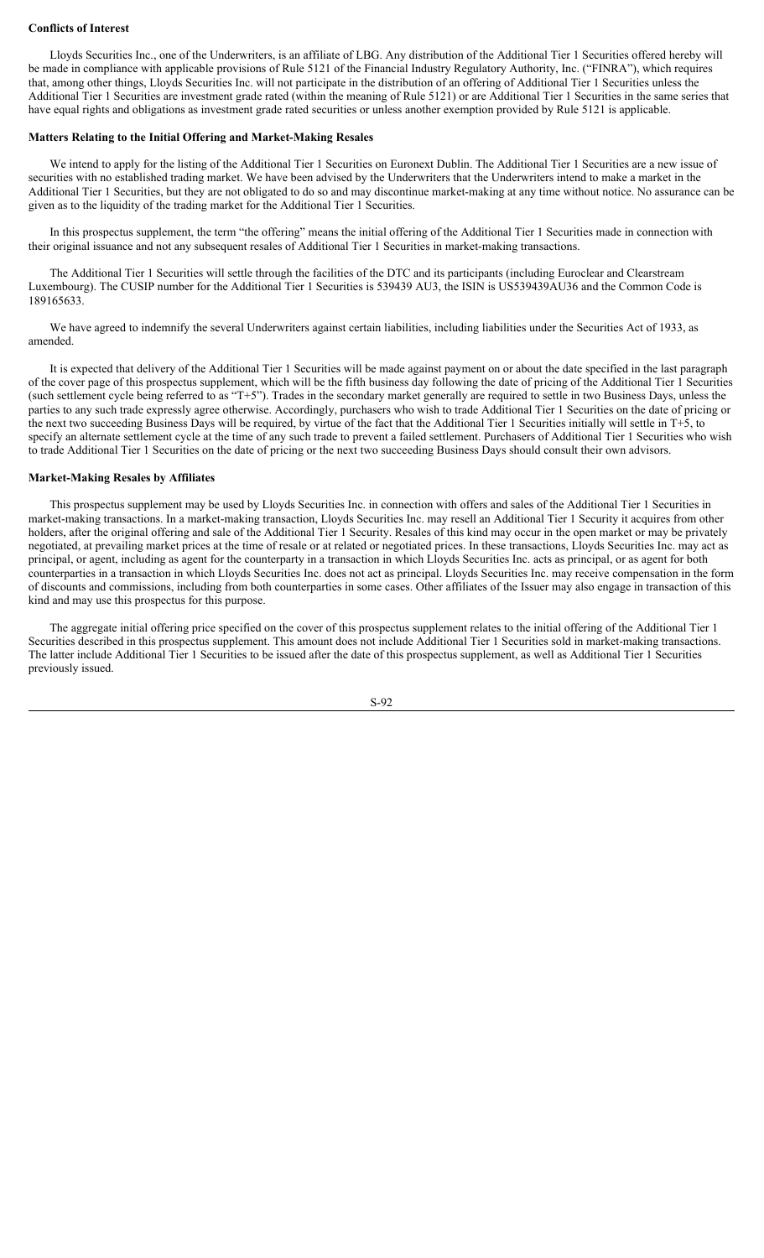## **Conflicts of Interest**

Lloyds Securities Inc., one of the Underwriters, is an affiliate of LBG. Any distribution of the Additional Tier 1 Securities offered hereby will be made in compliance with applicable provisions of Rule 5121 of the Financial Industry Regulatory Authority, Inc. ("FINRA"), which requires that, among other things, Lloyds Securities Inc. will not participate in the distribution of an offering of Additional Tier 1 Securities unless the Additional Tier 1 Securities are investment grade rated (within the meaning of Rule 5121) or are Additional Tier 1 Securities in the same series that have equal rights and obligations as investment grade rated securities or unless another exemption provided by Rule 5121 is applicable.

#### **Matters Relating to the Initial Offering and Market-Making Resales**

We intend to apply for the listing of the Additional Tier 1 Securities on Euronext Dublin. The Additional Tier 1 Securities are a new issue of securities with no established trading market. We have been advised by the Underwriters that the Underwriters intend to make a market in the Additional Tier 1 Securities, but they are not obligated to do so and may discontinue market-making at any time without notice. No assurance can be given as to the liquidity of the trading market for the Additional Tier 1 Securities.

In this prospectus supplement, the term "the offering" means the initial offering of the Additional Tier 1 Securities made in connection with their original issuance and not any subsequent resales of Additional Tier 1 Securities in market-making transactions.

The Additional Tier 1 Securities will settle through the facilities of the DTC and its participants (including Euroclear and Clearstream Luxembourg). The CUSIP number for the Additional Tier 1 Securities is 539439 AU3, the ISIN is US539439AU36 and the Common Code is 189165633.

We have agreed to indemnify the several Underwriters against certain liabilities, including liabilities under the Securities Act of 1933, as amended.

It is expected that delivery of the Additional Tier 1 Securities will be made against payment on or about the date specified in the last paragraph of the cover page of this prospectus supplement, which will be the fifth business day following the date of pricing of the Additional Tier 1 Securities (such settlement cycle being referred to as "T+5"). Trades in the secondary market generally are required to settle in two Business Days, unless the parties to any such trade expressly agree otherwise. Accordingly, purchasers who wish to trade Additional Tier 1 Securities on the date of pricing or the next two succeeding Business Days will be required, by virtue of the fact that the Additional Tier 1 Securities initially will settle in  $T+5$ , to specify an alternate settlement cycle at the time of any such trade to prevent a failed settlement. Purchasers of Additional Tier 1 Securities who wish to trade Additional Tier 1 Securities on the date of pricing or the next two succeeding Business Days should consult their own advisors.

## **Market-Making Resales by Affiliates**

This prospectus supplement may be used by Lloyds Securities Inc. in connection with offers and sales of the Additional Tier 1 Securities in market-making transactions. In a market-making transaction, Lloyds Securities Inc. may resell an Additional Tier 1 Security it acquires from other holders, after the original offering and sale of the Additional Tier 1 Security. Resales of this kind may occur in the open market or may be privately negotiated, at prevailing market prices at the time of resale or at related or negotiated prices. In these transactions, Lloyds Securities Inc. may act as principal, or agent, including as agent for the counterparty in a transaction in which Lloyds Securities Inc. acts as principal, or as agent for both counterparties in a transaction in which Lloyds Securities Inc. does not act as principal. Lloyds Securities Inc. may receive compensation in the form of discounts and commissions, including from both counterparties in some cases. Other affiliates of the Issuer may also engage in transaction of this kind and may use this prospectus for this purpose.

The aggregate initial offering price specified on the cover of this prospectus supplement relates to the initial offering of the Additional Tier 1 Securities described in this prospectus supplement. This amount does not include Additional Tier 1 Securities sold in market-making transactions. The latter include Additional Tier 1 Securities to be issued after the date of this prospectus supplement, as well as Additional Tier 1 Securities previously issued.

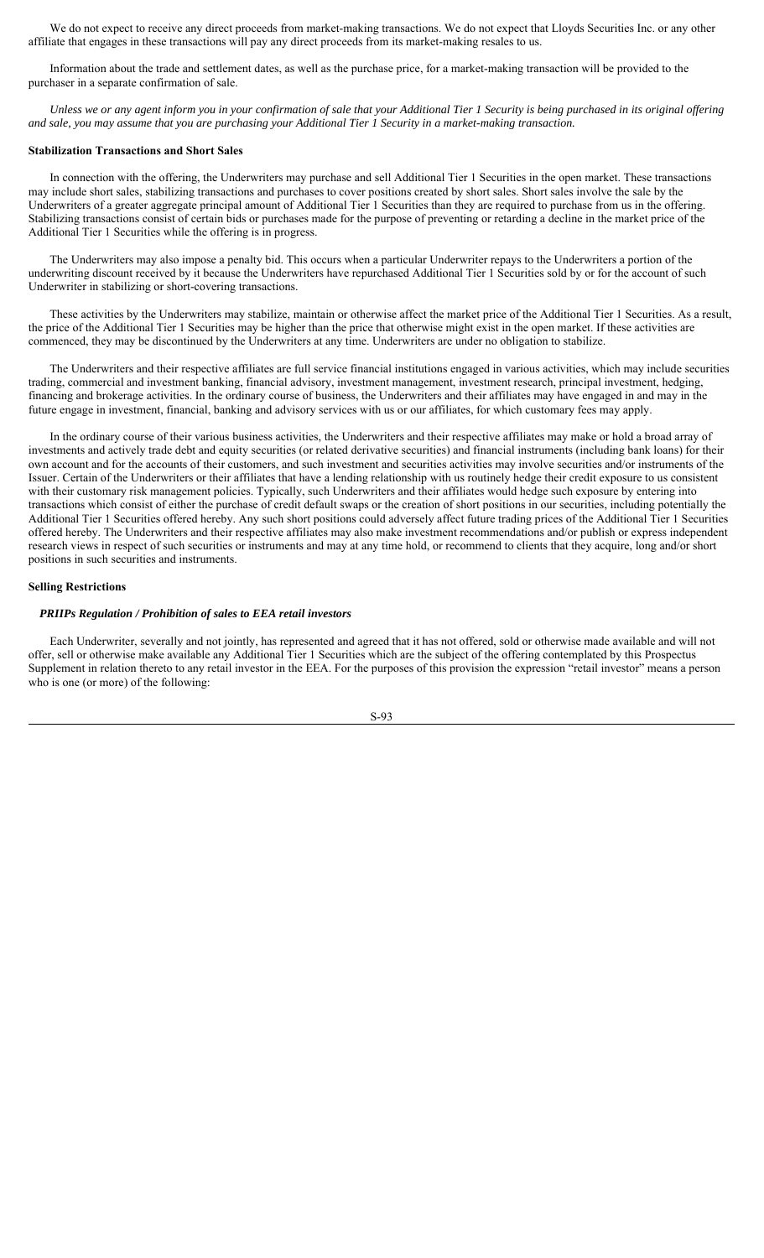We do not expect to receive any direct proceeds from market-making transactions. We do not expect that Lloyds Securities Inc. or any other affiliate that engages in these transactions will pay any direct proceeds from its market-making resales to us.

Information about the trade and settlement dates, as well as the purchase price, for a market-making transaction will be provided to the purchaser in a separate confirmation of sale.

*Unless we or any agent inform you in your confirmation of sale that your Additional Tier 1 Security is being purchased in its original offering and sale, you may assume that you are purchasing your Additional Tier 1 Security in a market-making transaction.*

#### **Stabilization Transactions and Short Sales**

In connection with the offering, the Underwriters may purchase and sell Additional Tier 1 Securities in the open market. These transactions may include short sales, stabilizing transactions and purchases to cover positions created by short sales. Short sales involve the sale by the Underwriters of a greater aggregate principal amount of Additional Tier 1 Securities than they are required to purchase from us in the offering. Stabilizing transactions consist of certain bids or purchases made for the purpose of preventing or retarding a decline in the market price of the Additional Tier 1 Securities while the offering is in progress.

The Underwriters may also impose a penalty bid. This occurs when a particular Underwriter repays to the Underwriters a portion of the underwriting discount received by it because the Underwriters have repurchased Additional Tier 1 Securities sold by or for the account of such Underwriter in stabilizing or short-covering transactions.

These activities by the Underwriters may stabilize, maintain or otherwise affect the market price of the Additional Tier 1 Securities. As a result, the price of the Additional Tier 1 Securities may be higher than the price that otherwise might exist in the open market. If these activities are commenced, they may be discontinued by the Underwriters at any time. Underwriters are under no obligation to stabilize.

The Underwriters and their respective affiliates are full service financial institutions engaged in various activities, which may include securities trading, commercial and investment banking, financial advisory, investment management, investment research, principal investment, hedging, financing and brokerage activities. In the ordinary course of business, the Underwriters and their affiliates may have engaged in and may in the future engage in investment, financial, banking and advisory services with us or our affiliates, for which customary fees may apply.

In the ordinary course of their various business activities, the Underwriters and their respective affiliates may make or hold a broad array of investments and actively trade debt and equity securities (or related derivative securities) and financial instruments (including bank loans) for their own account and for the accounts of their customers, and such investment and securities activities may involve securities and/or instruments of the Issuer. Certain of the Underwriters or their affiliates that have a lending relationship with us routinely hedge their credit exposure to us consistent with their customary risk management policies. Typically, such Underwriters and their affiliates would hedge such exposure by entering into transactions which consist of either the purchase of credit default swaps or the creation of short positions in our securities, including potentially the Additional Tier 1 Securities offered hereby. Any such short positions could adversely affect future trading prices of the Additional Tier 1 Securities offered hereby. The Underwriters and their respective affiliates may also make investment recommendations and/or publish or express independent research views in respect of such securities or instruments and may at any time hold, or recommend to clients that they acquire, long and/or short positions in such securities and instruments.

#### **Selling Restrictions**

#### *PRIIPs Regulation / Prohibition of sales to EEA retail investors*

Each Underwriter, severally and not jointly, has represented and agreed that it has not offered, sold or otherwise made available and will not offer, sell or otherwise make available any Additional Tier 1 Securities which are the subject of the offering contemplated by this Prospectus Supplement in relation thereto to any retail investor in the EEA. For the purposes of this provision the expression "retail investor" means a person who is one (or more) of the following: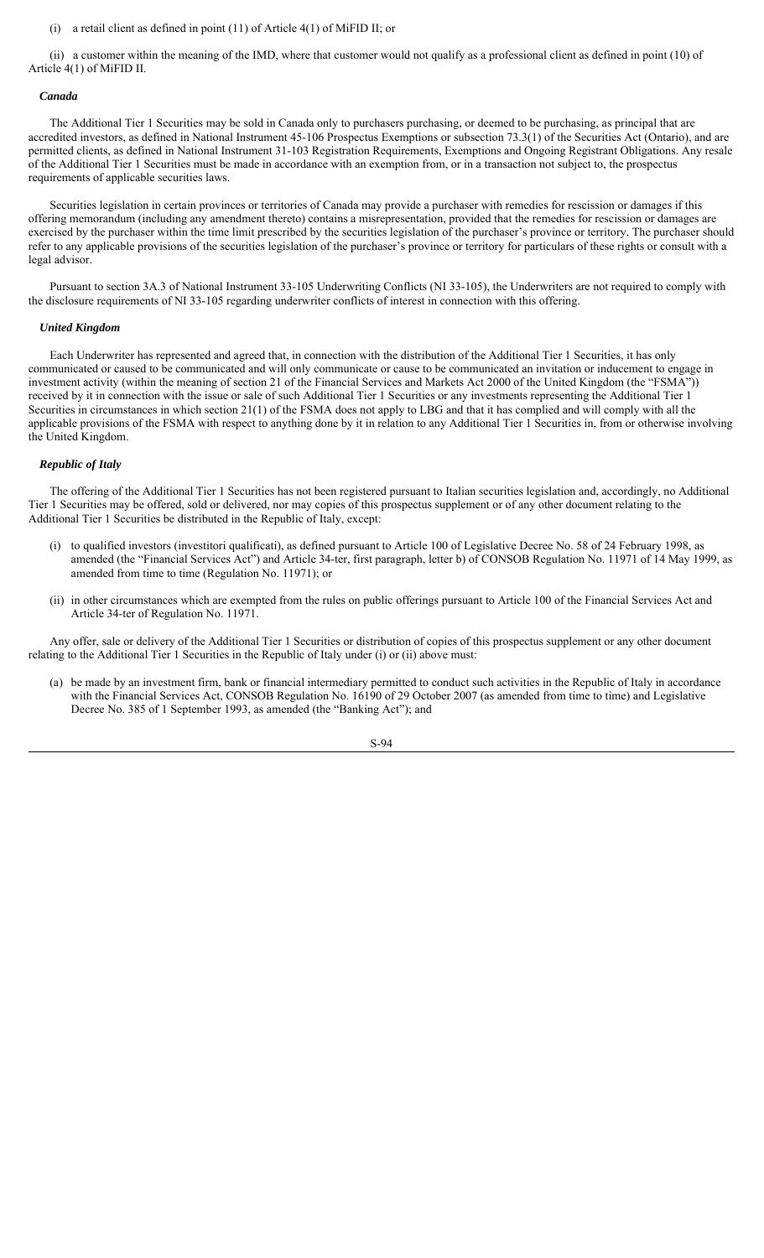## (i) a retail client as defined in point (11) of Article 4(1) of MiFID II; or

(ii) a customer within the meaning of the IMD, where that customer would not qualify as a professional client as defined in point (10) of Article 4(1) of MiFID II.

#### *Canada*

The Additional Tier 1 Securities may be sold in Canada only to purchasers purchasing, or deemed to be purchasing, as principal that are accredited investors, as defined in National Instrument 45-106 Prospectus Exemptions or subsection 73.3(1) of the Securities Act (Ontario), and are permitted clients, as defined in National Instrument 31-103 Registration Requirements, Exemptions and Ongoing Registrant Obligations. Any resale of the Additional Tier 1 Securities must be made in accordance with an exemption from, or in a transaction not subject to, the prospectus requirements of applicable securities laws.

Securities legislation in certain provinces or territories of Canada may provide a purchaser with remedies for rescission or damages if this offering memorandum (including any amendment thereto) contains a misrepresentation, provided that the remedies for rescission or damages are exercised by the purchaser within the time limit prescribed by the securities legislation of the purchaser's province or territory. The purchaser should refer to any applicable provisions of the securities legislation of the purchaser's province or territory for particulars of these rights or consult with a legal advisor.

Pursuant to section 3A.3 of National Instrument 33-105 Underwriting Conflicts (NI 33-105), the Underwriters are not required to comply with the disclosure requirements of NI 33-105 regarding underwriter conflicts of interest in connection with this offering.

## *United Kingdom*

Each Underwriter has represented and agreed that, in connection with the distribution of the Additional Tier 1 Securities, it has only communicated or caused to be communicated and will only communicate or cause to be communicated an invitation or inducement to engage in investment activity (within the meaning of section 21 of the Financial Services and Markets Act 2000 of the United Kingdom (the "FSMA")) received by it in connection with the issue or sale of such Additional Tier 1 Securities or any investments representing the Additional Tier 1 Securities in circumstances in which section 21(1) of the FSMA does not apply to LBG and that it has complied and will comply with all the applicable provisions of the FSMA with respect to anything done by it in relation to any Additional Tier 1 Securities in, from or otherwise involving the United Kingdom.

#### *Republic of Italy*

The offering of the Additional Tier 1 Securities has not been registered pursuant to Italian securities legislation and, accordingly, no Additional Tier 1 Securities may be offered, sold or delivered, nor may copies of this prospectus supplement or of any other document relating to the Additional Tier 1 Securities be distributed in the Republic of Italy, except:

- (i) to qualified investors (investitori qualificati), as defined pursuant to Article 100 of Legislative Decree No. 58 of 24 February 1998, as amended (the "Financial Services Act") and Article 34-ter, first paragraph, letter b) of CONSOB Regulation No. 11971 of 14 May 1999, as amended from time to time (Regulation No. 11971); or
- (ii) in other circumstances which are exempted from the rules on public offerings pursuant to Article 100 of the Financial Services Act and Article 34-ter of Regulation No. 11971.

Any offer, sale or delivery of the Additional Tier 1 Securities or distribution of copies of this prospectus supplement or any other document relating to the Additional Tier 1 Securities in the Republic of Italy under (i) or (ii) above must:

(a) be made by an investment firm, bank or financial intermediary permitted to conduct such activities in the Republic of Italy in accordance with the Financial Services Act, CONSOB Regulation No. 16190 of 29 October 2007 (as amended from time to time) and Legislative Decree No. 385 of 1 September 1993, as amended (the "Banking Act"); and

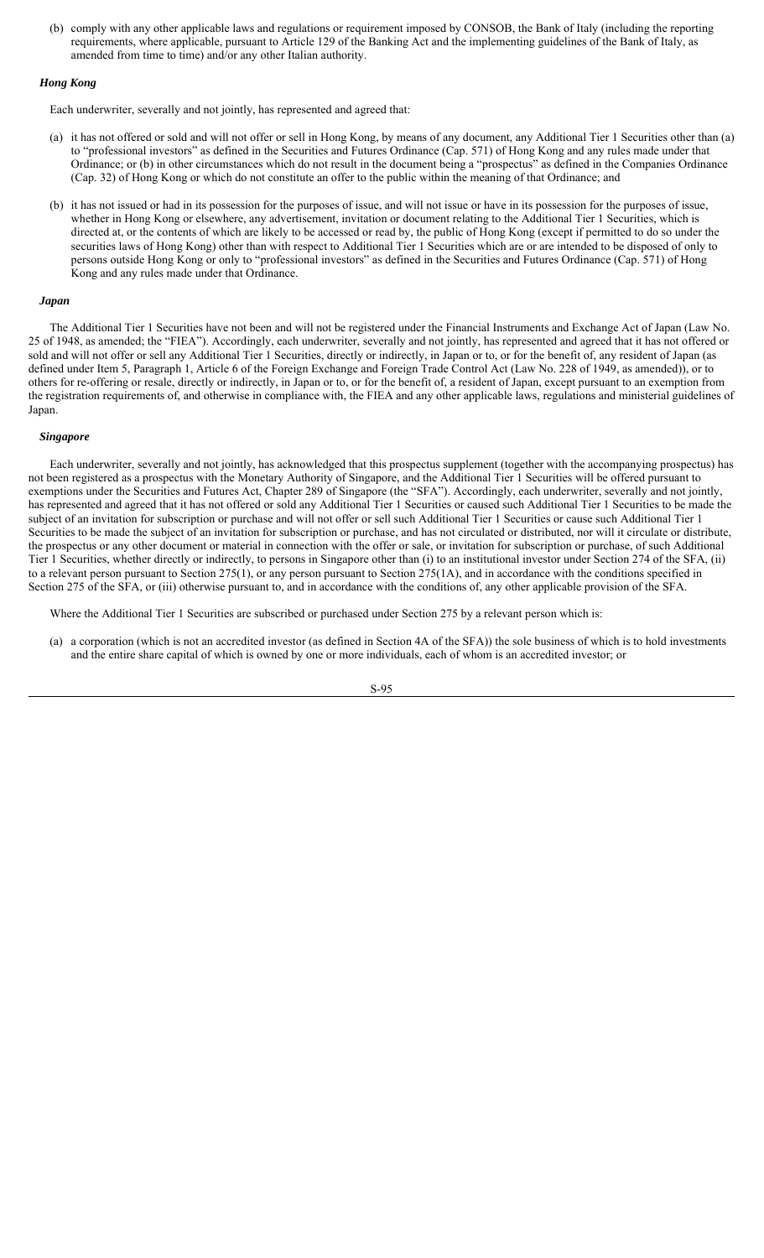(b) comply with any other applicable laws and regulations or requirement imposed by CONSOB, the Bank of Italy (including the reporting requirements, where applicable, pursuant to Article 129 of the Banking Act and the implementing guidelines of the Bank of Italy, as amended from time to time) and/or any other Italian authority.

## *Hong Kong*

Each underwriter, severally and not jointly, has represented and agreed that:

- (a) it has not offered or sold and will not offer or sell in Hong Kong, by means of any document, any Additional Tier 1 Securities other than (a) to "professional investors" as defined in the Securities and Futures Ordinance (Cap. 571) of Hong Kong and any rules made under that Ordinance; or (b) in other circumstances which do not result in the document being a "prospectus" as defined in the Companies Ordinance (Cap. 32) of Hong Kong or which do not constitute an offer to the public within the meaning of that Ordinance; and
- (b) it has not issued or had in its possession for the purposes of issue, and will not issue or have in its possession for the purposes of issue, whether in Hong Kong or elsewhere, any advertisement, invitation or document relating to the Additional Tier 1 Securities, which is directed at, or the contents of which are likely to be accessed or read by, the public of Hong Kong (except if permitted to do so under the securities laws of Hong Kong) other than with respect to Additional Tier 1 Securities which are or are intended to be disposed of only to persons outside Hong Kong or only to "professional investors" as defined in the Securities and Futures Ordinance (Cap. 571) of Hong Kong and any rules made under that Ordinance.

## *Japan*

The Additional Tier 1 Securities have not been and will not be registered under the Financial Instruments and Exchange Act of Japan (Law No. 25 of 1948, as amended; the "FIEA"). Accordingly, each underwriter, severally and not jointly, has represented and agreed that it has not offered or sold and will not offer or sell any Additional Tier 1 Securities, directly or indirectly, in Japan or to, or for the benefit of, any resident of Japan (as defined under Item 5, Paragraph 1, Article 6 of the Foreign Exchange and Foreign Trade Control Act (Law No. 228 of 1949, as amended)), or to others for re-offering or resale, directly or indirectly, in Japan or to, or for the benefit of, a resident of Japan, except pursuant to an exemption from the registration requirements of, and otherwise in compliance with, the FIEA and any other applicable laws, regulations and ministerial guidelines of Japan.

#### *Singapore*

Each underwriter, severally and not jointly, has acknowledged that this prospectus supplement (together with the accompanying prospectus) has not been registered as a prospectus with the Monetary Authority of Singapore, and the Additional Tier 1 Securities will be offered pursuant to exemptions under the Securities and Futures Act, Chapter 289 of Singapore (the "SFA"). Accordingly, each underwriter, severally and not jointly, has represented and agreed that it has not offered or sold any Additional Tier 1 Securities or caused such Additional Tier 1 Securities to be made the subject of an invitation for subscription or purchase and will not offer or sell such Additional Tier 1 Securities or cause such Additional Tier 1 Securities to be made the subject of an invitation for subscription or purchase, and has not circulated or distributed, nor will it circulate or distribute, the prospectus or any other document or material in connection with the offer or sale, or invitation for subscription or purchase, of such Additional Tier 1 Securities, whether directly or indirectly, to persons in Singapore other than (i) to an institutional investor under Section 274 of the SFA, (ii) to a relevant person pursuant to Section 275(1), or any person pursuant to Section 275(1A), and in accordance with the conditions specified in Section 275 of the SFA, or (iii) otherwise pursuant to, and in accordance with the conditions of, any other applicable provision of the SFA.

Where the Additional Tier 1 Securities are subscribed or purchased under Section 275 by a relevant person which is:

(a) a corporation (which is not an accredited investor (as defined in Section 4A of the SFA)) the sole business of which is to hold investments and the entire share capital of which is owned by one or more individuals, each of whom is an accredited investor; or

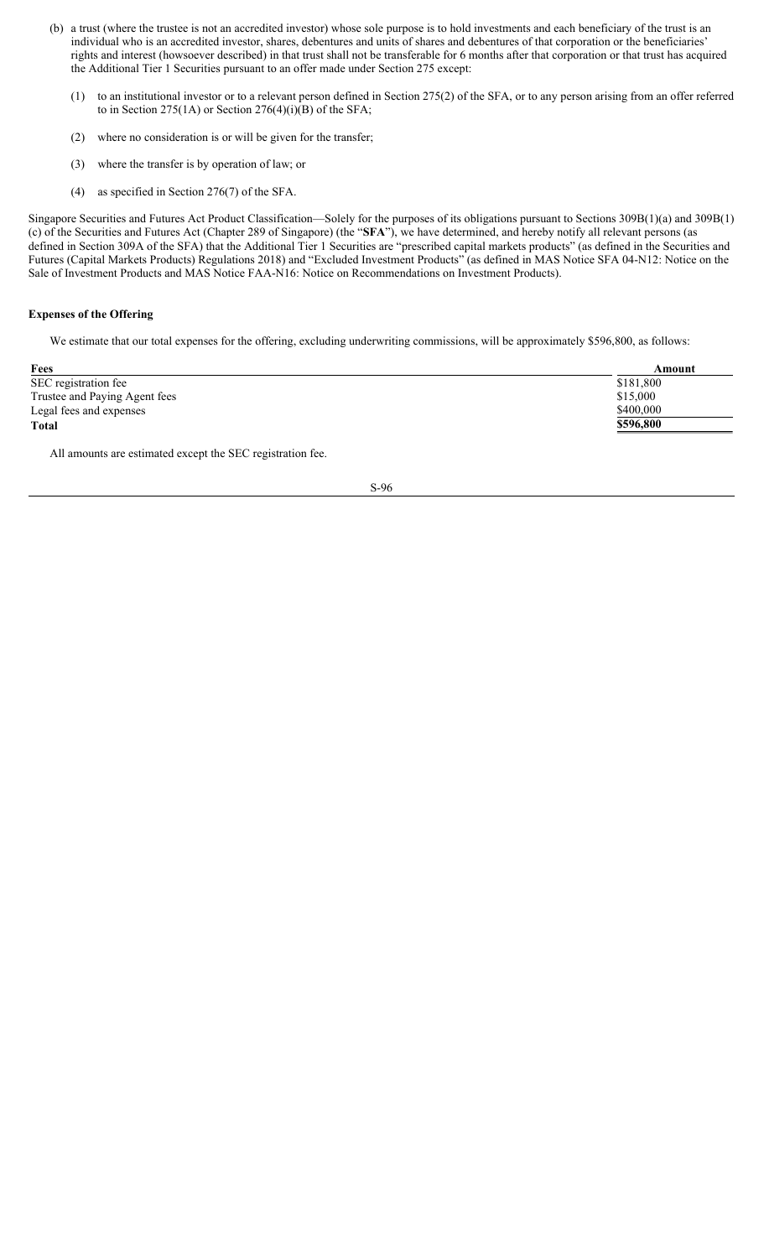- (b) a trust (where the trustee is not an accredited investor) whose sole purpose is to hold investments and each beneficiary of the trust is an individual who is an accredited investor, shares, debentures and units of shares and debentures of that corporation or the beneficiaries' rights and interest (howsoever described) in that trust shall not be transferable for 6 months after that corporation or that trust has acquired the Additional Tier 1 Securities pursuant to an offer made under Section 275 except:
	- (1) to an institutional investor or to a relevant person defined in Section 275(2) of the SFA, or to any person arising from an offer referred to in Section 275(1A) or Section 276(4)(i)(B) of the SFA;
	- (2) where no consideration is or will be given for the transfer;
	- (3) where the transfer is by operation of law; or
	- (4) as specified in Section 276(7) of the SFA.

Singapore Securities and Futures Act Product Classification—Solely for the purposes of its obligations pursuant to Sections 309B(1)(a) and 309B(1) (c) of the Securities and Futures Act (Chapter 289 of Singapore) (the "**SFA**"), we have determined, and hereby notify all relevant persons (as defined in Section 309A of the SFA) that the Additional Tier 1 Securities are "prescribed capital markets products" (as defined in the Securities and Futures (Capital Markets Products) Regulations 2018) and "Excluded Investment Products" (as defined in MAS Notice SFA 04-N12: Notice on the Sale of Investment Products and MAS Notice FAA-N16: Notice on Recommendations on Investment Products).

## **Expenses of the Offering**

We estimate that our total expenses for the offering, excluding underwriting commissions, will be approximately \$596,800, as follows:

| Fees                          | Amount    |
|-------------------------------|-----------|
| SEC registration fee          | \$181,800 |
| Trustee and Paying Agent fees | \$15,000  |
| Legal fees and expenses       | \$400,000 |
| <b>Total</b>                  | \$596,800 |
|                               |           |

All amounts are estimated except the SEC registration fee.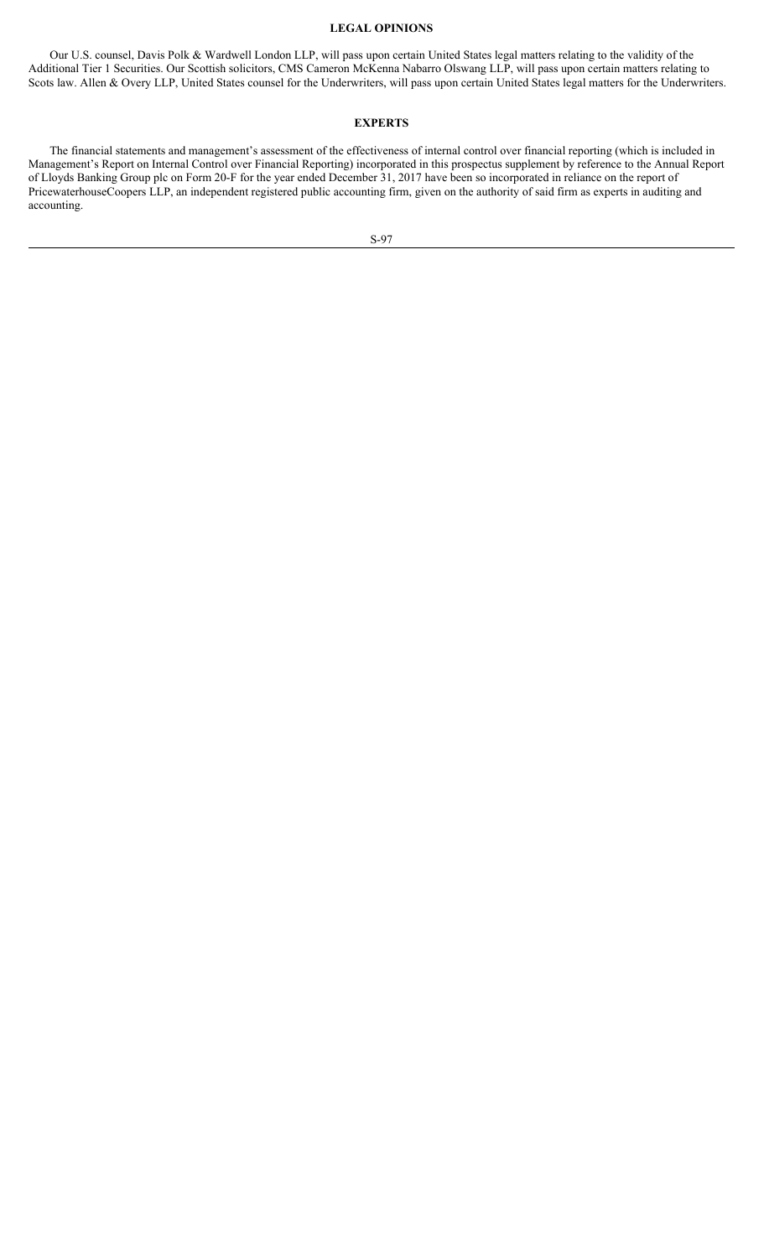## **LEGAL OPINIONS**

Our U.S. counsel, Davis Polk & Wardwell London LLP, will pass upon certain United States legal matters relating to the validity of the Additional Tier 1 Securities. Our Scottish solicitors, CMS Cameron McKenna Nabarro Olswang LLP, will pass upon certain matters relating to Scots law. Allen & Overy LLP, United States counsel for the Underwriters, will pass upon certain United States legal matters for the Underwriters.

## **EXPERTS**

The financial statements and management's assessment of the effectiveness of internal control over financial reporting (which is included in Management's Report on Internal Control over Financial Reporting) incorporated in this prospectus supplement by reference to the Annual Report of Lloyds Banking Group plc on Form 20-F for the year ended December 31, 2017 have been so incorporated in reliance on the report of PricewaterhouseCoopers LLP, an independent registered public accounting firm, given on the authority of said firm as experts in auditing and accounting.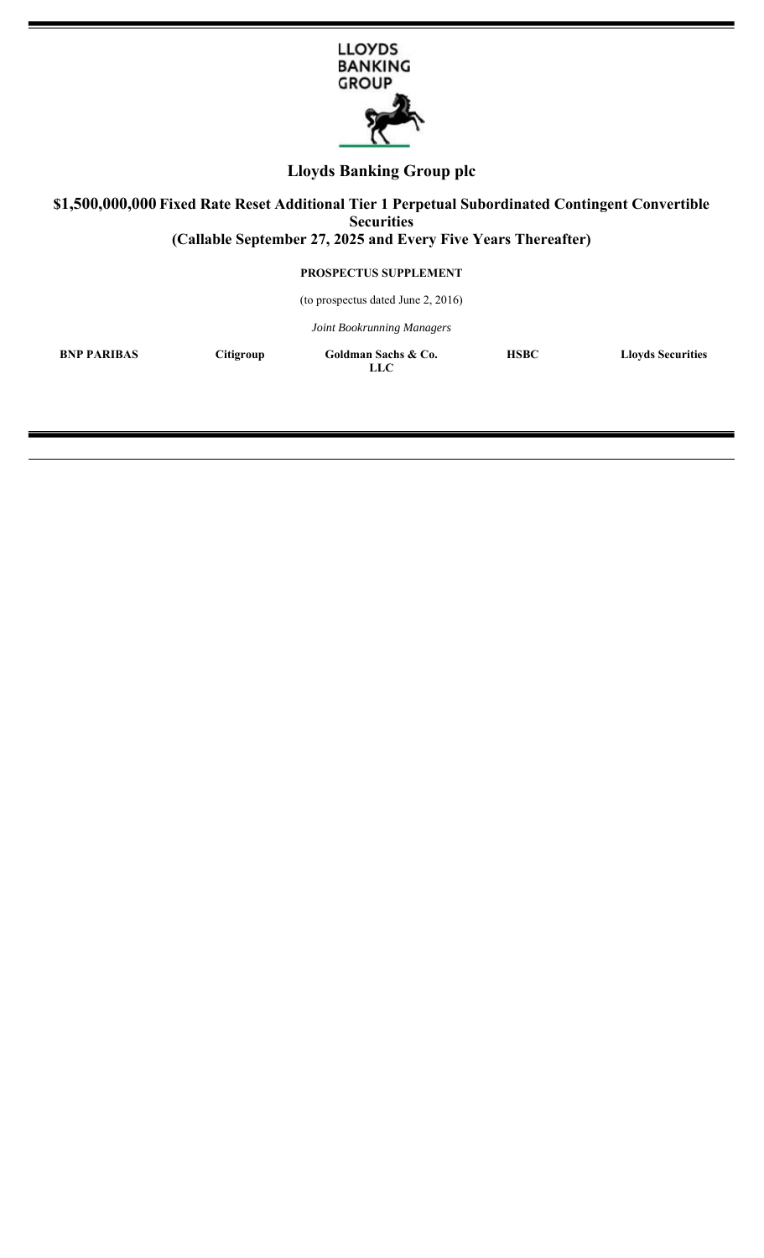

# **Lloyds Banking Group plc**

# **\$1,500,000,000 Fixed Rate Reset Additional Tier 1 Perpetual Subordinated Contingent Convertible Securities (Callable September 27, 2025 and Every Five Years Thereafter)**

**PROSPECTUS SUPPLEMENT**

(to prospectus dated June 2, 2016)

*Joint Bookrunning Managers*

**BNP PARIBAS** Citigroup Goldman Sachs & Co.

**LLC**

**HSBC Lloyds Securities**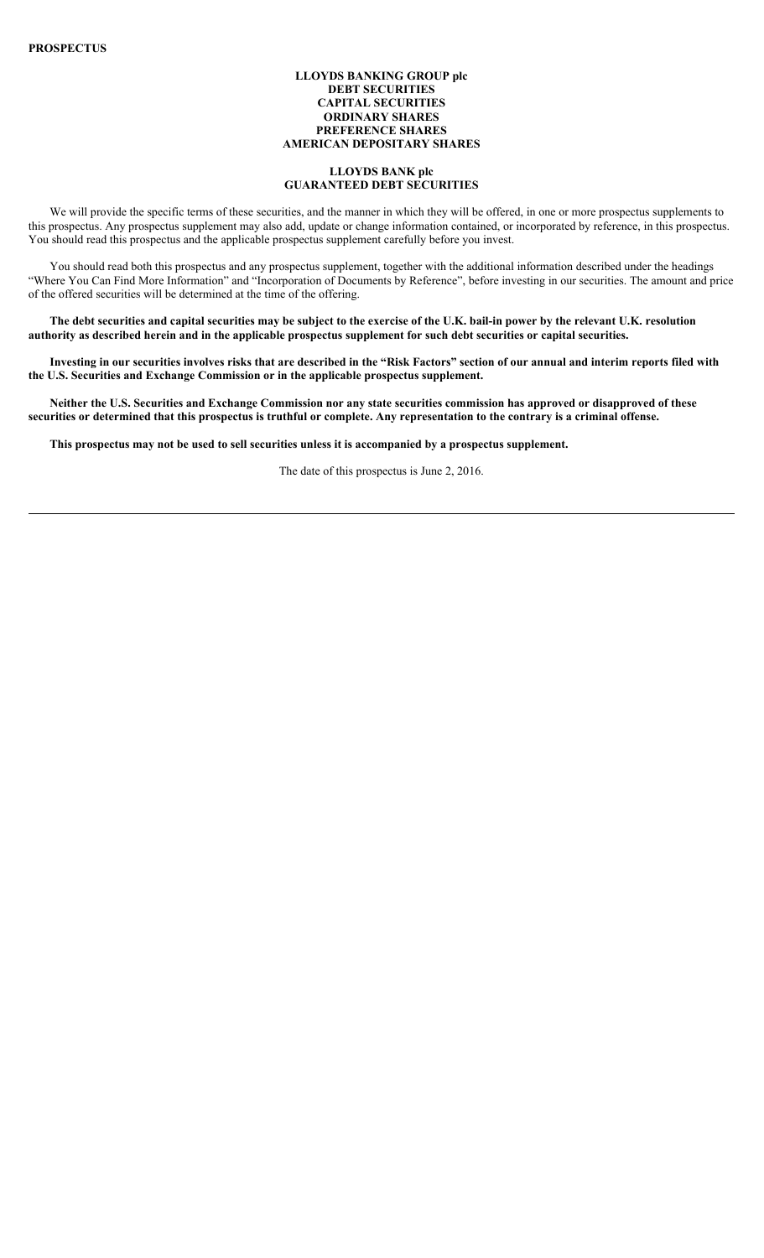## **LLOYDS BANKING GROUP plc DEBT SECURITIES CAPITAL SECURITIES ORDINARY SHARES PREFERENCE SHARES AMERICAN DEPOSITARY SHARES**

## **LLOYDS BANK plc GUARANTEED DEBT SECURITIES**

We will provide the specific terms of these securities, and the manner in which they will be offered, in one or more prospectus supplements to this prospectus. Any prospectus supplement may also add, update or change information contained, or incorporated by reference, in this prospectus. You should read this prospectus and the applicable prospectus supplement carefully before you invest.

You should read both this prospectus and any prospectus supplement, together with the additional information described under the headings "Where You Can Find More Information" and "Incorporation of Documents by Reference", before investing in our securities. The amount and price of the offered securities will be determined at the time of the offering.

**The debt securities and capital securities may be subject to the exercise of the U.K. bail-in power by the relevant U.K. resolution authority as described herein and in the applicable prospectus supplement for such debt securities or capital securities.** 

**Investing in our securities involves risks that are described in the "Risk Factors" section of our annual and interim reports filed with the U.S. Securities and Exchange Commission or in the applicable prospectus supplement.**

**Neither the U.S. Securities and Exchange Commission nor any state securities commission has approved or disapproved of these securities or determined that this prospectus is truthful or complete. Any representation to the contrary is a criminal offense.**

**This prospectus may not be used to sell securities unless it is accompanied by a prospectus supplement.**

The date of this prospectus is June 2, 2016.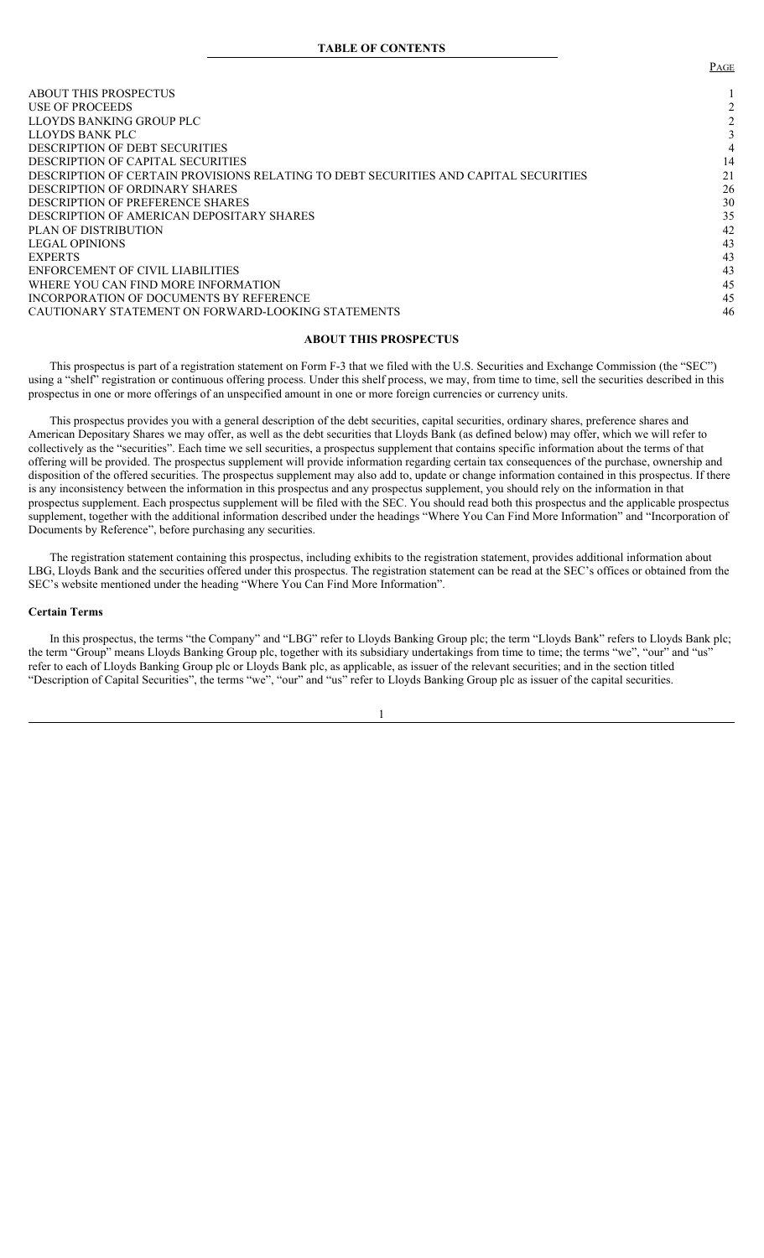ABOUT THIS PROSPECTUS and the state of the state of the state of the state of the state of the state of the state of the state of the state of the state of the state of the state of the state of the state of the state of t USE OF PROCEEDS 22 LLOYDS BANKING GROUP PLC  $\frac{2}{3}$ LLOYDS BANK PLC 3 DESCRIPTION OF DEBT SECURITIES 4 DESCRIPTION OF CAPITAL SECURITIES DESCRIPTION OF CERTAIN PROVISIONS RELATING TO DEBT SECURITIES AND CAPITAL SECURITIES 21<br>DESCRIPTION OF ORDINARY SHARES 26 DESCRIPTION OF ORDINARY SHARES DESCRIPTION OF PREFERENCE SHARES 30 DESCRIPTION OF AMERICAN DEPOSITARY SHARES 35 PLAN OF DISTRIBUTION 42 LEGAL OPINIONS 43<br>EXPERTS 43 EXPERTS 43 ENFORCEMENT OF CIVIL LIABILITIES 43<br>
WHERE YOU CAN FIND MORE INFORMATION 45 WHERE YOU CAN FIND MORE INFORMATION INCORPORATION OF DOCUMENTS BY REFERENCE 45 CAUTIONARY STATEMENT ON FORWARD-LOOKING STATEMENTS 46

## **ABOUT THIS PROSPECTUS**

This prospectus is part of a registration statement on Form F-3 that we filed with the U.S. Securities and Exchange Commission (the "SEC") using a "shelf" registration or continuous offering process. Under this shelf process, we may, from time to time, sell the securities described in this prospectus in one or more offerings of an unspecified amount in one or more foreign currencies or currency units.

This prospectus provides you with a general description of the debt securities, capital securities, ordinary shares, preference shares and American Depositary Shares we may offer, as well as the debt securities that Lloyds Bank (as defined below) may offer, which we will refer to collectively as the "securities". Each time we sell securities, a prospectus supplement that contains specific information about the terms of that offering will be provided. The prospectus supplement will provide information regarding certain tax consequences of the purchase, ownership and disposition of the offered securities. The prospectus supplement may also add to, update or change information contained in this prospectus. If there is any inconsistency between the information in this prospectus and any prospectus supplement, you should rely on the information in that prospectus supplement. Each prospectus supplement will be filed with the SEC. You should read both this prospectus and the applicable prospectus supplement, together with the additional information described under the headings "Where You Can Find More Information" and "Incorporation of Documents by Reference", before purchasing any securities.

The registration statement containing this prospectus, including exhibits to the registration statement, provides additional information about LBG, Lloyds Bank and the securities offered under this prospectus. The registration statement can be read at the SEC's offices or obtained from the SEC's website mentioned under the heading "Where You Can Find More Information".

## **Certain Terms**

In this prospectus, the terms "the Company" and "LBG" refer to Lloyds Banking Group plc; the term "Lloyds Bank" refers to Lloyds Bank plc; the term "Group" means Lloyds Banking Group plc, together with its subsidiary undertakings from time to time; the terms "we", "our" and "us" refer to each of Lloyds Banking Group plc or Lloyds Bank plc, as applicable, as issuer of the relevant securities; and in the section titled "Description of Capital Securities", the terms "we", "our" and "us" refer to Lloyds Banking Group plc as issuer of the capital securities.

PAGE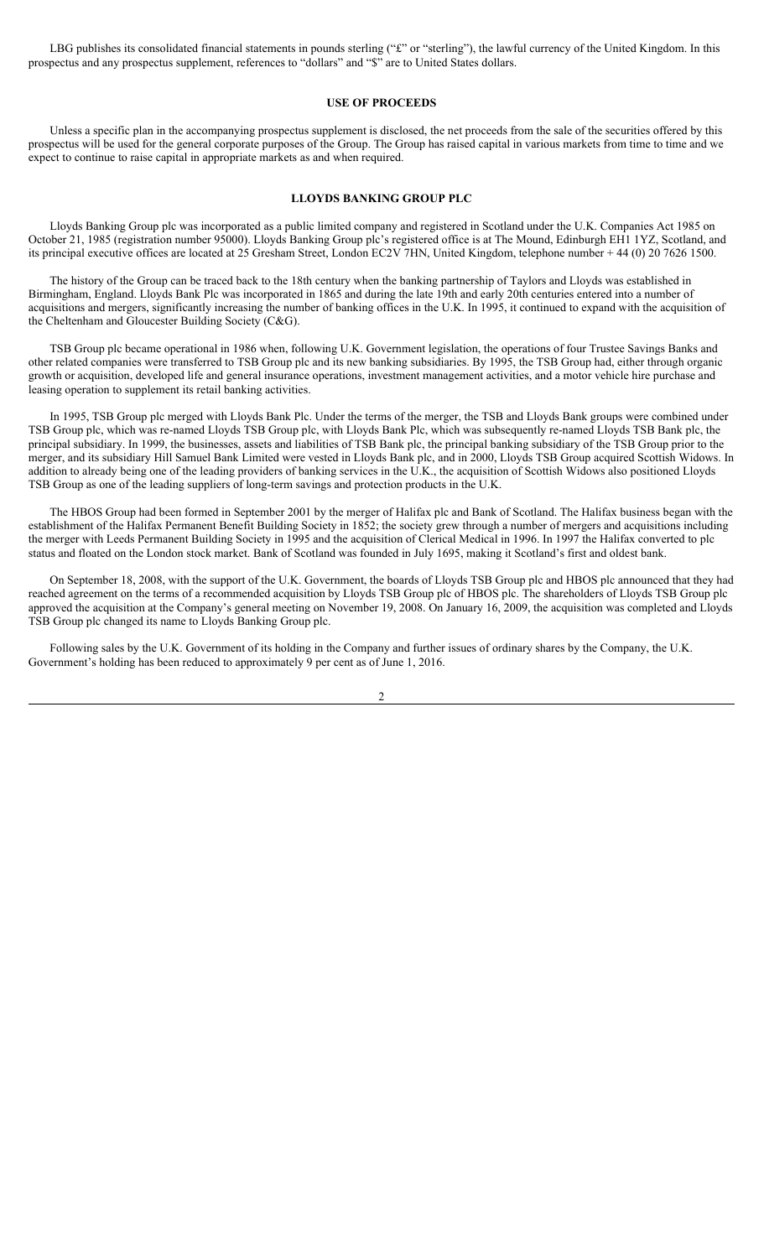LBG publishes its consolidated financial statements in pounds sterling ("£" or "sterling"), the lawful currency of the United Kingdom. In this prospectus and any prospectus supplement, references to "dollars" and "\$" are to United States dollars.

#### **USE OF PROCEEDS**

Unless a specific plan in the accompanying prospectus supplement is disclosed, the net proceeds from the sale of the securities offered by this prospectus will be used for the general corporate purposes of the Group. The Group has raised capital in various markets from time to time and we expect to continue to raise capital in appropriate markets as and when required.

# **LLOYDS BANKING GROUP PLC**

Lloyds Banking Group plc was incorporated as a public limited company and registered in Scotland under the U.K. Companies Act 1985 on October 21, 1985 (registration number 95000). Lloyds Banking Group plc's registered office is at The Mound, Edinburgh EH1 1YZ, Scotland, and its principal executive offices are located at 25 Gresham Street, London EC2V 7HN, United Kingdom, telephone number + 44 (0) 20 7626 1500.

The history of the Group can be traced back to the 18th century when the banking partnership of Taylors and Lloyds was established in Birmingham, England. Lloyds Bank Plc was incorporated in 1865 and during the late 19th and early 20th centuries entered into a number of acquisitions and mergers, significantly increasing the number of banking offices in the U.K. In 1995, it continued to expand with the acquisition of the Cheltenham and Gloucester Building Society (C&G).

TSB Group plc became operational in 1986 when, following U.K. Government legislation, the operations of four Trustee Savings Banks and other related companies were transferred to TSB Group plc and its new banking subsidiaries. By 1995, the TSB Group had, either through organic growth or acquisition, developed life and general insurance operations, investment management activities, and a motor vehicle hire purchase and leasing operation to supplement its retail banking activities.

In 1995, TSB Group plc merged with Lloyds Bank Plc. Under the terms of the merger, the TSB and Lloyds Bank groups were combined under TSB Group plc, which was re-named Lloyds TSB Group plc, with Lloyds Bank Plc, which was subsequently re-named Lloyds TSB Bank plc, the principal subsidiary. In 1999, the businesses, assets and liabilities of TSB Bank plc, the principal banking subsidiary of the TSB Group prior to the merger, and its subsidiary Hill Samuel Bank Limited were vested in Lloyds Bank plc, and in 2000, Lloyds TSB Group acquired Scottish Widows. In addition to already being one of the leading providers of banking services in the U.K., the acquisition of Scottish Widows also positioned Lloyds TSB Group as one of the leading suppliers of long-term savings and protection products in the U.K.

The HBOS Group had been formed in September 2001 by the merger of Halifax plc and Bank of Scotland. The Halifax business began with the establishment of the Halifax Permanent Benefit Building Society in 1852; the society grew through a number of mergers and acquisitions including the merger with Leeds Permanent Building Society in 1995 and the acquisition of Clerical Medical in 1996. In 1997 the Halifax converted to plc status and floated on the London stock market. Bank of Scotland was founded in July 1695, making it Scotland's first and oldest bank.

On September 18, 2008, with the support of the U.K. Government, the boards of Lloyds TSB Group plc and HBOS plc announced that they had reached agreement on the terms of a recommended acquisition by Lloyds TSB Group plc of HBOS plc. The shareholders of Lloyds TSB Group plc approved the acquisition at the Company's general meeting on November 19, 2008. On January 16, 2009, the acquisition was completed and Lloyds TSB Group plc changed its name to Lloyds Banking Group plc.

Following sales by the U.K. Government of its holding in the Company and further issues of ordinary shares by the Company, the U.K. Government's holding has been reduced to approximately 9 per cent as of June 1, 2016.

2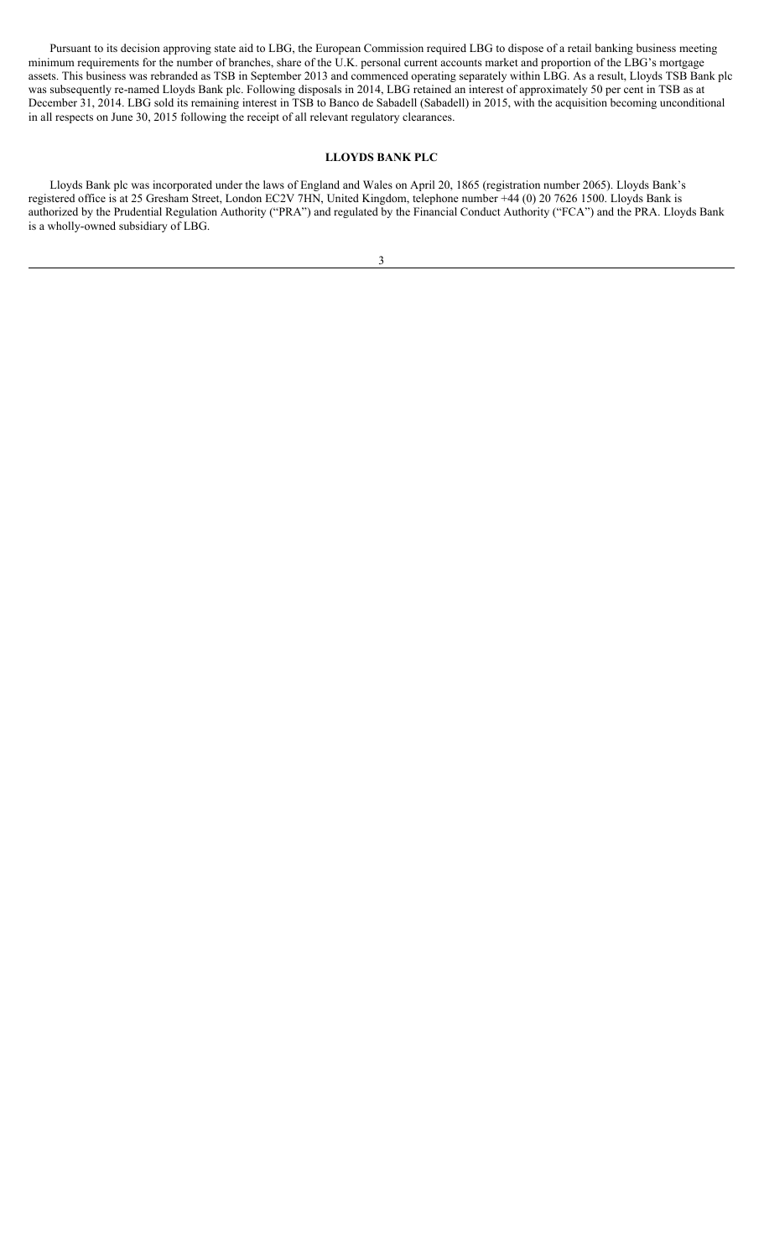Pursuant to its decision approving state aid to LBG, the European Commission required LBG to dispose of a retail banking business meeting minimum requirements for the number of branches, share of the U.K. personal current accounts market and proportion of the LBG's mortgage assets. This business was rebranded as TSB in September 2013 and commenced operating separately within LBG. As a result, Lloyds TSB Bank plc was subsequently re-named Lloyds Bank plc. Following disposals in 2014, LBG retained an interest of approximately 50 per cent in TSB as at December 31, 2014. LBG sold its remaining interest in TSB to Banco de Sabadell (Sabadell) in 2015, with the acquisition becoming unconditional in all respects on June 30, 2015 following the receipt of all relevant regulatory clearances.

## **LLOYDS BANK PLC**

Lloyds Bank plc was incorporated under the laws of England and Wales on April 20, 1865 (registration number 2065). Lloyds Bank's registered office is at 25 Gresham Street, London EC2V 7HN, United Kingdom, telephone number +44 (0) 20 7626 1500. Lloyds Bank is authorized by the Prudential Regulation Authority ("PRA") and regulated by the Financial Conduct Authority ("FCA") and the PRA. Lloyds Bank is a wholly-owned subsidiary of LBG.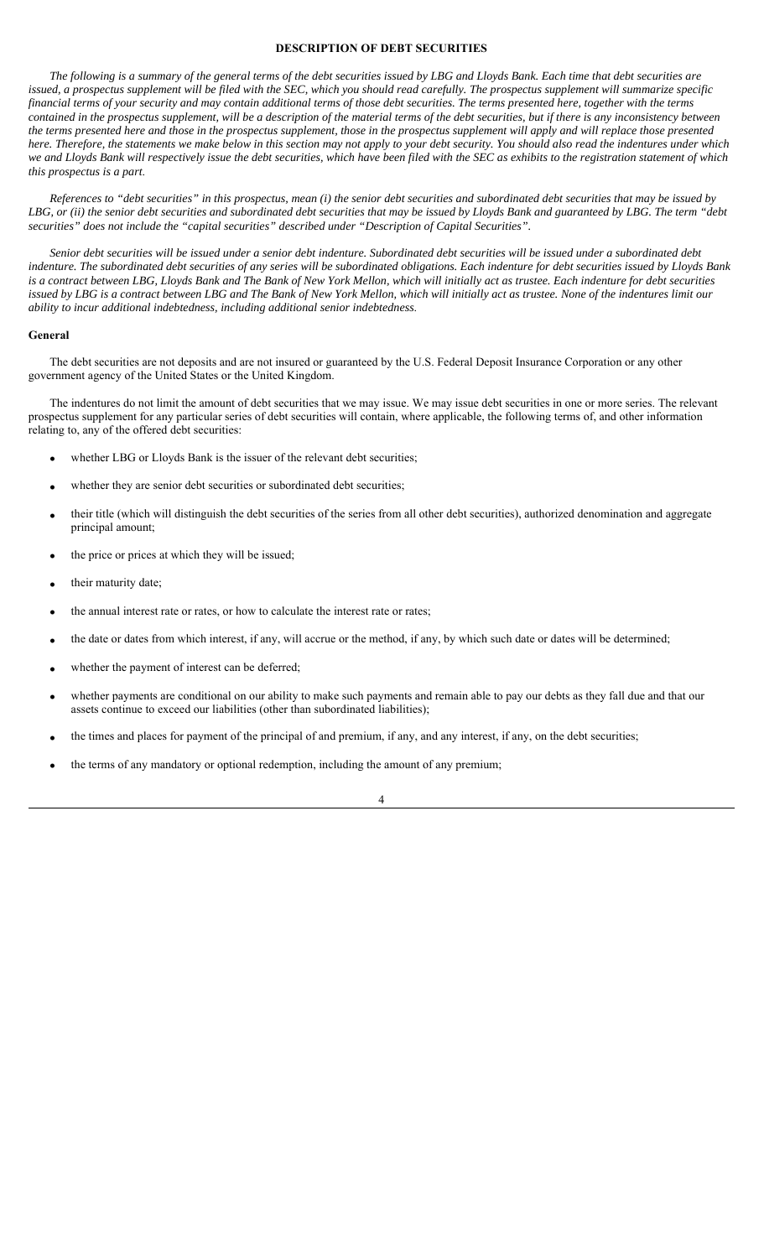## **DESCRIPTION OF DEBT SECURITIES**

*The following is a summary of the general terms of the debt securities issued by LBG and Lloyds Bank. Each time that debt securities are issued, a prospectus supplement will be filed with the SEC, which you should read carefully. The prospectus supplement will summarize specific financial terms of your security and may contain additional terms of those debt securities. The terms presented here, together with the terms contained in the prospectus supplement, will be a description of the material terms of the debt securities, but if there is any inconsistency between the terms presented here and those in the prospectus supplement, those in the prospectus supplement will apply and will replace those presented here. Therefore, the statements we make below in this section may not apply to your debt security. You should also read the indentures under which we and Lloyds Bank will respectively issue the debt securities, which have been filed with the SEC as exhibits to the registration statement of which this prospectus is a part*.

*References to "debt securities" in this prospectus, mean (i) the senior debt securities and subordinated debt securities that may be issued by*  LBG, or (ii) the senior debt securities and subordinated debt securities that may be issued by Lloyds Bank and guaranteed by LBG. The term "debt *securities" does not include the "capital securities" described under "Description of Capital Securities".* 

*Senior debt securities will be issued under a senior debt indenture. Subordinated debt securities will be issued under a subordinated debt indenture. The subordinated debt securities of any series will be subordinated obligations. Each indenture for debt securities issued by Lloyds Bank is a contract between LBG, Lloyds Bank and The Bank of New York Mellon, which will initially act as trustee. Each indenture for debt securities*  issued by LBG is a contract between LBG and The Bank of New York Mellon, which will initially act as trustee. None of the indentures limit our *ability to incur additional indebtedness, including additional senior indebtedness*.

#### **General**

The debt securities are not deposits and are not insured or guaranteed by the U.S. Federal Deposit Insurance Corporation or any other government agency of the United States or the United Kingdom.

The indentures do not limit the amount of debt securities that we may issue. We may issue debt securities in one or more series. The relevant prospectus supplement for any particular series of debt securities will contain, where applicable, the following terms of, and other information relating to, any of the offered debt securities:

- whether LBG or Lloyds Bank is the issuer of the relevant debt securities;
- whether they are senior debt securities or subordinated debt securities;
- their title (which will distinguish the debt securities of the series from all other debt securities), authorized denomination and aggregate principal amount;
- the price or prices at which they will be issued;
- their maturity date;
- the annual interest rate or rates, or how to calculate the interest rate or rates;
- the date or dates from which interest, if any, will accrue or the method, if any, by which such date or dates will be determined;
- whether the payment of interest can be deferred;
- whether payments are conditional on our ability to make such payments and remain able to pay our debts as they fall due and that our assets continue to exceed our liabilities (other than subordinated liabilities);
- the times and places for payment of the principal of and premium, if any, and any interest, if any, on the debt securities;
- the terms of any mandatory or optional redemption, including the amount of any premium;

4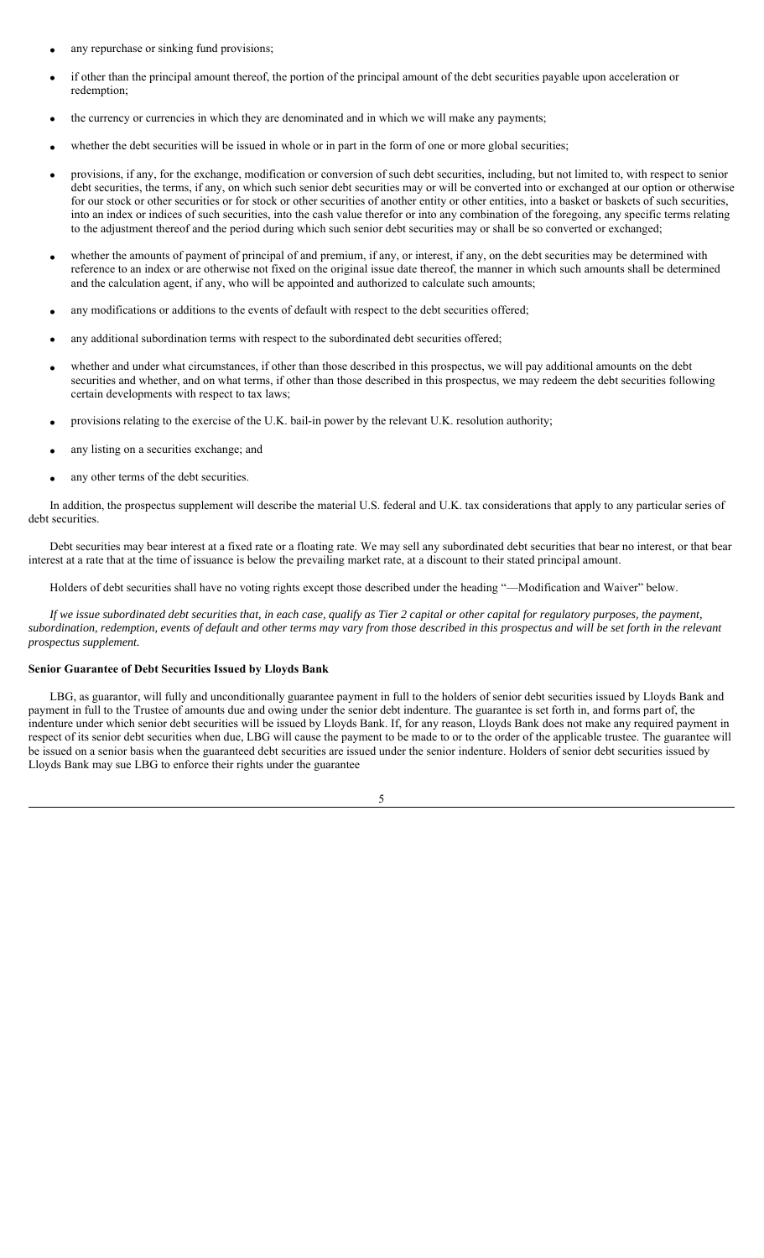- any repurchase or sinking fund provisions;
- if other than the principal amount thereof, the portion of the principal amount of the debt securities payable upon acceleration or redemption;
- the currency or currencies in which they are denominated and in which we will make any payments;
- whether the debt securities will be issued in whole or in part in the form of one or more global securities;
- provisions, if any, for the exchange, modification or conversion of such debt securities, including, but not limited to, with respect to senior debt securities, the terms, if any, on which such senior debt securities may or will be converted into or exchanged at our option or otherwise for our stock or other securities or for stock or other securities of another entity or other entities, into a basket or baskets of such securities, into an index or indices of such securities, into the cash value therefor or into any combination of the foregoing, any specific terms relating to the adjustment thereof and the period during which such senior debt securities may or shall be so converted or exchanged;
- whether the amounts of payment of principal of and premium, if any, or interest, if any, on the debt securities may be determined with reference to an index or are otherwise not fixed on the original issue date thereof, the manner in which such amounts shall be determined and the calculation agent, if any, who will be appointed and authorized to calculate such amounts;
- any modifications or additions to the events of default with respect to the debt securities offered;
- any additional subordination terms with respect to the subordinated debt securities offered;
- whether and under what circumstances, if other than those described in this prospectus, we will pay additional amounts on the debt securities and whether, and on what terms, if other than those described in this prospectus, we may redeem the debt securities following certain developments with respect to tax laws;
- provisions relating to the exercise of the U.K. bail-in power by the relevant U.K. resolution authority;
- any listing on a securities exchange; and
- any other terms of the debt securities.

In addition, the prospectus supplement will describe the material U.S. federal and U.K. tax considerations that apply to any particular series of debt securities.

Debt securities may bear interest at a fixed rate or a floating rate. We may sell any subordinated debt securities that bear no interest, or that bear interest at a rate that at the time of issuance is below the prevailing market rate, at a discount to their stated principal amount.

Holders of debt securities shall have no voting rights except those described under the heading "—Modification and Waiver" below.

*If we issue subordinated debt securities that, in each case, qualify as Tier 2 capital or other capital for regulatory purposes, the payment, subordination, redemption, events of default and other terms may vary from those described in this prospectus and will be set forth in the relevant prospectus supplement.*

#### **Senior Guarantee of Debt Securities Issued by Lloyds Bank**

LBG, as guarantor, will fully and unconditionally guarantee payment in full to the holders of senior debt securities issued by Lloyds Bank and payment in full to the Trustee of amounts due and owing under the senior debt indenture. The guarantee is set forth in, and forms part of, the indenture under which senior debt securities will be issued by Lloyds Bank. If, for any reason, Lloyds Bank does not make any required payment in respect of its senior debt securities when due, LBG will cause the payment to be made to or to the order of the applicable trustee. The guarantee will be issued on a senior basis when the guaranteed debt securities are issued under the senior indenture. Holders of senior debt securities issued by Lloyds Bank may sue LBG to enforce their rights under the guarantee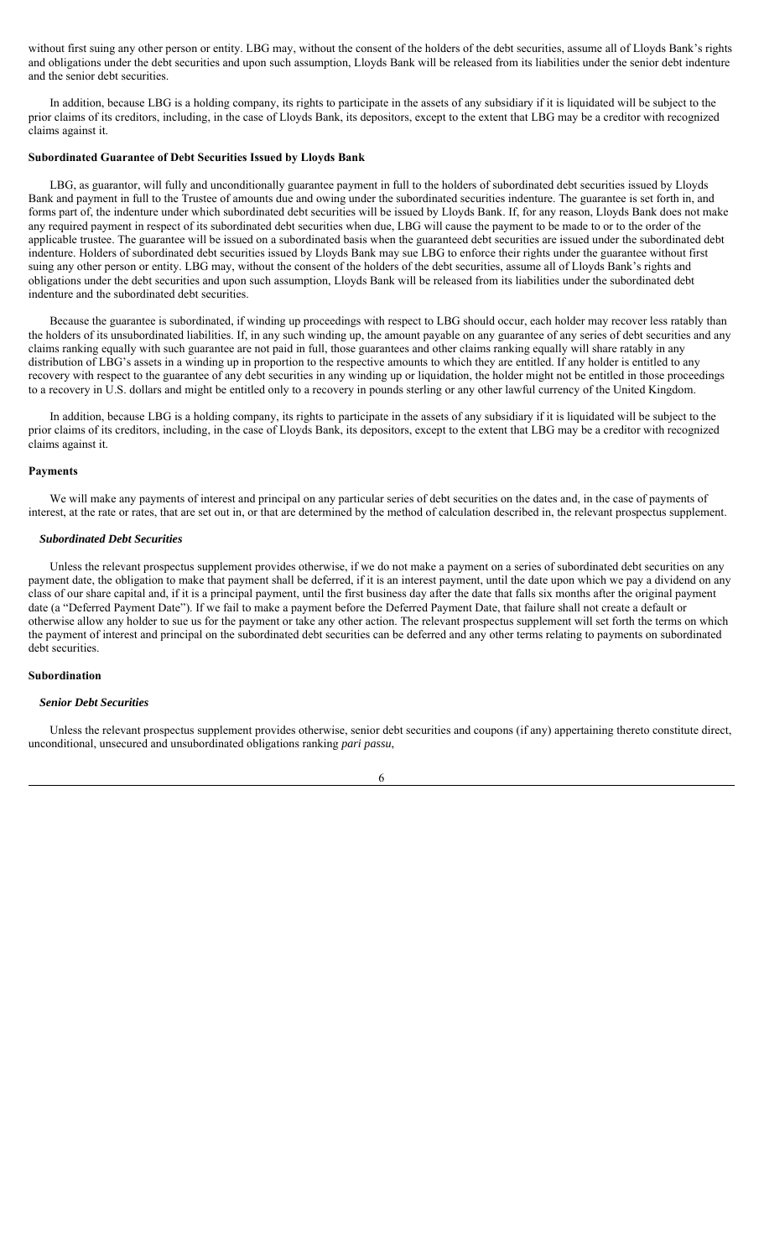without first suing any other person or entity. LBG may, without the consent of the holders of the debt securities, assume all of Lloyds Bank's rights and obligations under the debt securities and upon such assumption, Lloyds Bank will be released from its liabilities under the senior debt indenture and the senior debt securities.

In addition, because LBG is a holding company, its rights to participate in the assets of any subsidiary if it is liquidated will be subject to the prior claims of its creditors, including, in the case of Lloyds Bank, its depositors, except to the extent that LBG may be a creditor with recognized claims against it.

#### **Subordinated Guarantee of Debt Securities Issued by Lloyds Bank**

LBG, as guarantor, will fully and unconditionally guarantee payment in full to the holders of subordinated debt securities issued by Lloyds Bank and payment in full to the Trustee of amounts due and owing under the subordinated securities indenture. The guarantee is set forth in, and forms part of, the indenture under which subordinated debt securities will be issued by Lloyds Bank. If, for any reason, Lloyds Bank does not make any required payment in respect of its subordinated debt securities when due, LBG will cause the payment to be made to or to the order of the applicable trustee. The guarantee will be issued on a subordinated basis when the guaranteed debt securities are issued under the subordinated debt indenture. Holders of subordinated debt securities issued by Lloyds Bank may sue LBG to enforce their rights under the guarantee without first suing any other person or entity. LBG may, without the consent of the holders of the debt securities, assume all of Lloyds Bank's rights and obligations under the debt securities and upon such assumption, Lloyds Bank will be released from its liabilities under the subordinated debt indenture and the subordinated debt securities.

Because the guarantee is subordinated, if winding up proceedings with respect to LBG should occur, each holder may recover less ratably than the holders of its unsubordinated liabilities. If, in any such winding up, the amount payable on any guarantee of any series of debt securities and any claims ranking equally with such guarantee are not paid in full, those guarantees and other claims ranking equally will share ratably in any distribution of LBG's assets in a winding up in proportion to the respective amounts to which they are entitled. If any holder is entitled to any recovery with respect to the guarantee of any debt securities in any winding up or liquidation, the holder might not be entitled in those proceedings to a recovery in U.S. dollars and might be entitled only to a recovery in pounds sterling or any other lawful currency of the United Kingdom.

In addition, because LBG is a holding company, its rights to participate in the assets of any subsidiary if it is liquidated will be subject to the prior claims of its creditors, including, in the case of Lloyds Bank, its depositors, except to the extent that LBG may be a creditor with recognized claims against it.

#### **Payments**

We will make any payments of interest and principal on any particular series of debt securities on the dates and, in the case of payments of interest, at the rate or rates, that are set out in, or that are determined by the method of calculation described in, the relevant prospectus supplement.

#### *Subordinated Debt Securities*

Unless the relevant prospectus supplement provides otherwise, if we do not make a payment on a series of subordinated debt securities on any payment date, the obligation to make that payment shall be deferred, if it is an interest payment, until the date upon which we pay a dividend on any class of our share capital and, if it is a principal payment, until the first business day after the date that falls six months after the original payment date (a "Deferred Payment Date"). If we fail to make a payment before the Deferred Payment Date, that failure shall not create a default or otherwise allow any holder to sue us for the payment or take any other action. The relevant prospectus supplement will set forth the terms on which the payment of interest and principal on the subordinated debt securities can be deferred and any other terms relating to payments on subordinated debt securities.

## **Subordination**

#### *Senior Debt Securities*

Unless the relevant prospectus supplement provides otherwise, senior debt securities and coupons (if any) appertaining thereto constitute direct, unconditional, unsecured and unsubordinated obligations ranking *pari passu*,

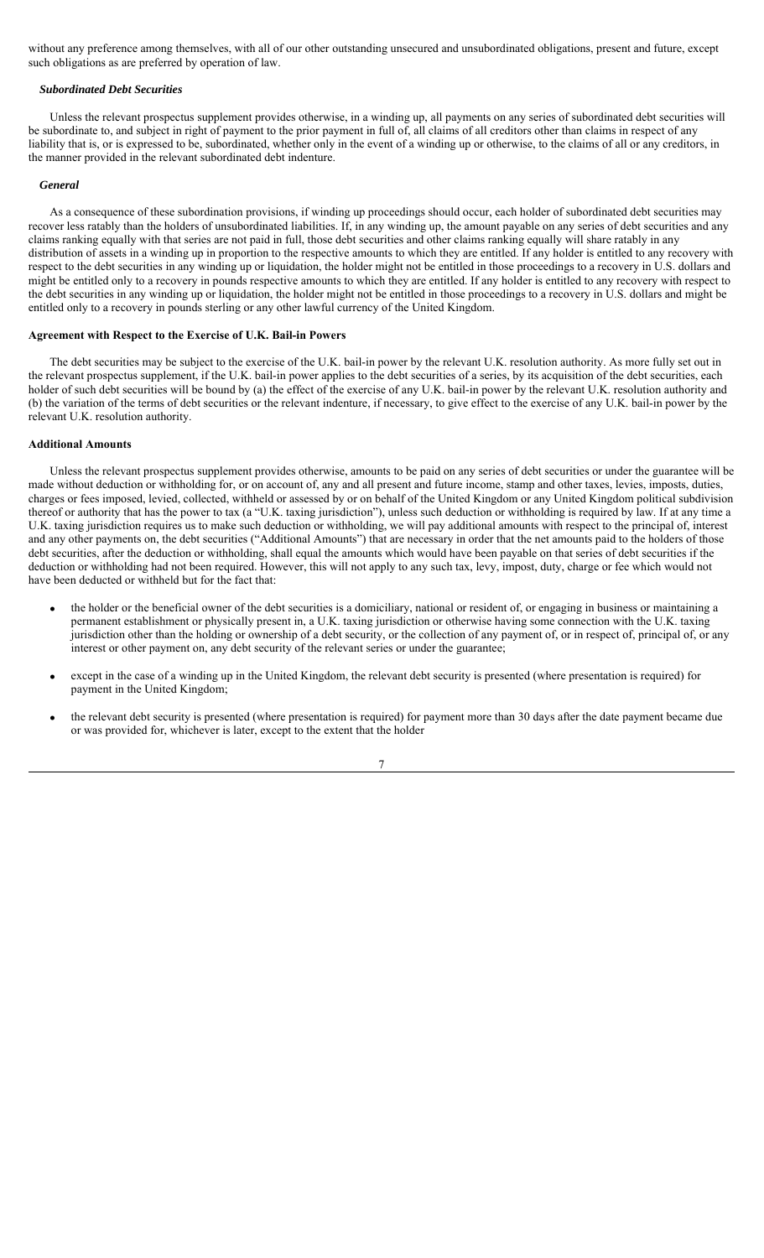without any preference among themselves, with all of our other outstanding unsecured and unsubordinated obligations, present and future, except such obligations as are preferred by operation of law.

## *Subordinated Debt Securities*

Unless the relevant prospectus supplement provides otherwise, in a winding up, all payments on any series of subordinated debt securities will be subordinate to, and subject in right of payment to the prior payment in full of, all claims of all creditors other than claims in respect of any liability that is, or is expressed to be, subordinated, whether only in the event of a winding up or otherwise, to the claims of all or any creditors, in the manner provided in the relevant subordinated debt indenture.

#### *General*

As a consequence of these subordination provisions, if winding up proceedings should occur, each holder of subordinated debt securities may recover less ratably than the holders of unsubordinated liabilities. If, in any winding up, the amount payable on any series of debt securities and any claims ranking equally with that series are not paid in full, those debt securities and other claims ranking equally will share ratably in any distribution of assets in a winding up in proportion to the respective amounts to which they are entitled. If any holder is entitled to any recovery with respect to the debt securities in any winding up or liquidation, the holder might not be entitled in those proceedings to a recovery in U.S. dollars and might be entitled only to a recovery in pounds respective amounts to which they are entitled. If any holder is entitled to any recovery with respect to the debt securities in any winding up or liquidation, the holder might not be entitled in those proceedings to a recovery in U.S. dollars and might be entitled only to a recovery in pounds sterling or any other lawful currency of the United Kingdom.

## **Agreement with Respect to the Exercise of U.K. Bail-in Powers**

The debt securities may be subject to the exercise of the U.K. bail-in power by the relevant U.K. resolution authority. As more fully set out in the relevant prospectus supplement, if the U.K. bail-in power applies to the debt securities of a series, by its acquisition of the debt securities, each holder of such debt securities will be bound by (a) the effect of the exercise of any U.K. bail-in power by the relevant U.K. resolution authority and (b) the variation of the terms of debt securities or the relevant indenture, if necessary, to give effect to the exercise of any U.K. bail-in power by the relevant U.K. resolution authority.

### **Additional Amounts**

Unless the relevant prospectus supplement provides otherwise, amounts to be paid on any series of debt securities or under the guarantee will be made without deduction or withholding for, or on account of, any and all present and future income, stamp and other taxes, levies, imposts, duties, charges or fees imposed, levied, collected, withheld or assessed by or on behalf of the United Kingdom or any United Kingdom political subdivision thereof or authority that has the power to tax (a "U.K. taxing jurisdiction"), unless such deduction or withholding is required by law. If at any time a U.K. taxing jurisdiction requires us to make such deduction or withholding, we will pay additional amounts with respect to the principal of, interest and any other payments on, the debt securities ("Additional Amounts") that are necessary in order that the net amounts paid to the holders of those debt securities, after the deduction or withholding, shall equal the amounts which would have been payable on that series of debt securities if the deduction or withholding had not been required. However, this will not apply to any such tax, levy, impost, duty, charge or fee which would not have been deducted or withheld but for the fact that:

- the holder or the beneficial owner of the debt securities is a domiciliary, national or resident of, or engaging in business or maintaining a permanent establishment or physically present in, a U.K. taxing jurisdiction or otherwise having some connection with the U.K. taxing jurisdiction other than the holding or ownership of a debt security, or the collection of any payment of, or in respect of, principal of, or any interest or other payment on, any debt security of the relevant series or under the guarantee;
- except in the case of a winding up in the United Kingdom, the relevant debt security is presented (where presentation is required) for payment in the United Kingdom;
- the relevant debt security is presented (where presentation is required) for payment more than 30 days after the date payment became due or was provided for, whichever is later, except to the extent that the holder

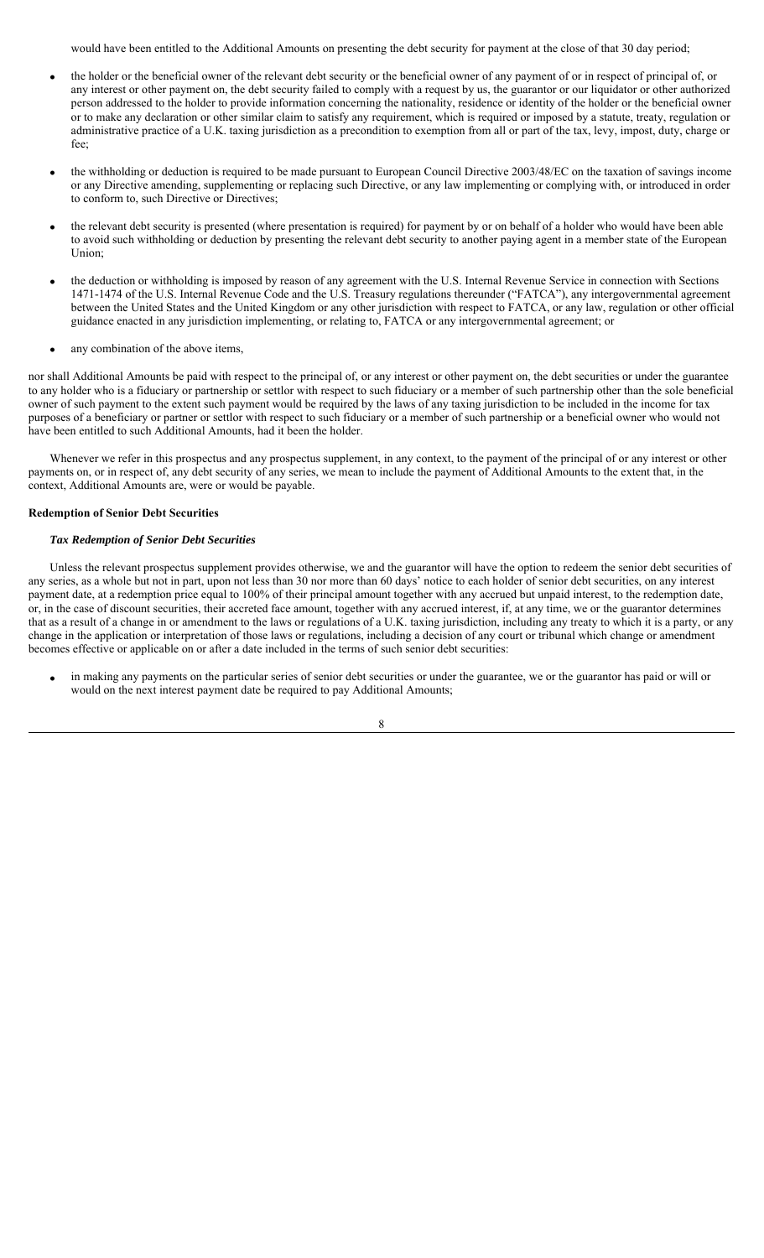would have been entitled to the Additional Amounts on presenting the debt security for payment at the close of that 30 day period;

- the holder or the beneficial owner of the relevant debt security or the beneficial owner of any payment of or in respect of principal of, or any interest or other payment on, the debt security failed to comply with a request by us, the guarantor or our liquidator or other authorized person addressed to the holder to provide information concerning the nationality, residence or identity of the holder or the beneficial owner or to make any declaration or other similar claim to satisfy any requirement, which is required or imposed by a statute, treaty, regulation or administrative practice of a U.K. taxing jurisdiction as a precondition to exemption from all or part of the tax, levy, impost, duty, charge or fee;
- the withholding or deduction is required to be made pursuant to European Council Directive 2003/48/EC on the taxation of savings income or any Directive amending, supplementing or replacing such Directive, or any law implementing or complying with, or introduced in order to conform to, such Directive or Directives;
- the relevant debt security is presented (where presentation is required) for payment by or on behalf of a holder who would have been able to avoid such withholding or deduction by presenting the relevant debt security to another paying agent in a member state of the European Union;
- the deduction or withholding is imposed by reason of any agreement with the U.S. Internal Revenue Service in connection with Sections 1471-1474 of the U.S. Internal Revenue Code and the U.S. Treasury regulations thereunder ("FATCA"), any intergovernmental agreement between the United States and the United Kingdom or any other jurisdiction with respect to FATCA, or any law, regulation or other official guidance enacted in any jurisdiction implementing, or relating to, FATCA or any intergovernmental agreement; or
- any combination of the above items,

nor shall Additional Amounts be paid with respect to the principal of, or any interest or other payment on, the debt securities or under the guarantee to any holder who is a fiduciary or partnership or settlor with respect to such fiduciary or a member of such partnership other than the sole beneficial owner of such payment to the extent such payment would be required by the laws of any taxing jurisdiction to be included in the income for tax purposes of a beneficiary or partner or settlor with respect to such fiduciary or a member of such partnership or a beneficial owner who would not have been entitled to such Additional Amounts, had it been the holder.

Whenever we refer in this prospectus and any prospectus supplement, in any context, to the payment of the principal of or any interest or other payments on, or in respect of, any debt security of any series, we mean to include the payment of Additional Amounts to the extent that, in the context, Additional Amounts are, were or would be payable.

## **Redemption of Senior Debt Securities**

### *Tax Redemption of Senior Debt Securities*

Unless the relevant prospectus supplement provides otherwise, we and the guarantor will have the option to redeem the senior debt securities of any series, as a whole but not in part, upon not less than 30 nor more than 60 days' notice to each holder of senior debt securities, on any interest payment date, at a redemption price equal to 100% of their principal amount together with any accrued but unpaid interest, to the redemption date, or, in the case of discount securities, their accreted face amount, together with any accrued interest, if, at any time, we or the guarantor determines that as a result of a change in or amendment to the laws or regulations of a U.K. taxing jurisdiction, including any treaty to which it is a party, or any change in the application or interpretation of those laws or regulations, including a decision of any court or tribunal which change or amendment becomes effective or applicable on or after a date included in the terms of such senior debt securities:

 in making any payments on the particular series of senior debt securities or under the guarantee, we or the guarantor has paid or will or would on the next interest payment date be required to pay Additional Amounts;

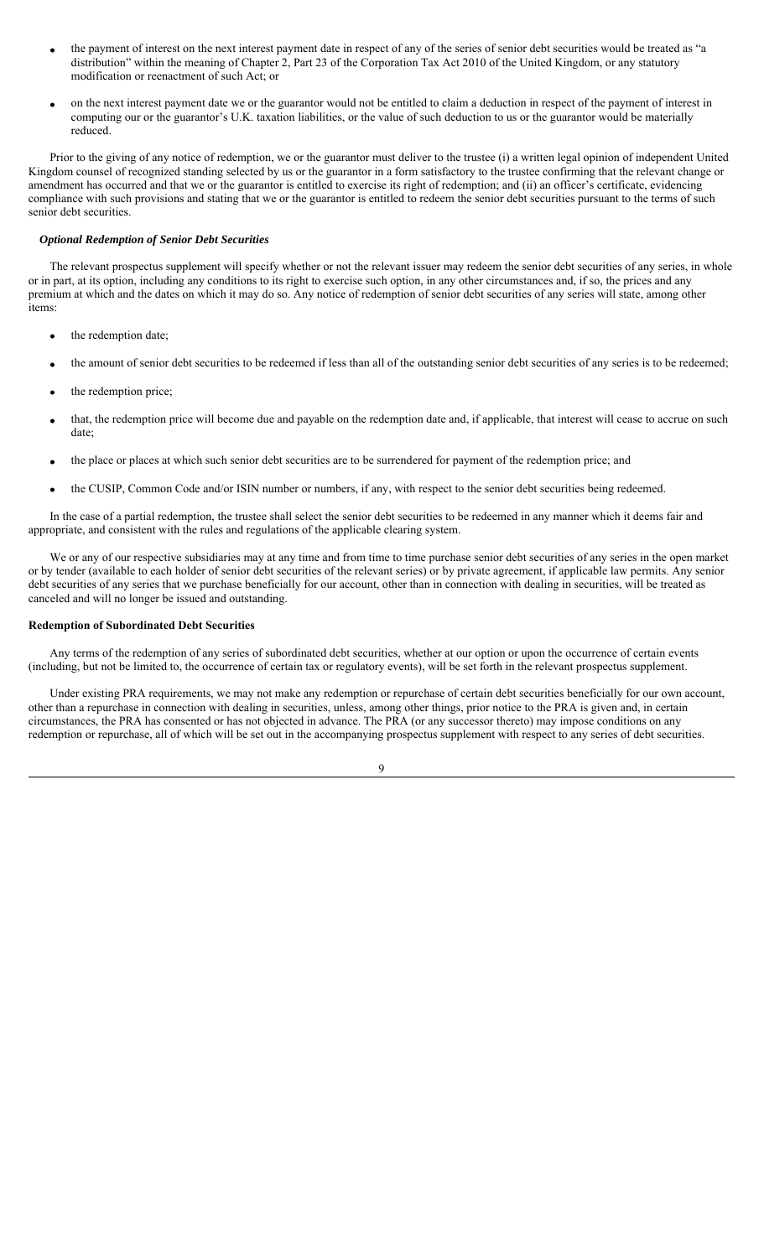- the payment of interest on the next interest payment date in respect of any of the series of senior debt securities would be treated as "a distribution" within the meaning of Chapter 2, Part 23 of the Corporation Tax Act 2010 of the United Kingdom, or any statutory modification or reenactment of such Act; or
- on the next interest payment date we or the guarantor would not be entitled to claim a deduction in respect of the payment of interest in computing our or the guarantor's U.K. taxation liabilities, or the value of such deduction to us or the guarantor would be materially reduced.

Prior to the giving of any notice of redemption, we or the guarantor must deliver to the trustee (i) a written legal opinion of independent United Kingdom counsel of recognized standing selected by us or the guarantor in a form satisfactory to the trustee confirming that the relevant change or amendment has occurred and that we or the guarantor is entitled to exercise its right of redemption; and (ii) an officer's certificate, evidencing compliance with such provisions and stating that we or the guarantor is entitled to redeem the senior debt securities pursuant to the terms of such senior debt securities.

## *Optional Redemption of Senior Debt Securities*

The relevant prospectus supplement will specify whether or not the relevant issuer may redeem the senior debt securities of any series, in whole or in part, at its option, including any conditions to its right to exercise such option, in any other circumstances and, if so, the prices and any premium at which and the dates on which it may do so. Any notice of redemption of senior debt securities of any series will state, among other items:

- the redemption date;
- the amount of senior debt securities to be redeemed if less than all of the outstanding senior debt securities of any series is to be redeemed;
- the redemption price;
- that, the redemption price will become due and payable on the redemption date and, if applicable, that interest will cease to accrue on such date;
- the place or places at which such senior debt securities are to be surrendered for payment of the redemption price; and
- the CUSIP, Common Code and/or ISIN number or numbers, if any, with respect to the senior debt securities being redeemed.

In the case of a partial redemption, the trustee shall select the senior debt securities to be redeemed in any manner which it deems fair and appropriate, and consistent with the rules and regulations of the applicable clearing system.

We or any of our respective subsidiaries may at any time and from time to time purchase senior debt securities of any series in the open market or by tender (available to each holder of senior debt securities of the relevant series) or by private agreement, if applicable law permits. Any senior debt securities of any series that we purchase beneficially for our account, other than in connection with dealing in securities, will be treated as canceled and will no longer be issued and outstanding.

## **Redemption of Subordinated Debt Securities**

Any terms of the redemption of any series of subordinated debt securities, whether at our option or upon the occurrence of certain events (including, but not be limited to, the occurrence of certain tax or regulatory events), will be set forth in the relevant prospectus supplement.

Under existing PRA requirements, we may not make any redemption or repurchase of certain debt securities beneficially for our own account, other than a repurchase in connection with dealing in securities, unless, among other things, prior notice to the PRA is given and, in certain circumstances, the PRA has consented or has not objected in advance. The PRA (or any successor thereto) may impose conditions on any redemption or repurchase, all of which will be set out in the accompanying prospectus supplement with respect to any series of debt securities.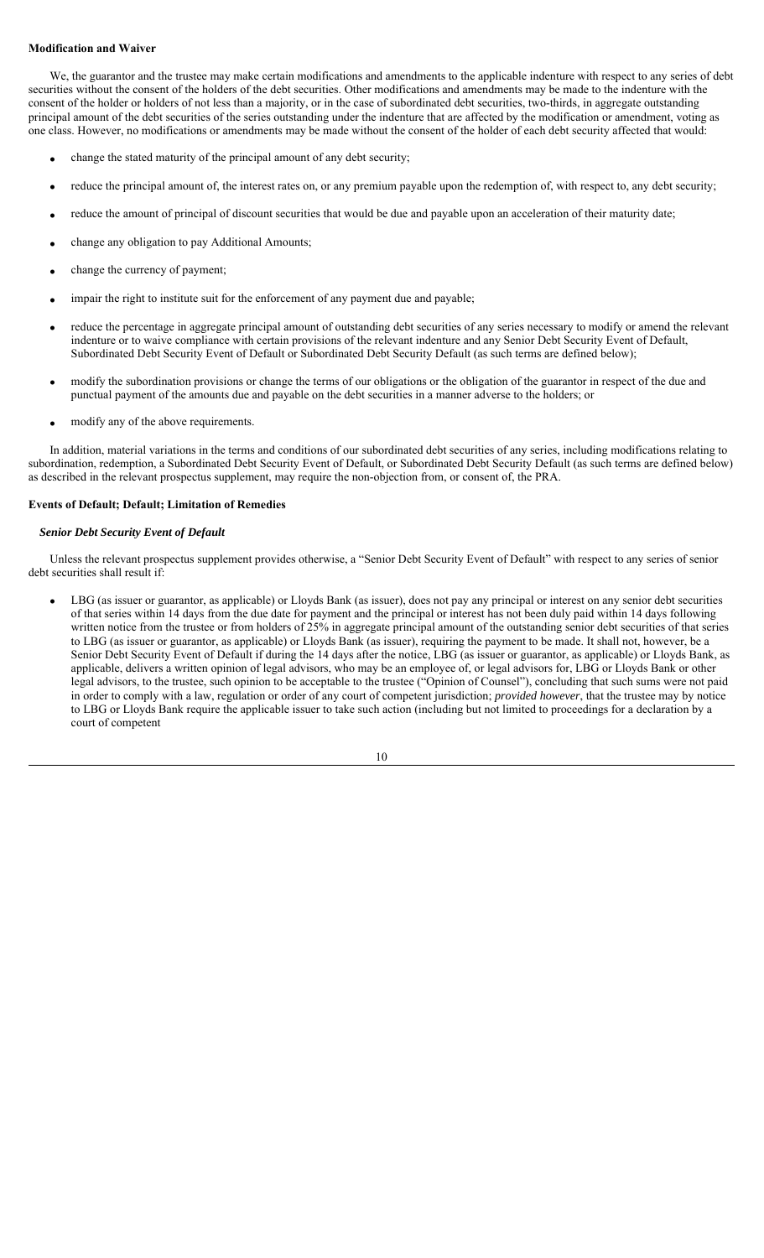## **Modification and Waiver**

We, the guarantor and the trustee may make certain modifications and amendments to the applicable indenture with respect to any series of debt securities without the consent of the holders of the debt securities. Other modifications and amendments may be made to the indenture with the consent of the holder or holders of not less than a majority, or in the case of subordinated debt securities, two-thirds, in aggregate outstanding principal amount of the debt securities of the series outstanding under the indenture that are affected by the modification or amendment, voting as one class. However, no modifications or amendments may be made without the consent of the holder of each debt security affected that would:

- change the stated maturity of the principal amount of any debt security;
- reduce the principal amount of, the interest rates on, or any premium payable upon the redemption of, with respect to, any debt security;
- reduce the amount of principal of discount securities that would be due and payable upon an acceleration of their maturity date;
- change any obligation to pay Additional Amounts;
- change the currency of payment;
- impair the right to institute suit for the enforcement of any payment due and payable;
- reduce the percentage in aggregate principal amount of outstanding debt securities of any series necessary to modify or amend the relevant indenture or to waive compliance with certain provisions of the relevant indenture and any Senior Debt Security Event of Default, Subordinated Debt Security Event of Default or Subordinated Debt Security Default (as such terms are defined below);
- modify the subordination provisions or change the terms of our obligations or the obligation of the guarantor in respect of the due and punctual payment of the amounts due and payable on the debt securities in a manner adverse to the holders; or
- modify any of the above requirements.

In addition, material variations in the terms and conditions of our subordinated debt securities of any series, including modifications relating to subordination, redemption, a Subordinated Debt Security Event of Default, or Subordinated Debt Security Default (as such terms are defined below) as described in the relevant prospectus supplement, may require the non-objection from, or consent of, the PRA.

## **Events of Default; Default; Limitation of Remedies**

## *Senior Debt Security Event of Default*

Unless the relevant prospectus supplement provides otherwise, a "Senior Debt Security Event of Default" with respect to any series of senior debt securities shall result if:

 LBG (as issuer or guarantor, as applicable) or Lloyds Bank (as issuer), does not pay any principal or interest on any senior debt securities of that series within 14 days from the due date for payment and the principal or interest has not been duly paid within 14 days following written notice from the trustee or from holders of 25% in aggregate principal amount of the outstanding senior debt securities of that series to LBG (as issuer or guarantor, as applicable) or Lloyds Bank (as issuer), requiring the payment to be made. It shall not, however, be a Senior Debt Security Event of Default if during the 14 days after the notice, LBG (as issuer or guarantor, as applicable) or Lloyds Bank, as applicable, delivers a written opinion of legal advisors, who may be an employee of, or legal advisors for, LBG or Lloyds Bank or other legal advisors, to the trustee, such opinion to be acceptable to the trustee ("Opinion of Counsel"), concluding that such sums were not paid in order to comply with a law, regulation or order of any court of competent jurisdiction; *provided however*, that the trustee may by notice to LBG or Lloyds Bank require the applicable issuer to take such action (including but not limited to proceedings for a declaration by a court of competent

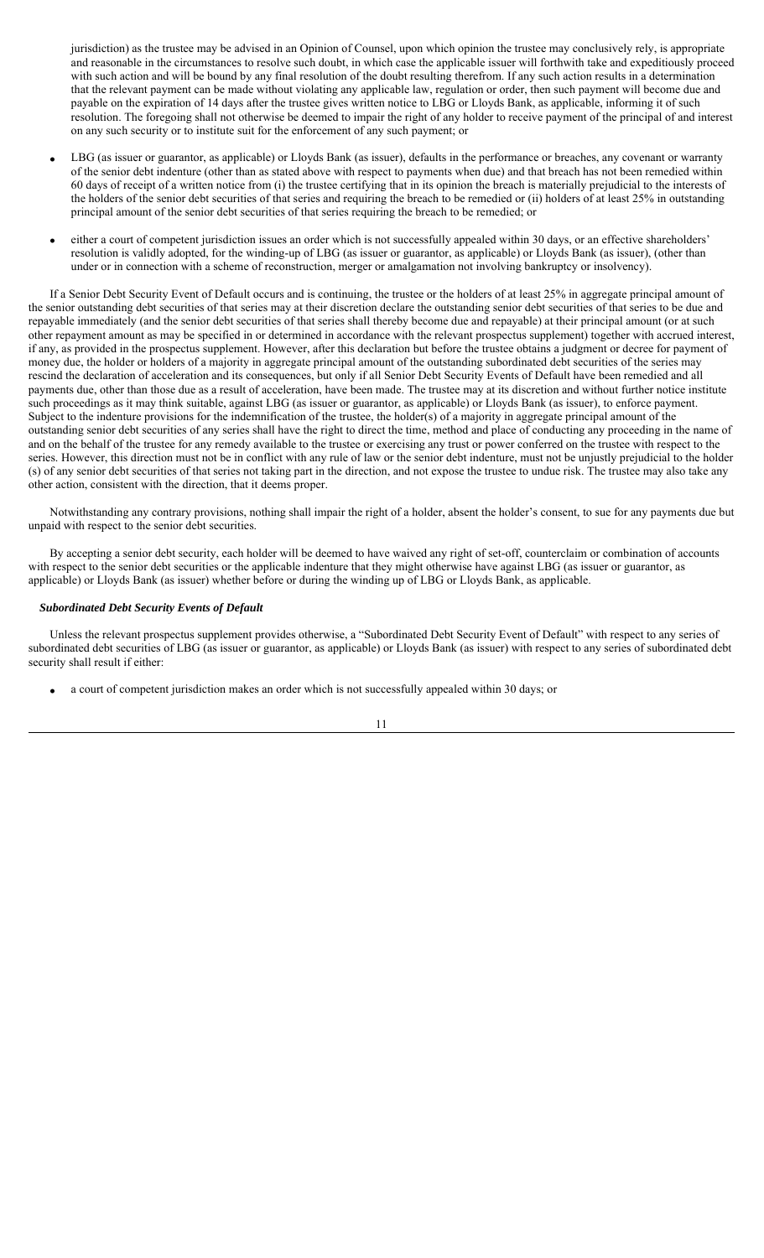jurisdiction) as the trustee may be advised in an Opinion of Counsel, upon which opinion the trustee may conclusively rely, is appropriate and reasonable in the circumstances to resolve such doubt, in which case the applicable issuer will forthwith take and expeditiously proceed with such action and will be bound by any final resolution of the doubt resulting therefrom. If any such action results in a determination that the relevant payment can be made without violating any applicable law, regulation or order, then such payment will become due and payable on the expiration of 14 days after the trustee gives written notice to LBG or Lloyds Bank, as applicable, informing it of such resolution. The foregoing shall not otherwise be deemed to impair the right of any holder to receive payment of the principal of and interest on any such security or to institute suit for the enforcement of any such payment; or

- LBG (as issuer or guarantor, as applicable) or Lloyds Bank (as issuer), defaults in the performance or breaches, any covenant or warranty of the senior debt indenture (other than as stated above with respect to payments when due) and that breach has not been remedied within 60 days of receipt of a written notice from (i) the trustee certifying that in its opinion the breach is materially prejudicial to the interests of the holders of the senior debt securities of that series and requiring the breach to be remedied or (ii) holders of at least 25% in outstanding principal amount of the senior debt securities of that series requiring the breach to be remedied; or
- either a court of competent jurisdiction issues an order which is not successfully appealed within 30 days, or an effective shareholders' resolution is validly adopted, for the winding-up of LBG (as issuer or guarantor, as applicable) or Lloyds Bank (as issuer), (other than under or in connection with a scheme of reconstruction, merger or amalgamation not involving bankruptcy or insolvency).

If a Senior Debt Security Event of Default occurs and is continuing, the trustee or the holders of at least 25% in aggregate principal amount of the senior outstanding debt securities of that series may at their discretion declare the outstanding senior debt securities of that series to be due and repayable immediately (and the senior debt securities of that series shall thereby become due and repayable) at their principal amount (or at such other repayment amount as may be specified in or determined in accordance with the relevant prospectus supplement) together with accrued interest, if any, as provided in the prospectus supplement. However, after this declaration but before the trustee obtains a judgment or decree for payment of money due, the holder or holders of a majority in aggregate principal amount of the outstanding subordinated debt securities of the series may rescind the declaration of acceleration and its consequences, but only if all Senior Debt Security Events of Default have been remedied and all payments due, other than those due as a result of acceleration, have been made. The trustee may at its discretion and without further notice institute such proceedings as it may think suitable, against LBG (as issuer or guarantor, as applicable) or Lloyds Bank (as issuer), to enforce payment. Subject to the indenture provisions for the indemnification of the trustee, the holder(s) of a majority in aggregate principal amount of the outstanding senior debt securities of any series shall have the right to direct the time, method and place of conducting any proceeding in the name of and on the behalf of the trustee for any remedy available to the trustee or exercising any trust or power conferred on the trustee with respect to the series. However, this direction must not be in conflict with any rule of law or the senior debt indenture, must not be unjustly prejudicial to the holder (s) of any senior debt securities of that series not taking part in the direction, and not expose the trustee to undue risk. The trustee may also take any other action, consistent with the direction, that it deems proper.

Notwithstanding any contrary provisions, nothing shall impair the right of a holder, absent the holder's consent, to sue for any payments due but unpaid with respect to the senior debt securities.

By accepting a senior debt security, each holder will be deemed to have waived any right of set-off, counterclaim or combination of accounts with respect to the senior debt securities or the applicable indenture that they might otherwise have against LBG (as issuer or guarantor, as applicable) or Lloyds Bank (as issuer) whether before or during the winding up of LBG or Lloyds Bank, as applicable.

## *Subordinated Debt Security Events of Default*

Unless the relevant prospectus supplement provides otherwise, a "Subordinated Debt Security Event of Default" with respect to any series of subordinated debt securities of LBG (as issuer or guarantor, as applicable) or Lloyds Bank (as issuer) with respect to any series of subordinated debt security shall result if either:

a court of competent jurisdiction makes an order which is not successfully appealed within 30 days; or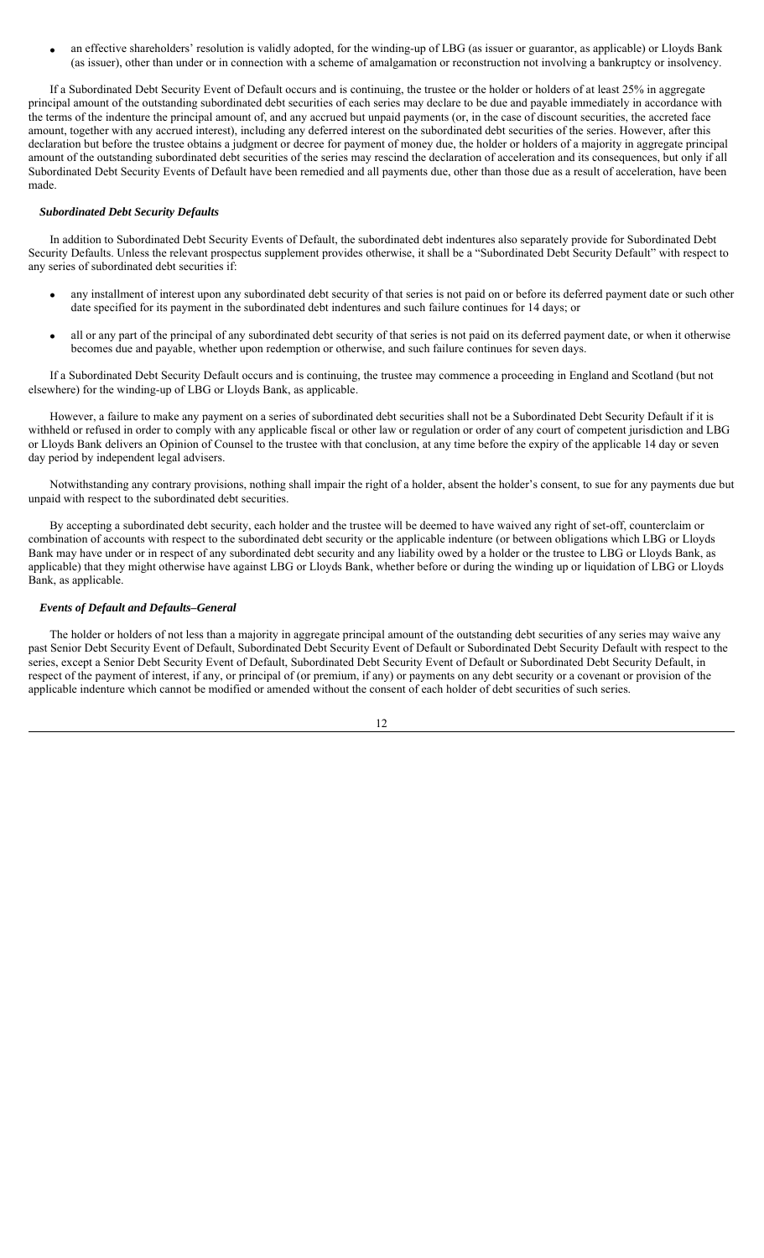an effective shareholders' resolution is validly adopted, for the winding-up of LBG (as issuer or guarantor, as applicable) or Lloyds Bank (as issuer), other than under or in connection with a scheme of amalgamation or reconstruction not involving a bankruptcy or insolvency.

If a Subordinated Debt Security Event of Default occurs and is continuing, the trustee or the holder or holders of at least 25% in aggregate principal amount of the outstanding subordinated debt securities of each series may declare to be due and payable immediately in accordance with the terms of the indenture the principal amount of, and any accrued but unpaid payments (or, in the case of discount securities, the accreted face amount, together with any accrued interest), including any deferred interest on the subordinated debt securities of the series. However, after this declaration but before the trustee obtains a judgment or decree for payment of money due, the holder or holders of a majority in aggregate principal amount of the outstanding subordinated debt securities of the series may rescind the declaration of acceleration and its consequences, but only if all Subordinated Debt Security Events of Default have been remedied and all payments due, other than those due as a result of acceleration, have been made.

## *Subordinated Debt Security Defaults*

In addition to Subordinated Debt Security Events of Default, the subordinated debt indentures also separately provide for Subordinated Debt Security Defaults. Unless the relevant prospectus supplement provides otherwise, it shall be a "Subordinated Debt Security Default" with respect to any series of subordinated debt securities if:

- any installment of interest upon any subordinated debt security of that series is not paid on or before its deferred payment date or such other date specified for its payment in the subordinated debt indentures and such failure continues for 14 days; or
- all or any part of the principal of any subordinated debt security of that series is not paid on its deferred payment date, or when it otherwise becomes due and payable, whether upon redemption or otherwise, and such failure continues for seven days.

If a Subordinated Debt Security Default occurs and is continuing, the trustee may commence a proceeding in England and Scotland (but not elsewhere) for the winding-up of LBG or Lloyds Bank, as applicable.

However, a failure to make any payment on a series of subordinated debt securities shall not be a Subordinated Debt Security Default if it is withheld or refused in order to comply with any applicable fiscal or other law or regulation or order of any court of competent jurisdiction and LBG or Lloyds Bank delivers an Opinion of Counsel to the trustee with that conclusion, at any time before the expiry of the applicable 14 day or seven day period by independent legal advisers.

Notwithstanding any contrary provisions, nothing shall impair the right of a holder, absent the holder's consent, to sue for any payments due but unpaid with respect to the subordinated debt securities.

By accepting a subordinated debt security, each holder and the trustee will be deemed to have waived any right of set-off, counterclaim or combination of accounts with respect to the subordinated debt security or the applicable indenture (or between obligations which LBG or Lloyds Bank may have under or in respect of any subordinated debt security and any liability owed by a holder or the trustee to LBG or Lloyds Bank, as applicable) that they might otherwise have against LBG or Lloyds Bank, whether before or during the winding up or liquidation of LBG or Lloyds Bank, as applicable.

## *Events of Default and Defaults–General*

The holder or holders of not less than a majority in aggregate principal amount of the outstanding debt securities of any series may waive any past Senior Debt Security Event of Default, Subordinated Debt Security Event of Default or Subordinated Debt Security Default with respect to the series, except a Senior Debt Security Event of Default, Subordinated Debt Security Event of Default or Subordinated Debt Security Default, in respect of the payment of interest, if any, or principal of (or premium, if any) or payments on any debt security or a covenant or provision of the applicable indenture which cannot be modified or amended without the consent of each holder of debt securities of such series.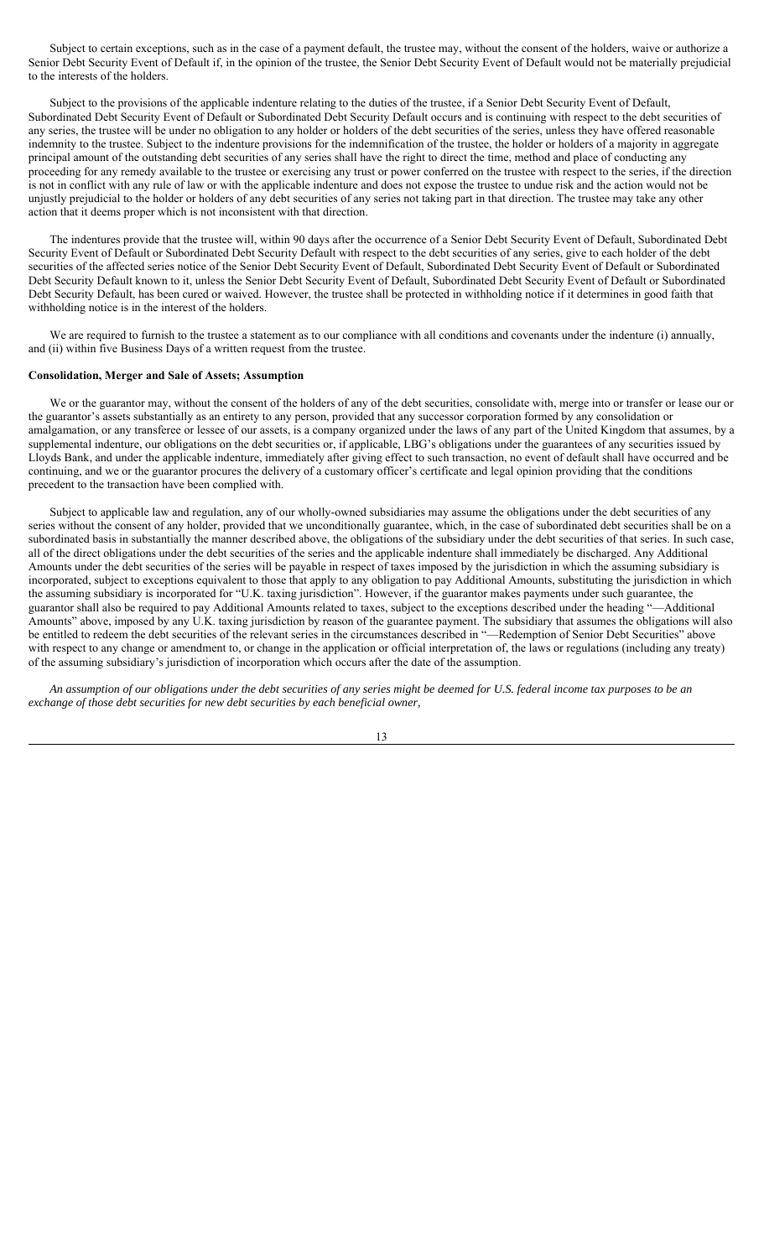Subject to certain exceptions, such as in the case of a payment default, the trustee may, without the consent of the holders, waive or authorize a Senior Debt Security Event of Default if, in the opinion of the trustee, the Senior Debt Security Event of Default would not be materially prejudicial to the interests of the holders.

Subject to the provisions of the applicable indenture relating to the duties of the trustee, if a Senior Debt Security Event of Default, Subordinated Debt Security Event of Default or Subordinated Debt Security Default occurs and is continuing with respect to the debt securities of any series, the trustee will be under no obligation to any holder or holders of the debt securities of the series, unless they have offered reasonable indemnity to the trustee. Subject to the indenture provisions for the indemnification of the trustee, the holder or holders of a majority in aggregate principal amount of the outstanding debt securities of any series shall have the right to direct the time, method and place of conducting any proceeding for any remedy available to the trustee or exercising any trust or power conferred on the trustee with respect to the series, if the direction is not in conflict with any rule of law or with the applicable indenture and does not expose the trustee to undue risk and the action would not be unjustly prejudicial to the holder or holders of any debt securities of any series not taking part in that direction. The trustee may take any other action that it deems proper which is not inconsistent with that direction.

The indentures provide that the trustee will, within 90 days after the occurrence of a Senior Debt Security Event of Default, Subordinated Debt Security Event of Default or Subordinated Debt Security Default with respect to the debt securities of any series, give to each holder of the debt securities of the affected series notice of the Senior Debt Security Event of Default, Subordinated Debt Security Event of Default or Subordinated Debt Security Default known to it, unless the Senior Debt Security Event of Default, Subordinated Debt Security Event of Default or Subordinated Debt Security Default, has been cured or waived. However, the trustee shall be protected in withholding notice if it determines in good faith that withholding notice is in the interest of the holders.

We are required to furnish to the trustee a statement as to our compliance with all conditions and covenants under the indenture (i) annually, and (ii) within five Business Days of a written request from the trustee.

### **Consolidation, Merger and Sale of Assets; Assumption**

We or the guarantor may, without the consent of the holders of any of the debt securities, consolidate with, merge into or transfer or lease our or the guarantor's assets substantially as an entirety to any person, provided that any successor corporation formed by any consolidation or amalgamation, or any transferee or lessee of our assets, is a company organized under the laws of any part of the United Kingdom that assumes, by a supplemental indenture, our obligations on the debt securities or, if applicable, LBG's obligations under the guarantees of any securities issued by Lloyds Bank, and under the applicable indenture, immediately after giving effect to such transaction, no event of default shall have occurred and be continuing, and we or the guarantor procures the delivery of a customary officer's certificate and legal opinion providing that the conditions precedent to the transaction have been complied with.

Subject to applicable law and regulation, any of our wholly-owned subsidiaries may assume the obligations under the debt securities of any series without the consent of any holder, provided that we unconditionally guarantee, which, in the case of subordinated debt securities shall be on a subordinated basis in substantially the manner described above, the obligations of the subsidiary under the debt securities of that series. In such case, all of the direct obligations under the debt securities of the series and the applicable indenture shall immediately be discharged. Any Additional Amounts under the debt securities of the series will be payable in respect of taxes imposed by the jurisdiction in which the assuming subsidiary is incorporated, subject to exceptions equivalent to those that apply to any obligation to pay Additional Amounts, substituting the jurisdiction in which the assuming subsidiary is incorporated for "U.K. taxing jurisdiction". However, if the guarantor makes payments under such guarantee, the guarantor shall also be required to pay Additional Amounts related to taxes, subject to the exceptions described under the heading "—Additional Amounts" above, imposed by any U.K. taxing jurisdiction by reason of the guarantee payment. The subsidiary that assumes the obligations will also be entitled to redeem the debt securities of the relevant series in the circumstances described in "—Redemption of Senior Debt Securities" above with respect to any change or amendment to, or change in the application or official interpretation of, the laws or regulations (including any treaty) of the assuming subsidiary's jurisdiction of incorporation which occurs after the date of the assumption.

*An assumption of our obligations under the debt securities of any series might be deemed for U.S. federal income tax purposes to be an exchange of those debt securities for new debt securities by each beneficial owner,* 

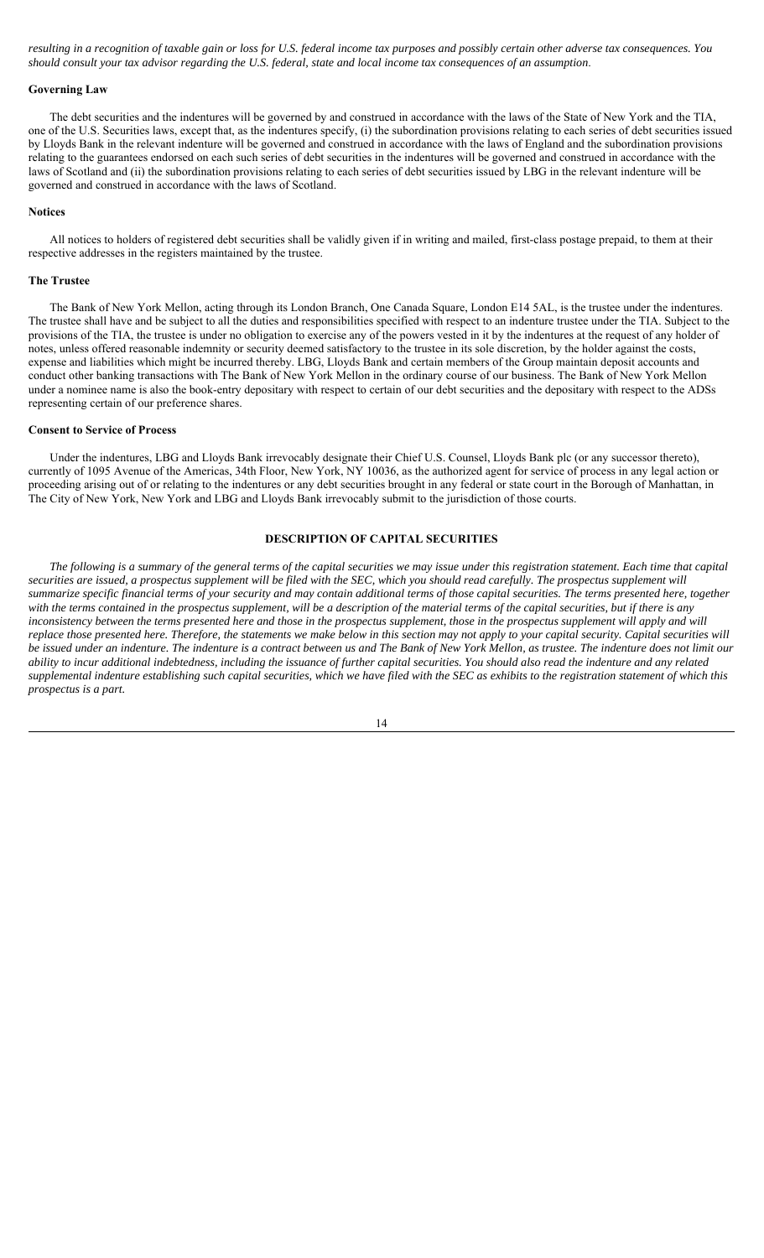*resulting in a recognition of taxable gain or loss for U.S. federal income tax purposes and possibly certain other adverse tax consequences. You should consult your tax advisor regarding the U.S. federal, state and local income tax consequences of an assumption*.

### **Governing Law**

The debt securities and the indentures will be governed by and construed in accordance with the laws of the State of New York and the TIA, one of the U.S. Securities laws, except that, as the indentures specify, (i) the subordination provisions relating to each series of debt securities issued by Lloyds Bank in the relevant indenture will be governed and construed in accordance with the laws of England and the subordination provisions relating to the guarantees endorsed on each such series of debt securities in the indentures will be governed and construed in accordance with the laws of Scotland and (ii) the subordination provisions relating to each series of debt securities issued by LBG in the relevant indenture will be governed and construed in accordance with the laws of Scotland.

### **Notices**

All notices to holders of registered debt securities shall be validly given if in writing and mailed, first-class postage prepaid, to them at their respective addresses in the registers maintained by the trustee.

### **The Trustee**

The Bank of New York Mellon, acting through its London Branch, One Canada Square, London E14 5AL, is the trustee under the indentures. The trustee shall have and be subject to all the duties and responsibilities specified with respect to an indenture trustee under the TIA. Subject to the provisions of the TIA, the trustee is under no obligation to exercise any of the powers vested in it by the indentures at the request of any holder of notes, unless offered reasonable indemnity or security deemed satisfactory to the trustee in its sole discretion, by the holder against the costs, expense and liabilities which might be incurred thereby. LBG, Lloyds Bank and certain members of the Group maintain deposit accounts and conduct other banking transactions with The Bank of New York Mellon in the ordinary course of our business. The Bank of New York Mellon under a nominee name is also the book-entry depositary with respect to certain of our debt securities and the depositary with respect to the ADSs representing certain of our preference shares.

### **Consent to Service of Process**

Under the indentures, LBG and Lloyds Bank irrevocably designate their Chief U.S. Counsel, Lloyds Bank plc (or any successor thereto), currently of 1095 Avenue of the Americas, 34th Floor, New York, NY 10036, as the authorized agent for service of process in any legal action or proceeding arising out of or relating to the indentures or any debt securities brought in any federal or state court in the Borough of Manhattan, in The City of New York, New York and LBG and Lloyds Bank irrevocably submit to the jurisdiction of those courts.

## **DESCRIPTION OF CAPITAL SECURITIES**

*The following is a summary of the general terms of the capital securities we may issue under this registration statement. Each time that capital securities are issued, a prospectus supplement will be filed with the SEC, which you should read carefully. The prospectus supplement will summarize specific financial terms of your security and may contain additional terms of those capital securities. The terms presented here, together with the terms contained in the prospectus supplement, will be a description of the material terms of the capital securities, but if there is any inconsistency between the terms presented here and those in the prospectus supplement, those in the prospectus supplement will apply and will replace those presented here. Therefore, the statements we make below in this section may not apply to your capital security. Capital securities will be issued under an indenture. The indenture is a contract between us and The Bank of New York Mellon, as trustee. The indenture does not limit our ability to incur additional indebtedness, including the issuance of further capital securities. You should also read the indenture and any related supplemental indenture establishing such capital securities, which we have filed with the SEC as exhibits to the registration statement of which this prospectus is a part.*

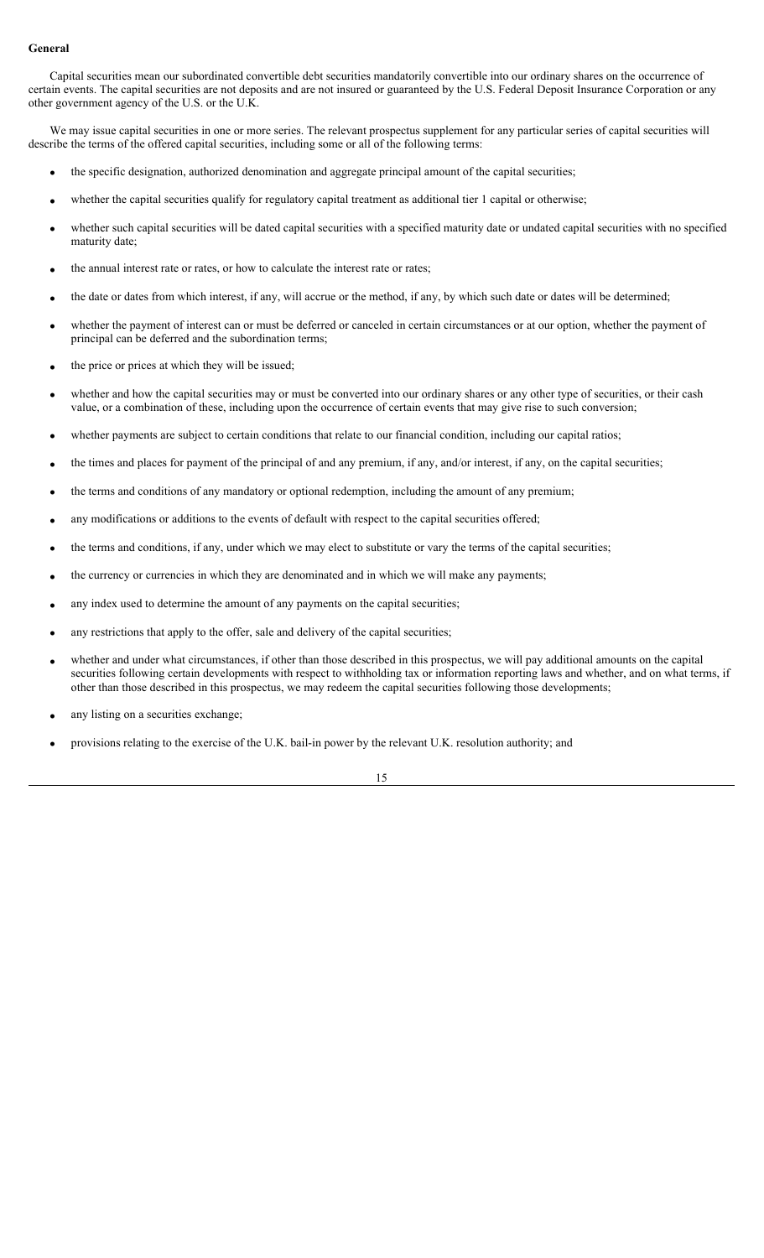## **General**

Capital securities mean our subordinated convertible debt securities mandatorily convertible into our ordinary shares on the occurrence of certain events. The capital securities are not deposits and are not insured or guaranteed by the U.S. Federal Deposit Insurance Corporation or any other government agency of the U.S. or the U.K.

We may issue capital securities in one or more series. The relevant prospectus supplement for any particular series of capital securities will describe the terms of the offered capital securities, including some or all of the following terms:

- the specific designation, authorized denomination and aggregate principal amount of the capital securities;
- whether the capital securities qualify for regulatory capital treatment as additional tier 1 capital or otherwise;
- whether such capital securities will be dated capital securities with a specified maturity date or undated capital securities with no specified maturity date;
- the annual interest rate or rates, or how to calculate the interest rate or rates;
- the date or dates from which interest, if any, will accrue or the method, if any, by which such date or dates will be determined;
- whether the payment of interest can or must be deferred or canceled in certain circumstances or at our option, whether the payment of principal can be deferred and the subordination terms;
- the price or prices at which they will be issued;
- whether and how the capital securities may or must be converted into our ordinary shares or any other type of securities, or their cash value, or a combination of these, including upon the occurrence of certain events that may give rise to such conversion;
- whether payments are subject to certain conditions that relate to our financial condition, including our capital ratios;
- the times and places for payment of the principal of and any premium, if any, and/or interest, if any, on the capital securities;
- the terms and conditions of any mandatory or optional redemption, including the amount of any premium;
- any modifications or additions to the events of default with respect to the capital securities offered;
- the terms and conditions, if any, under which we may elect to substitute or vary the terms of the capital securities;
- the currency or currencies in which they are denominated and in which we will make any payments;
- any index used to determine the amount of any payments on the capital securities;
- any restrictions that apply to the offer, sale and delivery of the capital securities;
- whether and under what circumstances, if other than those described in this prospectus, we will pay additional amounts on the capital securities following certain developments with respect to withholding tax or information reporting laws and whether, and on what terms, if other than those described in this prospectus, we may redeem the capital securities following those developments;
- any listing on a securities exchange;
- provisions relating to the exercise of the U.K. bail-in power by the relevant U.K. resolution authority; and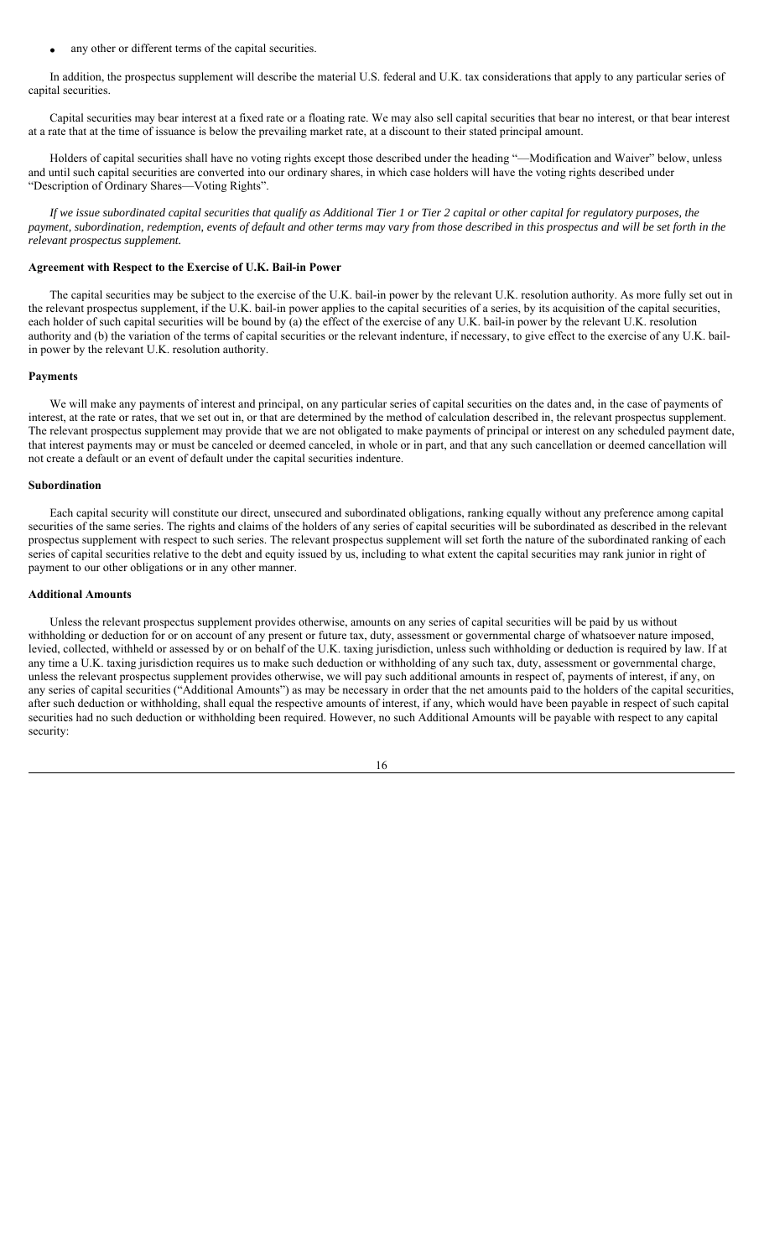any other or different terms of the capital securities.

In addition, the prospectus supplement will describe the material U.S. federal and U.K. tax considerations that apply to any particular series of capital securities.

Capital securities may bear interest at a fixed rate or a floating rate. We may also sell capital securities that bear no interest, or that bear interest at a rate that at the time of issuance is below the prevailing market rate, at a discount to their stated principal amount.

Holders of capital securities shall have no voting rights except those described under the heading "—Modification and Waiver" below, unless and until such capital securities are converted into our ordinary shares, in which case holders will have the voting rights described under "Description of Ordinary Shares—Voting Rights".

*If we issue subordinated capital securities that qualify as Additional Tier 1 or Tier 2 capital or other capital for regulatory purposes, the payment, subordination, redemption, events of default and other terms may vary from those described in this prospectus and will be set forth in the relevant prospectus supplement.*

### **Agreement with Respect to the Exercise of U.K. Bail-in Power**

The capital securities may be subject to the exercise of the U.K. bail-in power by the relevant U.K. resolution authority. As more fully set out in the relevant prospectus supplement, if the U.K. bail-in power applies to the capital securities of a series, by its acquisition of the capital securities, each holder of such capital securities will be bound by (a) the effect of the exercise of any U.K. bail-in power by the relevant U.K. resolution authority and (b) the variation of the terms of capital securities or the relevant indenture, if necessary, to give effect to the exercise of any U.K. bailin power by the relevant U.K. resolution authority.

### **Payments**

We will make any payments of interest and principal, on any particular series of capital securities on the dates and, in the case of payments of interest, at the rate or rates, that we set out in, or that are determined by the method of calculation described in, the relevant prospectus supplement. The relevant prospectus supplement may provide that we are not obligated to make payments of principal or interest on any scheduled payment date, that interest payments may or must be canceled or deemed canceled, in whole or in part, and that any such cancellation or deemed cancellation will not create a default or an event of default under the capital securities indenture.

#### **Subordination**

Each capital security will constitute our direct, unsecured and subordinated obligations, ranking equally without any preference among capital securities of the same series. The rights and claims of the holders of any series of capital securities will be subordinated as described in the relevant prospectus supplement with respect to such series. The relevant prospectus supplement will set forth the nature of the subordinated ranking of each series of capital securities relative to the debt and equity issued by us, including to what extent the capital securities may rank junior in right of payment to our other obligations or in any other manner.

### **Additional Amounts**

Unless the relevant prospectus supplement provides otherwise, amounts on any series of capital securities will be paid by us without withholding or deduction for or on account of any present or future tax, duty, assessment or governmental charge of whatsoever nature imposed, levied, collected, withheld or assessed by or on behalf of the U.K. taxing jurisdiction, unless such withholding or deduction is required by law. If at any time a U.K. taxing jurisdiction requires us to make such deduction or withholding of any such tax, duty, assessment or governmental charge, unless the relevant prospectus supplement provides otherwise, we will pay such additional amounts in respect of, payments of interest, if any, on any series of capital securities ("Additional Amounts") as may be necessary in order that the net amounts paid to the holders of the capital securities, after such deduction or withholding, shall equal the respective amounts of interest, if any, which would have been payable in respect of such capital securities had no such deduction or withholding been required. However, no such Additional Amounts will be payable with respect to any capital security:

16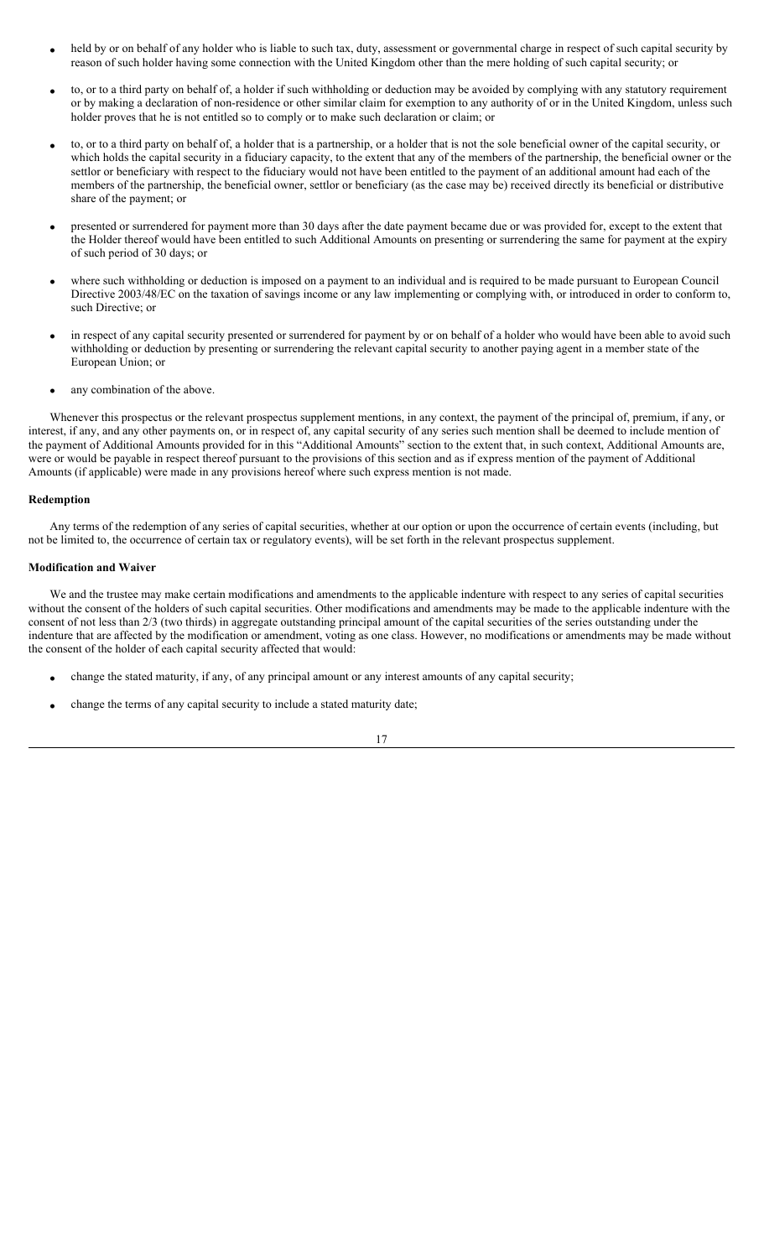- held by or on behalf of any holder who is liable to such tax, duty, assessment or governmental charge in respect of such capital security by reason of such holder having some connection with the United Kingdom other than the mere holding of such capital security; or
- to, or to a third party on behalf of, a holder if such withholding or deduction may be avoided by complying with any statutory requirement or by making a declaration of non-residence or other similar claim for exemption to any authority of or in the United Kingdom, unless such holder proves that he is not entitled so to comply or to make such declaration or claim; or
- to, or to a third party on behalf of, a holder that is a partnership, or a holder that is not the sole beneficial owner of the capital security, or which holds the capital security in a fiduciary capacity, to the extent that any of the members of the partnership, the beneficial owner or the settlor or beneficiary with respect to the fiduciary would not have been entitled to the payment of an additional amount had each of the members of the partnership, the beneficial owner, settlor or beneficiary (as the case may be) received directly its beneficial or distributive share of the payment; or
- presented or surrendered for payment more than 30 days after the date payment became due or was provided for, except to the extent that the Holder thereof would have been entitled to such Additional Amounts on presenting or surrendering the same for payment at the expiry of such period of 30 days; or
- where such withholding or deduction is imposed on a payment to an individual and is required to be made pursuant to European Council Directive 2003/48/EC on the taxation of savings income or any law implementing or complying with, or introduced in order to conform to, such Directive; or
- in respect of any capital security presented or surrendered for payment by or on behalf of a holder who would have been able to avoid such withholding or deduction by presenting or surrendering the relevant capital security to another paying agent in a member state of the European Union; or
- any combination of the above.

Whenever this prospectus or the relevant prospectus supplement mentions, in any context, the payment of the principal of, premium, if any, or interest, if any, and any other payments on, or in respect of, any capital security of any series such mention shall be deemed to include mention of the payment of Additional Amounts provided for in this "Additional Amounts" section to the extent that, in such context, Additional Amounts are, were or would be payable in respect thereof pursuant to the provisions of this section and as if express mention of the payment of Additional Amounts (if applicable) were made in any provisions hereof where such express mention is not made.

## **Redemption**

Any terms of the redemption of any series of capital securities, whether at our option or upon the occurrence of certain events (including, but not be limited to, the occurrence of certain tax or regulatory events), will be set forth in the relevant prospectus supplement.

## **Modification and Waiver**

We and the trustee may make certain modifications and amendments to the applicable indenture with respect to any series of capital securities without the consent of the holders of such capital securities. Other modifications and amendments may be made to the applicable indenture with the consent of not less than 2/3 (two thirds) in aggregate outstanding principal amount of the capital securities of the series outstanding under the indenture that are affected by the modification or amendment, voting as one class. However, no modifications or amendments may be made without the consent of the holder of each capital security affected that would:

- change the stated maturity, if any, of any principal amount or any interest amounts of any capital security;
- change the terms of any capital security to include a stated maturity date;

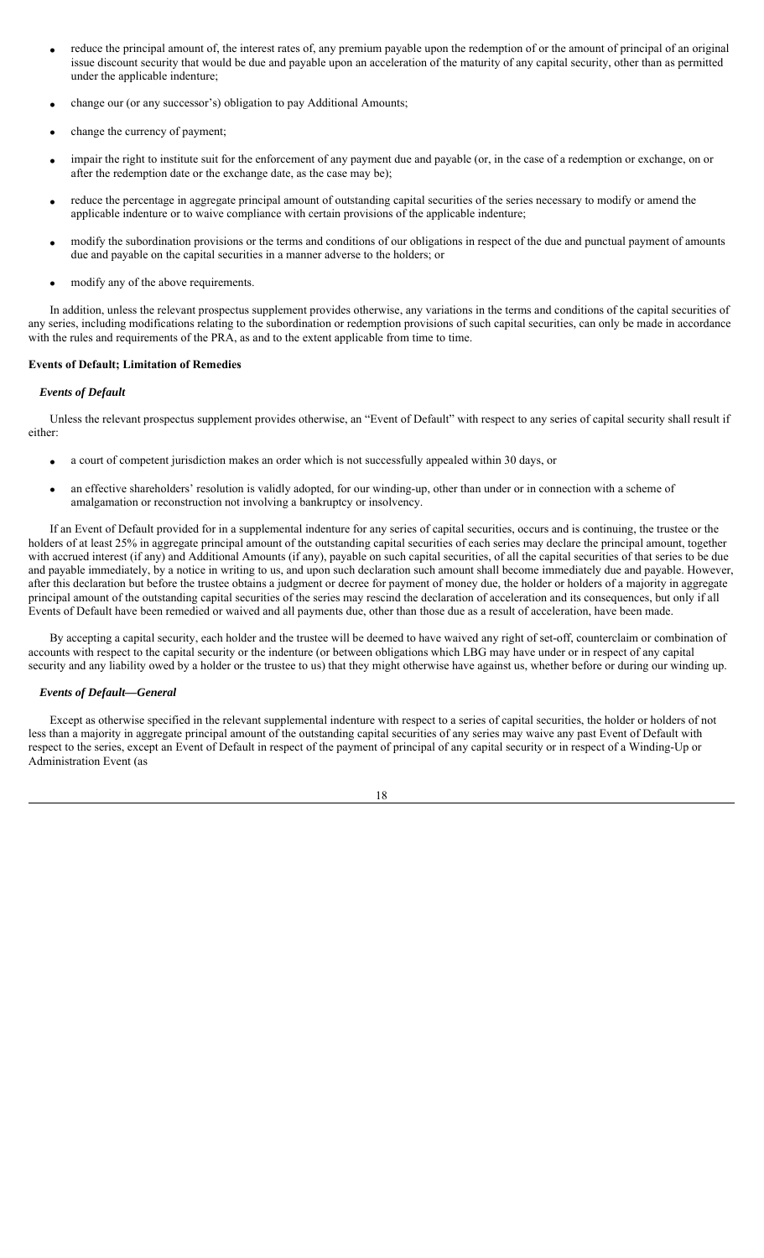- reduce the principal amount of, the interest rates of, any premium payable upon the redemption of or the amount of principal of an original issue discount security that would be due and payable upon an acceleration of the maturity of any capital security, other than as permitted under the applicable indenture;
- change our (or any successor's) obligation to pay Additional Amounts;
- change the currency of payment;
- impair the right to institute suit for the enforcement of any payment due and payable (or, in the case of a redemption or exchange, on or after the redemption date or the exchange date, as the case may be);
- reduce the percentage in aggregate principal amount of outstanding capital securities of the series necessary to modify or amend the applicable indenture or to waive compliance with certain provisions of the applicable indenture;
- modify the subordination provisions or the terms and conditions of our obligations in respect of the due and punctual payment of amounts due and payable on the capital securities in a manner adverse to the holders; or
- modify any of the above requirements.

In addition, unless the relevant prospectus supplement provides otherwise, any variations in the terms and conditions of the capital securities of any series, including modifications relating to the subordination or redemption provisions of such capital securities, can only be made in accordance with the rules and requirements of the PRA, as and to the extent applicable from time to time.

## **Events of Default; Limitation of Remedies**

## *Events of Default*

Unless the relevant prospectus supplement provides otherwise, an "Event of Default" with respect to any series of capital security shall result if either:

- a court of competent jurisdiction makes an order which is not successfully appealed within 30 days, or
- an effective shareholders' resolution is validly adopted, for our winding-up, other than under or in connection with a scheme of amalgamation or reconstruction not involving a bankruptcy or insolvency.

If an Event of Default provided for in a supplemental indenture for any series of capital securities, occurs and is continuing, the trustee or the holders of at least 25% in aggregate principal amount of the outstanding capital securities of each series may declare the principal amount, together with accrued interest (if any) and Additional Amounts (if any), payable on such capital securities, of all the capital securities of that series to be due and payable immediately, by a notice in writing to us, and upon such declaration such amount shall become immediately due and payable. However, after this declaration but before the trustee obtains a judgment or decree for payment of money due, the holder or holders of a majority in aggregate principal amount of the outstanding capital securities of the series may rescind the declaration of acceleration and its consequences, but only if all Events of Default have been remedied or waived and all payments due, other than those due as a result of acceleration, have been made.

By accepting a capital security, each holder and the trustee will be deemed to have waived any right of set-off, counterclaim or combination of accounts with respect to the capital security or the indenture (or between obligations which LBG may have under or in respect of any capital security and any liability owed by a holder or the trustee to us) that they might otherwise have against us, whether before or during our winding up.

## *Events of Default—General*

Except as otherwise specified in the relevant supplemental indenture with respect to a series of capital securities, the holder or holders of not less than a majority in aggregate principal amount of the outstanding capital securities of any series may waive any past Event of Default with respect to the series, except an Event of Default in respect of the payment of principal of any capital security or in respect of a Winding-Up or Administration Event (as

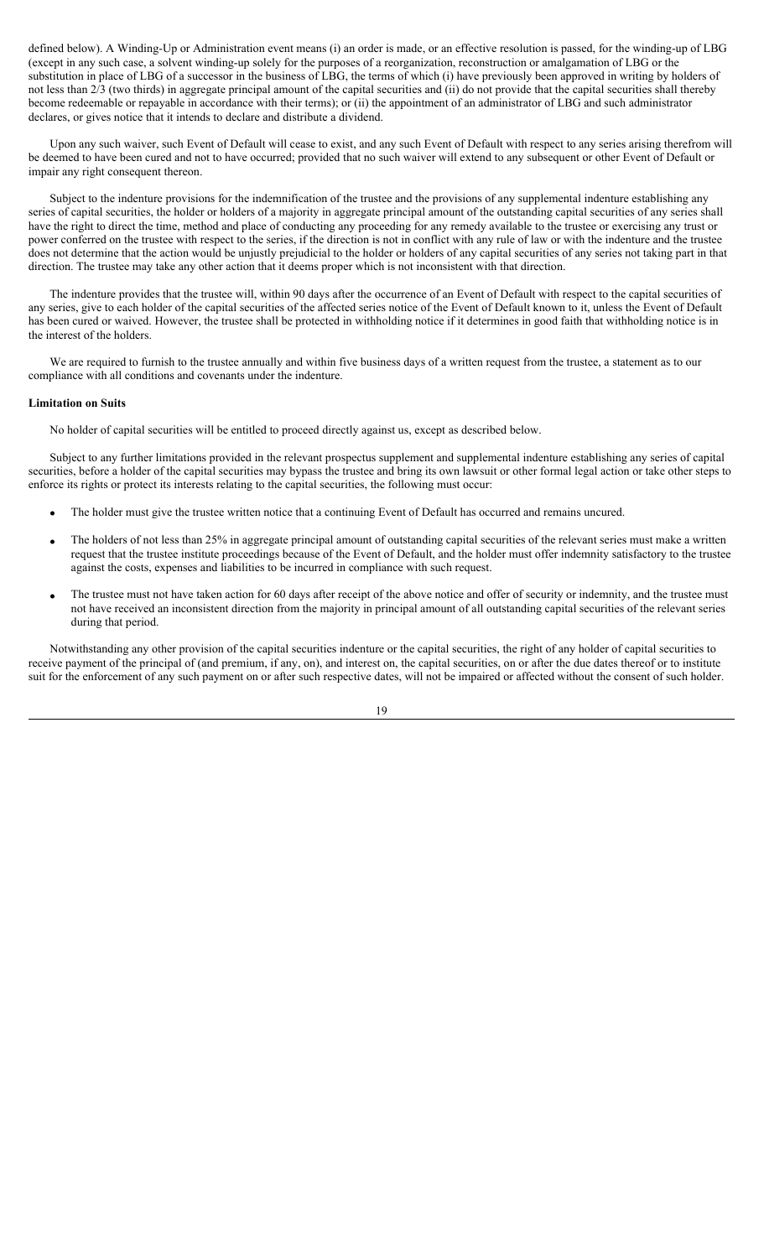defined below). A Winding-Up or Administration event means (i) an order is made, or an effective resolution is passed, for the winding-up of LBG (except in any such case, a solvent winding-up solely for the purposes of a reorganization, reconstruction or amalgamation of LBG or the substitution in place of LBG of a successor in the business of LBG, the terms of which (i) have previously been approved in writing by holders of not less than 2/3 (two thirds) in aggregate principal amount of the capital securities and (ii) do not provide that the capital securities shall thereby become redeemable or repayable in accordance with their terms); or (ii) the appointment of an administrator of LBG and such administrator declares, or gives notice that it intends to declare and distribute a dividend.

Upon any such waiver, such Event of Default will cease to exist, and any such Event of Default with respect to any series arising therefrom will be deemed to have been cured and not to have occurred; provided that no such waiver will extend to any subsequent or other Event of Default or impair any right consequent thereon.

Subject to the indenture provisions for the indemnification of the trustee and the provisions of any supplemental indenture establishing any series of capital securities, the holder or holders of a majority in aggregate principal amount of the outstanding capital securities of any series shall have the right to direct the time, method and place of conducting any proceeding for any remedy available to the trustee or exercising any trust or power conferred on the trustee with respect to the series, if the direction is not in conflict with any rule of law or with the indenture and the trustee does not determine that the action would be unjustly prejudicial to the holder or holders of any capital securities of any series not taking part in that direction. The trustee may take any other action that it deems proper which is not inconsistent with that direction.

The indenture provides that the trustee will, within 90 days after the occurrence of an Event of Default with respect to the capital securities of any series, give to each holder of the capital securities of the affected series notice of the Event of Default known to it, unless the Event of Default has been cured or waived. However, the trustee shall be protected in withholding notice if it determines in good faith that withholding notice is in the interest of the holders.

We are required to furnish to the trustee annually and within five business days of a written request from the trustee, a statement as to our compliance with all conditions and covenants under the indenture.

## **Limitation on Suits**

No holder of capital securities will be entitled to proceed directly against us, except as described below.

Subject to any further limitations provided in the relevant prospectus supplement and supplemental indenture establishing any series of capital securities, before a holder of the capital securities may bypass the trustee and bring its own lawsuit or other formal legal action or take other steps to enforce its rights or protect its interests relating to the capital securities, the following must occur:

- The holder must give the trustee written notice that a continuing Event of Default has occurred and remains uncured.
- The holders of not less than 25% in aggregate principal amount of outstanding capital securities of the relevant series must make a written request that the trustee institute proceedings because of the Event of Default, and the holder must offer indemnity satisfactory to the trustee against the costs, expenses and liabilities to be incurred in compliance with such request.
- The trustee must not have taken action for 60 days after receipt of the above notice and offer of security or indemnity, and the trustee must not have received an inconsistent direction from the majority in principal amount of all outstanding capital securities of the relevant series during that period.

Notwithstanding any other provision of the capital securities indenture or the capital securities, the right of any holder of capital securities to receive payment of the principal of (and premium, if any, on), and interest on, the capital securities, on or after the due dates thereof or to institute suit for the enforcement of any such payment on or after such respective dates, will not be impaired or affected without the consent of such holder.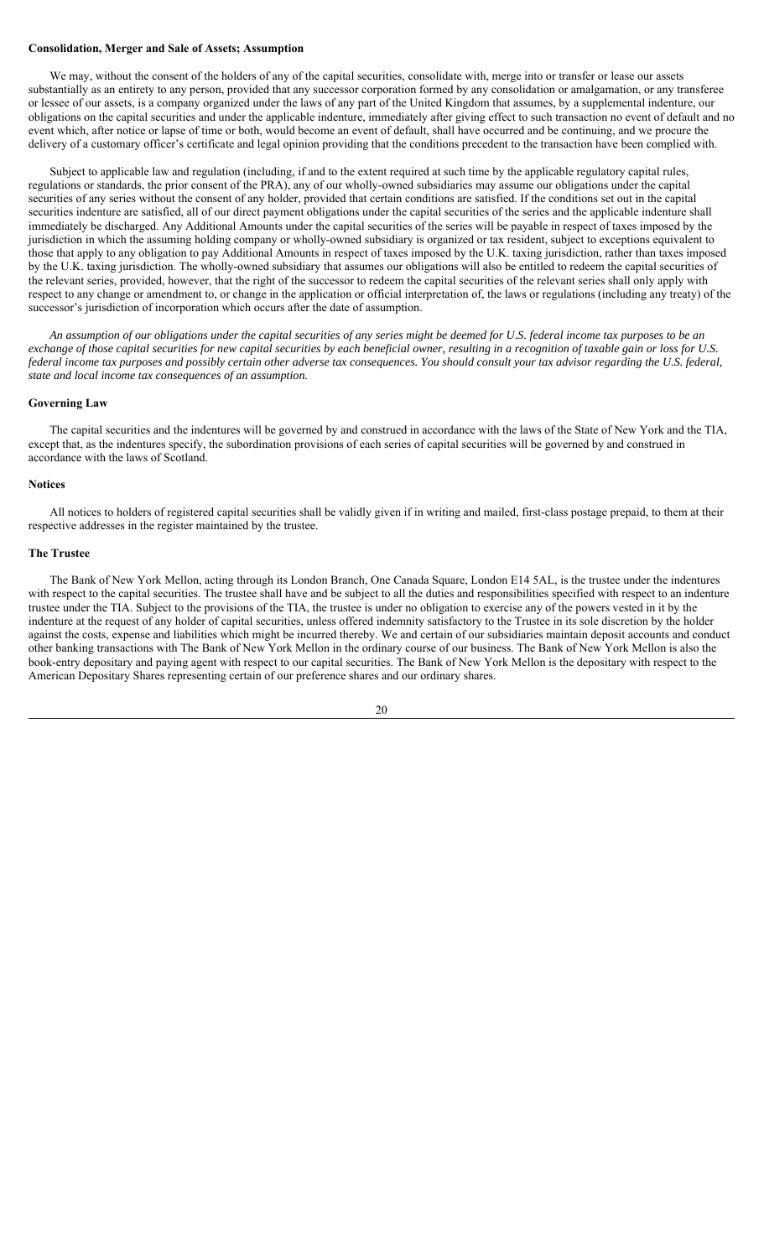### **Consolidation, Merger and Sale of Assets; Assumption**

We may, without the consent of the holders of any of the capital securities, consolidate with, merge into or transfer or lease our assets substantially as an entirety to any person, provided that any successor corporation formed by any consolidation or amalgamation, or any transferee or lessee of our assets, is a company organized under the laws of any part of the United Kingdom that assumes, by a supplemental indenture, our obligations on the capital securities and under the applicable indenture, immediately after giving effect to such transaction no event of default and no event which, after notice or lapse of time or both, would become an event of default, shall have occurred and be continuing, and we procure the delivery of a customary officer's certificate and legal opinion providing that the conditions precedent to the transaction have been complied with.

Subject to applicable law and regulation (including, if and to the extent required at such time by the applicable regulatory capital rules, regulations or standards, the prior consent of the PRA), any of our wholly-owned subsidiaries may assume our obligations under the capital securities of any series without the consent of any holder, provided that certain conditions are satisfied. If the conditions set out in the capital securities indenture are satisfied, all of our direct payment obligations under the capital securities of the series and the applicable indenture shall immediately be discharged. Any Additional Amounts under the capital securities of the series will be payable in respect of taxes imposed by the jurisdiction in which the assuming holding company or wholly-owned subsidiary is organized or tax resident, subject to exceptions equivalent to those that apply to any obligation to pay Additional Amounts in respect of taxes imposed by the U.K. taxing jurisdiction, rather than taxes imposed by the U.K. taxing jurisdiction. The wholly-owned subsidiary that assumes our obligations will also be entitled to redeem the capital securities of the relevant series, provided, however, that the right of the successor to redeem the capital securities of the relevant series shall only apply with respect to any change or amendment to, or change in the application or official interpretation of, the laws or regulations (including any treaty) of the successor's jurisdiction of incorporation which occurs after the date of assumption.

*An assumption of our obligations under the capital securities of any series might be deemed for U.S. federal income tax purposes to be an exchange of those capital securities for new capital securities by each beneficial owner, resulting in a recognition of taxable gain or loss for U.S. federal income tax purposes and possibly certain other adverse tax consequences. You should consult your tax advisor regarding the U.S. federal, state and local income tax consequences of an assumption.*

### **Governing Law**

The capital securities and the indentures will be governed by and construed in accordance with the laws of the State of New York and the TIA, except that, as the indentures specify, the subordination provisions of each series of capital securities will be governed by and construed in accordance with the laws of Scotland.

### **Notices**

All notices to holders of registered capital securities shall be validly given if in writing and mailed, first-class postage prepaid, to them at their respective addresses in the register maintained by the trustee.

### **The Trustee**

The Bank of New York Mellon, acting through its London Branch, One Canada Square, London E14 5AL, is the trustee under the indentures with respect to the capital securities. The trustee shall have and be subject to all the duties and responsibilities specified with respect to an indenture trustee under the TIA. Subject to the provisions of the TIA, the trustee is under no obligation to exercise any of the powers vested in it by the indenture at the request of any holder of capital securities, unless offered indemnity satisfactory to the Trustee in its sole discretion by the holder against the costs, expense and liabilities which might be incurred thereby. We and certain of our subsidiaries maintain deposit accounts and conduct other banking transactions with The Bank of New York Mellon in the ordinary course of our business. The Bank of New York Mellon is also the book-entry depositary and paying agent with respect to our capital securities. The Bank of New York Mellon is the depositary with respect to the American Depositary Shares representing certain of our preference shares and our ordinary shares.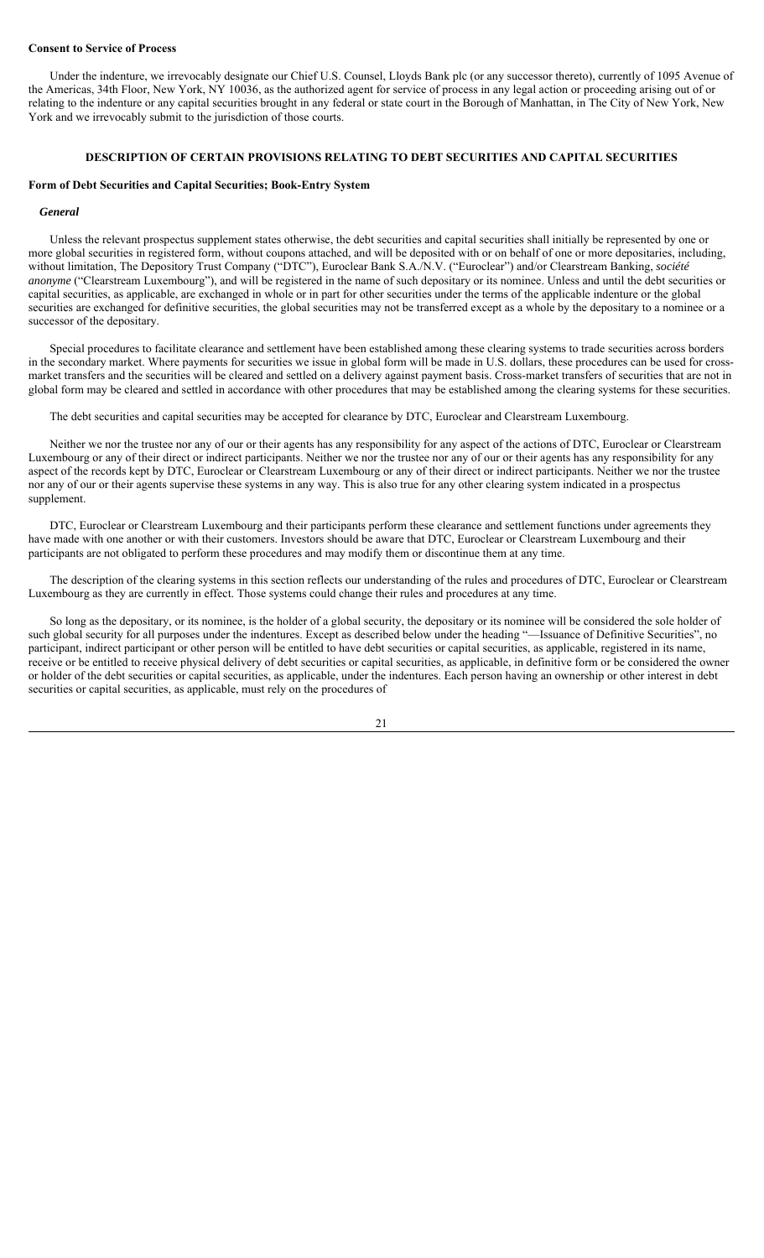### **Consent to Service of Process**

Under the indenture, we irrevocably designate our Chief U.S. Counsel, Lloyds Bank plc (or any successor thereto), currently of 1095 Avenue of the Americas, 34th Floor, New York, NY 10036, as the authorized agent for service of process in any legal action or proceeding arising out of or relating to the indenture or any capital securities brought in any federal or state court in the Borough of Manhattan, in The City of New York, New York and we irrevocably submit to the jurisdiction of those courts.

# **DESCRIPTION OF CERTAIN PROVISIONS RELATING TO DEBT SECURITIES AND CAPITAL SECURITIES**

## **Form of Debt Securities and Capital Securities; Book-Entry System**

### *General*

Unless the relevant prospectus supplement states otherwise, the debt securities and capital securities shall initially be represented by one or more global securities in registered form, without coupons attached, and will be deposited with or on behalf of one or more depositaries, including, without limitation, The Depository Trust Company ("DTC"), Euroclear Bank S.A./N.V. ("Euroclear") and/or Clearstream Banking, *société anonyme* ("Clearstream Luxembourg"), and will be registered in the name of such depositary or its nominee. Unless and until the debt securities or capital securities, as applicable, are exchanged in whole or in part for other securities under the terms of the applicable indenture or the global securities are exchanged for definitive securities, the global securities may not be transferred except as a whole by the depositary to a nominee or a successor of the depositary.

Special procedures to facilitate clearance and settlement have been established among these clearing systems to trade securities across borders in the secondary market. Where payments for securities we issue in global form will be made in U.S. dollars, these procedures can be used for crossmarket transfers and the securities will be cleared and settled on a delivery against payment basis. Cross-market transfers of securities that are not in global form may be cleared and settled in accordance with other procedures that may be established among the clearing systems for these securities.

The debt securities and capital securities may be accepted for clearance by DTC, Euroclear and Clearstream Luxembourg.

Neither we nor the trustee nor any of our or their agents has any responsibility for any aspect of the actions of DTC, Euroclear or Clearstream Luxembourg or any of their direct or indirect participants. Neither we nor the trustee nor any of our or their agents has any responsibility for any aspect of the records kept by DTC, Euroclear or Clearstream Luxembourg or any of their direct or indirect participants. Neither we nor the trustee nor any of our or their agents supervise these systems in any way. This is also true for any other clearing system indicated in a prospectus supplement.

DTC, Euroclear or Clearstream Luxembourg and their participants perform these clearance and settlement functions under agreements they have made with one another or with their customers. Investors should be aware that DTC, Euroclear or Clearstream Luxembourg and their participants are not obligated to perform these procedures and may modify them or discontinue them at any time.

The description of the clearing systems in this section reflects our understanding of the rules and procedures of DTC, Euroclear or Clearstream Luxembourg as they are currently in effect. Those systems could change their rules and procedures at any time.

So long as the depositary, or its nominee, is the holder of a global security, the depositary or its nominee will be considered the sole holder of such global security for all purposes under the indentures. Except as described below under the heading "—Issuance of Definitive Securities", no participant, indirect participant or other person will be entitled to have debt securities or capital securities, as applicable, registered in its name, receive or be entitled to receive physical delivery of debt securities or capital securities, as applicable, in definitive form or be considered the owner or holder of the debt securities or capital securities, as applicable, under the indentures. Each person having an ownership or other interest in debt securities or capital securities, as applicable, must rely on the procedures of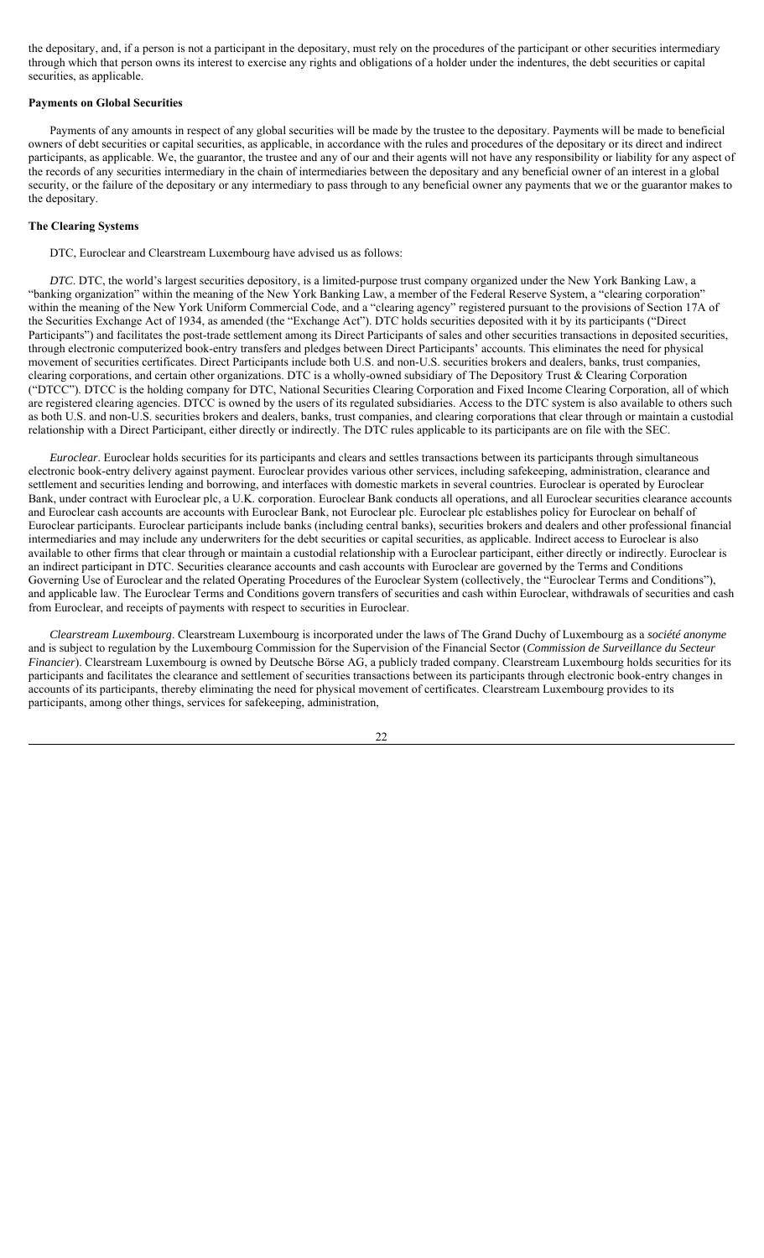the depositary, and, if a person is not a participant in the depositary, must rely on the procedures of the participant or other securities intermediary through which that person owns its interest to exercise any rights and obligations of a holder under the indentures, the debt securities or capital securities, as applicable.

#### **Payments on Global Securities**

Payments of any amounts in respect of any global securities will be made by the trustee to the depositary. Payments will be made to beneficial owners of debt securities or capital securities, as applicable, in accordance with the rules and procedures of the depositary or its direct and indirect participants, as applicable. We, the guarantor, the trustee and any of our and their agents will not have any responsibility or liability for any aspect of the records of any securities intermediary in the chain of intermediaries between the depositary and any beneficial owner of an interest in a global security, or the failure of the depositary or any intermediary to pass through to any beneficial owner any payments that we or the guarantor makes to the depositary.

### **The Clearing Systems**

DTC, Euroclear and Clearstream Luxembourg have advised us as follows:

*DTC*. DTC, the world's largest securities depository, is a limited-purpose trust company organized under the New York Banking Law, a "banking organization" within the meaning of the New York Banking Law, a member of the Federal Reserve System, a "clearing corporation" within the meaning of the New York Uniform Commercial Code, and a "clearing agency" registered pursuant to the provisions of Section 17A of the Securities Exchange Act of 1934, as amended (the "Exchange Act"). DTC holds securities deposited with it by its participants ("Direct Participants") and facilitates the post-trade settlement among its Direct Participants of sales and other securities transactions in deposited securities, through electronic computerized book-entry transfers and pledges between Direct Participants' accounts. This eliminates the need for physical movement of securities certificates. Direct Participants include both U.S. and non-U.S. securities brokers and dealers, banks, trust companies, clearing corporations, and certain other organizations. DTC is a wholly-owned subsidiary of The Depository Trust & Clearing Corporation ("DTCC"). DTCC is the holding company for DTC, National Securities Clearing Corporation and Fixed Income Clearing Corporation, all of which are registered clearing agencies. DTCC is owned by the users of its regulated subsidiaries. Access to the DTC system is also available to others such as both U.S. and non-U.S. securities brokers and dealers, banks, trust companies, and clearing corporations that clear through or maintain a custodial relationship with a Direct Participant, either directly or indirectly. The DTC rules applicable to its participants are on file with the SEC.

*Euroclear*. Euroclear holds securities for its participants and clears and settles transactions between its participants through simultaneous electronic book-entry delivery against payment. Euroclear provides various other services, including safekeeping, administration, clearance and settlement and securities lending and borrowing, and interfaces with domestic markets in several countries. Euroclear is operated by Euroclear Bank, under contract with Euroclear plc, a U.K. corporation. Euroclear Bank conducts all operations, and all Euroclear securities clearance accounts and Euroclear cash accounts are accounts with Euroclear Bank, not Euroclear plc. Euroclear plc establishes policy for Euroclear on behalf of Euroclear participants. Euroclear participants include banks (including central banks), securities brokers and dealers and other professional financial intermediaries and may include any underwriters for the debt securities or capital securities, as applicable. Indirect access to Euroclear is also available to other firms that clear through or maintain a custodial relationship with a Euroclear participant, either directly or indirectly. Euroclear is an indirect participant in DTC. Securities clearance accounts and cash accounts with Euroclear are governed by the Terms and Conditions Governing Use of Euroclear and the related Operating Procedures of the Euroclear System (collectively, the "Euroclear Terms and Conditions"), and applicable law. The Euroclear Terms and Conditions govern transfers of securities and cash within Euroclear, withdrawals of securities and cash from Euroclear, and receipts of payments with respect to securities in Euroclear.

*Clearstream Luxembourg*. Clearstream Luxembourg is incorporated under the laws of The Grand Duchy of Luxembourg as a *société anonyme*  and is subject to regulation by the Luxembourg Commission for the Supervision of the Financial Sector (*Commission de Surveillance du Secteur Financier*). Clearstream Luxembourg is owned by Deutsche Börse AG, a publicly traded company. Clearstream Luxembourg holds securities for its participants and facilitates the clearance and settlement of securities transactions between its participants through electronic book-entry changes in accounts of its participants, thereby eliminating the need for physical movement of certificates. Clearstream Luxembourg provides to its participants, among other things, services for safekeeping, administration,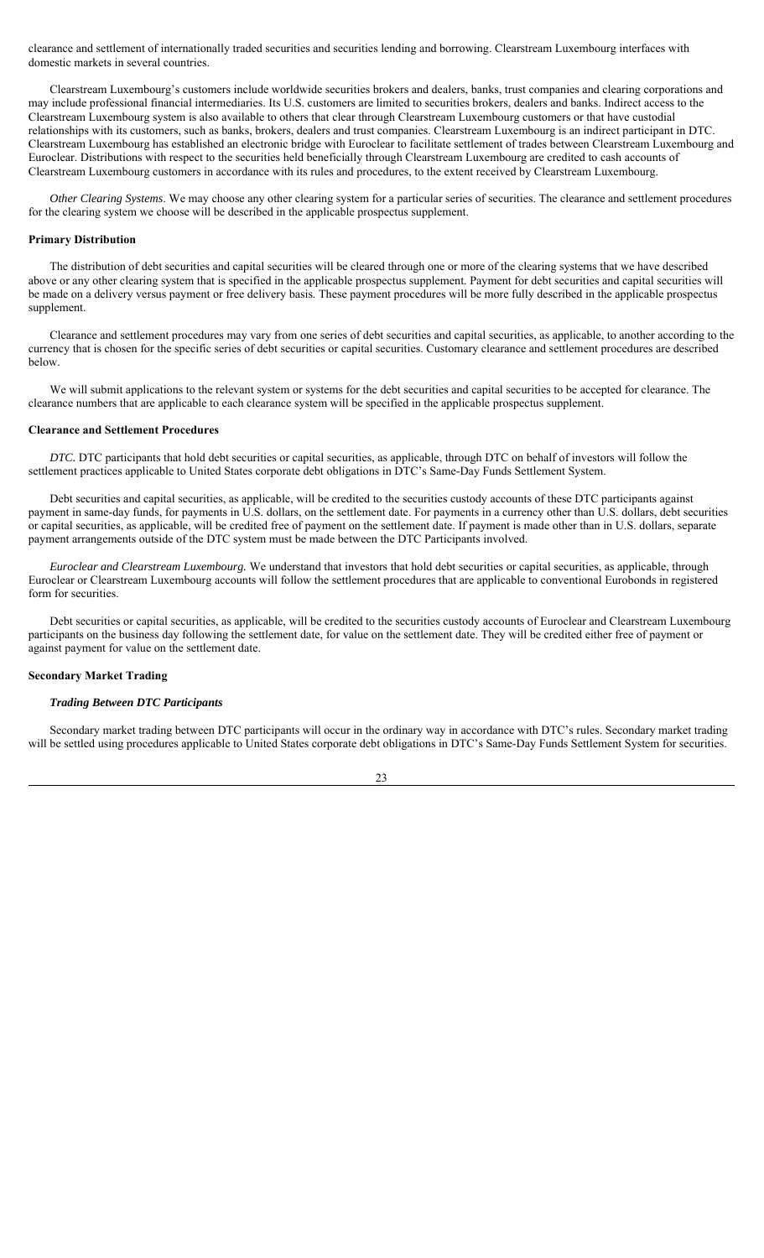clearance and settlement of internationally traded securities and securities lending and borrowing. Clearstream Luxembourg interfaces with domestic markets in several countries.

Clearstream Luxembourg's customers include worldwide securities brokers and dealers, banks, trust companies and clearing corporations and may include professional financial intermediaries. Its U.S. customers are limited to securities brokers, dealers and banks. Indirect access to the Clearstream Luxembourg system is also available to others that clear through Clearstream Luxembourg customers or that have custodial relationships with its customers, such as banks, brokers, dealers and trust companies. Clearstream Luxembourg is an indirect participant in DTC. Clearstream Luxembourg has established an electronic bridge with Euroclear to facilitate settlement of trades between Clearstream Luxembourg and Euroclear. Distributions with respect to the securities held beneficially through Clearstream Luxembourg are credited to cash accounts of Clearstream Luxembourg customers in accordance with its rules and procedures, to the extent received by Clearstream Luxembourg.

*Other Clearing Systems*. We may choose any other clearing system for a particular series of securities. The clearance and settlement procedures for the clearing system we choose will be described in the applicable prospectus supplement.

# **Primary Distribution**

The distribution of debt securities and capital securities will be cleared through one or more of the clearing systems that we have described above or any other clearing system that is specified in the applicable prospectus supplement. Payment for debt securities and capital securities will be made on a delivery versus payment or free delivery basis. These payment procedures will be more fully described in the applicable prospectus supplement.

Clearance and settlement procedures may vary from one series of debt securities and capital securities, as applicable, to another according to the currency that is chosen for the specific series of debt securities or capital securities. Customary clearance and settlement procedures are described below.

We will submit applications to the relevant system or systems for the debt securities and capital securities to be accepted for clearance. The clearance numbers that are applicable to each clearance system will be specified in the applicable prospectus supplement.

### **Clearance and Settlement Procedures**

*DTC.* DTC participants that hold debt securities or capital securities, as applicable, through DTC on behalf of investors will follow the settlement practices applicable to United States corporate debt obligations in DTC's Same-Day Funds Settlement System.

Debt securities and capital securities, as applicable, will be credited to the securities custody accounts of these DTC participants against payment in same-day funds, for payments in U.S. dollars, on the settlement date. For payments in a currency other than U.S. dollars, debt securities or capital securities, as applicable, will be credited free of payment on the settlement date. If payment is made other than in U.S. dollars, separate payment arrangements outside of the DTC system must be made between the DTC Participants involved.

*Euroclear and Clearstream Luxembourg.* We understand that investors that hold debt securities or capital securities, as applicable, through Euroclear or Clearstream Luxembourg accounts will follow the settlement procedures that are applicable to conventional Eurobonds in registered form for securities.

Debt securities or capital securities, as applicable, will be credited to the securities custody accounts of Euroclear and Clearstream Luxembourg participants on the business day following the settlement date, for value on the settlement date. They will be credited either free of payment or against payment for value on the settlement date.

## **Secondary Market Trading**

### *Trading Between DTC Participants*

Secondary market trading between DTC participants will occur in the ordinary way in accordance with DTC's rules. Secondary market trading will be settled using procedures applicable to United States corporate debt obligations in DTC's Same-Day Funds Settlement System for securities.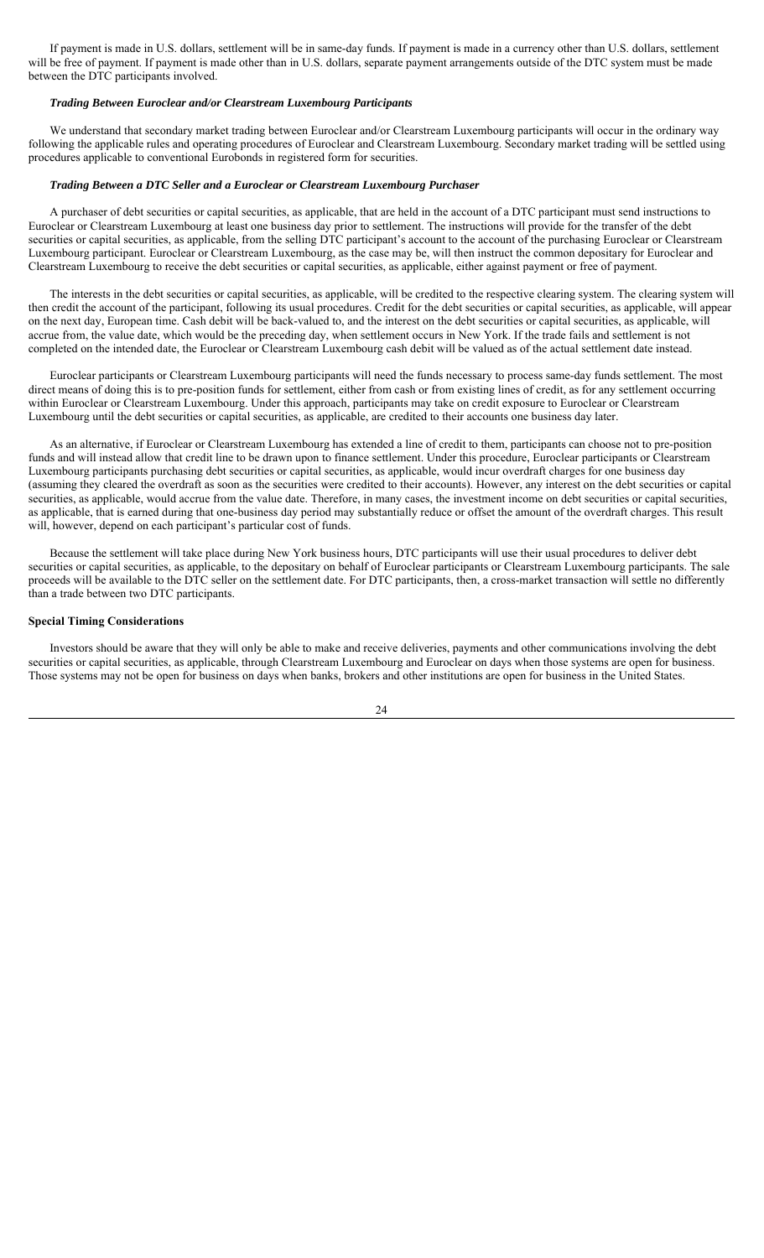If payment is made in U.S. dollars, settlement will be in same-day funds. If payment is made in a currency other than U.S. dollars, settlement will be free of payment. If payment is made other than in U.S. dollars, separate payment arrangements outside of the DTC system must be made between the DTC participants involved.

### *Trading Between Euroclear and/or Clearstream Luxembourg Participants*

We understand that secondary market trading between Euroclear and/or Clearstream Luxembourg participants will occur in the ordinary way following the applicable rules and operating procedures of Euroclear and Clearstream Luxembourg. Secondary market trading will be settled using procedures applicable to conventional Eurobonds in registered form for securities.

## *Trading Between a DTC Seller and a Euroclear or Clearstream Luxembourg Purchaser*

A purchaser of debt securities or capital securities, as applicable, that are held in the account of a DTC participant must send instructions to Euroclear or Clearstream Luxembourg at least one business day prior to settlement. The instructions will provide for the transfer of the debt securities or capital securities, as applicable, from the selling DTC participant's account to the account of the purchasing Euroclear or Clearstream Luxembourg participant. Euroclear or Clearstream Luxembourg, as the case may be, will then instruct the common depositary for Euroclear and Clearstream Luxembourg to receive the debt securities or capital securities, as applicable, either against payment or free of payment.

The interests in the debt securities or capital securities, as applicable, will be credited to the respective clearing system. The clearing system will then credit the account of the participant, following its usual procedures. Credit for the debt securities or capital securities, as applicable, will appear on the next day, European time. Cash debit will be back-valued to, and the interest on the debt securities or capital securities, as applicable, will accrue from, the value date, which would be the preceding day, when settlement occurs in New York. If the trade fails and settlement is not completed on the intended date, the Euroclear or Clearstream Luxembourg cash debit will be valued as of the actual settlement date instead.

Euroclear participants or Clearstream Luxembourg participants will need the funds necessary to process same-day funds settlement. The most direct means of doing this is to pre-position funds for settlement, either from cash or from existing lines of credit, as for any settlement occurring within Euroclear or Clearstream Luxembourg. Under this approach, participants may take on credit exposure to Euroclear or Clearstream Luxembourg until the debt securities or capital securities, as applicable, are credited to their accounts one business day later.

As an alternative, if Euroclear or Clearstream Luxembourg has extended a line of credit to them, participants can choose not to pre-position funds and will instead allow that credit line to be drawn upon to finance settlement. Under this procedure, Euroclear participants or Clearstream Luxembourg participants purchasing debt securities or capital securities, as applicable, would incur overdraft charges for one business day (assuming they cleared the overdraft as soon as the securities were credited to their accounts). However, any interest on the debt securities or capital securities, as applicable, would accrue from the value date. Therefore, in many cases, the investment income on debt securities or capital securities, as applicable, that is earned during that one-business day period may substantially reduce or offset the amount of the overdraft charges. This result will, however, depend on each participant's particular cost of funds.

Because the settlement will take place during New York business hours, DTC participants will use their usual procedures to deliver debt securities or capital securities, as applicable, to the depositary on behalf of Euroclear participants or Clearstream Luxembourg participants. The sale proceeds will be available to the DTC seller on the settlement date. For DTC participants, then, a cross-market transaction will settle no differently than a trade between two DTC participants.

### **Special Timing Considerations**

Investors should be aware that they will only be able to make and receive deliveries, payments and other communications involving the debt securities or capital securities, as applicable, through Clearstream Luxembourg and Euroclear on days when those systems are open for business. Those systems may not be open for business on days when banks, brokers and other institutions are open for business in the United States.

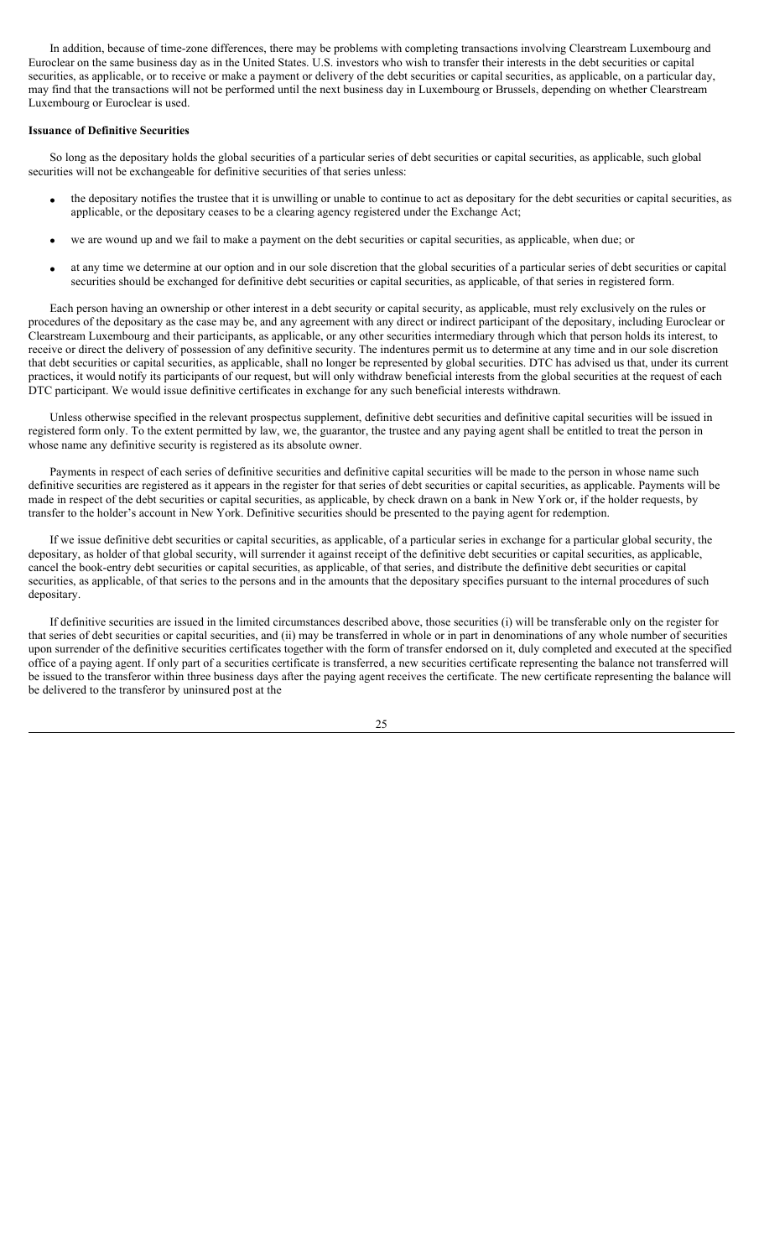In addition, because of time-zone differences, there may be problems with completing transactions involving Clearstream Luxembourg and Euroclear on the same business day as in the United States. U.S. investors who wish to transfer their interests in the debt securities or capital securities, as applicable, or to receive or make a payment or delivery of the debt securities or capital securities, as applicable, on a particular day, may find that the transactions will not be performed until the next business day in Luxembourg or Brussels, depending on whether Clearstream Luxembourg or Euroclear is used.

## **Issuance of Definitive Securities**

So long as the depositary holds the global securities of a particular series of debt securities or capital securities, as applicable, such global securities will not be exchangeable for definitive securities of that series unless:

- the depositary notifies the trustee that it is unwilling or unable to continue to act as depositary for the debt securities or capital securities, as applicable, or the depositary ceases to be a clearing agency registered under the Exchange Act;
- we are wound up and we fail to make a payment on the debt securities or capital securities, as applicable, when due; or
- at any time we determine at our option and in our sole discretion that the global securities of a particular series of debt securities or capital securities should be exchanged for definitive debt securities or capital securities, as applicable, of that series in registered form.

Each person having an ownership or other interest in a debt security or capital security, as applicable, must rely exclusively on the rules or procedures of the depositary as the case may be, and any agreement with any direct or indirect participant of the depositary, including Euroclear or Clearstream Luxembourg and their participants, as applicable, or any other securities intermediary through which that person holds its interest, to receive or direct the delivery of possession of any definitive security. The indentures permit us to determine at any time and in our sole discretion that debt securities or capital securities, as applicable, shall no longer be represented by global securities. DTC has advised us that, under its current practices, it would notify its participants of our request, but will only withdraw beneficial interests from the global securities at the request of each DTC participant. We would issue definitive certificates in exchange for any such beneficial interests withdrawn.

Unless otherwise specified in the relevant prospectus supplement, definitive debt securities and definitive capital securities will be issued in registered form only. To the extent permitted by law, we, the guarantor, the trustee and any paying agent shall be entitled to treat the person in whose name any definitive security is registered as its absolute owner.

Payments in respect of each series of definitive securities and definitive capital securities will be made to the person in whose name such definitive securities are registered as it appears in the register for that series of debt securities or capital securities, as applicable. Payments will be made in respect of the debt securities or capital securities, as applicable, by check drawn on a bank in New York or, if the holder requests, by transfer to the holder's account in New York. Definitive securities should be presented to the paying agent for redemption.

If we issue definitive debt securities or capital securities, as applicable, of a particular series in exchange for a particular global security, the depositary, as holder of that global security, will surrender it against receipt of the definitive debt securities or capital securities, as applicable, cancel the book-entry debt securities or capital securities, as applicable, of that series, and distribute the definitive debt securities or capital securities, as applicable, of that series to the persons and in the amounts that the depositary specifies pursuant to the internal procedures of such depositary.

If definitive securities are issued in the limited circumstances described above, those securities (i) will be transferable only on the register for that series of debt securities or capital securities, and (ii) may be transferred in whole or in part in denominations of any whole number of securities upon surrender of the definitive securities certificates together with the form of transfer endorsed on it, duly completed and executed at the specified office of a paying agent. If only part of a securities certificate is transferred, a new securities certificate representing the balance not transferred will be issued to the transferor within three business days after the paying agent receives the certificate. The new certificate representing the balance will be delivered to the transferor by uninsured post at the

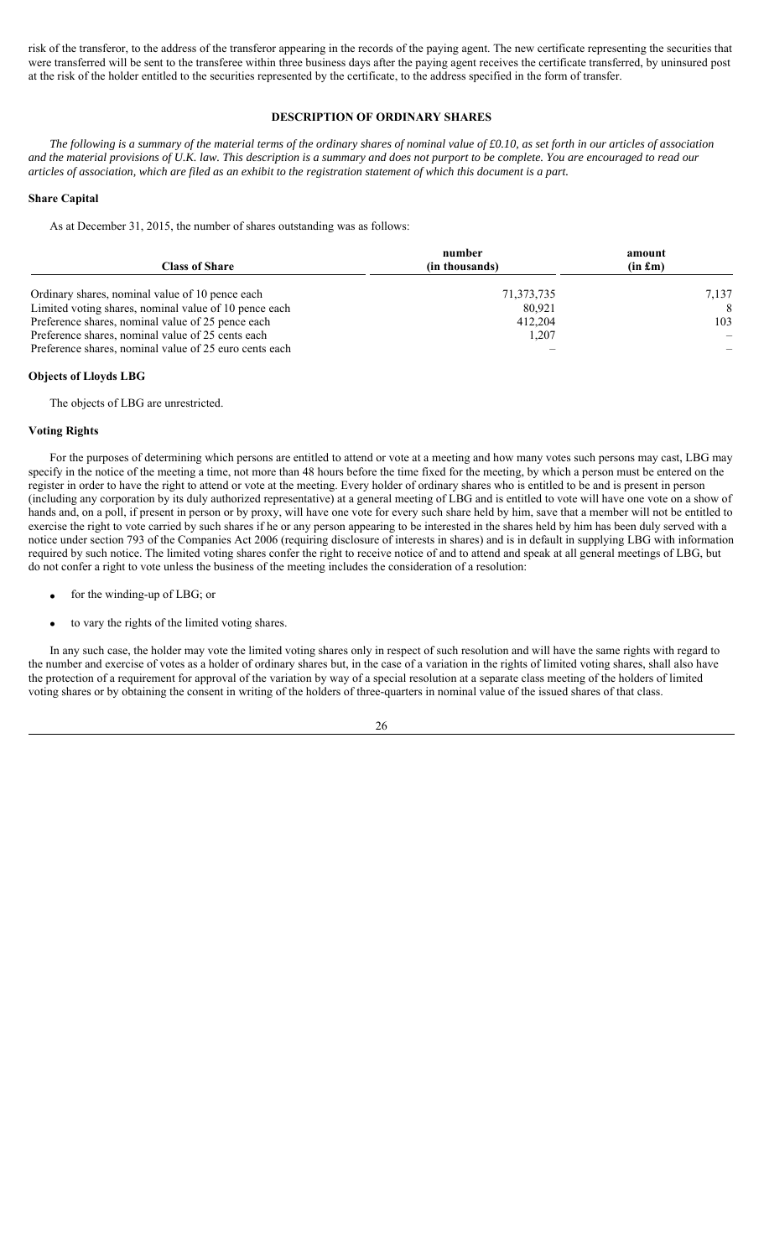risk of the transferor, to the address of the transferor appearing in the records of the paying agent. The new certificate representing the securities that were transferred will be sent to the transferee within three business days after the paying agent receives the certificate transferred, by uninsured post at the risk of the holder entitled to the securities represented by the certificate, to the address specified in the form of transfer.

# **DESCRIPTION OF ORDINARY SHARES**

*The following is a summary of the material terms of the ordinary shares of nominal value of £0.10, as set forth in our articles of association and the material provisions of U.K. law. This description is a summary and does not purport to be complete. You are encouraged to read our articles of association, which are filed as an exhibit to the registration statement of which this document is a part.*

### **Share Capital**

As at December 31, 2015, the number of shares outstanding was as follows:

| <b>Class of Share</b>                                  | number<br>(in thousands) | amount<br>$(in \, \pounds m)$ |
|--------------------------------------------------------|--------------------------|-------------------------------|
| Ordinary shares, nominal value of 10 pence each        | 71, 373, 735             | 7,137                         |
| Limited voting shares, nominal value of 10 pence each  | 80.921                   | 8                             |
| Preference shares, nominal value of 25 pence each      | 412,204                  | 103                           |
| Preference shares, nominal value of 25 cents each      | 1,207                    |                               |
| Preference shares, nominal value of 25 euro cents each |                          |                               |

### **Objects of Lloyds LBG**

The objects of LBG are unrestricted.

# **Voting Rights**

For the purposes of determining which persons are entitled to attend or vote at a meeting and how many votes such persons may cast, LBG may specify in the notice of the meeting a time, not more than 48 hours before the time fixed for the meeting, by which a person must be entered on the register in order to have the right to attend or vote at the meeting. Every holder of ordinary shares who is entitled to be and is present in person (including any corporation by its duly authorized representative) at a general meeting of LBG and is entitled to vote will have one vote on a show of hands and, on a poll, if present in person or by proxy, will have one vote for every such share held by him, save that a member will not be entitled to exercise the right to vote carried by such shares if he or any person appearing to be interested in the shares held by him has been duly served with a notice under section 793 of the Companies Act 2006 (requiring disclosure of interests in shares) and is in default in supplying LBG with information required by such notice. The limited voting shares confer the right to receive notice of and to attend and speak at all general meetings of LBG, but do not confer a right to vote unless the business of the meeting includes the consideration of a resolution:

- for the winding-up of LBG; or
- to vary the rights of the limited voting shares.

In any such case, the holder may vote the limited voting shares only in respect of such resolution and will have the same rights with regard to the number and exercise of votes as a holder of ordinary shares but, in the case of a variation in the rights of limited voting shares, shall also have the protection of a requirement for approval of the variation by way of a special resolution at a separate class meeting of the holders of limited voting shares or by obtaining the consent in writing of the holders of three-quarters in nominal value of the issued shares of that class.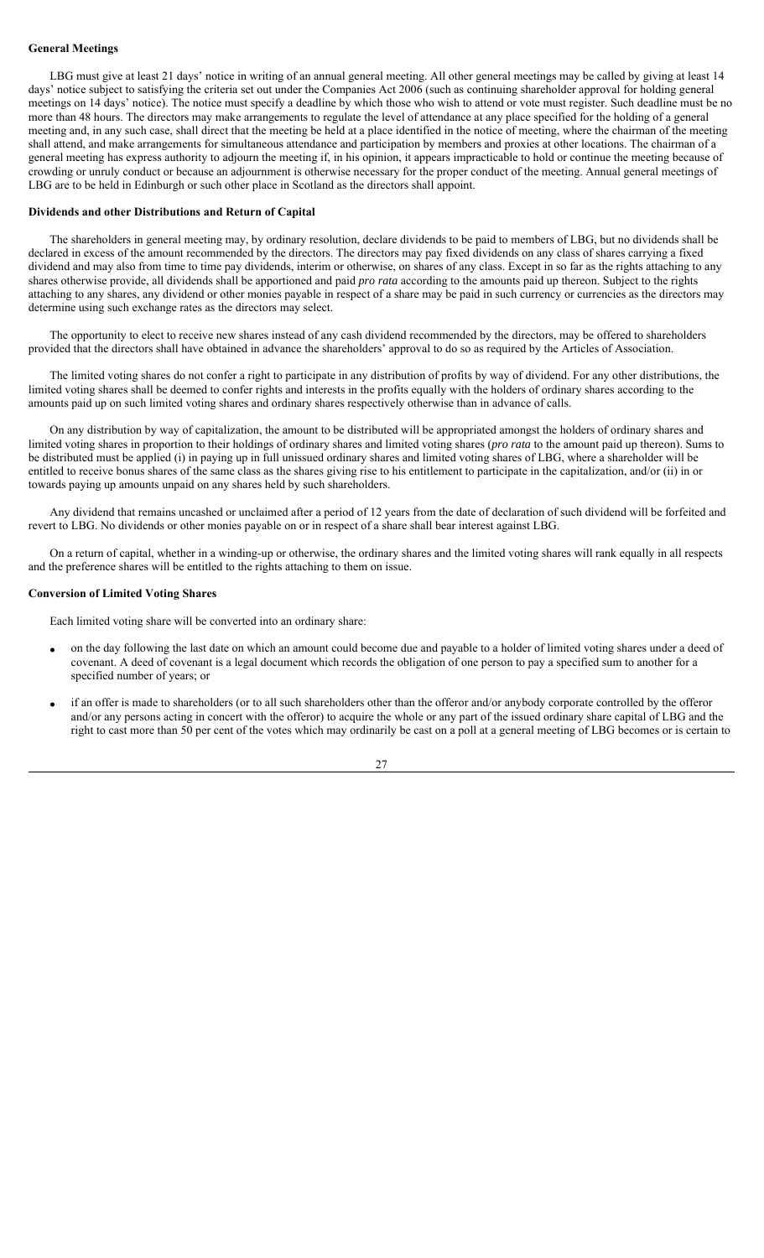## **General Meetings**

LBG must give at least 21 days' notice in writing of an annual general meeting. All other general meetings may be called by giving at least 14 days' notice subject to satisfying the criteria set out under the Companies Act 2006 (such as continuing shareholder approval for holding general meetings on 14 days' notice). The notice must specify a deadline by which those who wish to attend or vote must register. Such deadline must be no more than 48 hours. The directors may make arrangements to regulate the level of attendance at any place specified for the holding of a general meeting and, in any such case, shall direct that the meeting be held at a place identified in the notice of meeting, where the chairman of the meeting shall attend, and make arrangements for simultaneous attendance and participation by members and proxies at other locations. The chairman of a general meeting has express authority to adjourn the meeting if, in his opinion, it appears impracticable to hold or continue the meeting because of crowding or unruly conduct or because an adjournment is otherwise necessary for the proper conduct of the meeting. Annual general meetings of LBG are to be held in Edinburgh or such other place in Scotland as the directors shall appoint.

### **Dividends and other Distributions and Return of Capital**

The shareholders in general meeting may, by ordinary resolution, declare dividends to be paid to members of LBG, but no dividends shall be declared in excess of the amount recommended by the directors. The directors may pay fixed dividends on any class of shares carrying a fixed dividend and may also from time to time pay dividends, interim or otherwise, on shares of any class. Except in so far as the rights attaching to any shares otherwise provide, all dividends shall be apportioned and paid *pro rata* according to the amounts paid up thereon. Subject to the rights attaching to any shares, any dividend or other monies payable in respect of a share may be paid in such currency or currencies as the directors may determine using such exchange rates as the directors may select.

The opportunity to elect to receive new shares instead of any cash dividend recommended by the directors, may be offered to shareholders provided that the directors shall have obtained in advance the shareholders' approval to do so as required by the Articles of Association.

The limited voting shares do not confer a right to participate in any distribution of profits by way of dividend. For any other distributions, the limited voting shares shall be deemed to confer rights and interests in the profits equally with the holders of ordinary shares according to the amounts paid up on such limited voting shares and ordinary shares respectively otherwise than in advance of calls.

On any distribution by way of capitalization, the amount to be distributed will be appropriated amongst the holders of ordinary shares and limited voting shares in proportion to their holdings of ordinary shares and limited voting shares (*pro rata* to the amount paid up thereon). Sums to be distributed must be applied (i) in paying up in full unissued ordinary shares and limited voting shares of LBG, where a shareholder will be entitled to receive bonus shares of the same class as the shares giving rise to his entitlement to participate in the capitalization, and/or (ii) in or towards paying up amounts unpaid on any shares held by such shareholders.

Any dividend that remains uncashed or unclaimed after a period of 12 years from the date of declaration of such dividend will be forfeited and revert to LBG. No dividends or other monies payable on or in respect of a share shall bear interest against LBG.

On a return of capital, whether in a winding-up or otherwise, the ordinary shares and the limited voting shares will rank equally in all respects and the preference shares will be entitled to the rights attaching to them on issue.

### **Conversion of Limited Voting Shares**

Each limited voting share will be converted into an ordinary share:

- on the day following the last date on which an amount could become due and payable to a holder of limited voting shares under a deed of covenant. A deed of covenant is a legal document which records the obligation of one person to pay a specified sum to another for a specified number of years; or
- if an offer is made to shareholders (or to all such shareholders other than the offeror and/or anybody corporate controlled by the offeror and/or any persons acting in concert with the offeror) to acquire the whole or any part of the issued ordinary share capital of LBG and the right to cast more than 50 per cent of the votes which may ordinarily be cast on a poll at a general meeting of LBG becomes or is certain to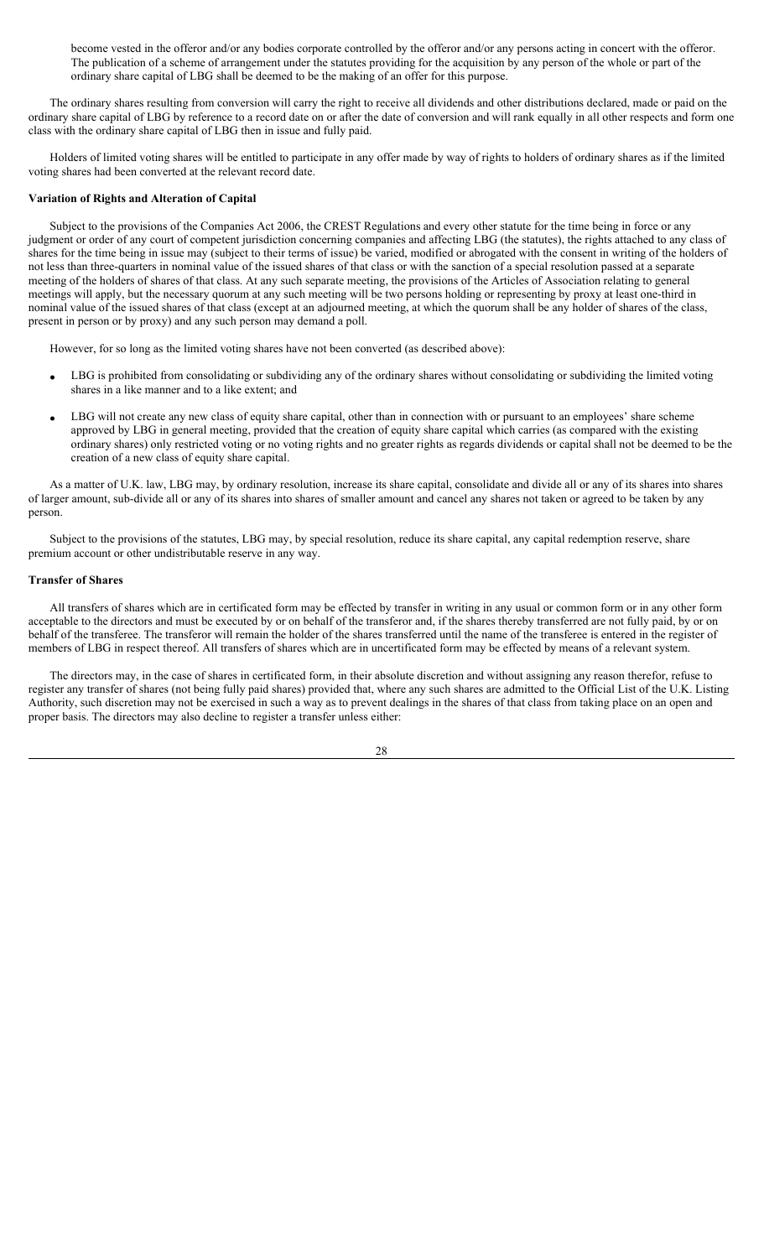become vested in the offeror and/or any bodies corporate controlled by the offeror and/or any persons acting in concert with the offeror. The publication of a scheme of arrangement under the statutes providing for the acquisition by any person of the whole or part of the ordinary share capital of LBG shall be deemed to be the making of an offer for this purpose.

The ordinary shares resulting from conversion will carry the right to receive all dividends and other distributions declared, made or paid on the ordinary share capital of LBG by reference to a record date on or after the date of conversion and will rank equally in all other respects and form one class with the ordinary share capital of LBG then in issue and fully paid.

Holders of limited voting shares will be entitled to participate in any offer made by way of rights to holders of ordinary shares as if the limited voting shares had been converted at the relevant record date.

### **Variation of Rights and Alteration of Capital**

Subject to the provisions of the Companies Act 2006, the CREST Regulations and every other statute for the time being in force or any judgment or order of any court of competent jurisdiction concerning companies and affecting LBG (the statutes), the rights attached to any class of shares for the time being in issue may (subject to their terms of issue) be varied, modified or abrogated with the consent in writing of the holders of not less than three-quarters in nominal value of the issued shares of that class or with the sanction of a special resolution passed at a separate meeting of the holders of shares of that class. At any such separate meeting, the provisions of the Articles of Association relating to general meetings will apply, but the necessary quorum at any such meeting will be two persons holding or representing by proxy at least one-third in nominal value of the issued shares of that class (except at an adjourned meeting, at which the quorum shall be any holder of shares of the class, present in person or by proxy) and any such person may demand a poll.

However, for so long as the limited voting shares have not been converted (as described above):

- LBG is prohibited from consolidating or subdividing any of the ordinary shares without consolidating or subdividing the limited voting shares in a like manner and to a like extent; and
- LBG will not create any new class of equity share capital, other than in connection with or pursuant to an employees' share scheme approved by LBG in general meeting, provided that the creation of equity share capital which carries (as compared with the existing ordinary shares) only restricted voting or no voting rights and no greater rights as regards dividends or capital shall not be deemed to be the creation of a new class of equity share capital.

As a matter of U.K. law, LBG may, by ordinary resolution, increase its share capital, consolidate and divide all or any of its shares into shares of larger amount, sub-divide all or any of its shares into shares of smaller amount and cancel any shares not taken or agreed to be taken by any person.

Subject to the provisions of the statutes, LBG may, by special resolution, reduce its share capital, any capital redemption reserve, share premium account or other undistributable reserve in any way.

## **Transfer of Shares**

All transfers of shares which are in certificated form may be effected by transfer in writing in any usual or common form or in any other form acceptable to the directors and must be executed by or on behalf of the transferor and, if the shares thereby transferred are not fully paid, by or on behalf of the transferee. The transferor will remain the holder of the shares transferred until the name of the transferee is entered in the register of members of LBG in respect thereof. All transfers of shares which are in uncertificated form may be effected by means of a relevant system.

The directors may, in the case of shares in certificated form, in their absolute discretion and without assigning any reason therefor, refuse to register any transfer of shares (not being fully paid shares) provided that, where any such shares are admitted to the Official List of the U.K. Listing Authority, such discretion may not be exercised in such a way as to prevent dealings in the shares of that class from taking place on an open and proper basis. The directors may also decline to register a transfer unless either: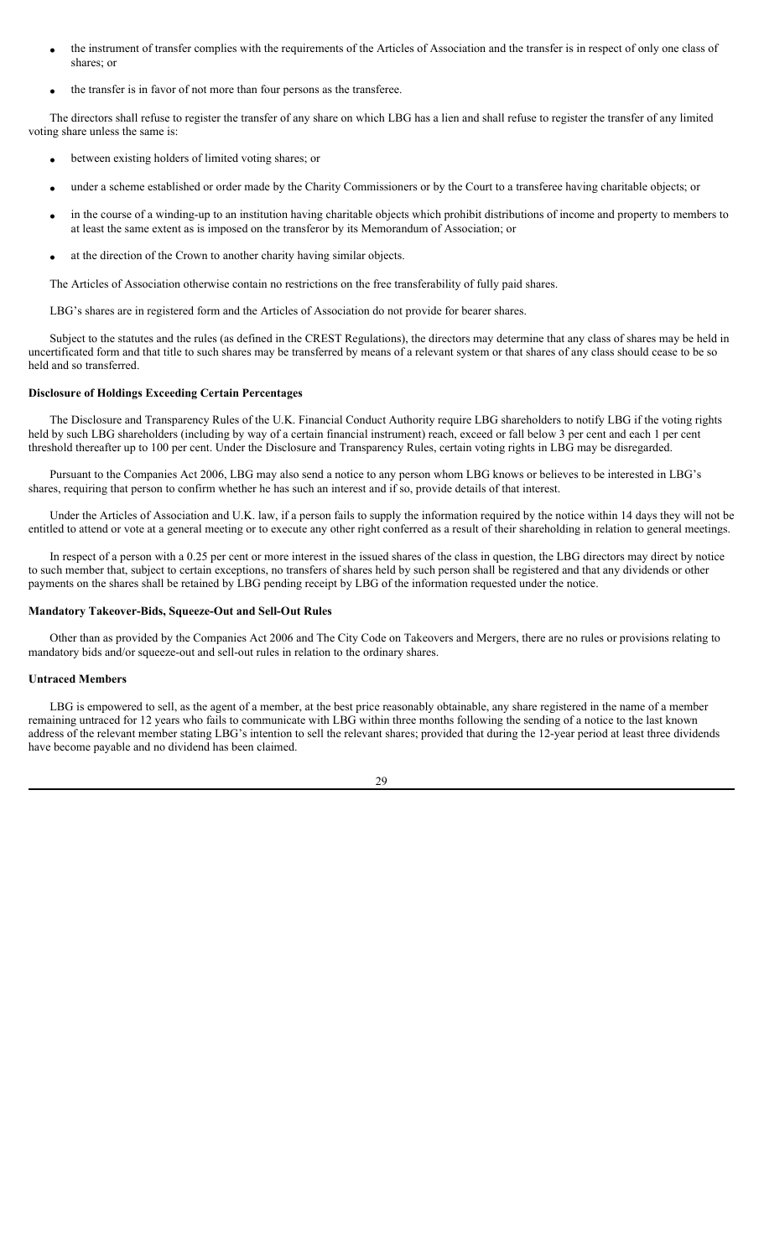- the instrument of transfer complies with the requirements of the Articles of Association and the transfer is in respect of only one class of shares; or
- the transfer is in favor of not more than four persons as the transferee.

The directors shall refuse to register the transfer of any share on which LBG has a lien and shall refuse to register the transfer of any limited voting share unless the same is:

- between existing holders of limited voting shares; or
- under a scheme established or order made by the Charity Commissioners or by the Court to a transferee having charitable objects; or
- in the course of a winding-up to an institution having charitable objects which prohibit distributions of income and property to members to at least the same extent as is imposed on the transferor by its Memorandum of Association; or
- at the direction of the Crown to another charity having similar objects.

The Articles of Association otherwise contain no restrictions on the free transferability of fully paid shares.

LBG's shares are in registered form and the Articles of Association do not provide for bearer shares.

Subject to the statutes and the rules (as defined in the CREST Regulations), the directors may determine that any class of shares may be held in uncertificated form and that title to such shares may be transferred by means of a relevant system or that shares of any class should cease to be so held and so transferred.

## **Disclosure of Holdings Exceeding Certain Percentages**

The Disclosure and Transparency Rules of the U.K. Financial Conduct Authority require LBG shareholders to notify LBG if the voting rights held by such LBG shareholders (including by way of a certain financial instrument) reach, exceed or fall below 3 per cent and each 1 per cent threshold thereafter up to 100 per cent. Under the Disclosure and Transparency Rules, certain voting rights in LBG may be disregarded.

Pursuant to the Companies Act 2006, LBG may also send a notice to any person whom LBG knows or believes to be interested in LBG's shares, requiring that person to confirm whether he has such an interest and if so, provide details of that interest.

Under the Articles of Association and U.K. law, if a person fails to supply the information required by the notice within 14 days they will not be entitled to attend or vote at a general meeting or to execute any other right conferred as a result of their shareholding in relation to general meetings.

In respect of a person with a 0.25 per cent or more interest in the issued shares of the class in question, the LBG directors may direct by notice to such member that, subject to certain exceptions, no transfers of shares held by such person shall be registered and that any dividends or other payments on the shares shall be retained by LBG pending receipt by LBG of the information requested under the notice.

## **Mandatory Takeover-Bids, Squeeze-Out and Sell-Out Rules**

Other than as provided by the Companies Act 2006 and The City Code on Takeovers and Mergers, there are no rules or provisions relating to mandatory bids and/or squeeze-out and sell-out rules in relation to the ordinary shares.

## **Untraced Members**

LBG is empowered to sell, as the agent of a member, at the best price reasonably obtainable, any share registered in the name of a member remaining untraced for 12 years who fails to communicate with LBG within three months following the sending of a notice to the last known address of the relevant member stating LBG's intention to sell the relevant shares; provided that during the 12-year period at least three dividends have become payable and no dividend has been claimed.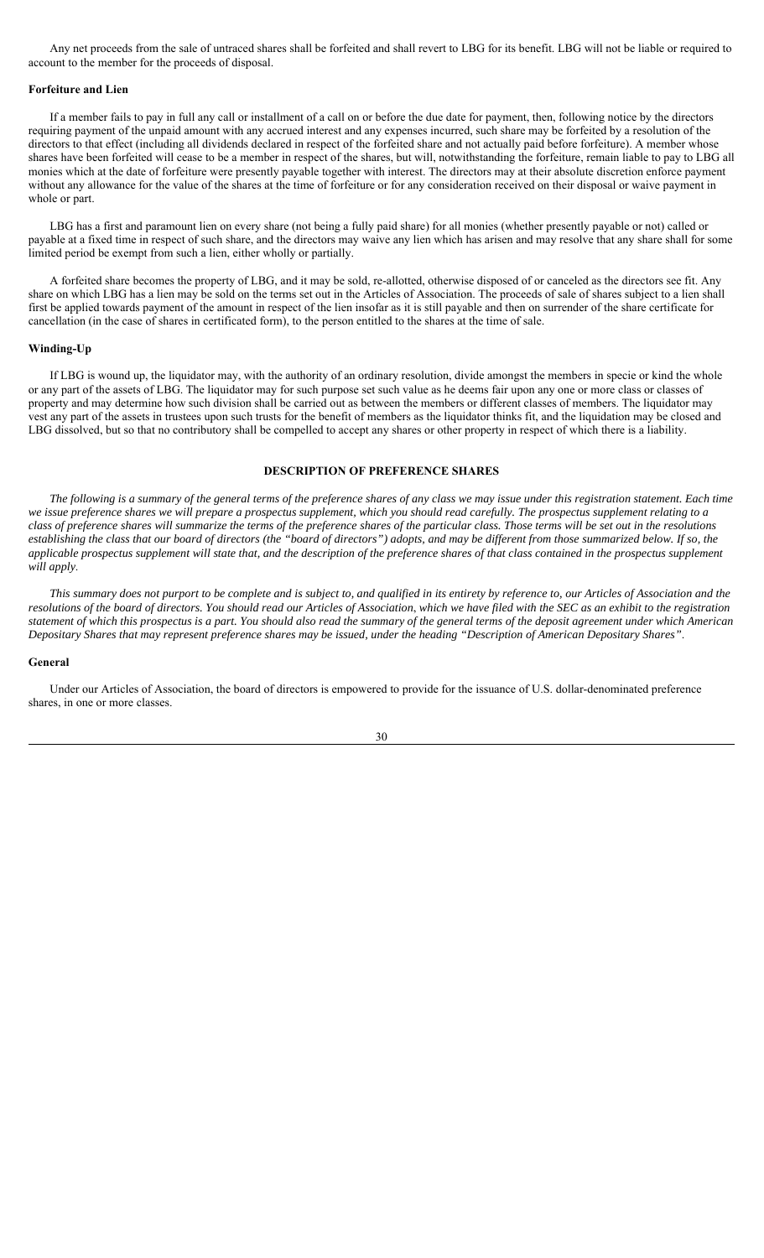Any net proceeds from the sale of untraced shares shall be forfeited and shall revert to LBG for its benefit. LBG will not be liable or required to account to the member for the proceeds of disposal.

### **Forfeiture and Lien**

If a member fails to pay in full any call or installment of a call on or before the due date for payment, then, following notice by the directors requiring payment of the unpaid amount with any accrued interest and any expenses incurred, such share may be forfeited by a resolution of the directors to that effect (including all dividends declared in respect of the forfeited share and not actually paid before forfeiture). A member whose shares have been forfeited will cease to be a member in respect of the shares, but will, notwithstanding the forfeiture, remain liable to pay to LBG all monies which at the date of forfeiture were presently payable together with interest. The directors may at their absolute discretion enforce payment without any allowance for the value of the shares at the time of forfeiture or for any consideration received on their disposal or waive payment in whole or part.

LBG has a first and paramount lien on every share (not being a fully paid share) for all monies (whether presently payable or not) called or payable at a fixed time in respect of such share, and the directors may waive any lien which has arisen and may resolve that any share shall for some limited period be exempt from such a lien, either wholly or partially.

A forfeited share becomes the property of LBG, and it may be sold, re-allotted, otherwise disposed of or canceled as the directors see fit. Any share on which LBG has a lien may be sold on the terms set out in the Articles of Association. The proceeds of sale of shares subject to a lien shall first be applied towards payment of the amount in respect of the lien insofar as it is still payable and then on surrender of the share certificate for cancellation (in the case of shares in certificated form), to the person entitled to the shares at the time of sale.

### **Winding-Up**

If LBG is wound up, the liquidator may, with the authority of an ordinary resolution, divide amongst the members in specie or kind the whole or any part of the assets of LBG. The liquidator may for such purpose set such value as he deems fair upon any one or more class or classes of property and may determine how such division shall be carried out as between the members or different classes of members. The liquidator may vest any part of the assets in trustees upon such trusts for the benefit of members as the liquidator thinks fit, and the liquidation may be closed and LBG dissolved, but so that no contributory shall be compelled to accept any shares or other property in respect of which there is a liability.

## **DESCRIPTION OF PREFERENCE SHARES**

*The following is a summary of the general terms of the preference shares of any class we may issue under this registration statement. Each time we issue preference shares we will prepare a prospectus supplement, which you should read carefully. The prospectus supplement relating to a class of preference shares will summarize the terms of the preference shares of the particular class. Those terms will be set out in the resolutions establishing the class that our board of directors (the "board of directors") adopts, and may be different from those summarized below. If so, the applicable prospectus supplement will state that, and the description of the preference shares of that class contained in the prospectus supplement will apply*.

*This summary does not purport to be complete and is subject to, and qualified in its entirety by reference to, our Articles of Association and the*  resolutions of the board of directors. You should read our Articles of Association, which we have filed with the SEC as an exhibit to the registration *statement of which this prospectus is a part. You should also read the summary of the general terms of the deposit agreement under which American Depositary Shares that may represent preference shares may be issued, under the heading "Description of American Depositary Shares"*.

### **General**

Under our Articles of Association, the board of directors is empowered to provide for the issuance of U.S. dollar-denominated preference shares, in one or more classes.

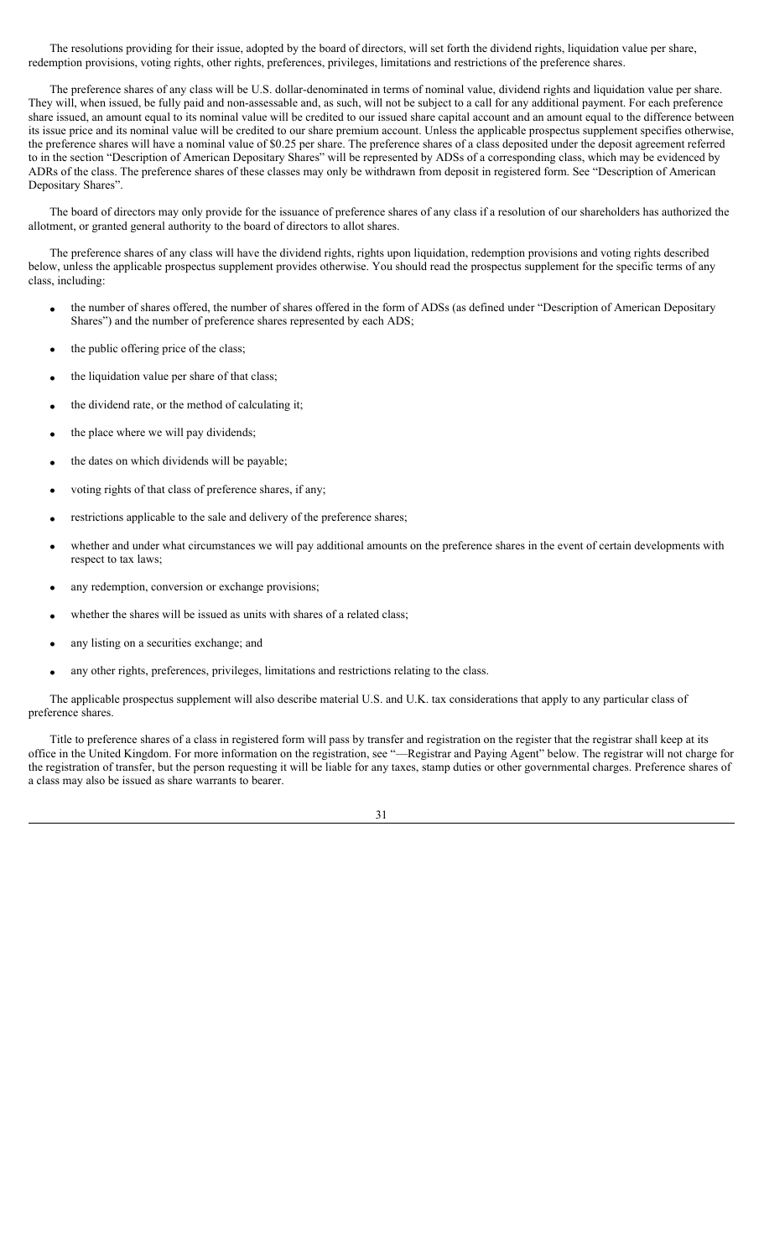The resolutions providing for their issue, adopted by the board of directors, will set forth the dividend rights, liquidation value per share, redemption provisions, voting rights, other rights, preferences, privileges, limitations and restrictions of the preference shares.

The preference shares of any class will be U.S. dollar-denominated in terms of nominal value, dividend rights and liquidation value per share. They will, when issued, be fully paid and non-assessable and, as such, will not be subject to a call for any additional payment. For each preference share issued, an amount equal to its nominal value will be credited to our issued share capital account and an amount equal to the difference between its issue price and its nominal value will be credited to our share premium account. Unless the applicable prospectus supplement specifies otherwise, the preference shares will have a nominal value of \$0.25 per share. The preference shares of a class deposited under the deposit agreement referred to in the section "Description of American Depositary Shares" will be represented by ADSs of a corresponding class, which may be evidenced by ADRs of the class. The preference shares of these classes may only be withdrawn from deposit in registered form. See "Description of American Depositary Shares".

The board of directors may only provide for the issuance of preference shares of any class if a resolution of our shareholders has authorized the allotment, or granted general authority to the board of directors to allot shares.

The preference shares of any class will have the dividend rights, rights upon liquidation, redemption provisions and voting rights described below, unless the applicable prospectus supplement provides otherwise. You should read the prospectus supplement for the specific terms of any class, including:

- the number of shares offered, the number of shares offered in the form of ADSs (as defined under "Description of American Depositary Shares") and the number of preference shares represented by each ADS;
- the public offering price of the class;
- the liquidation value per share of that class;
- the dividend rate, or the method of calculating it;
- the place where we will pay dividends;
- the dates on which dividends will be payable;
- voting rights of that class of preference shares, if any;
- restrictions applicable to the sale and delivery of the preference shares;
- whether and under what circumstances we will pay additional amounts on the preference shares in the event of certain developments with respect to tax laws;
- any redemption, conversion or exchange provisions;
- whether the shares will be issued as units with shares of a related class;
- any listing on a securities exchange; and
- any other rights, preferences, privileges, limitations and restrictions relating to the class.

The applicable prospectus supplement will also describe material U.S. and U.K. tax considerations that apply to any particular class of preference shares.

Title to preference shares of a class in registered form will pass by transfer and registration on the register that the registrar shall keep at its office in the United Kingdom. For more information on the registration, see "—Registrar and Paying Agent" below. The registrar will not charge for the registration of transfer, but the person requesting it will be liable for any taxes, stamp duties or other governmental charges. Preference shares of a class may also be issued as share warrants to bearer.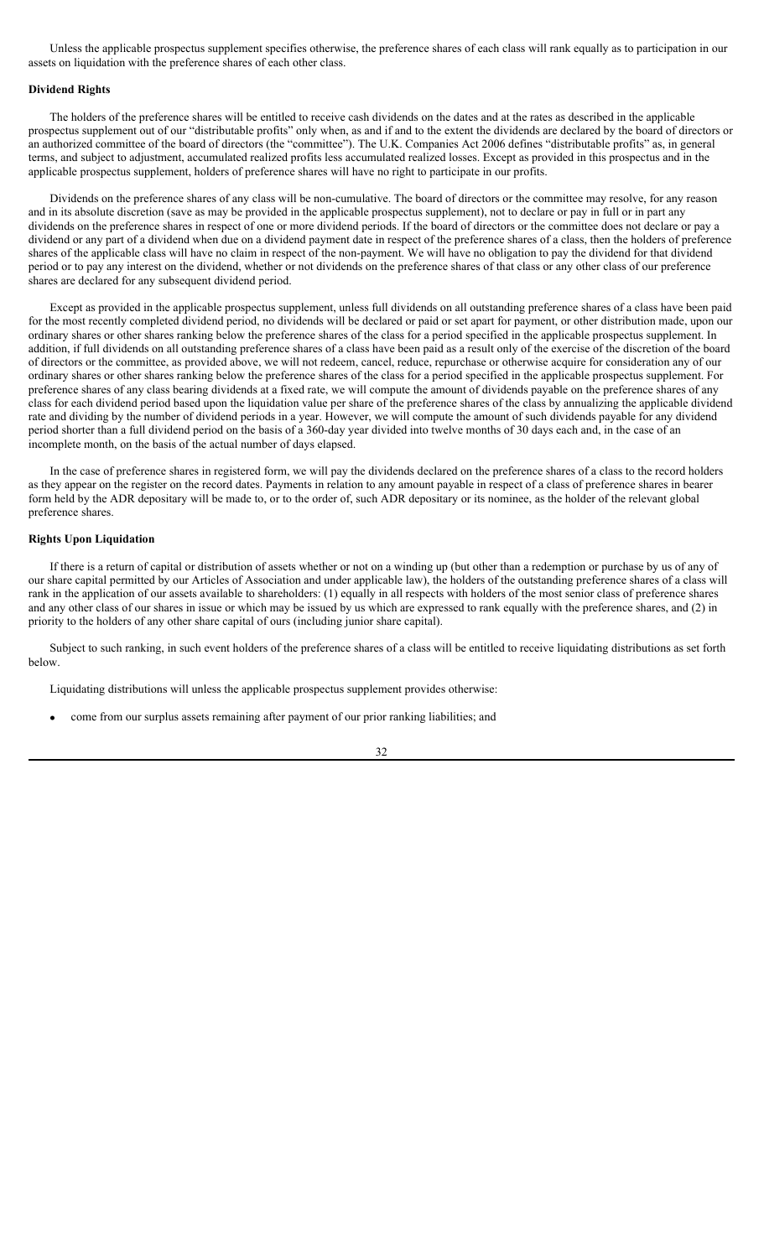Unless the applicable prospectus supplement specifies otherwise, the preference shares of each class will rank equally as to participation in our assets on liquidation with the preference shares of each other class.

## **Dividend Rights**

The holders of the preference shares will be entitled to receive cash dividends on the dates and at the rates as described in the applicable prospectus supplement out of our "distributable profits" only when, as and if and to the extent the dividends are declared by the board of directors or an authorized committee of the board of directors (the "committee"). The U.K. Companies Act 2006 defines "distributable profits" as, in general terms, and subject to adjustment, accumulated realized profits less accumulated realized losses. Except as provided in this prospectus and in the applicable prospectus supplement, holders of preference shares will have no right to participate in our profits.

Dividends on the preference shares of any class will be non-cumulative. The board of directors or the committee may resolve, for any reason and in its absolute discretion (save as may be provided in the applicable prospectus supplement), not to declare or pay in full or in part any dividends on the preference shares in respect of one or more dividend periods. If the board of directors or the committee does not declare or pay a dividend or any part of a dividend when due on a dividend payment date in respect of the preference shares of a class, then the holders of preference shares of the applicable class will have no claim in respect of the non-payment. We will have no obligation to pay the dividend for that dividend period or to pay any interest on the dividend, whether or not dividends on the preference shares of that class or any other class of our preference shares are declared for any subsequent dividend period.

Except as provided in the applicable prospectus supplement, unless full dividends on all outstanding preference shares of a class have been paid for the most recently completed dividend period, no dividends will be declared or paid or set apart for payment, or other distribution made, upon our ordinary shares or other shares ranking below the preference shares of the class for a period specified in the applicable prospectus supplement. In addition, if full dividends on all outstanding preference shares of a class have been paid as a result only of the exercise of the discretion of the board of directors or the committee, as provided above, we will not redeem, cancel, reduce, repurchase or otherwise acquire for consideration any of our ordinary shares or other shares ranking below the preference shares of the class for a period specified in the applicable prospectus supplement. For preference shares of any class bearing dividends at a fixed rate, we will compute the amount of dividends payable on the preference shares of any class for each dividend period based upon the liquidation value per share of the preference shares of the class by annualizing the applicable dividend rate and dividing by the number of dividend periods in a year. However, we will compute the amount of such dividends payable for any dividend period shorter than a full dividend period on the basis of a 360-day year divided into twelve months of 30 days each and, in the case of an incomplete month, on the basis of the actual number of days elapsed.

In the case of preference shares in registered form, we will pay the dividends declared on the preference shares of a class to the record holders as they appear on the register on the record dates. Payments in relation to any amount payable in respect of a class of preference shares in bearer form held by the ADR depositary will be made to, or to the order of, such ADR depositary or its nominee, as the holder of the relevant global preference shares.

#### **Rights Upon Liquidation**

If there is a return of capital or distribution of assets whether or not on a winding up (but other than a redemption or purchase by us of any of our share capital permitted by our Articles of Association and under applicable law), the holders of the outstanding preference shares of a class will rank in the application of our assets available to shareholders: (1) equally in all respects with holders of the most senior class of preference shares and any other class of our shares in issue or which may be issued by us which are expressed to rank equally with the preference shares, and (2) in priority to the holders of any other share capital of ours (including junior share capital).

Subject to such ranking, in such event holders of the preference shares of a class will be entitled to receive liquidating distributions as set forth below.

Liquidating distributions will unless the applicable prospectus supplement provides otherwise:

come from our surplus assets remaining after payment of our prior ranking liabilities; and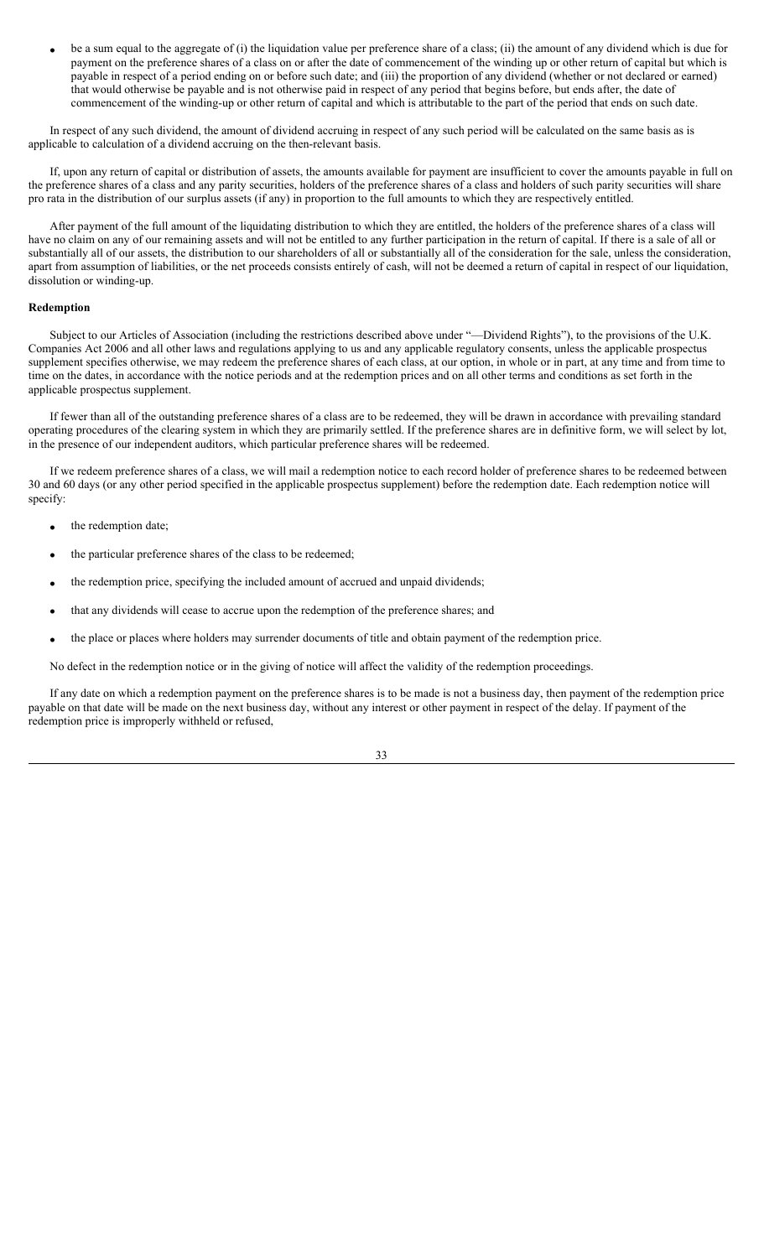be a sum equal to the aggregate of (i) the liquidation value per preference share of a class; (ii) the amount of any dividend which is due for payment on the preference shares of a class on or after the date of commencement of the winding up or other return of capital but which is payable in respect of a period ending on or before such date; and (iii) the proportion of any dividend (whether or not declared or earned) that would otherwise be payable and is not otherwise paid in respect of any period that begins before, but ends after, the date of commencement of the winding-up or other return of capital and which is attributable to the part of the period that ends on such date.

In respect of any such dividend, the amount of dividend accruing in respect of any such period will be calculated on the same basis as is applicable to calculation of a dividend accruing on the then-relevant basis.

If, upon any return of capital or distribution of assets, the amounts available for payment are insufficient to cover the amounts payable in full on the preference shares of a class and any parity securities, holders of the preference shares of a class and holders of such parity securities will share pro rata in the distribution of our surplus assets (if any) in proportion to the full amounts to which they are respectively entitled.

After payment of the full amount of the liquidating distribution to which they are entitled, the holders of the preference shares of a class will have no claim on any of our remaining assets and will not be entitled to any further participation in the return of capital. If there is a sale of all or substantially all of our assets, the distribution to our shareholders of all or substantially all of the consideration for the sale, unless the consideration, apart from assumption of liabilities, or the net proceeds consists entirely of cash, will not be deemed a return of capital in respect of our liquidation, dissolution or winding-up.

# **Redemption**

Subject to our Articles of Association (including the restrictions described above under "—Dividend Rights"), to the provisions of the U.K. Companies Act 2006 and all other laws and regulations applying to us and any applicable regulatory consents, unless the applicable prospectus supplement specifies otherwise, we may redeem the preference shares of each class, at our option, in whole or in part, at any time and from time to time on the dates, in accordance with the notice periods and at the redemption prices and on all other terms and conditions as set forth in the applicable prospectus supplement.

If fewer than all of the outstanding preference shares of a class are to be redeemed, they will be drawn in accordance with prevailing standard operating procedures of the clearing system in which they are primarily settled. If the preference shares are in definitive form, we will select by lot, in the presence of our independent auditors, which particular preference shares will be redeemed.

If we redeem preference shares of a class, we will mail a redemption notice to each record holder of preference shares to be redeemed between 30 and 60 days (or any other period specified in the applicable prospectus supplement) before the redemption date. Each redemption notice will specify:

- the redemption date;
- the particular preference shares of the class to be redeemed;
- the redemption price, specifying the included amount of accrued and unpaid dividends;
- that any dividends will cease to accrue upon the redemption of the preference shares; and
- the place or places where holders may surrender documents of title and obtain payment of the redemption price.

No defect in the redemption notice or in the giving of notice will affect the validity of the redemption proceedings.

If any date on which a redemption payment on the preference shares is to be made is not a business day, then payment of the redemption price payable on that date will be made on the next business day, without any interest or other payment in respect of the delay. If payment of the redemption price is improperly withheld or refused,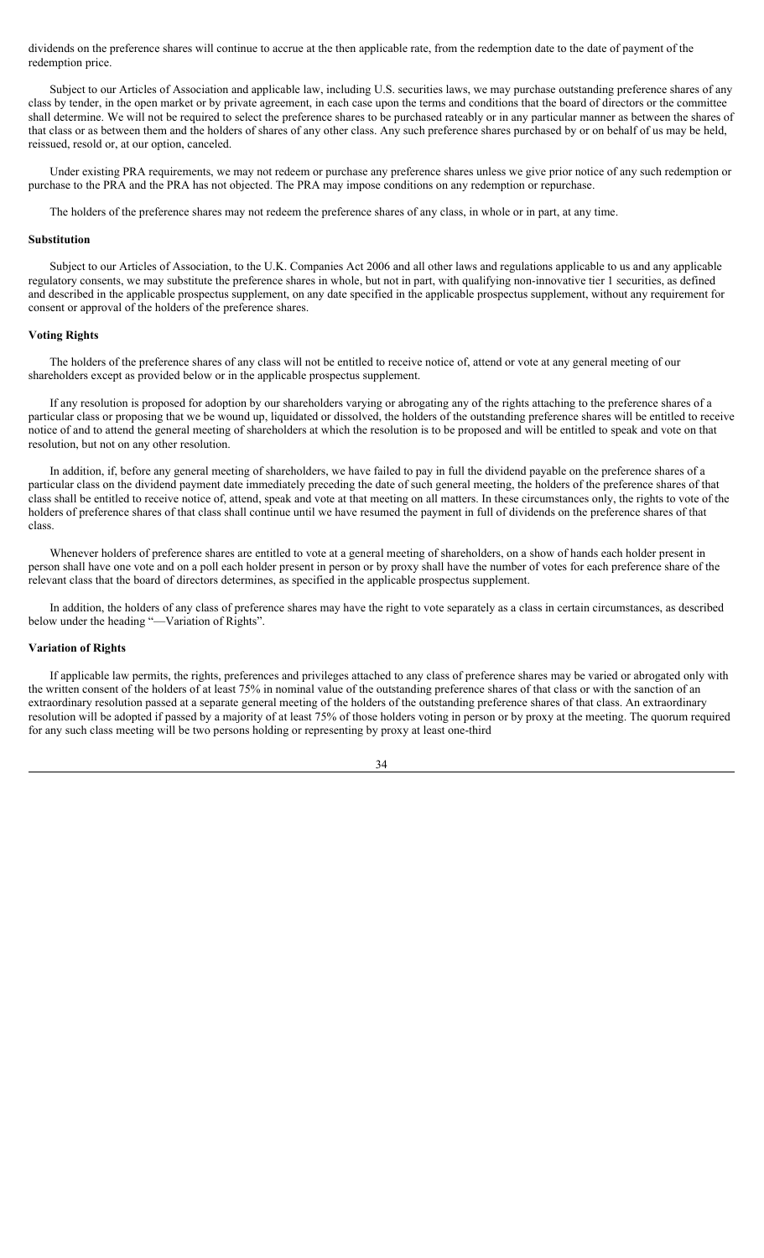dividends on the preference shares will continue to accrue at the then applicable rate, from the redemption date to the date of payment of the redemption price.

Subject to our Articles of Association and applicable law, including U.S. securities laws, we may purchase outstanding preference shares of any class by tender, in the open market or by private agreement, in each case upon the terms and conditions that the board of directors or the committee shall determine. We will not be required to select the preference shares to be purchased rateably or in any particular manner as between the shares of that class or as between them and the holders of shares of any other class. Any such preference shares purchased by or on behalf of us may be held, reissued, resold or, at our option, canceled.

Under existing PRA requirements, we may not redeem or purchase any preference shares unless we give prior notice of any such redemption or purchase to the PRA and the PRA has not objected. The PRA may impose conditions on any redemption or repurchase.

The holders of the preference shares may not redeem the preference shares of any class, in whole or in part, at any time.

## **Substitution**

Subject to our Articles of Association, to the U.K. Companies Act 2006 and all other laws and regulations applicable to us and any applicable regulatory consents, we may substitute the preference shares in whole, but not in part, with qualifying non-innovative tier 1 securities, as defined and described in the applicable prospectus supplement, on any date specified in the applicable prospectus supplement, without any requirement for consent or approval of the holders of the preference shares.

### **Voting Rights**

The holders of the preference shares of any class will not be entitled to receive notice of, attend or vote at any general meeting of our shareholders except as provided below or in the applicable prospectus supplement.

If any resolution is proposed for adoption by our shareholders varying or abrogating any of the rights attaching to the preference shares of a particular class or proposing that we be wound up, liquidated or dissolved, the holders of the outstanding preference shares will be entitled to receive notice of and to attend the general meeting of shareholders at which the resolution is to be proposed and will be entitled to speak and vote on that resolution, but not on any other resolution.

In addition, if, before any general meeting of shareholders, we have failed to pay in full the dividend payable on the preference shares of a particular class on the dividend payment date immediately preceding the date of such general meeting, the holders of the preference shares of that class shall be entitled to receive notice of, attend, speak and vote at that meeting on all matters. In these circumstances only, the rights to vote of the holders of preference shares of that class shall continue until we have resumed the payment in full of dividends on the preference shares of that class.

Whenever holders of preference shares are entitled to vote at a general meeting of shareholders, on a show of hands each holder present in person shall have one vote and on a poll each holder present in person or by proxy shall have the number of votes for each preference share of the relevant class that the board of directors determines, as specified in the applicable prospectus supplement.

In addition, the holders of any class of preference shares may have the right to vote separately as a class in certain circumstances, as described below under the heading "—Variation of Rights".

#### **Variation of Rights**

If applicable law permits, the rights, preferences and privileges attached to any class of preference shares may be varied or abrogated only with the written consent of the holders of at least 75% in nominal value of the outstanding preference shares of that class or with the sanction of an extraordinary resolution passed at a separate general meeting of the holders of the outstanding preference shares of that class. An extraordinary resolution will be adopted if passed by a majority of at least 75% of those holders voting in person or by proxy at the meeting. The quorum required for any such class meeting will be two persons holding or representing by proxy at least one-third

34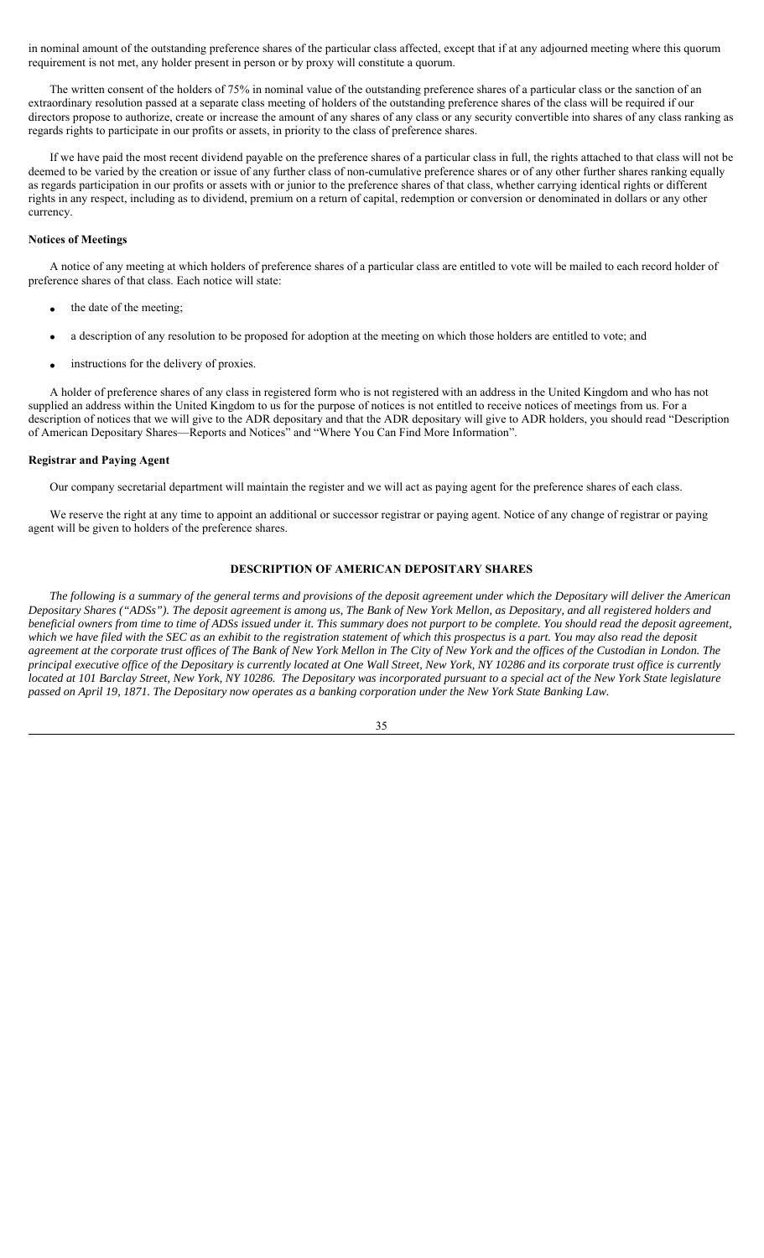in nominal amount of the outstanding preference shares of the particular class affected, except that if at any adjourned meeting where this quorum requirement is not met, any holder present in person or by proxy will constitute a quorum.

The written consent of the holders of 75% in nominal value of the outstanding preference shares of a particular class or the sanction of an extraordinary resolution passed at a separate class meeting of holders of the outstanding preference shares of the class will be required if our directors propose to authorize, create or increase the amount of any shares of any class or any security convertible into shares of any class ranking as regards rights to participate in our profits or assets, in priority to the class of preference shares.

If we have paid the most recent dividend payable on the preference shares of a particular class in full, the rights attached to that class will not be deemed to be varied by the creation or issue of any further class of non-cumulative preference shares or of any other further shares ranking equally as regards participation in our profits or assets with or junior to the preference shares of that class, whether carrying identical rights or different rights in any respect, including as to dividend, premium on a return of capital, redemption or conversion or denominated in dollars or any other currency.

## **Notices of Meetings**

A notice of any meeting at which holders of preference shares of a particular class are entitled to vote will be mailed to each record holder of preference shares of that class. Each notice will state:

- the date of the meeting;
- a description of any resolution to be proposed for adoption at the meeting on which those holders are entitled to vote; and
- instructions for the delivery of proxies.

A holder of preference shares of any class in registered form who is not registered with an address in the United Kingdom and who has not supplied an address within the United Kingdom to us for the purpose of notices is not entitled to receive notices of meetings from us. For a description of notices that we will give to the ADR depositary and that the ADR depositary will give to ADR holders, you should read "Description of American Depositary Shares—Reports and Notices" and "Where You Can Find More Information".

## **Registrar and Paying Agent**

Our company secretarial department will maintain the register and we will act as paying agent for the preference shares of each class.

We reserve the right at any time to appoint an additional or successor registrar or paying agent. Notice of any change of registrar or paying agent will be given to holders of the preference shares.

# **DESCRIPTION OF AMERICAN DEPOSITARY SHARES**

*The following is a summary of the general terms and provisions of the deposit agreement under which the Depositary will deliver the American Depositary Shares ("ADSs"). The deposit agreement is among us, The Bank of New York Mellon, as Depositary, and all registered holders and beneficial owners from time to time of ADSs issued under it. This summary does not purport to be complete. You should read the deposit agreement, which we have filed with the SEC as an exhibit to the registration statement of which this prospectus is a part. You may also read the deposit agreement at the corporate trust offices of The Bank of New York Mellon in The City of New York and the offices of the Custodian in London. The principal executive office of the Depositary is currently located at One Wall Street, New York, NY 10286 and its corporate trust office is currently located at 101 Barclay Street, New York, NY 10286. The Depositary was incorporated pursuant to a special act of the New York State legislature passed on April 19, 1871. The Depositary now operates as a banking corporation under the New York State Banking Law.*

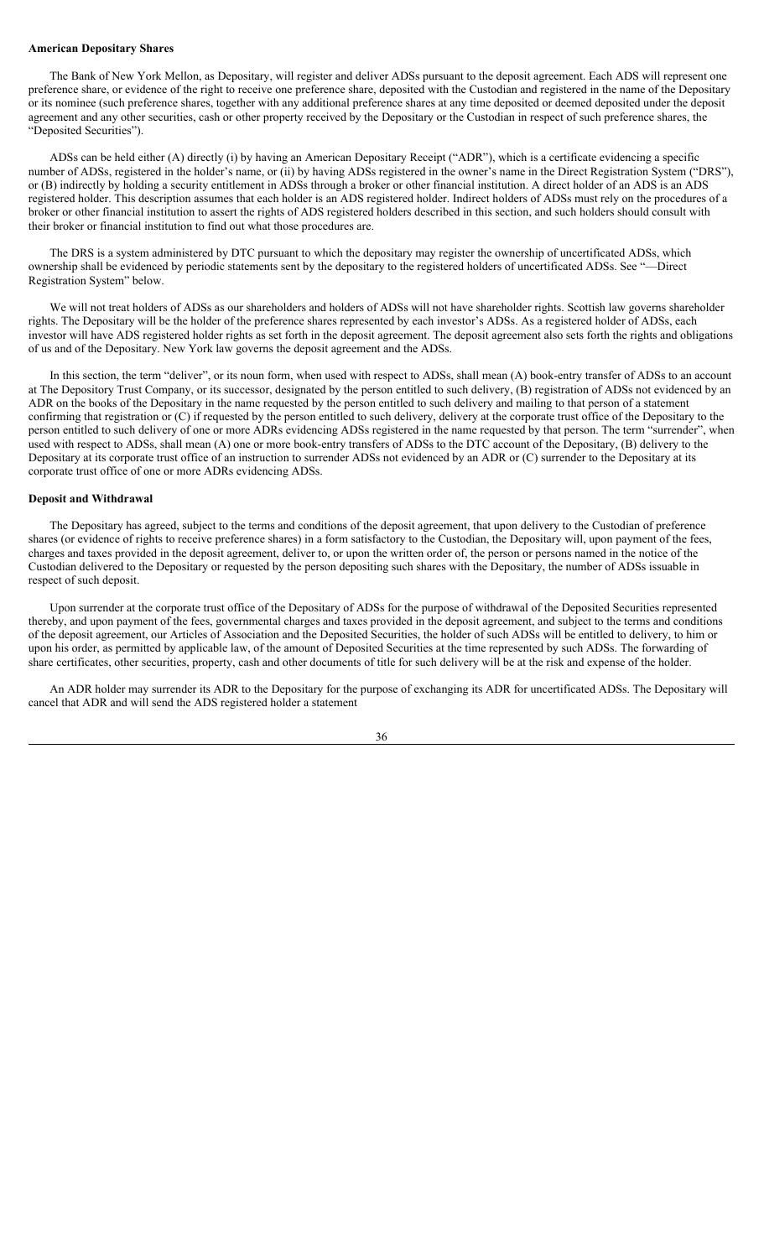#### **American Depositary Shares**

The Bank of New York Mellon, as Depositary, will register and deliver ADSs pursuant to the deposit agreement. Each ADS will represent one preference share, or evidence of the right to receive one preference share, deposited with the Custodian and registered in the name of the Depositary or its nominee (such preference shares, together with any additional preference shares at any time deposited or deemed deposited under the deposit agreement and any other securities, cash or other property received by the Depositary or the Custodian in respect of such preference shares, the "Deposited Securities").

ADSs can be held either (A) directly (i) by having an American Depositary Receipt ("ADR"), which is a certificate evidencing a specific number of ADSs, registered in the holder's name, or (ii) by having ADSs registered in the owner's name in the Direct Registration System ("DRS"), or (B) indirectly by holding a security entitlement in ADSs through a broker or other financial institution. A direct holder of an ADS is an ADS registered holder. This description assumes that each holder is an ADS registered holder. Indirect holders of ADSs must rely on the procedures of a broker or other financial institution to assert the rights of ADS registered holders described in this section, and such holders should consult with their broker or financial institution to find out what those procedures are.

The DRS is a system administered by DTC pursuant to which the depositary may register the ownership of uncertificated ADSs, which ownership shall be evidenced by periodic statements sent by the depositary to the registered holders of uncertificated ADSs. See "—Direct Registration System" below.

We will not treat holders of ADSs as our shareholders and holders of ADSs will not have shareholder rights. Scottish law governs shareholder rights. The Depositary will be the holder of the preference shares represented by each investor's ADSs. As a registered holder of ADSs, each investor will have ADS registered holder rights as set forth in the deposit agreement. The deposit agreement also sets forth the rights and obligations of us and of the Depositary. New York law governs the deposit agreement and the ADSs.

In this section, the term "deliver", or its noun form, when used with respect to ADSs, shall mean (A) book-entry transfer of ADSs to an account at The Depository Trust Company, or its successor, designated by the person entitled to such delivery, (B) registration of ADSs not evidenced by an ADR on the books of the Depositary in the name requested by the person entitled to such delivery and mailing to that person of a statement confirming that registration or (C) if requested by the person entitled to such delivery, delivery at the corporate trust office of the Depositary to the person entitled to such delivery of one or more ADRs evidencing ADSs registered in the name requested by that person. The term "surrender", when used with respect to ADSs, shall mean (A) one or more book-entry transfers of ADSs to the DTC account of the Depositary, (B) delivery to the Depositary at its corporate trust office of an instruction to surrender ADSs not evidenced by an ADR or (C) surrender to the Depositary at its corporate trust office of one or more ADRs evidencing ADSs.

## **Deposit and Withdrawal**

The Depositary has agreed, subject to the terms and conditions of the deposit agreement, that upon delivery to the Custodian of preference shares (or evidence of rights to receive preference shares) in a form satisfactory to the Custodian, the Depositary will, upon payment of the fees, charges and taxes provided in the deposit agreement, deliver to, or upon the written order of, the person or persons named in the notice of the Custodian delivered to the Depositary or requested by the person depositing such shares with the Depositary, the number of ADSs issuable in respect of such deposit.

Upon surrender at the corporate trust office of the Depositary of ADSs for the purpose of withdrawal of the Deposited Securities represented thereby, and upon payment of the fees, governmental charges and taxes provided in the deposit agreement, and subject to the terms and conditions of the deposit agreement, our Articles of Association and the Deposited Securities, the holder of such ADSs will be entitled to delivery, to him or upon his order, as permitted by applicable law, of the amount of Deposited Securities at the time represented by such ADSs. The forwarding of share certificates, other securities, property, cash and other documents of title for such delivery will be at the risk and expense of the holder.

An ADR holder may surrender its ADR to the Depositary for the purpose of exchanging its ADR for uncertificated ADSs. The Depositary will cancel that ADR and will send the ADS registered holder a statement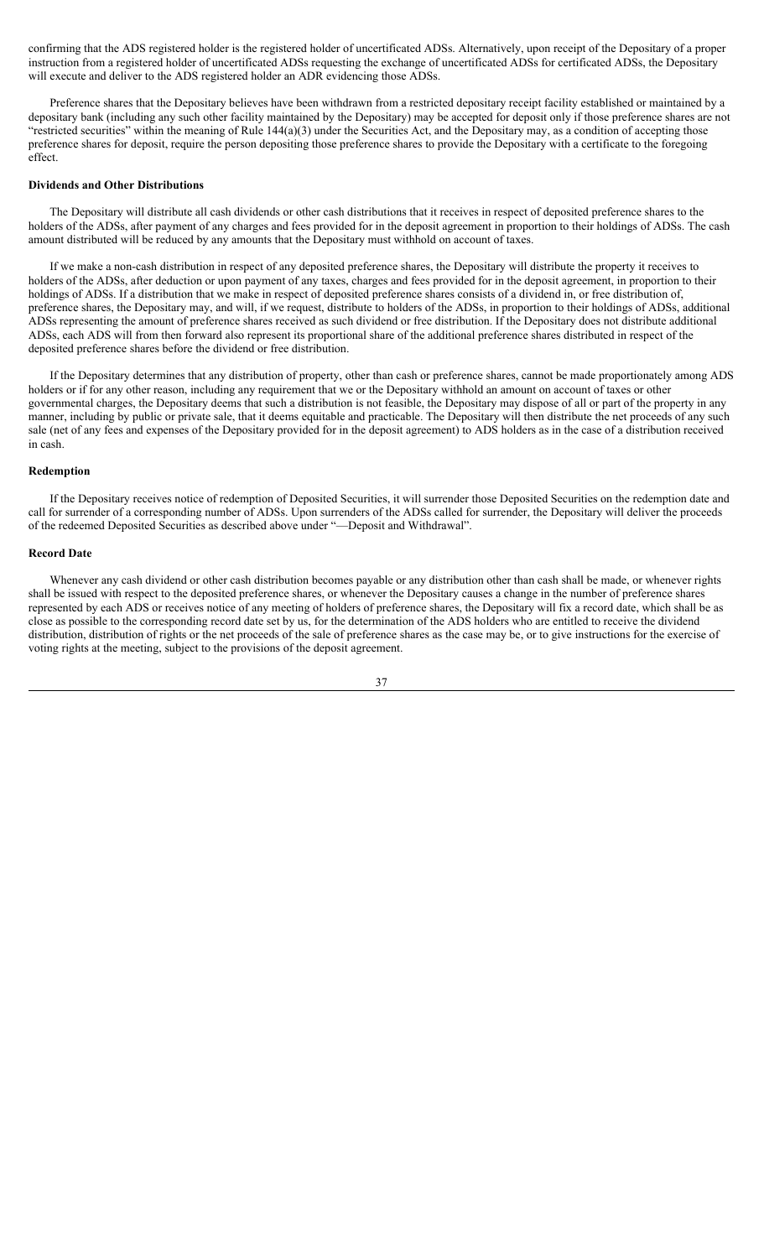confirming that the ADS registered holder is the registered holder of uncertificated ADSs. Alternatively, upon receipt of the Depositary of a proper instruction from a registered holder of uncertificated ADSs requesting the exchange of uncertificated ADSs for certificated ADSs, the Depositary will execute and deliver to the ADS registered holder an ADR evidencing those ADSs.

Preference shares that the Depositary believes have been withdrawn from a restricted depositary receipt facility established or maintained by a depositary bank (including any such other facility maintained by the Depositary) may be accepted for deposit only if those preference shares are not "restricted securities" within the meaning of Rule  $144(a)(3)$  under the Securities Act, and the Depositary may, as a condition of accepting those preference shares for deposit, require the person depositing those preference shares to provide the Depositary with a certificate to the foregoing effect.

## **Dividends and Other Distributions**

The Depositary will distribute all cash dividends or other cash distributions that it receives in respect of deposited preference shares to the holders of the ADSs, after payment of any charges and fees provided for in the deposit agreement in proportion to their holdings of ADSs. The cash amount distributed will be reduced by any amounts that the Depositary must withhold on account of taxes.

If we make a non-cash distribution in respect of any deposited preference shares, the Depositary will distribute the property it receives to holders of the ADSs, after deduction or upon payment of any taxes, charges and fees provided for in the deposit agreement, in proportion to their holdings of ADSs. If a distribution that we make in respect of deposited preference shares consists of a dividend in, or free distribution of, preference shares, the Depositary may, and will, if we request, distribute to holders of the ADSs, in proportion to their holdings of ADSs, additional ADSs representing the amount of preference shares received as such dividend or free distribution. If the Depositary does not distribute additional ADSs, each ADS will from then forward also represent its proportional share of the additional preference shares distributed in respect of the deposited preference shares before the dividend or free distribution.

If the Depositary determines that any distribution of property, other than cash or preference shares, cannot be made proportionately among ADS holders or if for any other reason, including any requirement that we or the Depositary withhold an amount on account of taxes or other governmental charges, the Depositary deems that such a distribution is not feasible, the Depositary may dispose of all or part of the property in any manner, including by public or private sale, that it deems equitable and practicable. The Depositary will then distribute the net proceeds of any such sale (net of any fees and expenses of the Depositary provided for in the deposit agreement) to ADS holders as in the case of a distribution received in cash.

#### **Redemption**

If the Depositary receives notice of redemption of Deposited Securities, it will surrender those Deposited Securities on the redemption date and call for surrender of a corresponding number of ADSs. Upon surrenders of the ADSs called for surrender, the Depositary will deliver the proceeds of the redeemed Deposited Securities as described above under "—Deposit and Withdrawal".

### **Record Date**

Whenever any cash dividend or other cash distribution becomes payable or any distribution other than cash shall be made, or whenever rights shall be issued with respect to the deposited preference shares, or whenever the Depositary causes a change in the number of preference shares represented by each ADS or receives notice of any meeting of holders of preference shares, the Depositary will fix a record date, which shall be as close as possible to the corresponding record date set by us, for the determination of the ADS holders who are entitled to receive the dividend distribution, distribution of rights or the net proceeds of the sale of preference shares as the case may be, or to give instructions for the exercise of voting rights at the meeting, subject to the provisions of the deposit agreement.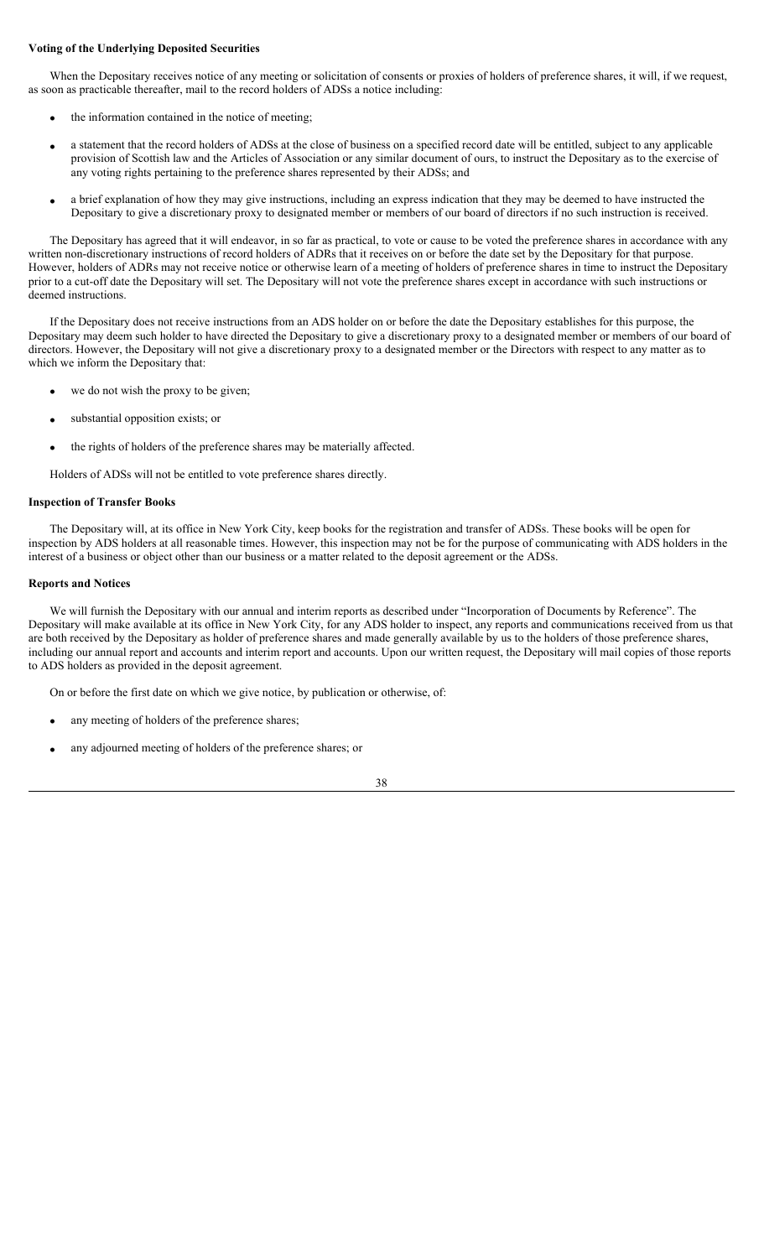# **Voting of the Underlying Deposited Securities**

When the Depositary receives notice of any meeting or solicitation of consents or proxies of holders of preference shares, it will, if we request, as soon as practicable thereafter, mail to the record holders of ADSs a notice including:

- the information contained in the notice of meeting;
- a statement that the record holders of ADSs at the close of business on a specified record date will be entitled, subject to any applicable provision of Scottish law and the Articles of Association or any similar document of ours, to instruct the Depositary as to the exercise of any voting rights pertaining to the preference shares represented by their ADSs; and
- a brief explanation of how they may give instructions, including an express indication that they may be deemed to have instructed the Depositary to give a discretionary proxy to designated member or members of our board of directors if no such instruction is received.

The Depositary has agreed that it will endeavor, in so far as practical, to vote or cause to be voted the preference shares in accordance with any written non-discretionary instructions of record holders of ADRs that it receives on or before the date set by the Depositary for that purpose. However, holders of ADRs may not receive notice or otherwise learn of a meeting of holders of preference shares in time to instruct the Depositary prior to a cut-off date the Depositary will set. The Depositary will not vote the preference shares except in accordance with such instructions or deemed instructions.

If the Depositary does not receive instructions from an ADS holder on or before the date the Depositary establishes for this purpose, the Depositary may deem such holder to have directed the Depositary to give a discretionary proxy to a designated member or members of our board of directors. However, the Depositary will not give a discretionary proxy to a designated member or the Directors with respect to any matter as to which we inform the Depositary that:

- we do not wish the proxy to be given;
- substantial opposition exists; or
- the rights of holders of the preference shares may be materially affected.

Holders of ADSs will not be entitled to vote preference shares directly.

## **Inspection of Transfer Books**

The Depositary will, at its office in New York City, keep books for the registration and transfer of ADSs. These books will be open for inspection by ADS holders at all reasonable times. However, this inspection may not be for the purpose of communicating with ADS holders in the interest of a business or object other than our business or a matter related to the deposit agreement or the ADSs.

## **Reports and Notices**

We will furnish the Depositary with our annual and interim reports as described under "Incorporation of Documents by Reference". The Depositary will make available at its office in New York City, for any ADS holder to inspect, any reports and communications received from us that are both received by the Depositary as holder of preference shares and made generally available by us to the holders of those preference shares, including our annual report and accounts and interim report and accounts. Upon our written request, the Depositary will mail copies of those reports to ADS holders as provided in the deposit agreement.

On or before the first date on which we give notice, by publication or otherwise, of:

- any meeting of holders of the preference shares;
- any adjourned meeting of holders of the preference shares; or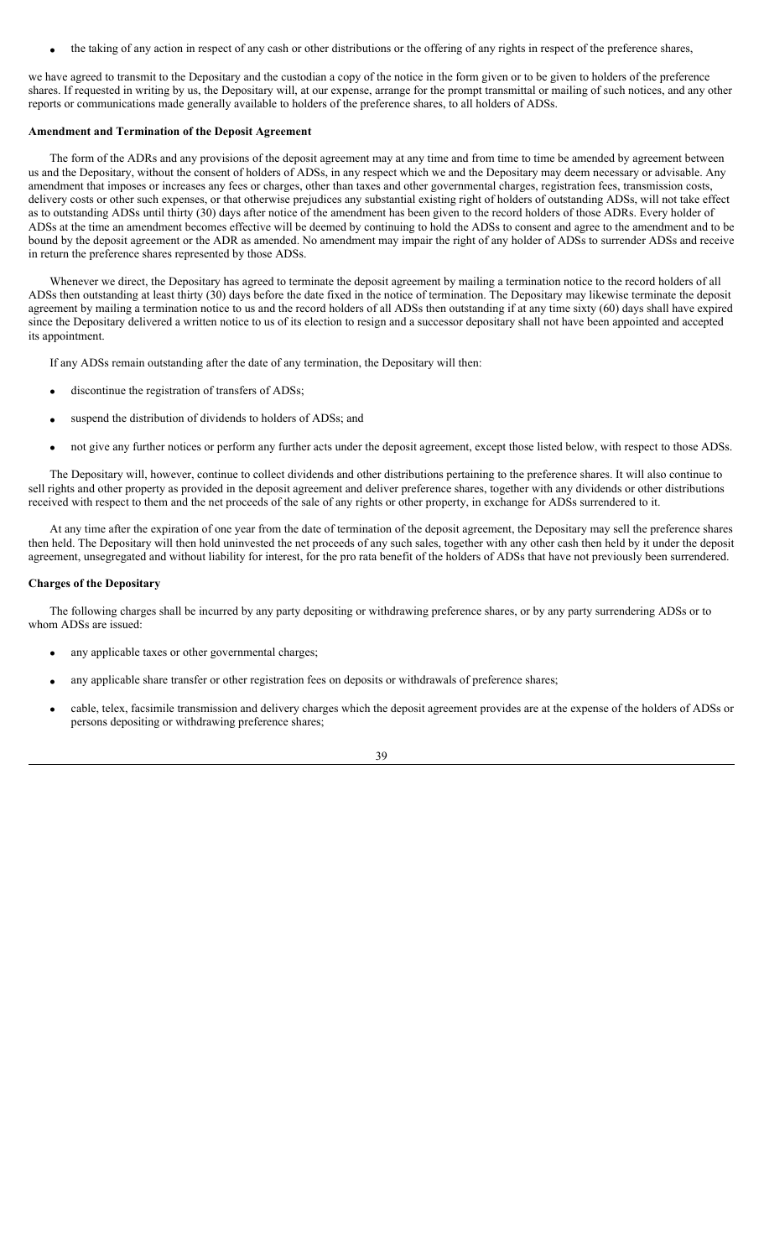the taking of any action in respect of any cash or other distributions or the offering of any rights in respect of the preference shares,

we have agreed to transmit to the Depositary and the custodian a copy of the notice in the form given or to be given to holders of the preference shares. If requested in writing by us, the Depositary will, at our expense, arrange for the prompt transmittal or mailing of such notices, and any other reports or communications made generally available to holders of the preference shares, to all holders of ADSs.

## **Amendment and Termination of the Deposit Agreement**

The form of the ADRs and any provisions of the deposit agreement may at any time and from time to time be amended by agreement between us and the Depositary, without the consent of holders of ADSs, in any respect which we and the Depositary may deem necessary or advisable. Any amendment that imposes or increases any fees or charges, other than taxes and other governmental charges, registration fees, transmission costs, delivery costs or other such expenses, or that otherwise prejudices any substantial existing right of holders of outstanding ADSs, will not take effect as to outstanding ADSs until thirty (30) days after notice of the amendment has been given to the record holders of those ADRs. Every holder of ADSs at the time an amendment becomes effective will be deemed by continuing to hold the ADSs to consent and agree to the amendment and to be bound by the deposit agreement or the ADR as amended. No amendment may impair the right of any holder of ADSs to surrender ADSs and receive in return the preference shares represented by those ADSs.

Whenever we direct, the Depositary has agreed to terminate the deposit agreement by mailing a termination notice to the record holders of all ADSs then outstanding at least thirty (30) days before the date fixed in the notice of termination. The Depositary may likewise terminate the deposit agreement by mailing a termination notice to us and the record holders of all ADSs then outstanding if at any time sixty (60) days shall have expired since the Depositary delivered a written notice to us of its election to resign and a successor depositary shall not have been appointed and accepted its appointment.

If any ADSs remain outstanding after the date of any termination, the Depositary will then:

- discontinue the registration of transfers of ADSs;
- suspend the distribution of dividends to holders of ADSs; and
- not give any further notices or perform any further acts under the deposit agreement, except those listed below, with respect to those ADSs.

The Depositary will, however, continue to collect dividends and other distributions pertaining to the preference shares. It will also continue to sell rights and other property as provided in the deposit agreement and deliver preference shares, together with any dividends or other distributions received with respect to them and the net proceeds of the sale of any rights or other property, in exchange for ADSs surrendered to it.

At any time after the expiration of one year from the date of termination of the deposit agreement, the Depositary may sell the preference shares then held. The Depositary will then hold uninvested the net proceeds of any such sales, together with any other cash then held by it under the deposit agreement, unsegregated and without liability for interest, for the pro rata benefit of the holders of ADSs that have not previously been surrendered.

## **Charges of the Depositary**

The following charges shall be incurred by any party depositing or withdrawing preference shares, or by any party surrendering ADSs or to whom ADSs are issued:

- any applicable taxes or other governmental charges;
- any applicable share transfer or other registration fees on deposits or withdrawals of preference shares;
- cable, telex, facsimile transmission and delivery charges which the deposit agreement provides are at the expense of the holders of ADSs or persons depositing or withdrawing preference shares;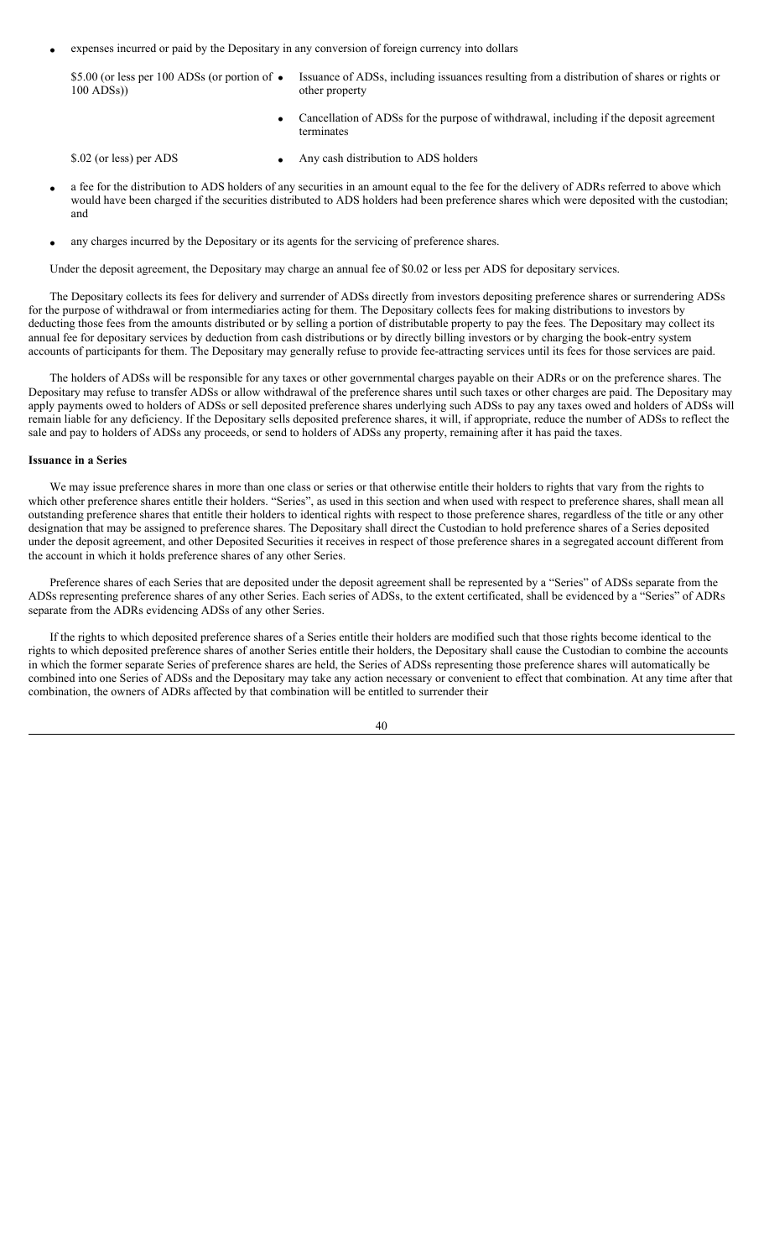expenses incurred or paid by the Depositary in any conversion of foreign currency into dollars

\$5.00 (or less per 100 ADSs (or portion of  $\bullet$ 100 ADSs)) Issuance of ADSs, including issuances resulting from a distribution of shares or rights or other property

> Cancellation of ADSs for the purpose of withdrawal, including if the deposit agreement terminates

- \$.02 (or less) per ADS Any cash distribution to ADS holders
- a fee for the distribution to ADS holders of any securities in an amount equal to the fee for the delivery of ADRs referred to above which would have been charged if the securities distributed to ADS holders had been preference shares which were deposited with the custodian; and
- any charges incurred by the Depositary or its agents for the servicing of preference shares.

Under the deposit agreement, the Depositary may charge an annual fee of \$0.02 or less per ADS for depositary services.

The Depositary collects its fees for delivery and surrender of ADSs directly from investors depositing preference shares or surrendering ADSs for the purpose of withdrawal or from intermediaries acting for them. The Depositary collects fees for making distributions to investors by deducting those fees from the amounts distributed or by selling a portion of distributable property to pay the fees. The Depositary may collect its annual fee for depositary services by deduction from cash distributions or by directly billing investors or by charging the book-entry system accounts of participants for them. The Depositary may generally refuse to provide fee-attracting services until its fees for those services are paid.

The holders of ADSs will be responsible for any taxes or other governmental charges payable on their ADRs or on the preference shares. The Depositary may refuse to transfer ADSs or allow withdrawal of the preference shares until such taxes or other charges are paid. The Depositary may apply payments owed to holders of ADSs or sell deposited preference shares underlying such ADSs to pay any taxes owed and holders of ADSs will remain liable for any deficiency. If the Depositary sells deposited preference shares, it will, if appropriate, reduce the number of ADSs to reflect the sale and pay to holders of ADSs any proceeds, or send to holders of ADSs any property, remaining after it has paid the taxes.

### **Issuance in a Series**

We may issue preference shares in more than one class or series or that otherwise entitle their holders to rights that vary from the rights to which other preference shares entitle their holders. "Series", as used in this section and when used with respect to preference shares, shall mean all outstanding preference shares that entitle their holders to identical rights with respect to those preference shares, regardless of the title or any other designation that may be assigned to preference shares. The Depositary shall direct the Custodian to hold preference shares of a Series deposited under the deposit agreement, and other Deposited Securities it receives in respect of those preference shares in a segregated account different from the account in which it holds preference shares of any other Series.

Preference shares of each Series that are deposited under the deposit agreement shall be represented by a "Series" of ADSs separate from the ADSs representing preference shares of any other Series. Each series of ADSs, to the extent certificated, shall be evidenced by a "Series" of ADRs separate from the ADRs evidencing ADSs of any other Series.

If the rights to which deposited preference shares of a Series entitle their holders are modified such that those rights become identical to the rights to which deposited preference shares of another Series entitle their holders, the Depositary shall cause the Custodian to combine the accounts in which the former separate Series of preference shares are held, the Series of ADSs representing those preference shares will automatically be combined into one Series of ADSs and the Depositary may take any action necessary or convenient to effect that combination. At any time after that combination, the owners of ADRs affected by that combination will be entitled to surrender their

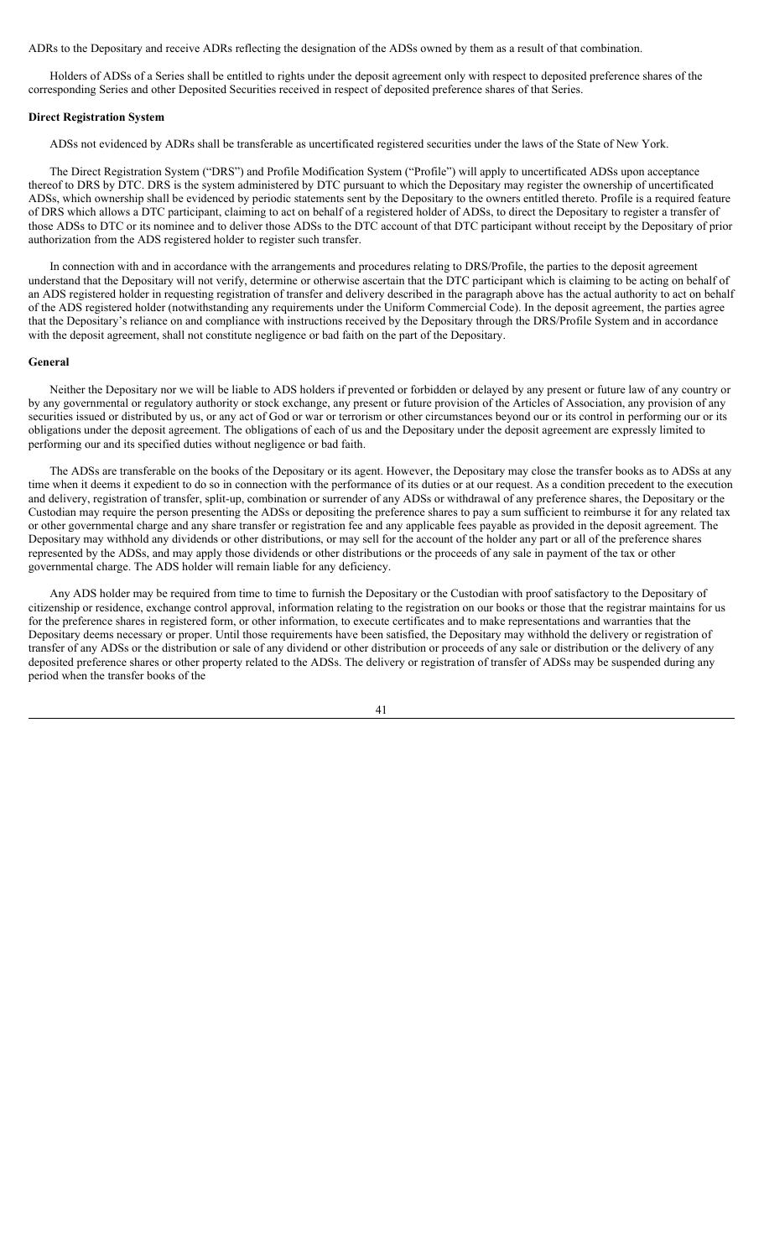ADRs to the Depositary and receive ADRs reflecting the designation of the ADSs owned by them as a result of that combination.

Holders of ADSs of a Series shall be entitled to rights under the deposit agreement only with respect to deposited preference shares of the corresponding Series and other Deposited Securities received in respect of deposited preference shares of that Series.

## **Direct Registration System**

ADSs not evidenced by ADRs shall be transferable as uncertificated registered securities under the laws of the State of New York.

The Direct Registration System ("DRS") and Profile Modification System ("Profile") will apply to uncertificated ADSs upon acceptance thereof to DRS by DTC. DRS is the system administered by DTC pursuant to which the Depositary may register the ownership of uncertificated ADSs, which ownership shall be evidenced by periodic statements sent by the Depositary to the owners entitled thereto. Profile is a required feature of DRS which allows a DTC participant, claiming to act on behalf of a registered holder of ADSs, to direct the Depositary to register a transfer of those ADSs to DTC or its nominee and to deliver those ADSs to the DTC account of that DTC participant without receipt by the Depositary of prior authorization from the ADS registered holder to register such transfer.

In connection with and in accordance with the arrangements and procedures relating to DRS/Profile, the parties to the deposit agreement understand that the Depositary will not verify, determine or otherwise ascertain that the DTC participant which is claiming to be acting on behalf of an ADS registered holder in requesting registration of transfer and delivery described in the paragraph above has the actual authority to act on behalf of the ADS registered holder (notwithstanding any requirements under the Uniform Commercial Code). In the deposit agreement, the parties agree that the Depositary's reliance on and compliance with instructions received by the Depositary through the DRS/Profile System and in accordance with the deposit agreement, shall not constitute negligence or bad faith on the part of the Depositary.

### **General**

Neither the Depositary nor we will be liable to ADS holders if prevented or forbidden or delayed by any present or future law of any country or by any governmental or regulatory authority or stock exchange, any present or future provision of the Articles of Association, any provision of any securities issued or distributed by us, or any act of God or war or terrorism or other circumstances beyond our or its control in performing our or its obligations under the deposit agreement. The obligations of each of us and the Depositary under the deposit agreement are expressly limited to performing our and its specified duties without negligence or bad faith.

The ADSs are transferable on the books of the Depositary or its agent. However, the Depositary may close the transfer books as to ADSs at any time when it deems it expedient to do so in connection with the performance of its duties or at our request. As a condition precedent to the execution and delivery, registration of transfer, split-up, combination or surrender of any ADSs or withdrawal of any preference shares, the Depositary or the Custodian may require the person presenting the ADSs or depositing the preference shares to pay a sum sufficient to reimburse it for any related tax or other governmental charge and any share transfer or registration fee and any applicable fees payable as provided in the deposit agreement. The Depositary may withhold any dividends or other distributions, or may sell for the account of the holder any part or all of the preference shares represented by the ADSs, and may apply those dividends or other distributions or the proceeds of any sale in payment of the tax or other governmental charge. The ADS holder will remain liable for any deficiency.

Any ADS holder may be required from time to time to furnish the Depositary or the Custodian with proof satisfactory to the Depositary of citizenship or residence, exchange control approval, information relating to the registration on our books or those that the registrar maintains for us for the preference shares in registered form, or other information, to execute certificates and to make representations and warranties that the Depositary deems necessary or proper. Until those requirements have been satisfied, the Depositary may withhold the delivery or registration of transfer of any ADSs or the distribution or sale of any dividend or other distribution or proceeds of any sale or distribution or the delivery of any deposited preference shares or other property related to the ADSs. The delivery or registration of transfer of ADSs may be suspended during any period when the transfer books of the

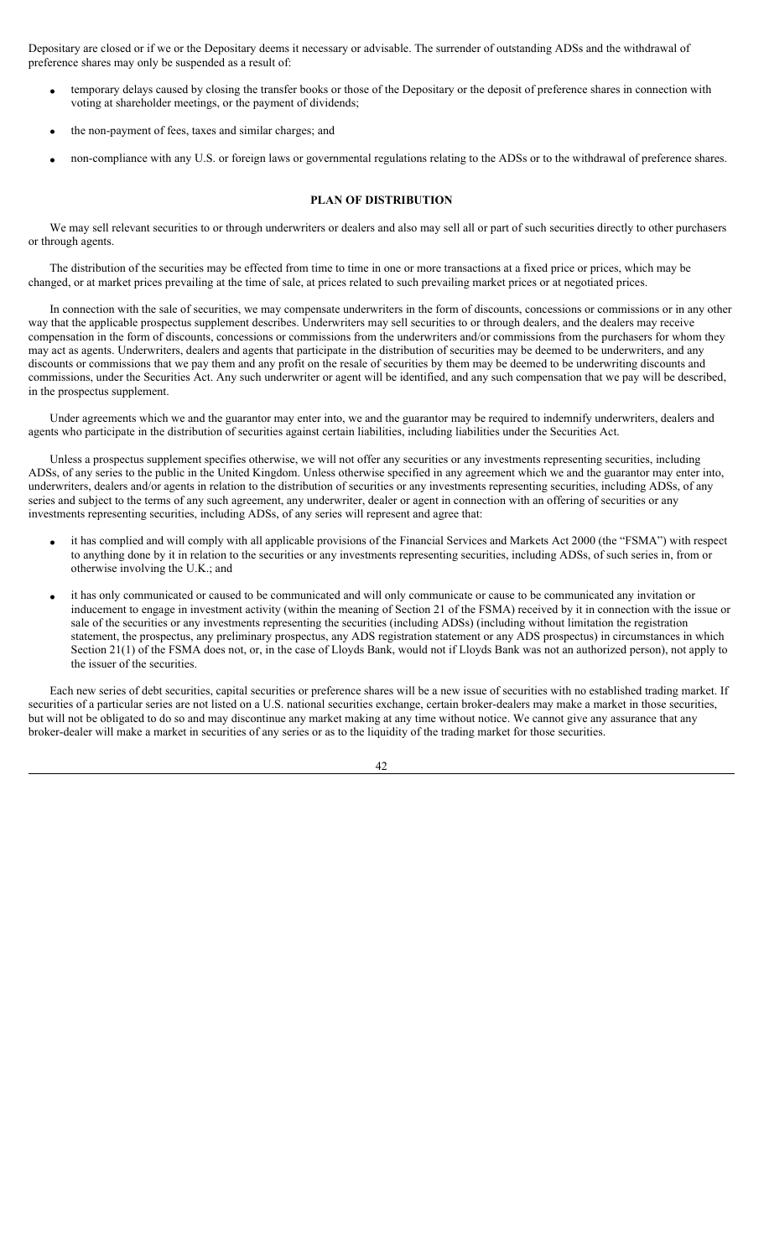Depositary are closed or if we or the Depositary deems it necessary or advisable. The surrender of outstanding ADSs and the withdrawal of preference shares may only be suspended as a result of:

- temporary delays caused by closing the transfer books or those of the Depositary or the deposit of preference shares in connection with voting at shareholder meetings, or the payment of dividends;
- the non-payment of fees, taxes and similar charges; and
- non-compliance with any U.S. or foreign laws or governmental regulations relating to the ADSs or to the withdrawal of preference shares.

# **PLAN OF DISTRIBUTION**

We may sell relevant securities to or through underwriters or dealers and also may sell all or part of such securities directly to other purchasers or through agents.

The distribution of the securities may be effected from time to time in one or more transactions at a fixed price or prices, which may be changed, or at market prices prevailing at the time of sale, at prices related to such prevailing market prices or at negotiated prices.

In connection with the sale of securities, we may compensate underwriters in the form of discounts, concessions or commissions or in any other way that the applicable prospectus supplement describes. Underwriters may sell securities to or through dealers, and the dealers may receive compensation in the form of discounts, concessions or commissions from the underwriters and/or commissions from the purchasers for whom they may act as agents. Underwriters, dealers and agents that participate in the distribution of securities may be deemed to be underwriters, and any discounts or commissions that we pay them and any profit on the resale of securities by them may be deemed to be underwriting discounts and commissions, under the Securities Act. Any such underwriter or agent will be identified, and any such compensation that we pay will be described, in the prospectus supplement.

Under agreements which we and the guarantor may enter into, we and the guarantor may be required to indemnify underwriters, dealers and agents who participate in the distribution of securities against certain liabilities, including liabilities under the Securities Act.

Unless a prospectus supplement specifies otherwise, we will not offer any securities or any investments representing securities, including ADSs, of any series to the public in the United Kingdom. Unless otherwise specified in any agreement which we and the guarantor may enter into, underwriters, dealers and/or agents in relation to the distribution of securities or any investments representing securities, including ADSs, of any series and subject to the terms of any such agreement, any underwriter, dealer or agent in connection with an offering of securities or any investments representing securities, including ADSs, of any series will represent and agree that:

- it has complied and will comply with all applicable provisions of the Financial Services and Markets Act 2000 (the "FSMA") with respect to anything done by it in relation to the securities or any investments representing securities, including ADSs, of such series in, from or otherwise involving the U.K.; and
- it has only communicated or caused to be communicated and will only communicate or cause to be communicated any invitation or inducement to engage in investment activity (within the meaning of Section 21 of the FSMA) received by it in connection with the issue or sale of the securities or any investments representing the securities (including ADSs) (including without limitation the registration statement, the prospectus, any preliminary prospectus, any ADS registration statement or any ADS prospectus) in circumstances in which Section 21(1) of the FSMA does not, or, in the case of Lloyds Bank, would not if Lloyds Bank was not an authorized person), not apply to the issuer of the securities.

Each new series of debt securities, capital securities or preference shares will be a new issue of securities with no established trading market. If securities of a particular series are not listed on a U.S. national securities exchange, certain broker-dealers may make a market in those securities, but will not be obligated to do so and may discontinue any market making at any time without notice. We cannot give any assurance that any broker-dealer will make a market in securities of any series or as to the liquidity of the trading market for those securities.

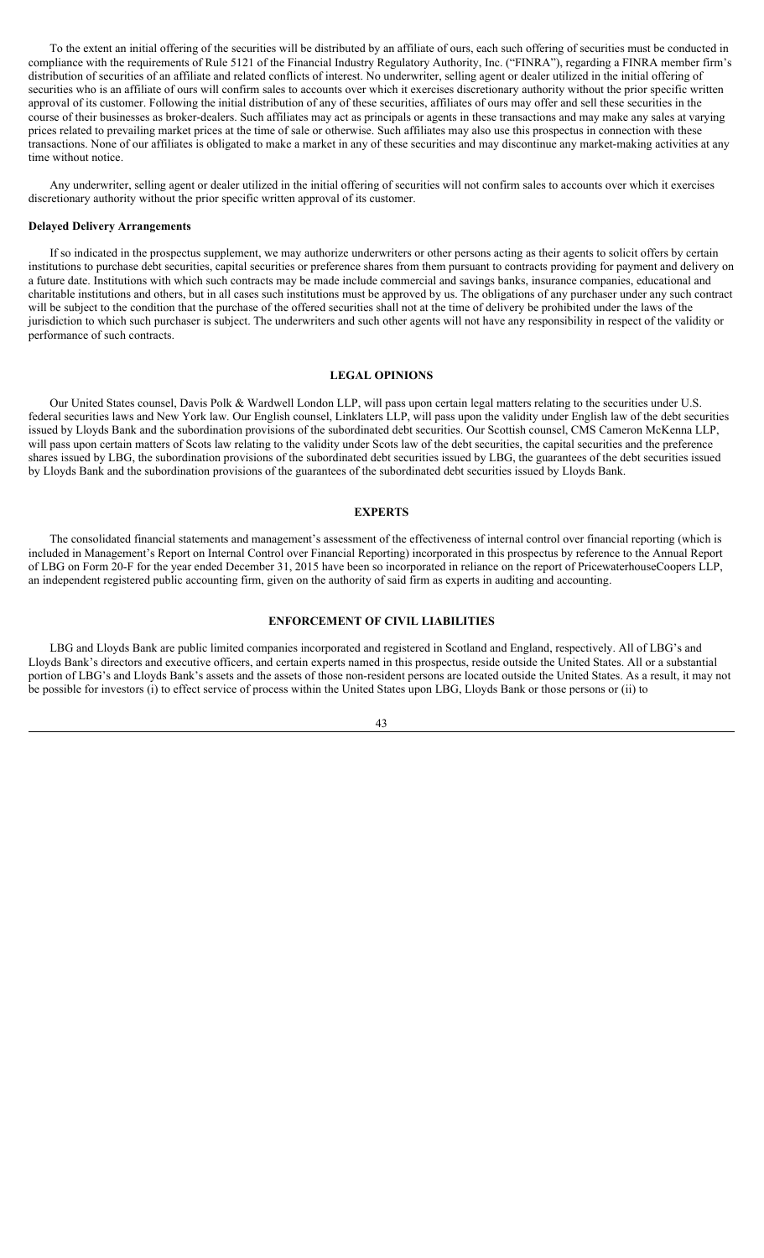To the extent an initial offering of the securities will be distributed by an affiliate of ours, each such offering of securities must be conducted in compliance with the requirements of Rule 5121 of the Financial Industry Regulatory Authority, Inc. ("FINRA"), regarding a FINRA member firm's distribution of securities of an affiliate and related conflicts of interest. No underwriter, selling agent or dealer utilized in the initial offering of securities who is an affiliate of ours will confirm sales to accounts over which it exercises discretionary authority without the prior specific written approval of its customer. Following the initial distribution of any of these securities, affiliates of ours may offer and sell these securities in the course of their businesses as broker-dealers. Such affiliates may act as principals or agents in these transactions and may make any sales at varying prices related to prevailing market prices at the time of sale or otherwise. Such affiliates may also use this prospectus in connection with these transactions. None of our affiliates is obligated to make a market in any of these securities and may discontinue any market-making activities at any time without notice.

Any underwriter, selling agent or dealer utilized in the initial offering of securities will not confirm sales to accounts over which it exercises discretionary authority without the prior specific written approval of its customer.

### **Delayed Delivery Arrangements**

If so indicated in the prospectus supplement, we may authorize underwriters or other persons acting as their agents to solicit offers by certain institutions to purchase debt securities, capital securities or preference shares from them pursuant to contracts providing for payment and delivery on a future date. Institutions with which such contracts may be made include commercial and savings banks, insurance companies, educational and charitable institutions and others, but in all cases such institutions must be approved by us. The obligations of any purchaser under any such contract will be subject to the condition that the purchase of the offered securities shall not at the time of delivery be prohibited under the laws of the jurisdiction to which such purchaser is subject. The underwriters and such other agents will not have any responsibility in respect of the validity or performance of such contracts.

#### **LEGAL OPINIONS**

Our United States counsel, Davis Polk & Wardwell London LLP, will pass upon certain legal matters relating to the securities under U.S. federal securities laws and New York law. Our English counsel, Linklaters LLP, will pass upon the validity under English law of the debt securities issued by Lloyds Bank and the subordination provisions of the subordinated debt securities. Our Scottish counsel, CMS Cameron McKenna LLP, will pass upon certain matters of Scots law relating to the validity under Scots law of the debt securities, the capital securities and the preference shares issued by LBG, the subordination provisions of the subordinated debt securities issued by LBG, the guarantees of the debt securities issued by Lloyds Bank and the subordination provisions of the guarantees of the subordinated debt securities issued by Lloyds Bank.

### **EXPERTS**

The consolidated financial statements and management's assessment of the effectiveness of internal control over financial reporting (which is included in Management's Report on Internal Control over Financial Reporting) incorporated in this prospectus by reference to the Annual Report of LBG on Form 20-F for the year ended December 31, 2015 have been so incorporated in reliance on the report of PricewaterhouseCoopers LLP, an independent registered public accounting firm, given on the authority of said firm as experts in auditing and accounting.

# **ENFORCEMENT OF CIVIL LIABILITIES**

LBG and Lloyds Bank are public limited companies incorporated and registered in Scotland and England, respectively. All of LBG's and Lloyds Bank's directors and executive officers, and certain experts named in this prospectus, reside outside the United States. All or a substantial portion of LBG's and Lloyds Bank's assets and the assets of those non-resident persons are located outside the United States. As a result, it may not be possible for investors (i) to effect service of process within the United States upon LBG, Lloyds Bank or those persons or (ii) to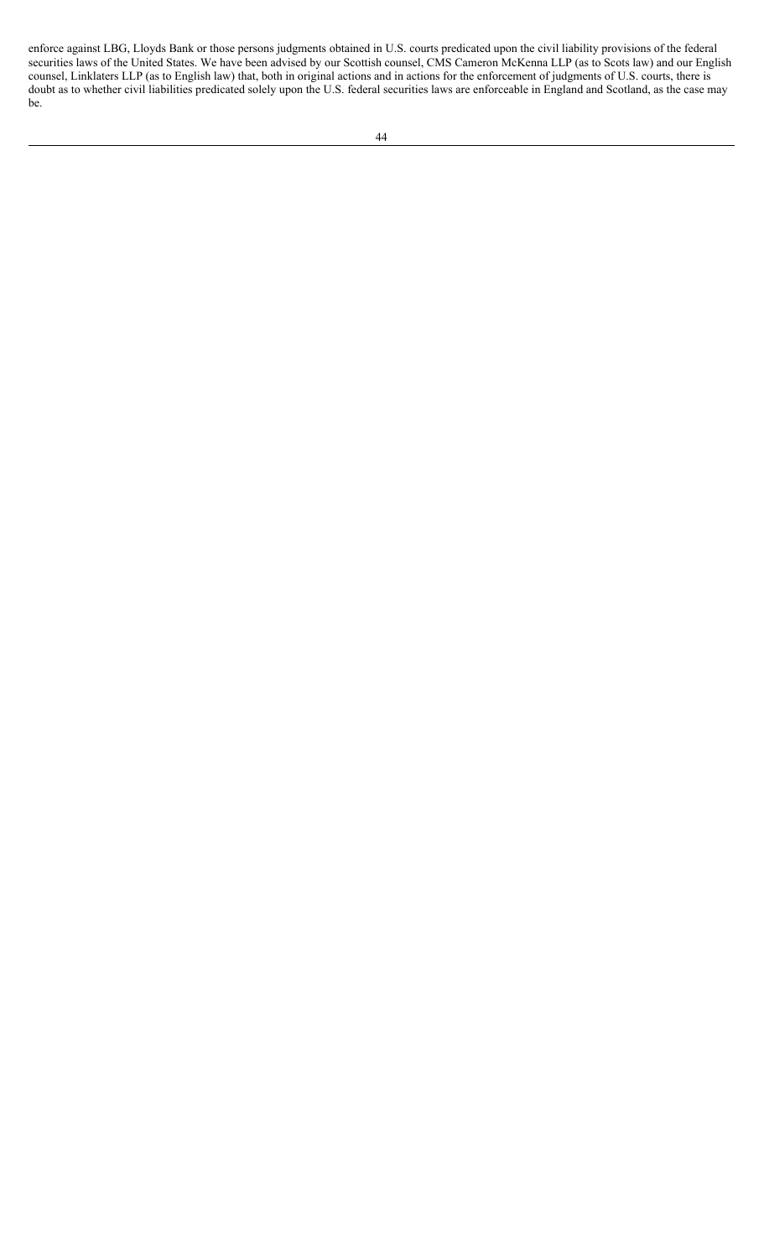enforce against LBG, Lloyds Bank or those persons judgments obtained in U.S. courts predicated upon the civil liability provisions of the federal securities laws of the United States. We have been advised by our Scottish counsel, CMS Cameron McKenna LLP (as to Scots law) and our English counsel, Linklaters LLP (as to English law) that, both in original actions and in actions for the enforcement of judgments of U.S. courts, there is doubt as to whether civil liabilities predicated solely upon the U.S. federal securities laws are enforceable in England and Scotland, as the case may be.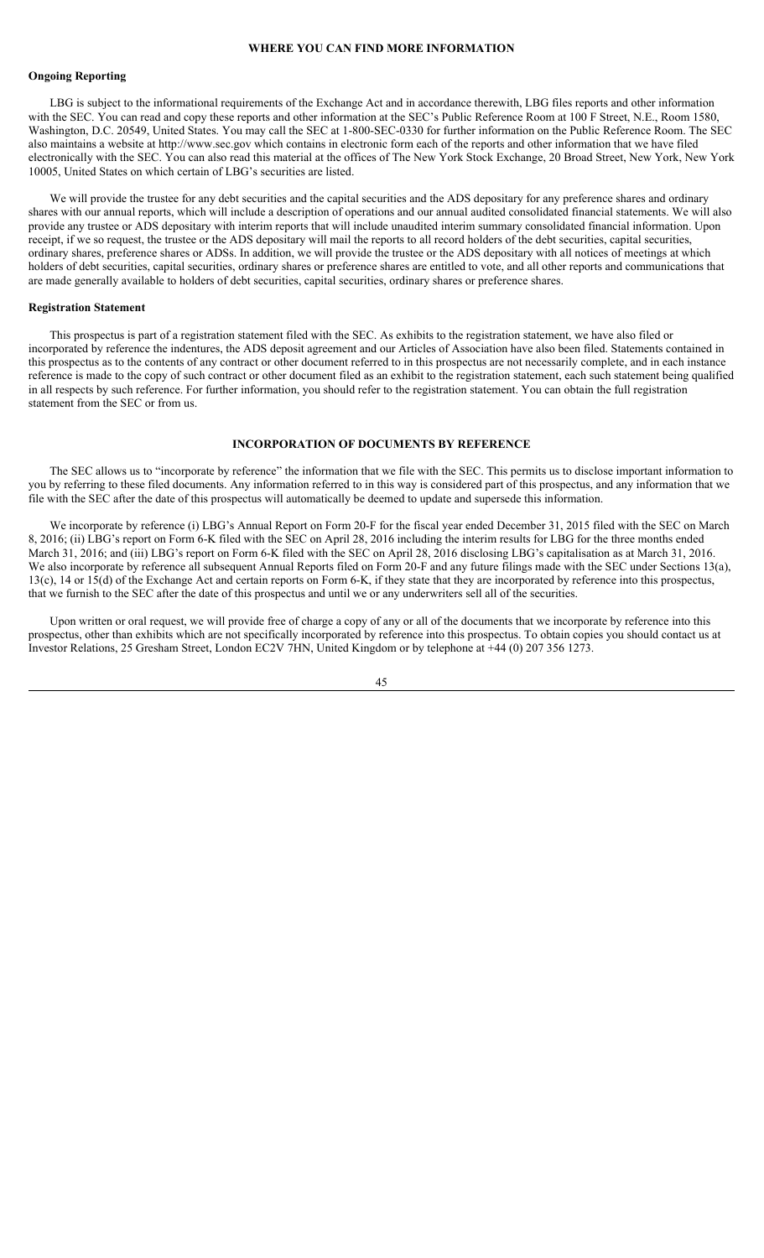## **WHERE YOU CAN FIND MORE INFORMATION**

### **Ongoing Reporting**

LBG is subject to the informational requirements of the Exchange Act and in accordance therewith, LBG files reports and other information with the SEC. You can read and copy these reports and other information at the SEC's Public Reference Room at 100 F Street, N.E., Room 1580, Washington, D.C. 20549, United States. You may call the SEC at 1-800-SEC-0330 for further information on the Public Reference Room. The SEC also maintains a website at http://www.sec.gov which contains in electronic form each of the reports and other information that we have filed electronically with the SEC. You can also read this material at the offices of The New York Stock Exchange, 20 Broad Street, New York, New York 10005, United States on which certain of LBG's securities are listed.

We will provide the trustee for any debt securities and the capital securities and the ADS depositary for any preference shares and ordinary shares with our annual reports, which will include a description of operations and our annual audited consolidated financial statements. We will also provide any trustee or ADS depositary with interim reports that will include unaudited interim summary consolidated financial information. Upon receipt, if we so request, the trustee or the ADS depositary will mail the reports to all record holders of the debt securities, capital securities, ordinary shares, preference shares or ADSs. In addition, we will provide the trustee or the ADS depositary with all notices of meetings at which holders of debt securities, capital securities, ordinary shares or preference shares are entitled to vote, and all other reports and communications that are made generally available to holders of debt securities, capital securities, ordinary shares or preference shares.

### **Registration Statement**

This prospectus is part of a registration statement filed with the SEC. As exhibits to the registration statement, we have also filed or incorporated by reference the indentures, the ADS deposit agreement and our Articles of Association have also been filed. Statements contained in this prospectus as to the contents of any contract or other document referred to in this prospectus are not necessarily complete, and in each instance reference is made to the copy of such contract or other document filed as an exhibit to the registration statement, each such statement being qualified in all respects by such reference. For further information, you should refer to the registration statement. You can obtain the full registration statement from the SEC or from us.

#### **INCORPORATION OF DOCUMENTS BY REFERENCE**

The SEC allows us to "incorporate by reference" the information that we file with the SEC. This permits us to disclose important information to you by referring to these filed documents. Any information referred to in this way is considered part of this prospectus, and any information that we file with the SEC after the date of this prospectus will automatically be deemed to update and supersede this information.

We incorporate by reference (i) LBG's Annual Report on Form 20-F for the fiscal year ended December 31, 2015 filed with the SEC on March 8, 2016; (ii) LBG's report on Form 6-K filed with the SEC on April 28, 2016 including the interim results for LBG for the three months ended March 31, 2016; and (iii) LBG's report on Form 6-K filed with the SEC on April 28, 2016 disclosing LBG's capitalisation as at March 31, 2016. We also incorporate by reference all subsequent Annual Reports filed on Form 20-F and any future filings made with the SEC under Sections 13(a), 13(c), 14 or 15(d) of the Exchange Act and certain reports on Form 6-K, if they state that they are incorporated by reference into this prospectus, that we furnish to the SEC after the date of this prospectus and until we or any underwriters sell all of the securities.

Upon written or oral request, we will provide free of charge a copy of any or all of the documents that we incorporate by reference into this prospectus, other than exhibits which are not specifically incorporated by reference into this prospectus. To obtain copies you should contact us at Investor Relations, 25 Gresham Street, London EC2V 7HN, United Kingdom or by telephone at +44 (0) 207 356 1273.